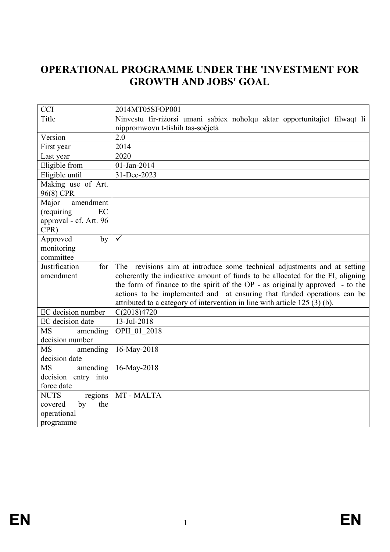# **OPERATIONAL PROGRAMME UNDER THE 'INVESTMENT FOR GROWTH AND JOBS' GOAL**

| <b>CCI</b>                                  | 2014MT05SFOP001                                                                                                |
|---------------------------------------------|----------------------------------------------------------------------------------------------------------------|
| Title                                       | Ninvestu fir-rizorsi umani sabiex noholqu aktar opportunitajiet filwaqt li<br>nippromwovu t-tishih tas-socjetà |
| Version                                     | 2.0                                                                                                            |
| First year                                  | 2014                                                                                                           |
| Last year                                   | 2020                                                                                                           |
| Eligible from                               | 01-Jan-2014                                                                                                    |
| Eligible until                              | 31-Dec-2023                                                                                                    |
| Making use of Art.                          |                                                                                                                |
| 96(8) CPR                                   |                                                                                                                |
| Major<br>amendment                          |                                                                                                                |
| (requiring)<br>EC<br>approval - cf. Art. 96 |                                                                                                                |
| CPR)                                        |                                                                                                                |
| Approved<br>by                              | $\checkmark$                                                                                                   |
| monitoring                                  |                                                                                                                |
| committee                                   |                                                                                                                |
| Justification<br>for                        | The<br>revisions aim at introduce some technical adjustments and at setting                                    |
| amendment                                   | coherently the indicative amount of funds to be allocated for the FI, aligning                                 |
|                                             | the form of finance to the spirit of the OP - as originally approved - to the                                  |
|                                             | actions to be implemented and at ensuring that funded operations can be                                        |
|                                             | attributed to a category of intervention in line with article 125 (3) (b).                                     |
| EC decision number                          | C(2018)4720                                                                                                    |
| EC decision date                            | 13-Jul-2018                                                                                                    |
| <b>MS</b><br>amending                       | OPII 01 2018                                                                                                   |
| decision number                             |                                                                                                                |
| <b>MS</b><br>amending                       | 16-May-2018                                                                                                    |
| decision date                               |                                                                                                                |
| <b>MS</b><br>amending                       | 16-May-2018                                                                                                    |
| decision entry into                         |                                                                                                                |
| force date                                  |                                                                                                                |
| <b>NUTS</b><br>regions                      | MT-MALTA                                                                                                       |
| the<br>by<br>covered                        |                                                                                                                |
| operational                                 |                                                                                                                |
| programme                                   |                                                                                                                |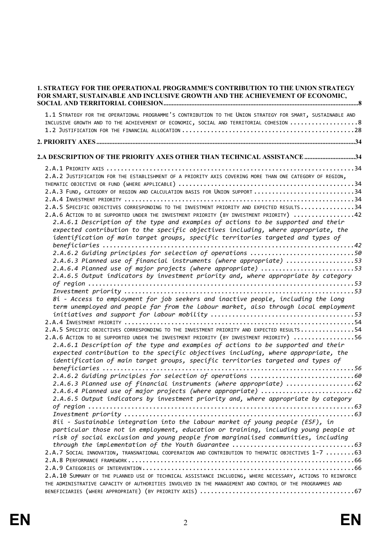| <b>1. STRATEGY FOR THE OPERATIONAL PROGRAMME'S CONTRIBUTION TO THE UNION STRATEGY</b><br>FOR SMART, SUSTAINABLE AND INCLUSIVE GROWTH AND THE ACHIEVEMENT OF ECONOMIC,                                                                                                                                                                                                                                                                                                                                                                                                                                                                                                                                                                                                                                                                                                                                                                                                                                                                                                                                                                                                                                                                                                                                                                                                                                                                                                                                                                                                                                                                                                                                                                                                                                                                                                                                                                                                                                                                                                                                                                                                                        |  |  |
|----------------------------------------------------------------------------------------------------------------------------------------------------------------------------------------------------------------------------------------------------------------------------------------------------------------------------------------------------------------------------------------------------------------------------------------------------------------------------------------------------------------------------------------------------------------------------------------------------------------------------------------------------------------------------------------------------------------------------------------------------------------------------------------------------------------------------------------------------------------------------------------------------------------------------------------------------------------------------------------------------------------------------------------------------------------------------------------------------------------------------------------------------------------------------------------------------------------------------------------------------------------------------------------------------------------------------------------------------------------------------------------------------------------------------------------------------------------------------------------------------------------------------------------------------------------------------------------------------------------------------------------------------------------------------------------------------------------------------------------------------------------------------------------------------------------------------------------------------------------------------------------------------------------------------------------------------------------------------------------------------------------------------------------------------------------------------------------------------------------------------------------------------------------------------------------------|--|--|
| 1.1 STRATEGY FOR THE OPERATIONAL PROGRAMME'S CONTRIBUTION TO THE UNION STRATEGY FOR SMART, SUSTAINABLE AND<br>INCLUSIVE GROWTH AND TO THE ACHIEVEMENT OF ECONOMIC, SOCIAL AND TERRITORIAL COHESION 8                                                                                                                                                                                                                                                                                                                                                                                                                                                                                                                                                                                                                                                                                                                                                                                                                                                                                                                                                                                                                                                                                                                                                                                                                                                                                                                                                                                                                                                                                                                                                                                                                                                                                                                                                                                                                                                                                                                                                                                         |  |  |
|                                                                                                                                                                                                                                                                                                                                                                                                                                                                                                                                                                                                                                                                                                                                                                                                                                                                                                                                                                                                                                                                                                                                                                                                                                                                                                                                                                                                                                                                                                                                                                                                                                                                                                                                                                                                                                                                                                                                                                                                                                                                                                                                                                                              |  |  |
| 2.A DESCRIPTION OF THE PRIORITY AXES OTHER THAN TECHNICAL ASSISTANCE 34                                                                                                                                                                                                                                                                                                                                                                                                                                                                                                                                                                                                                                                                                                                                                                                                                                                                                                                                                                                                                                                                                                                                                                                                                                                                                                                                                                                                                                                                                                                                                                                                                                                                                                                                                                                                                                                                                                                                                                                                                                                                                                                      |  |  |
| 2.A.2 JUSTIFICATION FOR THE ESTABLISHMENT OF A PRIORITY AXIS COVERING MORE THAN ONE CATEGORY OF REGION,<br>2.A.3 FUND, CATEGORY OF REGION AND CALCULATION BASIS FOR UNION SUPPORT 34<br>2.A.5 SPECIFIC OBJECTIVES CORRESPONDING TO THE INVESTMENT PRIORITY AND EXPECTED RESULTS34<br>2.A.6 ACTION TO BE SUPPORTED UNDER THE INVESTMENT PRIORITY (BY INVESTMENT PRIORITY) 42<br>2.A.6.1 Description of the type and examples of actions to be supported and their<br>expected contribution to the specific objectives including, where appropriate, the<br>identification of main target groups, specific territories targeted and types of<br>2.A.6.2 Guiding principles for selection of operations 50<br>2.A.6.3 Planned use of financial instruments (where appropriate) 53<br>2.A.6.4 Planned use of major projects (where appropriate) 53<br>2.A.6.5 Output indicators by investment priority and, where appropriate by category<br>8i - Access to employment for job seekers and inactive people, including the long<br>term unemployed and people far from the labour market, also through local employment<br>2.A.5 SPECIFIC OBJECTIVES CORRESPONDING TO THE INVESTMENT PRIORITY AND EXPECTED RESULTS54<br>2.A.6 ACTION TO BE SUPPORTED UNDER THE INVESTMENT PRIORITY (BY INVESTMENT PRIORITY) 56<br>2.A.6.1 Description of the type and examples of actions to be supported and their<br>expected contribution to the specific objectives including, where appropriate, the<br>identification of main target groups, specific territories targeted and types of<br>beneficiaries<br>2.A.6.3 Planned use of financial instruments (where appropriate) 62<br>2.A.6.4 Planned use of major projects (where appropriate) 62<br>2.A.6.5 Output indicators by investment priority and, where appropriate by category<br>8ii - Sustainable integration into the labour market of young people (ESF), in<br>particular those not in employment, education or training, including young people at<br>risk of social exclusion and young people from marginalised communities, including<br>2.A.7 SOCIAL INNOVATION, TRANSNATIONAL COOPERATION AND CONTRIBUTION TO THEMATIC OBJECTIVES 1-7 63 |  |  |
|                                                                                                                                                                                                                                                                                                                                                                                                                                                                                                                                                                                                                                                                                                                                                                                                                                                                                                                                                                                                                                                                                                                                                                                                                                                                                                                                                                                                                                                                                                                                                                                                                                                                                                                                                                                                                                                                                                                                                                                                                                                                                                                                                                                              |  |  |
| 2.A.10 SUMMARY OF THE PLANNED USE OF TECHNICAL ASSISTANCE INCLUDING, WHERE NECESSARY, ACTIONS TO REINFORCE<br>THE ADMINISTRATIVE CAPACITY OF AUTHORITIES INVOLVED IN THE MANAGEMENT AND CONTROL OF THE PROGRAMMES AND                                                                                                                                                                                                                                                                                                                                                                                                                                                                                                                                                                                                                                                                                                                                                                                                                                                                                                                                                                                                                                                                                                                                                                                                                                                                                                                                                                                                                                                                                                                                                                                                                                                                                                                                                                                                                                                                                                                                                                        |  |  |
|                                                                                                                                                                                                                                                                                                                                                                                                                                                                                                                                                                                                                                                                                                                                                                                                                                                                                                                                                                                                                                                                                                                                                                                                                                                                                                                                                                                                                                                                                                                                                                                                                                                                                                                                                                                                                                                                                                                                                                                                                                                                                                                                                                                              |  |  |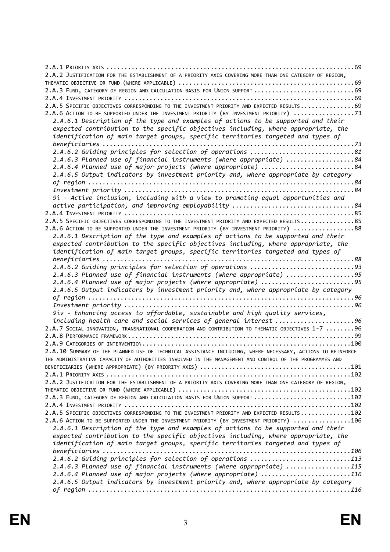| 2.A.2 JUSTIFICATION FOR THE ESTABLISHMENT OF A PRIORITY AXIS COVERING MORE THAN ONE CATEGORY OF REGION,    |
|------------------------------------------------------------------------------------------------------------|
|                                                                                                            |
| 2.A.3 FUND, CATEGORY OF REGION AND CALCULATION BASIS FOR UNION SUPPORT  69                                 |
|                                                                                                            |
| 2.A.5 SPECIFIC OBJECTIVES CORRESPONDING TO THE INVESTMENT PRIORITY AND EXPECTED RESULTS69                  |
| 2.A.6 ACTION TO BE SUPPORTED UNDER THE INVESTMENT PRIORITY (BY INVESTMENT PRIORITY) 73                     |
| 2.A.6.1 Description of the type and examples of actions to be supported and their                          |
| expected contribution to the specific objectives including, where appropriate, the                         |
| identification of main target groups, specific territories targeted and types of                           |
|                                                                                                            |
|                                                                                                            |
| 2.A.6.3 Planned use of financial instruments (where appropriate) 84                                        |
| 2.A.6.4 Planned use of major projects (where appropriate) 84                                               |
| 2.A.6.5 Output indicators by investment priority and, where appropriate by category                        |
|                                                                                                            |
|                                                                                                            |
| 9i - Active inclusion, including with a view to promoting equal opportunities and                          |
| active participation, and improving employability 84                                                       |
|                                                                                                            |
| 2.A.5 SPECIFIC OBJECTIVES CORRESPONDING TO THE INVESTMENT PRIORITY AND EXPECTED RESULTS85                  |
| 2.A.6 ACTION TO BE SUPPORTED UNDER THE INVESTMENT PRIORITY (BY INVESTMENT PRIORITY) 88                     |
| 2.A.6.1 Description of the type and examples of actions to be supported and their                          |
| expected contribution to the specific objectives including, where appropriate, the                         |
| identification of main target groups, specific territories targeted and types of                           |
|                                                                                                            |
| 2.A.6.2 Guiding principles for selection of operations 93                                                  |
| 2.A.6.3 Planned use of financial instruments (where appropriate) 95                                        |
| 2.A.6.4 Planned use of major projects (where appropriate) 95                                               |
| 2.A.6.5 Output indicators by investment priority and, where appropriate by category                        |
|                                                                                                            |
|                                                                                                            |
| 9iv - Enhancing access to affordable, sustainable and high quality services,                               |
| including health care and social services of general interest 96                                           |
| 2.A.7 SOCIAL INNOVATION, TRANSNATIONAL COOPERATION AND CONTRIBUTION TO THEMATIC OBJECTIVES 1-7 96          |
|                                                                                                            |
|                                                                                                            |
|                                                                                                            |
| 2.A.10 SUMMARY OF THE PLANNED USE OF TECHNICAL ASSISTANCE INCLUDING, WHERE NECESSARY, ACTIONS TO REINFORCE |
| THE ADMINISTRATIVE CAPACITY OF AUTHORITIES INVOLVED IN THE MANAGEMENT AND CONTROL OF THE PROGRAMMES AND    |
|                                                                                                            |
|                                                                                                            |
| 2.A.2 JUSTIFICATION FOR THE ESTABLISHMENT OF A PRIORITY AXIS COVERING MORE THAN ONE CATEGORY OF REGION,    |
|                                                                                                            |
| 2.A.3 FUND, CATEGORY OF REGION AND CALCULATION BASIS FOR UNION SUPPORT 102                                 |
|                                                                                                            |
| 2.A.5 SPECIFIC OBJECTIVES CORRESPONDING TO THE INVESTMENT PRIORITY AND EXPECTED RESULTS102                 |
| 2.A.6 ACTION TO BE SUPPORTED UNDER THE INVESTMENT PRIORITY (BY INVESTMENT PRIORITY) 106                    |
| 2.A.6.1 Description of the type and examples of actions to be supported and their                          |
| expected contribution to the specific objectives including, where appropriate, the                         |
| identification of main target groups, specific territories targeted and types of                           |
|                                                                                                            |
| 2.A.6.2 Guiding principles for selection of operations 113                                                 |
| 2.A.6.3 Planned use of financial instruments (where appropriate) 115                                       |
| 2.A.6.4 Planned use of major projects (where appropriate) 116                                              |
| 2.A.6.5 Output indicators by investment priority and, where appropriate by category                        |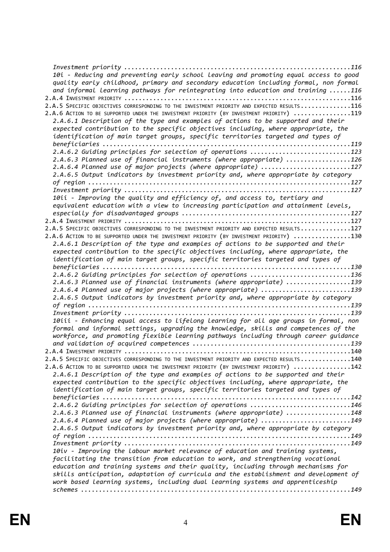| 10i - Reducing and preventing early school leaving and promoting equal access to good<br>quality early childhood, primary and secondary education including formal, non formal<br>and informal learning pathways for reintegrating into education and training 116<br>2.A.5 SPECIFIC OBJECTIVES CORRESPONDING TO THE INVESTMENT PRIORITY AND EXPECTED RESULTS116<br>2.A.6 ACTION TO BE SUPPORTED UNDER THE INVESTMENT PRIORITY (BY INVESTMENT PRIORITY) 119<br>2.A.6.1 Description of the type and examples of actions to be supported and their<br>expected contribution to the specific objectives including, where appropriate, the |  |
|----------------------------------------------------------------------------------------------------------------------------------------------------------------------------------------------------------------------------------------------------------------------------------------------------------------------------------------------------------------------------------------------------------------------------------------------------------------------------------------------------------------------------------------------------------------------------------------------------------------------------------------|--|
| identification of main target groups, specific territories targeted and types of                                                                                                                                                                                                                                                                                                                                                                                                                                                                                                                                                       |  |
| beneficiaries<br>2.A.6.2 Guiding principles for selection of operations 123                                                                                                                                                                                                                                                                                                                                                                                                                                                                                                                                                            |  |
| 2.A.6.3 Planned use of financial instruments (where appropriate) 126                                                                                                                                                                                                                                                                                                                                                                                                                                                                                                                                                                   |  |
| 2.A.6.4 Planned use of major projects (where appropriate) 127                                                                                                                                                                                                                                                                                                                                                                                                                                                                                                                                                                          |  |
| 2.A.6.5 Output indicators by investment priority and, where appropriate by category                                                                                                                                                                                                                                                                                                                                                                                                                                                                                                                                                    |  |
|                                                                                                                                                                                                                                                                                                                                                                                                                                                                                                                                                                                                                                        |  |
| 10ii - Improving the quality and efficiency of, and access to, tertiary and                                                                                                                                                                                                                                                                                                                                                                                                                                                                                                                                                            |  |
| equivalent education with a view to increasing participation and attainment levels,                                                                                                                                                                                                                                                                                                                                                                                                                                                                                                                                                    |  |
|                                                                                                                                                                                                                                                                                                                                                                                                                                                                                                                                                                                                                                        |  |
| 2.A.5 SPECIFIC OBJECTIVES CORRESPONDING TO THE INVESTMENT PRIORITY AND EXPECTED RESULTS127                                                                                                                                                                                                                                                                                                                                                                                                                                                                                                                                             |  |
| 2.A.6 ACTION TO BE SUPPORTED UNDER THE INVESTMENT PRIORITY (BY INVESTMENT PRIORITY) 130                                                                                                                                                                                                                                                                                                                                                                                                                                                                                                                                                |  |
| 2.A.6.1 Description of the type and examples of actions to be supported and their                                                                                                                                                                                                                                                                                                                                                                                                                                                                                                                                                      |  |
| expected contribution to the specific objectives including, where appropriate, the<br>identification of main target groups, specific territories targeted and types of                                                                                                                                                                                                                                                                                                                                                                                                                                                                 |  |
|                                                                                                                                                                                                                                                                                                                                                                                                                                                                                                                                                                                                                                        |  |
| 2.A.6.2 Guiding principles for selection of operations 136                                                                                                                                                                                                                                                                                                                                                                                                                                                                                                                                                                             |  |
| 2.A.6.3 Planned use of financial instruments (where appropriate) 139<br>2.A.6.4 Planned use of major projects (where appropriate) 139                                                                                                                                                                                                                                                                                                                                                                                                                                                                                                  |  |
| 2.A.6.5 Output indicators by investment priority and, where appropriate by category                                                                                                                                                                                                                                                                                                                                                                                                                                                                                                                                                    |  |
|                                                                                                                                                                                                                                                                                                                                                                                                                                                                                                                                                                                                                                        |  |
|                                                                                                                                                                                                                                                                                                                                                                                                                                                                                                                                                                                                                                        |  |
| 10iii - Enhancing equal access to lifelong learning for all age groups in formal, non<br>formal and informal settings, upgrading the knowledge, skills and competences of the<br>workforce, and promoting flexible learning pathways including through career guidance                                                                                                                                                                                                                                                                                                                                                                 |  |
|                                                                                                                                                                                                                                                                                                                                                                                                                                                                                                                                                                                                                                        |  |
|                                                                                                                                                                                                                                                                                                                                                                                                                                                                                                                                                                                                                                        |  |
| 2.A.5 SPECIFIC OBJECTIVES CORRESPONDING TO THE INVESTMENT PRIORITY AND EXPECTED RESULTS140<br>2.A.6 ACTION TO BE SUPPORTED UNDER THE INVESTMENT PRIORITY (BY INVESTMENT PRIORITY) 142                                                                                                                                                                                                                                                                                                                                                                                                                                                  |  |
| 2.A.6.1 Description of the type and examples of actions to be supported and their                                                                                                                                                                                                                                                                                                                                                                                                                                                                                                                                                      |  |
| expected contribution to the specific objectives including, where appropriate, the                                                                                                                                                                                                                                                                                                                                                                                                                                                                                                                                                     |  |
| identification of main target groups, specific territories targeted and types of                                                                                                                                                                                                                                                                                                                                                                                                                                                                                                                                                       |  |
| 2.A.6.2 Guiding principles for selection of operations 146                                                                                                                                                                                                                                                                                                                                                                                                                                                                                                                                                                             |  |
| 2.A.6.3 Planned use of financial instruments (where appropriate) 148                                                                                                                                                                                                                                                                                                                                                                                                                                                                                                                                                                   |  |
| 2.A.6.4 Planned use of major projects (where appropriate) 149                                                                                                                                                                                                                                                                                                                                                                                                                                                                                                                                                                          |  |
| 2.A.6.5 Output indicators by investment priority and, where appropriate by category                                                                                                                                                                                                                                                                                                                                                                                                                                                                                                                                                    |  |
|                                                                                                                                                                                                                                                                                                                                                                                                                                                                                                                                                                                                                                        |  |
| 10iv - Improving the Labour market relevance of education and training systems,                                                                                                                                                                                                                                                                                                                                                                                                                                                                                                                                                        |  |
| facilitating the transition from education to work, and strengthening vocational                                                                                                                                                                                                                                                                                                                                                                                                                                                                                                                                                       |  |
| education and training systems and their quality, including through mechanisms for                                                                                                                                                                                                                                                                                                                                                                                                                                                                                                                                                     |  |
| skills anticipation, adaptation of curricula and the establishment and development of<br>work based learning systems, including dual learning systems and apprenticeship                                                                                                                                                                                                                                                                                                                                                                                                                                                               |  |
|                                                                                                                                                                                                                                                                                                                                                                                                                                                                                                                                                                                                                                        |  |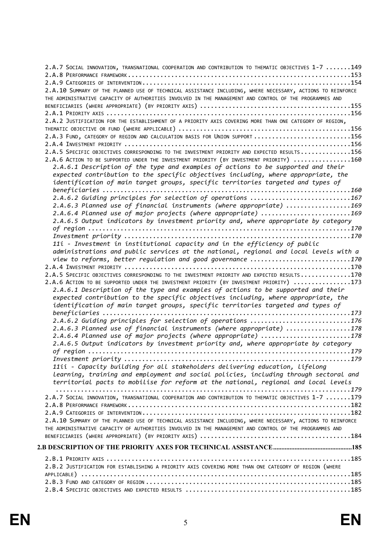| 2.A.7 SOCIAL INNOVATION, TRANSNATIONAL COOPERATION AND CONTRIBUTION TO THEMATIC OBJECTIVES 1-7 149         |
|------------------------------------------------------------------------------------------------------------|
|                                                                                                            |
|                                                                                                            |
| 2.A.10 SUMMARY OF THE PLANNED USE OF TECHNICAL ASSISTANCE INCLUDING, WHERE NECESSARY, ACTIONS TO REINFORCE |
| THE ADMINISTRATIVE CAPACITY OF AUTHORITIES INVOLVED IN THE MANAGEMENT AND CONTROL OF THE PROGRAMMES AND    |
|                                                                                                            |
|                                                                                                            |
| 2.A.2 JUSTIFICATION FOR THE ESTABLISHMENT OF A PRIORITY AXIS COVERING MORE THAN ONE CATEGORY OF REGION,    |
|                                                                                                            |
| 2.A.3 FUND, CATEGORY OF REGION AND CALCULATION BASIS FOR UNION SUPPORT 156                                 |
|                                                                                                            |
|                                                                                                            |
| 2.A.5 SPECIFIC OBJECTIVES CORRESPONDING TO THE INVESTMENT PRIORITY AND EXPECTED RESULTS156                 |
| 2.A.6 ACTION TO BE SUPPORTED UNDER THE INVESTMENT PRIORITY (BY INVESTMENT PRIORITY) 160                    |
| 2.A.6.1 Description of the type and examples of actions to be supported and their                          |
| expected contribution to the specific objectives including, where appropriate, the                         |
| identification of main target groups, specific territories targeted and types of                           |
|                                                                                                            |
| 2.A.6.2 Guiding principles for selection of operations 167                                                 |
| 2.A.6.3 Planned use of financial instruments (where appropriate) 169                                       |
| 2.A.6.4 Planned use of major projects (where appropriate) 169                                              |
| 2.A.6.5 Output indicators by investment priority and, where appropriate by category                        |
|                                                                                                            |
|                                                                                                            |
| 11i - Investment in institutional capacity and in the efficiency of public                                 |
| administrations and public services at the national, regional and local levels with a                      |
| view to reforms, better regulation and good governance 170                                                 |
|                                                                                                            |
| 2.A.5 SPECIFIC OBJECTIVES CORRESPONDING TO THE INVESTMENT PRIORITY AND EXPECTED RESULTS170                 |
| 2.A.6 ACTION TO BE SUPPORTED UNDER THE INVESTMENT PRIORITY (BY INVESTMENT PRIORITY) 173                    |
| 2.A.6.1 Description of the type and examples of actions to be supported and their                          |
| expected contribution to the specific objectives including, where appropriate, the                         |
| identification of main target groups, specific territories targeted and types of                           |
|                                                                                                            |
| 2.A.6.2 Guiding principles for selection of operations 176                                                 |
|                                                                                                            |
| 2.A.6.3 Planned use of financial instruments (where appropriate) 178                                       |
| 2.A.6.4 Planned use of major projects (where appropriate) 178                                              |
| 2.A.6.5 Output indicators by investment priority and, where appropriate by category                        |
|                                                                                                            |
|                                                                                                            |
| 11ii - Capacity building for all stakeholders delivering education, lifelong                               |
| Learning, training and employment and social policies, including through sectoral and                      |
| territorial pacts to mobilise for reform at the national, regional and local levels                        |
|                                                                                                            |
| 2.A.7 SOCIAL INNOVATION, TRANSNATIONAL COOPERATION AND CONTRIBUTION TO THEMATIC OBJECTIVES 1-7 179         |
|                                                                                                            |
|                                                                                                            |
| 2.A.10 SUMMARY OF THE PLANNED USE OF TECHNICAL ASSISTANCE INCLUDING, WHERE NECESSARY, ACTIONS TO REINFORCE |
| THE ADMINISTRATIVE CAPACITY OF AUTHORITIES INVOLVED IN THE MANAGEMENT AND CONTROL OF THE PROGRAMMES AND    |
|                                                                                                            |
|                                                                                                            |
|                                                                                                            |
| 2.B.2 JUSTIFICATION FOR ESTABLISHING A PRIORITY AXIS COVERING MORE THAN ONE CATEGORY OF REGION (WHERE      |
|                                                                                                            |
|                                                                                                            |
|                                                                                                            |
|                                                                                                            |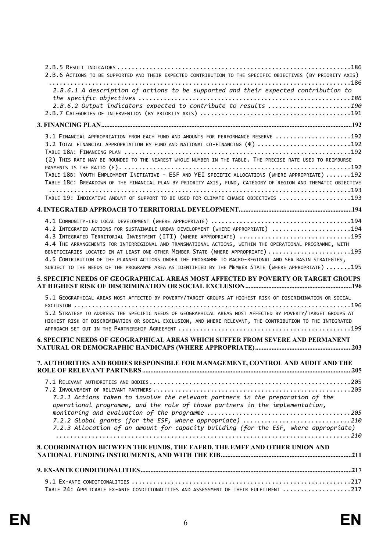| 2.B.6 ACTIONS TO BE SUPPORTED AND THEIR EXPECTED CONTRIBUTION TO THE SPECIFIC OBJECTIVES (BY PRIORITY AXIS)                                                                                                                                                                                                                                                                                                                                                                                                                                                                                |
|--------------------------------------------------------------------------------------------------------------------------------------------------------------------------------------------------------------------------------------------------------------------------------------------------------------------------------------------------------------------------------------------------------------------------------------------------------------------------------------------------------------------------------------------------------------------------------------------|
| 2.B.6.1 A description of actions to be supported and their expected contribution to<br>2.B.6.2 Output indicators expected to contribute to results 190                                                                                                                                                                                                                                                                                                                                                                                                                                     |
|                                                                                                                                                                                                                                                                                                                                                                                                                                                                                                                                                                                            |
| 3.1 FINANCIAL APPROPRIATION FROM EACH FUND AND AMOUNTS FOR PERFORMANCE RESERVE 192<br>3.2 TOTAL FINANCIAL APPROPRIATION BY FUND AND NATIONAL CO-FINANCING (€) 192<br>(2) THIS RATE MAY BE ROUNDED TO THE NEAREST WHOLE NUMBER IN THE TABLE. THE PRECISE RATE USED TO REIMBURSE<br>TABLE 18B: YOUTH EMPLOYMENT INITIATIVE - ESF AND YEI SPECIFIC ALLOCATIONS (WHERE APPROPRIATE) 192<br>TABLE 18C: BREAKDOWN OF THE FINANCIAL PLAN BY PRIORITY AXIS, FUND, CATEGORY OF REGION AND THEMATIC OBJECTIVE<br>TABLE 19: INDICATIVE AMOUNT OF SUPPORT TO BE USED FOR CLIMATE CHANGE OBJECTIVES 193 |
|                                                                                                                                                                                                                                                                                                                                                                                                                                                                                                                                                                                            |
| 4.2 INTEGRATED ACTIONS FOR SUSTAINABLE URBAN DEVELOPMENT (WHERE APPROPRIATE) 194<br>4.3 INTEGRATED TERRITORIAL INVESTMENT (ITI) (WHERE APPROPRIATE) 195<br>4.4 THE ARRANGEMENTS FOR INTERREGIONAL AND TRANSNATIONAL ACTIONS, WITHIN THE OPERATIONAL PROGRAMME, WITH<br>BENEFICIARIES LOCATED IN AT LEAST ONE OTHER MEMBER STATE (WHERE APPROPRIATE) 195<br>4.5 CONTRIBUTION OF THE PLANNED ACTIONS UNDER THE PROGRAMME TO MACRO-REGIONAL AND SEA BASIN STRATEGIES,<br>SUBJECT TO THE NEEDS OF THE PROGRAMME AREA AS IDENTIFIED BY THE MEMBER STATE (WHERE APPROPRIATE) 195                 |
| 5. SPECIFIC NEEDS OF GEOGRAPHICAL AREAS MOST AFFECTED BY POVERTY OR TARGET GROUPS                                                                                                                                                                                                                                                                                                                                                                                                                                                                                                          |
| 5.1 GEOGRAPHICAL AREAS MOST AFFECTED BY POVERTY/TARGET GROUPS AT HIGHEST RISK OF DISCRIMINATION OR SOCIAL<br>5.2 STRATEGY TO ADDRESS THE SPECIFIC NEEDS OF GEOGRAPHICAL AREAS MOST AFFECTED BY POVERTY/TARGET GROUPS AT<br>HIGHEST RISK OF DISCRIMINATION OR SOCIAL EXCLUSION, AND WHERE RELEVANT, THE CONTRIBUTION TO THE INTEGRATED                                                                                                                                                                                                                                                      |
| <b>6. SPECIFIC NEEDS OF GEOGRAPHICAL AREAS WHICH SUFFER FROM SEVERE AND PERMANENT</b>                                                                                                                                                                                                                                                                                                                                                                                                                                                                                                      |
| 7. AUTHORITIES AND BODIES RESPONSIBLE FOR MANAGEMENT, CONTROL AND AUDIT AND THE                                                                                                                                                                                                                                                                                                                                                                                                                                                                                                            |
| 7.2.1 Actions taken to involve the relevant partners in the preparation of the<br>operational programme, and the role of those partners in the implementation,<br>7.2.2 Global grants (for the ESF, where appropriate) 210<br>7.2.3 Allocation of an amount for capacity building (for the ESF, where appropriate)                                                                                                                                                                                                                                                                         |
| 8. COORDINATION BETWEEN THE FUNDS, THE EAFRD, THE EMFF AND OTHER UNION AND                                                                                                                                                                                                                                                                                                                                                                                                                                                                                                                 |
|                                                                                                                                                                                                                                                                                                                                                                                                                                                                                                                                                                                            |
|                                                                                                                                                                                                                                                                                                                                                                                                                                                                                                                                                                                            |
| TABLE 24: APPLICABLE EX-ANTE CONDITIONALITIES AND ASSESSMENT OF THEIR FULFILMENT 217                                                                                                                                                                                                                                                                                                                                                                                                                                                                                                       |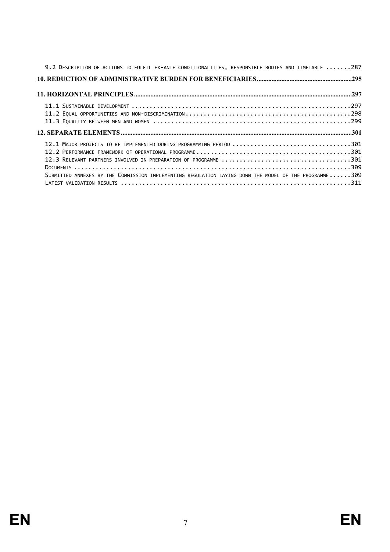| 9.2 DESCRIPTION OF ACTIONS TO FULFIL EX-ANTE CONDITIONALITIES, RESPONSIBLE BODIES AND TIMETABLE 287   |
|-------------------------------------------------------------------------------------------------------|
|                                                                                                       |
|                                                                                                       |
|                                                                                                       |
|                                                                                                       |
|                                                                                                       |
|                                                                                                       |
| 12.1 MAJOR PROJECTS TO BE IMPLEMENTED DURING PROGRAMMING PERIOD 301                                   |
|                                                                                                       |
|                                                                                                       |
|                                                                                                       |
| SUBMITTED ANNEXES BY THE COMMISSION IMPLEMENTING REGULATION LAYING DOWN THE MODEL OF THE PROGRAMME309 |
|                                                                                                       |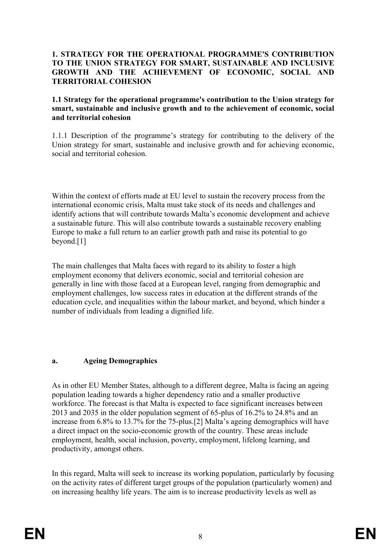#### <span id="page-7-0"></span>**1. STRATEGY FOR THE OPERATIONAL PROGRAMME'S CONTRIBUTION TO THE UNION STRATEGY FOR SMART, SUSTAINABLE AND INCLUSIVE GROWTH AND THE ACHIEVEMENT OF ECONOMIC, SOCIAL AND TERRITORIAL COHESION**

#### <span id="page-7-1"></span>**1.1 Strategy for the operational programme's contribution to the Union strategy for smart, sustainable and inclusive growth and to the achievement of economic, social and territorial cohesion**

1.1.1 Description of the programme's strategy for contributing to the delivery of the Union strategy for smart, sustainable and inclusive growth and for achieving economic, social and territorial cohesion.

Within the context of efforts made at EU level to sustain the recovery process from the international economic crisis, Malta must take stock of its needs and challenges and identify actions that will contribute towards Malta's economic development and achieve a sustainable future. This will also contribute towards a sustainable recovery enabling Europe to make a full return to an earlier growth path and raise its potential to go beyond.[1]

The main challenges that Malta faces with regard to its ability to foster a high employment economy that delivers economic, social and territorial cohesion are generally in line with those faced at a European level, ranging from demographic and employment challenges, low success rates in education at the different strands of the education cycle, and inequalities within the labour market, and beyond, which hinder a number of individuals from leading a dignified life.

#### **a. Ageing Demographics**

As in other EU Member States, although to a different degree, Malta is facing an ageing population leading towards a higher dependency ratio and a smaller productive workforce. The forecast is that Malta is expected to face significant increases between 2013 and 2035 in the older population segment of 65-plus of 16.2% to 24.8% and an increase from 6.8% to 13.7% for the 75-plus.[2] Malta's ageing demographics will have a direct impact on the socio-economic growth of the country. These areas include employment, health, social inclusion, poverty, employment, lifelong learning, and productivity, amongst others.

In this regard, Malta will seek to increase its working population, particularly by focusing on the activity rates of different target groups of the population (particularly women) and on increasing healthy life years. The aim is to increase productivity levels as well as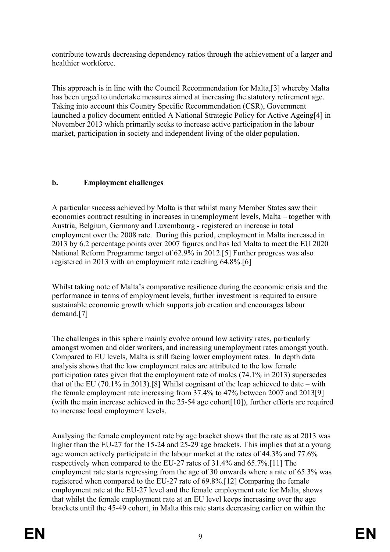contribute towards decreasing dependency ratios through the achievement of a larger and healthier workforce.

This approach is in line with the Council Recommendation for Malta,[3] whereby Malta has been urged to undertake measures aimed at increasing the statutory retirement age. Taking into account this Country Specific Recommendation (CSR), Government launched a policy document entitled A National Strategic Policy for Active Ageing[4] in November 2013 which primarily seeks to increase active participation in the labour market, participation in society and independent living of the older population.

# **b. Employment challenges**

A particular success achieved by Malta is that whilst many Member States saw their economies contract resulting in increases in unemployment levels, Malta – together with Austria, Belgium, Germany and Luxembourg - registered an increase in total employment over the 2008 rate. During this period, employment in Malta increased in 2013 by 6.2 percentage points over 2007 figures and has led Malta to meet the EU 2020 National Reform Programme target of 62.9% in 2012.[5] Further progress was also registered in 2013 with an employment rate reaching 64.8%.[6]

Whilst taking note of Malta's comparative resilience during the economic crisis and the performance in terms of employment levels, further investment is required to ensure sustainable economic growth which supports job creation and encourages labour demand.[7]

The challenges in this sphere mainly evolve around low activity rates, particularly amongst women and older workers, and increasing unemployment rates amongst youth. Compared to EU levels, Malta is still facing lower employment rates. In depth data analysis shows that the low employment rates are attributed to the low female participation rates given that the employment rate of males (74.1% in 2013) supersedes that of the EU (70.1% in 2013).[8] Whilst cognisant of the leap achieved to date – with the female employment rate increasing from 37.4% to 47% between 2007 and 2013[9] (with the main increase achieved in the 25-54 age cohort[10]), further efforts are required to increase local employment levels.

Analysing the female employment rate by age bracket shows that the rate as at 2013 was higher than the EU-27 for the 15-24 and 25-29 age brackets. This implies that at a young age women actively participate in the labour market at the rates of 44.3% and 77.6% respectively when compared to the EU-27 rates of 31.4% and 65.7%.[11] The employment rate starts regressing from the age of 30 onwards where a rate of 65.3% was registered when compared to the EU-27 rate of 69.8%.[12] Comparing the female employment rate at the EU-27 level and the female employment rate for Malta, shows that whilst the female employment rate at an EU level keeps increasing over the age brackets until the 45-49 cohort, in Malta this rate starts decreasing earlier on within the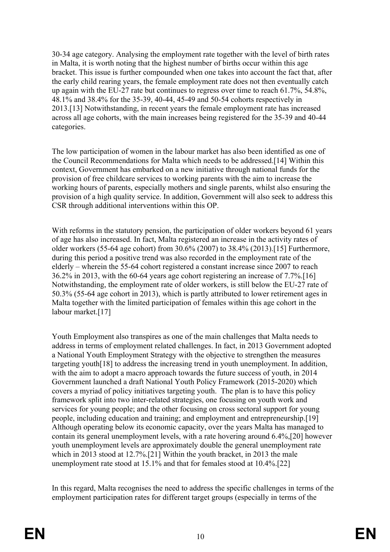30-34 age category. Analysing the employment rate together with the level of birth rates in Malta, it is worth noting that the highest number of births occur within this age bracket. This issue is further compounded when one takes into account the fact that, after the early child rearing years, the female employment rate does not then eventually catch up again with the EU-27 rate but continues to regress over time to reach 61.7%, 54.8%, 48.1% and 38.4% for the 35-39, 40-44, 45-49 and 50-54 cohorts respectively in 2013.[13] Notwithstanding, in recent years the female employment rate has increased across all age cohorts, with the main increases being registered for the 35-39 and 40-44 categories.

The low participation of women in the labour market has also been identified as one of the Council Recommendations for Malta which needs to be addressed.[14] Within this context, Government has embarked on a new initiative through national funds for the provision of free childcare services to working parents with the aim to increase the working hours of parents, especially mothers and single parents, whilst also ensuring the provision of a high quality service. In addition, Government will also seek to address this CSR through additional interventions within this OP.

With reforms in the statutory pension, the participation of older workers beyond 61 years of age has also increased. In fact, Malta registered an increase in the activity rates of older workers (55-64 age cohort) from 30.6% (2007) to 38.4% (2013).[15] Furthermore, during this period a positive trend was also recorded in the employment rate of the elderly – wherein the 55-64 cohort registered a constant increase since 2007 to reach 36.2% in 2013, with the 60-64 years age cohort registering an increase of 7.7%.[16] Notwithstanding, the employment rate of older workers, is still below the EU-27 rate of 50.3% (55-64 age cohort in 2013), which is partly attributed to lower retirement ages in Malta together with the limited participation of females within this age cohort in the labour market.[17]

Youth Employment also transpires as one of the main challenges that Malta needs to address in terms of employment related challenges. In fact, in 2013 Government adopted a National Youth Employment Strategy with the objective to strengthen the measures targeting youth[18] to address the increasing trend in youth unemployment. In addition, with the aim to adopt a macro approach towards the future success of youth, in 2014 Government launched a draft National Youth Policy Framework (2015-2020) which covers a myriad of policy initiatives targeting youth. The plan is to have this policy framework split into two inter-related strategies, one focusing on youth work and services for young people; and the other focusing on cross sectoral support for young people, including education and training; and employment and entrepreneurship.[19] Although operating below its economic capacity, over the years Malta has managed to contain its general unemployment levels, with a rate hovering around 6.4%,[20] however youth unemployment levels are approximately double the general unemployment rate which in 2013 stood at 12.7%.[21] Within the youth bracket, in 2013 the male unemployment rate stood at  $15.1\%$  and that for females stood at  $10.4\%$ . [22]

In this regard, Malta recognises the need to address the specific challenges in terms of the employment participation rates for different target groups (especially in terms of the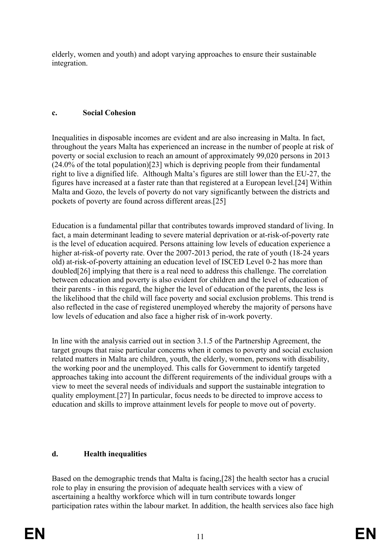elderly, women and youth) and adopt varying approaches to ensure their sustainable integration.

## **c. Social Cohesion**

Inequalities in disposable incomes are evident and are also increasing in Malta. In fact, throughout the years Malta has experienced an increase in the number of people at risk of poverty or social exclusion to reach an amount of approximately 99,020 persons in 2013 (24.0% of the total population)[23] which is depriving people from their fundamental right to live a dignified life. Although Malta's figures are still lower than the EU-27, the figures have increased at a faster rate than that registered at a European level.[24] Within Malta and Gozo, the levels of poverty do not vary significantly between the districts and pockets of poverty are found across different areas.[25]

Education is a fundamental pillar that contributes towards improved standard of living. In fact, a main determinant leading to severe material deprivation or at-risk-of-poverty rate is the level of education acquired. Persons attaining low levels of education experience a higher at-risk-of poverty rate. Over the 2007-2013 period, the rate of youth (18-24 years old) at-risk-of-poverty attaining an education level of ISCED Level 0-2 has more than doubled[26] implying that there is a real need to address this challenge. The correlation between education and poverty is also evident for children and the level of education of their parents - in this regard, the higher the level of education of the parents, the less is the likelihood that the child will face poverty and social exclusion problems. This trend is also reflected in the case of registered unemployed whereby the majority of persons have low levels of education and also face a higher risk of in-work poverty.

In line with the analysis carried out in section 3.1.5 of the Partnership Agreement, the target groups that raise particular concerns when it comes to poverty and social exclusion related matters in Malta are children, youth, the elderly, women, persons with disability, the working poor and the unemployed. This calls for Government to identify targeted approaches taking into account the different requirements of the individual groups with a view to meet the several needs of individuals and support the sustainable integration to quality employment.[27] In particular, focus needs to be directed to improve access to education and skills to improve attainment levels for people to move out of poverty.

### **d. Health inequalities**

Based on the demographic trends that Malta is facing,[28] the health sector has a crucial role to play in ensuring the provision of adequate health services with a view of ascertaining a healthy workforce which will in turn contribute towards longer participation rates within the labour market. In addition, the health services also face high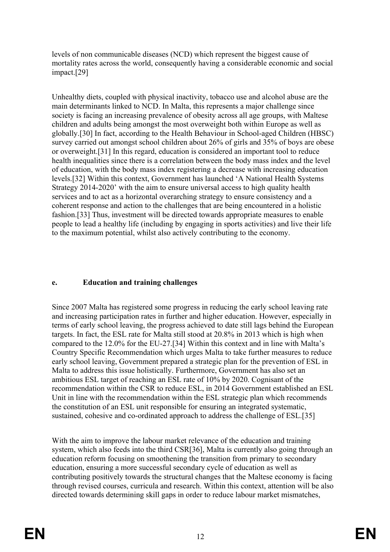levels of non communicable diseases (NCD) which represent the biggest cause of mortality rates across the world, consequently having a considerable economic and social impact.[29]

Unhealthy diets, coupled with physical inactivity, tobacco use and alcohol abuse are the main determinants linked to NCD. In Malta, this represents a major challenge since society is facing an increasing prevalence of obesity across all age groups, with Maltese children and adults being amongst the most overweight both within Europe as well as globally.[30] In fact, according to the Health Behaviour in School-aged Children (HBSC) survey carried out amongst school children about 26% of girls and 35% of boys are obese or overweight.[31] In this regard, education is considered an important tool to reduce health inequalities since there is a correlation between the body mass index and the level of education, with the body mass index registering a decrease with increasing education levels.[32] Within this context, Government has launched 'A National Health Systems Strategy 2014-2020' with the aim to ensure universal access to high quality health services and to act as a horizontal overarching strategy to ensure consistency and a coherent response and action to the challenges that are being encountered in a holistic fashion.[33] Thus, investment will be directed towards appropriate measures to enable people to lead a healthy life (including by engaging in sports activities) and live their life to the maximum potential, whilst also actively contributing to the economy.

### **e. Education and training challenges**

Since 2007 Malta has registered some progress in reducing the early school leaving rate and increasing participation rates in further and higher education. However, especially in terms of early school leaving, the progress achieved to date still lags behind the European targets. In fact, the ESL rate for Malta still stood at 20.8% in 2013 which is high when compared to the 12.0% for the EU-27.[34] Within this context and in line with Malta's Country Specific Recommendation which urges Malta to take further measures to reduce early school leaving, Government prepared a strategic plan for the prevention of ESL in Malta to address this issue holistically. Furthermore, Government has also set an ambitious ESL target of reaching an ESL rate of 10% by 2020. Cognisant of the recommendation within the CSR to reduce ESL, in 2014 Government established an ESL Unit in line with the recommendation within the ESL strategic plan which recommends the constitution of an ESL unit responsible for ensuring an integrated systematic, sustained, cohesive and co-ordinated approach to address the challenge of ESL.[35]

With the aim to improve the labour market relevance of the education and training system, which also feeds into the third CSR[36], Malta is currently also going through an education reform focusing on smoothening the transition from primary to secondary education, ensuring a more successful secondary cycle of education as well as contributing positively towards the structural changes that the Maltese economy is facing through revised courses, curricula and research. Within this context, attention will be also directed towards determining skill gaps in order to reduce labour market mismatches,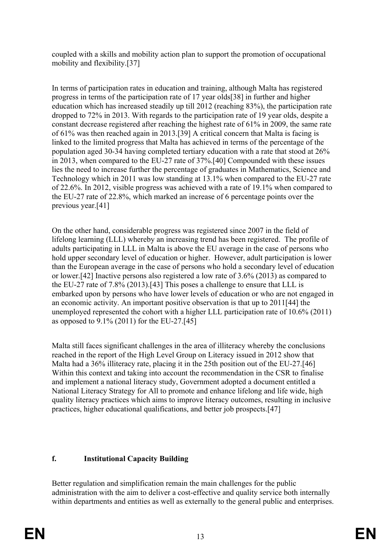coupled with a skills and mobility action plan to support the promotion of occupational mobility and flexibility.[37]

In terms of participation rates in education and training, although Malta has registered progress in terms of the participation rate of 17 year olds[38] in further and higher education which has increased steadily up till 2012 (reaching 83%), the participation rate dropped to 72% in 2013. With regards to the participation rate of 19 year olds, despite a constant decrease registered after reaching the highest rate of 61% in 2009, the same rate of 61% was then reached again in 2013.[39] A critical concern that Malta is facing is linked to the limited progress that Malta has achieved in terms of the percentage of the population aged 30-34 having completed tertiary education with a rate that stood at 26% in 2013, when compared to the EU-27 rate of 37%.[40] Compounded with these issues lies the need to increase further the percentage of graduates in Mathematics, Science and Technology which in 2011 was low standing at 13.1% when compared to the EU-27 rate of 22.6%. In 2012, visible progress was achieved with a rate of 19.1% when compared to the EU-27 rate of 22.8%, which marked an increase of 6 percentage points over the previous year.[41]

On the other hand, considerable progress was registered since 2007 in the field of lifelong learning (LLL) whereby an increasing trend has been registered. The profile of adults participating in LLL in Malta is above the EU average in the case of persons who hold upper secondary level of education or higher. However, adult participation is lower than the European average in the case of persons who hold a secondary level of education or lower.[42] Inactive persons also registered a low rate of 3.6% (2013) as compared to the EU-27 rate of 7.8% (2013).[43] This poses a challenge to ensure that LLL is embarked upon by persons who have lower levels of education or who are not engaged in an economic activity. An important positive observation is that up to 2011[44] the unemployed represented the cohort with a higher LLL participation rate of 10.6% (2011) as opposed to 9.1% (2011) for the EU-27.[45]

Malta still faces significant challenges in the area of illiteracy whereby the conclusions reached in the report of the High Level Group on Literacy issued in 2012 show that Malta had a 36% illiteracy rate, placing it in the 25th position out of the EU-27.[46] Within this context and taking into account the recommendation in the CSR to finalise and implement a national literacy study, Government adopted a document entitled a National Literacy Strategy for All to promote and enhance lifelong and life wide, high quality literacy practices which aims to improve literacy outcomes, resulting in inclusive practices, higher educational qualifications, and better job prospects.[47]

# **f. Institutional Capacity Building**

Better regulation and simplification remain the main challenges for the public administration with the aim to deliver a cost-effective and quality service both internally within departments and entities as well as externally to the general public and enterprises.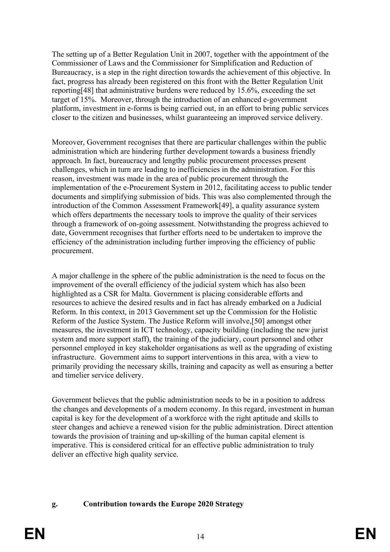The setting up of a Better Regulation Unit in 2007, together with the appointment of the Commissioner of Laws and the Commissioner for Simplification and Reduction of Bureaucracy, is a step in the right direction towards the achievement of this objective. In fact, progress has already been registered on this front with the Better Regulation Unit reporting[48] that administrative burdens were reduced by 15.6%, exceeding the set target of 15%. Moreover, through the introduction of an enhanced e-government platform, investment in e-forms is being carried out, in an effort to bring public services closer to the citizen and businesses, whilst guaranteeing an improved service delivery.

Moreover, Government recognises that there are particular challenges within the public administration which are hindering further development towards a business friendly approach. In fact, bureaucracy and lengthy public procurement processes present challenges, which in turn are leading to inefficiencies in the administration. For this reason, investment was made in the area of public procurement through the implementation of the e-Procurement System in 2012, facilitating access to public tender documents and simplifying submission of bids. This was also complemented through the introduction of the Common Assessment Framework[49], a quality assurance system which offers departments the necessary tools to improve the quality of their services through a framework of on-going assessment. Notwithstanding the progress achieved to date, Government recognises that further efforts need to be undertaken to improve the efficiency of the administration including further improving the efficiency of public procurement.

A major challenge in the sphere of the public administration is the need to focus on the improvement of the overall efficiency of the judicial system which has also been highlighted as a CSR for Malta. Government is placing considerable efforts and resources to achieve the desired results and in fact has already embarked on a Judicial Reform. In this context, in 2013 Government set up the Commission for the Holistic Reform of the Justice System. The Justice Reform will involve,[50] amongst other measures, the investment in ICT technology, capacity building (including the new jurist system and more support staff), the training of the judiciary, court personnel and other personnel employed in key stakeholder organisations as well as the upgrading of existing infrastructure. Government aims to support interventions in this area, with a view to primarily providing the necessary skills, training and capacity as well as ensuring a better and timelier service delivery.

Government believes that the public administration needs to be in a position to address the changes and developments of a modern economy. In this regard, investment in human capital is key for the development of a workforce with the right aptitude and skills to steer changes and achieve a renewed vision for the public administration. Direct attention towards the provision of training and up-skilling of the human capital element is imperative. This is considered critical for an effective public administration to truly deliver an effective high quality service.

### **g. Contribution towards the Europe 2020 Strategy**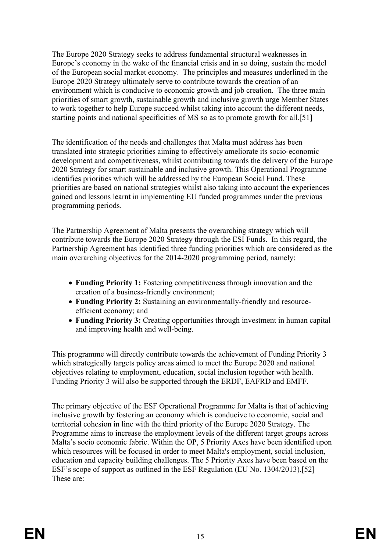The Europe 2020 Strategy seeks to address fundamental structural weaknesses in Europe's economy in the wake of the financial crisis and in so doing, sustain the model of the European social market economy. The principles and measures underlined in the Europe 2020 Strategy ultimately serve to contribute towards the creation of an environment which is conducive to economic growth and job creation. The three main priorities of smart growth, sustainable growth and inclusive growth urge Member States to work together to help Europe succeed whilst taking into account the different needs, starting points and national specificities of MS so as to promote growth for all.[51]

The identification of the needs and challenges that Malta must address has been translated into strategic priorities aiming to effectively ameliorate its socio-economic development and competitiveness, whilst contributing towards the delivery of the Europe 2020 Strategy for smart sustainable and inclusive growth. This Operational Programme identifies priorities which will be addressed by the European Social Fund. These priorities are based on national strategies whilst also taking into account the experiences gained and lessons learnt in implementing EU funded programmes under the previous programming periods.

The Partnership Agreement of Malta presents the overarching strategy which will contribute towards the Europe 2020 Strategy through the ESI Funds. In this regard, the Partnership Agreement has identified three funding priorities which are considered as the main overarching objectives for the 2014-2020 programming period, namely:

- **Funding Priority 1:** Fostering competitiveness through innovation and the creation of a business-friendly environment;
- **Funding Priority 2:** Sustaining an environmentally-friendly and resourceefficient economy; and
- **Funding Priority 3:** Creating opportunities through investment in human capital and improving health and well-being.

This programme will directly contribute towards the achievement of Funding Priority 3 which strategically targets policy areas aimed to meet the Europe 2020 and national objectives relating to employment, education, social inclusion together with health. Funding Priority 3 will also be supported through the ERDF, EAFRD and EMFF.

The primary objective of the ESF Operational Programme for Malta is that of achieving inclusive growth by fostering an economy which is conducive to economic, social and territorial cohesion in line with the third priority of the Europe 2020 Strategy. The Programme aims to increase the employment levels of the different target groups across Malta's socio economic fabric. Within the OP, 5 Priority Axes have been identified upon which resources will be focused in order to meet Malta's employment, social inclusion, education and capacity building challenges. The 5 Priority Axes have been based on the ESF's scope of support as outlined in the ESF Regulation (EU No. 1304/2013).[52] These are: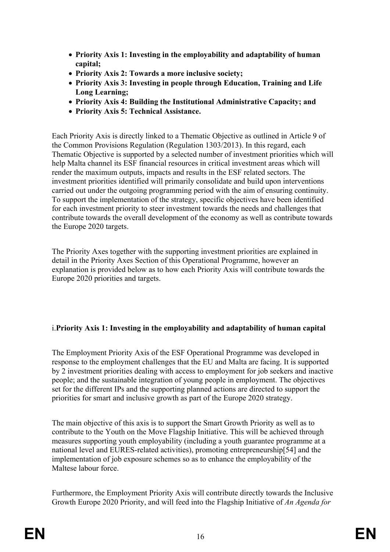- **Priority Axis 1: Investing in the employability and adaptability of human capital;**
- **Priority Axis 2: Towards a more inclusive society;**
- **Priority Axis 3: Investing in people through Education, Training and Life Long Learning;**
- **Priority Axis 4: Building the Institutional Administrative Capacity; and**
- **Priority Axis 5: Technical Assistance.**

Each Priority Axis is directly linked to a Thematic Objective as outlined in Article 9 of the Common Provisions Regulation (Regulation 1303/2013). In this regard, each Thematic Objective is supported by a selected number of investment priorities which will help Malta channel its ESF financial resources in critical investment areas which will render the maximum outputs, impacts and results in the ESF related sectors. The investment priorities identified will primarily consolidate and build upon interventions carried out under the outgoing programming period with the aim of ensuring continuity. To support the implementation of the strategy, specific objectives have been identified for each investment priority to steer investment towards the needs and challenges that contribute towards the overall development of the economy as well as contribute towards the Europe 2020 targets.

The Priority Axes together with the supporting investment priorities are explained in detail in the Priority Axes Section of this Operational Programme, however an explanation is provided below as to how each Priority Axis will contribute towards the Europe 2020 priorities and targets.

# i.**Priority Axis 1: Investing in the employability and adaptability of human capital**

The Employment Priority Axis of the ESF Operational Programme was developed in response to the employment challenges that the EU and Malta are facing. It is supported by 2 investment priorities dealing with access to employment for job seekers and inactive people; and the sustainable integration of young people in employment. The objectives set for the different IPs and the supporting planned actions are directed to support the priorities for smart and inclusive growth as part of the Europe 2020 strategy.

The main objective of this axis is to support the Smart Growth Priority as well as to contribute to the Youth on the Move Flagship Initiative. This will be achieved through measures supporting youth employability (including a youth guarantee programme at a national level and EURES-related activities), promoting entrepreneurship[54] and the implementation of job exposure schemes so as to enhance the employability of the Maltese labour force.

Furthermore, the Employment Priority Axis will contribute directly towards the Inclusive Growth Europe 2020 Priority, and will feed into the Flagship Initiative of *An Agenda for*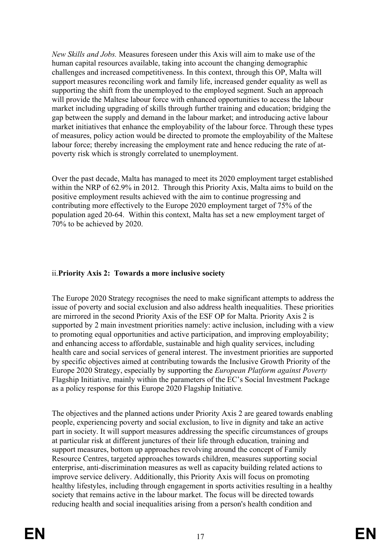*New Skills and Jobs.* Measures foreseen under this Axis will aim to make use of the human capital resources available, taking into account the changing demographic challenges and increased competitiveness. In this context, through this OP, Malta will support measures reconciling work and family life, increased gender equality as well as supporting the shift from the unemployed to the employed segment. Such an approach will provide the Maltese labour force with enhanced opportunities to access the labour market including upgrading of skills through further training and education; bridging the gap between the supply and demand in the labour market; and introducing active labour market initiatives that enhance the employability of the labour force. Through these types of measures, policy action would be directed to promote the employability of the Maltese labour force; thereby increasing the employment rate and hence reducing the rate of atpoverty risk which is strongly correlated to unemployment.

Over the past decade, Malta has managed to meet its 2020 employment target established within the NRP of 62.9% in 2012. Through this Priority Axis, Malta aims to build on the positive employment results achieved with the aim to continue progressing and contributing more effectively to the Europe 2020 employment target of 75% of the population aged 20-64. Within this context, Malta has set a new employment target of 70% to be achieved by 2020.

### ii.**Priority Axis 2: Towards a more inclusive society**

The Europe 2020 Strategy recognises the need to make significant attempts to address the issue of poverty and social exclusion and also address health inequalities. These priorities are mirrored in the second Priority Axis of the ESF OP for Malta. Priority Axis 2 is supported by 2 main investment priorities namely: active inclusion, including with a view to promoting equal opportunities and active participation, and improving employability; and enhancing access to affordable, sustainable and high quality services, including health care and social services of general interest. The investment priorities are supported by specific objectives aimed at contributing towards the Inclusive Growth Priority of the Europe 2020 Strategy, especially by supporting the *European Platform against Poverty*  Flagship Initiative*,* mainly within the parameters of the EC's Social Investment Package as a policy response for this Europe 2020 Flagship Initiative*.*

The objectives and the planned actions under Priority Axis 2 are geared towards enabling people, experiencing poverty and social exclusion, to live in dignity and take an active part in society. It will support measures addressing the specific circumstances of groups at particular risk at different junctures of their life through education, training and support measures, bottom up approaches revolving around the concept of Family Resource Centres, targeted approaches towards children, measures supporting social enterprise, anti-discrimination measures as well as capacity building related actions to improve service delivery. Additionally, this Priority Axis will focus on promoting healthy lifestyles, including through engagement in sports activities resulting in a healthy society that remains active in the labour market. The focus will be directed towards reducing health and social inequalities arising from a person's health condition and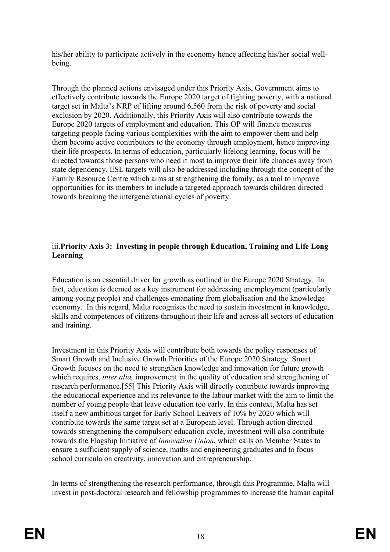his/her ability to participate actively in the economy hence affecting his/her social wellbeing.

Through the planned actions envisaged under this Priority Axis, Government aims to effectively contribute towards the Europe 2020 target of fighting poverty, with a national target set in Malta's NRP of lifting around 6,560 from the risk of poverty and social exclusion by 2020. Additionally, this Priority Axis will also contribute towards the Europe 2020 targets of employment and education. This OP will finance measures targeting people facing various complexities with the aim to empower them and help them become active contributors to the economy through employment, hence improving their life prospects. In terms of education, particularly lifelong learning, focus will be directed towards those persons who need it most to improve their life chances away from state dependency. ESL targets will also be addressed including through the concept of the Family Resource Centre which aims at strengthening the family, as a tool to improve opportunities for its members to include a targeted approach towards children directed towards breaking the intergenerational cycles of poverty.

### iii.**Priority Axis 3: Investing in people through Education, Training and Life Long Learning**

Education is an essential driver for growth as outlined in the Europe 2020 Strategy. In fact, education is deemed as a key instrument for addressing unemployment (particularly among young people) and challenges emanating from globalisation and the knowledge economy. In this regard, Malta recognises the need to sustain investment in knowledge, skills and competences of citizens throughout their life and across all sectors of education and training.

Investment in this Priority Axis will contribute both towards the policy responses of Smart Growth and Inclusive Growth Priorities of the Europe 2020 Strategy. Smart Growth focuses on the need to strengthen knowledge and innovation for future growth which requires, *inter alia*, improvement in the quality of education and strengthening of research performance.[55] This Priority Axis will directly contribute towards improving the educational experience and its relevance to the labour market with the aim to limit the number of young people that leave education too early. In this context, Malta has set itself a new ambitious target for Early School Leavers of 10% by 2020 which will contribute towards the same target set at a European level. Through action directed towards strengthening the compulsory education cycle, investment will also contribute towards the Flagship Initiative of *Innovation Union*, which calls on Member States to ensure a sufficient supply of science, maths and engineering graduates and to focus school curricula on creativity, innovation and entrepreneurship.

In terms of strengthening the research performance, through this Programme, Malta will invest in post-doctoral research and fellowship programmes to increase the human capital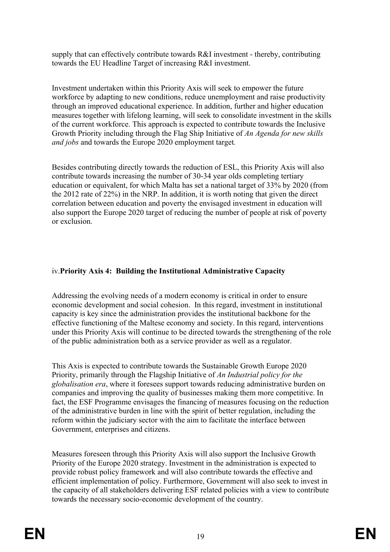supply that can effectively contribute towards R&I investment - thereby, contributing towards the EU Headline Target of increasing R&I investment.

Investment undertaken within this Priority Axis will seek to empower the future workforce by adapting to new conditions, reduce unemployment and raise productivity through an improved educational experience. In addition, further and higher education measures together with lifelong learning, will seek to consolidate investment in the skills of the current workforce. This approach is expected to contribute towards the Inclusive Growth Priority including through the Flag Ship Initiative of *An Agenda for new skills and jobs* and towards the Europe 2020 employment target*.*

Besides contributing directly towards the reduction of ESL, this Priority Axis will also contribute towards increasing the number of 30-34 year olds completing tertiary education or equivalent, for which Malta has set a national target of 33% by 2020 (from the 2012 rate of 22%) in the NRP. In addition, it is worth noting that given the direct correlation between education and poverty the envisaged investment in education will also support the Europe 2020 target of reducing the number of people at risk of poverty or exclusion.

# iv.**Priority Axis 4: Building the Institutional Administrative Capacity**

Addressing the evolving needs of a modern economy is critical in order to ensure economic development and social cohesion. In this regard, investment in institutional capacity is key since the administration provides the institutional backbone for the effective functioning of the Maltese economy and society. In this regard, interventions under this Priority Axis will continue to be directed towards the strengthening of the role of the public administration both as a service provider as well as a regulator.

This Axis is expected to contribute towards the Sustainable Growth Europe 2020 Priority, primarily through the Flagship Initiative of *An Industrial policy for the globalisation era*, where it foresees support towards reducing administrative burden on companies and improving the quality of businesses making them more competitive. In fact, the ESF Programme envisages the financing of measures focusing on the reduction of the administrative burden in line with the spirit of better regulation, including the reform within the judiciary sector with the aim to facilitate the interface between Government, enterprises and citizens.

Measures foreseen through this Priority Axis will also support the Inclusive Growth Priority of the Europe 2020 strategy. Investment in the administration is expected to provide robust policy framework and will also contribute towards the effective and efficient implementation of policy. Furthermore, Government will also seek to invest in the capacity of all stakeholders delivering ESF related policies with a view to contribute towards the necessary socio-economic development of the country.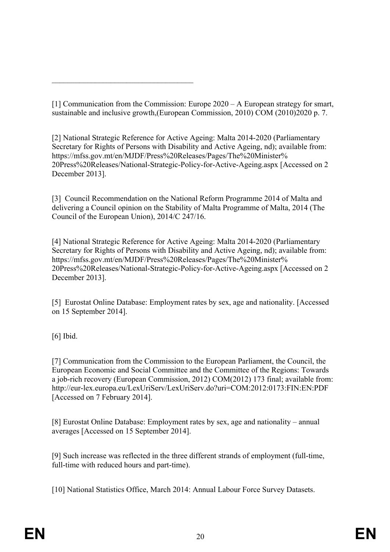$\mathcal{L}_\text{max}$  , and the set of the set of the set of the set of the set of the set of the set of the set of the set of the set of the set of the set of the set of the set of the set of the set of the set of the set of the

[1] Communication from the Commission: Europe 2020 – A European strategy for smart, sustainable and inclusive growth,(European Commission, 2010) COM (2010)2020 p. 7.

[2] National Strategic Reference for Active Ageing: Malta 2014-2020 (Parliamentary Secretary for Rights of Persons with Disability and Active Ageing, nd); available from: https://mfss.gov.mt/en/MJDF/Press%20Releases/Pages/The%20Minister% 20Press%20Releases/National-Strategic-Policy-for-Active-Ageing.aspx [Accessed on 2 December 2013].

[3] Council Recommendation on the National Reform Programme 2014 of Malta and delivering a Council opinion on the Stability of Malta Programme of Malta, 2014 (The Council of the European Union), 2014/C 247/16.

[4] National Strategic Reference for Active Ageing: Malta 2014-2020 (Parliamentary Secretary for Rights of Persons with Disability and Active Ageing, nd); available from: https://mfss.gov.mt/en/MJDF/Press%20Releases/Pages/The%20Minister% 20Press%20Releases/National-Strategic-Policy-for-Active-Ageing.aspx [Accessed on 2 December 2013].

[5] Eurostat Online Database: Employment rates by sex, age and nationality. [Accessed on 15 September 2014].

[6] Ibid.

[7] Communication from the Commission to the European Parliament, the Council, the European Economic and Social Committee and the Committee of the Regions: Towards a job-rich recovery (European Commission, 2012) COM(2012) 173 final; available from: http://eur-lex.europa.eu/LexUriServ/LexUriServ.do?uri=COM:2012:0173:FIN:EN:PDF [Accessed on 7 February 2014].

[8] Eurostat Online Database: Employment rates by sex, age and nationality – annual averages [Accessed on 15 September 2014].

[9] Such increase was reflected in the three different strands of employment (full-time, full-time with reduced hours and part-time).

[10] National Statistics Office, March 2014: Annual Labour Force Survey Datasets.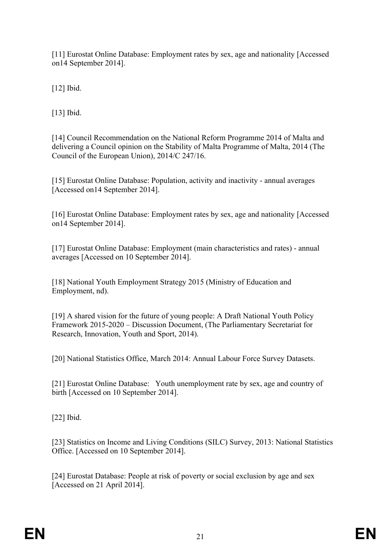[11] Eurostat Online Database: Employment rates by sex, age and nationality [Accessed on14 September 2014].

[12] Ibid.

[13] Ibid.

[14] Council Recommendation on the National Reform Programme 2014 of Malta and delivering a Council opinion on the Stability of Malta Programme of Malta, 2014 (The Council of the European Union), 2014/C 247/16.

[15] Eurostat Online Database: Population, activity and inactivity - annual averages [Accessed on14 September 2014].

[16] Eurostat Online Database: Employment rates by sex, age and nationality [Accessed on14 September 2014].

[17] Eurostat Online Database: Employment (main characteristics and rates) - annual averages [Accessed on 10 September 2014].

[18] National Youth Employment Strategy 2015 (Ministry of Education and Employment, nd).

[19] A shared vision for the future of young people: A Draft National Youth Policy Framework 2015-2020 – Discussion Document, (The Parliamentary Secretariat for Research, Innovation, Youth and Sport, 2014).

[20] National Statistics Office, March 2014: Annual Labour Force Survey Datasets.

[21] Eurostat Online Database: Youth unemployment rate by sex, age and country of birth [Accessed on 10 September 2014].

[22] Ibid.

[23] Statistics on Income and Living Conditions (SILC) Survey, 2013: National Statistics Office. [Accessed on 10 September 2014].

[24] Eurostat Database: People at risk of poverty or social exclusion by age and sex [Accessed on 21 April 2014].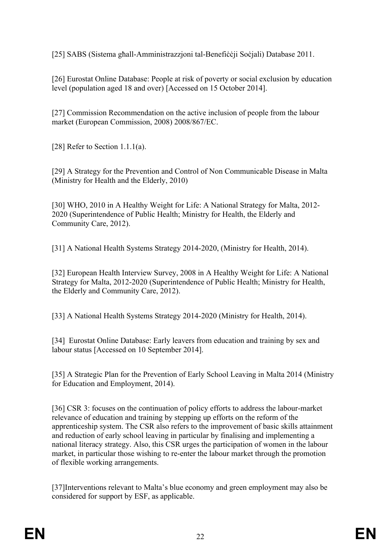[25] SABS (Sistema għall-Amministrazzjoni tal-Benefiċċji Soċjali) Database 2011.

[26] Eurostat Online Database: People at risk of poverty or social exclusion by education level (population aged 18 and over) [Accessed on 15 October 2014].

[27] Commission Recommendation on the active inclusion of people from the labour market (European Commission, 2008) 2008/867/EC.

[28] Refer to Section 1.1.1(a).

[29] A Strategy for the Prevention and Control of Non Communicable Disease in Malta (Ministry for Health and the Elderly, 2010)

[30] WHO, 2010 in A Healthy Weight for Life: A National Strategy for Malta, 2012- 2020 (Superintendence of Public Health; Ministry for Health, the Elderly and Community Care, 2012).

[31] A National Health Systems Strategy 2014-2020, (Ministry for Health, 2014).

[32] European Health Interview Survey, 2008 in A Healthy Weight for Life: A National Strategy for Malta, 2012-2020 (Superintendence of Public Health; Ministry for Health, the Elderly and Community Care, 2012).

[33] A National Health Systems Strategy 2014-2020 (Ministry for Health, 2014).

[34] Eurostat Online Database: Early leavers from education and training by sex and labour status [Accessed on 10 September 2014].

[35] A Strategic Plan for the Prevention of Early School Leaving in Malta 2014 (Ministry for Education and Employment, 2014).

[36] CSR 3: focuses on the continuation of policy efforts to address the labour-market relevance of education and training by stepping up efforts on the reform of the apprenticeship system. The CSR also refers to the improvement of basic skills attainment and reduction of early school leaving in particular by finalising and implementing a national literacy strategy. Also, this CSR urges the participation of women in the labour market, in particular those wishing to re-enter the labour market through the promotion of flexible working arrangements.

[37]Interventions relevant to Malta's blue economy and green employment may also be considered for support by ESF, as applicable.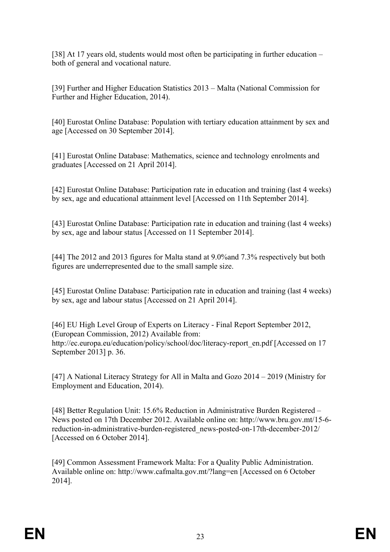[38] At 17 years old, students would most often be participating in further education – both of general and vocational nature.

[39] Further and Higher Education Statistics 2013 – Malta (National Commission for Further and Higher Education, 2014).

[40] Eurostat Online Database: Population with tertiary education attainment by sex and age [Accessed on 30 September 2014].

[41] Eurostat Online Database: Mathematics, science and technology enrolments and graduates [Accessed on 21 April 2014].

[42] Eurostat Online Database: Participation rate in education and training (last 4 weeks) by sex, age and educational attainment level [Accessed on 11th September 2014].

[43] Eurostat Online Database: Participation rate in education and training (last 4 weeks) by sex, age and labour status [Accessed on 11 September 2014].

[44] The 2012 and 2013 figures for Malta stand at 9.0%and 7.3% respectively but both figures are underrepresented due to the small sample size.

[45] Eurostat Online Database: Participation rate in education and training (last 4 weeks) by sex, age and labour status [Accessed on 21 April 2014].

[46] EU High Level Group of Experts on Literacy - Final Report September 2012, (European Commission, 2012) Available from: http://ec.europa.eu/education/policy/school/doc/literacy-report\_en.pdf [Accessed on 17 September 2013] p. 36.

[47] A National Literacy Strategy for All in Malta and Gozo 2014 – 2019 (Ministry for Employment and Education, 2014).

[48] Better Regulation Unit: 15.6% Reduction in Administrative Burden Registered – News posted on 17th December 2012. Available online on: http://www.bru.gov.mt/15-6 reduction-in-administrative-burden-registered\_news-posted-on-17th-december-2012/ [Accessed on 6 October 2014].

[49] Common Assessment Framework Malta: For a Quality Public Administration. Available online on: http://www.cafmalta.gov.mt/?lang=en [Accessed on 6 October 2014].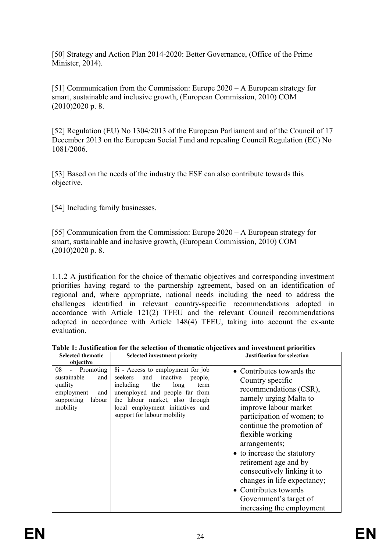[50] Strategy and Action Plan 2014-2020: Better Governance, (Office of the Prime Minister, 2014).

[51] Communication from the Commission: Europe 2020 – A European strategy for smart, sustainable and inclusive growth, (European Commission, 2010) COM (2010)2020 p. 8.

[52] Regulation (EU) No 1304/2013 of the European Parliament and of the Council of 17 December 2013 on the European Social Fund and repealing Council Regulation (EC) No 1081/2006.

[53] Based on the needs of the industry the ESF can also contribute towards this objective.

[54] Including family businesses.

[55] Communication from the Commission: Europe 2020 – A European strategy for smart, sustainable and inclusive growth, (European Commission, 2010) COM (2010)2020 p. 8.

1.1.2 A justification for the choice of thematic objectives and corresponding investment priorities having regard to the partnership agreement, based on an identification of regional and, where appropriate, national needs including the need to address the challenges identified in relevant country-specific recommendations adopted in accordance with Article 121(2) TFEU and the relevant Council recommendations adopted in accordance with Article 148(4) TFEU, taking into account the ex-ante evaluation.

| <b>Selected thematic</b><br>objective                                                                               | <b>Selected investment priority</b>                                                                                                                                                                                                                    | <b>Justification for selection</b>                                                                                                                                                                                                                                                                                                                                                                                               |
|---------------------------------------------------------------------------------------------------------------------|--------------------------------------------------------------------------------------------------------------------------------------------------------------------------------------------------------------------------------------------------------|----------------------------------------------------------------------------------------------------------------------------------------------------------------------------------------------------------------------------------------------------------------------------------------------------------------------------------------------------------------------------------------------------------------------------------|
| Promoting<br>08<br>$\sim$<br>sustainable<br>and<br>quality<br>employment<br>and<br>supporting<br>labour<br>mobility | 8i - Access to employment for job<br>inactive<br>seekers<br>and<br>people,<br>including<br>the<br>long<br>term<br>unemployed and people far from<br>the labour market, also through<br>local employment initiatives and<br>support for labour mobility | • Contributes towards the<br>Country specific<br>recommendations (CSR),<br>namely urging Malta to<br>improve labour market<br>participation of women; to<br>continue the promotion of<br>flexible working<br>arrangements;<br>• to increase the statutory<br>retirement age and by<br>consecutively linking it to<br>changes in life expectancy;<br>• Contributes towards<br>Government's target of<br>increasing the employment |

**Table 1: Justification for the selection of thematic objectives and investment priorities**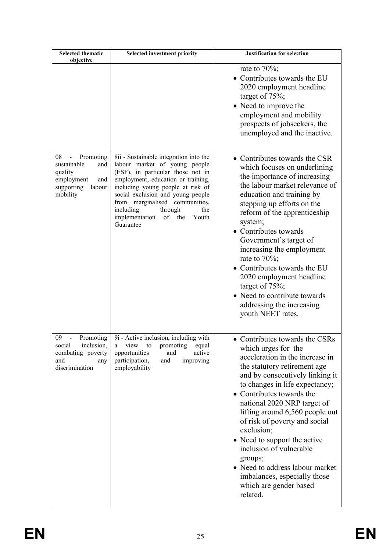| <b>Selected thematic</b><br>objective                                                                                                     | <b>Selected investment priority</b>                                                                                                                                                                                                                                                                                                                | <b>Justification for selection</b>                                                                                                                                                                                                                                                                                                                                                                                                                                                                                         |
|-------------------------------------------------------------------------------------------------------------------------------------------|----------------------------------------------------------------------------------------------------------------------------------------------------------------------------------------------------------------------------------------------------------------------------------------------------------------------------------------------------|----------------------------------------------------------------------------------------------------------------------------------------------------------------------------------------------------------------------------------------------------------------------------------------------------------------------------------------------------------------------------------------------------------------------------------------------------------------------------------------------------------------------------|
|                                                                                                                                           |                                                                                                                                                                                                                                                                                                                                                    | rate to $70\%$ ;<br>• Contributes towards the EU<br>2020 employment headline<br>target of $75\%$ ;<br>• Need to improve the<br>employment and mobility<br>prospects of jobseekers, the<br>unemployed and the inactive.                                                                                                                                                                                                                                                                                                     |
| 08<br>Promoting<br>$\qquad \qquad \blacksquare$<br>sustainable<br>and<br>quality<br>employment<br>and<br>supporting<br>labour<br>mobility | 8ii - Sustainable integration into the<br>labour market of young people<br>(ESF), in particular those not in<br>employment, education or training,<br>including young people at risk of<br>social exclusion and young people<br>from marginalised communities,<br>including<br>through<br>the<br>implementation<br>of<br>the<br>Youth<br>Guarantee | • Contributes towards the CSR<br>which focuses on underlining<br>the importance of increasing<br>the labour market relevance of<br>education and training by<br>stepping up efforts on the<br>reform of the apprenticeship<br>system;<br>• Contributes towards<br>Government's target of<br>increasing the employment<br>rate to $70\%$ ;<br>• Contributes towards the EU<br>2020 employment headline<br>target of $75\%$ ;<br>• Need to contribute towards<br>addressing the increasing<br>youth NEET rates.              |
| 09<br>Promoting<br>inclusion,<br>social<br>combating poverty<br>and<br>any<br>discrimination                                              | 9i - Active inclusion, including with<br>view<br>to<br>promoting<br>equal<br>a<br>active<br>opportunities<br>and<br>participation,<br>and<br>improving<br>employability                                                                                                                                                                            | • Contributes towards the CSRs<br>which urges for the<br>acceleration in the increase in<br>the statutory retirement age<br>and by consecutively linking it<br>to changes in life expectancy;<br>• Contributes towards the<br>national 2020 NRP target of<br>lifting around 6,560 people out<br>of risk of poverty and social<br>exclusion;<br>• Need to support the active<br>inclusion of vulnerable<br>groups;<br>• Need to address labour market<br>imbalances, especially those<br>which are gender based<br>related. |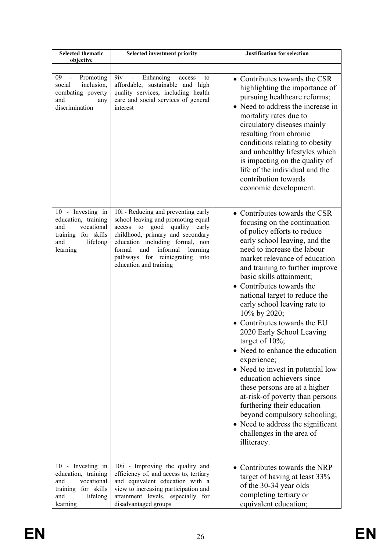| <b>Selected thematic</b><br>objective                                                                               | <b>Selected investment priority</b>                                                                                                                                                                                                                                                       | <b>Justification for selection</b>                                                                                                                                                                                                                                                                                                                                                                                                                                                                                                                                                                                                                                                                                                                                                                   |
|---------------------------------------------------------------------------------------------------------------------|-------------------------------------------------------------------------------------------------------------------------------------------------------------------------------------------------------------------------------------------------------------------------------------------|------------------------------------------------------------------------------------------------------------------------------------------------------------------------------------------------------------------------------------------------------------------------------------------------------------------------------------------------------------------------------------------------------------------------------------------------------------------------------------------------------------------------------------------------------------------------------------------------------------------------------------------------------------------------------------------------------------------------------------------------------------------------------------------------------|
| 09<br>Promoting<br>$\blacksquare$<br>social<br>inclusion,<br>combating poverty<br>and<br>any<br>discrimination      | 9 <sub>iv</sub><br>Enhancing<br>$\blacksquare$<br>access<br>to<br>affordable, sustainable and high<br>quality services, including health<br>care and social services of general<br>interest                                                                                               | • Contributes towards the CSR<br>highlighting the importance of<br>pursuing healthcare reforms;<br>• Need to address the increase in<br>mortality rates due to<br>circulatory diseases mainly<br>resulting from chronic<br>conditions relating to obesity<br>and unhealthy lifestyles which<br>is impacting on the quality of<br>life of the individual and the<br>contribution towards<br>economic development.                                                                                                                                                                                                                                                                                                                                                                                     |
| 10 - Investing in<br>education, training<br>and<br>vocational<br>training for skills<br>and<br>lifelong<br>learning | 10i - Reducing and preventing early<br>school leaving and promoting equal<br>access to good quality early<br>childhood, primary and secondary<br>education including formal, non<br>formal<br>and<br>informal<br>learning<br>pathways for reintegrating<br>into<br>education and training | • Contributes towards the CSR<br>focusing on the continuation<br>of policy efforts to reduce<br>early school leaving, and the<br>need to increase the labour<br>market relevance of education<br>and training to further improve<br>basic skills attainment;<br>• Contributes towards the<br>national target to reduce the<br>early school leaving rate to<br>10% by 2020;<br>• Contributes towards the EU<br>2020 Early School Leaving<br>target of $10\%$ ;<br>• Need to enhance the education<br>experience;<br>• Need to invest in potential low<br>education achievers since<br>these persons are at a higher<br>at-risk-of poverty than persons<br>furthering their education<br>beyond compulsory schooling;<br>• Need to address the significant<br>challenges in the area of<br>illiteracy. |
| 10 - Investing in<br>education, training<br>vocational<br>and<br>training for skills<br>and<br>lifelong<br>learning | 10ii - Improving the quality and<br>efficiency of, and access to, tertiary<br>and equivalent education with a<br>view to increasing participation and<br>attainment levels, especially for<br>disadvantaged groups                                                                        | • Contributes towards the NRP<br>target of having at least 33%<br>of the 30-34 year olds<br>completing tertiary or<br>equivalent education;                                                                                                                                                                                                                                                                                                                                                                                                                                                                                                                                                                                                                                                          |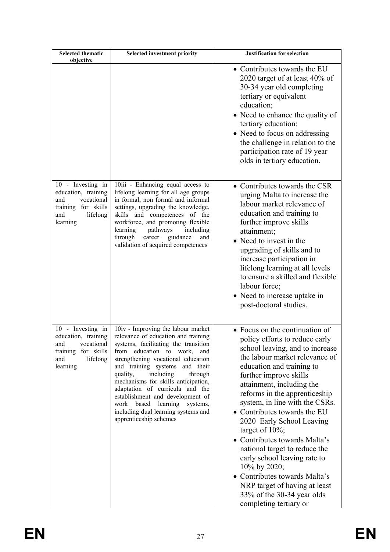| <b>Selected thematic</b><br>objective                                                                               | <b>Selected investment priority</b>                                                                                                                                                                                                                                                                                                                                                                                                                                                     | <b>Justification for selection</b>                                                                                                                                                                                                                                                                                                                                                                                                                                                                                                                                                                                          |
|---------------------------------------------------------------------------------------------------------------------|-----------------------------------------------------------------------------------------------------------------------------------------------------------------------------------------------------------------------------------------------------------------------------------------------------------------------------------------------------------------------------------------------------------------------------------------------------------------------------------------|-----------------------------------------------------------------------------------------------------------------------------------------------------------------------------------------------------------------------------------------------------------------------------------------------------------------------------------------------------------------------------------------------------------------------------------------------------------------------------------------------------------------------------------------------------------------------------------------------------------------------------|
|                                                                                                                     |                                                                                                                                                                                                                                                                                                                                                                                                                                                                                         | • Contributes towards the EU<br>2020 target of at least 40% of<br>30-34 year old completing<br>tertiary or equivalent<br>education;<br>• Need to enhance the quality of<br>tertiary education;<br>• Need to focus on addressing<br>the challenge in relation to the<br>participation rate of 19 year<br>olds in tertiary education.                                                                                                                                                                                                                                                                                         |
| 10 - Investing in<br>education, training<br>vocational<br>and<br>training for skills<br>lifelong<br>and<br>learning | 10iii - Enhancing equal access to<br>lifelong learning for all age groups<br>in formal, non formal and informal<br>settings, upgrading the knowledge,<br>skills and competences of the<br>workforce, and promoting flexible<br>learning<br>pathways<br>including<br>guidance<br>through<br>career<br>and<br>validation of acquired competences                                                                                                                                          | • Contributes towards the CSR<br>urging Malta to increase the<br>labour market relevance of<br>education and training to<br>further improve skills<br>attainment;<br>• Need to invest in the<br>upgrading of skills and to<br>increase participation in<br>lifelong learning at all levels<br>to ensure a skilled and flexible<br>labour force;<br>• Need to increase uptake in<br>post-doctoral studies.                                                                                                                                                                                                                   |
| 10 - Investing in<br>education, training<br>and<br>vocational<br>training for skills<br>and<br>lifelong<br>learning | 10iv - Improving the labour market<br>relevance of education and training<br>systems, facilitating the transition<br>education to work,<br>from<br>and<br>strengthening vocational education<br>and training systems and their<br>including<br>quality,<br>through<br>mechanisms for skills anticipation,<br>adaptation of curricula and the<br>establishment and development of<br>work based<br>learning<br>systems,<br>including dual learning systems and<br>apprenticeship schemes | • Focus on the continuation of<br>policy efforts to reduce early<br>school leaving, and to increase<br>the labour market relevance of<br>education and training to<br>further improve skills<br>attainment, including the<br>reforms in the apprenticeship<br>system, in line with the CSRs.<br>• Contributes towards the EU<br>2020 Early School Leaving<br>target of $10\%$ ;<br>• Contributes towards Malta's<br>national target to reduce the<br>early school leaving rate to<br>10% by 2020;<br>• Contributes towards Malta's<br>NRP target of having at least<br>33% of the 30-34 year olds<br>completing tertiary or |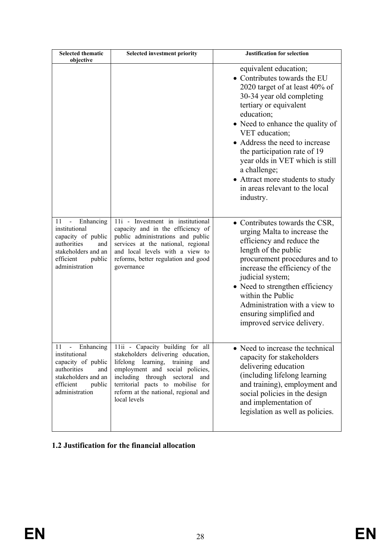| <b>Selected thematic</b><br>objective                                                                                                                         | <b>Selected investment priority</b>                                                                                                                                                                                                                                               | <b>Justification for selection</b>                                                                                                                                                                                                                                                                                                                                                                                         |
|---------------------------------------------------------------------------------------------------------------------------------------------------------------|-----------------------------------------------------------------------------------------------------------------------------------------------------------------------------------------------------------------------------------------------------------------------------------|----------------------------------------------------------------------------------------------------------------------------------------------------------------------------------------------------------------------------------------------------------------------------------------------------------------------------------------------------------------------------------------------------------------------------|
|                                                                                                                                                               |                                                                                                                                                                                                                                                                                   | equivalent education;<br>• Contributes towards the EU<br>2020 target of at least 40% of<br>30-34 year old completing<br>tertiary or equivalent<br>education;<br>• Need to enhance the quality of<br>VET education;<br>• Address the need to increase<br>the participation rate of 19<br>year olds in VET which is still<br>a challenge;<br>• Attract more students to study<br>in areas relevant to the local<br>industry. |
| Enhancing<br>11<br>$\frac{1}{2}$<br>institutional<br>capacity of public<br>authorities<br>and<br>stakeholders and an<br>efficient<br>public<br>administration | 11i - Investment in institutional<br>capacity and in the efficiency of<br>public administrations and public<br>services at the national, regional<br>and local levels with a view to<br>reforms, better regulation and good<br>governance                                         | • Contributes towards the CSR,<br>urging Malta to increase the<br>efficiency and reduce the<br>length of the public<br>procurement procedures and to<br>increase the efficiency of the<br>judicial system;<br>• Need to strengthen efficiency<br>within the Public<br>Administration with a view to<br>ensuring simplified and<br>improved service delivery.                                                               |
| 11 - Enhancing<br>institutional<br>capacity of public<br>authorities<br>and<br>stakeholders and an<br>efficient<br>public<br>administration                   | 11ii - Capacity building for all<br>stakeholders delivering education,<br>lifelong learning, training<br>and<br>employment and social policies,<br>including through sectoral<br>and<br>territorial pacts to mobilise for<br>reform at the national, regional and<br>local levels | • Need to increase the technical<br>capacity for stakeholders<br>delivering education<br>(including lifelong learning)<br>and training), employment and<br>social policies in the design<br>and implementation of<br>legislation as well as policies.                                                                                                                                                                      |

# <span id="page-27-0"></span>**1.2 Justification for the financial allocation**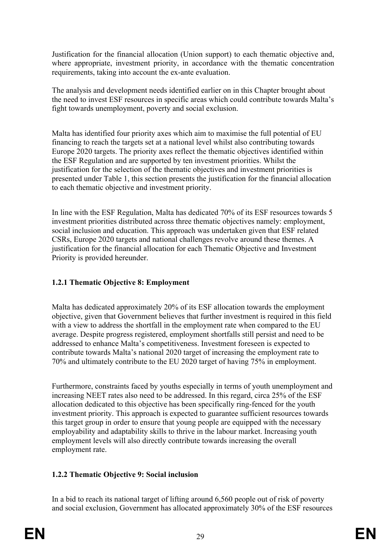Justification for the financial allocation (Union support) to each thematic objective and, where appropriate, investment priority, in accordance with the thematic concentration requirements, taking into account the ex-ante evaluation.

The analysis and development needs identified earlier on in this Chapter brought about the need to invest ESF resources in specific areas which could contribute towards Malta's fight towards unemployment, poverty and social exclusion.

Malta has identified four priority axes which aim to maximise the full potential of EU financing to reach the targets set at a national level whilst also contributing towards Europe 2020 targets. The priority axes reflect the thematic objectives identified within the ESF Regulation and are supported by ten investment priorities. Whilst the justification for the selection of the thematic objectives and investment priorities is presented under Table 1, this section presents the justification for the financial allocation to each thematic objective and investment priority.

In line with the ESF Regulation, Malta has dedicated 70% of its ESF resources towards 5 investment priorities distributed across three thematic objectives namely: employment, social inclusion and education. This approach was undertaken given that ESF related CSRs, Europe 2020 targets and national challenges revolve around these themes. A justification for the financial allocation for each Thematic Objective and Investment Priority is provided hereunder.

# **1.2.1 Thematic Objective 8: Employment**

Malta has dedicated approximately 20% of its ESF allocation towards the employment objective, given that Government believes that further investment is required in this field with a view to address the shortfall in the employment rate when compared to the EU average. Despite progress registered, employment shortfalls still persist and need to be addressed to enhance Malta's competitiveness. Investment foreseen is expected to contribute towards Malta's national 2020 target of increasing the employment rate to 70% and ultimately contribute to the EU 2020 target of having 75% in employment.

Furthermore, constraints faced by youths especially in terms of youth unemployment and increasing NEET rates also need to be addressed. In this regard, circa 25% of the ESF allocation dedicated to this objective has been specifically ring-fenced for the youth investment priority. This approach is expected to guarantee sufficient resources towards this target group in order to ensure that young people are equipped with the necessary employability and adaptability skills to thrive in the labour market. Increasing youth employment levels will also directly contribute towards increasing the overall employment rate.

### **1.2.2 Thematic Objective 9: Social inclusion**

In a bid to reach its national target of lifting around 6,560 people out of risk of poverty and social exclusion, Government has allocated approximately 30% of the ESF resources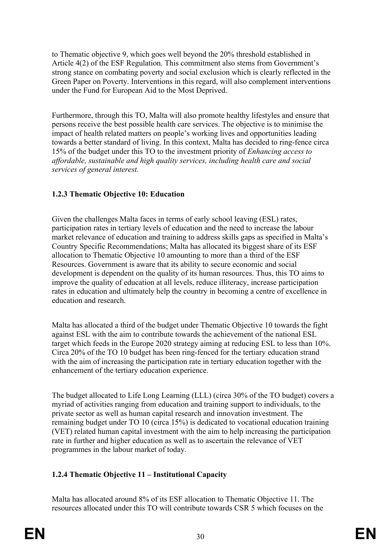to Thematic objective 9, which goes well beyond the 20% threshold established in Article 4(2) of the ESF Regulation. This commitment also stems from Government's strong stance on combating poverty and social exclusion which is clearly reflected in the Green Paper on Poverty. Interventions in this regard, will also complement interventions under the Fund for European Aid to the Most Deprived.

Furthermore, through this TO, Malta will also promote healthy lifestyles and ensure that persons receive the best possible health care services. The objective is to minimise the impact of health related matters on people's working lives and opportunities leading towards a better standard of living. In this context, Malta has decided to ring-fence circa 15% of the budget under this TO to the investment priority of *Enhancing access to affordable, sustainable and high quality services, including health care and social services of general interest.* 

# **1.2.3 Thematic Objective 10: Education**

Given the challenges Malta faces in terms of early school leaving (ESL) rates, participation rates in tertiary levels of education and the need to increase the labour market relevance of education and training to address skills gaps as specified in Malta's Country Specific Recommendations; Malta has allocated its biggest share of its ESF allocation to Thematic Objective 10 amounting to more than a third of the ESF Resources. Government is aware that its ability to secure economic and social development is dependent on the quality of its human resources. Thus, this TO aims to improve the quality of education at all levels, reduce illiteracy, increase participation rates in education and ultimately help the country in becoming a centre of excellence in education and research.

Malta has allocated a third of the budget under Thematic Objective 10 towards the fight against ESL with the aim to contribute towards the achievement of the national ESL target which feeds in the Europe 2020 strategy aiming at reducing ESL to less than 10%. Circa 20% of the TO 10 budget has been ring-fenced for the tertiary education strand with the aim of increasing the participation rate in tertiary education together with the enhancement of the tertiary education experience.

The budget allocated to Life Long Learning (LLL) (circa 30% of the TO budget) covers a myriad of activities ranging from education and training support to individuals, to the private sector as well as human capital research and innovation investment. The remaining budget under TO 10 (circa 15%) is dedicated to vocational education training (VET) related human capital investment with the aim to help increasing the participation rate in further and higher education as well as to ascertain the relevance of VET programmes in the labour market of today.

# **1.2.4 Thematic Objective 11 – Institutional Capacity**

Malta has allocated around 8% of its ESF allocation to Thematic Objective 11. The resources allocated under this TO will contribute towards CSR 5 which focuses on the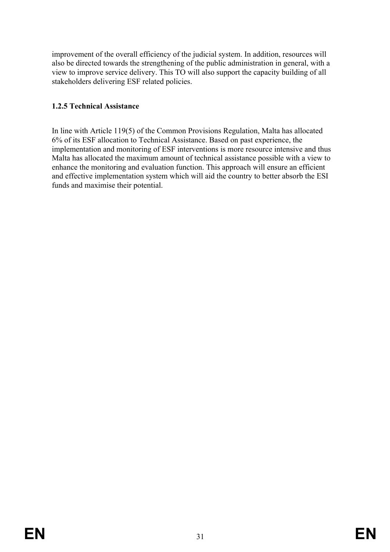improvement of the overall efficiency of the judicial system. In addition, resources will also be directed towards the strengthening of the public administration in general, with a view to improve service delivery. This TO will also support the capacity building of all stakeholders delivering ESF related policies.

### **1.2.5 Technical Assistance**

In line with Article 119(5) of the Common Provisions Regulation, Malta has allocated 6% of its ESF allocation to Technical Assistance. Based on past experience, the implementation and monitoring of ESF interventions is more resource intensive and thus Malta has allocated the maximum amount of technical assistance possible with a view to enhance the monitoring and evaluation function. This approach will ensure an efficient and effective implementation system which will aid the country to better absorb the ESI funds and maximise their potential.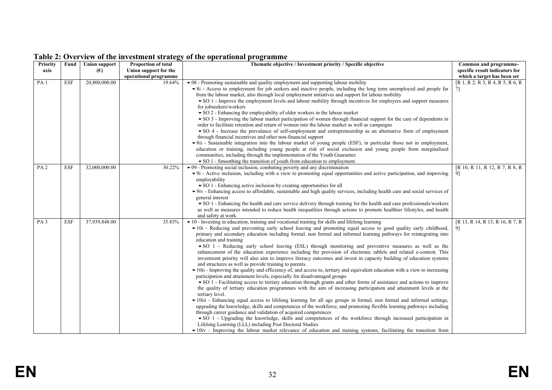| <b>Priority</b> | Fund       | <b>Union support</b> | Proportion of total   | Thematic objective / Investment priority / Specific objective                                                                                                                                                                        | Common and programme-             |
|-----------------|------------|----------------------|-----------------------|--------------------------------------------------------------------------------------------------------------------------------------------------------------------------------------------------------------------------------------|-----------------------------------|
| axis            |            | (E)                  | Union support for the |                                                                                                                                                                                                                                      | specific result indicators for    |
|                 |            |                      | operational programme |                                                                                                                                                                                                                                      | which a target has been set       |
| PA <sub>1</sub> | ESF        | 20,800,000.00        | 19.64%                | $\bullet$ 08 - Promoting sustainable and quality employment and supporting labour mobility                                                                                                                                           | [R 1, R 2, R 3, R 4, R 5, R 6, R] |
|                 |            |                      |                       | • 8i - Access to employment for job seekers and inactive people, including the long term unemployed and people far                                                                                                                   | 7                                 |
|                 |            |                      |                       | from the labour market, also through local employment initiatives and support for labour mobility                                                                                                                                    |                                   |
|                 |            |                      |                       | $\bullet$ SO 1 - Improve the employment levels and labour mobility through incentives for employers and support measures                                                                                                             |                                   |
|                 |            |                      |                       | for jobseekers/workers                                                                                                                                                                                                               |                                   |
|                 |            |                      |                       | $\bullet$ SO 2 - Enhancing the employability of older workers in the labour market                                                                                                                                                   |                                   |
|                 |            |                      |                       | • SO 3 - Improving the labour market participation of women through financial support for the care of dependents in                                                                                                                  |                                   |
|                 |            |                      |                       | order to facilitate retention and return of women into the labour market as well as campaigns                                                                                                                                        |                                   |
|                 |            |                      |                       | • SO 4 - Increase the prevalance of self-employment and entrepreneurship as an alternative form of employment                                                                                                                        |                                   |
|                 |            |                      |                       | through financial incentives and other non-financial support                                                                                                                                                                         |                                   |
|                 |            |                      |                       | • 8ii - Sustainable integration into the labour market of young people (ESF), in particular those not in employment,<br>education or training, including young people at risk of social exclusion and young people from marginalised |                                   |
|                 |            |                      |                       | communities, including through the implementation of the Youth Guarantee                                                                                                                                                             |                                   |
|                 |            |                      |                       | • SO 1 - Smoothing the transition of youth from education to employment.                                                                                                                                                             |                                   |
| PA <sub>2</sub> | <b>ESF</b> | 32,000,000.00        | 30.22%                | $\bullet$ 09 - Promoting social inclusion, combating poverty and any discrimination                                                                                                                                                  | [R 10, R 11, R 12, R 7, R 8, R    |
|                 |            |                      |                       | $\blacktriangleright$ 9i - Active inclusion, including with a view to promoting equal opportunities and active participation, and improving                                                                                          | 9]                                |
|                 |            |                      |                       | employability                                                                                                                                                                                                                        |                                   |
|                 |            |                      |                       | SO 1 - Enhancing active inclusion by creating opportunities for all                                                                                                                                                                  |                                   |
|                 |            |                      |                       | $\bullet$ 9iv - Enhancing access to affordable, sustainable and high quality services, including health care and social services of                                                                                                  |                                   |
|                 |            |                      |                       | general interest                                                                                                                                                                                                                     |                                   |
|                 |            |                      |                       | • SO 1 - Enhancing the health and care service delivery through training for the health and care professionals/workers                                                                                                               |                                   |
|                 |            |                      |                       | as well as measures intended to reduce health inequalities through actions to promote healthier lifestyles, and health                                                                                                               |                                   |
|                 |            |                      |                       | and safety at work.                                                                                                                                                                                                                  |                                   |
| PA <sub>3</sub> | ESF        | 37,939,848.00        | 35.83%                | $\bullet$ 10 - Investing in education, training and vocational training for skills and lifelong learning                                                                                                                             | [R 13, R 14, R 15, R 16, R 7, R   |
|                 |            |                      |                       | $\blacktriangleright$ 10i - Reducing and preventing early school leaving and promoting equal access to good quality early childhood,                                                                                                 | 9]                                |
|                 |            |                      |                       | primary and secondary education including formal, non formal and informal learning pathways for reintegrating into                                                                                                                   |                                   |
|                 |            |                      |                       | education and training                                                                                                                                                                                                               |                                   |
|                 |            |                      |                       | • SO 1 - Reducing early school leaving (ESL) through monitoring and preventive measures as well as the                                                                                                                               |                                   |
|                 |            |                      |                       | enhancement of the education experience including the provision of electronic tablets and related e-content. This                                                                                                                    |                                   |
|                 |            |                      |                       | investment priority will also aim to improve literacy outcomes and invest in capacity building of education systems<br>and structures as well as provide training to parents.                                                        |                                   |
|                 |            |                      |                       | $\bullet$ 10ii - Improving the quality and efficiency of, and access to, tertiary and equivalent education with a view to increasing                                                                                                 |                                   |
|                 |            |                      |                       | participation and attainment levels, especially for disadvantaged groups                                                                                                                                                             |                                   |
|                 |            |                      |                       | • SO 1 - Facilitating access to tertiary education through grants and other forms of assistance and actions to improve                                                                                                               |                                   |
|                 |            |                      |                       | the quality of tertiary education programmes with the aim of increasing participation and attainment levels at the                                                                                                                   |                                   |
|                 |            |                      |                       | tertiary level.                                                                                                                                                                                                                      |                                   |
|                 |            |                      |                       | • 10iii - Enhancing equal access to lifelong learning for all age groups in formal, non formal and informal settings,                                                                                                                |                                   |
|                 |            |                      |                       | upgrading the knowledge, skills and competences of the workforce, and promoting flexible learning pathways including                                                                                                                 |                                   |
|                 |            |                      |                       | through career guidance and validation of acquired competences                                                                                                                                                                       |                                   |
|                 |            |                      |                       | • SO 1 - Upgrading the knowledge, skills and competences of the workforce through increased participation in                                                                                                                         |                                   |
|                 |            |                      |                       | Lifelong Learning (LLL) including Post Doctoral Studies                                                                                                                                                                              |                                   |
|                 |            |                      |                       | $\blacktriangleright$ 10iv - Improving the labour market relevance of education and training systems, facilitating the transition from                                                                                               |                                   |

#### **Table 2: Overview of the investment strategy of the operational programme**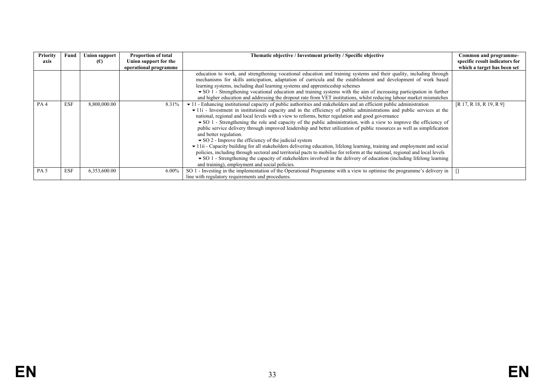| Priority<br>axis | Fund       | <b>Union support</b><br>(E) | <b>Proportion of total</b><br>Union support for the | Thematic objective / Investment priority / Specific objective                                                                               | Common and programme-<br>specific result indicators for |
|------------------|------------|-----------------------------|-----------------------------------------------------|---------------------------------------------------------------------------------------------------------------------------------------------|---------------------------------------------------------|
|                  |            |                             | operational programme                               | education to work, and strengthening vocational education and training systems and their quality, including through                         | which a target has been set                             |
|                  |            |                             |                                                     |                                                                                                                                             |                                                         |
|                  |            |                             |                                                     | mechanisms for skills anticipation, adaptation of curricula and the establishment and development of work based                             |                                                         |
|                  |            |                             |                                                     | learning systems, including dual learning systems and apprenticeship schemes                                                                |                                                         |
|                  |            |                             |                                                     | $\bullet$ SO 1 - Strengthening vocational education and training systems with the aim of increasing participation in further                |                                                         |
|                  |            |                             |                                                     | and higher education and addressing the dropout rate from VET institutions, whilst reducing labour market mismatches                        |                                                         |
| PA <sub>4</sub>  | <b>ESF</b> | 8,800,000.00                | 8.31%                                               | $\bullet$ 11 - Enhancing institutional capacity of public authorities and stakeholders and an efficient public administration               | [R 17, R 18, R 19, R 9]                                 |
|                  |            |                             |                                                     | $\blacktriangleright$ 11i - Investment in institutional capacity and in the efficiency of public administrations and public services at the |                                                         |
|                  |            |                             |                                                     | national, regional and local levels with a view to reforms, better regulation and good governance                                           |                                                         |
|                  |            |                             |                                                     | $\bullet$ SO 1 - Strengthening the role and capacity of the public administration, with a view to improve the efficiency of                 |                                                         |
|                  |            |                             |                                                     | public service delivery through improved leadership and better utilization of public resources as well as simplification                    |                                                         |
|                  |            |                             |                                                     | and better regulation.                                                                                                                      |                                                         |
|                  |            |                             |                                                     | $\bullet$ SO 2 - Improve the efficiency of the judicial system                                                                              |                                                         |
|                  |            |                             |                                                     | • 11ii - Capacity building for all stakeholders delivering education, lifelong learning, training and employment and social                 |                                                         |
|                  |            |                             |                                                     | policies, including through sectoral and territorial pacts to mobilise for reform at the national, regional and local levels                |                                                         |
|                  |            |                             |                                                     | $\bullet$ SO 1 - Strengthening the capacity of stakeholders involved in the delivery of education (including lifelong learning              |                                                         |
|                  |            |                             |                                                     | and training), employment and social policies.                                                                                              |                                                         |
| PA <sub>5</sub>  | <b>ESF</b> | 6,353,600.00                | $6.00\%$                                            | SO 1 - Investing in the implementation of the Operational Programme with a view to optimise the programme's delivery in                     |                                                         |
|                  |            |                             |                                                     | line with regulatory requirements and procedures.                                                                                           |                                                         |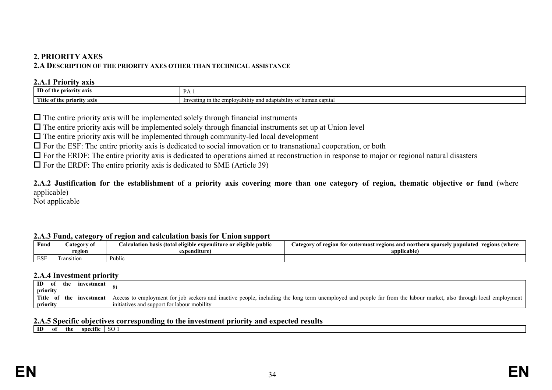### **2. PRIORITY AXES**

#### **2.A DESCRIPTION OF THE PRIORITY AXES OTHER THAN TECHNICAL ASSISTANCE**

#### **2.A.1 Priority axis**

| ID of th<br>riority axis        | D A<br>.                                                                                                                                 |
|---------------------------------|------------------------------------------------------------------------------------------------------------------------------------------|
| Title o.<br>f the priority axis | $\cdots$<br>$\alpha$ m<br>ı capıtal<br>-lnv<br>human<br>and adaptability<br><u>ግባጀ III ແ</u><br>$\alpha$<br>. vability<br><b>VIIIDIV</b> |

 $\Box$  The entire priority axis will be implemented solely through financial instruments

 $\Box$  The entire priority axis will be implemented solely through financial instruments set up at Union level

 $\Box$  The entire priority axis will be implemented through community-led local development

 $\Box$  For the ESF: The entire priority axis is dedicated to social innovation or to transnational cooperation, or both

 $\Box$  For the ERDF: The entire priority axis is dedicated to operations aimed at reconstruction in response to major or regional natural disasters

 $\Box$  For the ERDF: The entire priority axis is dedicated to SME (Article 39)

### **2.A.2 Justification for the establishment of a priority axis covering more than one category of region, thematic objective or fund** (where applicable)

<span id="page-33-0"></span>Not applicable

#### <span id="page-33-1"></span>**2.A.3 Fund, category of region and calculation basis for Union support**

<span id="page-33-2"></span>

|            | -           |                                                                                         |                                                                                                                   |
|------------|-------------|-----------------------------------------------------------------------------------------|-------------------------------------------------------------------------------------------------------------------|
| Fund       | `ategory of | $\cdots$<br>$\cdots$<br>' eligible public<br>ı basıs (total<br>eligi<br>e expenditure : | . outermost<br>regions<br>Where )<br>ategory<br>egions and northern sparsely<br>* region<br>▽ populated<br>/ OI ` |
|            | region      | expenditure                                                                             | upplicable                                                                                                        |
| <b>ESI</b> | sition      | $\mathbf{r}$<br>Public                                                                  |                                                                                                                   |

#### **2.A.4 Investment priority**

| ID<br>the<br>investment<br>0I<br>priority             |                                                                                                                                                                                                                  |
|-------------------------------------------------------|------------------------------------------------------------------------------------------------------------------------------------------------------------------------------------------------------------------|
| <b>Title</b><br>- of<br>the<br>investment<br>priority | Access to employment for job seekers and inactive people, including the long term unemployed and people far from the labour market, also through local employment<br>initiatives and support for labour mobility |

#### **2.A.5 Specific objectives corresponding to the investment priority and expected results**

<span id="page-33-6"></span><span id="page-33-5"></span><span id="page-33-4"></span><span id="page-33-3"></span>**ID** of the specific SO 1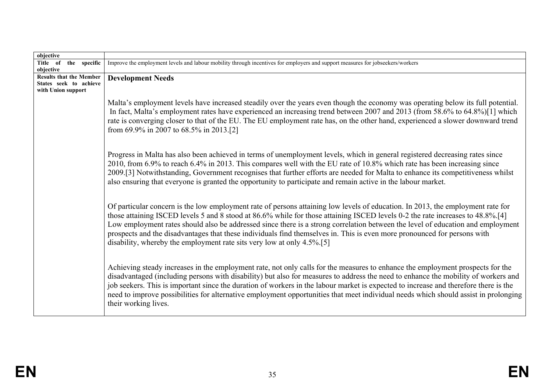| objective                                                                      |                                                                                                                                                                                                                                                                                                                                                                                                                                                                                                                                                                                                            |
|--------------------------------------------------------------------------------|------------------------------------------------------------------------------------------------------------------------------------------------------------------------------------------------------------------------------------------------------------------------------------------------------------------------------------------------------------------------------------------------------------------------------------------------------------------------------------------------------------------------------------------------------------------------------------------------------------|
| Title of the specific                                                          | Improve the employment levels and labour mobility through incentives for employers and support measures for jobseekers/workers                                                                                                                                                                                                                                                                                                                                                                                                                                                                             |
| objective                                                                      |                                                                                                                                                                                                                                                                                                                                                                                                                                                                                                                                                                                                            |
| <b>Results that the Member</b><br>States seek to achieve<br>with Union support | <b>Development Needs</b>                                                                                                                                                                                                                                                                                                                                                                                                                                                                                                                                                                                   |
|                                                                                | Malta's employment levels have increased steadily over the years even though the economy was operating below its full potential.<br>In fact, Malta's employment rates have experienced an increasing trend between 2007 and 2013 (from 58.6% to 64.8%)[1] which<br>rate is converging closer to that of the EU. The EU employment rate has, on the other hand, experienced a slower downward trend<br>from 69.9% in 2007 to 68.5% in 2013.[2]                                                                                                                                                              |
|                                                                                | Progress in Malta has also been achieved in terms of unemployment levels, which in general registered decreasing rates since<br>2010, from 6.9% to reach 6.4% in 2013. This compares well with the EU rate of 10.8% which rate has been increasing since<br>2009.[3] Notwithstanding, Government recognises that further efforts are needed for Malta to enhance its competitiveness whilst<br>also ensuring that everyone is granted the opportunity to participate and remain active in the labour market.                                                                                               |
|                                                                                | Of particular concern is the low employment rate of persons attaining low levels of education. In 2013, the employment rate for<br>those attaining ISCED levels 5 and 8 stood at 86.6% while for those attaining ISCED levels 0-2 the rate increases to 48.8%.[4]<br>Low employment rates should also be addressed since there is a strong correlation between the level of education and employment<br>prospects and the disadvantages that these individuals find themselves in. This is even more pronounced for persons with<br>disability, whereby the employment rate sits very low at only 4.5%.[5] |
|                                                                                | Achieving steady increases in the employment rate, not only calls for the measures to enhance the employment prospects for the<br>disadvantaged (including persons with disability) but also for measures to address the need to enhance the mobility of workers and<br>job seekers. This is important since the duration of workers in the labour market is expected to increase and therefore there is the<br>need to improve possibilities for alternative employment opportunities that meet individual needs which should assist in prolonging<br>their working lives.                                |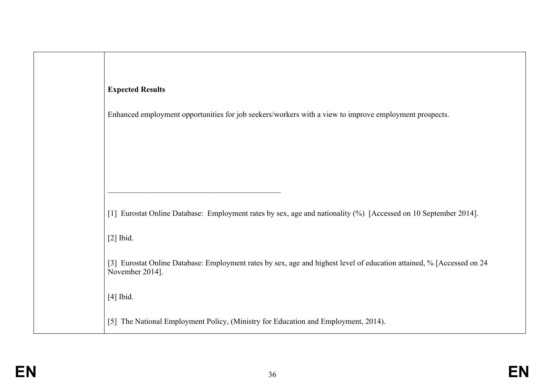| <b>Expected Results</b> |
|-------------------------|
|-------------------------|

 $\mathcal{L}_\text{max}$  and  $\mathcal{L}_\text{max}$  and  $\mathcal{L}_\text{max}$  and  $\mathcal{L}_\text{max}$  and  $\mathcal{L}_\text{max}$ 

Enhanced employment opportunities for job seekers/workers with a view to improve employment prospects.

[1] Eurostat Online Database: Employment rates by sex, age and nationality (%) [Accessed on 10 September 2014].

[2] Ibid.

[3] Eurostat Online Database: Employment rates by sex, age and highest level of education attained, % [Accessed on 24 November 2014].

[4] Ibid.

[5] The National Employment Policy, (Ministry for Education and Employment, 2014).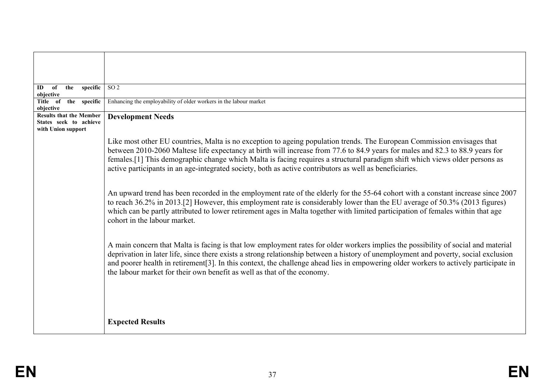| specific  <br>the<br>of<br>ID<br>objective                                     | SO <sub>2</sub>                                                                                                                                                                                                                                                                                                                                                                                                                                                                                    |
|--------------------------------------------------------------------------------|----------------------------------------------------------------------------------------------------------------------------------------------------------------------------------------------------------------------------------------------------------------------------------------------------------------------------------------------------------------------------------------------------------------------------------------------------------------------------------------------------|
| Title of<br>the specific<br>objective                                          | Enhancing the employability of older workers in the labour market                                                                                                                                                                                                                                                                                                                                                                                                                                  |
| <b>Results that the Member</b><br>States seek to achieve<br>with Union support | <b>Development Needs</b>                                                                                                                                                                                                                                                                                                                                                                                                                                                                           |
|                                                                                | Like most other EU countries, Malta is no exception to ageing population trends. The European Commission envisages that<br>between 2010-2060 Maltese life expectancy at birth will increase from 77.6 to 84.9 years for males and 82.3 to 88.9 years for<br>females.[1] This demographic change which Malta is facing requires a structural paradigm shift which views older persons as<br>active participants in an age-integrated society, both as active contributors as well as beneficiaries. |
|                                                                                | An upward trend has been recorded in the employment rate of the elderly for the 55-64 cohort with a constant increase since 2007<br>to reach 36.2% in 2013.[2] However, this employment rate is considerably lower than the EU average of 50.3% (2013 figures)<br>which can be partly attributed to lower retirement ages in Malta together with limited participation of females within that age<br>cohort in the labour market.                                                                  |
|                                                                                | A main concern that Malta is facing is that low employment rates for older workers implies the possibility of social and material<br>deprivation in later life, since there exists a strong relationship between a history of unemployment and poverty, social exclusion<br>and poorer health in retirement[3]. In this context, the challenge ahead lies in empowering older workers to actively participate in<br>the labour market for their own benefit as well as that of the economy.        |
|                                                                                | <b>Expected Results</b>                                                                                                                                                                                                                                                                                                                                                                                                                                                                            |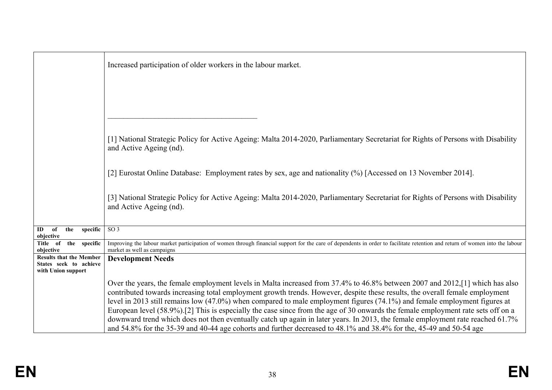|                                                                                | Increased participation of older workers in the labour market.                                                                                                                                                                                            |
|--------------------------------------------------------------------------------|-----------------------------------------------------------------------------------------------------------------------------------------------------------------------------------------------------------------------------------------------------------|
|                                                                                |                                                                                                                                                                                                                                                           |
|                                                                                |                                                                                                                                                                                                                                                           |
|                                                                                | [1] National Strategic Policy for Active Ageing: Malta 2014-2020, Parliamentary Secretariat for Rights of Persons with Disability                                                                                                                         |
|                                                                                | and Active Ageing (nd).                                                                                                                                                                                                                                   |
|                                                                                | [2] Eurostat Online Database: Employment rates by sex, age and nationality (%) [Accessed on 13 November 2014].                                                                                                                                            |
|                                                                                | [3] National Strategic Policy for Active Ageing: Malta 2014-2020, Parliamentary Secretariat for Rights of Persons with Disability<br>and Active Ageing (nd).                                                                                              |
| specific<br>ID<br>of<br>the<br>objective                                       | SO <sub>3</sub>                                                                                                                                                                                                                                           |
| the specific<br>Title of<br>objective                                          | Improving the labour market participation of women through financial support for the care of dependents in order to facilitate retention and return of women into the labour<br>market as well as campaigns                                               |
| <b>Results that the Member</b><br>States seek to achieve<br>with Union support | <b>Development Needs</b>                                                                                                                                                                                                                                  |
|                                                                                | Over the years, the female employment levels in Malta increased from 37.4% to 46.8% between 2007 and 2012,[1] which has also                                                                                                                              |
|                                                                                | contributed towards increasing total employment growth trends. However, despite these results, the overall female employment<br>level in 2013 still remains low (47.0%) when compared to male employment figures (74.1%) and female employment figures at |
|                                                                                | European level (58.9%).[2] This is especially the case since from the age of 30 onwards the female employment rate sets off on a                                                                                                                          |
|                                                                                | downward trend which does not then eventually catch up again in later years. In 2013, the female employment rate reached 61.7%                                                                                                                            |
|                                                                                | and 54.8% for the 35-39 and 40-44 age cohorts and further decreased to 48.1% and 38.4% for the, 45-49 and 50-54 age                                                                                                                                       |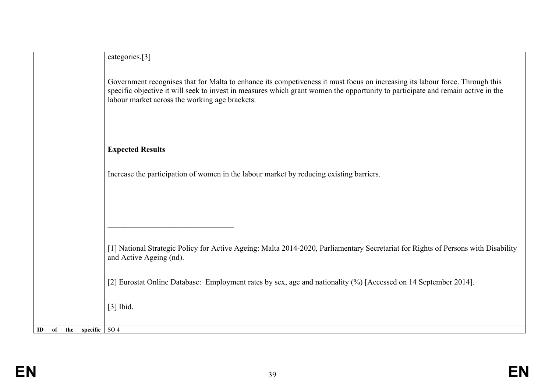|                                    | categories.[3]                                                                                                                                                                                                                                                                                                    |
|------------------------------------|-------------------------------------------------------------------------------------------------------------------------------------------------------------------------------------------------------------------------------------------------------------------------------------------------------------------|
|                                    | Government recognises that for Malta to enhance its competiveness it must focus on increasing its labour force. Through this<br>specific objective it will seek to invest in measures which grant women the opportunity to participate and remain active in the<br>labour market across the working age brackets. |
|                                    | <b>Expected Results</b>                                                                                                                                                                                                                                                                                           |
|                                    | Increase the participation of women in the labour market by reducing existing barriers.                                                                                                                                                                                                                           |
|                                    |                                                                                                                                                                                                                                                                                                                   |
|                                    | [1] National Strategic Policy for Active Ageing: Malta 2014-2020, Parliamentary Secretariat for Rights of Persons with Disability<br>and Active Ageing (nd).                                                                                                                                                      |
|                                    | [2] Eurostat Online Database: Employment rates by sex, age and nationality (%) [Accessed on 14 September 2014].                                                                                                                                                                                                   |
|                                    | $[3]$ Ibid.                                                                                                                                                                                                                                                                                                       |
| specific $\sqrt{SO4}$<br>ID of the |                                                                                                                                                                                                                                                                                                                   |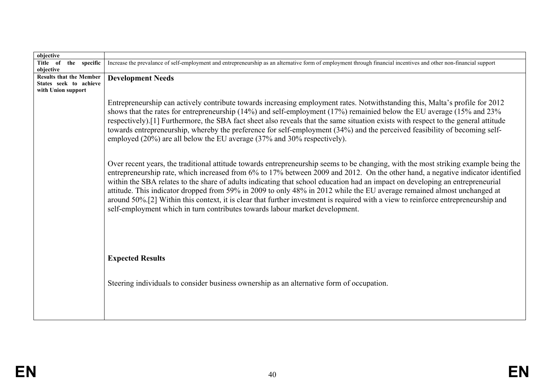| objective                                                |                                                                                                                                                                                                                                                                                                                                                                                                                                                                                                                                                                                                                                                                                                                                                         |
|----------------------------------------------------------|---------------------------------------------------------------------------------------------------------------------------------------------------------------------------------------------------------------------------------------------------------------------------------------------------------------------------------------------------------------------------------------------------------------------------------------------------------------------------------------------------------------------------------------------------------------------------------------------------------------------------------------------------------------------------------------------------------------------------------------------------------|
| Title of the specific<br>objective                       | Increase the prevalance of self-employment and entrepreneurship as an alternative form of employment through financial incentives and other non-financial support                                                                                                                                                                                                                                                                                                                                                                                                                                                                                                                                                                                       |
| <b>Results that the Member</b><br>States seek to achieve | <b>Development Needs</b>                                                                                                                                                                                                                                                                                                                                                                                                                                                                                                                                                                                                                                                                                                                                |
| with Union support                                       |                                                                                                                                                                                                                                                                                                                                                                                                                                                                                                                                                                                                                                                                                                                                                         |
|                                                          | Entrepreneurship can actively contribute towards increasing employment rates. Notwithstanding this, Malta's profile for 2012<br>shows that the rates for entrepreneurship (14%) and self-employment (17%) remainied below the EU average (15% and 23%<br>respectively).[1] Furthermore, the SBA fact sheet also reveals that the same situation exists with respect to the general attitude<br>towards entrepreneurship, whereby the preference for self-employment (34%) and the perceived feasibility of becoming self-<br>employed (20%) are all below the EU average (37% and 30% respectively).                                                                                                                                                    |
|                                                          | Over recent years, the traditional attitude towards entrepreneurship seems to be changing, with the most striking example being the<br>entrepreneurship rate, which increased from 6% to 17% between 2009 and 2012. On the other hand, a negative indicator identified<br>within the SBA relates to the share of adults indicating that school education had an impact on developing an entrepreneurial<br>attitude. This indicator dropped from 59% in 2009 to only 48% in 2012 while the EU average remained almost unchanged at<br>around 50%.[2] Within this context, it is clear that further investment is required with a view to reinforce entrepreneurship and<br>self-employment which in turn contributes towards labour market development. |
|                                                          | <b>Expected Results</b><br>Steering individuals to consider business ownership as an alternative form of occupation.                                                                                                                                                                                                                                                                                                                                                                                                                                                                                                                                                                                                                                    |
|                                                          |                                                                                                                                                                                                                                                                                                                                                                                                                                                                                                                                                                                                                                                                                                                                                         |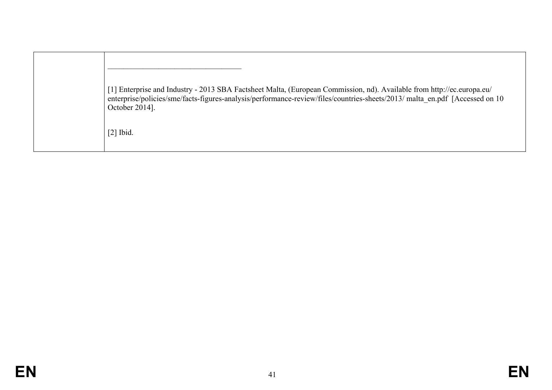| [1] Enterprise and Industry - 2013 SBA Factsheet Malta, (European Commission, nd). Available from http://ec.europa.eu/<br>enterprise/policies/sme/facts-figures-analysis/performance-review/files/countries-sheets/2013/ malta en.pdf [Accessed on 10<br>October 2014]. |
|-------------------------------------------------------------------------------------------------------------------------------------------------------------------------------------------------------------------------------------------------------------------------|
| $[2]$ Ibid.                                                                                                                                                                                                                                                             |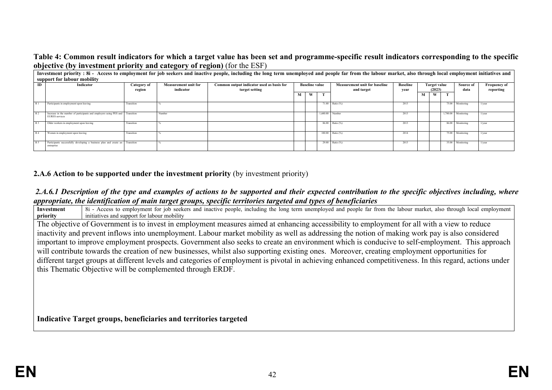## **Table 4: Common result indicators for which a target value has been set and programme-specific result indicators corresponding to the specific objective (by investment priority and category of region)** (for the ESF)

|                | Investment priority: 8i - Access to employment for job seekers and inactive people, including the long term unemployed and people far from the labour market, also through local employment initiatives and |                       |                                          |                                                             |                       |   |  |                   |                                                    |   |                                                   |  |                     |                                  |
|----------------|-------------------------------------------------------------------------------------------------------------------------------------------------------------------------------------------------------------|-----------------------|------------------------------------------|-------------------------------------------------------------|-----------------------|---|--|-------------------|----------------------------------------------------|---|---------------------------------------------------|--|---------------------|----------------------------------|
|                | support for labour mobility                                                                                                                                                                                 |                       |                                          |                                                             |                       |   |  |                   |                                                    |   |                                                   |  |                     |                                  |
| ID.            | Indicator                                                                                                                                                                                                   | Category of<br>region | <b>Measurement unit for</b><br>indicator | Common output indicator used as basis for<br>target setting | <b>Baseline value</b> |   |  |                   | <b>Measurement unit for baseline</b><br>and target |   | <b>Baseline</b><br>Target value<br>(2023)<br>year |  | Source of<br>data   | <b>Frequency of</b><br>reporting |
|                |                                                                                                                                                                                                             |                       |                                          |                                                             | M                     | W |  |                   |                                                    | М | W                                                 |  |                     |                                  |
| R <sub>1</sub> | Participants in employment upon leaving                                                                                                                                                                     | Transition            |                                          |                                                             |                       |   |  | 71.00 Ratio (%)   | 2013                                               |   |                                                   |  | 75.00 Monitoring    | $1$ /year                        |
| R <sub>2</sub> | Increase in the number of participants and employers using PES and Transition<br><b>EURES</b> services                                                                                                      |                       | Number                                   |                                                             |                       |   |  | $1.600.00$ Number | 2013                                               |   |                                                   |  | 1.700.00 Monitoring | 1/year                           |
| R <sub>3</sub> | Older workers in employment upon leaving                                                                                                                                                                    | Transition            |                                          |                                                             |                       |   |  | 86.00 Ratio (%)   | 2013                                               |   |                                                   |  | 86.00 Monitoring    | $1$ /year                        |
| R <sub>4</sub> | Women in employment upon leaving                                                                                                                                                                            | Transition            |                                          |                                                             |                       |   |  | 100.00 Ratio (%)  | 2014                                               |   |                                                   |  | 75.00 Monitoring    | $1$ /vear                        |
| R 5            | Participants successfully developing a business plan and create an Transition<br>enterprise                                                                                                                 |                       |                                          |                                                             |                       |   |  | 29.00 Ratio (%)   | 2013                                               |   |                                                   |  | 35.00 Monitoring    | 1/year                           |

## **2.A.6 Action to be supported under the investment priority** (by investment priority)

## *2.A.6.1 Description of the type and examples of actions to be supported and their expected contribution to the specific objectives including, where appropriate, the identification of main target groups, specific territories targeted and types of beneficiaries*

**Investment priority** 8. Access to employment for job seekers and inactive people, including the long term unemployed and people far from the labour market, also through local employment initiatives and support for labour mobility The objective of Government is to invest in employment measures aimed at enhancing accessibility to employment for all with a view to reduce inactivity and prevent inflows into unemployment. Labour market mobility as well as addressing the notion of making work pay is also considered important to improve employment prospects. Government also seeks to create an environment which is conducive to self-employment. This approach will contribute towards the creation of new businesses, whilst also supporting existing ones. Moreover, creating employment opportunities for different target groups at different levels and categories of employment is pivotal in achieving enhanced competitiveness. In this regard, actions under this Thematic Objective will be complemented through ERDF.

**Indicative Target groups, beneficiaries and territories targeted**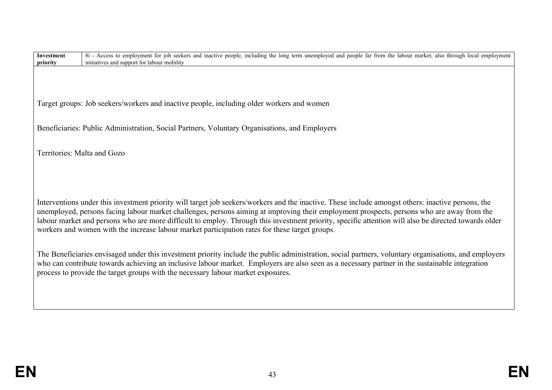| <b>Investment</b><br>priority | 8i - Access to employment for job seekers and inactive people, including the long term unemployed and people far from the labour market, also through local employment<br>initiatives and support for labour mobility                                                                              |
|-------------------------------|----------------------------------------------------------------------------------------------------------------------------------------------------------------------------------------------------------------------------------------------------------------------------------------------------|
|                               |                                                                                                                                                                                                                                                                                                    |
|                               |                                                                                                                                                                                                                                                                                                    |
|                               |                                                                                                                                                                                                                                                                                                    |
|                               | Target groups: Job seekers/workers and inactive people, including older workers and women                                                                                                                                                                                                          |
|                               |                                                                                                                                                                                                                                                                                                    |
|                               | Beneficiaries: Public Administration, Social Partners, Voluntary Organisations, and Employers                                                                                                                                                                                                      |
|                               |                                                                                                                                                                                                                                                                                                    |
| Territories: Malta and Gozo   |                                                                                                                                                                                                                                                                                                    |
|                               |                                                                                                                                                                                                                                                                                                    |
|                               |                                                                                                                                                                                                                                                                                                    |
|                               |                                                                                                                                                                                                                                                                                                    |
|                               |                                                                                                                                                                                                                                                                                                    |
|                               | Interventions under this investment priority will target job seekers/workers and the inactive. These include amongst others: inactive persons, the                                                                                                                                                 |
|                               | unemployed, persons facing labour market challenges, persons aiming at improving their employment prospects, persons who are away from the<br>labour market and persons who are more difficult to employ. Through this investment priority, specific attention will also be directed towards older |
|                               | workers and women with the increase labour market participation rates for these target groups.                                                                                                                                                                                                     |
|                               |                                                                                                                                                                                                                                                                                                    |
|                               | The Beneficiaries envisaged under this investment priority include the public administration, social partners, voluntary organisations, and employers                                                                                                                                              |
|                               | who can contribute towards achieving an inclusive labour market. Employers are also seen as a necessary partner in the sustainable integration                                                                                                                                                     |
|                               | process to provide the target groups with the necessary labour market exposures.                                                                                                                                                                                                                   |
|                               |                                                                                                                                                                                                                                                                                                    |
|                               |                                                                                                                                                                                                                                                                                                    |
|                               |                                                                                                                                                                                                                                                                                                    |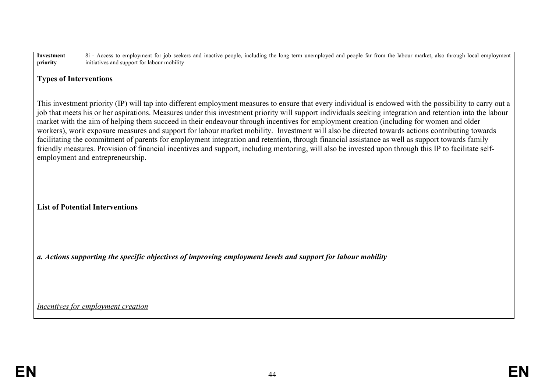| <b>Investment</b>                  | 8i - Access to employment for job seekers and inactive people, including the long term unemployed and people far from the labour market, also through local employment                                                                                                                                                                                                                                                                                                                                                                                                                                                                                                                                                                                                                                                                                                                                                                                              |  |
|------------------------------------|---------------------------------------------------------------------------------------------------------------------------------------------------------------------------------------------------------------------------------------------------------------------------------------------------------------------------------------------------------------------------------------------------------------------------------------------------------------------------------------------------------------------------------------------------------------------------------------------------------------------------------------------------------------------------------------------------------------------------------------------------------------------------------------------------------------------------------------------------------------------------------------------------------------------------------------------------------------------|--|
| priority                           | initiatives and support for labour mobility                                                                                                                                                                                                                                                                                                                                                                                                                                                                                                                                                                                                                                                                                                                                                                                                                                                                                                                         |  |
| <b>Types of Interventions</b>      |                                                                                                                                                                                                                                                                                                                                                                                                                                                                                                                                                                                                                                                                                                                                                                                                                                                                                                                                                                     |  |
|                                    | This investment priority (IP) will tap into different employment measures to ensure that every individual is endowed with the possibility to carry out a<br>job that meets his or her aspirations. Measures under this investment priority will support individuals seeking integration and retention into the labour<br>market with the aim of helping them succeed in their endeavour through incentives for employment creation (including for women and older<br>workers), work exposure measures and support for labour market mobility. Investment will also be directed towards actions contributing towards<br>facilitating the commitment of parents for employment integration and retention, through financial assistance as well as support towards family<br>friendly measures. Provision of financial incentives and support, including mentoring, will also be invested upon through this IP to facilitate self-<br>employment and entrepreneurship. |  |
|                                    | <b>List of Potential Interventions</b>                                                                                                                                                                                                                                                                                                                                                                                                                                                                                                                                                                                                                                                                                                                                                                                                                                                                                                                              |  |
|                                    | a. Actions supporting the specific objectives of improving employment levels and support for labour mobility                                                                                                                                                                                                                                                                                                                                                                                                                                                                                                                                                                                                                                                                                                                                                                                                                                                        |  |
| Incentives for employment creation |                                                                                                                                                                                                                                                                                                                                                                                                                                                                                                                                                                                                                                                                                                                                                                                                                                                                                                                                                                     |  |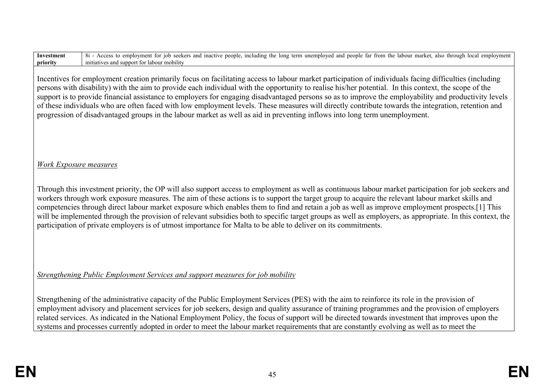| Incentives for employment creation primarily focus on facilitating access to labour market participation of individuals facing difficulties (including<br>persons with disability) with the aim to provide each individual with the opportunity to realise his/her potential. In this context, the scope of the<br>support is to provide financial assistance to employers for engaging disadvantaged persons so as to improve the employability and productivity levels<br>of these individuals who are often faced with low employment levels. These measures will directly contribute towards the integration, retention and<br>progression of disadvantaged groups in the labour market as well as aid in preventing inflows into long term unemployment. |
|---------------------------------------------------------------------------------------------------------------------------------------------------------------------------------------------------------------------------------------------------------------------------------------------------------------------------------------------------------------------------------------------------------------------------------------------------------------------------------------------------------------------------------------------------------------------------------------------------------------------------------------------------------------------------------------------------------------------------------------------------------------|
| <b>Work Exposure measures</b>                                                                                                                                                                                                                                                                                                                                                                                                                                                                                                                                                                                                                                                                                                                                 |
| Through this investment priority, the OP will also support access to employment as well as continuous labour market participation for job seekers and<br>workers through work exposure measures. The aim of these actions is to support the target group to acquire the relevant labour market skills and<br>competencies through direct labour market exposure which enables them to find and retain a job as well as improve employment prospects.[1] This<br>will be implemented through the provision of relevant subsidies both to specific target groups as well as employers, as appropriate. In this context, the<br>participation of private employers is of utmost importance for Malta to be able to deliver on its commitments.                   |
| Strengthening Public Employment Services and support measures for job mobility                                                                                                                                                                                                                                                                                                                                                                                                                                                                                                                                                                                                                                                                                |
| Strengthening of the administrative capacity of the Public Employment Services (PES) with the aim to reinforce its role in the provision of<br>employment advisory and placement services for job seekers, design and quality assurance of training programmes and the provision of employers<br>related services. As indicated in the National Employment Policy, the focus of support will be directed towards investment that improves upon the<br>systems and processes currently adopted in order to meet the labour market requirements that are constantly evolving as well as to meet the                                                                                                                                                             |
|                                                                                                                                                                                                                                                                                                                                                                                                                                                                                                                                                                                                                                                                                                                                                               |

8i - Access to employment for job seekers and inactive people, including the long term unemployed and people far from the labour market, also through local employment

**Investment priority**

initiatives and support for labour mobility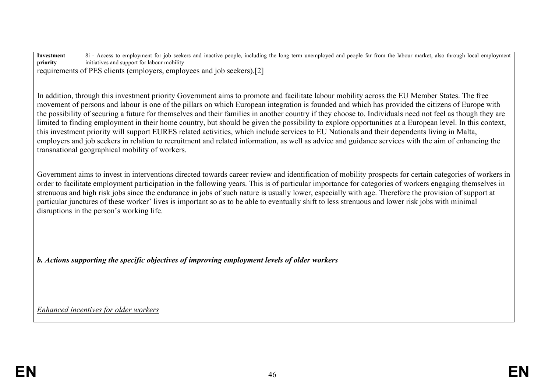| Investment | local<br>employment<br>i inactive people.<br><u>t</u> the long term unemployed and people far from the<br>including the<br>labour market,<br>also through<br>seekers and<br>employment<br>Accr<br>10 <sub>b</sub><br>tor |
|------------|--------------------------------------------------------------------------------------------------------------------------------------------------------------------------------------------------------------------------|
| priority   | initiatives and support<br>labour mobility                                                                                                                                                                               |
|            |                                                                                                                                                                                                                          |

requirements of PES clients (employers, employees and job seekers).[2]

In addition, through this investment priority Government aims to promote and facilitate labour mobility across the EU Member States. The free movement of persons and labour is one of the pillars on which European integration is founded and which has provided the citizens of Europe with the possibility of securing a future for themselves and their families in another country if they choose to. Individuals need not feel as though they are limited to finding employment in their home country, but should be given the possibility to explore opportunities at a European level. In this context, this investment priority will support EURES related activities, which include services to EU Nationals and their dependents living in Malta, employers and job seekers in relation to recruitment and related information, as well as advice and guidance services with the aim of enhancing the transnational geographical mobility of workers.

Government aims to invest in interventions directed towards career review and identification of mobility prospects for certain categories of workers in order to facilitate employment participation in the following years. This is of particular importance for categories of workers engaging themselves in strenuous and high risk jobs since the endurance in jobs of such nature is usually lower, especially with age. Therefore the provision of support at particular junctures of these worker' lives is important so as to be able to eventually shift to less strenuous and lower risk jobs with minimal disruptions in the person's working life.

*b. Actions supporting the specific objectives of improving employment levels of older workers*

*Enhanced incentives for older workers*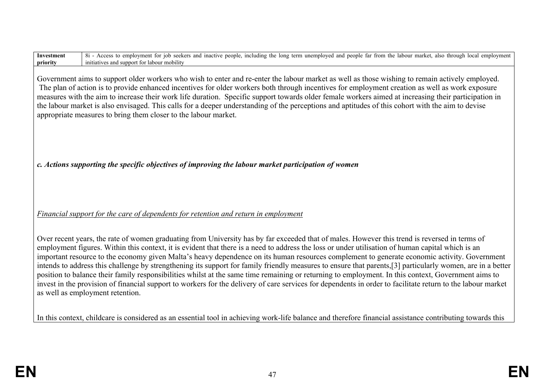| Investment<br>priority | 8i - Access to employment for job seekers and inactive people, including the long term unemployed and people far from the labour market, also through local employment<br>initiatives and support for labour mobility                                                                                                                                                                                                                                                                                                                                                                                                                                                                                                                                                                                                                                                                                                                                                      |
|------------------------|----------------------------------------------------------------------------------------------------------------------------------------------------------------------------------------------------------------------------------------------------------------------------------------------------------------------------------------------------------------------------------------------------------------------------------------------------------------------------------------------------------------------------------------------------------------------------------------------------------------------------------------------------------------------------------------------------------------------------------------------------------------------------------------------------------------------------------------------------------------------------------------------------------------------------------------------------------------------------|
|                        | Government aims to support older workers who wish to enter and re-enter the labour market as well as those wishing to remain actively employed.<br>The plan of action is to provide enhanced incentives for older workers both through incentives for employment creation as well as work exposure<br>measures with the aim to increase their work life duration. Specific support towards older female workers aimed at increasing their participation in<br>the labour market is also envisaged. This calls for a deeper understanding of the perceptions and aptitudes of this cohort with the aim to devise<br>appropriate measures to bring them closer to the labour market.                                                                                                                                                                                                                                                                                         |
|                        | c. Actions supporting the specific objectives of improving the labour market participation of women                                                                                                                                                                                                                                                                                                                                                                                                                                                                                                                                                                                                                                                                                                                                                                                                                                                                        |
|                        | Financial support for the care of dependents for retention and return in employment                                                                                                                                                                                                                                                                                                                                                                                                                                                                                                                                                                                                                                                                                                                                                                                                                                                                                        |
|                        | Over recent years, the rate of women graduating from University has by far exceeded that of males. However this trend is reversed in terms of<br>employment figures. Within this context, it is evident that there is a need to address the loss or under utilisation of human capital which is an<br>important resource to the economy given Malta's heavy dependence on its human resources complement to generate economic activity. Government<br>intends to address this challenge by strengthening its support for family friendly measures to ensure that parents,[3] particularly women, are in a better<br>position to balance their family responsibilities whilst at the same time remaining or returning to employment. In this context, Government aims to<br>invest in the provision of financial support to workers for the delivery of care services for dependents in order to facilitate return to the labour market<br>as well as employment retention. |
|                        | In this context, childcare is considered as an essential tool in achieving work-life balance and therefore financial assistance contributing towards this                                                                                                                                                                                                                                                                                                                                                                                                                                                                                                                                                                                                                                                                                                                                                                                                                  |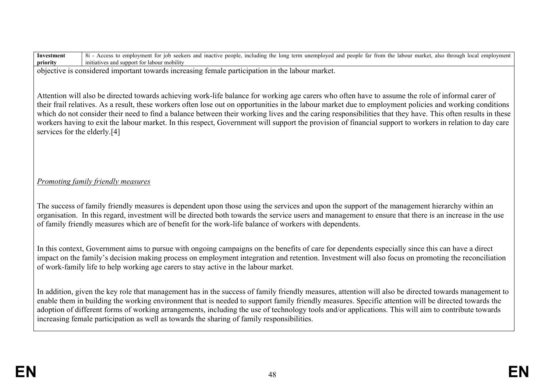**Investment priority** 8i - Access to employment for job seekers and inactive people, including the long term unemployed and people far from the labour market, also through local employment initiatives and support for labour mobility

objective is considered important towards increasing female participation in the labour market.

Attention will also be directed towards achieving work-life balance for working age carers who often have to assume the role of informal carer of their frail relatives. As a result, these workers often lose out on opportunities in the labour market due to employment policies and working conditions which do not consider their need to find a balance between their working lives and the caring responsibilities that they have. This often results in these workers having to exit the labour market. In this respect, Government will support the provision of financial support to workers in relation to day care services for the elderly.[4]

# *Promoting family friendly measures*

The success of family friendly measures is dependent upon those using the services and upon the support of the management hierarchy within an organisation. In this regard, investment will be directed both towards the service users and management to ensure that there is an increase in the use of family friendly measures which are of benefit for the work-life balance of workers with dependents.

In this context, Government aims to pursue with ongoing campaigns on the benefits of care for dependents especially since this can have a direct impact on the family's decision making process on employment integration and retention. Investment will also focus on promoting the reconciliation of work-family life to help working age carers to stay active in the labour market.

In addition, given the key role that management has in the success of family friendly measures, attention will also be directed towards management to enable them in building the working environment that is needed to support family friendly measures. Specific attention will be directed towards the adoption of different forms of working arrangements, including the use of technology tools and/or applications. This will aim to contribute towards increasing female participation as well as towards the sharing of family responsibilities.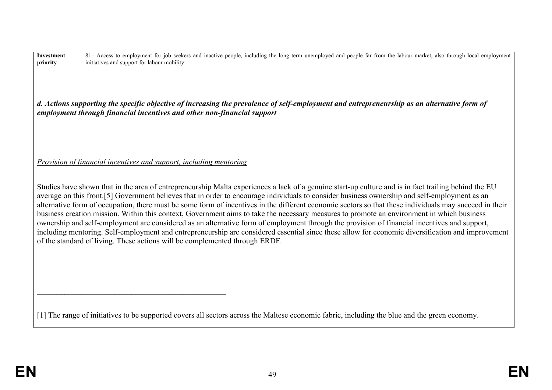| Investment<br>priority | 8i - Access to employment for job seekers and inactive people, including the long term unemployed and people far from the labour market, also through local employment<br>initiatives and support for labour mobility                                                                                                                                                                                                                                                                                                                                                                                                                                                                                                                                                                                                                                                                                                                                                                             |
|------------------------|---------------------------------------------------------------------------------------------------------------------------------------------------------------------------------------------------------------------------------------------------------------------------------------------------------------------------------------------------------------------------------------------------------------------------------------------------------------------------------------------------------------------------------------------------------------------------------------------------------------------------------------------------------------------------------------------------------------------------------------------------------------------------------------------------------------------------------------------------------------------------------------------------------------------------------------------------------------------------------------------------|
|                        | d. Actions supporting the specific objective of increasing the prevalence of self-employment and entrepreneurship as an alternative form of<br>employment through financial incentives and other non-financial support                                                                                                                                                                                                                                                                                                                                                                                                                                                                                                                                                                                                                                                                                                                                                                            |
|                        | Provision of financial incentives and support, including mentoring                                                                                                                                                                                                                                                                                                                                                                                                                                                                                                                                                                                                                                                                                                                                                                                                                                                                                                                                |
|                        | Studies have shown that in the area of entrepreneurship Malta experiences a lack of a genuine start-up culture and is in fact trailing behind the EU<br>average on this front.[5] Government believes that in order to encourage individuals to consider business ownership and self-employment as an<br>alternative form of occupation, there must be some form of incentives in the different economic sectors so that these individuals may succeed in their<br>business creation mission. Within this context, Government aims to take the necessary measures to promote an environment in which business<br>ownership and self-employment are considered as an alternative form of employment through the provision of financial incentives and support,<br>including mentoring. Self-employment and entrepreneurship are considered essential since these allow for economic diversification and improvement<br>of the standard of living. These actions will be complemented through ERDF. |
|                        | [1] The range of initiatives to be supported covers all sectors across the Maltese economic fabric, including the blue and the green economy.                                                                                                                                                                                                                                                                                                                                                                                                                                                                                                                                                                                                                                                                                                                                                                                                                                                     |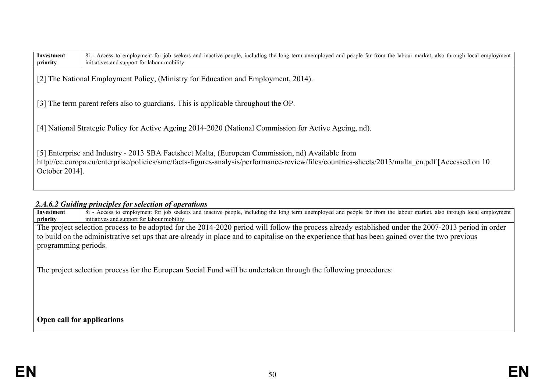| Investment<br>priority | 8i - Access to employment for job seekers and inactive people, including the long term unemployed and people far from the labour market, also through local employment<br>initiatives and support for labour mobility |
|------------------------|-----------------------------------------------------------------------------------------------------------------------------------------------------------------------------------------------------------------------|
|                        | [2] The National Employment Policy, (Ministry for Education and Employment, 2014).                                                                                                                                    |
|                        | [3] The term parent refers also to guardians. This is applicable throughout the OP.                                                                                                                                   |
|                        | [4] National Strategic Policy for Active Ageing 2014-2020 (National Commission for Active Ageing, nd).                                                                                                                |
|                        |                                                                                                                                                                                                                       |

[5] Enterprise and Industry - 2013 SBA Factsheet Malta, (European Commission, nd) Available from http://ec.europa.eu/enterprise/policies/sme/facts-figures-analysis/performance-review/files/countries-sheets/2013/malta\_en.pdf [Accessed on 10 October 2014].

# *2.A.6.2 Guiding principles for selection of operations*

**Investment priority** 8i - Access to employment for job seekers and inactive people, including the long term unemployed and people far from the labour market, also through local employment initiatives and support for labour mobility The project selection process to be adopted for the 2014-2020 period will follow the process already established under the 2007-2013 period in order to build on the administrative set ups that are already in place and to capitalise on the experience that has been gained over the two previous programming periods.

The project selection process for the European Social Fund will be undertaken through the following procedures:

**Open call for applications** 

**Investment**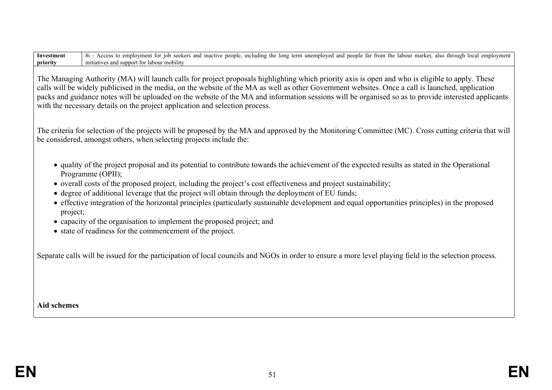**Investment priority** 8i - Access to employment for job seekers and inactive people, including the long term unemployed and people far from the labour market, also through local employment initiatives and support for labour mobility

The Managing Authority (MA) will launch calls for project proposals highlighting which priority axis is open and who is eligible to apply. These calls will be widely publicised in the media, on the website of the MA as well as other Government websites. Once a call is launched, application packs and guidance notes will be uploaded on the website of the MA and information sessions will be organised so as to provide interested applicants with the necessary details on the project application and selection process.

The criteria for selection of the projects will be proposed by the MA and approved by the Monitoring Committee (MC). Cross cutting criteria that will be considered, amongst others, when selecting projects include the:

- quality of the project proposal and its potential to contribute towards the achievement of the expected results as stated in the Operational Programme (OPII);
- overall costs of the proposed project, including the project's cost effectiveness and project sustainability;
- degree of additional leverage that the project will obtain through the deployment of EU funds;
- effective integration of the horizontal principles (particularly sustainable development and equal opportunities principles) in the proposed project;
- capacity of the organisation to implement the proposed project; and
- state of readiness for the commencement of the project.

Separate calls will be issued for the participation of local councils and NGOs in order to ensure a more level playing field in the selection process.

## **Aid schemes**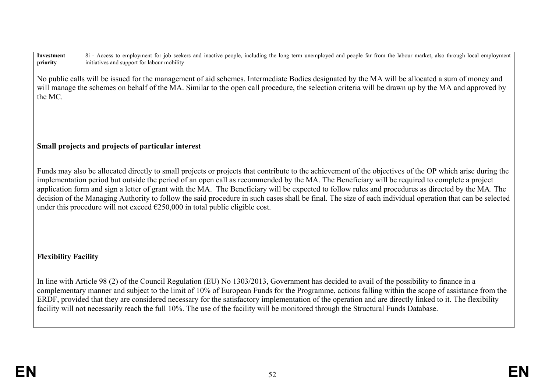| 8i - Access to employment for job seekers and inactive people, including the long term unemployed and people far from the labour market, also through local employment<br>Investment<br>initiatives and support for labour mobility<br>priority                                                                                                                                                                                                                                                                                                                                                                                                                                                                        |
|------------------------------------------------------------------------------------------------------------------------------------------------------------------------------------------------------------------------------------------------------------------------------------------------------------------------------------------------------------------------------------------------------------------------------------------------------------------------------------------------------------------------------------------------------------------------------------------------------------------------------------------------------------------------------------------------------------------------|
| No public calls will be issued for the management of aid schemes. Intermediate Bodies designated by the MA will be allocated a sum of money and<br>will manage the schemes on behalf of the MA. Similar to the open call procedure, the selection criteria will be drawn up by the MA and approved by<br>the MC.                                                                                                                                                                                                                                                                                                                                                                                                       |
| Small projects and projects of particular interest                                                                                                                                                                                                                                                                                                                                                                                                                                                                                                                                                                                                                                                                     |
| Funds may also be allocated directly to small projects or projects that contribute to the achievement of the objectives of the OP which arise during the<br>implementation period but outside the period of an open call as recommended by the MA. The Beneficiary will be required to complete a project<br>application form and sign a letter of grant with the MA. The Beneficiary will be expected to follow rules and procedures as directed by the MA. The<br>decision of the Managing Authority to follow the said procedure in such cases shall be final. The size of each individual operation that can be selected<br>under this procedure will not exceed $\epsilon$ 250,000 in total public eligible cost. |
| <b>Flexibility Facility</b>                                                                                                                                                                                                                                                                                                                                                                                                                                                                                                                                                                                                                                                                                            |
| In line with Article 98 (2) of the Council Regulation (EU) No 1303/2013, Government has decided to avail of the possibility to finance in a<br>complementary manner and subject to the limit of 10% of European Funds for the Programme, actions falling within the scope of assistance from the<br>ERDF, provided that they are considered necessary for the satisfactory implementation of the operation and are directly linked to it. The flexibility<br>facility will not necessarily reach the full 10%. The use of the facility will be monitored through the Structural Funds Database.                                                                                                                        |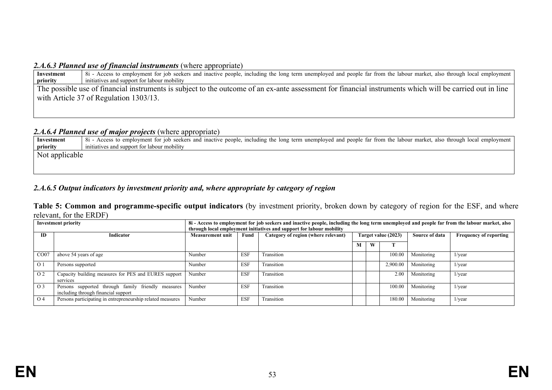## 2.4.6.3 Planned use of financial instruments (where appropriate)

| Investment | 8i - Access to employment for job seekers and inactive people, including the long term unemployed and people far from the labour market, also through local employment |
|------------|------------------------------------------------------------------------------------------------------------------------------------------------------------------------|
| priority   | initiatives and support for labour mobility                                                                                                                            |
|            | The possible use of financial instruments is subject to the outcome of an ex-ante assessment for financial instruments which will be carried out in line               |
|            | with Article 37 of Regulation 1303/13.                                                                                                                                 |
|            |                                                                                                                                                                        |
|            |                                                                                                                                                                        |
|            |                                                                                                                                                                        |

## *2.A.6.4 Planned use of major projects* (where appropriate)

| Investment     | 8i - Access to employment for job seekers and inactive people, including the long term unemployed and people far from the labour market, also through local employment |
|----------------|------------------------------------------------------------------------------------------------------------------------------------------------------------------------|
| priority       | initiatives and support for labour mobility                                                                                                                            |
| Not applicable |                                                                                                                                                                        |
|                |                                                                                                                                                                        |

# *2.A.6.5 Output indicators by investment priority and, where appropriate by category of region*

**Table 5: Common and programme-specific output indicators** (by investment priority, broken down by category of region for the ESF, and where relevant, for the ERDF)

| <b>Investment priority</b> |                                                                                           | 8i - Access to employment for job seekers and inactive people, including the long term unemployed and people far from the labour market, also<br>through local employment initiatives and support for labour mobility |            |                                     |                     |   |          |                |                               |  |
|----------------------------|-------------------------------------------------------------------------------------------|-----------------------------------------------------------------------------------------------------------------------------------------------------------------------------------------------------------------------|------------|-------------------------------------|---------------------|---|----------|----------------|-------------------------------|--|
| ID                         | <b>Indicator</b>                                                                          | <b>Measurement unit</b>                                                                                                                                                                                               | Fund       | Category of region (where relevant) | Target value (2023) |   |          | Source of data | <b>Frequency of reporting</b> |  |
|                            |                                                                                           |                                                                                                                                                                                                                       |            |                                     | М                   | W |          |                |                               |  |
| CO07                       | above 54 years of age                                                                     | Number                                                                                                                                                                                                                | <b>ESF</b> | Transition                          |                     |   | 100.00   | Monitoring     | $1$ /year                     |  |
| $\Omega$ 1                 | Persons supported                                                                         | Number                                                                                                                                                                                                                | <b>ESF</b> | Transition                          |                     |   | 2,900.00 | Monitoring     | $1/\text{year}$               |  |
| O <sub>2</sub>             | Capacity building measures for PES and EURES support<br>services                          | Number                                                                                                                                                                                                                | <b>ESF</b> | Transition                          |                     |   | 2.00     | Monitoring     | $1$ /year                     |  |
| O <sub>3</sub>             | Persons supported through family friendly measures<br>including through financial support | Number                                                                                                                                                                                                                | <b>ESF</b> | Transition                          |                     |   | 100.00   | Monitoring     | $1$ /year                     |  |
| O <sub>4</sub>             | Persons participating in entrepreneurship related measures                                | Number                                                                                                                                                                                                                | <b>ESF</b> | Transition                          |                     |   | 180.00   | Monitoring     | $1$ /year                     |  |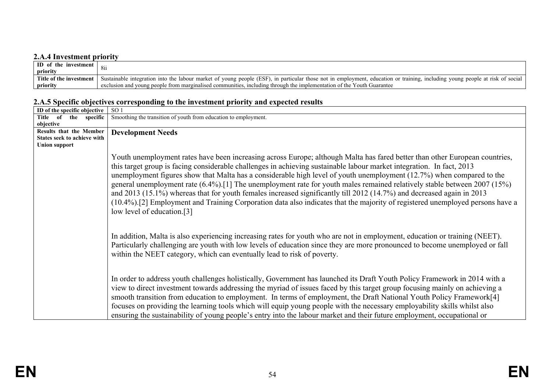# **2.A.4 Investment priority**

| ID of the investment    |                                                                                                                                                                              |
|-------------------------|------------------------------------------------------------------------------------------------------------------------------------------------------------------------------|
| priority                |                                                                                                                                                                              |
| Title of the investment | Sustainable integration into the labour market of young people (ESF), in particular those not in employment, education or training, including young people at risk of social |
| priority                | exclusion and young people from marginalised communities, including through the implementation of the Youth Guarantee                                                        |

# **2.A.5 Specific objectives corresponding to the investment priority and expected results**

| ID of the specific objective | SO <sub>1</sub>                                                                                                                                                                                                                                                                                                                                                                                                                                                                                                                                                                                                                                                                                                                                                                                        |
|------------------------------|--------------------------------------------------------------------------------------------------------------------------------------------------------------------------------------------------------------------------------------------------------------------------------------------------------------------------------------------------------------------------------------------------------------------------------------------------------------------------------------------------------------------------------------------------------------------------------------------------------------------------------------------------------------------------------------------------------------------------------------------------------------------------------------------------------|
| Title of the specific        | Smoothing the transition of youth from education to employment.                                                                                                                                                                                                                                                                                                                                                                                                                                                                                                                                                                                                                                                                                                                                        |
| objective                    |                                                                                                                                                                                                                                                                                                                                                                                                                                                                                                                                                                                                                                                                                                                                                                                                        |
| Results that the Member      | <b>Development Needs</b>                                                                                                                                                                                                                                                                                                                                                                                                                                                                                                                                                                                                                                                                                                                                                                               |
| States seek to achieve with  |                                                                                                                                                                                                                                                                                                                                                                                                                                                                                                                                                                                                                                                                                                                                                                                                        |
| <b>Union support</b>         |                                                                                                                                                                                                                                                                                                                                                                                                                                                                                                                                                                                                                                                                                                                                                                                                        |
|                              | Youth unemployment rates have been increasing across Europe; although Malta has fared better than other European countries,<br>this target group is facing considerable challenges in achieving sustainable labour market integration. In fact, 2013<br>unemployment figures show that Malta has a considerable high level of youth unemployment (12.7%) when compared to the<br>general unemployment rate $(6.4\%)$ . [1] The unemployment rate for youth males remained relatively stable between 2007 (15%)<br>and 2013 (15.1%) whereas that for youth females increased significantly till 2012 (14.7%) and decreased again in 2013<br>(10.4%).[2] Employment and Training Corporation data also indicates that the majority of registered unemployed persons have a<br>low level of education.[3] |
|                              | In addition, Malta is also experiencing increasing rates for youth who are not in employment, education or training (NEET).<br>Particularly challenging are youth with low levels of education since they are more pronounced to become unemployed or fall<br>within the NEET category, which can eventually lead to risk of poverty.                                                                                                                                                                                                                                                                                                                                                                                                                                                                  |
|                              | In order to address youth challenges holistically, Government has launched its Draft Youth Policy Framework in 2014 with a<br>view to direct investment towards addressing the myriad of issues faced by this target group focusing mainly on achieving a<br>smooth transition from education to employment. In terms of employment, the Draft National Youth Policy Framework[4]<br>focuses on providing the learning tools which will equip young people with the necessary employability skills whilst also<br>ensuring the sustainability of young people's entry into the labour market and their future employment, occupational or                                                                                                                                                              |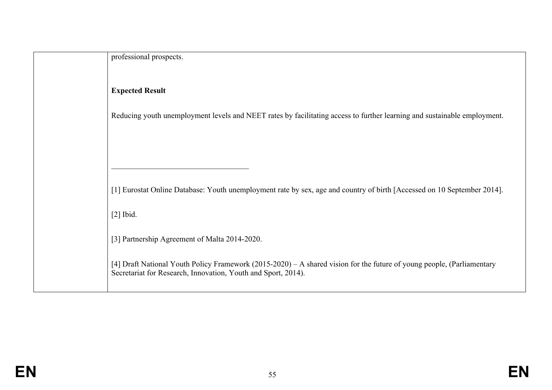| professional prospects.                                                                                                                                                                 |
|-----------------------------------------------------------------------------------------------------------------------------------------------------------------------------------------|
|                                                                                                                                                                                         |
|                                                                                                                                                                                         |
| <b>Expected Result</b>                                                                                                                                                                  |
| Reducing youth unemployment levels and NEET rates by facilitating access to further learning and sustainable employment.                                                                |
|                                                                                                                                                                                         |
|                                                                                                                                                                                         |
|                                                                                                                                                                                         |
| [1] Eurostat Online Database: Youth unemployment rate by sex, age and country of birth [Accessed on 10 September 2014].                                                                 |
| $[2]$ Ibid.                                                                                                                                                                             |
| [3] Partnership Agreement of Malta 2014-2020.                                                                                                                                           |
| [4] Draft National Youth Policy Framework (2015-2020) – A shared vision for the future of young people, (Parliamentary<br>Secretariat for Research, Innovation, Youth and Sport, 2014). |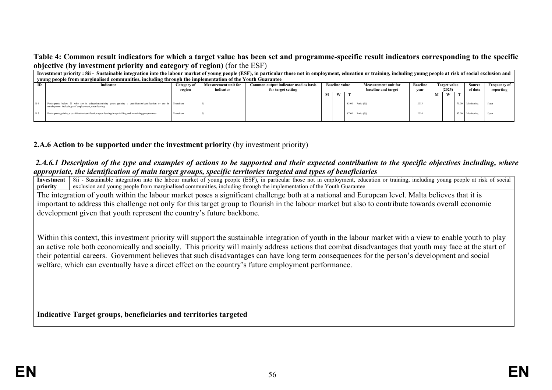## **Table 4: Common result indicators for which a target value has been set and programme-specific result indicators corresponding to the specific objective (by investment priority and category of region)** (for the ESF)

|     | Investment priority: 8ii - Sustainable integration into the labour market of young people (ESF), in particular those not in employment, education or training, including young people at risk of social exclusion and<br>young people from marginalised communities, including through the implementation of the Youth Guarantee |                                                                                                                                                                                                                                                                                                                               |  |  |  |   |  |                     |      |   |                  |           |
|-----|----------------------------------------------------------------------------------------------------------------------------------------------------------------------------------------------------------------------------------------------------------------------------------------------------------------------------------|-------------------------------------------------------------------------------------------------------------------------------------------------------------------------------------------------------------------------------------------------------------------------------------------------------------------------------|--|--|--|---|--|---------------------|------|---|------------------|-----------|
|     | Indicator                                                                                                                                                                                                                                                                                                                        | <b>Baseline</b><br><b>Baseline value</b><br><b>Measurement unit for</b><br>Common output indicator used as basis<br><b>Frequency of</b><br><b>Measurement unit for</b><br>Target value<br>Source<br>Category of<br>of data<br>baseline and target<br>(2023)<br>indicator<br>for target setting<br>reporting<br>vear<br>region |  |  |  |   |  |                     |      |   |                  |           |
|     |                                                                                                                                                                                                                                                                                                                                  |                                                                                                                                                                                                                                                                                                                               |  |  |  | W |  |                     |      | W |                  |           |
| R 6 | Participants below 25 who are in education/training years gaining a qualification/certification or are in Transition<br>employment, including self employment, upon leaving                                                                                                                                                      |                                                                                                                                                                                                                                                                                                                               |  |  |  |   |  | 83.00 Ratio (%)     | 2013 |   | 70.00 Monitoring | $1$ /year |
| R 7 | Participants gaining a qualification/certification upon leaving in up-skilling and re-training programmes                                                                                                                                                                                                                        | Transition                                                                                                                                                                                                                                                                                                                    |  |  |  |   |  | $87.00$ Ratio $(%)$ | 2014 |   | 87.00 Monitoring | 1/wear    |

## **2.A.6 Action to be supported under the investment priority** (by investment priority)

### *2.A.6.1 Description of the type and examples of actions to be supported and their expected contribution to the specific objectives including, where appropriate, the identification of main target groups, specific territories targeted and types of beneficiaries*

**Investment priority**  $\overline{8ii}$  - Sustainable integration into the labour market of young people (ESF), in particular those not in employment, education or training, including young people at risk of social exclusion and young people from marginalised communities, including through the implementation of the Youth Guarantee

The integration of youth within the labour market poses a significant challenge both at a national and European level. Malta believes that it is important to address this challenge not only for this target group to flourish in the labour market but also to contribute towards overall economic development given that youth represent the country's future backbone.

Within this context, this investment priority will support the sustainable integration of youth in the labour market with a view to enable youth to play an active role both economically and socially. This priority will mainly address actions that combat disadvantages that youth may face at the start of their potential careers. Government believes that such disadvantages can have long term consequences for the person's development and social welfare, which can eventually have a direct effect on the country's future employment performance.

**Indicative Target groups, beneficiaries and territories targeted**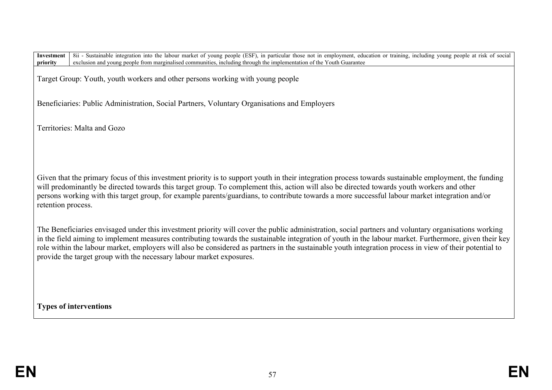Target Group: Youth, youth workers and other persons working with young people

Beneficiaries: Public Administration, Social Partners, Voluntary Organisations and Employers

Territories: Malta and Gozo

Given that the primary focus of this investment priority is to support youth in their integration process towards sustainable employment, the funding will predominantly be directed towards this target group. To complement this, action will also be directed towards youth workers and other persons working with this target group, for example parents/guardians, to contribute towards a more successful labour market integration and/or retention process.

The Beneficiaries envisaged under this investment priority will cover the public administration, social partners and voluntary organisations working in the field aiming to implement measures contributing towards the sustainable integration of youth in the labour market. Furthermore, given their key role within the labour market, employers will also be considered as partners in the sustainable youth integration process in view of their potential to provide the target group with the necessary labour market exposures.

**Types of interventions**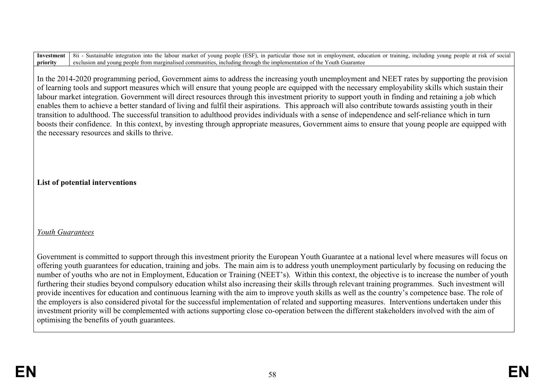In the 2014-2020 programming period, Government aims to address the increasing youth unemployment and NEET rates by supporting the provision of learning tools and support measures which will ensure that young people are equipped with the necessary employability skills which sustain their labour market integration. Government will direct resources through this investment priority to support youth in finding and retaining a job which enables them to achieve a better standard of living and fulfil their aspirations. This approach will also contribute towards assisting youth in their transition to adulthood. The successful transition to adulthood provides individuals with a sense of independence and self-reliance which in turn boosts their confidence. In this context, by investing through appropriate measures, Government aims to ensure that young people are equipped with the necessary resources and skills to thrive.

**List of potential interventions**

# *Youth Guarantees*

Government is committed to support through this investment priority the European Youth Guarantee at a national level where measures will focus on offering youth guarantees for education, training and jobs. The main aim is to address youth unemployment particularly by focusing on reducing the number of youths who are not in Employment, Education or Training (NEET's). Within this context, the objective is to increase the number of youth furthering their studies beyond compulsory education whilst also increasing their skills through relevant training programmes. Such investment will provide incentives for education and continuous learning with the aim to improve youth skills as well as the country's competence base. The role of the employers is also considered pivotal for the successful implementation of related and supporting measures. Interventions undertaken under this investment priority will be complemented with actions supporting close co-operation between the different stakeholders involved with the aim of optimising the benefits of youth guarantees.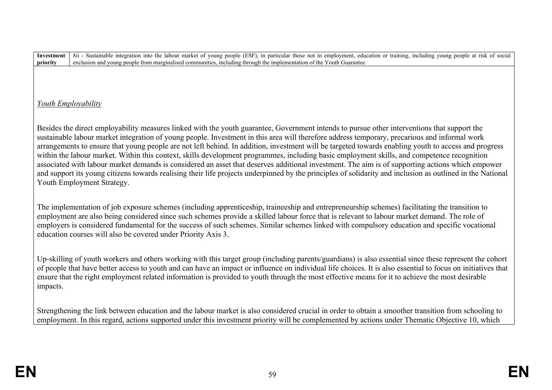# *Youth Employability*

Besides the direct employability measures linked with the youth guarantee, Government intends to pursue other interventions that support the sustainable labour market integration of young people. Investment in this area will therefore address temporary, precarious and informal work arrangements to ensure that young people are not left behind. In addition, investment will be targeted towards enabling youth to access and progress within the labour market. Within this context, skills development programmes, including basic employment skills, and competence recognition associated with labour market demands is considered an asset that deserves additional investment. The aim is of supporting actions which empower and support its young citizens towards realising their life projects underpinned by the principles of solidarity and inclusion as outlined in the National Youth Employment Strategy.

The implementation of job exposure schemes (including apprenticeship, traineeship and entrepreneurship schemes) facilitating the transition to employment are also being considered since such schemes provide a skilled labour force that is relevant to labour market demand. The role of employers is considered fundamental for the success of such schemes. Similar schemes linked with compulsory education and specific vocational education courses will also be covered under Priority Axis 3.

Up-skilling of youth workers and others working with this target group (including parents/guardians) is also essential since these represent the cohort of people that have better access to youth and can have an impact or influence on individual life choices. It is also essential to focus on initiatives that ensure that the right employment related information is provided to youth through the most effective means for it to achieve the most desirable impacts.

Strengthening the link between education and the labour market is also considered crucial in order to obtain a smoother transition from schooling to employment. In this regard, actions supported under this investment priority will be complemented by actions under Thematic Objective 10, which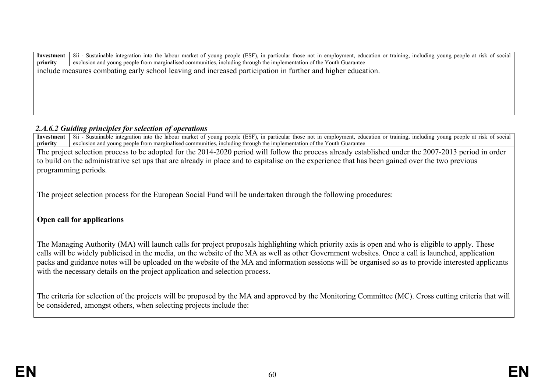**Investment priority** 8ii - Sustainable integration into the labour market of young people (ESF), in particular those not in employment, education or training, including young people at risk of social exclusion and young people from marginalised communities, including through the implementation of the Youth Guarantee include measures combating early school leaving and increased participation in further and higher education.

## *2.A.6.2 Guiding principles for selection of operations*

**Investment priority** 8ii - Sustainable integration into the labour market of young people (ESF), in particular those not in employment, education or training, including young people at risk of social exclusion and young people from marginalised communities, including through the implementation of the Youth Guarantee

The project selection process to be adopted for the 2014-2020 period will follow the process already established under the 2007-2013 period in order to build on the administrative set ups that are already in place and to capitalise on the experience that has been gained over the two previous programming periods.

The project selection process for the European Social Fund will be undertaken through the following procedures:

# **Open call for applications**

The Managing Authority (MA) will launch calls for project proposals highlighting which priority axis is open and who is eligible to apply. These calls will be widely publicised in the media, on the website of the MA as well as other Government websites. Once a call is launched, application packs and guidance notes will be uploaded on the website of the MA and information sessions will be organised so as to provide interested applicants with the necessary details on the project application and selection process.

The criteria for selection of the projects will be proposed by the MA and approved by the Monitoring Committee (MC). Cross cutting criteria that will be considered, amongst others, when selecting projects include the: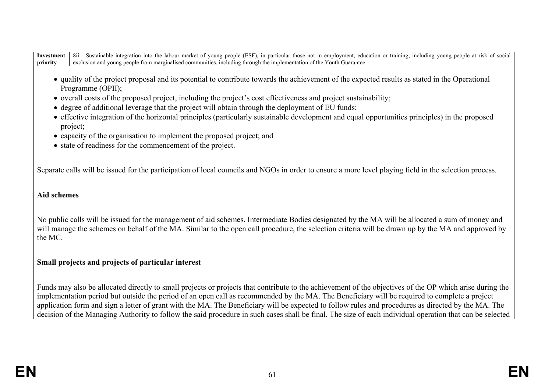- quality of the project proposal and its potential to contribute towards the achievement of the expected results as stated in the Operational Programme (OPII);
- overall costs of the proposed project, including the project's cost effectiveness and project sustainability;
- degree of additional leverage that the project will obtain through the deployment of EU funds;
- effective integration of the horizontal principles (particularly sustainable development and equal opportunities principles) in the proposed project;
- capacity of the organisation to implement the proposed project; and
- state of readiness for the commencement of the project.

Separate calls will be issued for the participation of local councils and NGOs in order to ensure a more level playing field in the selection process.

# **Aid schemes**

No public calls will be issued for the management of aid schemes. Intermediate Bodies designated by the MA will be allocated a sum of money and will manage the schemes on behalf of the MA. Similar to the open call procedure, the selection criteria will be drawn up by the MA and approved by the MC.

# **Small projects and projects of particular interest**

Funds may also be allocated directly to small projects or projects that contribute to the achievement of the objectives of the OP which arise during the implementation period but outside the period of an open call as recommended by the MA. The Beneficiary will be required to complete a project application form and sign a letter of grant with the MA. The Beneficiary will be expected to follow rules and procedures as directed by the MA. The decision of the Managing Authority to follow the said procedure in such cases shall be final. The size of each individual operation that can be selected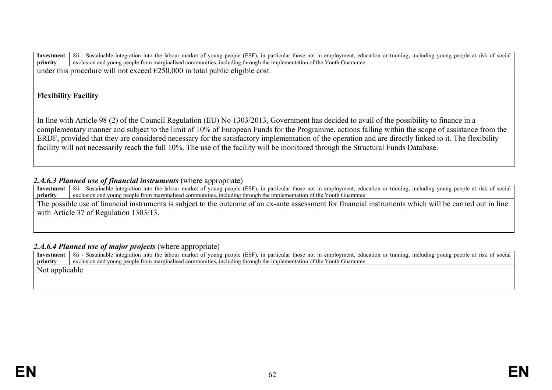under this procedure will not exceed  $\epsilon$ 250,000 in total public eligible cost.

# **Flexibility Facility**

In line with Article 98 (2) of the Council Regulation (EU) No 1303/2013, Government has decided to avail of the possibility to finance in a complementary manner and subject to the limit of 10% of European Funds for the Programme, actions falling within the scope of assistance from the ERDF, provided that they are considered necessary for the satisfactory implementation of the operation and are directly linked to it. The flexibility facility will not necessarily reach the full 10%. The use of the facility will be monitored through the Structural Funds Database.

# 2.*A.6.3 Planned use of financial instruments* (where appropriate)

**Investment priority** 8ii - Sustainable integration into the labour market of young people (ESF), in particular those not in employment, education or training, including young people at risk of social exclusion and young people from marginalised communities, including through the implementation of the Youth Guarantee

The possible use of financial instruments is subject to the outcome of an ex-ante assessment for financial instruments which will be carried out in line with Article 37 of Regulation 1303/13.

# *2.A.6.4 Planned use of major projects* (where appropriate)

**Investment priority** 8ii - Sustainable integration into the labour market of young people (ESF), in particular those not in employment, education or training, including young people at risk of social exclusion and young people from marginalised communities, including through the implementation of the Youth Guarantee Not applicable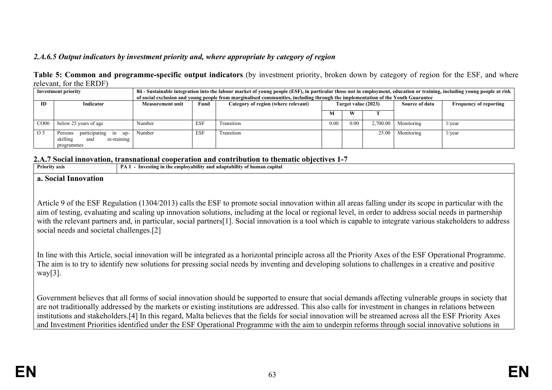# *2.A.6.5 Output indicators by investment priority and, where appropriate by category of region*

|                         | Table 5: Common and programme-specific output indicators (by investment priority, broken down by category of region for the ESF, and where |  |  |  |  |
|-------------------------|--------------------------------------------------------------------------------------------------------------------------------------------|--|--|--|--|
| relevant, for the ERDF) |                                                                                                                                            |  |  |  |  |

| <b>Investment priority</b> |                                                                                    |                  | 8ii - Sustainable integration into the labour market of young people (ESF), in particular those not in employment, education or training, including young people at risk<br>of social exclusion and young people from marginalised communities, including through the implementation of the Youth Guarantee |                                     |                     |      |          |                |                               |  |  |
|----------------------------|------------------------------------------------------------------------------------|------------------|-------------------------------------------------------------------------------------------------------------------------------------------------------------------------------------------------------------------------------------------------------------------------------------------------------------|-------------------------------------|---------------------|------|----------|----------------|-------------------------------|--|--|
| ID<br><b>Indicator</b>     |                                                                                    | Measurement unit | Fund                                                                                                                                                                                                                                                                                                        | Category of region (where relevant) | Target value (2023) |      |          | Source of data | <b>Frequency of reporting</b> |  |  |
|                            |                                                                                    |                  |                                                                                                                                                                                                                                                                                                             |                                     | М                   | W    |          |                |                               |  |  |
| CO06                       | below 25 years of age                                                              | Number           | <b>ESF</b>                                                                                                                                                                                                                                                                                                  | Transition                          | 0.00                | 0.00 | 2,700.00 | Monitoring     | $1/\text{year}$               |  |  |
| O 5                        | participating in<br>up-<br>Persons<br>skilling<br>re-training<br>and<br>programmes | Number           | <b>ESF</b>                                                                                                                                                                                                                                                                                                  | Transition                          |                     |      | 25.00    | Monitoring     | 1/year                        |  |  |

### **2.A.7 Social innovation, transnational cooperation and contribution to thematic objectives 1-7**

| <b>Priority axis</b>                     | PA 1 - Investing in the employability and adaptability of human capital                                                                                                                                                                                                                                                                                                                                                                                                             |
|------------------------------------------|-------------------------------------------------------------------------------------------------------------------------------------------------------------------------------------------------------------------------------------------------------------------------------------------------------------------------------------------------------------------------------------------------------------------------------------------------------------------------------------|
| a. Social Innovation                     |                                                                                                                                                                                                                                                                                                                                                                                                                                                                                     |
|                                          |                                                                                                                                                                                                                                                                                                                                                                                                                                                                                     |
| social needs and societal challenges.[2] | Article 9 of the ESF Regulation (1304/2013) calls the ESF to promote social innovation within all areas falling under its scope in particular with the<br>aim of testing, evaluating and scaling up innovation solutions, including at the local or regional level, in order to address social needs in partnership<br>with the relevant partners and, in particular, social partners[1]. Social innovation is a tool which is capable to integrate various stakeholders to address |

In line with this Article, social innovation will be integrated as a horizontal principle across all the Priority Axes of the ESF Operational Programme. The aim is to try to identify new solutions for pressing social needs by inventing and developing solutions to challenges in a creative and positive way $[3]$ .

Government believes that all forms of social innovation should be supported to ensure that social demands affecting vulnerable groups in society that are not traditionally addressed by the markets or existing institutions are addressed. This also calls for investment in changes in relations between institutions and stakeholders.[4] In this regard, Malta believes that the fields for social innovation will be streamed across all the ESF Priority Axes and Investment Priorities identified under the ESF Operational Programme with the aim to underpin reforms through social innovative solutions in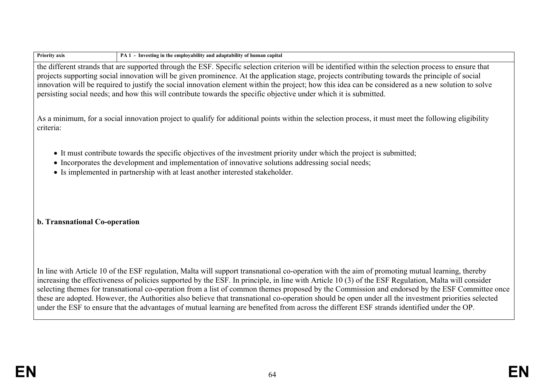| <b>Priority axis</b>          | PA 1 - Investing in the employability and adaptability of human capital                                                                                                                                                                                                                                                                                                                                                                                                                                                                                                                                                                                                                                                                                         |
|-------------------------------|-----------------------------------------------------------------------------------------------------------------------------------------------------------------------------------------------------------------------------------------------------------------------------------------------------------------------------------------------------------------------------------------------------------------------------------------------------------------------------------------------------------------------------------------------------------------------------------------------------------------------------------------------------------------------------------------------------------------------------------------------------------------|
|                               | the different strands that are supported through the ESF. Specific selection criterion will be identified within the selection process to ensure that<br>projects supporting social innovation will be given prominence. At the application stage, projects contributing towards the principle of social<br>innovation will be required to justify the social innovation element within the project; how this idea can be considered as a new solution to solve<br>persisting social needs; and how this will contribute towards the specific objective under which it is submitted.                                                                                                                                                                            |
| criteria:                     | As a minimum, for a social innovation project to qualify for additional points within the selection process, it must meet the following eligibility                                                                                                                                                                                                                                                                                                                                                                                                                                                                                                                                                                                                             |
|                               | • It must contribute towards the specific objectives of the investment priority under which the project is submitted;<br>• Incorporates the development and implementation of innovative solutions addressing social needs;<br>• Is implemented in partnership with at least another interested stakeholder.                                                                                                                                                                                                                                                                                                                                                                                                                                                    |
| b. Transnational Co-operation |                                                                                                                                                                                                                                                                                                                                                                                                                                                                                                                                                                                                                                                                                                                                                                 |
|                               | In line with Article 10 of the ESF regulation, Malta will support transnational co-operation with the aim of promoting mutual learning, thereby<br>increasing the effectiveness of policies supported by the ESF. In principle, in line with Article 10 (3) of the ESF Regulation, Malta will consider<br>selecting themes for transnational co-operation from a list of common themes proposed by the Commission and endorsed by the ESF Committee once<br>these are adopted. However, the Authorities also believe that transnational co-operation should be open under all the investment priorities selected<br>under the ESF to ensure that the advantages of mutual learning are benefited from across the different ESF strands identified under the OP. |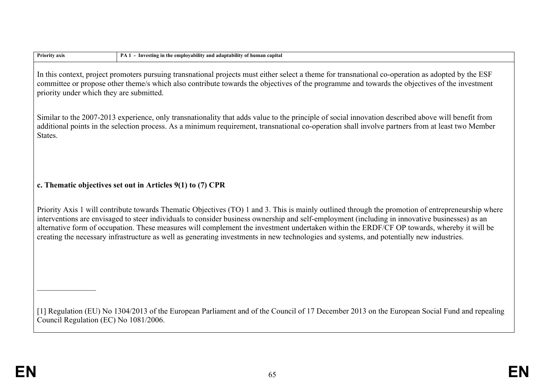| <b>Priority axis</b>                     | PA 1 - Investing in the employability and adaptability of human capital                                                                                                                                                                                                                                                                                                                                                                                                                                                                                                                       |
|------------------------------------------|-----------------------------------------------------------------------------------------------------------------------------------------------------------------------------------------------------------------------------------------------------------------------------------------------------------------------------------------------------------------------------------------------------------------------------------------------------------------------------------------------------------------------------------------------------------------------------------------------|
| priority under which they are submitted. | In this context, project promoters pursuing transnational projects must either select a theme for transnational co-operation as adopted by the ESF<br>committee or propose other theme/s which also contribute towards the objectives of the programme and towards the objectives of the investment                                                                                                                                                                                                                                                                                           |
| States.                                  | Similar to the 2007-2013 experience, only transnationality that adds value to the principle of social innovation described above will benefit from<br>additional points in the selection process. As a minimum requirement, transnational co-operation shall involve partners from at least two Member                                                                                                                                                                                                                                                                                        |
|                                          | c. Thematic objectives set out in Articles 9(1) to (7) CPR                                                                                                                                                                                                                                                                                                                                                                                                                                                                                                                                    |
|                                          | Priority Axis 1 will contribute towards Thematic Objectives (TO) 1 and 3. This is mainly outlined through the promotion of entrepreneurship where<br>interventions are envisaged to steer individuals to consider business ownership and self-employment (including in innovative businesses) as an<br>alternative form of occupation. These measures will complement the investment undertaken within the ERDF/CF OP towards, whereby it will be<br>creating the necessary infrastructure as well as generating investments in new technologies and systems, and potentially new industries. |
|                                          |                                                                                                                                                                                                                                                                                                                                                                                                                                                                                                                                                                                               |
| Council Regulation (EC) No 1081/2006.    | [1] Regulation (EU) No 1304/2013 of the European Parliament and of the Council of 17 December 2013 on the European Social Fund and repealing                                                                                                                                                                                                                                                                                                                                                                                                                                                  |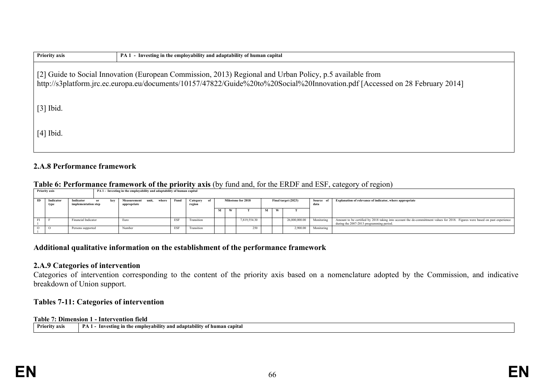| <b>Priority axis</b>                                                                                                                                                                                                                     | PA 1 - Investing in the employability and adaptability of human capital |  |  |  |  |  |  |  |
|------------------------------------------------------------------------------------------------------------------------------------------------------------------------------------------------------------------------------------------|-------------------------------------------------------------------------|--|--|--|--|--|--|--|
| [2] Guide to Social Innovation (European Commission, 2013) Regional and Urban Policy, p.5 available from<br>http://s3platform.jrc.ec.europa.eu/documents/10157/47822/Guide%20to%20Social%20Innovation.pdf [Accessed on 28 February 2014] |                                                                         |  |  |  |  |  |  |  |
| $[3]$ Ibid.                                                                                                                                                                                                                              |                                                                         |  |  |  |  |  |  |  |
| $[4]$ Ibid.                                                                                                                                                                                                                              |                                                                         |  |  |  |  |  |  |  |

## **2.A.8 Performance framework**

## **Table 6: Performance framework of the priority axis** (by fund and, for the ERDF and ESF, category of region)

|    | <b>Priority axis</b> |                                  | PA 1 - Investing in the employability and adaptability of human capital |  |                                              |            |                       |          |  |                    |           |                     |                   |                                                                                                                                                                          |
|----|----------------------|----------------------------------|-------------------------------------------------------------------------|--|----------------------------------------------|------------|-----------------------|----------|--|--------------------|-----------|---------------------|-------------------|--------------------------------------------------------------------------------------------------------------------------------------------------------------------------|
| ID | Indicator<br>tvp     | Indicator<br>implementation step | or<br>kev                                                               |  | Measurement<br>where<br>unit.<br>appropriate | Fund       | Category of<br>region |          |  | Milestone for 2018 |           | Final target (2023) | Source of<br>data | Explanation of relevance of indicator, where appropriate                                                                                                                 |
|    |                      |                                  |                                                                         |  |                                              |            |                       | <b>A</b> |  |                    | <b>Af</b> |                     |                   |                                                                                                                                                                          |
|    |                      | Financial Indicator              |                                                                         |  | Euro                                         | <b>ESF</b> | <b>Transition</b>     |          |  | 7.819.554.30       |           | 26.000.000.00       | Monitoring        | Amount to be certified by 2018 taking into account the de-committment values for 2018. Figures were based on past experience<br>during the 2007-2013 programming period. |
|    |                      | Persons supported                |                                                                         |  | Number                                       | ESF        | Transition            |          |  | 250                |           | 2.900.00            | Monitoring        |                                                                                                                                                                          |

# **Additional qualitative information on the establishment of the performance framework**

## **2.A.9 Categories of intervention**

Categories of intervention corresponding to the content of the priority axis based on a nomenclature adopted by the Commission, and indicative breakdown of Union support.

# **Tables 7-11: Categories of intervention**

### **Table 7: Dimension 1 - Intervention field**

|  |  | $\vert$ Priority axis $\vert$ PA 1 - Investing in the employability and adaptability of human capital |
|--|--|-------------------------------------------------------------------------------------------------------|
|--|--|-------------------------------------------------------------------------------------------------------|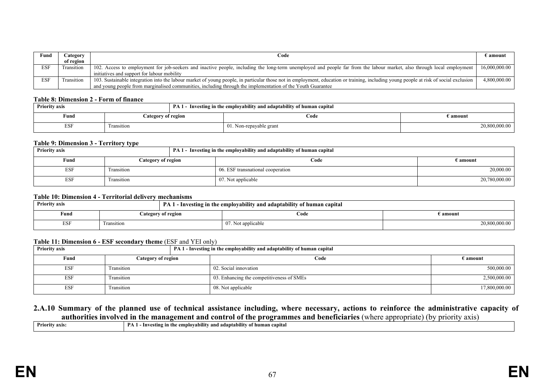| Fund       | Category   | Code                                                                                                                                                                                  | E amount      |
|------------|------------|---------------------------------------------------------------------------------------------------------------------------------------------------------------------------------------|---------------|
|            | of region  |                                                                                                                                                                                       |               |
| <b>ESF</b> | Fransition | 102. Access to employment for job-seekers and inactive people, including the long-term unemployed and people far from the labour market, also through local employment                | 16,000,000.00 |
|            |            | initiatives and support for labour mobility                                                                                                                                           |               |
| <b>ESF</b> | Fransition | 103. Sustainable integration into the labour market of young people, in particular those not in employment, education or training, including young people at risk of social exclusion | 4,800,000.00  |
|            |            | and young people from marginalised communities, including through the implementation of the Youth Guarantee                                                                           |               |

#### **Table 8: Dimension 2 - Form of finance**

| <b>Priority axis</b> |                    | PA 1 - Investing in the employability and adaptability of human capital |               |
|----------------------|--------------------|-------------------------------------------------------------------------|---------------|
| Fund                 | Category of region | €ode                                                                    | E amount      |
| <b>ESF</b>           | ransition          | 01. Non-repayable grant                                                 | 20,800,000.00 |

#### **Table 9: Dimension 3 - Territory type**

| <b>Priority axis</b> | ____               | PA 1 - Investing in the employability and adaptability of human capital |                   |
|----------------------|--------------------|-------------------------------------------------------------------------|-------------------|
| Fund                 | Category of region | Code                                                                    | $\epsilon$ amount |
| ESF                  | Fransition         | 06. ESF transnational cooperation                                       | 20,000.00         |
| ESF                  | Fransition         | 07. Not applicable                                                      | 20,780,000.00     |

#### **Table 10: Dimension 4 - Territorial delivery mechanisms**

| <b>Priority axis</b> |            |                    | PA 1 - Investing in the employability and adaptability of human capital |               |
|----------------------|------------|--------------------|-------------------------------------------------------------------------|---------------|
| Fund                 |            | Category of region | €ode                                                                    | E amount :    |
| <b>ESF</b>           | Fransition |                    | 07. Not applicable                                                      | 20,800,000.00 |

#### **Table 11: Dimension 6 - ESF secondary theme** (ESF and YEI only)

| <b>Priority axis</b> |                    | PA 1 - Investing in the employability and adaptability of human capital |                   |
|----------------------|--------------------|-------------------------------------------------------------------------|-------------------|
| Fund                 | Category of region | Code                                                                    | $\epsilon$ amount |
| ESF                  | Transition         | 02. Social innovation                                                   | 500,000.00        |
| ESF                  | Transition         | 03. Enhancing the competitiveness of SMEs                               | 2,500,000.00      |
| <b>ESF</b>           | Transition         | 08. Not applicable                                                      | 17,800,000.00     |

### **2.A.10 Summary of the planned use of technical assistance including, where necessary, actions to reinforce the administrative capacity of authorities involved in the management and control of the programmes and beneficiaries** (where appropriate) (by priority axis)

| <br>Prior.<br>DA.<br>v axis<br>employability<br>ntv<br>capita<br>estin⁄<br>ano<br>adantah.<br>* huma.<br>m |
|------------------------------------------------------------------------------------------------------------|
|------------------------------------------------------------------------------------------------------------|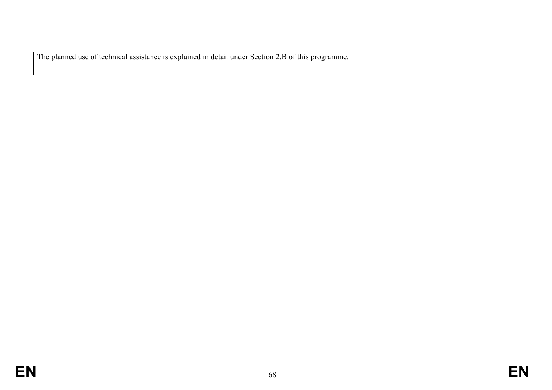The planned use of technical assistance is explained in detail under Section 2.B of this programme.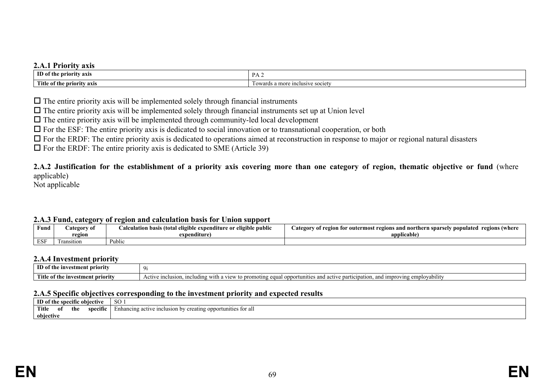## **2.A.1 Priority axis**

| ID<br>nrıorıtv<br>axıs                 | $D$ $\prime$<br>$\cdots$                                 |
|----------------------------------------|----------------------------------------------------------|
| Title.<br>nrı<br>axis<br>rıtv<br>- rne | more<br><b>LUSIVE SOCIETY</b><br>1n.<br>aros<br>∣∩w<br>. |

 $\Box$  The entire priority axis will be implemented solely through financial instruments

 $\Box$  The entire priority axis will be implemented solely through financial instruments set up at Union level

 $\Box$  The entire priority axis will be implemented through community-led local development

 $\Box$  For the ESF: The entire priority axis is dedicated to social innovation or to transnational cooperation, or both

 $\Box$  For the ERDF: The entire priority axis is dedicated to operations aimed at reconstruction in response to major or regional natural disasters

 $\Box$  For the ERDF: The entire priority axis is dedicated to SME (Article 39)

**2.A.2 Justification for the establishment of a priority axis covering more than one category of region, thematic objective or fund** (where applicable)

Not applicable

### **2.A.3 Fund, category of region and calculation basis for Union support**

| Fund       | 'ategory of | .<br>r eligible public-<br>dation basis (total 4<br>l eligible expenditure or l | regions (where<br>ategory<br>egion for outermost regions and northern sparsely $\cdot$<br>populated |
|------------|-------------|---------------------------------------------------------------------------------|-----------------------------------------------------------------------------------------------------|
|            | region      | expenditure                                                                     | $-$<br>applicable                                                                                   |
| <b>ESF</b> | ransition   | Public                                                                          |                                                                                                     |

#### **2.A.4 Investment priority**

| --------------------                             |                                                                                                                                                                                                                                         |  |
|--------------------------------------------------|-----------------------------------------------------------------------------------------------------------------------------------------------------------------------------------------------------------------------------------------|--|
| ID of<br>estment priority<br>- fh<br>1nv         | $\cdots$                                                                                                                                                                                                                                |  |
| Titk<br>$\Box$ of the investment priority $\Box$ | .<br>oppo<br>$\mathbf{u}$<br>T<br>uovability.<br>$\cdot$ ctive $\cdot$<br>equa<br>e inclusion<br>to prop<br>1mproving<br>unities ar<br>with<br>ioting<br>and 1<br>:1pation<br>-vartier<br>1ΑΠ<br>пісіцші<br><b>CHI</b><br>. <b>v</b> IL |  |

## **2.A.5 Specific objectives corresponding to the investment priority and expected results**

| ID of the specific objective |     |     | -SO-<br>OU.         |                                                                                |
|------------------------------|-----|-----|---------------------|--------------------------------------------------------------------------------|
| Title                        | -of | the | $\cdot$<br>specific | y creating opportunities for all<br>Enhancing<br>ive inclusion by<br>active in |
| objective                    |     |     |                     |                                                                                |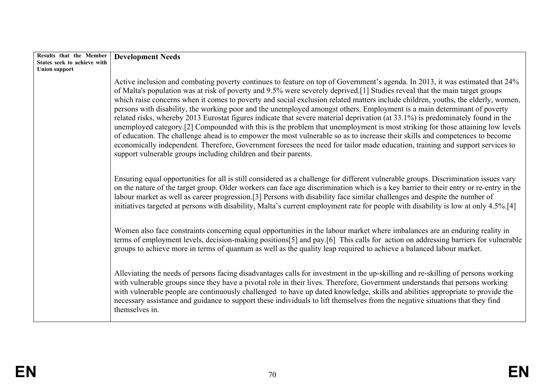| Results that the Member<br>States seek to achieve with | <b>Development Needs</b>                                                                                                                                                                                                                                                                                                                                                                                                                                                                                                                                                                                                                                                                                                                                                                                                                                                                                                                                                                                                                                                                                                             |
|--------------------------------------------------------|--------------------------------------------------------------------------------------------------------------------------------------------------------------------------------------------------------------------------------------------------------------------------------------------------------------------------------------------------------------------------------------------------------------------------------------------------------------------------------------------------------------------------------------------------------------------------------------------------------------------------------------------------------------------------------------------------------------------------------------------------------------------------------------------------------------------------------------------------------------------------------------------------------------------------------------------------------------------------------------------------------------------------------------------------------------------------------------------------------------------------------------|
| <b>Union support</b>                                   | Active inclusion and combating poverty continues to feature on top of Government's agenda. In 2013, it was estimated that 24%<br>of Malta's population was at risk of poverty and 9.5% were severely deprived.[1] Studies reveal that the main target groups<br>which raise concerns when it comes to poverty and social exclusion related matters include children, youths, the elderly, women,<br>persons with disability, the working poor and the unemployed amongst others. Employment is a main determinant of poverty<br>related risks, whereby 2013 Eurostat figures indicate that severe material deprivation (at 33.1%) is predominately found in the<br>unemployed category.[2] Compounded with this is the problem that unemployment is most striking for those attaining low levels<br>of education. The challenge ahead is to empower the most vulnerable so as to increase their skills and competences to become<br>economically independent. Therefore, Government foresees the need for tailor made education, training and support services to<br>support vulnerable groups including children and their parents. |
|                                                        | Ensuring equal opportunities for all is still considered as a challenge for different vulnerable groups. Discrimination issues vary<br>on the nature of the target group. Older workers can face age discrimination which is a key barrier to their entry or re-entry in the<br>labour market as well as career progression.[3] Persons with disability face similar challenges and despite the number of<br>initiatives targeted at persons with disability, Malta's current employment rate for people with disability is low at only 4.5%.[4]                                                                                                                                                                                                                                                                                                                                                                                                                                                                                                                                                                                     |
|                                                        | Women also face constraints concerning equal opportunities in the labour market where imbalances are an enduring reality in<br>terms of employment levels, decision-making positions[5] and pay.[6] This calls for action on addressing barriers for vulnerable<br>groups to achieve more in terms of quantum as well as the quality leap required to achieve a balanced labour market.                                                                                                                                                                                                                                                                                                                                                                                                                                                                                                                                                                                                                                                                                                                                              |
|                                                        | Alleviating the needs of persons facing disadvantages calls for investment in the up-skilling and re-skilling of persons working<br>with vulnerable groups since they have a pivotal role in their lives. Therefore, Government understands that persons working<br>with vulnerable people are continuously challenged to have up dated knowledge, skills and abilities appropriate to provide the<br>necessary assistance and guidance to support these individuals to lift themselves from the negative situations that they find<br>themselves in.                                                                                                                                                                                                                                                                                                                                                                                                                                                                                                                                                                                |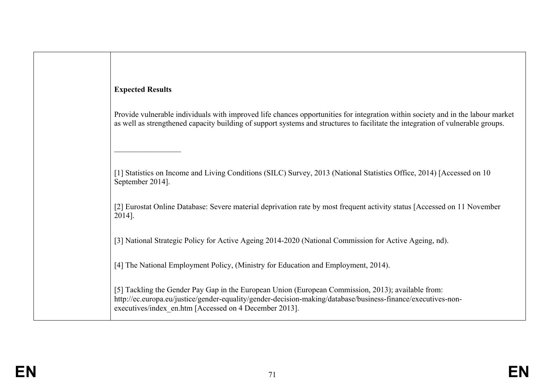# **Expected Results**

 $\overline{\phantom{a}}$  , where  $\overline{\phantom{a}}$ 

Provide vulnerable individuals with improved life chances opportunities for integration within society and in the labour market as well as strengthened capacity building of support systems and structures to facilitate the integration of vulnerable groups.

[1] Statistics on Income and Living Conditions (SILC) Survey, 2013 (National Statistics Office, 2014) [Accessed on 10 September 2014].

[2] Eurostat Online Database: Severe material deprivation rate by most frequent activity status [Accessed on 11 November 2014].

[3] National Strategic Policy for Active Ageing 2014-2020 (National Commission for Active Ageing, nd).

[4] The National Employment Policy, (Ministry for Education and Employment, 2014).

[5] Tackling the Gender Pay Gap in the European Union (European Commission, 2013); available from: http://ec.europa.eu/justice/gender-equality/gender-decision-making/database/business-finance/executives-nonexecutives/index\_en.htm [Accessed on 4 December 2013].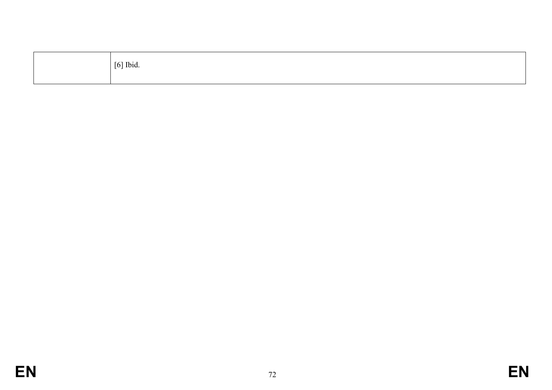| $[6]$ Ibid. |
|-------------|
|             |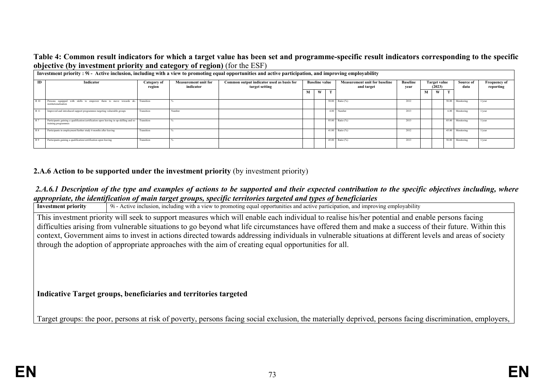### **Table 4: Common result indicators for which a target value has been set and programme-specific result indicators corresponding to the specific objective (by investment priority and category of region)** (for the ESF)

|                | Investment priority: 9i- Active inclusion, including with a view to promoting equal opportunities and active participation, and improving employability |                       |                                          |                                                             |   |                       |    |                                                    |                                                   |   |   |                   |                                  |                 |
|----------------|---------------------------------------------------------------------------------------------------------------------------------------------------------|-----------------------|------------------------------------------|-------------------------------------------------------------|---|-----------------------|----|----------------------------------------------------|---------------------------------------------------|---|---|-------------------|----------------------------------|-----------------|
| ID             | Indicator                                                                                                                                               | Category of<br>region | <b>Measurement unit for</b><br>indicator | Common output indicator used as basis for<br>target setting |   | <b>Baseline value</b> |    | <b>Measurement unit for baseline</b><br>and target | <b>Baseline</b><br>Target value<br>(2023)<br>year |   |   | Source of<br>data | <b>Frequency of</b><br>reporting |                 |
|                |                                                                                                                                                         |                       |                                          |                                                             | М | W                     | T. |                                                    |                                                   | М | W | <b>CONTINUES</b>  |                                  |                 |
| R 10           | Persons equipped with skills to empower them to move towards de- Transition<br>institutionalisation                                                     |                       |                                          |                                                             |   |                       |    | 50.00 Ratio (%)                                    | 2012                                              |   |   |                   | 50.00 Monitoring                 | 1/year          |
| R 11           | Improved and introduced support programmes targeting vulnerable groups                                                                                  | Transition            | Number                                   |                                                             |   |                       |    | 4.00 Number                                        | 2013                                              |   |   |                   | 6.00 Monitoring                  | 1/year          |
| R7             | Participants gaining a qualification/certification upon leaving in up-skilling and re-<br>Transition<br>training programmes                             |                       |                                          |                                                             |   |                       |    | 93.00 Ratio (%)                                    | 2013                                              |   |   |                   | 85.00 Monitoring                 | $1/\text{year}$ |
| R <sub>8</sub> | Participants in employment/further study 6 months after leaving                                                                                         | Transition            |                                          |                                                             |   |                       |    | 41.00 Ratio (%)                                    | 2012                                              |   |   |                   | 45.00 Monitoring                 | 1/year          |
| R <sub>9</sub> | Participants gaining a qualification/certification upon leaving                                                                                         | Transition            |                                          |                                                             |   |                       |    | 45.00 Ratio (%)                                    | 2013                                              |   |   |                   | 50.00 Monitoring                 | $1$ /year       |

### **2.A.6 Action to be supported under the investment priority** (by investment priority)

# *2.A.6.1 Description of the type and examples of actions to be supported and their expected contribution to the specific objectives including, where appropriate, the identification of main target groups, specific territories targeted and types of beneficiaries*<br>Investment priority  $\frac{1}{9}$  - Active inclusion, including with a view to promoting equal opportunities and

**Investment priority of the priority of the control of the participation** and improving employability 9i - Active inclusion, including with a view to promoting equal opportunities and active participation, and improving em This investment priority will seek to support measures which will enable each individual to realise his/her potential and enable persons facing difficulties arising from vulnerable situations to go beyond what life circumstances have offered them and make a success of their future. Within this context, Government aims to invest in actions directed towards addressing individuals in vulnerable situations at different levels and areas of society through the adoption of appropriate approaches with the aim of creating equal opportunities for all.

### **Indicative Target groups, beneficiaries and territories targeted**

Target groups: the poor, persons at risk of poverty, persons facing social exclusion, the materially deprived, persons facing discrimination, employers,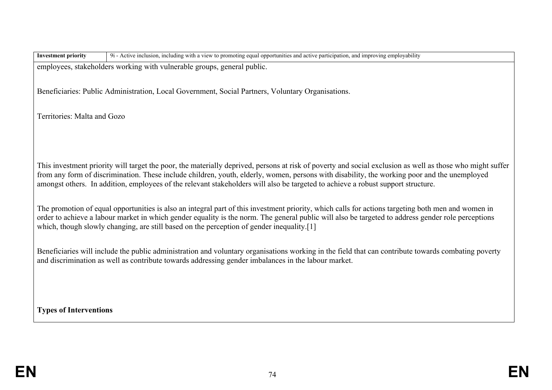| <b>Investment priority</b>    | 9i - Active inclusion, including with a view to promoting equal opportunities and active participation, and improving employability                                                                                                                                                                                                                                                                                                           |
|-------------------------------|-----------------------------------------------------------------------------------------------------------------------------------------------------------------------------------------------------------------------------------------------------------------------------------------------------------------------------------------------------------------------------------------------------------------------------------------------|
|                               | employees, stakeholders working with vulnerable groups, general public.                                                                                                                                                                                                                                                                                                                                                                       |
|                               | Beneficiaries: Public Administration, Local Government, Social Partners, Voluntary Organisations.                                                                                                                                                                                                                                                                                                                                             |
| Territories: Malta and Gozo   |                                                                                                                                                                                                                                                                                                                                                                                                                                               |
|                               |                                                                                                                                                                                                                                                                                                                                                                                                                                               |
|                               | This investment priority will target the poor, the materially deprived, persons at risk of poverty and social exclusion as well as those who might suffer<br>from any form of discrimination. These include children, youth, elderly, women, persons with disability, the working poor and the unemployed<br>amongst others. In addition, employees of the relevant stakeholders will also be targeted to achieve a robust support structure. |
|                               | The promotion of equal opportunities is also an integral part of this investment priority, which calls for actions targeting both men and women in<br>order to achieve a labour market in which gender equality is the norm. The general public will also be targeted to address gender role perceptions<br>which, though slowly changing, are still based on the perception of gender inequality.[1]                                         |
|                               | Beneficiaries will include the public administration and voluntary organisations working in the field that can contribute towards combating poverty<br>and discrimination as well as contribute towards addressing gender imbalances in the labour market.                                                                                                                                                                                    |
|                               |                                                                                                                                                                                                                                                                                                                                                                                                                                               |
| <b>Types of Interventions</b> |                                                                                                                                                                                                                                                                                                                                                                                                                                               |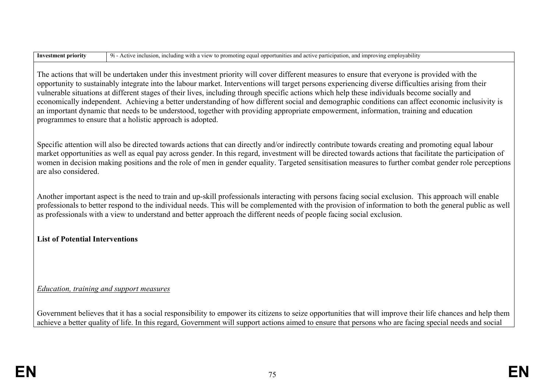| <b>Investment priority</b> | 9i - Active inclusion, including with a view to promoting equal opportunities and active participation, and improving employability |
|----------------------------|-------------------------------------------------------------------------------------------------------------------------------------|
|----------------------------|-------------------------------------------------------------------------------------------------------------------------------------|

The actions that will be undertaken under this investment priority will cover different measures to ensure that everyone is provided with the opportunity to sustainably integrate into the labour market. Interventions will target persons experiencing diverse difficulties arising from their vulnerable situations at different stages of their lives, including through specific actions which help these individuals become socially and economically independent. Achieving a better understanding of how different social and demographic conditions can affect economic inclusivity is an important dynamic that needs to be understood, together with providing appropriate empowerment, information, training and education programmes to ensure that a holistic approach is adopted.

Specific attention will also be directed towards actions that can directly and/or indirectly contribute towards creating and promoting equal labour market opportunities as well as equal pay across gender. In this regard, investment will be directed towards actions that facilitate the participation of women in decision making positions and the role of men in gender equality. Targeted sensitisation measures to further combat gender role perceptions are also considered.

Another important aspect is the need to train and up-skill professionals interacting with persons facing social exclusion. This approach will enable professionals to better respond to the individual needs. This will be complemented with the provision of information to both the general public as well as professionals with a view to understand and better approach the different needs of people facing social exclusion.

### **List of Potential Interventions**

### *Education, training and support measures*

Government believes that it has a social responsibility to empower its citizens to seize opportunities that will improve their life chances and help them achieve a better quality of life. In this regard, Government will support actions aimed to ensure that persons who are facing special needs and social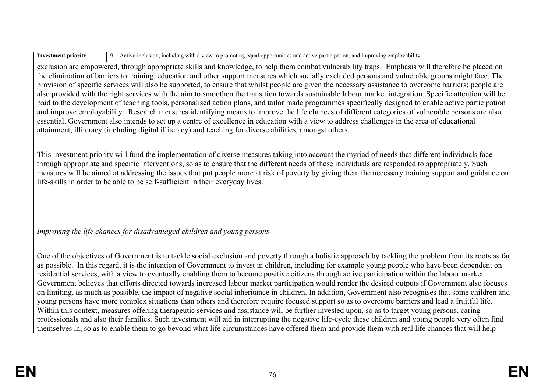**Investment priority** 9i - Active inclusion, including with a view to promoting equal opportunities and active participation, and improving employability

exclusion are empowered, through appropriate skills and knowledge, to help them combat vulnerability traps. Emphasis will therefore be placed on the elimination of barriers to training, education and other support measures which socially excluded persons and vulnerable groups might face. The provision of specific services will also be supported, to ensure that whilst people are given the necessary assistance to overcome barriers; people are also provided with the right services with the aim to smoothen the transition towards sustainable labour market integration. Specific attention will be paid to the development of teaching tools, personalised action plans, and tailor made programmes specifically designed to enable active participation and improve employability. Research measures identifying means to improve the life chances of different categories of vulnerable persons are also essential. Government also intends to set up a centre of excellence in education with a view to address challenges in the area of educational attainment, illiteracy (including digital illiteracy) and teaching for diverse abilities, amongst others.

This investment priority will fund the implementation of diverse measures taking into account the myriad of needs that different individuals face through appropriate and specific interventions, so as to ensure that the different needs of these individuals are responded to appropriately. Such measures will be aimed at addressing the issues that put people more at risk of poverty by giving them the necessary training support and guidance on life-skills in order to be able to be self-sufficient in their everyday lives.

## *Improving the life chances for disadvantaged children and young persons*

One of the objectives of Government is to tackle social exclusion and poverty through a holistic approach by tackling the problem from its roots as far as possible. In this regard, it is the intention of Government to invest in children, including for example young people who have been dependent on residential services, with a view to eventually enabling them to become positive citizens through active participation within the labour market. Government believes that efforts directed towards increased labour market participation would render the desired outputs if Government also focuses on limiting, as much as possible, the impact of negative social inheritance in children. In addition, Government also recognises that some children and young persons have more complex situations than others and therefore require focused support so as to overcome barriers and lead a fruitful life. Within this context, measures offering therapeutic services and assistance will be further invested upon, so as to target young persons, caring professionals and also their families. Such investment will aid in interrupting the negative life-cycle these children and young people very often find themselves in, so as to enable them to go beyond what life circumstances have offered them and provide them with real life chances that will help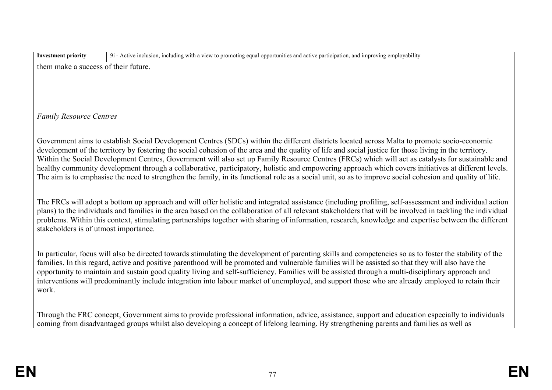| ent priority | $\cdots$<br>plovability<br>Activ<br>mitie:<br>$\lceil$ nation.<br>including<br><b>inclus</b><br>v<br>ına ım<br>oting<br>чm<br>/Ing<br>equal<br>.)DOFLU |
|--------------|--------------------------------------------------------------------------------------------------------------------------------------------------------|
| шакс         | future.                                                                                                                                                |
| <b>SULC</b>  | their                                                                                                                                                  |
| .            | $\mathbf{v}$                                                                                                                                           |

### *Family Resource Centres*

Government aims to establish Social Development Centres (SDCs) within the different districts located across Malta to promote socio-economic development of the territory by fostering the social cohesion of the area and the quality of life and social justice for those living in the territory. Within the Social Development Centres, Government will also set up Family Resource Centres (FRCs) which will act as catalysts for sustainable and healthy community development through a collaborative, participatory, holistic and empowering approach which covers initiatives at different levels. The aim is to emphasise the need to strengthen the family, in its functional role as a social unit, so as to improve social cohesion and quality of life.

The FRCs will adopt a bottom up approach and will offer holistic and integrated assistance (including profiling, self-assessment and individual action plans) to the individuals and families in the area based on the collaboration of all relevant stakeholders that will be involved in tackling the individual problems. Within this context, stimulating partnerships together with sharing of information, research, knowledge and expertise between the different stakeholders is of utmost importance.

In particular, focus will also be directed towards stimulating the development of parenting skills and competencies so as to foster the stability of the families. In this regard, active and positive parenthood will be promoted and vulnerable families will be assisted so that they will also have the opportunity to maintain and sustain good quality living and self-sufficiency. Families will be assisted through a multi-disciplinary approach and interventions will predominantly include integration into labour market of unemployed, and support those who are already employed to retain their work.

Through the FRC concept, Government aims to provide professional information, advice, assistance, support and education especially to individuals coming from disadvantaged groups whilst also developing a concept of lifelong learning. By strengthening parents and families as well as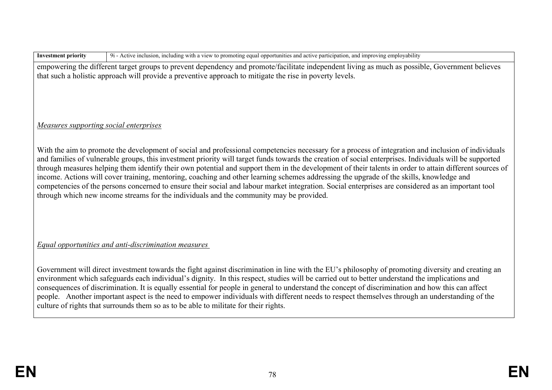**Investment priority** 9i - Active inclusion, including with a view to promoting equal opportunities and active participation, and improving employability

empowering the different target groups to prevent dependency and promote/facilitate independent living as much as possible, Government believes that such a holistic approach will provide a preventive approach to mitigate the rise in poverty levels.

### *Measures supporting social enterprises*

With the aim to promote the development of social and professional competencies necessary for a process of integration and inclusion of individuals and families of vulnerable groups, this investment priority will target funds towards the creation of social enterprises. Individuals will be supported through measures helping them identify their own potential and support them in the development of their talents in order to attain different sources of income. Actions will cover training, mentoring, coaching and other learning schemes addressing the upgrade of the skills, knowledge and competencies of the persons concerned to ensure their social and labour market integration. Social enterprises are considered as an important tool through which new income streams for the individuals and the community may be provided.

### *Equal opportunities and anti-discrimination measures*

Government will direct investment towards the fight against discrimination in line with the EU's philosophy of promoting diversity and creating an environment which safeguards each individual's dignity. In this respect, studies will be carried out to better understand the implications and consequences of discrimination. It is equally essential for people in general to understand the concept of discrimination and how this can affect people. Another important aspect is the need to empower individuals with different needs to respect themselves through an understanding of the culture of rights that surrounds them so as to be able to militate for their rights.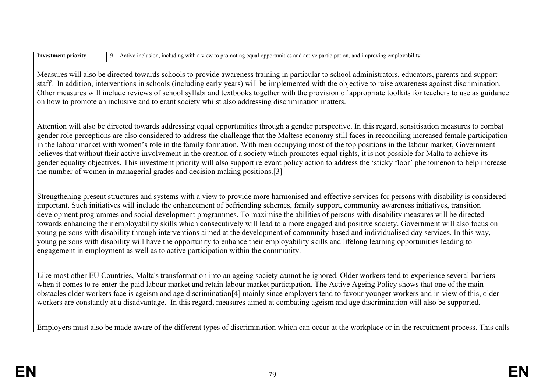| <b>Investment priority</b> | Active inclusion, including with a view to promoting equal opportunities and active participation, and improving employability<br>$Q_{1}$<br>Active inclusion. |
|----------------------------|----------------------------------------------------------------------------------------------------------------------------------------------------------------|
|----------------------------|----------------------------------------------------------------------------------------------------------------------------------------------------------------|

Measures will also be directed towards schools to provide awareness training in particular to school administrators, educators, parents and support staff. In addition, interventions in schools (including early years) will be implemented with the objective to raise awareness against discrimination. Other measures will include reviews of school syllabi and textbooks together with the provision of appropriate toolkits for teachers to use as guidance on how to promote an inclusive and tolerant society whilst also addressing discrimination matters.

Attention will also be directed towards addressing equal opportunities through a gender perspective. In this regard, sensitisation measures to combat gender role perceptions are also considered to address the challenge that the Maltese economy still faces in reconciling increased female participation in the labour market with women's role in the family formation. With men occupying most of the top positions in the labour market, Government believes that without their active involvement in the creation of a society which promotes equal rights, it is not possible for Malta to achieve its gender equality objectives. This investment priority will also support relevant policy action to address the 'sticky floor' phenomenon to help increase the number of women in managerial grades and decision making positions.[3]

Strengthening present structures and systems with a view to provide more harmonised and effective services for persons with disability is considered important. Such initiatives will include the enhancement of befriending schemes, family support, community awareness initiatives, transition development programmes and social development programmes. To maximise the abilities of persons with disability measures will be directed towards enhancing their employability skills which consecutively will lead to a more engaged and positive society. Government will also focus on young persons with disability through interventions aimed at the development of community-based and individualised day services. In this way, young persons with disability will have the opportunity to enhance their employability skills and lifelong learning opportunities leading to engagement in employment as well as to active participation within the community.

Like most other EU Countries, Malta's transformation into an ageing society cannot be ignored. Older workers tend to experience several barriers when it comes to re-enter the paid labour market and retain labour market participation. The Active Ageing Policy shows that one of the main obstacles older workers face is ageism and age discrimination[4] mainly since employers tend to favour younger workers and in view of this, older workers are constantly at a disadvantage. In this regard, measures aimed at combating ageism and age discrimination will also be supported.

Employers must also be made aware of the different types of discrimination which can occur at the workplace or in the recruitment process. This calls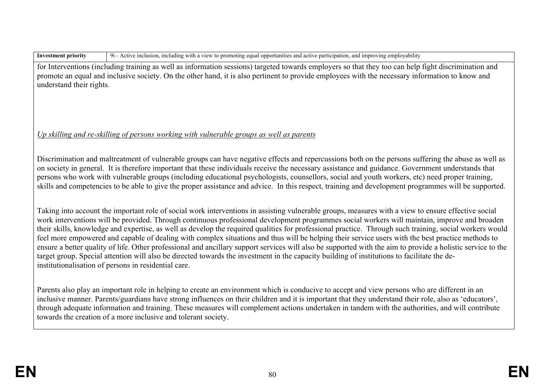| <b>Investment priorit</b> |  |  |
|---------------------------|--|--|
|---------------------------|--|--|

**IVEL 2** 9i - Active inclusion, including with a view to promoting equal opportunities and active participation, and improving employability

for Interventions (including training as well as information sessions) targeted towards employers so that they too can help fight discrimination and promote an equal and inclusive society. On the other hand, it is also pertinent to provide employees with the necessary information to know and understand their rights.

### *Up skilling and re-skilling of persons working with vulnerable groups as well as parents*

Discrimination and maltreatment of vulnerable groups can have negative effects and repercussions both on the persons suffering the abuse as well as on society in general. It is therefore important that these individuals receive the necessary assistance and guidance. Government understands that persons who work with vulnerable groups (including educational psychologists, counsellors, social and youth workers, etc) need proper training, skills and competencies to be able to give the proper assistance and advice. In this respect, training and development programmes will be supported.

Taking into account the important role of social work interventions in assisting vulnerable groups, measures with a view to ensure effective social work interventions will be provided. Through continuous professional development programmes social workers will maintain, improve and broaden their skills, knowledge and expertise, as well as develop the required qualities for professional practice. Through such training, social workers would feel more empowered and capable of dealing with complex situations and thus will be helping their service users with the best practice methods to ensure a better quality of life. Other professional and ancillary support services will also be supported with the aim to provide a holistic service to the target group. Special attention will also be directed towards the investment in the capacity building of institutions to facilitate the deinstitutionalisation of persons in residential care.

Parents also play an important role in helping to create an environment which is conducive to accept and view persons who are different in an inclusive manner. Parents/guardians have strong influences on their children and it is important that they understand their role, also as 'educators', through adequate information and training. These measures will complement actions undertaken in tandem with the authorities, and will contribute towards the creation of a more inclusive and tolerant society.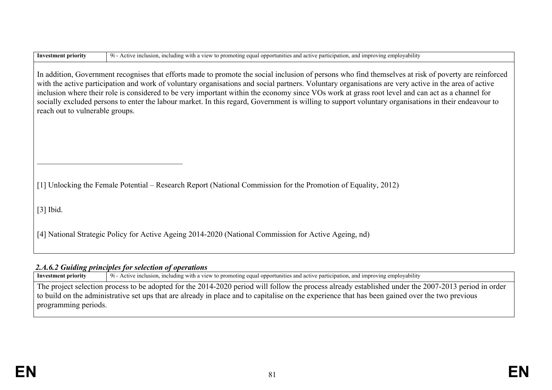| <b>Investment priority</b>                                                                                                                                                                                                                                                                                                                                                                                                                                                                                                                                                                                                                                   | 9i - Active inclusion, including with a view to promoting equal opportunities and active participation, and improving employability |  |  |  |  |  |
|--------------------------------------------------------------------------------------------------------------------------------------------------------------------------------------------------------------------------------------------------------------------------------------------------------------------------------------------------------------------------------------------------------------------------------------------------------------------------------------------------------------------------------------------------------------------------------------------------------------------------------------------------------------|-------------------------------------------------------------------------------------------------------------------------------------|--|--|--|--|--|
| In addition, Government recognises that efforts made to promote the social inclusion of persons who find themselves at risk of poverty are reinforced<br>with the active participation and work of voluntary organisations and social partners. Voluntary organisations are very active in the area of active<br>inclusion where their role is considered to be very important within the economy since VOs work at grass root level and can act as a channel for<br>socially excluded persons to enter the labour market. In this regard, Government is willing to support voluntary organisations in their endeavour to<br>reach out to vulnerable groups. |                                                                                                                                     |  |  |  |  |  |
|                                                                                                                                                                                                                                                                                                                                                                                                                                                                                                                                                                                                                                                              | [1] Unlocking the Female Potential – Research Report (National Commission for the Promotion of Equality, 2012)                      |  |  |  |  |  |
| $[3]$ Ibid.                                                                                                                                                                                                                                                                                                                                                                                                                                                                                                                                                                                                                                                  |                                                                                                                                     |  |  |  |  |  |
|                                                                                                                                                                                                                                                                                                                                                                                                                                                                                                                                                                                                                                                              | [4] National Strategic Policy for Active Ageing 2014-2020 (National Commission for Active Ageing, nd)                               |  |  |  |  |  |

### *2.A.6.2 Guiding principles for selection of operations*

**Investment priority** 9i - Active inclusion, including with a view to promoting equal opportunities and active participation, and improving employability The project selection process to be adopted for the 2014-2020 period will follow the process already established under the 2007-2013 period in order to build on the administrative set ups that are already in place and to capitalise on the experience that has been gained over the two previous programming periods.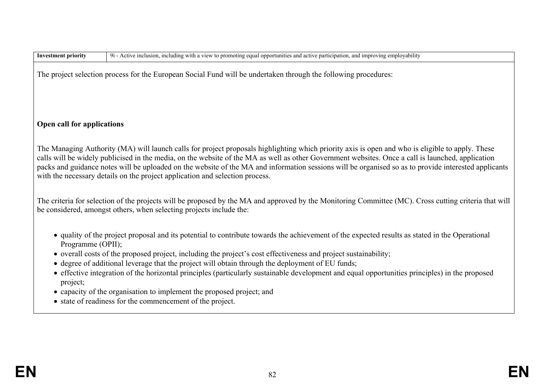| <b>Investment priority</b>    | 9i - Active inclusion, including with a view to promoting equal opportunities and active participation, and improving employability                                                                                                                                                                                                                                                                                                                                                                                                                                                                                                                           |
|-------------------------------|---------------------------------------------------------------------------------------------------------------------------------------------------------------------------------------------------------------------------------------------------------------------------------------------------------------------------------------------------------------------------------------------------------------------------------------------------------------------------------------------------------------------------------------------------------------------------------------------------------------------------------------------------------------|
|                               | The project selection process for the European Social Fund will be undertaken through the following procedures:                                                                                                                                                                                                                                                                                                                                                                                                                                                                                                                                               |
| Open call for applications    |                                                                                                                                                                                                                                                                                                                                                                                                                                                                                                                                                                                                                                                               |
|                               | The Managing Authority (MA) will launch calls for project proposals highlighting which priority axis is open and who is eligible to apply. These<br>calls will be widely publicised in the media, on the website of the MA as well as other Government websites. Once a call is launched, application<br>packs and guidance notes will be uploaded on the website of the MA and information sessions will be organised so as to provide interested applicants<br>with the necessary details on the project application and selection process.                                                                                                                 |
|                               | The criteria for selection of the projects will be proposed by the MA and approved by the Monitoring Committee (MC). Cross cutting criteria that will<br>be considered, amongst others, when selecting projects include the:                                                                                                                                                                                                                                                                                                                                                                                                                                  |
| Programme (OPII);<br>project; | • quality of the project proposal and its potential to contribute towards the achievement of the expected results as stated in the Operational<br>• overall costs of the proposed project, including the project's cost effectiveness and project sustainability;<br>• degree of additional leverage that the project will obtain through the deployment of EU funds;<br>• effective integration of the horizontal principles (particularly sustainable development and equal opportunities principles) in the proposed<br>• capacity of the organisation to implement the proposed project; and<br>• state of readiness for the commencement of the project. |
|                               |                                                                                                                                                                                                                                                                                                                                                                                                                                                                                                                                                                                                                                                               |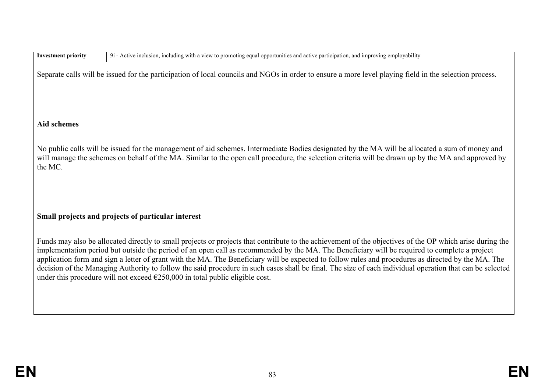| <b>Investment priority</b> | 9i - Active inclusion, including with a view to promoting equal opportunities and active participation, and improving employability                                                                                                                                                                                                                                                                                                                                                                                                                                                                                                                                                                                    |
|----------------------------|------------------------------------------------------------------------------------------------------------------------------------------------------------------------------------------------------------------------------------------------------------------------------------------------------------------------------------------------------------------------------------------------------------------------------------------------------------------------------------------------------------------------------------------------------------------------------------------------------------------------------------------------------------------------------------------------------------------------|
|                            | Separate calls will be issued for the participation of local councils and NGOs in order to ensure a more level playing field in the selection process.                                                                                                                                                                                                                                                                                                                                                                                                                                                                                                                                                                 |
| <b>Aid schemes</b>         |                                                                                                                                                                                                                                                                                                                                                                                                                                                                                                                                                                                                                                                                                                                        |
| the MC.                    | No public calls will be issued for the management of aid schemes. Intermediate Bodies designated by the MA will be allocated a sum of money and<br>will manage the schemes on behalf of the MA. Similar to the open call procedure, the selection criteria will be drawn up by the MA and approved by                                                                                                                                                                                                                                                                                                                                                                                                                  |
|                            | Small projects and projects of particular interest                                                                                                                                                                                                                                                                                                                                                                                                                                                                                                                                                                                                                                                                     |
|                            | Funds may also be allocated directly to small projects or projects that contribute to the achievement of the objectives of the OP which arise during the<br>implementation period but outside the period of an open call as recommended by the MA. The Beneficiary will be required to complete a project<br>application form and sign a letter of grant with the MA. The Beneficiary will be expected to follow rules and procedures as directed by the MA. The<br>decision of the Managing Authority to follow the said procedure in such cases shall be final. The size of each individual operation that can be selected<br>under this procedure will not exceed $\epsilon$ 250,000 in total public eligible cost. |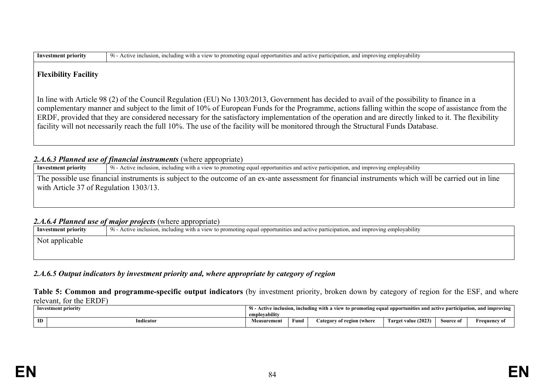| 9i.<br>onnort<br>vability<br>-Inv<br>eaua<br>.<br>$^{\circ}$<br>active<br>inclijs<br>with<br>് moting പ<br>A C†1V<br>-10rit <sup>.</sup><br>a improv<br>and<br>na.<br>estm<br>$\cdots$<br>nu |  |
|----------------------------------------------------------------------------------------------------------------------------------------------------------------------------------------------|--|
|----------------------------------------------------------------------------------------------------------------------------------------------------------------------------------------------|--|

#### **Flexibility Facility**

In line with Article 98 (2) of the Council Regulation (EU) No 1303/2013, Government has decided to avail of the possibility to finance in a complementary manner and subject to the limit of 10% of European Funds for the Programme, actions falling within the scope of assistance from the ERDF, provided that they are considered necessary for the satisfactory implementation of the operation and are directly linked to it. The flexibility facility will not necessarily reach the full 10%. The use of the facility will be monitored through the Structural Funds Database.

#### 2.*A.6.3 Planned use of financial instruments* (where appropriate)

**Investment priority** 9i - Active inclusion, including with a view to promoting equal opportunities and active participation, and improving employability

The possible use financial instruments is subject to the outcome of an ex-ante assessment for financial instruments which will be carried out in line with Article 37 of Regulation 1303/13.

#### *2.A.6.4 Planned use of major projects* (where appropriate)

**Investment priority** 9i - Active inclusion, including with a view to promoting equal opportunities and active participation, and improving employability Not applicable

#### *2.A.6.5 Output indicators by investment priority and, where appropriate by category of region*

**Table 5: Common and programme-specific output indicators** (by investment priority, broken down by category of region for the ESF, and where relevant, for the ERDF)

| Investment priority |    |          | inclusion, including with a view to promoting equal opportunities and active participation, and improving<br>91 - Active |      |                           |                     |           |                     |  |
|---------------------|----|----------|--------------------------------------------------------------------------------------------------------------------------|------|---------------------------|---------------------|-----------|---------------------|--|
|                     |    |          | .<br>employability                                                                                                       |      |                           |                     |           |                     |  |
|                     | ID | ndicator | <b>Measurement</b>                                                                                                       | ∀und | ategory of region (where) | Target value (2023) | Source of | <b>Frequency of</b> |  |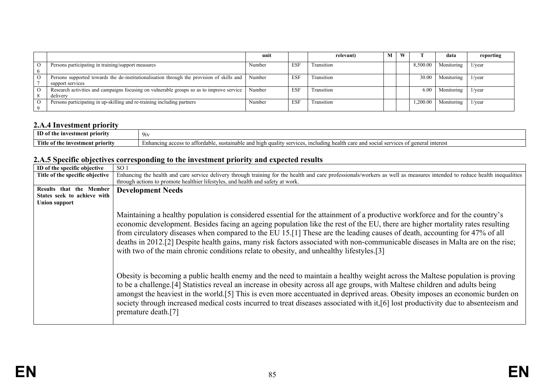|          |                                                                                           | unit   |            | relevant)  | M | W |          | data       | reporting       |
|----------|-------------------------------------------------------------------------------------------|--------|------------|------------|---|---|----------|------------|-----------------|
| $\Omega$ | Persons participating in training/support measures                                        | Number | <b>ESF</b> | Transition |   |   | 8.500.00 | Monitoring | 1/year          |
|          |                                                                                           |        |            |            |   |   |          |            |                 |
| $\circ$  | Persons supported towards the de-institutionalisation through the provision of skills and | Number | <b>ESF</b> | Transition |   |   | 30.00    | Monitoring | $1/\text{year}$ |
|          | support services                                                                          |        |            |            |   |   |          |            |                 |
|          | Research activities and campaigns focusing on vulnerable groups so as to improve service  | Number | <b>ESF</b> | Transition |   |   | 6.00     | Monitoring | $1/\text{year}$ |
|          | delivery                                                                                  |        |            |            |   |   |          |            |                 |
| $\Omega$ | Persons participating in up-skilling and re-training including partners                   | Number | <b>ESF</b> | Transition |   |   | .200.00  | Monitoring | $1/\text{year}$ |
|          |                                                                                           |        |            |            |   |   |          |            |                 |

### **2.A.4 Investment priority**

| ID of<br>: priority<br>- investmei<br>.ent-<br>πne | 9 <sub>iv</sub>                                                                                                                                                                      |
|----------------------------------------------------|--------------------------------------------------------------------------------------------------------------------------------------------------------------------------------------|
| Title<br>ot th<br>estment priority<br>1nv          | health<br>high<br>interes<br>Enhancin<br>affordab'<br>ıclud<br>and soc<br>susta<br><b>OFT</b><br>aabit<br>$\alpha$<br>$^{\circ}$<br>orc<br>הייר<br>anu<br>uuan<br>au<br>ai c<br>1 v. |

### **2.A.5 Specific objectives corresponding to the investment priority and expected results**

| ID of the specific objective    | SO <sub>1</sub>                                                                                                                                                                                                                                                                                                                                                                                                                                                                                                                                                                                                        |
|---------------------------------|------------------------------------------------------------------------------------------------------------------------------------------------------------------------------------------------------------------------------------------------------------------------------------------------------------------------------------------------------------------------------------------------------------------------------------------------------------------------------------------------------------------------------------------------------------------------------------------------------------------------|
| Title of the specific objective | Enhancing the health and care service delivery through training for the health and care professionals/workers as well as measures intended to reduce health inequalities                                                                                                                                                                                                                                                                                                                                                                                                                                               |
|                                 | through actions to promote healthier lifestyles, and health and safety at work.                                                                                                                                                                                                                                                                                                                                                                                                                                                                                                                                        |
| Results that the Member         | <b>Development Needs</b>                                                                                                                                                                                                                                                                                                                                                                                                                                                                                                                                                                                               |
| States seek to achieve with     |                                                                                                                                                                                                                                                                                                                                                                                                                                                                                                                                                                                                                        |
| Union support                   |                                                                                                                                                                                                                                                                                                                                                                                                                                                                                                                                                                                                                        |
|                                 | Maintaining a healthy population is considered essential for the attainment of a productive workforce and for the country's<br>economic development. Besides facing an ageing population like the rest of the EU, there are higher mortality rates resulting<br>from circulatory diseases when compared to the EU 15.[1] These are the leading causes of death, accounting for 47% of all<br>deaths in 2012.[2] Despite health gains, many risk factors associated with non-communicable diseases in Malta are on the rise;<br>with two of the main chronic conditions relate to obesity, and unhealthy lifestyles.[3] |
|                                 | Obesity is becoming a public health enemy and the need to maintain a healthy weight across the Maltese population is proving<br>to be a challenge. <sup>[4]</sup> Statistics reveal an increase in obesity across all age groups, with Maltese children and adults being<br>amongst the heaviest in the world.[5] This is even more accentuated in deprived areas. Obesity imposes an economic burden on<br>society through increased medical costs incurred to treat diseases associated with it,[6] lost productivity due to absenteeism and<br>premature death.[7]                                                  |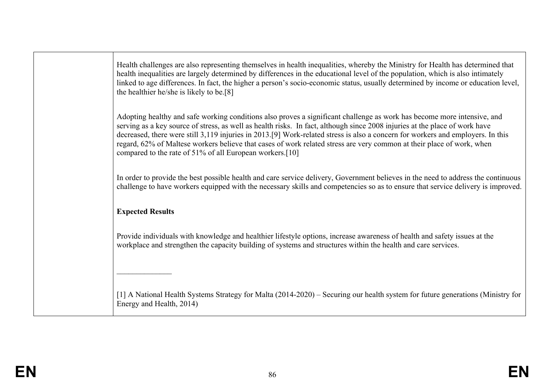Health challenges are also representing themselves in health inequalities, whereby the Ministry for Health has determined that health inequalities are largely determined by differences in the educational level of the population, which is also intimately linked to age differences. In fact, the higher a person's socio-economic status, usually determined by income or education level, the healthier he/she is likely to be.[8]

Adopting healthy and safe working conditions also proves a significant challenge as work has become more intensive, and serving as a key source of stress, as well as health risks. In fact, although since 2008 injuries at the place of work have decreased, there were still 3,119 injuries in 2013.[9] Work-related stress is also a concern for workers and employers. In this regard, 62% of Maltese workers believe that cases of work related stress are very common at their place of work, when compared to the rate of 51% of all European workers.[10]

In order to provide the best possible health and care service delivery, Government believes in the need to address the continuous challenge to have workers equipped with the necessary skills and competencies so as to ensure that service delivery is improved.

### **Expected Results**

 $\frac{1}{2}$ 

Provide individuals with knowledge and healthier lifestyle options, increase awareness of health and safety issues at the workplace and strengthen the capacity building of systems and structures within the health and care services.

[1] A National Health Systems Strategy for Malta (2014-2020) – Securing our health system for future generations (Ministry for Energy and Health, 2014)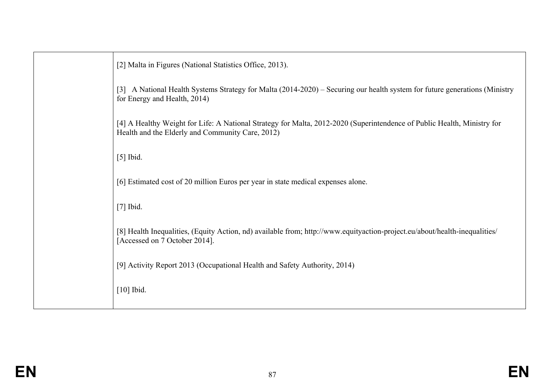| [2] Malta in Figures (National Statistics Office, 2013).                                                                                                                    |
|-----------------------------------------------------------------------------------------------------------------------------------------------------------------------------|
| A National Health Systems Strategy for Malta (2014-2020) – Securing our health system for future generations (Ministry<br>$\lceil 3 \rceil$<br>for Energy and Health, 2014) |
| [4] A Healthy Weight for Life: A National Strategy for Malta, 2012-2020 (Superintendence of Public Health, Ministry for<br>Health and the Elderly and Community Care, 2012) |
| $[5]$ Ibid.                                                                                                                                                                 |
| [6] Estimated cost of 20 million Euros per year in state medical expenses alone.                                                                                            |
| $[7]$ Ibid.                                                                                                                                                                 |
| [8] Health Inequalities, (Equity Action, nd) available from; http://www.equityaction-project.eu/about/health-inequalities/<br>[Accessed on 7 October 2014].                 |
| [9] Activity Report 2013 (Occupational Health and Safety Authority, 2014)                                                                                                   |
| $[10]$ Ibid.                                                                                                                                                                |
|                                                                                                                                                                             |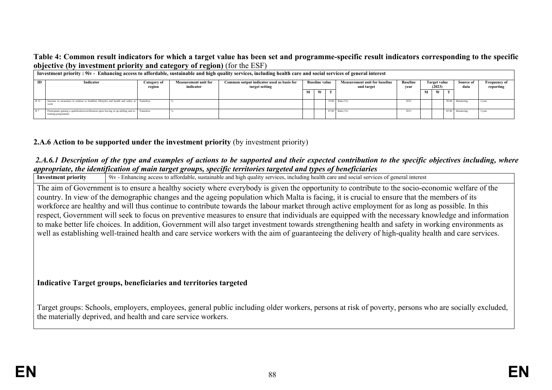### **Table 4: Common result indicators for which a target value has been set and programme-specific result indicators corresponding to the specific objective (by investment priority and category of region)** (for the ESF)

|      | Investment priority : 9iv - Enhancing access to affordable, sustainable and high quality services, including health care and social services of general interest |                       | -                                        |                                                             |                       |   |  |                   |                                                    |   |                         |  |                                       |                 |           |                                  |
|------|------------------------------------------------------------------------------------------------------------------------------------------------------------------|-----------------------|------------------------------------------|-------------------------------------------------------------|-----------------------|---|--|-------------------|----------------------------------------------------|---|-------------------------|--|---------------------------------------|-----------------|-----------|----------------------------------|
| ID   | Indicator                                                                                                                                                        | Category of<br>region | <b>Measurement unit for</b><br>indicator | Common output indicator used as basis for<br>target setting | <b>Baseline value</b> |   |  |                   | <b>Measurement unit for baseline</b><br>and target |   | <b>Baseline</b><br>vear |  | <b>Target value</b><br>(2023)<br>data |                 | Source of | <b>Frequency of</b><br>reporting |
|      |                                                                                                                                                                  |                       |                                          |                                                             |                       | W |  |                   |                                                    | M | W                       |  |                                       |                 |           |                                  |
| R 12 | Increase in awareness in relation to healthier lifestyles and health and safety at Transition<br>work                                                            |                       |                                          |                                                             |                       |   |  | 19.00 Ratio $(%)$ | 2012                                               |   |                         |  | 50.00 Monitoring                      | $1$ /year       |           |                                  |
|      | Participants gaining a qualification/certification upon leaving in up-skilling and re- Transition<br>training programmes                                         |                       |                                          |                                                             |                       |   |  | 87.00 Ratio (%)   | 2013                                               |   |                         |  | 85.00 Monitoring                      | $1/\text{year}$ |           |                                  |

### **2.A.6 Action to be supported under the investment priority** (by investment priority)

the materially deprived, and health and care service workers.

# *2.A.6.1 Description of the type and examples of actions to be supported and their expected contribution to the specific objectives including, where appropriate, the identification of main target groups, specific territories targeted and types of beneficiaries*<br>Investment priority 19iv - Enhancing access to affordable, sustainable and high quality services, including

**Investment priority** 9iv - Enhancing access to affordable, sustainable and high quality services, including health care and social services of general interest The aim of Government is to ensure a healthy society where everybody is given the opportunity to contribute to the socio-economic welfare of the country. In view of the demographic changes and the ageing population which Malta is facing, it is crucial to ensure that the members of its workforce are healthy and will thus continue to contribute towards the labour market through active employment for as long as possible. In this respect, Government will seek to focus on preventive measures to ensure that individuals are equipped with the necessary knowledge and information to make better life choices. In addition, Government will also target investment towards strengthening health and safety in working environments as well as establishing well-trained health and care service workers with the aim of guaranteeing the delivery of high-quality health and care services. **Indicative Target groups, beneficiaries and territories targeted** Target groups: Schools, employers, employees, general public including older workers, persons at risk of poverty, persons who are socially excluded,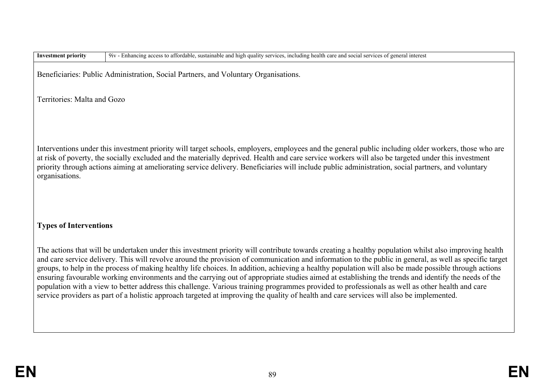| <b>Investment priority</b>    | 9iv - Enhancing access to affordable, sustainable and high quality services, including health care and social services of general interest                                                                                                                                                                                                                                                                                                                                                                                                                                                                                                                                                                                                                                                                                                                                                                                      |
|-------------------------------|---------------------------------------------------------------------------------------------------------------------------------------------------------------------------------------------------------------------------------------------------------------------------------------------------------------------------------------------------------------------------------------------------------------------------------------------------------------------------------------------------------------------------------------------------------------------------------------------------------------------------------------------------------------------------------------------------------------------------------------------------------------------------------------------------------------------------------------------------------------------------------------------------------------------------------|
|                               | Beneficiaries: Public Administration, Social Partners, and Voluntary Organisations.                                                                                                                                                                                                                                                                                                                                                                                                                                                                                                                                                                                                                                                                                                                                                                                                                                             |
| Territories: Malta and Gozo   |                                                                                                                                                                                                                                                                                                                                                                                                                                                                                                                                                                                                                                                                                                                                                                                                                                                                                                                                 |
| organisations.                | Interventions under this investment priority will target schools, employers, employees and the general public including older workers, those who are<br>at risk of poverty, the socially excluded and the materially deprived. Health and care service workers will also be targeted under this investment<br>priority through actions aiming at ameliorating service delivery. Beneficiaries will include public administration, social partners, and voluntary                                                                                                                                                                                                                                                                                                                                                                                                                                                                |
| <b>Types of Interventions</b> |                                                                                                                                                                                                                                                                                                                                                                                                                                                                                                                                                                                                                                                                                                                                                                                                                                                                                                                                 |
|                               | The actions that will be undertaken under this investment priority will contribute towards creating a healthy population whilst also improving health<br>and care service delivery. This will revolve around the provision of communication and information to the public in general, as well as specific target<br>groups, to help in the process of making healthy life choices. In addition, achieving a healthy population will also be made possible through actions<br>ensuring favourable working environments and the carrying out of appropriate studies aimed at establishing the trends and identify the needs of the<br>population with a view to better address this challenge. Various training programmes provided to professionals as well as other health and care<br>service providers as part of a holistic approach targeted at improving the quality of health and care services will also be implemented. |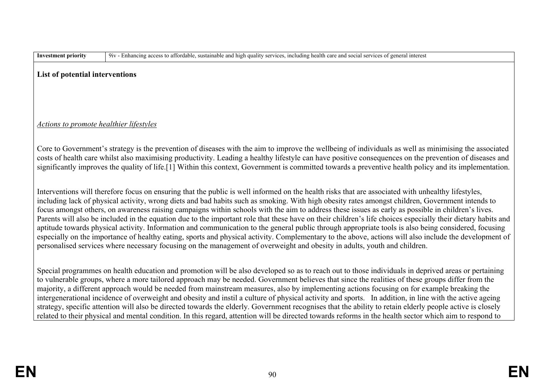| nvestment priority |  |
|--------------------|--|
|--------------------|--|

**Investment priority** 9iv - Enhancing access to affordable, sustainable and high quality services, including health care and social services of general interest

#### **List of potential interventions**

### *Actions to promote healthier lifestyles*

Core to Government's strategy is the prevention of diseases with the aim to improve the wellbeing of individuals as well as minimising the associated costs of health care whilst also maximising productivity. Leading a healthy lifestyle can have positive consequences on the prevention of diseases and significantly improves the quality of life.[1] Within this context, Government is committed towards a preventive health policy and its implementation.

Interventions will therefore focus on ensuring that the public is well informed on the health risks that are associated with unhealthy lifestyles, including lack of physical activity, wrong diets and bad habits such as smoking. With high obesity rates amongst children, Government intends to focus amongst others, on awareness raising campaigns within schools with the aim to address these issues as early as possible in children's lives. Parents will also be included in the equation due to the important role that these have on their children's life choices especially their dietary habits and aptitude towards physical activity. Information and communication to the general public through appropriate tools is also being considered, focusing especially on the importance of healthy eating, sports and physical activity. Complementary to the above, actions will also include the development of personalised services where necessary focusing on the management of overweight and obesity in adults, youth and children.

Special programmes on health education and promotion will be also developed so as to reach out to those individuals in deprived areas or pertaining to vulnerable groups, where a more tailored approach may be needed. Government believes that since the realities of these groups differ from the majority, a different approach would be needed from mainstream measures, also by implementing actions focusing on for example breaking the intergenerational incidence of overweight and obesity and instil a culture of physical activity and sports. In addition, in line with the active ageing strategy, specific attention will also be directed towards the elderly. Government recognises that the ability to retain elderly people active is closely related to their physical and mental condition. In this regard, attention will be directed towards reforms in the health sector which aim to respond to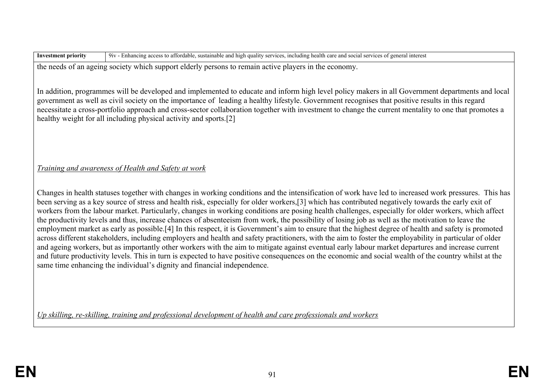| <b>Investment priority</b> | 9iv - Enhancing access to affordable, sustainable and high quality services, including health care and social services of general interest                                                                                                              |
|----------------------------|---------------------------------------------------------------------------------------------------------------------------------------------------------------------------------------------------------------------------------------------------------|
|                            | $A = 1$ ( $C = 1$ ) $A = 1$ ( $A = 1$ ) $A = 1$ ( $A = 1$ ) $A = 1$ ( $A = 1$ ) $A = 1$ ( $A = 1$ ) $A = 1$ ( $A = 1$ ) $A = 1$ ( $A = 1$ ) $A = 1$ ( $A = 1$ ) $A = 1$ ( $A = 1$ ) $A = 1$ ( $A = 1$ ) $A = 1$ ( $A = 1$ ) $A = 1$ ( $A = 1$ ) $A = 1$ |

the needs of an ageing society which support elderly persons to remain active players in the economy.

In addition, programmes will be developed and implemented to educate and inform high level policy makers in all Government departments and local government as well as civil society on the importance of leading a healthy lifestyle. Government recognises that positive results in this regard necessitate a cross-portfolio approach and cross-sector collaboration together with investment to change the current mentality to one that promotes a healthy weight for all including physical activity and sports.[2]

### *Training and awareness of Health and Safety at work*

Changes in health statuses together with changes in working conditions and the intensification of work have led to increased work pressures. This has been serving as a key source of stress and health risk, especially for older workers,[3] which has contributed negatively towards the early exit of workers from the labour market. Particularly, changes in working conditions are posing health challenges, especially for older workers, which affect the productivity levels and thus, increase chances of absenteeism from work, the possibility of losing job as well as the motivation to leave the employment market as early as possible.[4] In this respect, it is Government's aim to ensure that the highest degree of health and safety is promoted across different stakeholders, including employers and health and safety practitioners, with the aim to foster the employability in particular of older and ageing workers, but as importantly other workers with the aim to mitigate against eventual early labour market departures and increase current and future productivity levels. This in turn is expected to have positive consequences on the economic and social wealth of the country whilst at the same time enhancing the individual's dignity and financial independence.

*Up skilling, re-skilling, training and professional development of health and care professionals and workers*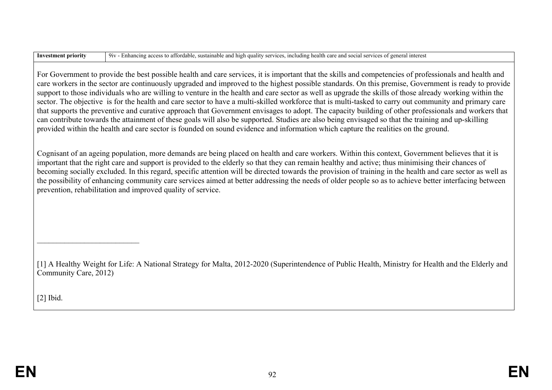and high quality services, including health care and social services of general interest

For Government to provide the best possible health and care services, it is important that the skills and competencies of professionals and health and care workers in the sector are continuously upgraded and improved to the highest possible standards. On this premise, Government is ready to provide support to those individuals who are willing to venture in the health and care sector as well as upgrade the skills of those already working within the sector. The objective is for the health and care sector to have a multi-skilled workforce that is multi-tasked to carry out community and primary care that supports the preventive and curative approach that Government envisages to adopt. The capacity building of other professionals and workers that can contribute towards the attainment of these goals will also be supported. Studies are also being envisaged so that the training and up-skilling provided within the health and care sector is founded on sound evidence and information which capture the realities on the ground.

Cognisant of an ageing population, more demands are being placed on health and care workers. Within this context, Government believes that it is important that the right care and support is provided to the elderly so that they can remain healthy and active; thus minimising their chances of becoming socially excluded. In this regard, specific attention will be directed towards the provision of training in the health and care sector as well as the possibility of enhancing community care services aimed at better addressing the needs of older people so as to achieve better interfacing between prevention, rehabilitation and improved quality of service.

[1] A Healthy Weight for Life: A National Strategy for Malta, 2012-2020 (Superintendence of Public Health, Ministry for Health and the Elderly and Community Care, 2012)

[2] Ibid.

\_\_\_\_\_\_\_\_\_\_\_\_\_\_\_\_\_\_\_\_\_\_\_\_\_\_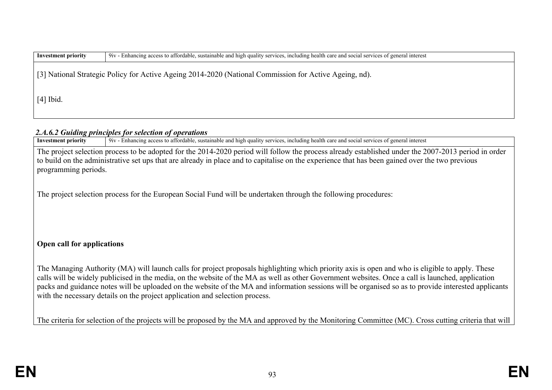| <b>Investment priority</b> | 9iv - Enhancing access to affordable, sustainable and high quality services, including health care and social services of general interest |
|----------------------------|--------------------------------------------------------------------------------------------------------------------------------------------|
|                            | [3] National Strategic Policy for Active Ageing 2014-2020 (National Commission for Active Ageing, nd).                                     |
| $[4]$ Ibid.                |                                                                                                                                            |

# **2.A.6.2 Guiding principles for selection of operations**<br>Investment priority  $\frac{1}{2}$  9iv - Enhancing access to affordable, sustain-

**Investment priority** 9iv - Enhancing access to affordable, sustainable and high quality services, including health care and social services of general interest

The project selection process to be adopted for the 2014-2020 period will follow the process already established under the 2007-2013 period in order to build on the administrative set ups that are already in place and to capitalise on the experience that has been gained over the two previous programming periods.

The project selection process for the European Social Fund will be undertaken through the following procedures:

### **Open call for applications**

The Managing Authority (MA) will launch calls for project proposals highlighting which priority axis is open and who is eligible to apply. These calls will be widely publicised in the media, on the website of the MA as well as other Government websites. Once a call is launched, application packs and guidance notes will be uploaded on the website of the MA and information sessions will be organised so as to provide interested applicants with the necessary details on the project application and selection process.

The criteria for selection of the projects will be proposed by the MA and approved by the Monitoring Committee (MC). Cross cutting criteria that will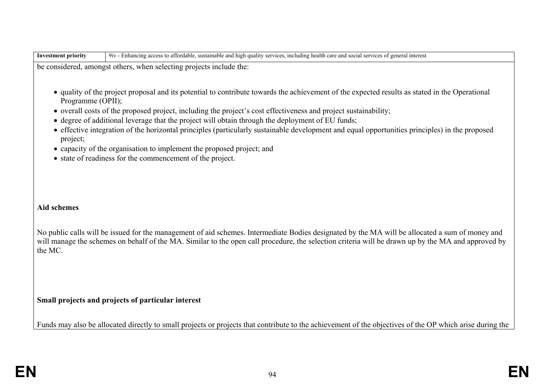| <b>Investment priority</b> | 9iv - Enhancing access to affordable, sustainable and high quality services, including health care and social services of general interest     |
|----------------------------|------------------------------------------------------------------------------------------------------------------------------------------------|
|                            | be considered, amongst others, when selecting projects include the:                                                                            |
|                            |                                                                                                                                                |
|                            | • quality of the project proposal and its potential to contribute towards the achievement of the expected results as stated in the Operational |

- Programme (OPII);
- overall costs of the proposed project, including the project's cost effectiveness and project sustainability;
- degree of additional leverage that the project will obtain through the deployment of EU funds;
- effective integration of the horizontal principles (particularly sustainable development and equal opportunities principles) in the proposed project;
- capacity of the organisation to implement the proposed project; and
- state of readiness for the commencement of the project.

### **Aid schemes**

No public calls will be issued for the management of aid schemes. Intermediate Bodies designated by the MA will be allocated a sum of money and will manage the schemes on behalf of the MA. Similar to the open call procedure, the selection criteria will be drawn up by the MA and approved by the MC.

### **Small projects and projects of particular interest**

Funds may also be allocated directly to small projects or projects that contribute to the achievement of the objectives of the OP which arise during the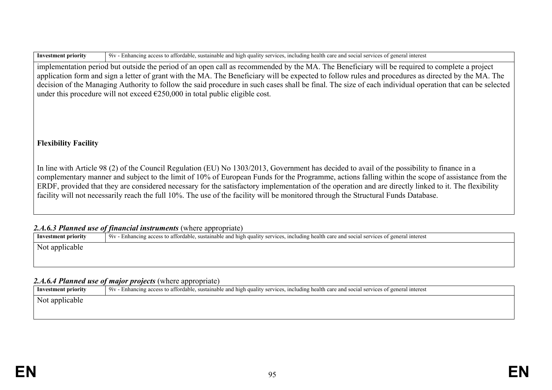| Investment priority |
|---------------------|
|---------------------|

**Investment priority** 9iv - Enhancing access to affordable, sustainable and high quality services, including health care and social services of general interest

implementation period but outside the period of an open call as recommended by the MA. The Beneficiary will be required to complete a project application form and sign a letter of grant with the MA. The Beneficiary will be expected to follow rules and procedures as directed by the MA. The decision of the Managing Authority to follow the said procedure in such cases shall be final. The size of each individual operation that can be selected under this procedure will not exceed  $\epsilon$ 250,000 in total public eligible cost.

### **Flexibility Facility**

In line with Article 98 (2) of the Council Regulation (EU) No 1303/2013, Government has decided to avail of the possibility to finance in a complementary manner and subject to the limit of 10% of European Funds for the Programme, actions falling within the scope of assistance from the ERDF, provided that they are considered necessary for the satisfactory implementation of the operation and are directly linked to it. The flexibility facility will not necessarily reach the full 10%. The use of the facility will be monitored through the Structural Funds Database.

### 2.4.6.3 Planned use of financial instruments (where appropriate)

|                            | $\mu$ is the subsequence of the sequence of the sequence $\mu$ is the complete $\mu$                                                       |
|----------------------------|--------------------------------------------------------------------------------------------------------------------------------------------|
| <b>Investment priority</b> | 9iv - Enhancing access to affordable, sustainable and high quality services, including health care and social services of general interest |
| Not applicable             |                                                                                                                                            |
|                            |                                                                                                                                            |
|                            |                                                                                                                                            |

### *2.A.6.4 Planned use of major projects* (where appropriate)

| Investment priority | piv - Enhancing access to affordable, sustainable and high quality services, including health care and social services of general interest |
|---------------------|--------------------------------------------------------------------------------------------------------------------------------------------|
| Not applicable      |                                                                                                                                            |
|                     |                                                                                                                                            |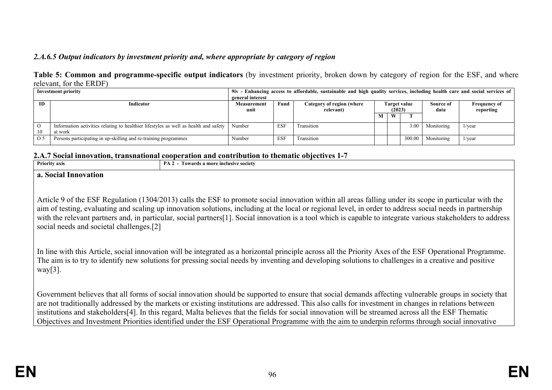### *2.A.6.5 Output indicators by investment priority and, where appropriate by category of region*

#### **Table 5: Common and programme-specific output indicators** (by investment priority, broken down by category of region for the ESF, and where relevant, for the ERDF)

|         | <b>Investment priority</b>                                                                      | general interest |            | 9iv - Enhancing access to affordable, sustainable and high quality services, including health care and social services of |                               |   |        |                   |                                  |
|---------|-------------------------------------------------------------------------------------------------|------------------|------------|---------------------------------------------------------------------------------------------------------------------------|-------------------------------|---|--------|-------------------|----------------------------------|
| ID      | Indicator                                                                                       |                  | Fund       | Category of region (where<br>relevant)                                                                                    | <b>Target value</b><br>(2023) |   |        | Source of<br>data | <b>Frequency of</b><br>reporting |
|         |                                                                                                 |                  |            |                                                                                                                           | M                             | W |        |                   |                                  |
| O<br>10 | Information activities relating to healthier lifestyles as well as health and safety<br>at work | Number           | <b>ESF</b> | Transition                                                                                                                |                               |   | 3.00   | Monitoring        | $1$ /year                        |
| O 5     | Persons participating in up-skilling and re-training programmes                                 | Number           | <b>ESF</b> | Transition                                                                                                                |                               |   | 300.00 | Monitoring        | $1$ /year                        |

#### **2.A.7 Social innovation, transnational cooperation and contribution to thematic objectives 1-7**

| Priority axis | PA<br>Towards a more inclusive society |
|---------------|----------------------------------------|
|               |                                        |

#### **a. Social Innovation**

Article 9 of the ESF Regulation (1304/2013) calls the ESF to promote social innovation within all areas falling under its scope in particular with the aim of testing, evaluating and scaling up innovation solutions, including at the local or regional level, in order to address social needs in partnership with the relevant partners and, in particular, social partners[1]. Social innovation is a tool which is capable to integrate various stakeholders to address social needs and societal challenges.[2]

In line with this Article, social innovation will be integrated as a horizontal principle across all the Priority Axes of the ESF Operational Programme. The aim is to try to identify new solutions for pressing social needs by inventing and developing solutions to challenges in a creative and positive  $way[3]$ .

Government believes that all forms of social innovation should be supported to ensure that social demands affecting vulnerable groups in society that are not traditionally addressed by the markets or existing institutions are addressed. This also calls for investment in changes in relations between institutions and stakeholders[4]. In this regard, Malta believes that the fields for social innovation will be streamed across all the ESF Thematic Objectives and Investment Priorities identified under the ESF Operational Programme with the aim to underpin reforms through social innovative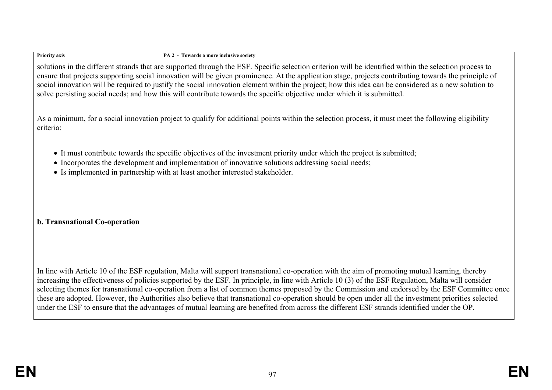| <b>Priority axis</b> |  |
|----------------------|--|
|----------------------|--|

**PA 2 - Towards a more inclusive society** 

solutions in the different strands that are supported through the ESF. Specific selection criterion will be identified within the selection process to ensure that projects supporting social innovation will be given prominence. At the application stage, projects contributing towards the principle of social innovation will be required to justify the social innovation element within the project; how this idea can be considered as a new solution to solve persisting social needs; and how this will contribute towards the specific objective under which it is submitted.

As a minimum, for a social innovation project to qualify for additional points within the selection process, it must meet the following eligibility criteria:

- It must contribute towards the specific objectives of the investment priority under which the project is submitted;
- Incorporates the development and implementation of innovative solutions addressing social needs;
- Is implemented in partnership with at least another interested stakeholder.

### **b. Transnational Co-operation**

In line with Article 10 of the ESF regulation, Malta will support transnational co-operation with the aim of promoting mutual learning, thereby increasing the effectiveness of policies supported by the ESF. In principle, in line with Article 10 (3) of the ESF Regulation, Malta will consider selecting themes for transnational co-operation from a list of common themes proposed by the Commission and endorsed by the ESF Committee once these are adopted. However, the Authorities also believe that transnational co-operation should be open under all the investment priorities selected under the ESF to ensure that the advantages of mutual learning are benefited from across the different ESF strands identified under the OP.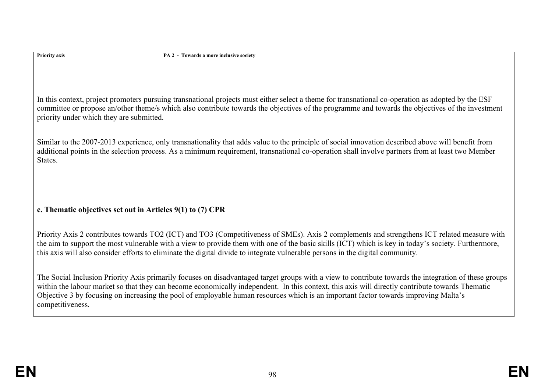| Priority axis                                                 | PA 2 - Towards a more inclusive society                                                                                                                                                                                                                                                                                                                                                                                                         |  |  |  |  |  |  |  |  |
|---------------------------------------------------------------|-------------------------------------------------------------------------------------------------------------------------------------------------------------------------------------------------------------------------------------------------------------------------------------------------------------------------------------------------------------------------------------------------------------------------------------------------|--|--|--|--|--|--|--|--|
|                                                               |                                                                                                                                                                                                                                                                                                                                                                                                                                                 |  |  |  |  |  |  |  |  |
|                                                               | In this context, project promoters pursuing transnational projects must either select a theme for transnational co-operation as adopted by the ESF<br>committee or propose an/other theme/s which also contribute towards the objectives of the programme and towards the objectives of the investment<br>priority under which they are submitted.                                                                                              |  |  |  |  |  |  |  |  |
| States.                                                       | Similar to the 2007-2013 experience, only transnationality that adds value to the principle of social innovation described above will benefit from<br>additional points in the selection process. As a minimum requirement, transnational co-operation shall involve partners from at least two Member                                                                                                                                          |  |  |  |  |  |  |  |  |
| c. The matic objectives set out in Articles $9(1)$ to (7) CPR |                                                                                                                                                                                                                                                                                                                                                                                                                                                 |  |  |  |  |  |  |  |  |
|                                                               | Priority Axis 2 contributes towards TO2 (ICT) and TO3 (Competitiveness of SMEs). Axis 2 complements and strengthens ICT related measure with<br>the aim to support the most vulnerable with a view to provide them with one of the basic skills (ICT) which is key in today's society. Furthermore,<br>this axis will also consider efforts to eliminate the digital divide to integrate vulnerable persons in the digital community.           |  |  |  |  |  |  |  |  |
| competitiveness.                                              | The Social Inclusion Priority Axis primarily focuses on disadvantaged target groups with a view to contribute towards the integration of these groups<br>within the labour market so that they can become economically independent. In this context, this axis will directly contribute towards Thematic<br>Objective 3 by focusing on increasing the pool of employable human resources which is an important factor towards improving Malta's |  |  |  |  |  |  |  |  |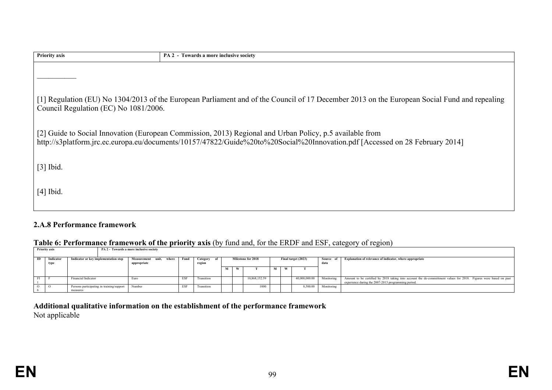| <b>Priority axis</b>                  | PA 2 - Towards a more inclusive society                                                                                                                                                                                                  |
|---------------------------------------|------------------------------------------------------------------------------------------------------------------------------------------------------------------------------------------------------------------------------------------|
|                                       |                                                                                                                                                                                                                                          |
| Council Regulation (EC) No 1081/2006. | [1] Regulation (EU) No 1304/2013 of the European Parliament and of the Council of 17 December 2013 on the European Social Fund and repealing                                                                                             |
|                                       | [2] Guide to Social Innovation (European Commission, 2013) Regional and Urban Policy, p.5 available from<br>http://s3platform.jrc.ec.europa.eu/documents/10157/47822/Guide%20to%20Social%20Innovation.pdf [Accessed on 28 February 2014] |
| $[3]$ Ibid.                           |                                                                                                                                                                                                                                          |
| $[4]$ Ibid.                           |                                                                                                                                                                                                                                          |

### **2.A.8 Performance framework**

#### **Table 6: Performance framework of the priority axis** (by fund and, for the ERDF and ESF, category of region)

|    | Twore of I efforthweire H will be the process who for twice and, for the ERET and EDT, early $\sigma_1$ of region |                                                       |                                           |            |                       |  |  |                    |  |   |                     |                   |                                                                                                                                                                          |
|----|-------------------------------------------------------------------------------------------------------------------|-------------------------------------------------------|-------------------------------------------|------------|-----------------------|--|--|--------------------|--|---|---------------------|-------------------|--------------------------------------------------------------------------------------------------------------------------------------------------------------------------|
|    | <b>Priority axis</b><br>PA 2 - Towards a more inclusive society                                                   |                                                       |                                           |            |                       |  |  |                    |  |   |                     |                   |                                                                                                                                                                          |
| ID | Indicator<br>type                                                                                                 | Indicator or key implementation step                  | Measurement unit.<br>where<br>appropriate | Fund       | Category of<br>region |  |  | Milestone for 2018 |  |   | Final target (2023) | Source of<br>data | Explanation of relevance of indicator, where appropriate                                                                                                                 |
|    |                                                                                                                   |                                                       |                                           |            |                       |  |  |                    |  | W |                     |                   |                                                                                                                                                                          |
|    |                                                                                                                   | Financial Indicator                                   | Euro                                      | <b>ESF</b> | Transition            |  |  | 10.868.152.59      |  |   | 40.000.000.00       | Monitoring        | Amount to be certified by 2018 taking into account the de-committment values for 2018. Figures were based on past<br>experience during the 2007-2013 programming period. |
|    |                                                                                                                   | Persons participating in training/support<br>measures | Number                                    | <b>ESF</b> | Transition            |  |  | 1000               |  |   | 8.500.00            | Monitoring        |                                                                                                                                                                          |

**Additional qualitative information on the establishment of the performance framework** Not applicable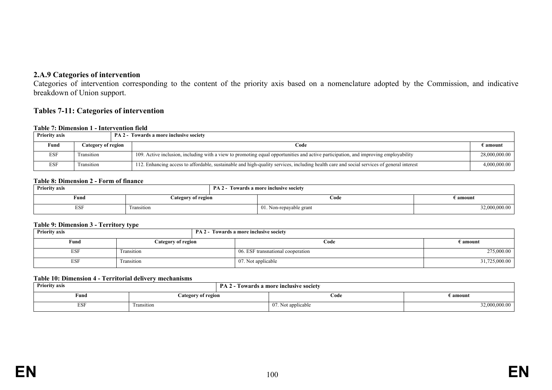### **2.A.9 Categories of intervention**

Categories of intervention corresponding to the content of the priority axis based on a nomenclature adopted by the Commission, and indicative breakdown of Union support.

#### **Tables 7-11: Categories of intervention**

#### **Table 7: Dimension 1 - Intervention field**

| <b>Priority axis</b> |                    | <b>PA 2 - Towards a more inclusive society</b>                                                                                            |               |
|----------------------|--------------------|-------------------------------------------------------------------------------------------------------------------------------------------|---------------|
| Fund                 | Category of region | Code                                                                                                                                      | € amount      |
| <b>ESF</b>           | Fransition         | 109. Active inclusion, including with a view to promoting equal opportunities and active participation, and improving employability       | 28,000,000.00 |
| <b>ESF</b>           | Fransition         | 112. Enhancing access to affordable, sustainable and high-quality services, including health care and social services of general interest | 4,000,000.00  |

#### **Table 8: Dimension 2 - Form of finance**

| <b>Priority axis</b> |                    | $PA2-$ | Towards a more inclusive society |               |
|----------------------|--------------------|--------|----------------------------------|---------------|
| Fund                 | Category of region |        | Code                             | E amount      |
| <b>ESF</b>           | I ransition        |        | 01. Non-repayable grant          | 32,000,000.00 |

#### **Table 9: Dimension 3 - Territory type**

| <b>Priority axis</b> | _______            | <b>PA 2 - Towards a more inclusive society</b> |                   |
|----------------------|--------------------|------------------------------------------------|-------------------|
| Fund                 | Category of region | Code                                           | $\epsilon$ amount |
| <b>ESF</b>           | Transition         | 06. ESF transnational cooperation              | 275,000.00        |
| <b>ESF</b>           | Transition         | 07. Not applicable                             | 31,725,000.00     |

#### **Table 10: Dimension 4 - Territorial delivery mechanisms**

| <b>Priority axis</b> |                    | <b>PA 2 - Towards a more inclusive society</b> |               |  |  |  |
|----------------------|--------------------|------------------------------------------------|---------------|--|--|--|
| Fund                 | Category of region | E amount<br>Code                               |               |  |  |  |
| <b>ESI</b>           | Transition         | 07. Not applicable                             | 52,000,000.00 |  |  |  |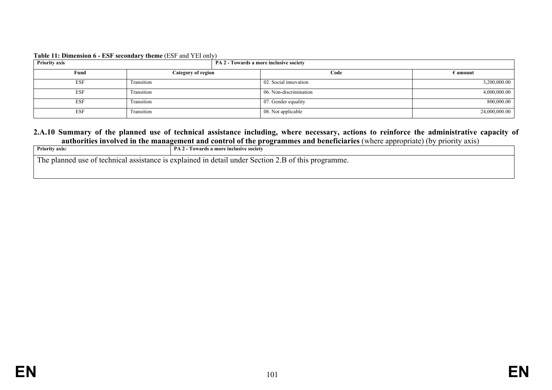| Table 11: Dimension 6 - ESF secondary theme (ESF and YEI only) |  |
|----------------------------------------------------------------|--|
|----------------------------------------------------------------|--|

| <b>Priority axis</b> |                    | PA 2 - Towards a more inclusive society |                   |  |  |  |  |  |  |
|----------------------|--------------------|-----------------------------------------|-------------------|--|--|--|--|--|--|
| Fund                 | Category of region | Code                                    | $\epsilon$ amount |  |  |  |  |  |  |
| <b>ESF</b>           | Transition         | 02. Social innovation                   | 3,200,000.00      |  |  |  |  |  |  |
| <b>ESF</b>           | Transition         | 06. Non-discrimination                  | 4,000,000.00      |  |  |  |  |  |  |
| ESF                  | Transition         | 07. Gender equality                     | 800,000.00        |  |  |  |  |  |  |
| ESF                  | Transition         | 08. Not applicable                      | 24,000,000.00     |  |  |  |  |  |  |

#### **2.A.10 Summary of the planned use of technical assistance including, where necessary, actions to reinforce the administrative capacity of authorities involved in the management and control of the programmes and beneficiaries** (where appropriate) (by priority axis)

| <b>Priority axis:</b> | PA <sub>2</sub><br>- Towards a more inclusive societv |
|-----------------------|-------------------------------------------------------|
| —                     | Section                                               |
| 1 he                  | detail                                                |
| . fechnice            | nlainer                                               |
| assistance            | $\Delta V$                                            |
| use of                | under                                                 |
| 1 C                   | thi.                                                  |
| nianne                | programme.                                            |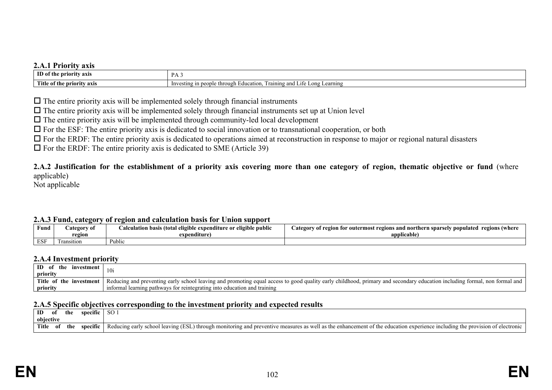#### **2.A.1 Priority axis**

| ___________<br>------                            |                                                                                  |
|--------------------------------------------------|----------------------------------------------------------------------------------|
| ID <sub>0</sub><br><b>priority</b> axis<br>∶ the | D A<br><b>A</b>                                                                  |
| Title of the<br>axıs<br>: priorit                | raining<br>Education.<br>Life Long Learning<br>and I<br>esting<br>$-1$<br>TIL A. |

 $\Box$  The entire priority axis will be implemented solely through financial instruments

 $\Box$  The entire priority axis will be implemented solely through financial instruments set up at Union level

 $\Box$  The entire priority axis will be implemented through community-led local development

 $\Box$  For the ESF: The entire priority axis is dedicated to social innovation or to transnational cooperation, or both

 $\Box$  For the ERDF: The entire priority axis is dedicated to operations aimed at reconstruction in response to major or regional natural disasters

 $\Box$  For the ERDF: The entire priority axis is dedicated to SME (Article 39)

**2.A.2 Justification for the establishment of a priority axis covering more than one category of region, thematic objective or fund** (where applicable)

Not applicable

#### **2.A.3 Fund, category of region and calculation basis for Union support**

| --------------- | ------     |                                                                   |                                                                                                      |
|-----------------|------------|-------------------------------------------------------------------|------------------------------------------------------------------------------------------------------|
| Fund            | ategory of | .<br>l eligible expenditure or eligible public-<br>ا basıs (total | ategory<br><b>populated</b><br>regions (where<br>.gion for outermost regions and northern sparsely . |
|                 | region     | expenditure                                                       | $-$<br>applicable                                                                                    |
| <b>ESF</b>      | ransition  | Public                                                            |                                                                                                      |

#### **2.A.4 Investment priority**

| ID of the<br>investment<br>priority    | 10i                                                                                                                                                                       |
|----------------------------------------|---------------------------------------------------------------------------------------------------------------------------------------------------------------------------|
| <b>Title</b><br>of the<br>e investment | Reducing and preventing early school leaving and promoting equal access to good quality early childhood, primary and secondary education including formal, non formal and |
| priority                               | informal learning pathways for reintegrating into education and training                                                                                                  |

#### **2.A.5 Specific objectives corresponding to the investment priority and expected results**

| ID        | 0I   | the | specific | <sub>SO</sub>                                                                                                                                                                                    |
|-----------|------|-----|----------|--------------------------------------------------------------------------------------------------------------------------------------------------------------------------------------------------|
| obiective |      |     |          |                                                                                                                                                                                                  |
| Title     | - ot | the | specific | g early school leaving (ESL) through m<br>Reducing<br>:lectronic<br>monitoring and preventive measures as well as the enhancement of<br>of the education experience<br>e including the provision |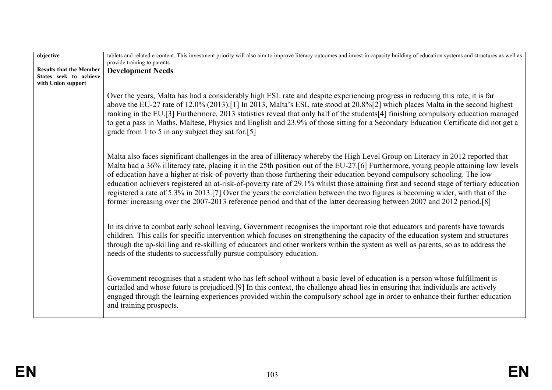| objective                      | tablets and related e-content. This investment priority will also aim to improve literacy outcomes and invest in capacity building of education systems and structures as well as                                                                                                                                                                                                                                                                                                                                                                                                                                                                                                                                                                                                                              |  |  |  |  |  |
|--------------------------------|----------------------------------------------------------------------------------------------------------------------------------------------------------------------------------------------------------------------------------------------------------------------------------------------------------------------------------------------------------------------------------------------------------------------------------------------------------------------------------------------------------------------------------------------------------------------------------------------------------------------------------------------------------------------------------------------------------------------------------------------------------------------------------------------------------------|--|--|--|--|--|
| <b>Results that the Member</b> | provide training to parents.                                                                                                                                                                                                                                                                                                                                                                                                                                                                                                                                                                                                                                                                                                                                                                                   |  |  |  |  |  |
| States seek to achieve         | <b>Development Needs</b>                                                                                                                                                                                                                                                                                                                                                                                                                                                                                                                                                                                                                                                                                                                                                                                       |  |  |  |  |  |
| with Union support             |                                                                                                                                                                                                                                                                                                                                                                                                                                                                                                                                                                                                                                                                                                                                                                                                                |  |  |  |  |  |
|                                | Over the years, Malta has had a considerably high ESL rate and despite experiencing progress in reducing this rate, it is far<br>above the EU-27 rate of 12.0% (2013).[1] In 2013, Malta's ESL rate stood at 20.8%[2] which places Malta in the second highest<br>ranking in the EU.[3] Furthermore, 2013 statistics reveal that only half of the students[4] finishing compulsory education managed<br>to get a pass in Maths, Maltese, Physics and English and 23.9% of those sitting for a Secondary Education Certificate did not get a<br>grade from 1 to 5 in any subject they sat for $[5]$                                                                                                                                                                                                             |  |  |  |  |  |
|                                | Malta also faces significant challenges in the area of illiteracy whereby the High Level Group on Literacy in 2012 reported that<br>Malta had a 36% illiteracy rate, placing it in the 25th position out of the EU-27.[6] Furthermore, young people attaining low levels<br>of education have a higher at-risk-of-poverty than those furthering their education beyond compulsory schooling. The low<br>education achievers registered an at-risk-of-poverty rate of 29.1% whilst those attaining first and second stage of tertiary education<br>registered a rate of 5.3% in 2013.[7] Over the years the correlation between the two figures is becoming wider, with that of the<br>former increasing over the 2007-2013 reference period and that of the latter decreasing between 2007 and 2012 period.[8] |  |  |  |  |  |
|                                | In its drive to combat early school leaving, Government recognises the important role that educators and parents have towards<br>children. This calls for specific intervention which focuses on strengthening the capacity of the education system and structures<br>through the up-skilling and re-skilling of educators and other workers within the system as well as parents, so as to address the<br>needs of the students to successfully pursue compulsory education.                                                                                                                                                                                                                                                                                                                                  |  |  |  |  |  |
|                                | Government recognises that a student who has left school without a basic level of education is a person whose fulfillment is<br>curtailed and whose future is prejudiced.[9] In this context, the challenge ahead lies in ensuring that individuals are actively<br>engaged through the learning experiences provided within the compulsory school age in order to enhance their further education<br>and training prospects.                                                                                                                                                                                                                                                                                                                                                                                  |  |  |  |  |  |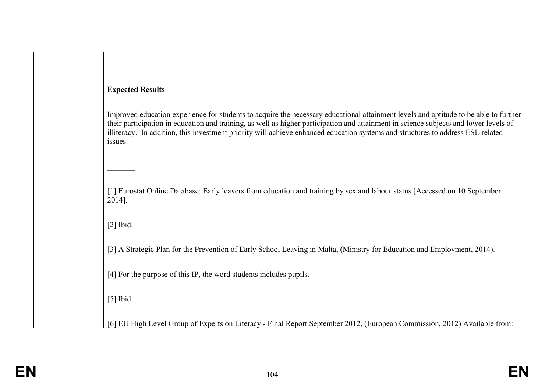| <b>Expected Results</b>                                                                                                                                                                                                                                                                                                                                                                                                     |
|-----------------------------------------------------------------------------------------------------------------------------------------------------------------------------------------------------------------------------------------------------------------------------------------------------------------------------------------------------------------------------------------------------------------------------|
| Improved education experience for students to acquire the necessary educational attainment levels and aptitude to be able to further<br>their participation in education and training, as well as higher participation and attainment in science subjects and lower levels of<br>illiteracy. In addition, this investment priority will achieve enhanced education systems and structures to address ESL related<br>issues. |
| [1] Eurostat Online Database: Early leavers from education and training by sex and labour status [Accessed on 10 September<br>2014].                                                                                                                                                                                                                                                                                        |
| $[2]$ Ibid.                                                                                                                                                                                                                                                                                                                                                                                                                 |
| [3] A Strategic Plan for the Prevention of Early School Leaving in Malta, (Ministry for Education and Employment, 2014).                                                                                                                                                                                                                                                                                                    |
| [4] For the purpose of this IP, the word students includes pupils.                                                                                                                                                                                                                                                                                                                                                          |
| $[5]$ Ibid.                                                                                                                                                                                                                                                                                                                                                                                                                 |
| [6] EU High Level Group of Experts on Literacy - Final Report September 2012, (European Commission, 2012) Available from:                                                                                                                                                                                                                                                                                                   |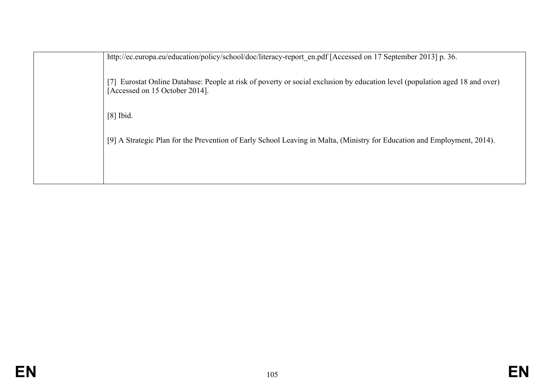http://ec.europa.eu/education/policy/school/doc/literacy-report\_en.pdf [Accessed on 17 September 2013] p. 36.

[7] Eurostat Online Database: People at risk of poverty or social exclusion by education level (population aged 18 and over) [Accessed on 15 October 2014].

[8] Ibid.

[9] A Strategic Plan for the Prevention of Early School Leaving in Malta, (Ministry for Education and Employment, 2014).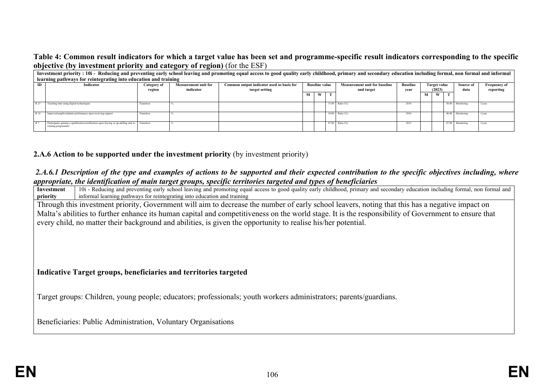#### **Table 4: Common result indicators for which a target value has been set and programme-specific result indicators corresponding to the specific objective (by investment priority and category of region)** (for the ESF)

|      | Investment priority: 10i - Reducing and preventing early school leaving and promoting equal access to good quality early childhood, primary and secondary education including formal, non formal and informal |             |                             |                                           |                       |   |                   |                     |      |            |                               |                 |                  |        |                           |           |                     |
|------|---------------------------------------------------------------------------------------------------------------------------------------------------------------------------------------------------------------|-------------|-----------------------------|-------------------------------------------|-----------------------|---|-------------------|---------------------|------|------------|-------------------------------|-----------------|------------------|--------|---------------------------|-----------|---------------------|
|      | learning pathways for reintegrating into education and training                                                                                                                                               |             |                             |                                           |                       |   |                   |                     |      |            |                               |                 |                  |        |                           |           |                     |
| ID   | Indicator                                                                                                                                                                                                     | Category of | <b>Measurement unit for</b> | Common output indicator used as basis for | <b>Baseline value</b> |   |                   |                     |      |            | Measurement unit for baseline | <b>Baseline</b> |                  |        | Target value<br>Source of |           | <b>Frequency of</b> |
|      |                                                                                                                                                                                                               | region      | indicator                   | target setting                            |                       |   |                   |                     |      | and target | vear                          |                 | (2023)           |        | data                      | reporting |                     |
|      |                                                                                                                                                                                                               |             |                             |                                           |                       | W | <b>CONTRACTOR</b> |                     |      | м          | W                             |                 |                  |        |                           |           |                     |
| R 13 | Teaching time using digital technologies                                                                                                                                                                      | Transition  |                             |                                           |                       |   |                   | $15.00$ Ratio $(%)$ | 2014 |            |                               |                 | 50.00 Monitoring | l/vear |                           |           |                     |
| R 14 | Improved pupils/students performance upon receiving support                                                                                                                                                   | Transition  |                             |                                           |                       |   |                   | 34.00 Ratio (%)     | 2016 |            |                               |                 | 40.00 Monitoring | 1/vear |                           |           |                     |
| R7   | Participants gaining a qualification/certification upon leaving in up-skilling and re-<br>Transition<br>training programmes                                                                                   |             |                             |                                           |                       |   |                   | 87.00 Ratio (%)     | 2013 |            |                               |                 | 87.00 Monitoring | 1/vear |                           |           |                     |

### **2.A.6 Action to be supported under the investment priority** (by investment priority)

#### *2.A.6.1 Description of the type and examples of actions to be supported and their expected contribution to the specific objectives including, where appropriate, the identification of main target groups, specific territories targeted and types of beneficiaries*

**Investment priority** 10i - Reducing and preventing early school leaving and promoting equal access to good quality early childhood, primary and secondary education including formal, non formal and informal learning pathways for reintegrating into education and training Through this investment priority, Government will aim to decrease the number of early school leavers, noting that this has a negative impact on Malta's abilities to further enhance its human capital and competitiveness on the world stage. It is the responsibility of Government to ensure that every child, no matter their background and abilities, is given the opportunity to realise his/her potential. **Indicative Target groups, beneficiaries and territories targeted** Target groups: Children, young people; educators; professionals; youth workers administrators; parents/guardians. Beneficiaries: Public Administration, Voluntary Organisations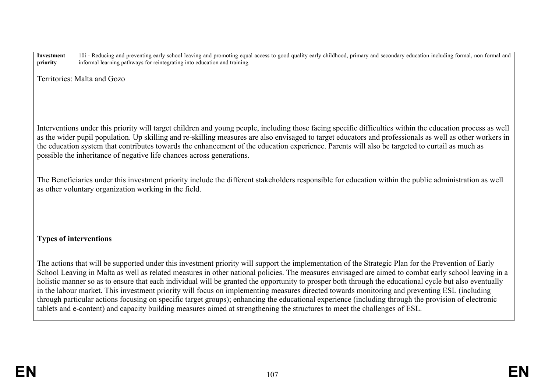**Investment priority** 10i - Reducing and preventing early school leaving and promoting equal access to good quality early childhood, primary and secondary education including formal, non formal and informal learning pathways for reintegrating into education and training

Territories: Malta and Gozo

Interventions under this priority will target children and young people, including those facing specific difficulties within the education process as well as the wider pupil population. Up skilling and re-skilling measures are also envisaged to target educators and professionals as well as other workers in the education system that contributes towards the enhancement of the education experience. Parents will also be targeted to curtail as much as possible the inheritance of negative life chances across generations.

The Beneficiaries under this investment priority include the different stakeholders responsible for education within the public administration as well as other voluntary organization working in the field.

### **Types of interventions**

The actions that will be supported under this investment priority will support the implementation of the Strategic Plan for the Prevention of Early School Leaving in Malta as well as related measures in other national policies. The measures envisaged are aimed to combat early school leaving in a holistic manner so as to ensure that each individual will be granted the opportunity to prosper both through the educational cycle but also eventually in the labour market. This investment priority will focus on implementing measures directed towards monitoring and preventing ESL (including through particular actions focusing on specific target groups); enhancing the educational experience (including through the provision of electronic tablets and e-content) and capacity building measures aimed at strengthening the structures to meet the challenges of ESL.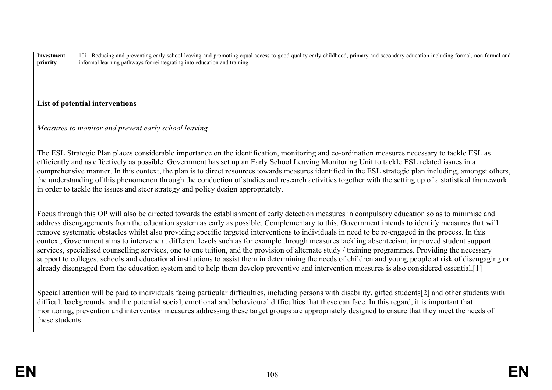**Investment priority** 10i - Reducing and preventing early school leaving and promoting equal access to good quality early childhood, primary and secondary education including formal, non formal and informal learning pathways for reintegrating into education and training

### **List of potential interventions**

### *Measures to monitor and prevent early school leaving*

The ESL Strategic Plan places considerable importance on the identification, monitoring and co-ordination measures necessary to tackle ESL as efficiently and as effectively as possible. Government has set up an Early School Leaving Monitoring Unit to tackle ESL related issues in a comprehensive manner. In this context, the plan is to direct resources towards measures identified in the ESL strategic plan including, amongst others, the understanding of this phenomenon through the conduction of studies and research activities together with the setting up of a statistical framework in order to tackle the issues and steer strategy and policy design appropriately.

Focus through this OP will also be directed towards the establishment of early detection measures in compulsory education so as to minimise and address disengagements from the education system as early as possible. Complementary to this, Government intends to identify measures that will remove systematic obstacles whilst also providing specific targeted interventions to individuals in need to be re-engaged in the process. In this context, Government aims to intervene at different levels such as for example through measures tackling absenteeism, improved student support services, specialised counselling services, one to one tuition, and the provision of alternate study / training programmes. Providing the necessary support to colleges, schools and educational institutions to assist them in determining the needs of children and young people at risk of disengaging or already disengaged from the education system and to help them develop preventive and intervention measures is also considered essential.[1]

Special attention will be paid to individuals facing particular difficulties, including persons with disability, gifted students[2] and other students with difficult backgrounds and the potential social, emotional and behavioural difficulties that these can face. In this regard, it is important that monitoring, prevention and intervention measures addressing these target groups are appropriately designed to ensure that they meet the needs of these students.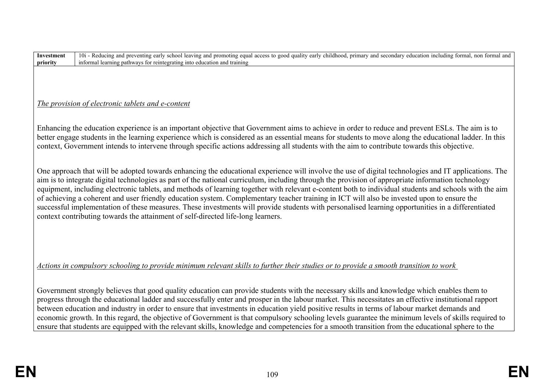# *The provision of electronic tablets and e-content*

Enhancing the education experience is an important objective that Government aims to achieve in order to reduce and prevent ESLs. The aim is to better engage students in the learning experience which is considered as an essential means for students to move along the educational ladder. In this context, Government intends to intervene through specific actions addressing all students with the aim to contribute towards this objective.

One approach that will be adopted towards enhancing the educational experience will involve the use of digital technologies and IT applications. The aim is to integrate digital technologies as part of the national curriculum, including through the provision of appropriate information technology equipment, including electronic tablets, and methods of learning together with relevant e-content both to individual students and schools with the aim of achieving a coherent and user friendly education system. Complementary teacher training in ICT will also be invested upon to ensure the successful implementation of these measures. These investments will provide students with personalised learning opportunities in a differentiated context contributing towards the attainment of self-directed life-long learners.

*Actions in compulsory schooling to provide minimum relevant skills to further their studies or to provide a smooth transition to work* 

Government strongly believes that good quality education can provide students with the necessary skills and knowledge which enables them to progress through the educational ladder and successfully enter and prosper in the labour market. This necessitates an effective institutional rapport between education and industry in order to ensure that investments in education yield positive results in terms of labour market demands and economic growth. In this regard, the objective of Government is that compulsory schooling levels guarantee the minimum levels of skills required to ensure that students are equipped with the relevant skills, knowledge and competencies for a smooth transition from the educational sphere to the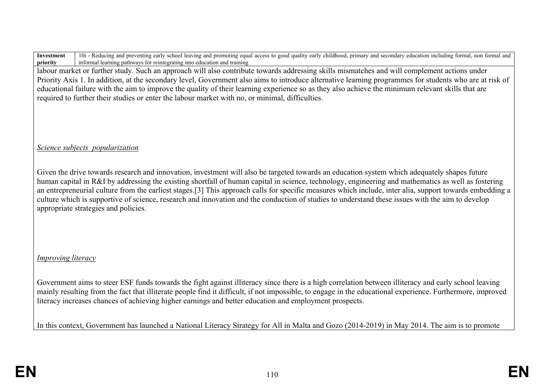labour market or further study. Such an approach will also contribute towards addressing skills mismatches and will complement actions under Priority Axis 1. In addition, at the secondary level, Government also aims to introduce alternative learning programmes for students who are at risk of educational failure with the aim to improve the quality of their learning experience so as they also achieve the minimum relevant skills that are required to further their studies or enter the labour market with no, or minimal, difficulties.

### *Science subjects popularization*

Given the drive towards research and innovation, investment will also be targeted towards an education system which adequately shapes future human capital in R&I by addressing the existing shortfall of human capital in science, technology, engineering and mathematics as well as fostering an entrepreneurial culture from the earliest stages.[3] This approach calls for specific measures which include, inter alia, support towards embedding a culture which is supportive of science, research and innovation and the conduction of studies to understand these issues with the aim to develop appropriate strategies and policies.

# *Improving literacy*

Government aims to steer ESF funds towards the fight against illiteracy since there is a high correlation between illiteracy and early school leaving mainly resulting from the fact that illiterate people find it difficult, if not impossible, to engage in the educational experience. Furthermore, improved literacy increases chances of achieving higher earnings and better education and employment prospects.

In this context, Government has launched a National Literacy Strategy for All in Malta and Gozo (2014-2019) in May 2014. The aim is to promote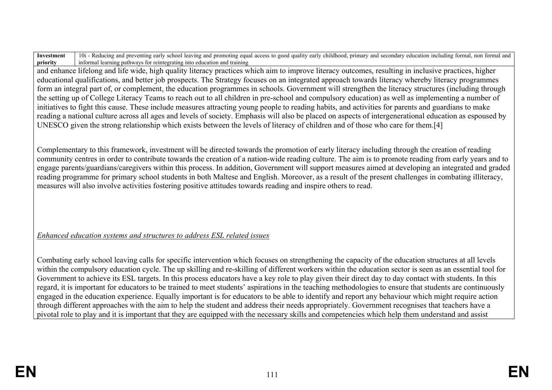and enhance lifelong and life wide, high quality literacy practices which aim to improve literacy outcomes, resulting in inclusive practices, higher educational qualifications, and better job prospects. The Strategy focuses on an integrated approach towards literacy whereby literacy programmes form an integral part of, or complement, the education programmes in schools. Government will strengthen the literacy structures (including through the setting up of College Literacy Teams to reach out to all children in pre-school and compulsory education) as well as implementing a number of initiatives to fight this cause. These include measures attracting young people to reading habits, and activities for parents and guardians to make reading a national culture across all ages and levels of society. Emphasis will also be placed on aspects of intergenerational education as espoused by UNESCO given the strong relationship which exists between the levels of literacy of children and of those who care for them.[4]

Complementary to this framework, investment will be directed towards the promotion of early literacy including through the creation of reading community centres in order to contribute towards the creation of a nation-wide reading culture. The aim is to promote reading from early years and to engage parents/guardians/caregivers within this process. In addition, Government will support measures aimed at developing an integrated and graded reading programme for primary school students in both Maltese and English. Moreover, as a result of the present challenges in combating illiteracy, measures will also involve activities fostering positive attitudes towards reading and inspire others to read.

# *Enhanced education systems and structures to address ESL related issues*

Combating early school leaving calls for specific intervention which focuses on strengthening the capacity of the education structures at all levels within the compulsory education cycle. The up skilling and re-skilling of different workers within the education sector is seen as an essential tool for Government to achieve its ESL targets. In this process educators have a key role to play given their direct day to day contact with students. In this regard, it is important for educators to be trained to meet students' aspirations in the teaching methodologies to ensure that students are continuously engaged in the education experience. Equally important is for educators to be able to identify and report any behaviour which might require action through different approaches with the aim to help the student and address their needs appropriately. Government recognises that teachers have a pivotal role to play and it is important that they are equipped with the necessary skills and competencies which help them understand and assist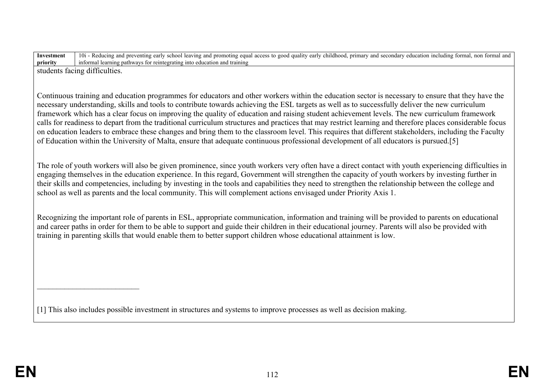students facing difficulties.

 $\overline{\phantom{a}}$  , which is a set of the set of the set of the set of the set of the set of the set of the set of the set of the set of the set of the set of the set of the set of the set of the set of the set of the set of th

Continuous training and education programmes for educators and other workers within the education sector is necessary to ensure that they have the necessary understanding, skills and tools to contribute towards achieving the ESL targets as well as to successfully deliver the new curriculum framework which has a clear focus on improving the quality of education and raising student achievement levels. The new curriculum framework calls for readiness to depart from the traditional curriculum structures and practices that may restrict learning and therefore places considerable focus on education leaders to embrace these changes and bring them to the classroom level. This requires that different stakeholders, including the Faculty of Education within the University of Malta, ensure that adequate continuous professional development of all educators is pursued.[5]

The role of youth workers will also be given prominence, since youth workers very often have a direct contact with youth experiencing difficulties in engaging themselves in the education experience. In this regard, Government will strengthen the capacity of youth workers by investing further in their skills and competencies, including by investing in the tools and capabilities they need to strengthen the relationship between the college and school as well as parents and the local community. This will complement actions envisaged under Priority Axis 1.

Recognizing the important role of parents in ESL, appropriate communication, information and training will be provided to parents on educational and career paths in order for them to be able to support and guide their children in their educational journey. Parents will also be provided with training in parenting skills that would enable them to better support children whose educational attainment is low.

[1] This also includes possible investment in structures and systems to improve processes as well as decision making.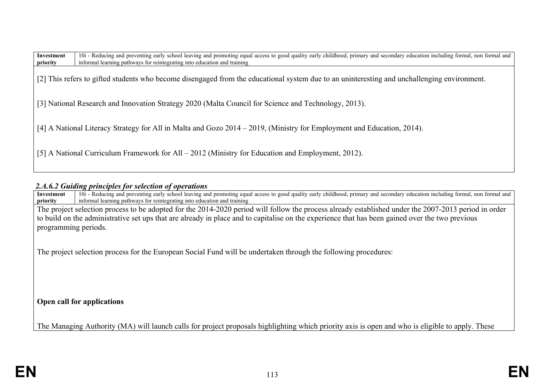[2] This refers to gifted students who become disengaged from the educational system due to an uninteresting and unchallenging environment.

[3] National Research and Innovation Strategy 2020 (Malta Council for Science and Technology, 2013).

[4] A National Literacy Strategy for All in Malta and Gozo 2014 – 2019, (Ministry for Employment and Education, 2014).

[5] A National Curriculum Framework for All – 2012 (Ministry for Education and Employment, 2012).

#### *2.A.6.2 Guiding principles for selection of operations*

**Investment priority** 10i - Reducing and preventing early school leaving and promoting equal access to good quality early childhood, primary and secondary education including formal, non formal and 10i - Reducing and preventing early school lea informal learning pathways for reintegrating into education and training

The project selection process to be adopted for the 2014-2020 period will follow the process already established under the 2007-2013 period in order to build on the administrative set ups that are already in place and to capitalise on the experience that has been gained over the two previous programming periods.

The project selection process for the European Social Fund will be undertaken through the following procedures:

**Open call for applications** 

The Managing Authority (MA) will launch calls for project proposals highlighting which priority axis is open and who is eligible to apply. These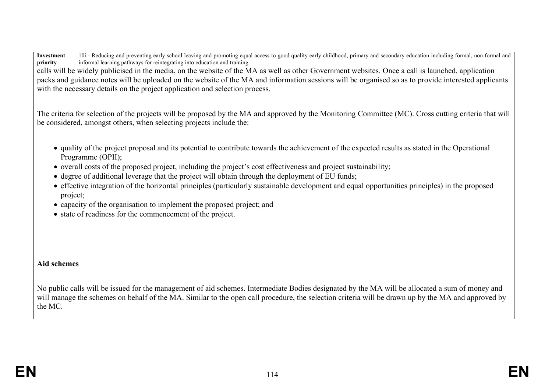calls will be widely publicised in the media, on the website of the MA as well as other Government websites. Once a call is launched, application packs and guidance notes will be uploaded on the website of the MA and information sessions will be organised so as to provide interested applicants with the necessary details on the project application and selection process.

The criteria for selection of the projects will be proposed by the MA and approved by the Monitoring Committee (MC). Cross cutting criteria that will be considered, amongst others, when selecting projects include the:

- quality of the project proposal and its potential to contribute towards the achievement of the expected results as stated in the Operational Programme (OPII);
- overall costs of the proposed project, including the project's cost effectiveness and project sustainability;
- degree of additional leverage that the project will obtain through the deployment of EU funds;
- effective integration of the horizontal principles (particularly sustainable development and equal opportunities principles) in the proposed project;
- capacity of the organisation to implement the proposed project; and
- state of readiness for the commencement of the project.

### **Aid schemes**

No public calls will be issued for the management of aid schemes. Intermediate Bodies designated by the MA will be allocated a sum of money and will manage the schemes on behalf of the MA. Similar to the open call procedure, the selection criteria will be drawn up by the MA and approved by the MC.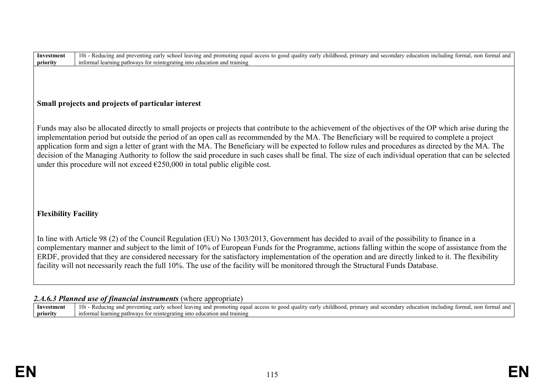# **Small projects and projects of particular interest**

Funds may also be allocated directly to small projects or projects that contribute to the achievement of the objectives of the OP which arise during the implementation period but outside the period of an open call as recommended by the MA. The Beneficiary will be required to complete a project application form and sign a letter of grant with the MA. The Beneficiary will be expected to follow rules and procedures as directed by the MA. The decision of the Managing Authority to follow the said procedure in such cases shall be final. The size of each individual operation that can be selected under this procedure will not exceed  $\epsilon$ 250,000 in total public eligible cost.

# **Flexibility Facility**

In line with Article 98 (2) of the Council Regulation (EU) No 1303/2013, Government has decided to avail of the possibility to finance in a complementary manner and subject to the limit of 10% of European Funds for the Programme, actions falling within the scope of assistance from the ERDF, provided that they are considered necessary for the satisfactory implementation of the operation and are directly linked to it. The flexibility facility will not necessarily reach the full 10%. The use of the facility will be monitored through the Structural Funds Database.

#### 2.*A.6.3 Planned use of financial instruments* (where appropriate)

**Investment priority** 10i - Reducing and preventing early school leaving and promoting equal access to good quality early childhood, primary and secondary education including formal, non formal and informal learning pathways for reintegrating into education and training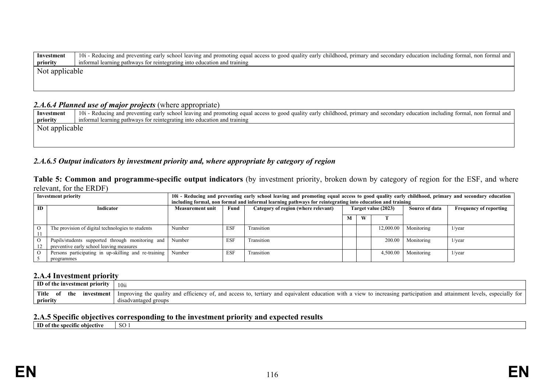| Investment     | 10i - Reducing and preventing early school leaving and promoting equal access to good quality early childhood, primary and secondary education including formal, non formal and |  |  |  |  |  |  |  |  |
|----------------|---------------------------------------------------------------------------------------------------------------------------------------------------------------------------------|--|--|--|--|--|--|--|--|
| priority       | informal learning pathways for reintegrating into education and training                                                                                                        |  |  |  |  |  |  |  |  |
| Not applicable |                                                                                                                                                                                 |  |  |  |  |  |  |  |  |
|                |                                                                                                                                                                                 |  |  |  |  |  |  |  |  |

#### *2.A.6.4 Planned use of major projects* (where appropriate)

Investment | 10i - Reducing and preventing early school leaving and promoting equal access to good quality early childhood, primary and secondary education including formal, non formal and **priority** informal learning pathways for reintegrating into education and training Not applicable

#### *2.A.6.5 Output indicators by investment priority and, where appropriate by category of region*

**Table 5: Common and programme-specific output indicators** (by investment priority, broken down by category of region for the ESF, and where relevant, for the ERDF)

| <b>Investment priority</b>    |                                                      | 10i - Reducing and preventing early school leaving and promoting equal access to good quality early childhood, primary and secondary education |            |                                     |                     |   |           |                |                               |
|-------------------------------|------------------------------------------------------|------------------------------------------------------------------------------------------------------------------------------------------------|------------|-------------------------------------|---------------------|---|-----------|----------------|-------------------------------|
|                               |                                                      | including formal, non formal and informal learning pathways for reintegrating into education and training                                      |            |                                     |                     |   |           |                |                               |
| <b>ID</b><br><b>Indicator</b> |                                                      | Measurement unit                                                                                                                               | Fund       | Category of region (where relevant) | Target value (2023) |   |           | Source of data | <b>Frequency of reporting</b> |
|                               |                                                      |                                                                                                                                                |            |                                     |                     | W |           |                |                               |
|                               |                                                      |                                                                                                                                                |            |                                     |                     |   |           |                |                               |
|                               | The provision of digital technologies to students    | Number                                                                                                                                         | <b>ESF</b> | Transition                          |                     |   | 12,000.00 | Monitoring     | $1$ /year                     |
|                               |                                                      |                                                                                                                                                |            |                                     |                     |   |           |                |                               |
|                               | Pupils/students supported through monitoring and     | Number                                                                                                                                         | <b>ESF</b> | Transition                          |                     |   | 200.00    | Monitoring     | $1$ /year                     |
|                               | preventive early school leaving measures             |                                                                                                                                                |            |                                     |                     |   |           |                |                               |
|                               | Persons participating in up-skilling and re-training | Number                                                                                                                                         | <b>ESF</b> | Transition                          |                     |   | 4.500.00  | Monitoring     | $1$ /year                     |
|                               | programmes                                           |                                                                                                                                                |            |                                     |                     |   |           |                |                               |

#### **2.A.4 Investment priority**

| ID of the investment priority                 | 10ii                                                                                                                                                                                                                  |
|-----------------------------------------------|-----------------------------------------------------------------------------------------------------------------------------------------------------------------------------------------------------------------------|
| <b>Title</b><br>the<br>estment<br>mve<br>- OI | view<br>especially for<br>` with a<br>attainment<br>education<br>to increasing participation<br>levels.<br>and<br>efficiency<br>equivalent<br>and<br>Improving the<br>quality<br>tertiary<br>and<br>access to.<br>and |
| priority                                      | disadvantaged groups                                                                                                                                                                                                  |

# **2.A.5 Specific objectives corresponding to the investment priority and expected results**

**ID of the specific objective**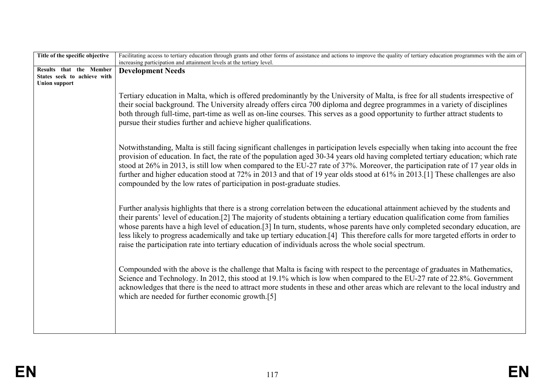| Title of the specific objective                                                | Facilitating access to tertiary education through grants and other forms of assistance and actions to improve the quality of tertiary education programmes with the aim of<br>increasing participation and attainment levels at the tertiary level.                                                                                                                                                                                                                                                                                                                                                                                               |
|--------------------------------------------------------------------------------|---------------------------------------------------------------------------------------------------------------------------------------------------------------------------------------------------------------------------------------------------------------------------------------------------------------------------------------------------------------------------------------------------------------------------------------------------------------------------------------------------------------------------------------------------------------------------------------------------------------------------------------------------|
| Results that the Member<br>States seek to achieve with<br><b>Union support</b> | <b>Development Needs</b>                                                                                                                                                                                                                                                                                                                                                                                                                                                                                                                                                                                                                          |
|                                                                                | Tertiary education in Malta, which is offered predominantly by the University of Malta, is free for all students irrespective of<br>their social background. The University already offers circa 700 diploma and degree programmes in a variety of disciplines<br>both through full-time, part-time as well as on-line courses. This serves as a good opportunity to further attract students to<br>pursue their studies further and achieve higher qualifications.                                                                                                                                                                               |
|                                                                                | Notwithstanding, Malta is still facing significant challenges in participation levels especially when taking into account the free<br>provision of education. In fact, the rate of the population aged 30-34 years old having completed tertiary education; which rate<br>stood at 26% in 2013, is still low when compared to the EU-27 rate of 37%. Moreover, the participation rate of 17 year olds in<br>further and higher education stood at 72% in 2013 and that of 19 year olds stood at 61% in 2013.[1] These challenges are also<br>compounded by the low rates of participation in post-graduate studies.                               |
|                                                                                | Further analysis highlights that there is a strong correlation between the educational attainment achieved by the students and<br>their parents' level of education.[2] The majority of students obtaining a tertiary education qualification come from families<br>whose parents have a high level of education.[3] In turn, students, whose parents have only completed secondary education, are<br>less likely to progress academically and take up tertiary education.[4] This therefore calls for more targeted efforts in order to<br>raise the participation rate into tertiary education of individuals across the whole social spectrum. |
|                                                                                | Compounded with the above is the challenge that Malta is facing with respect to the percentage of graduates in Mathematics,<br>Science and Technology. In 2012, this stood at 19.1% which is low when compared to the EU-27 rate of 22.8%. Government<br>acknowledges that there is the need to attract more students in these and other areas which are relevant to the local industry and<br>which are needed for further economic growth.[5]                                                                                                                                                                                                   |
|                                                                                |                                                                                                                                                                                                                                                                                                                                                                                                                                                                                                                                                                                                                                                   |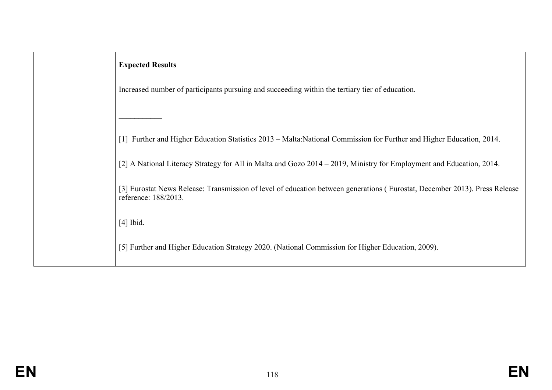| <b>Expected Results</b>                                                                                                                            |
|----------------------------------------------------------------------------------------------------------------------------------------------------|
| Increased number of participants pursuing and succeeding within the tertiary tier of education.                                                    |
|                                                                                                                                                    |
| [1] Further and Higher Education Statistics 2013 – Malta:National Commission for Further and Higher Education, 2014.                               |
| [2] A National Literacy Strategy for All in Malta and Gozo 2014 – 2019, Ministry for Employment and Education, 2014.                               |
| [3] Eurostat News Release: Transmission of level of education between generations (Eurostat, December 2013). Press Release<br>reference: 188/2013. |
| $[4]$ Ibid.                                                                                                                                        |
| [5] Further and Higher Education Strategy 2020. (National Commission for Higher Education, 2009).                                                  |
|                                                                                                                                                    |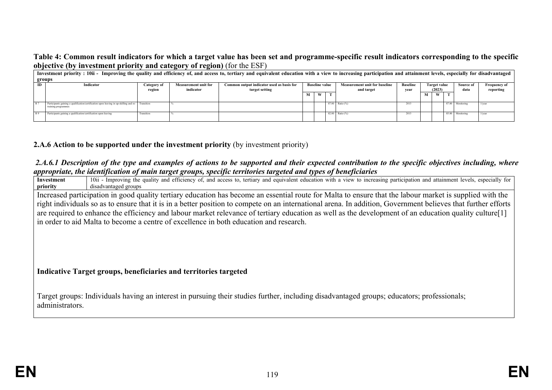#### **Table 4: Common result indicators for which a target value has been set and programme-specific result indicators corresponding to the specific objective (by investment priority and category of region)** (for the ESF)

|                                                         | .<br>Investment priority : 10ii - Improving the quality and efficiency of, and access to, tertiary and equivalent education with a view to increasing participation and attainment levels, especially for disadvantaged |                                           |                       |                |   |                                      |  |                 |              |   |           |                     |                  |                 |  |  |      |           |
|---------------------------------------------------------|-------------------------------------------------------------------------------------------------------------------------------------------------------------------------------------------------------------------------|-------------------------------------------|-----------------------|----------------|---|--------------------------------------|--|-----------------|--------------|---|-----------|---------------------|------------------|-----------------|--|--|------|-----------|
|                                                         | groups                                                                                                                                                                                                                  |                                           |                       |                |   |                                      |  |                 |              |   |           |                     |                  |                 |  |  |      |           |
| <b>Measurement unit for</b><br>Indicator<br>Category of |                                                                                                                                                                                                                         | Common output indicator used as basis for | <b>Baseline value</b> |                |   | <b>Measurement unit for baseline</b> |  |                 | Target value |   | Source of | <b>Frequency of</b> |                  |                 |  |  |      |           |
|                                                         |                                                                                                                                                                                                                         | region                                    | indicator             | target setting |   |                                      |  |                 |              |   |           | and target          | vear             | (2023)          |  |  | data | reporting |
|                                                         |                                                                                                                                                                                                                         |                                           |                       |                | М | <b>CONTINUES</b><br>W                |  |                 |              | м | w         |                     |                  |                 |  |  |      |           |
|                                                         |                                                                                                                                                                                                                         |                                           |                       |                |   |                                      |  |                 |              |   |           |                     |                  |                 |  |  |      |           |
| <b>R7</b>                                               | Participants gaining a qualification/certification upon leaving in up-skilling and re- Transition                                                                                                                       |                                           |                       |                |   |                                      |  | 87.00 Ratio (%) | 2013         |   |           |                     | 87.00 Monitoring | $1/\text{year}$ |  |  |      |           |
|                                                         | training programmes                                                                                                                                                                                                     |                                           |                       |                |   |                                      |  |                 |              |   |           |                     |                  |                 |  |  |      |           |
| R9                                                      | Participants gaining a qualification/certification upon leaving                                                                                                                                                         | Transition                                |                       |                |   |                                      |  | 82.00 Ratio (%) | 2013         |   |           |                     | 85.00 Monitoring | 1/vear          |  |  |      |           |
|                                                         |                                                                                                                                                                                                                         |                                           |                       |                |   |                                      |  |                 |              |   |           |                     |                  |                 |  |  |      |           |

#### **2.A.6 Action to be supported under the investment priority** (by investment priority)

#### *2.A.6.1 Description of the type and examples of actions to be supported and their expected contribution to the specific objectives including, where appropriate, the identification of main target groups, specific territories targeted and types of beneficiaries*

**Investment priority** 10ii - Improving the quality and efficiency of, and access to, tertiary and equivalent education with a view to increasing participation and attainment levels, especially for disadvantaged groups Increased participation in good quality tertiary education has become an essential route for Malta to ensure that the labour market is supplied with the right individuals so as to ensure that it is in a better position to compete on an international arena. In addition, Government believes that further efforts are required to enhance the efficiency and labour market relevance of tertiary education as well as the development of an education quality culture[1] in order to aid Malta to become a centre of excellence in both education and research. **Indicative Target groups, beneficiaries and territories targeted**

Target groups: Individuals having an interest in pursuing their studies further, including disadvantaged groups; educators; professionals; administrators.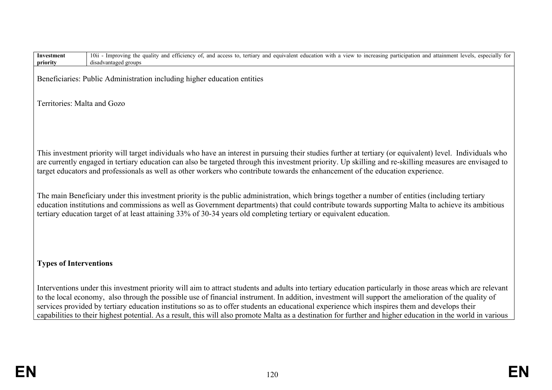| Investment<br>priority        | 10ii - Improving the quality and efficiency of, and access to, tertiary and equivalent education with a view to increasing participation and attainment levels, especially for<br>disadvantaged groups                                                                                                                                                                                                                                                               |
|-------------------------------|----------------------------------------------------------------------------------------------------------------------------------------------------------------------------------------------------------------------------------------------------------------------------------------------------------------------------------------------------------------------------------------------------------------------------------------------------------------------|
|                               | Beneficiaries: Public Administration including higher education entities                                                                                                                                                                                                                                                                                                                                                                                             |
| Territories: Malta and Gozo   |                                                                                                                                                                                                                                                                                                                                                                                                                                                                      |
|                               |                                                                                                                                                                                                                                                                                                                                                                                                                                                                      |
|                               |                                                                                                                                                                                                                                                                                                                                                                                                                                                                      |
|                               | This investment priority will target individuals who have an interest in pursuing their studies further at tertiary (or equivalent) level. Individuals who<br>are currently engaged in tertiary education can also be targeted through this investment priority. Up skilling and re-skilling measures are envisaged to<br>target educators and professionals as well as other workers who contribute towards the enhancement of the education experience.            |
|                               | The main Beneficiary under this investment priority is the public administration, which brings together a number of entities (including tertiary<br>education institutions and commissions as well as Government departments) that could contribute towards supporting Malta to achieve its ambitious<br>tertiary education target of at least attaining 33% of 30-34 years old completing tertiary or equivalent education.                                         |
|                               |                                                                                                                                                                                                                                                                                                                                                                                                                                                                      |
| <b>Types of Interventions</b> |                                                                                                                                                                                                                                                                                                                                                                                                                                                                      |
|                               | Interventions under this investment priority will aim to attract students and adults into tertiary education particularly in those areas which are relevant<br>to the local economy, also through the possible use of financial instrument. In addition, investment will support the amelioration of the quality of<br>services provided by tertiary education institutions so as to offer students an educational experience which inspires them and develops their |
|                               | capabilities to their highest potential. As a result, this will also promote Malta as a destination for further and higher education in the world in various                                                                                                                                                                                                                                                                                                         |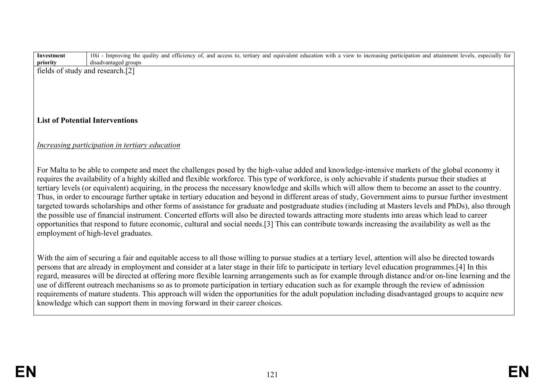| <b>Investment</b> | 10ii - Improving the quality and efficiency of, and access to, tertiary and equivalent education with a view to increasing participation and attainment levels, especially for |
|-------------------|--------------------------------------------------------------------------------------------------------------------------------------------------------------------------------|
| priority          | disadvantaged groups                                                                                                                                                           |
|                   | fields of study and research.[2]                                                                                                                                               |
|                   |                                                                                                                                                                                |
|                   |                                                                                                                                                                                |
|                   |                                                                                                                                                                                |
|                   |                                                                                                                                                                                |
|                   |                                                                                                                                                                                |
|                   | <b>List of Potential Interventions</b>                                                                                                                                         |
|                   |                                                                                                                                                                                |
|                   |                                                                                                                                                                                |
|                   | Increasing participation in tertiary education                                                                                                                                 |
|                   |                                                                                                                                                                                |
|                   |                                                                                                                                                                                |
|                   | For Malta to be able to compete and meet the challenges posed by the high-value added and knowledge-intensive markets of the global economy it                                 |
|                   | requires the availability of a highly skilled and flexible workforce. This type of workforce, is only achievable if students pursue their studies at                           |
|                   | tertiary levels (or equivalent) acquiring, in the process the necessary knowledge and skills which will allow them to become an asset to the country.                          |
|                   | Thus, in order to encourage further uptake in tertiary education and beyond in different areas of study, Government aims to pursue further investment                          |
|                   | targeted towards scholarships and other forms of assistance for graduate and postgraduate studies (including at Masters levels and PhDs), also through                         |
|                   | the possible use of financial instrument. Concerted efforts will also be directed towards attracting more students into areas which lead to career                             |
|                   | opportunities that respond to future economic, cultural and social needs.[3] This can contribute towards increasing the availability as well as the                            |
|                   | employment of high-level graduates.                                                                                                                                            |
|                   |                                                                                                                                                                                |
|                   |                                                                                                                                                                                |
|                   | With the aim of securing a fair and equitable access to all those willing to pursue studies at a tertiary level, attention will also be directed towards                       |
|                   | persons that are already in employment and consider at a later stage in their life to participate in tertiary level education programmes. [4] In this                          |
|                   | regard, measures will be directed at offering more flexible learning arrangements such as for example through distance and/or on-line learning and the                         |
|                   | use of different outreach mechanisms so as to promote participation in tertiary education such as for example through the review of admission                                  |
|                   | requirements of mature students. This approach will widen the opportunities for the adult population including disadvantaged groups to acquire new                             |
|                   | knowledge which can support them in moving forward in their career choices.                                                                                                    |
|                   |                                                                                                                                                                                |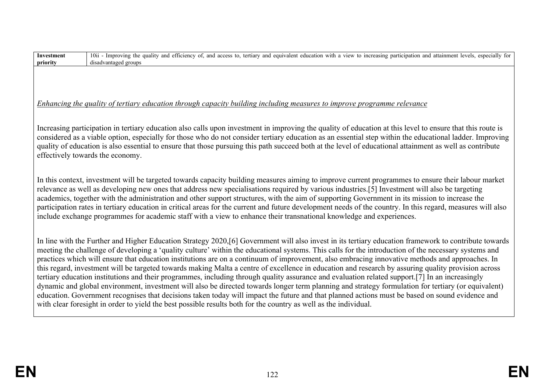| <b>Investment</b> | 10ii - Improving the quality and efficiency of, and access to, tertiary and equivalent education with a view to increasing participation and attainment levels, especially for                                                                                                                                                                                                                                                                                                                                                                                                                                                                                                                                                                                                                                                                                                                                                                                                                                                                                                                                                                                                                            |
|-------------------|-----------------------------------------------------------------------------------------------------------------------------------------------------------------------------------------------------------------------------------------------------------------------------------------------------------------------------------------------------------------------------------------------------------------------------------------------------------------------------------------------------------------------------------------------------------------------------------------------------------------------------------------------------------------------------------------------------------------------------------------------------------------------------------------------------------------------------------------------------------------------------------------------------------------------------------------------------------------------------------------------------------------------------------------------------------------------------------------------------------------------------------------------------------------------------------------------------------|
| priority          | disadvantaged groups                                                                                                                                                                                                                                                                                                                                                                                                                                                                                                                                                                                                                                                                                                                                                                                                                                                                                                                                                                                                                                                                                                                                                                                      |
|                   | Enhancing the quality of tertiary education through capacity building including measures to improve programme relevance                                                                                                                                                                                                                                                                                                                                                                                                                                                                                                                                                                                                                                                                                                                                                                                                                                                                                                                                                                                                                                                                                   |
|                   | Increasing participation in tertiary education also calls upon investment in improving the quality of education at this level to ensure that this route is<br>considered as a viable option, especially for those who do not consider tertiary education as an essential step within the educational ladder. Improving<br>quality of education is also essential to ensure that those pursuing this path succeed both at the level of educational attainment as well as contribute<br>effectively towards the economy.                                                                                                                                                                                                                                                                                                                                                                                                                                                                                                                                                                                                                                                                                    |
|                   | In this context, investment will be targeted towards capacity building measures aiming to improve current programmes to ensure their labour market<br>relevance as well as developing new ones that address new specialisations required by various industries.[5] Investment will also be targeting<br>academics, together with the administration and other support structures, with the aim of supporting Government in its mission to increase the<br>participation rates in tertiary education in critical areas for the current and future development needs of the country. In this regard, measures will also<br>include exchange programmes for academic staff with a view to enhance their transnational knowledge and experiences.                                                                                                                                                                                                                                                                                                                                                                                                                                                             |
|                   | In line with the Further and Higher Education Strategy 2020, [6] Government will also invest in its tertiary education framework to contribute towards<br>meeting the challenge of developing a 'quality culture' within the educational systems. This calls for the introduction of the necessary systems and<br>practices which will ensure that education institutions are on a continuum of improvement, also embracing innovative methods and approaches. In<br>this regard, investment will be targeted towards making Malta a centre of excellence in education and research by assuring quality provision across<br>tertiary education institutions and their programmes, including through quality assurance and evaluation related support.[7] In an increasingly<br>dynamic and global environment, investment will also be directed towards longer term planning and strategy formulation for tertiary (or equivalent)<br>education. Government recognises that decisions taken today will impact the future and that planned actions must be based on sound evidence and<br>with clear foresight in order to yield the best possible results both for the country as well as the individual. |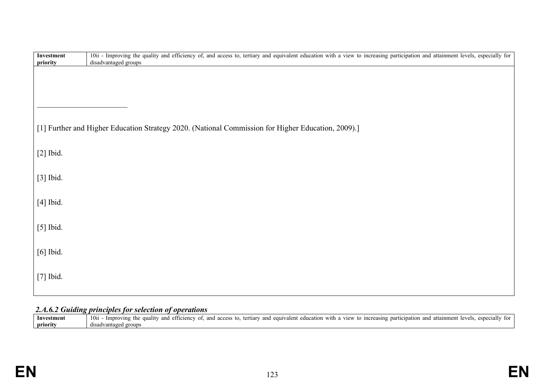| Investment<br>priority | 10ii - Improving the quality and efficiency of, and access to, tertiary and equivalent education with a view to increasing participation and attainment levels, especially for<br>disadvantaged groups |
|------------------------|--------------------------------------------------------------------------------------------------------------------------------------------------------------------------------------------------------|
|                        |                                                                                                                                                                                                        |
|                        |                                                                                                                                                                                                        |
|                        |                                                                                                                                                                                                        |
|                        |                                                                                                                                                                                                        |
|                        | [1] Further and Higher Education Strategy 2020. (National Commission for Higher Education, 2009).]                                                                                                     |
| $[2]$ Ibid.            |                                                                                                                                                                                                        |
|                        |                                                                                                                                                                                                        |
| [3] Ibid.              |                                                                                                                                                                                                        |
| $[4]$ Ibid.            |                                                                                                                                                                                                        |
|                        |                                                                                                                                                                                                        |
| $[5]$ Ibid.            |                                                                                                                                                                                                        |
|                        |                                                                                                                                                                                                        |
| [6] Ibid.              |                                                                                                                                                                                                        |
| [7] Ibid.              |                                                                                                                                                                                                        |
|                        |                                                                                                                                                                                                        |

# *2.A.6.2 Guiding principles for selection of operations*

| Investmen | 10 <sub>ii</sub><br>especial<br>1mm <sub>en</sub><br><i>Improving</i><br>view<br>efficiency<br>and<br>and<br>0000<br>education<br>tor<br>.ient-<br>with<br>increasing<br>and<br>tertiar<br>$ca$ u <sub>1</sub> $v$<br>aaliiv<br>and<br>TO.<br>the<br>participation<br>acc<br>10 V 013 |
|-----------|---------------------------------------------------------------------------------------------------------------------------------------------------------------------------------------------------------------------------------------------------------------------------------------|
| priority  | . groups<br>disadv?<br>. vantages                                                                                                                                                                                                                                                     |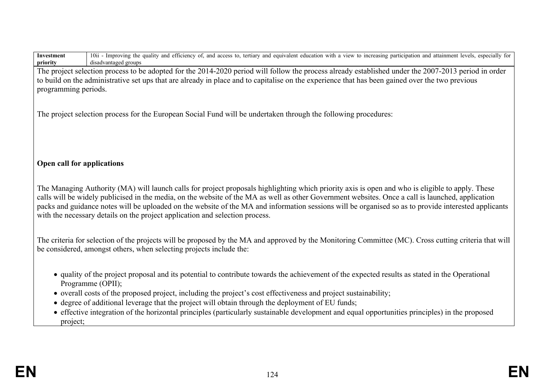| 10ii - Improving the quality and efficiency of, and access to, tertiary and equivalent education with a view to increasing participation and attainment levels, especially for<br>Investment<br>disadvantaged groups<br>priority                                                                      |  |  |  |  |  |
|-------------------------------------------------------------------------------------------------------------------------------------------------------------------------------------------------------------------------------------------------------------------------------------------------------|--|--|--|--|--|
| The project selection process to be adopted for the 2014-2020 period will follow the process already established under the 2007-2013 period in order                                                                                                                                                  |  |  |  |  |  |
| to build on the administrative set ups that are already in place and to capitalise on the experience that has been gained over the two previous                                                                                                                                                       |  |  |  |  |  |
| programming periods.                                                                                                                                                                                                                                                                                  |  |  |  |  |  |
|                                                                                                                                                                                                                                                                                                       |  |  |  |  |  |
| The project selection process for the European Social Fund will be undertaken through the following procedures:                                                                                                                                                                                       |  |  |  |  |  |
|                                                                                                                                                                                                                                                                                                       |  |  |  |  |  |
|                                                                                                                                                                                                                                                                                                       |  |  |  |  |  |
|                                                                                                                                                                                                                                                                                                       |  |  |  |  |  |
| Open call for applications                                                                                                                                                                                                                                                                            |  |  |  |  |  |
|                                                                                                                                                                                                                                                                                                       |  |  |  |  |  |
|                                                                                                                                                                                                                                                                                                       |  |  |  |  |  |
| The Managing Authority (MA) will launch calls for project proposals highlighting which priority axis is open and who is eligible to apply. These<br>calls will be widely publicised in the media, on the website of the MA as well as other Government websites. Once a call is launched, application |  |  |  |  |  |
| packs and guidance notes will be uploaded on the website of the MA and information sessions will be organised so as to provide interested applicants                                                                                                                                                  |  |  |  |  |  |
| with the necessary details on the project application and selection process.                                                                                                                                                                                                                          |  |  |  |  |  |
|                                                                                                                                                                                                                                                                                                       |  |  |  |  |  |
| The criteria for selection of the projects will be proposed by the MA and approved by the Monitoring Committee (MC). Cross cutting criteria that will                                                                                                                                                 |  |  |  |  |  |
| be considered, amongst others, when selecting projects include the:                                                                                                                                                                                                                                   |  |  |  |  |  |
|                                                                                                                                                                                                                                                                                                       |  |  |  |  |  |
| • quality of the project proposal and its potential to contribute towards the achievement of the expected results as stated in the Operational                                                                                                                                                        |  |  |  |  |  |
| Programme (OPII);                                                                                                                                                                                                                                                                                     |  |  |  |  |  |
| • overall costs of the proposed project, including the project's cost effectiveness and project sustainability;                                                                                                                                                                                       |  |  |  |  |  |
| • degree of additional leverage that the project will obtain through the deployment of EU funds;                                                                                                                                                                                                      |  |  |  |  |  |
| • effective integration of the horizontal principles (particularly sustainable development and equal opportunities principles) in the proposed                                                                                                                                                        |  |  |  |  |  |
| project;                                                                                                                                                                                                                                                                                              |  |  |  |  |  |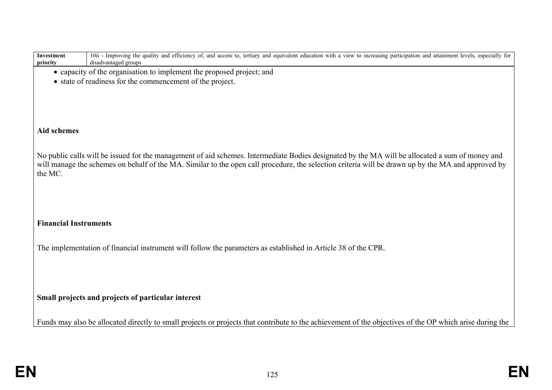| Investment<br>priority       | 10ii - Improving the quality and efficiency of, and access to, tertiary and equivalent education with a view to increasing participation and attainment levels, especially for<br>disadvantaged groups |
|------------------------------|--------------------------------------------------------------------------------------------------------------------------------------------------------------------------------------------------------|
|                              | • capacity of the organisation to implement the proposed project; and                                                                                                                                  |
|                              | • state of readiness for the commencement of the project.                                                                                                                                              |
|                              |                                                                                                                                                                                                        |
|                              |                                                                                                                                                                                                        |
|                              |                                                                                                                                                                                                        |
| <b>Aid schemes</b>           |                                                                                                                                                                                                        |
|                              |                                                                                                                                                                                                        |
|                              | No public calls will be issued for the management of aid schemes. Intermediate Bodies designated by the MA will be allocated a sum of money and                                                        |
|                              | will manage the schemes on behalf of the MA. Similar to the open call procedure, the selection criteria will be drawn up by the MA and approved by                                                     |
| the MC.                      |                                                                                                                                                                                                        |
|                              |                                                                                                                                                                                                        |
|                              |                                                                                                                                                                                                        |
|                              |                                                                                                                                                                                                        |
| <b>Financial Instruments</b> |                                                                                                                                                                                                        |
|                              |                                                                                                                                                                                                        |
|                              | The implementation of financial instrument will follow the parameters as established in Article 38 of the CPR.                                                                                         |
|                              |                                                                                                                                                                                                        |
|                              |                                                                                                                                                                                                        |
|                              |                                                                                                                                                                                                        |
|                              | Small projects and projects of particular interest                                                                                                                                                     |
|                              |                                                                                                                                                                                                        |
|                              | Funds may also be allocated directly to small projects or projects that contribute to the achievement of the objectives of the OP which arise during the                                               |
|                              |                                                                                                                                                                                                        |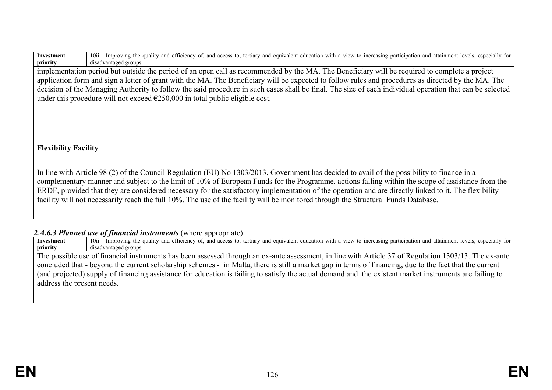| Investment | 10ii<br>attainment levels.<br>especially for<br>a view to increasing participation and a<br>tertiary<br>Improving<br>∴ th≙<br>and equivalent<br>and access to.<br>education with<br>. quality<br>and efficiency of.<br>ur |
|------------|---------------------------------------------------------------------------------------------------------------------------------------------------------------------------------------------------------------------------|
| priority   | disadvantaged groups                                                                                                                                                                                                      |

implementation period but outside the period of an open call as recommended by the MA. The Beneficiary will be required to complete a project application form and sign a letter of grant with the MA. The Beneficiary will be expected to follow rules and procedures as directed by the MA. The decision of the Managing Authority to follow the said procedure in such cases shall be final. The size of each individual operation that can be selected under this procedure will not exceed  $\epsilon$ 250,000 in total public eligible cost.

# **Flexibility Facility**

In line with Article 98 (2) of the Council Regulation (EU) No 1303/2013, Government has decided to avail of the possibility to finance in a complementary manner and subject to the limit of 10% of European Funds for the Programme, actions falling within the scope of assistance from the ERDF, provided that they are considered necessary for the satisfactory implementation of the operation and are directly linked to it. The flexibility facility will not necessarily reach the full 10%. The use of the facility will be monitored through the Structural Funds Database.

### 2.*A.6.3 Planned use of financial instruments* (where appropriate)

**Investment priority** 10<sup>1</sup> - Improving the quality and efficiency of, and access to, tertiary and equivalent education with a view to increasing participation and attainment levels, especially for disadvantaged groups The possible use of financial instruments has been assessed through an ex-ante assessment, in line with Article 37 of Regulation 1303/13. The ex-ante concluded that - beyond the current scholarship schemes - in Malta, there is still a market gap in terms of financing, due to the fact that the current (and projected) supply of financing assistance for education is failing to satisfy the actual demand and the existent market instruments are failing to address the present needs.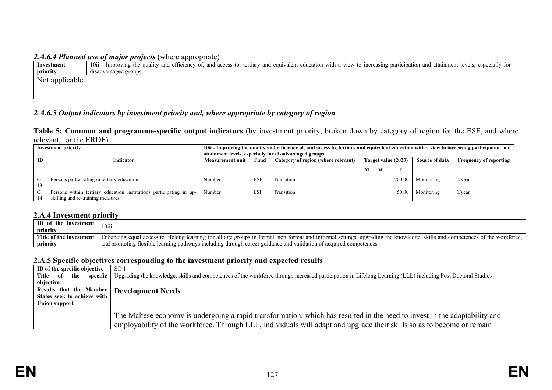#### *2.A.6.4 Planned use of major projects* (where appropriate)

| Investment     | 10ii - Improving the quality and efficiency of, and access to, tertiary and equivalent education with a view to increasing participation and attainment levels, especially for |
|----------------|--------------------------------------------------------------------------------------------------------------------------------------------------------------------------------|
| priority       | disadvantaged groups                                                                                                                                                           |
| Not applicable |                                                                                                                                                                                |
|                |                                                                                                                                                                                |
|                |                                                                                                                                                                                |

# *2.A.6.5 Output indicators by investment priority and, where appropriate by category of region*

**Table 5: Common and programme-specific output indicators** (by investment priority, broken down by category of region for the ESF, and where relevant, for the ERDF)

|    | <b>Investment priority</b>                                          | 10ii - Improving the quality and efficiency of, and access to, tertiary and equivalent education with a view to increasing participation and |                                                        |                                     |  |   |                     |                |                               |  |
|----|---------------------------------------------------------------------|----------------------------------------------------------------------------------------------------------------------------------------------|--------------------------------------------------------|-------------------------------------|--|---|---------------------|----------------|-------------------------------|--|
|    |                                                                     |                                                                                                                                              | attainment levels, especially for disadvantaged groups |                                     |  |   |                     |                |                               |  |
| ID | Indicator                                                           | <b>Measurement unit</b>                                                                                                                      | Fund                                                   | Category of region (where relevant) |  |   | Target value (2023) | Source of data | <b>Frequency of reporting</b> |  |
|    |                                                                     |                                                                                                                                              |                                                        |                                     |  |   |                     |                |                               |  |
|    |                                                                     |                                                                                                                                              |                                                        |                                     |  | W |                     |                |                               |  |
|    | Persons participating in tertiary education                         | Number                                                                                                                                       | <b>ESF</b>                                             | Transition                          |  |   | 700.00              | Monitoring     | $1/\text{year}$               |  |
|    |                                                                     |                                                                                                                                              |                                                        |                                     |  |   |                     |                |                               |  |
|    | Persons within tertiary education institutions participating in up- | Number                                                                                                                                       | <b>ESF</b>                                             | Transition                          |  |   | 50.00               | Monitoring     | $1/\text{year}$               |  |
|    | skilling and re-training measures                                   |                                                                                                                                              |                                                        |                                     |  |   |                     |                |                               |  |

#### **2.A.4 Investment priority**

| <b>ID</b> of the investment | 10iii                                                                                                                                                                         |
|-----------------------------|-------------------------------------------------------------------------------------------------------------------------------------------------------------------------------|
| priority                    |                                                                                                                                                                               |
| Title of the investment     | Enhancing equal access to lifelong learning for all age groups in formal, non formal and informal settings, upgrading the knowledge, skills and competences of the workforce, |
| priority                    | and promoting flexible learning pathways including through career guidance and validation of acquired competences                                                             |

#### **2.A.5 Specific objectives corresponding to the investment priority and expected results**

| ID of the specific objective | SO <sub>1</sub>                                                                                                                                                                                                                                      |
|------------------------------|------------------------------------------------------------------------------------------------------------------------------------------------------------------------------------------------------------------------------------------------------|
| Title of the<br>specific     | Upgrading the knowledge, skills and competences of the workforce through increased participation in Lifelong Learning (LLL) including Post Doctoral Studies                                                                                          |
| objective                    |                                                                                                                                                                                                                                                      |
| Results that the Member      | <b>Development Needs</b>                                                                                                                                                                                                                             |
| States seek to achieve with  |                                                                                                                                                                                                                                                      |
| Union support                |                                                                                                                                                                                                                                                      |
|                              | The Maltese economy is undergoing a rapid transformation, which has resulted in the need to invest in the adaptability and<br>employability of the workforce. Through LLL, individuals will adapt and upgrade their skills so as to become or remain |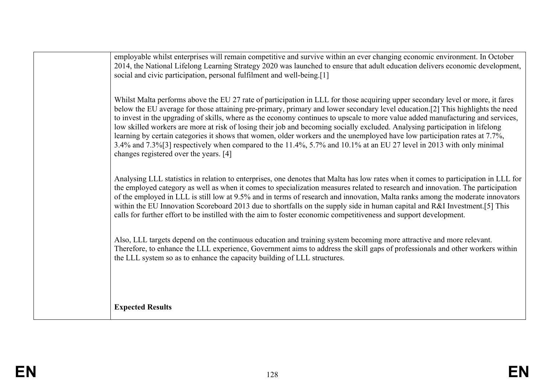| employable whilst enterprises will remain competitive and survive within an ever changing economic environment. In October<br>2014, the National Lifelong Learning Strategy 2020 was launched to ensure that adult education delivers economic development,<br>social and civic participation, personal fulfilment and well-being.[1]                                                                                                                                                                                                                                                                                                                                                                                                                                                                                               |
|-------------------------------------------------------------------------------------------------------------------------------------------------------------------------------------------------------------------------------------------------------------------------------------------------------------------------------------------------------------------------------------------------------------------------------------------------------------------------------------------------------------------------------------------------------------------------------------------------------------------------------------------------------------------------------------------------------------------------------------------------------------------------------------------------------------------------------------|
| Whilst Malta performs above the EU 27 rate of participation in LLL for those acquiring upper secondary level or more, it fares<br>below the EU average for those attaining pre-primary, primary and lower secondary level education.[2] This highlights the need<br>to invest in the upgrading of skills, where as the economy continues to upscale to more value added manufacturing and services,<br>low skilled workers are more at risk of losing their job and becoming socially excluded. Analysing participation in lifelong<br>learning by certain categories it shows that women, older workers and the unemployed have low participation rates at 7.7%,<br>3.4% and 7.3%[3] respectively when compared to the 11.4%, 5.7% and 10.1% at an EU 27 level in 2013 with only minimal<br>changes registered over the years. [4] |
| Analysing LLL statistics in relation to enterprises, one denotes that Malta has low rates when it comes to participation in LLL for<br>the employed category as well as when it comes to specialization measures related to research and innovation. The participation<br>of the employed in LLL is still low at 9.5% and in terms of research and innovation, Malta ranks among the moderate innovators<br>within the EU Innovation Scoreboard 2013 due to shortfalls on the supply side in human capital and R&I Investment. [5] This<br>calls for further effort to be instilled with the aim to foster economic competitiveness and support development.                                                                                                                                                                        |
| Also, LLL targets depend on the continuous education and training system becoming more attractive and more relevant.<br>Therefore, to enhance the LLL experience, Government aims to address the skill gaps of professionals and other workers within<br>the LLL system so as to enhance the capacity building of LLL structures.                                                                                                                                                                                                                                                                                                                                                                                                                                                                                                   |
|                                                                                                                                                                                                                                                                                                                                                                                                                                                                                                                                                                                                                                                                                                                                                                                                                                     |
| <b>Expected Results</b>                                                                                                                                                                                                                                                                                                                                                                                                                                                                                                                                                                                                                                                                                                                                                                                                             |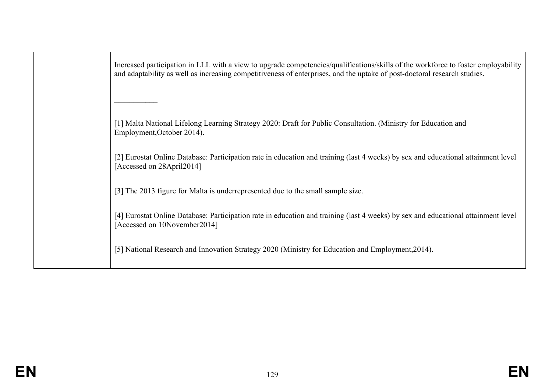Increased participation in LLL with a view to upgrade competencies/qualifications/skills of the workforce to foster employability and adaptability as well as increasing competitiveness of enterprises, and the uptake of post-doctoral research studies.

[1] Malta National Lifelong Learning Strategy 2020: Draft for Public Consultation. (Ministry for Education and Employment,October 2014).

[2] Eurostat Online Database: Participation rate in education and training (last 4 weeks) by sex and educational attainment level [Accessed on 28April2014]

[3] The 2013 figure for Malta is underrepresented due to the small sample size.

 $\frac{1}{2}$  ,  $\frac{1}{2}$  ,  $\frac{1}{2}$  ,  $\frac{1}{2}$  ,  $\frac{1}{2}$  ,  $\frac{1}{2}$ 

[4] Eurostat Online Database: Participation rate in education and training (last 4 weeks) by sex and educational attainment level [Accessed on 10November2014]

[5] National Research and Innovation Strategy 2020 (Ministry for Education and Employment,2014).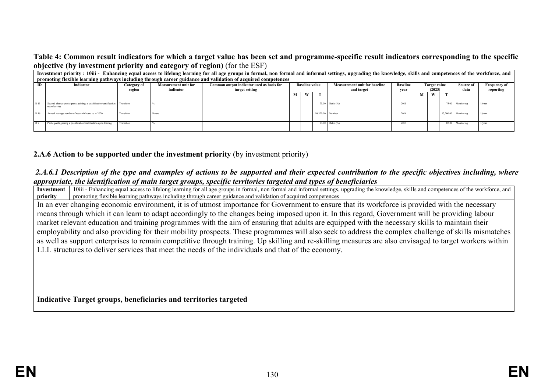#### **Table 4: Common result indicators for which a target value has been set and programme-specific result indicators corresponding to the specific objective (by investment priority and category of region)** (for the ESF)

|       | Investment priority : 10iii - Enhancing equal access to lifelong learning for all age groups in formal, non formal and informal settings, upgrading the knowledge, skills and competences of the workforce, and<br>promoting flexible learning pathways including through career guidance and validation of acquired competences |                       |                                          |                                                             |                                                                                                                                                              |   |                  |                 |      |   |                                  |           |            |                 |
|-------|----------------------------------------------------------------------------------------------------------------------------------------------------------------------------------------------------------------------------------------------------------------------------------------------------------------------------------|-----------------------|------------------------------------------|-------------------------------------------------------------|--------------------------------------------------------------------------------------------------------------------------------------------------------------|---|------------------|-----------------|------|---|----------------------------------|-----------|------------|-----------------|
| ID    | Indicator                                                                                                                                                                                                                                                                                                                        | Category of<br>region | <b>Measurement unit for</b><br>indicator | Common output indicator used as basis for<br>target setting | <b>Baseline</b><br><b>Measurement unit for baseline</b><br><b>Baseline value</b><br><b>Target value</b><br>Source of<br>and target<br>(2023)<br>data<br>vear |   |                  |                 |      |   | <b>Frequency of</b><br>reporting |           |            |                 |
|       |                                                                                                                                                                                                                                                                                                                                  |                       |                                          |                                                             |                                                                                                                                                              | W |                  |                 |      | М | W                                |           |            |                 |
| R 15  | Second chance participants gaining a qualification/certification Transition<br>upon leaving                                                                                                                                                                                                                                      |                       |                                          |                                                             |                                                                                                                                                              |   |                  | 73.00 Ratio (%) | 2015 |   |                                  | 75.00     | Monitoring | $1/\text{year}$ |
| R 16  | Annual average number of research hours as at 2020                                                                                                                                                                                                                                                                               | Transition            | Hours                                    |                                                             |                                                                                                                                                              |   | 10.320.00 Number |                 | 2014 |   |                                  | 17.200.00 | Monitoring | $1$ /year       |
| I R 9 | Participants gaining a qualification/certification upon leaving                                                                                                                                                                                                                                                                  | Transition            |                                          |                                                             |                                                                                                                                                              |   |                  | 87.00 Ratio (%) | 2013 |   |                                  | 87.00     | Monitoring | $1/\text{year}$ |

#### **2.A.6 Action to be supported under the investment priority** (by investment priority)

#### *2.A.6.1 Description of the type and examples of actions to be supported and their expected contribution to the specific objectives including, where appropriate, the identification of main target groups, specific territories targeted and types of beneficiaries*

**Investment priority** 10iii - Enhancing equal access to lifelong learning for all age groups in formal, non formal and informal settings, upgrading the knowledge, skills and competences of the workforce, and promoting flexible learning pathways including through career guidance and validation of acquired competences

In an ever changing economic environment, it is of utmost importance for Government to ensure that its workforce is provided with the necessary means through which it can learn to adapt accordingly to the changes being imposed upon it. In this regard, Government will be providing labour market relevant education and training programmes with the aim of ensuring that adults are equipped with the necessary skills to maintain their employability and also providing for their mobility prospects. These programmes will also seek to address the complex challenge of skills mismatches as well as support enterprises to remain competitive through training. Up skilling and re-skilling measures are also envisaged to target workers within LLL structures to deliver services that meet the needs of the individuals and that of the economy.

**Indicative Target groups, beneficiaries and territories targeted**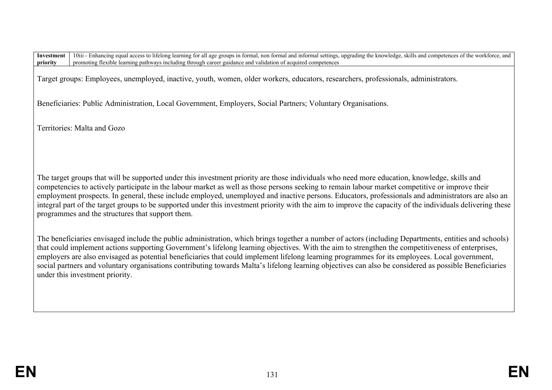Target groups: Employees, unemployed, inactive, youth, women, older workers, educators, researchers, professionals, administrators.

Beneficiaries: Public Administration, Local Government, Employers, Social Partners; Voluntary Organisations.

Territories: Malta and Gozo

The target groups that will be supported under this investment priority are those individuals who need more education, knowledge, skills and competencies to actively participate in the labour market as well as those persons seeking to remain labour market competitive or improve their employment prospects. In general, these include employed, unemployed and inactive persons. Educators, professionals and administrators are also an integral part of the target groups to be supported under this investment priority with the aim to improve the capacity of the individuals delivering these programmes and the structures that support them.

The beneficiaries envisaged include the public administration, which brings together a number of actors (including Departments, entities and schools) that could implement actions supporting Government's lifelong learning objectives. With the aim to strengthen the competitiveness of enterprises, employers are also envisaged as potential beneficiaries that could implement lifelong learning programmes for its employees. Local government, social partners and voluntary organisations contributing towards Malta's lifelong learning objectives can also be considered as possible Beneficiaries under this investment priority.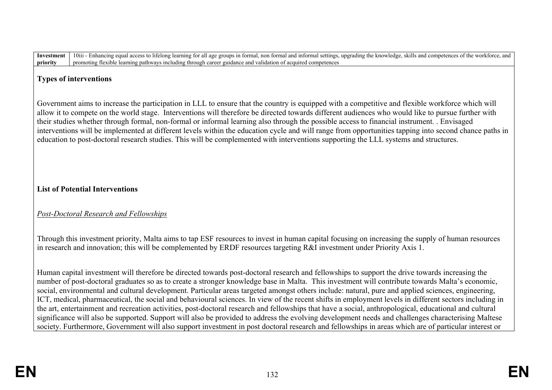### **Types of interventions**

Government aims to increase the participation in LLL to ensure that the country is equipped with a competitive and flexible workforce which will allow it to compete on the world stage. Interventions will therefore be directed towards different audiences who would like to pursue further with their studies whether through formal, non-formal or informal learning also through the possible access to financial instrument. . Envisaged interventions will be implemented at different levels within the education cycle and will range from opportunities tapping into second chance paths in education to post-doctoral research studies. This will be complemented with interventions supporting the LLL systems and structures.

# **List of Potential Interventions**

# *Post-Doctoral Research and Fellowships*

Through this investment priority, Malta aims to tap ESF resources to invest in human capital focusing on increasing the supply of human resources in research and innovation; this will be complemented by ERDF resources targeting R&I investment under Priority Axis 1.

Human capital investment will therefore be directed towards post-doctoral research and fellowships to support the drive towards increasing the number of post-doctoral graduates so as to create a stronger knowledge base in Malta. This investment will contribute towards Malta's economic, social, environmental and cultural development. Particular areas targeted amongst others include: natural, pure and applied sciences, engineering, ICT, medical, pharmaceutical, the social and behavioural sciences. In view of the recent shifts in employment levels in different sectors including in the art, entertainment and recreation activities, post-doctoral research and fellowships that have a social, anthropological, educational and cultural significance will also be supported. Support will also be provided to address the evolving development needs and challenges characterising Maltese society. Furthermore, Government will also support investment in post doctoral research and fellowships in areas which are of particular interest or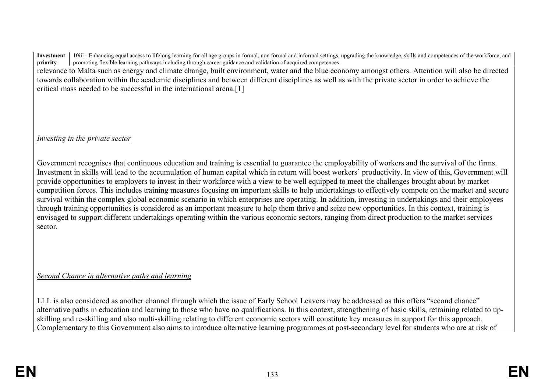relevance to Malta such as energy and climate change, built environment, water and the blue economy amongst others. Attention will also be directed towards collaboration within the academic disciplines and between different disciplines as well as with the private sector in order to achieve the critical mass needed to be successful in the international arena.[1]

*Investing in the private sector*

Government recognises that continuous education and training is essential to guarantee the employability of workers and the survival of the firms. Investment in skills will lead to the accumulation of human capital which in return will boost workers' productivity. In view of this, Government will provide opportunities to employers to invest in their workforce with a view to be well equipped to meet the challenges brought about by market competition forces. This includes training measures focusing on important skills to help undertakings to effectively compete on the market and secure survival within the complex global economic scenario in which enterprises are operating. In addition, investing in undertakings and their employees through training opportunities is considered as an important measure to help them thrive and seize new opportunities. In this context, training is envisaged to support different undertakings operating within the various economic sectors, ranging from direct production to the market services sector.

*Second Chance in alternative paths and learning*

LLL is also considered as another channel through which the issue of Early School Leavers may be addressed as this offers "second chance" alternative paths in education and learning to those who have no qualifications. In this context, strengthening of basic skills, retraining related to upskilling and re-skilling and also multi-skilling relating to different economic sectors will constitute key measures in support for this approach. Complementary to this Government also aims to introduce alternative learning programmes at post-secondary level for students who are at risk of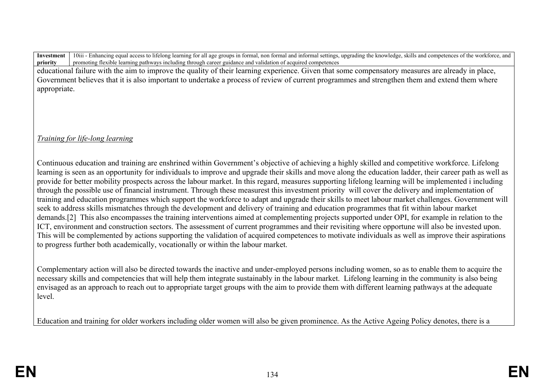educational failure with the aim to improve the quality of their learning experience. Given that some compensatory measures are already in place, Government believes that it is also important to undertake a process of review of current programmes and strengthen them and extend them where appropriate.

*Training for life-long learning* 

Continuous education and training are enshrined within Government's objective of achieving a highly skilled and competitive workforce. Lifelong learning is seen as an opportunity for individuals to improve and upgrade their skills and move along the education ladder, their career path as well as provide for better mobility prospects across the labour market. In this regard, measures supporting lifelong learning will be implemented i including through the possible use of financial instrument. Through these measurest this investment priority will cover the delivery and implementation of training and education programmes which support the workforce to adapt and upgrade their skills to meet labour market challenges. Government will seek to address skills mismatches through the development and delivery of training and education programmes that fit within labour market demands.[2] This also encompasses the training interventions aimed at complementing projects supported under OPI, for example in relation to the ICT, environment and construction sectors. The assessment of current programmes and their revisiting where opportune will also be invested upon. This will be complemented by actions supporting the validation of acquired competences to motivate individuals as well as improve their aspirations to progress further both academically, vocationally or within the labour market.

Complementary action will also be directed towards the inactive and under-employed persons including women, so as to enable them to acquire the necessary skills and competencies that will help them integrate sustainably in the labour market. Lifelong learning in the community is also being envisaged as an approach to reach out to appropriate target groups with the aim to provide them with different learning pathways at the adequate level.

Education and training for older workers including older women will also be given prominence. As the Active Ageing Policy denotes, there is a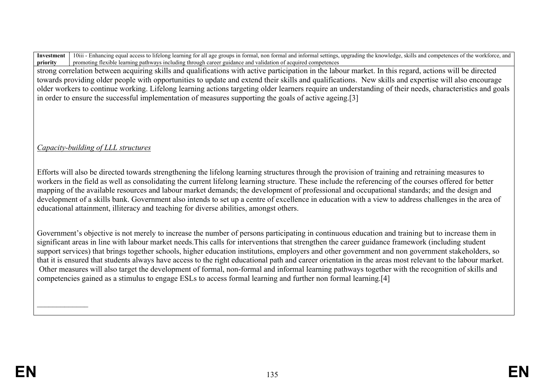strong correlation between acquiring skills and qualifications with active participation in the labour market. In this regard, actions will be directed towards providing older people with opportunities to update and extend their skills and qualifications. New skills and expertise will also encourage older workers to continue working. Lifelong learning actions targeting older learners require an understanding of their needs, characteristics and goals in order to ensure the successful implementation of measures supporting the goals of active ageing.[3]

# *Capacity-building of LLL structures*

Efforts will also be directed towards strengthening the lifelong learning structures through the provision of training and retraining measures to workers in the field as well as consolidating the current lifelong learning structure. These include the referencing of the courses offered for better mapping of the available resources and labour market demands; the development of professional and occupational standards; and the design and development of a skills bank. Government also intends to set up a centre of excellence in education with a view to address challenges in the area of educational attainment, illiteracy and teaching for diverse abilities, amongst others.

Government's objective is not merely to increase the number of persons participating in continuous education and training but to increase them in significant areas in line with labour market needs.This calls for interventions that strengthen the career guidance framework (including student support services) that brings together schools, higher education institutions, employers and other government and non government stakeholders, so that it is ensured that students always have access to the right educational path and career orientation in the areas most relevant to the labour market. Other measures will also target the development of formal, non-formal and informal learning pathways together with the recognition of skills and competencies gained as a stimulus to engage ESLs to access formal learning and further non formal learning.[4]

 $\frac{1}{2}$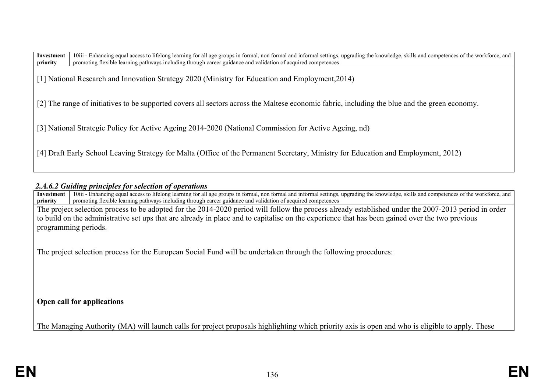[1] National Research and Innovation Strategy 2020 (Ministry for Education and Employment,2014)

[2] The range of initiatives to be supported covers all sectors across the Maltese economic fabric, including the blue and the green economy.

[3] National Strategic Policy for Active Ageing 2014-2020 (National Commission for Active Ageing, nd)

[4] Draft Early School Leaving Strategy for Malta (Office of the Permanent Secretary, Ministry for Education and Employment, 2012)

#### *2.A.6.2 Guiding principles for selection of operations*

**Investment priority** 10iii - Enhancing equal access to lifelong learning for all age groups in formal, non formal and informal settings, upgrading the knowledge, skills and competences of the workforce, and promoting flexible learning pathways including through career guidance and validation of acquired competences

The project selection process to be adopted for the 2014-2020 period will follow the process already established under the 2007-2013 period in order to build on the administrative set ups that are already in place and to capitalise on the experience that has been gained over the two previous programming periods.

The project selection process for the European Social Fund will be undertaken through the following procedures:

**Open call for applications** 

The Managing Authority (MA) will launch calls for project proposals highlighting which priority axis is open and who is eligible to apply. These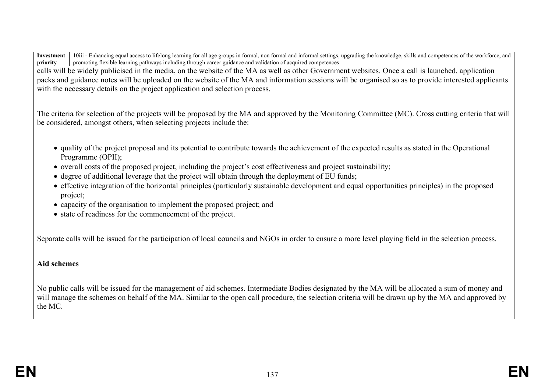calls will be widely publicised in the media, on the website of the MA as well as other Government websites. Once a call is launched, application packs and guidance notes will be uploaded on the website of the MA and information sessions will be organised so as to provide interested applicants with the necessary details on the project application and selection process.

The criteria for selection of the projects will be proposed by the MA and approved by the Monitoring Committee (MC). Cross cutting criteria that will be considered, amongst others, when selecting projects include the:

- quality of the project proposal and its potential to contribute towards the achievement of the expected results as stated in the Operational Programme (OPII);
- overall costs of the proposed project, including the project's cost effectiveness and project sustainability;
- degree of additional leverage that the project will obtain through the deployment of EU funds;
- effective integration of the horizontal principles (particularly sustainable development and equal opportunities principles) in the proposed project;
- capacity of the organisation to implement the proposed project; and
- state of readiness for the commencement of the project.

Separate calls will be issued for the participation of local councils and NGOs in order to ensure a more level playing field in the selection process.

# **Aid schemes**

No public calls will be issued for the management of aid schemes. Intermediate Bodies designated by the MA will be allocated a sum of money and will manage the schemes on behalf of the MA. Similar to the open call procedure, the selection criteria will be drawn up by the MA and approved by the MC.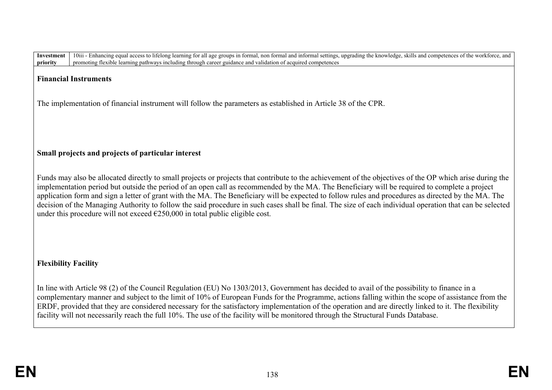| priority<br>promoting flexible learning pathways including through career guidance and validation of acquired competences                                                                                                                                                                                                                                                                                                                                                                                                                                                                                                                                                                                              |
|------------------------------------------------------------------------------------------------------------------------------------------------------------------------------------------------------------------------------------------------------------------------------------------------------------------------------------------------------------------------------------------------------------------------------------------------------------------------------------------------------------------------------------------------------------------------------------------------------------------------------------------------------------------------------------------------------------------------|
| <b>Financial Instruments</b>                                                                                                                                                                                                                                                                                                                                                                                                                                                                                                                                                                                                                                                                                           |
| The implementation of financial instrument will follow the parameters as established in Article 38 of the CPR.                                                                                                                                                                                                                                                                                                                                                                                                                                                                                                                                                                                                         |
|                                                                                                                                                                                                                                                                                                                                                                                                                                                                                                                                                                                                                                                                                                                        |
| Small projects and projects of particular interest                                                                                                                                                                                                                                                                                                                                                                                                                                                                                                                                                                                                                                                                     |
| Funds may also be allocated directly to small projects or projects that contribute to the achievement of the objectives of the OP which arise during the<br>implementation period but outside the period of an open call as recommended by the MA. The Beneficiary will be required to complete a project<br>application form and sign a letter of grant with the MA. The Beneficiary will be expected to follow rules and procedures as directed by the MA. The<br>decision of the Managing Authority to follow the said procedure in such cases shall be final. The size of each individual operation that can be selected<br>under this procedure will not exceed $\epsilon$ 250,000 in total public eligible cost. |
| <b>Flexibility Facility</b>                                                                                                                                                                                                                                                                                                                                                                                                                                                                                                                                                                                                                                                                                            |
| In line with Article 98 (2) of the Council Regulation (EU) No 1303/2013, Government has decided to avail of the possibility to finance in a<br>complementary manner and subject to the limit of 10% of European Funds for the Programme, actions falling within the scope of assistance from the<br>ERDF, provided that they are considered necessary for the satisfactory implementation of the operation and are directly linked to it. The flexibility<br>facility will not necessarily reach the full 10%. The use of the facility will be monitored through the Structural Funds Database.                                                                                                                        |
|                                                                                                                                                                                                                                                                                                                                                                                                                                                                                                                                                                                                                                                                                                                        |

Investment | 10iii - Enhancing equal access to lifelong learning for all age groups in formal, non formal and informal settings, upgrading the knowledge, skills and competences of the workforce, and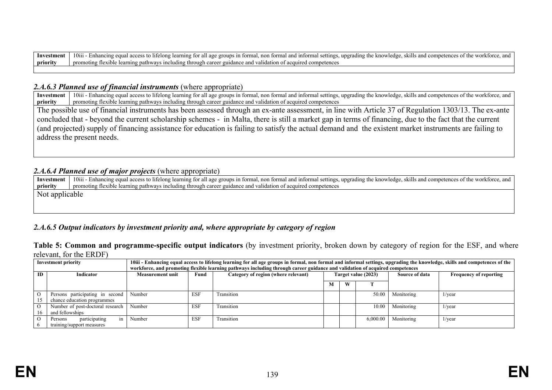#### 2.4.6.3 Planned use of financial instruments (where appropriate)

**Investment priority** 10iii - Enhancing equal access to lifelong learning for all age groups in formal, non formal and informal settings, upgrading the knowledge, skills and competences of the workforce, and promoting flexible learning pathways including through career guidance and validation of acquired competences

The possible use of financial instruments has been assessed through an ex-ante assessment, in line with Article 37 of Regulation 1303/13. The ex-ante concluded that - beyond the current scholarship schemes - in Malta, there is still a market gap in terms of financing, due to the fact that the current (and projected) supply of financing assistance for education is failing to satisfy the actual demand and the existent market instruments are failing to address the present needs.

#### *2.A.6.4 Planned use of major projects* (where appropriate)

**Investment priority** 10iii - Enhancing equal access to lifelong learning for all age groups in formal, non formal and informal settings, upgrading the knowledge, skills and competences of the workforce, and promoting flexible learning pathways including through career guidance and validation of acquired competences Not applicable

### *2.A.6.5 Output indicators by investment priority and, where appropriate by category of region*

**Table 5: Common and programme-specific output indicators** (by investment priority, broken down by category of region for the ESF, and where relevant, for the ERDF)

| <b>Investment priority</b> |                                  | 10iii - Enhancing equal access to lifelong learning for all age groups in formal, non formal and informal settings, upgrading the knowledge, skills and competences of the |            |                                     |   |   |                     |                |                               |  |
|----------------------------|----------------------------------|----------------------------------------------------------------------------------------------------------------------------------------------------------------------------|------------|-------------------------------------|---|---|---------------------|----------------|-------------------------------|--|
|                            |                                  | workforce, and promoting flexible learning pathways including through career guidance and validation of acquired competences                                               |            |                                     |   |   |                     |                |                               |  |
| <b>ID</b>                  | Indicator                        | Measurement unit                                                                                                                                                           | Fund       | Category of region (where relevant) |   |   | Target value (2023) | Source of data | <b>Frequency of reporting</b> |  |
|                            |                                  |                                                                                                                                                                            |            |                                     |   |   |                     |                |                               |  |
|                            |                                  |                                                                                                                                                                            |            |                                     | M | W |                     |                |                               |  |
|                            | Persons participating in second  | Number                                                                                                                                                                     | <b>ESF</b> | Transition                          |   |   | 50.00               | Monitoring     | 1/year                        |  |
|                            | chance education programmes      |                                                                                                                                                                            |            |                                     |   |   |                     |                |                               |  |
|                            | Number of post-doctoral research | Number                                                                                                                                                                     | <b>ESF</b> | Transition                          |   |   | 10.00               | Monitoring     | $1/\text{year}$               |  |
|                            | and fellowships                  |                                                                                                                                                                            |            |                                     |   |   |                     |                |                               |  |
|                            | participating<br>Persons<br>1n   | Number                                                                                                                                                                     | <b>ESF</b> | Transition                          |   |   | 6.000.00            | Monitoring     | $1$ /year                     |  |
|                            | training/support measures        |                                                                                                                                                                            |            |                                     |   |   |                     |                |                               |  |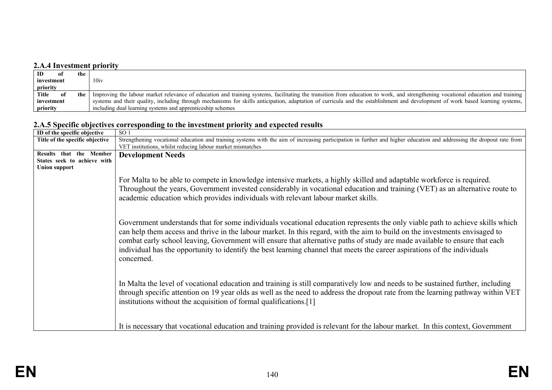# **2.A.4 Investment priority**

| ID<br>the<br>-01 |                                                                                                                                                                                        |
|------------------|----------------------------------------------------------------------------------------------------------------------------------------------------------------------------------------|
| investment       | 10iv                                                                                                                                                                                   |
| priority         |                                                                                                                                                                                        |
| Title            | the   Improving the labour market relevance of education and training systems, facilitating the transition from education to work, and strengthening vocational education and training |
| investment       | systems and their quality, including through mechanisms for skills anticipation, adaptation of curricula and the establishment and development of work based learning systems,         |
| priority         | including dual learning systems and apprenticeship schemes                                                                                                                             |

# **2.A.5 Specific objectives corresponding to the investment priority and expected results**

| ID of the specific objective    | SO <sub>1</sub>                                                                                                                                                                                                                                                                                                                                                                                                                                                                                                                       |
|---------------------------------|---------------------------------------------------------------------------------------------------------------------------------------------------------------------------------------------------------------------------------------------------------------------------------------------------------------------------------------------------------------------------------------------------------------------------------------------------------------------------------------------------------------------------------------|
| Title of the specific objective | Strengthening vocational education and training systems with the aim of increasing participation in further and higher education and addressing the dropout rate from<br>VET institutions, whilst reducing labour market mismatches                                                                                                                                                                                                                                                                                                   |
| Results that the Member         | <b>Development Needs</b>                                                                                                                                                                                                                                                                                                                                                                                                                                                                                                              |
| States seek to achieve with     |                                                                                                                                                                                                                                                                                                                                                                                                                                                                                                                                       |
| <b>Union support</b>            |                                                                                                                                                                                                                                                                                                                                                                                                                                                                                                                                       |
|                                 | For Malta to be able to compete in knowledge intensive markets, a highly skilled and adaptable workforce is required.<br>Throughout the years, Government invested considerably in vocational education and training (VET) as an alternative route to<br>academic education which provides individuals with relevant labour market skills.                                                                                                                                                                                            |
|                                 | Government understands that for some individuals vocational education represents the only viable path to achieve skills which<br>can help them access and thrive in the labour market. In this regard, with the aim to build on the investments envisaged to<br>combat early school leaving, Government will ensure that alternative paths of study are made available to ensure that each<br>individual has the opportunity to identify the best learning channel that meets the career aspirations of the individuals<br>concerned. |
|                                 | In Malta the level of vocational education and training is still comparatively low and needs to be sustained further, including<br>through specific attention on 19 year olds as well as the need to address the dropout rate from the learning pathway within VET<br>institutions without the acquisition of formal qualifications.[1]                                                                                                                                                                                               |
|                                 | It is necessary that vocational education and training provided is relevant for the labour market. In this context, Government                                                                                                                                                                                                                                                                                                                                                                                                        |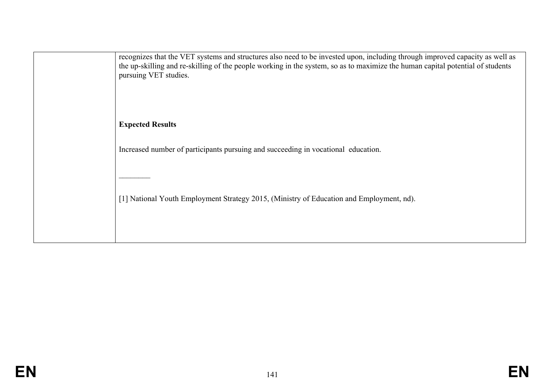| recognizes that the VET systems and structures also need to be invested upon, including through improved capacity as well as<br>the up-skilling and re-skilling of the people working in the system, so as to maximize the human capital potential of students<br>pursuing VET studies. |
|-----------------------------------------------------------------------------------------------------------------------------------------------------------------------------------------------------------------------------------------------------------------------------------------|
| <b>Expected Results</b>                                                                                                                                                                                                                                                                 |
| Increased number of participants pursuing and succeeding in vocational education.                                                                                                                                                                                                       |
|                                                                                                                                                                                                                                                                                         |
| [1] National Youth Employment Strategy 2015, (Ministry of Education and Employment, nd).                                                                                                                                                                                                |
|                                                                                                                                                                                                                                                                                         |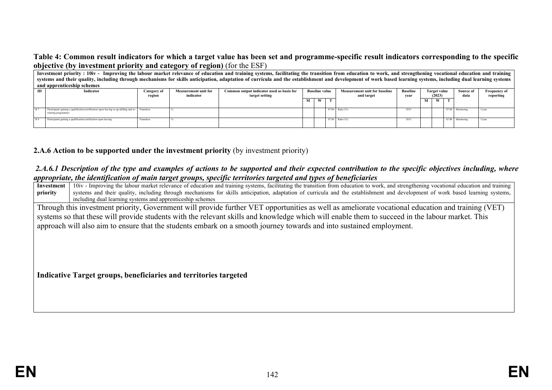#### **Table 4: Common result indicators for which a target value has been set and programme-specific result indicators corresponding to the specific objective (by investment priority and category of region)** (for the ESF)

|     | Investment priority : 10iv - Improving the labour market relevance of education and training systems, facilitating the transition from education to work, and strengthening vocational education and training  |             |                             |                                           |  |                       |  |                                      |                 |              |   |                                  |                  |           |
|-----|----------------------------------------------------------------------------------------------------------------------------------------------------------------------------------------------------------------|-------------|-----------------------------|-------------------------------------------|--|-----------------------|--|--------------------------------------|-----------------|--------------|---|----------------------------------|------------------|-----------|
|     | systems and their quality, including through mechanisms for skills anticipation, adaptation of curricula and the establishment and development of work based learning systems, including dual learning systems |             |                             |                                           |  |                       |  |                                      |                 |              |   |                                  |                  |           |
|     | and apprenticeship schemes                                                                                                                                                                                     |             |                             |                                           |  |                       |  |                                      |                 |              |   |                                  |                  |           |
| ID. | Indicator                                                                                                                                                                                                      | Category of | <b>Measurement unit for</b> | Common output indicator used as basis for |  | <b>Baseline value</b> |  | <b>Measurement unit for baseline</b> | <b>Baseline</b> | Target value |   | Source of<br><b>Frequency of</b> |                  |           |
|     |                                                                                                                                                                                                                | region      | indicator                   | target setting                            |  |                       |  | and target                           | year            | (2023)       |   |                                  | data             | reporting |
|     |                                                                                                                                                                                                                |             |                             |                                           |  | W                     |  |                                      |                 | М            | W |                                  |                  |           |
|     |                                                                                                                                                                                                                |             |                             |                                           |  |                       |  |                                      |                 |              |   |                                  |                  |           |
|     | Participants gaining a qualification/certification upon leaving in up-skilling and re-<br>Transition<br>training programmes                                                                                    |             |                             |                                           |  |                       |  | 87.00 Ratio (%)                      | 2013            |              |   |                                  | 87.00 Monitoring | 1/year    |
|     |                                                                                                                                                                                                                |             |                             |                                           |  |                       |  |                                      |                 |              |   |                                  |                  |           |
|     | Participants gaining a qualification/certification upon leaving                                                                                                                                                | Transition  |                             |                                           |  |                       |  | 87.00 Ratio (%)                      | 2013            |              |   |                                  | 87.00 Monitoring | 1/vear    |
|     |                                                                                                                                                                                                                |             |                             |                                           |  |                       |  |                                      |                 |              |   |                                  |                  |           |

**2.A.6 Action to be supported under the investment priority** (by investment priority)

#### *2.A.6.1 Description of the type and examples of actions to be supported and their expected contribution to the specific objectives including, where appropriate, the identification of main target groups, specific territories targeted and types of beneficiaries*

| иррторгине, ане нистарсинот ор тийн ий хес хтойро, эрсегре истионез ий хейси ини гроз ор оснерени из                                            |                                                                                                                                                                                         |  |  |  |  |  |  |  |
|-------------------------------------------------------------------------------------------------------------------------------------------------|-----------------------------------------------------------------------------------------------------------------------------------------------------------------------------------------|--|--|--|--|--|--|--|
| Investment                                                                                                                                      | 10iv - Improving the labour market relevance of education and training systems, facilitating the transition from education to work, and strengthening vocational education and training |  |  |  |  |  |  |  |
| priority                                                                                                                                        | systems and their quality, including through mechanisms for skills anticipation, adaptation of curricula and the establishment and development of work based learning systems,          |  |  |  |  |  |  |  |
|                                                                                                                                                 | including dual learning systems and apprenticeship schemes                                                                                                                              |  |  |  |  |  |  |  |
|                                                                                                                                                 | Through this investment priority, Government will provide further VET opportunities as well as ameliorate vocational education and training (VET)                                       |  |  |  |  |  |  |  |
| systems so that these will provide students with the relevant skills and knowledge which will enable them to succeed in the labour market. This |                                                                                                                                                                                         |  |  |  |  |  |  |  |
|                                                                                                                                                 | approach will also aim to ensure that the students embark on a smooth journey towards and into sustained employment.                                                                    |  |  |  |  |  |  |  |
|                                                                                                                                                 |                                                                                                                                                                                         |  |  |  |  |  |  |  |
|                                                                                                                                                 |                                                                                                                                                                                         |  |  |  |  |  |  |  |
|                                                                                                                                                 |                                                                                                                                                                                         |  |  |  |  |  |  |  |
|                                                                                                                                                 |                                                                                                                                                                                         |  |  |  |  |  |  |  |
|                                                                                                                                                 |                                                                                                                                                                                         |  |  |  |  |  |  |  |
| Indicative Target groups, beneficiaries and territories targeted                                                                                |                                                                                                                                                                                         |  |  |  |  |  |  |  |
|                                                                                                                                                 |                                                                                                                                                                                         |  |  |  |  |  |  |  |
|                                                                                                                                                 |                                                                                                                                                                                         |  |  |  |  |  |  |  |
|                                                                                                                                                 |                                                                                                                                                                                         |  |  |  |  |  |  |  |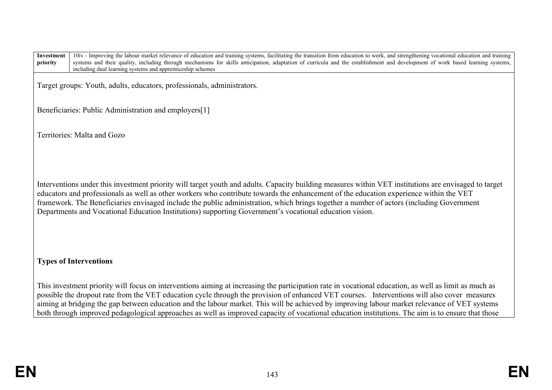| Investment<br>priority                                                  | 10iv - Improving the labour market relevance of education and training systems, facilitating the transition from education to work, and strengthening vocational education and training<br>systems and their quality, including through mechanisms for skills anticipation, adaptation of curricula and the establishment and development of work based learning systems,<br>including dual learning systems and apprenticeship schemes                                                                                                                |  |  |  |  |
|-------------------------------------------------------------------------|--------------------------------------------------------------------------------------------------------------------------------------------------------------------------------------------------------------------------------------------------------------------------------------------------------------------------------------------------------------------------------------------------------------------------------------------------------------------------------------------------------------------------------------------------------|--|--|--|--|
| Target groups: Youth, adults, educators, professionals, administrators. |                                                                                                                                                                                                                                                                                                                                                                                                                                                                                                                                                        |  |  |  |  |
| Beneficiaries: Public Administration and employers[1]                   |                                                                                                                                                                                                                                                                                                                                                                                                                                                                                                                                                        |  |  |  |  |
| Territories: Malta and Gozo                                             |                                                                                                                                                                                                                                                                                                                                                                                                                                                                                                                                                        |  |  |  |  |
|                                                                         | Interventions under this investment priority will target youth and adults. Capacity building measures within VET institutions are envisaged to target<br>educators and professionals as well as other workers who contribute towards the enhancement of the education experience within the VET<br>framework. The Beneficiaries envisaged include the public administration, which brings together a number of actors (including Government<br>Departments and Vocational Education Institutions) supporting Government's vocational education vision. |  |  |  |  |
| <b>Types of Interventions</b>                                           |                                                                                                                                                                                                                                                                                                                                                                                                                                                                                                                                                        |  |  |  |  |
|                                                                         | This investment priority will focus on interventions aiming at increasing the participation rate in vocational education, as well as limit as much as                                                                                                                                                                                                                                                                                                                                                                                                  |  |  |  |  |

This investment priority will focus on interventions aiming at increasing the participation rate in vocational education, as well as limit as much as possible the dropout rate from the VET education cycle through the provision of enhanced VET courses. Interventions will also cover measures aiming at bridging the gap between education and the labour market. This will be achieved by improving labour market relevance of VET systems both through improved pedagological approaches as well as improved capacity of vocational education institutions. The aim is to ensure that those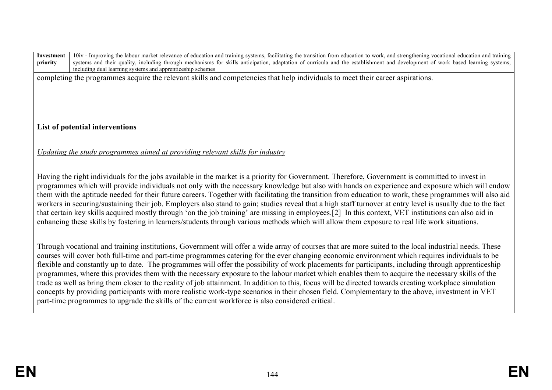| Investment<br>priority | 10iv - Improving the labour market relevance of education and training systems, facilitating the transition from education to work, and strengthening vocational education and training<br>systems and their quality, including through mechanisms for skills anticipation, adaptation of curricula and the establishment and development of work based learning systems,<br>including dual learning systems and apprenticeship schemes                                                                                                                                                                                                                                                                                                                                                                                                                                                                                                                                                                                             |  |  |  |  |  |  |
|------------------------|-------------------------------------------------------------------------------------------------------------------------------------------------------------------------------------------------------------------------------------------------------------------------------------------------------------------------------------------------------------------------------------------------------------------------------------------------------------------------------------------------------------------------------------------------------------------------------------------------------------------------------------------------------------------------------------------------------------------------------------------------------------------------------------------------------------------------------------------------------------------------------------------------------------------------------------------------------------------------------------------------------------------------------------|--|--|--|--|--|--|
|                        | completing the programmes acquire the relevant skills and competencies that help individuals to meet their career aspirations.                                                                                                                                                                                                                                                                                                                                                                                                                                                                                                                                                                                                                                                                                                                                                                                                                                                                                                      |  |  |  |  |  |  |
|                        |                                                                                                                                                                                                                                                                                                                                                                                                                                                                                                                                                                                                                                                                                                                                                                                                                                                                                                                                                                                                                                     |  |  |  |  |  |  |
|                        | List of potential interventions                                                                                                                                                                                                                                                                                                                                                                                                                                                                                                                                                                                                                                                                                                                                                                                                                                                                                                                                                                                                     |  |  |  |  |  |  |
|                        |                                                                                                                                                                                                                                                                                                                                                                                                                                                                                                                                                                                                                                                                                                                                                                                                                                                                                                                                                                                                                                     |  |  |  |  |  |  |
|                        | Updating the study programmes aimed at providing relevant skills for industry                                                                                                                                                                                                                                                                                                                                                                                                                                                                                                                                                                                                                                                                                                                                                                                                                                                                                                                                                       |  |  |  |  |  |  |
|                        | Having the right individuals for the jobs available in the market is a priority for Government. Therefore, Government is committed to invest in<br>programmes which will provide individuals not only with the necessary knowledge but also with hands on experience and exposure which will endow<br>them with the aptitude needed for their future careers. Together with facilitating the transition from education to work, these programmes will also aid<br>workers in securing/sustaining their job. Employers also stand to gain; studies reveal that a high staff turnover at entry level is usually due to the fact<br>that certain key skills acquired mostly through 'on the job training' are missing in employees.[2] In this context, VET institutions can also aid in<br>enhancing these skills by fostering in learners/students through various methods which will allow them exposure to real life work situations.                                                                                              |  |  |  |  |  |  |
|                        | Through vocational and training institutions, Government will offer a wide array of courses that are more suited to the local industrial needs. These<br>courses will cover both full-time and part-time programmes catering for the ever changing economic environment which requires individuals to be<br>flexible and constantly up to date. The programmes will offer the possibility of work placements for participants, including through apprenticeship<br>programmes, where this provides them with the necessary exposure to the labour market which enables them to acquire the necessary skills of the<br>trade as well as bring them closer to the reality of job attainment. In addition to this, focus will be directed towards creating workplace simulation<br>concepts by providing participants with more realistic work-type scenarios in their chosen field. Complementary to the above, investment in VET<br>part-time programmes to upgrade the skills of the current workforce is also considered critical. |  |  |  |  |  |  |
|                        |                                                                                                                                                                                                                                                                                                                                                                                                                                                                                                                                                                                                                                                                                                                                                                                                                                                                                                                                                                                                                                     |  |  |  |  |  |  |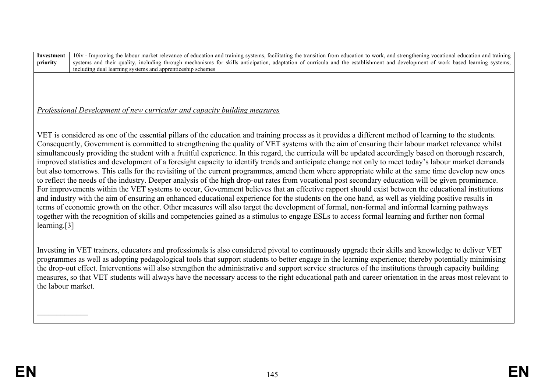**Investment priority** 10iv - Improving the labour market relevance of education and training systems, facilitating the transition from education to work, and strengthening vocational education and training systems and their quality, including through mechanisms for skills anticipation, adaptation of curricula and the establishment and development of work based learning systems. including dual learning systems and apprenticeship schemes

# *Professional Development of new curricular and capacity building measures*

VET is considered as one of the essential pillars of the education and training process as it provides a different method of learning to the students. Consequently, Government is committed to strengthening the quality of VET systems with the aim of ensuring their labour market relevance whilst simultaneously providing the student with a fruitful experience. In this regard, the curricula will be updated accordingly based on thorough research, improved statistics and development of a foresight capacity to identify trends and anticipate change not only to meet today's labour market demands but also tomorrows. This calls for the revisiting of the current programmes, amend them where appropriate while at the same time develop new ones to reflect the needs of the industry. Deeper analysis of the high drop-out rates from vocational post secondary education will be given prominence. For improvements within the VET systems to occur, Government believes that an effective rapport should exist between the educational institutions and industry with the aim of ensuring an enhanced educational experience for the students on the one hand, as well as yielding positive results in terms of economic growth on the other. Other measures will also target the development of formal, non-formal and informal learning pathways together with the recognition of skills and competencies gained as a stimulus to engage ESLs to access formal learning and further non formal learning.[3]

Investing in VET trainers, educators and professionals is also considered pivotal to continuously upgrade their skills and knowledge to deliver VET programmes as well as adopting pedagological tools that support students to better engage in the learning experience; thereby potentially minimising the drop-out effect. Interventions will also strengthen the administrative and support service structures of the institutions through capacity building measures, so that VET students will always have the necessary access to the right educational path and career orientation in the areas most relevant to the labour market.

 $\frac{1}{2}$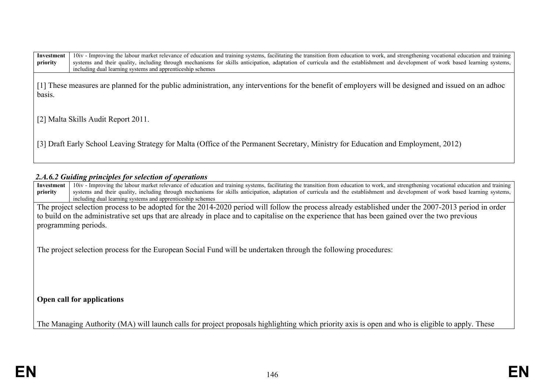| Investment<br>priority              | 10iv - Improving the labour market relevance of education and training systems, facilitating the transition from education to work, and strengthening vocational education and training<br>systems and their quality, including through mechanisms for skills anticipation, adaptation of curricula and the establishment and development of work based learning systems,<br>including dual learning systems and apprenticeship schemes |  |  |  |  |  |  |  |
|-------------------------------------|-----------------------------------------------------------------------------------------------------------------------------------------------------------------------------------------------------------------------------------------------------------------------------------------------------------------------------------------------------------------------------------------------------------------------------------------|--|--|--|--|--|--|--|
| basis.                              | [1] These measures are planned for the public administration, any interventions for the benefit of employers will be designed and issued on an adhoc                                                                                                                                                                                                                                                                                    |  |  |  |  |  |  |  |
| [2] Malta Skills Audit Report 2011. |                                                                                                                                                                                                                                                                                                                                                                                                                                         |  |  |  |  |  |  |  |
|                                     | [3] Draft Early School Leaving Strategy for Malta (Office of the Permanent Secretary, Ministry for Education and Employment, 2012)                                                                                                                                                                                                                                                                                                      |  |  |  |  |  |  |  |

## *2.A.6.2 Guiding principles for selection of operations*

| Investment                                                                                                                                           | 10iv - Improving the labour market relevance of education and training systems, facilitating the transition from education to work, and strengthening vocational education and training                                                      |  |  |  |  |  |  |  |  |
|------------------------------------------------------------------------------------------------------------------------------------------------------|----------------------------------------------------------------------------------------------------------------------------------------------------------------------------------------------------------------------------------------------|--|--|--|--|--|--|--|--|
| priority                                                                                                                                             | systems and their quality, including through mechanisms for skills anticipation, adaptation of curricula and the establishment and development of work based learning systems,<br>including dual learning systems and apprenticeship schemes |  |  |  |  |  |  |  |  |
|                                                                                                                                                      |                                                                                                                                                                                                                                              |  |  |  |  |  |  |  |  |
| The project selection process to be adopted for the 2014-2020 period will follow the process already established under the 2007-2013 period in order |                                                                                                                                                                                                                                              |  |  |  |  |  |  |  |  |
|                                                                                                                                                      | to build on the administrative set ups that are already in place and to capitalise on the experience that has been gained over the two previous                                                                                              |  |  |  |  |  |  |  |  |
|                                                                                                                                                      | programming periods.                                                                                                                                                                                                                         |  |  |  |  |  |  |  |  |
| The project selection process for the European Social Fund will be undertaken through the following procedures:                                      |                                                                                                                                                                                                                                              |  |  |  |  |  |  |  |  |
|                                                                                                                                                      | Open call for applications                                                                                                                                                                                                                   |  |  |  |  |  |  |  |  |
|                                                                                                                                                      | The Managing Authority (MA) will launch calls for project proposals highlighting which priority axis is open and who is eligible to apply. These                                                                                             |  |  |  |  |  |  |  |  |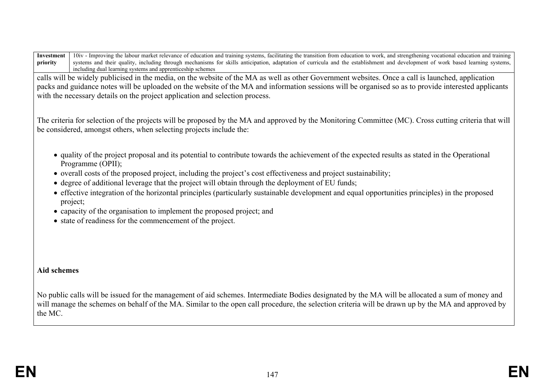**Investment priority** 10iv - Improving the labour market relevance of education and training systems, facilitating the transition from education to work, and strengthening vocational education and training systems and their quality, including through mechanisms for skills anticipation, adaptation of curricula and the establishment and development of work based learning systems. including dual learning systems and apprenticeship schemes

calls will be widely publicised in the media, on the website of the MA as well as other Government websites. Once a call is launched, application packs and guidance notes will be uploaded on the website of the MA and information sessions will be organised so as to provide interested applicants with the necessary details on the project application and selection process.

The criteria for selection of the projects will be proposed by the MA and approved by the Monitoring Committee (MC). Cross cutting criteria that will be considered, amongst others, when selecting projects include the:

- quality of the project proposal and its potential to contribute towards the achievement of the expected results as stated in the Operational Programme (OPII);
- overall costs of the proposed project, including the project's cost effectiveness and project sustainability;
- degree of additional leverage that the project will obtain through the deployment of EU funds;
- effective integration of the horizontal principles (particularly sustainable development and equal opportunities principles) in the proposed project;
- capacity of the organisation to implement the proposed project; and
- state of readiness for the commencement of the project.

## **Aid schemes**

No public calls will be issued for the management of aid schemes. Intermediate Bodies designated by the MA will be allocated a sum of money and will manage the schemes on behalf of the MA. Similar to the open call procedure, the selection criteria will be drawn up by the MA and approved by the MC.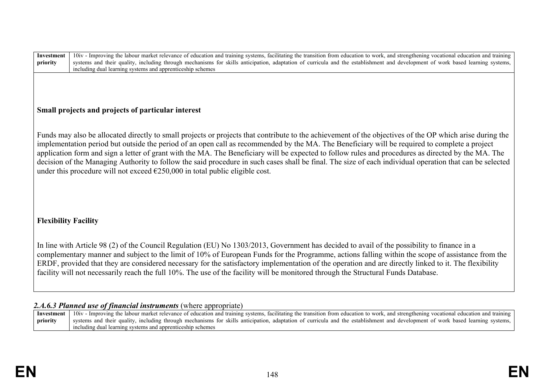| Investment<br>priority                                                                                                                                                                                                                                                                                                                                                                                                                                                                                                                                                                          | 10iv - Improving the labour market relevance of education and training systems, facilitating the transition from education to work, and strengthening vocational education and training<br>systems and their quality, including through mechanisms for skills anticipation, adaptation of curricula and the establishment and development of work based learning systems,<br>including dual learning systems and apprenticeship schemes                                                                                                                                                                                                                                                                                |  |  |  |  |  |
|-------------------------------------------------------------------------------------------------------------------------------------------------------------------------------------------------------------------------------------------------------------------------------------------------------------------------------------------------------------------------------------------------------------------------------------------------------------------------------------------------------------------------------------------------------------------------------------------------|------------------------------------------------------------------------------------------------------------------------------------------------------------------------------------------------------------------------------------------------------------------------------------------------------------------------------------------------------------------------------------------------------------------------------------------------------------------------------------------------------------------------------------------------------------------------------------------------------------------------------------------------------------------------------------------------------------------------|--|--|--|--|--|
|                                                                                                                                                                                                                                                                                                                                                                                                                                                                                                                                                                                                 |                                                                                                                                                                                                                                                                                                                                                                                                                                                                                                                                                                                                                                                                                                                        |  |  |  |  |  |
|                                                                                                                                                                                                                                                                                                                                                                                                                                                                                                                                                                                                 | Small projects and projects of particular interest                                                                                                                                                                                                                                                                                                                                                                                                                                                                                                                                                                                                                                                                     |  |  |  |  |  |
|                                                                                                                                                                                                                                                                                                                                                                                                                                                                                                                                                                                                 | Funds may also be allocated directly to small projects or projects that contribute to the achievement of the objectives of the OP which arise during the<br>implementation period but outside the period of an open call as recommended by the MA. The Beneficiary will be required to complete a project<br>application form and sign a letter of grant with the MA. The Beneficiary will be expected to follow rules and procedures as directed by the MA. The<br>decision of the Managing Authority to follow the said procedure in such cases shall be final. The size of each individual operation that can be selected<br>under this procedure will not exceed $\epsilon$ 250,000 in total public eligible cost. |  |  |  |  |  |
| <b>Flexibility Facility</b>                                                                                                                                                                                                                                                                                                                                                                                                                                                                                                                                                                     |                                                                                                                                                                                                                                                                                                                                                                                                                                                                                                                                                                                                                                                                                                                        |  |  |  |  |  |
| In line with Article 98 (2) of the Council Regulation (EU) No 1303/2013, Government has decided to avail of the possibility to finance in a<br>complementary manner and subject to the limit of 10% of European Funds for the Programme, actions falling within the scope of assistance from the<br>ERDF, provided that they are considered necessary for the satisfactory implementation of the operation and are directly linked to it. The flexibility<br>facility will not necessarily reach the full 10%. The use of the facility will be monitored through the Structural Funds Database. |                                                                                                                                                                                                                                                                                                                                                                                                                                                                                                                                                                                                                                                                                                                        |  |  |  |  |  |
|                                                                                                                                                                                                                                                                                                                                                                                                                                                                                                                                                                                                 | 2.A.6.3 Planned use of financial instruments (where appropriate)                                                                                                                                                                                                                                                                                                                                                                                                                                                                                                                                                                                                                                                       |  |  |  |  |  |
| Investment<br>priority                                                                                                                                                                                                                                                                                                                                                                                                                                                                                                                                                                          | 10iv - Improving the labour market relevance of education and training systems, facilitating the transition from education to work, and strengthening vocational education and training<br>systems and their quality, including through mechanisms for skills anticipation, adaptation of curricula and the establishment and development of work based learning systems,<br>including dual learning systems and apprenticeship schemes                                                                                                                                                                                                                                                                                |  |  |  |  |  |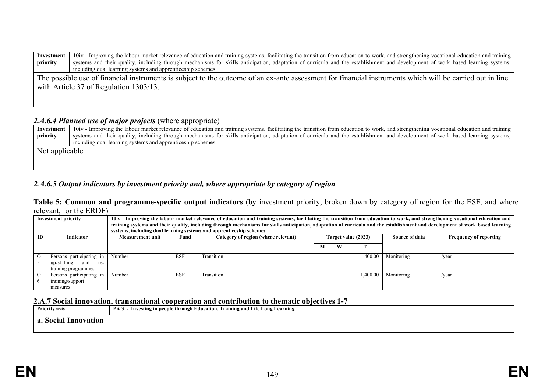| Investment                                                                                                                                               | 10iv - Improving the labour market relevance of education and training systems, facilitating the transition from education to work, and strengthening vocational education and training |  |  |  |  |  |  |  |  |  |
|----------------------------------------------------------------------------------------------------------------------------------------------------------|-----------------------------------------------------------------------------------------------------------------------------------------------------------------------------------------|--|--|--|--|--|--|--|--|--|
| priority                                                                                                                                                 | systems and their quality, including through mechanisms for skills anticipation, adaptation of curricula and the establishment and development of work based learning systems,          |  |  |  |  |  |  |  |  |  |
|                                                                                                                                                          | including dual learning systems and apprenticeship schemes                                                                                                                              |  |  |  |  |  |  |  |  |  |
| The possible use of financial instruments is subject to the outcome of an ex-ante assessment for financial instruments which will be carried out in line |                                                                                                                                                                                         |  |  |  |  |  |  |  |  |  |
| with Article 37 of Regulation 1303/13.                                                                                                                   |                                                                                                                                                                                         |  |  |  |  |  |  |  |  |  |
|                                                                                                                                                          |                                                                                                                                                                                         |  |  |  |  |  |  |  |  |  |
|                                                                                                                                                          |                                                                                                                                                                                         |  |  |  |  |  |  |  |  |  |

## *2.A.6.4 Planned use of major projects* (where appropriate)

| Investment     | 10iv - Improving the labour market relevance of education and training systems, facilitating the transition from education to work, and strengthening vocational education and training |  |  |  |  |  |  |  |  |
|----------------|-----------------------------------------------------------------------------------------------------------------------------------------------------------------------------------------|--|--|--|--|--|--|--|--|
| priority       | systems and their quality, including through mechanisms for skills anticipation, adaptation of curricula and the establishment and development of work based learning systems,          |  |  |  |  |  |  |  |  |
|                | including dual learning systems and apprenticeship schemes                                                                                                                              |  |  |  |  |  |  |  |  |
| Not applicable |                                                                                                                                                                                         |  |  |  |  |  |  |  |  |
|                |                                                                                                                                                                                         |  |  |  |  |  |  |  |  |
|                |                                                                                                                                                                                         |  |  |  |  |  |  |  |  |

# *2.A.6.5 Output indicators by investment priority and, where appropriate by category of region*

### **Table 5: Common and programme-specific output indicators** (by investment priority, broken down by category of region for the ESF, and where relevant, for the ERDF)

| <b>Investment priority</b> |                           | 10iv - Improving the labour market relevance of education and training systems, facilitating the transition from education to work, and strengthening vocational education and<br>training systems and their quality, including through mechanisms for skills anticipation, adaptation of curricula and the establishment and development of work based learning<br>systems, including dual learning systems and apprenticeship schemes |            |                                     |                     |   |          |                |                               |  |
|----------------------------|---------------------------|-----------------------------------------------------------------------------------------------------------------------------------------------------------------------------------------------------------------------------------------------------------------------------------------------------------------------------------------------------------------------------------------------------------------------------------------|------------|-------------------------------------|---------------------|---|----------|----------------|-------------------------------|--|
| <b>ID</b>                  | Indicator                 | <b>Measurement unit</b>                                                                                                                                                                                                                                                                                                                                                                                                                 | Fund       | Category of region (where relevant) | Target value (2023) |   |          | Source of data | <b>Frequency of reporting</b> |  |
|                            |                           |                                                                                                                                                                                                                                                                                                                                                                                                                                         |            |                                     |                     | W |          |                |                               |  |
| $\Omega$                   | Persons participating in  | Number                                                                                                                                                                                                                                                                                                                                                                                                                                  | <b>ESF</b> | Transition                          |                     |   | 400.00   | Monitoring     | $1/\text{year}$               |  |
|                            | up-skilling<br>and<br>re- |                                                                                                                                                                                                                                                                                                                                                                                                                                         |            |                                     |                     |   |          |                |                               |  |
|                            | training programmes       |                                                                                                                                                                                                                                                                                                                                                                                                                                         |            |                                     |                     |   |          |                |                               |  |
| $\Omega$                   | Persons participating in  | Number                                                                                                                                                                                                                                                                                                                                                                                                                                  | <b>ESF</b> | Transition                          |                     |   | 1.400.00 | Monitoring     | $1/\text{year}$               |  |
|                            | training/support          |                                                                                                                                                                                                                                                                                                                                                                                                                                         |            |                                     |                     |   |          |                |                               |  |
|                            | measures                  |                                                                                                                                                                                                                                                                                                                                                                                                                                         |            |                                     |                     |   |          |                |                               |  |

## **2.A.7 Social innovation, transnational cooperation and contribution to thematic objectives 1-7**

| <b>Priority axis</b> | PA <sub>3</sub> | - Investing in people through Education, Training and Life Long Learning |  |
|----------------------|-----------------|--------------------------------------------------------------------------|--|
| Innovation<br>80CI2  |                 |                                                                          |  |
|                      |                 |                                                                          |  |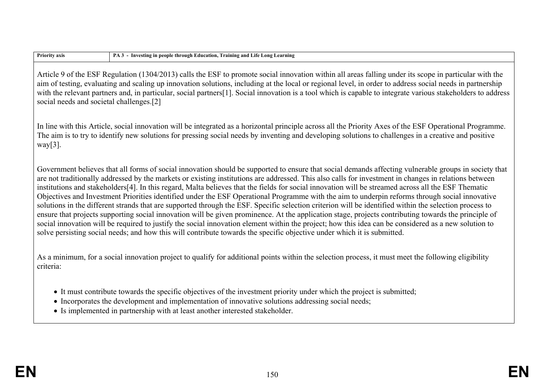| <b>Priority axis</b>                     | PA 3 - Investing in people through Education, Training and Life Long Learning                                                                                                                                                                                                                                                                                                                                                                                                                                                                                                                                                                                                                                                                                                                                                                                                                                                                                                                                                                                                                                                                                                                                                |
|------------------------------------------|------------------------------------------------------------------------------------------------------------------------------------------------------------------------------------------------------------------------------------------------------------------------------------------------------------------------------------------------------------------------------------------------------------------------------------------------------------------------------------------------------------------------------------------------------------------------------------------------------------------------------------------------------------------------------------------------------------------------------------------------------------------------------------------------------------------------------------------------------------------------------------------------------------------------------------------------------------------------------------------------------------------------------------------------------------------------------------------------------------------------------------------------------------------------------------------------------------------------------|
| social needs and societal challenges.[2] | Article 9 of the ESF Regulation (1304/2013) calls the ESF to promote social innovation within all areas falling under its scope in particular with the<br>aim of testing, evaluating and scaling up innovation solutions, including at the local or regional level, in order to address social needs in partnership<br>with the relevant partners and, in particular, social partners[1]. Social innovation is a tool which is capable to integrate various stakeholders to address                                                                                                                                                                                                                                                                                                                                                                                                                                                                                                                                                                                                                                                                                                                                          |
| $way[3]$ .                               | In line with this Article, social innovation will be integrated as a horizontal principle across all the Priority Axes of the ESF Operational Programme.<br>The aim is to try to identify new solutions for pressing social needs by inventing and developing solutions to challenges in a creative and positive                                                                                                                                                                                                                                                                                                                                                                                                                                                                                                                                                                                                                                                                                                                                                                                                                                                                                                             |
|                                          | Government believes that all forms of social innovation should be supported to ensure that social demands affecting vulnerable groups in society that<br>are not traditionally addressed by the markets or existing institutions are addressed. This also calls for investment in changes in relations between<br>institutions and stakeholders[4]. In this regard, Malta believes that the fields for social innovation will be streamed across all the ESF Thematic<br>Objectives and Investment Priorities identified under the ESF Operational Programme with the aim to underpin reforms through social innovative<br>solutions in the different strands that are supported through the ESF. Specific selection criterion will be identified within the selection process to<br>ensure that projects supporting social innovation will be given prominence. At the application stage, projects contributing towards the principle of<br>social innovation will be required to justify the social innovation element within the project; how this idea can be considered as a new solution to<br>solve persisting social needs; and how this will contribute towards the specific objective under which it is submitted. |
| criteria:                                | As a minimum, for a social innovation project to qualify for additional points within the selection process, it must meet the following eligibility                                                                                                                                                                                                                                                                                                                                                                                                                                                                                                                                                                                                                                                                                                                                                                                                                                                                                                                                                                                                                                                                          |
|                                          | • It must contribute towards the specific objectives of the investment priority under which the project is submitted;<br>• Incorporates the development and implementation of innovative solutions addressing social needs;<br>• Is implemented in partnership with at least another interested stakeholder.                                                                                                                                                                                                                                                                                                                                                                                                                                                                                                                                                                                                                                                                                                                                                                                                                                                                                                                 |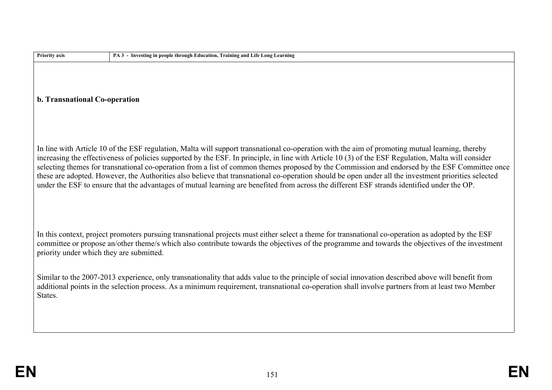| Priority axis                            | PA 3 - Investing in people through Education, Training and Life Long Learning                                                                                                                                                                                                                                                                                                                                                                                                                                                                                                                                                                                                                                                                                   |
|------------------------------------------|-----------------------------------------------------------------------------------------------------------------------------------------------------------------------------------------------------------------------------------------------------------------------------------------------------------------------------------------------------------------------------------------------------------------------------------------------------------------------------------------------------------------------------------------------------------------------------------------------------------------------------------------------------------------------------------------------------------------------------------------------------------------|
| b. Transnational Co-operation            |                                                                                                                                                                                                                                                                                                                                                                                                                                                                                                                                                                                                                                                                                                                                                                 |
|                                          | In line with Article 10 of the ESF regulation, Malta will support transnational co-operation with the aim of promoting mutual learning, thereby<br>increasing the effectiveness of policies supported by the ESF. In principle, in line with Article 10 (3) of the ESF Regulation, Malta will consider<br>selecting themes for transnational co-operation from a list of common themes proposed by the Commission and endorsed by the ESF Committee once<br>these are adopted. However, the Authorities also believe that transnational co-operation should be open under all the investment priorities selected<br>under the ESF to ensure that the advantages of mutual learning are benefited from across the different ESF strands identified under the OP. |
| priority under which they are submitted. | In this context, project promoters pursuing transnational projects must either select a theme for transnational co-operation as adopted by the ESF<br>committee or propose an/other theme/s which also contribute towards the objectives of the programme and towards the objectives of the investment                                                                                                                                                                                                                                                                                                                                                                                                                                                          |
| States.                                  | Similar to the 2007-2013 experience, only transnationality that adds value to the principle of social innovation described above will benefit from<br>additional points in the selection process. As a minimum requirement, transnational co-operation shall involve partners from at least two Member                                                                                                                                                                                                                                                                                                                                                                                                                                                          |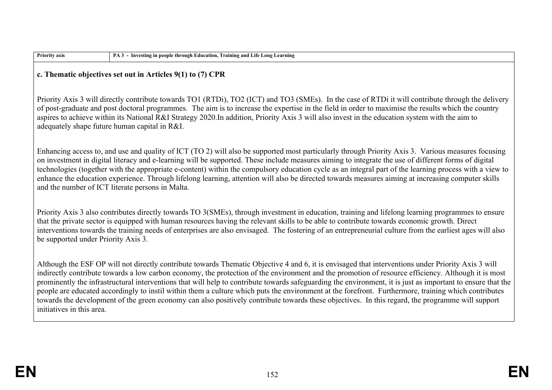| <b>Priority axis</b>                                                                                                                                                                                                                                                                                                                                                                                                                                                                                         | PA 3 - Investing in people through Education, Training and Life Long Learning                                                                                                                                                                                                                                                                                                                                                                                                                                                                                                                                                                                                                                                                                                        |  |  |  |  |  |  |  |  |
|--------------------------------------------------------------------------------------------------------------------------------------------------------------------------------------------------------------------------------------------------------------------------------------------------------------------------------------------------------------------------------------------------------------------------------------------------------------------------------------------------------------|--------------------------------------------------------------------------------------------------------------------------------------------------------------------------------------------------------------------------------------------------------------------------------------------------------------------------------------------------------------------------------------------------------------------------------------------------------------------------------------------------------------------------------------------------------------------------------------------------------------------------------------------------------------------------------------------------------------------------------------------------------------------------------------|--|--|--|--|--|--|--|--|
| c. Thematic objectives set out in Articles 9(1) to (7) CPR                                                                                                                                                                                                                                                                                                                                                                                                                                                   |                                                                                                                                                                                                                                                                                                                                                                                                                                                                                                                                                                                                                                                                                                                                                                                      |  |  |  |  |  |  |  |  |
| Priority Axis 3 will directly contribute towards TO1 (RTDi), TO2 (ICT) and TO3 (SMEs). In the case of RTDi it will contribute through the delivery<br>of post-graduate and post doctoral programmes. The aim is to increase the expertise in the field in order to maximise the results which the country<br>aspires to achieve within its National R&I Strategy 2020.In addition, Priority Axis 3 will also invest in the education system with the aim to<br>adequately shape future human capital in R&I. |                                                                                                                                                                                                                                                                                                                                                                                                                                                                                                                                                                                                                                                                                                                                                                                      |  |  |  |  |  |  |  |  |
|                                                                                                                                                                                                                                                                                                                                                                                                                                                                                                              | Enhancing access to, and use and quality of ICT (TO 2) will also be supported most particularly through Priority Axis 3. Various measures focusing<br>on investment in digital literacy and e-learning will be supported. These include measures aiming to integrate the use of different forms of digital<br>technologies (together with the appropriate e-content) within the compulsory education cycle as an integral part of the learning process with a view to<br>enhance the education experience. Through lifelong learning, attention will also be directed towards measures aiming at increasing computer skills<br>and the number of ICT literate persons in Malta.                                                                                                      |  |  |  |  |  |  |  |  |
| Priority Axis 3 also contributes directly towards TO 3(SMEs), through investment in education, training and lifelong learning programmes to ensure<br>that the private sector is equipped with human resources having the relevant skills to be able to contribute towards economic growth. Direct<br>interventions towards the training needs of enterprises are also envisaged. The fostering of an entrepreneurial culture from the earliest ages will also<br>be supported under Priority Axis 3.        |                                                                                                                                                                                                                                                                                                                                                                                                                                                                                                                                                                                                                                                                                                                                                                                      |  |  |  |  |  |  |  |  |
| initiatives in this area.                                                                                                                                                                                                                                                                                                                                                                                                                                                                                    | Although the ESF OP will not directly contribute towards Thematic Objective 4 and 6, it is envisaged that interventions under Priority Axis 3 will<br>indirectly contribute towards a low carbon economy, the protection of the environment and the promotion of resource efficiency. Although it is most<br>prominently the infrastructural interventions that will help to contribute towards safeguarding the environment, it is just as important to ensure that the<br>people are educated accordingly to instil within them a culture which puts the environment at the forefront. Furthermore, training which contributes<br>towards the development of the green economy can also positively contribute towards these objectives. In this regard, the programme will support |  |  |  |  |  |  |  |  |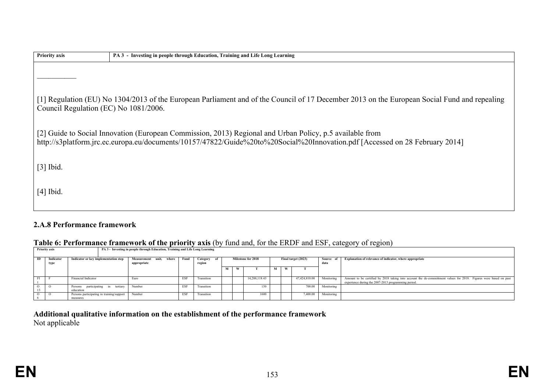| <b>Priority axis</b>                                                                                                                                                                                                                     | PA 3 - Investing in people through Education, Training and Life Long Learning |  |  |  |  |  |  |  |
|------------------------------------------------------------------------------------------------------------------------------------------------------------------------------------------------------------------------------------------|-------------------------------------------------------------------------------|--|--|--|--|--|--|--|
|                                                                                                                                                                                                                                          |                                                                               |  |  |  |  |  |  |  |
| [1] Regulation (EU) No 1304/2013 of the European Parliament and of the Council of 17 December 2013 on the European Social Fund and repealing<br>Council Regulation (EC) No 1081/2006.                                                    |                                                                               |  |  |  |  |  |  |  |
| [2] Guide to Social Innovation (European Commission, 2013) Regional and Urban Policy, p.5 available from<br>http://s3platform.jrc.ec.europa.eu/documents/10157/47822/Guide%20to%20Social%20Innovation.pdf [Accessed on 28 February 2014] |                                                                               |  |  |  |  |  |  |  |
| $[3]$ Ibid.                                                                                                                                                                                                                              |                                                                               |  |  |  |  |  |  |  |
| $[4]$ Ibid.                                                                                                                                                                                                                              |                                                                               |  |  |  |  |  |  |  |

# **2.A.8 Performance framework**

## **Table 6: Performance framework of the priority axis** (by fund and, for the ERDF and ESF, category of region)

|    | Two complete the contract of the priority who say the many for the ERET with EST, entry $\sigma_1$ or region |                                           |                                                                               |            |             |  |   |                    |  |   |                     |            |                                                                                                                   |
|----|--------------------------------------------------------------------------------------------------------------|-------------------------------------------|-------------------------------------------------------------------------------|------------|-------------|--|---|--------------------|--|---|---------------------|------------|-------------------------------------------------------------------------------------------------------------------|
|    | <b>Priority axis</b>                                                                                         |                                           | PA 3 - Investing in people through Education, Training and Life Long Learning |            |             |  |   |                    |  |   |                     |            |                                                                                                                   |
|    |                                                                                                              |                                           |                                                                               |            |             |  |   |                    |  |   |                     |            |                                                                                                                   |
|    |                                                                                                              |                                           |                                                                               |            |             |  |   |                    |  |   |                     |            |                                                                                                                   |
| ID | Indicator                                                                                                    | Indicator or key implementation step      | Measurement<br>unit.<br>where                                                 | Fund       | Category of |  |   | Milestone for 2018 |  |   | Final target (2023) | Source of  | Explanation of relevance of indicator, where appropriate                                                          |
|    | type                                                                                                         |                                           | appropriate                                                                   |            | region      |  |   |                    |  |   |                     | data       |                                                                                                                   |
|    |                                                                                                              |                                           |                                                                               |            |             |  |   |                    |  |   |                     |            |                                                                                                                   |
|    |                                                                                                              |                                           |                                                                               |            |             |  | w |                    |  | W |                     |            |                                                                                                                   |
|    |                                                                                                              |                                           |                                                                               |            |             |  |   |                    |  |   |                     |            |                                                                                                                   |
|    |                                                                                                              |                                           |                                                                               |            |             |  |   |                    |  |   |                     |            |                                                                                                                   |
|    |                                                                                                              | Financial Indicator                       | Euro                                                                          | <b>ESF</b> | Transition  |  |   | 14.288.118.43      |  |   | 47,424,810.00       | Monitoring | Amount to be certified by 2018 taking into account the de-committment values for 2018. Figures were based on past |
|    |                                                                                                              |                                           |                                                                               |            |             |  |   |                    |  |   |                     |            | experience during the 2007-2013 programming period.                                                               |
|    |                                                                                                              | participating in tertiary                 | Number                                                                        | <b>ESF</b> | Transition  |  |   | 150                |  |   | 700.00              | Monitoring |                                                                                                                   |
|    |                                                                                                              | Persons                                   |                                                                               |            |             |  |   |                    |  |   |                     |            |                                                                                                                   |
|    |                                                                                                              | education                                 |                                                                               |            |             |  |   |                    |  |   |                     |            |                                                                                                                   |
|    |                                                                                                              | Persons participating in training/support | Number                                                                        | <b>ESF</b> | Transition  |  |   | 1600               |  |   | 7,400.00            | Monitoring |                                                                                                                   |
|    |                                                                                                              | measures                                  |                                                                               |            |             |  |   |                    |  |   |                     |            |                                                                                                                   |
|    |                                                                                                              |                                           |                                                                               |            |             |  |   |                    |  |   |                     |            |                                                                                                                   |

**Additional qualitative information on the establishment of the performance framework** Not applicable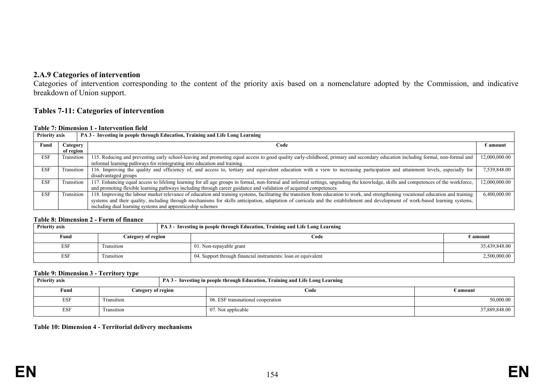## **2.A.9 Categories of intervention**

Categories of intervention corresponding to the content of the priority axis based on a nomenclature adopted by the Commission, and indicative breakdown of Union support.

#### **Tables 7-11: Categories of intervention**

#### **Table 7: Dimension 1 - Intervention field**

| <b>Priority axis</b> |            | PA 3 - Investing in people through Education, Training and Life Long Learning                                                                                                         |                   |
|----------------------|------------|---------------------------------------------------------------------------------------------------------------------------------------------------------------------------------------|-------------------|
| Fund                 | Category   | Code                                                                                                                                                                                  | $\epsilon$ amount |
|                      | of region  |                                                                                                                                                                                       |                   |
| <b>ESF</b>           | Transition | 115. Reducing and preventing early school-leaving and promoting equal access to good quality early-childhood, primary and secondary education including formal, non-formal and        | 12,000,000.00     |
|                      |            | informal learning pathways for reintegrating into education and training                                                                                                              |                   |
| <b>ESF</b>           | Transition | 116. Improving the quality and efficiency of, and access to, tertiary and equivalent education with a view to increasing participation and attainment levels, especially for          | 7,539,848.00      |
|                      |            | disadvantaged groups                                                                                                                                                                  |                   |
| <b>ESF</b>           | Transition | 117. Enhancing equal access to lifelong learning for all age groups in formal, non-formal and informal settings, upgrading the knowledge, skills and competences of the workforce,    | 12,000,000.00     |
|                      |            | and promoting flexible learning pathways including through career guidance and validation of acquired competences                                                                     |                   |
| <b>ESF</b>           | Transition | 118. Improving the labour market relevance of education and training systems, facilitating the transition from education to work, and strengthening vocational education and training | 6,400,000.00      |
|                      |            | systems and their quality, including through mechanisms for skills anticipation, adaptation of curricula and the establishment and development of work-based learning systems,        |                   |
|                      |            | including dual learning systems and apprenticeship schemes                                                                                                                            |                   |

#### **Table 8: Dimension 2 - Form of finance**

| <b>Priority axis</b> |                    | <b>PA 3 - Investing in people through Education, Training and Life Long Learning</b> |               |
|----------------------|--------------------|--------------------------------------------------------------------------------------|---------------|
| Fund                 | Category of region | Code                                                                                 | ∄ amount      |
| ESF                  | Transition         | 01. Non-repayable grant                                                              | 35,439,848.00 |
| <b>ESF</b>           | Transition         | 04. Support through financial instruments: loan or equivalent                        | 2,500,000.00  |

#### **Table 9: Dimension 3 - Territory type**

| ___<br><b>Priority axis</b> |                    |  | PA 3 - Investing in people through Education, Training and Life Long Learning |                 |
|-----------------------------|--------------------|--|-------------------------------------------------------------------------------|-----------------|
| Fund                        | Category of region |  | Code                                                                          | E <b>amount</b> |
| <b>ESF</b>                  | Transition         |  | 06. ESF transnational cooperation                                             | 50,000.00       |
| <b>ESF</b>                  | Transition         |  | 07. Not applicable                                                            | 37,889,848.00   |

#### **Table 10: Dimension 4 - Territorial delivery mechanisms**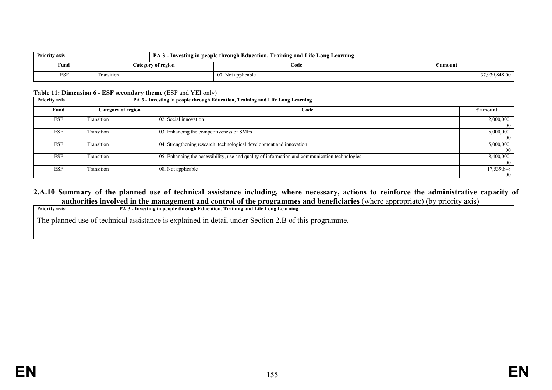| <b>Priority axis</b> |            |                    | PA 3 - Investing in people through Education, Training and Life Long Learning |               |
|----------------------|------------|--------------------|-------------------------------------------------------------------------------|---------------|
| Fund                 |            | Category of region | Code                                                                          | i amount      |
| <b>ESF</b>           | transition |                    | 07. Not applicable                                                            | 37,939,848.00 |

#### **Table 11: Dimension 6 - ESF secondary theme** (ESF and YEI only)

| <b>Priority axis</b> |                    | PA 3 - Investing in people through Education, Training and Life Long Learning                  |                    |  |
|----------------------|--------------------|------------------------------------------------------------------------------------------------|--------------------|--|
| Fund                 | Category of region | Code                                                                                           | $\epsilon$ amount  |  |
| <b>ESF</b>           | Transition         | 02. Social innovation                                                                          | 2,000,000.<br>00   |  |
| <b>ESF</b>           | Transition         | 03. Enhancing the competitiveness of SMEs                                                      | 5,000,000.<br>-00  |  |
| <b>ESF</b>           | Transition         | 04. Strengthening research, technological development and innovation                           | 5,000,000.<br>- 00 |  |
| <b>ESF</b>           | Transition         | 05. Enhancing the accessibility, use and quality of information and communication technologies | 8,400,000.<br>-00  |  |
| <b>ESF</b>           | Transition         | 08. Not applicable                                                                             | 17,539,848<br>.00  |  |

#### **2.A.10 Summary of the planned use of technical assistance including, where necessary, actions to reinforce the administrative capacity of authorities involved in the management and control of the programmes and beneficiaries** (where appropriate) (by priority axis)

| <b>Priority axis:</b> | <b>PA 3 - Investing in people through Education, Training and Life Long Learning</b>                |  |  |  |  |
|-----------------------|-----------------------------------------------------------------------------------------------------|--|--|--|--|
|                       | The planned use of technical assistance is explained in detail under Section 2.B of this programme. |  |  |  |  |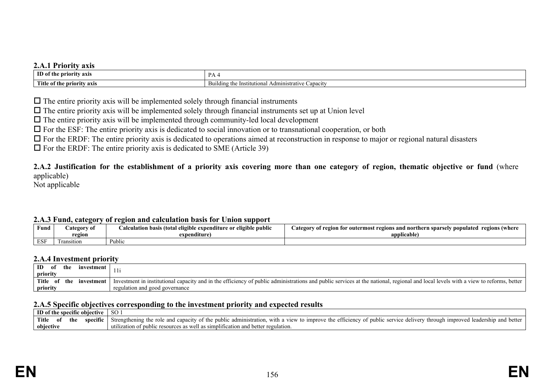#### **2.A.1 Priority axis**

| ID<br>axıs<br><b>BAR</b><br>ıorıtv<br>1 ne | D<br>.                                                                          |
|--------------------------------------------|---------------------------------------------------------------------------------|
| <b>Title</b><br>axıs '<br>0Ť<br>.          | `anacıtv<br>Administ<br>strative Capacity<br>∠ mstitution°' -<br>Building<br>÷ю |

 $\Box$  The entire priority axis will be implemented solely through financial instruments

 $\Box$  The entire priority axis will be implemented solely through financial instruments set up at Union level

 $\Box$  The entire priority axis will be implemented through community-led local development

 $\Box$  For the ESF: The entire priority axis is dedicated to social innovation or to transnational cooperation, or both

 $\Box$  For the ERDF: The entire priority axis is dedicated to operations aimed at reconstruction in response to major or regional natural disasters

 $\Box$  For the ERDF: The entire priority axis is dedicated to SME (Article 39)

**2.A.2 Justification for the establishment of a priority axis covering more than one category of region, thematic objective or fund** (where applicable)

Not applicable

#### **2.A.3 Fund, category of region and calculation basis for Union support**

| Fund       | ategory of | $\cdots$<br>.<br>eligible public<br>: exnenditur<br>: or | regions (where<br>and n<br>ateg<br>outermos.<br>`^Dulateo<br>$\gamma$ regions $\alpha$ .<br>rthern<br>spars<br>-tor |
|------------|------------|----------------------------------------------------------|---------------------------------------------------------------------------------------------------------------------|
|            | region     | $-$<br>expenditure)                                      | applicable                                                                                                          |
| <b>ESF</b> | ransition  | Public                                                   |                                                                                                                     |

#### **2.A.4 Investment priority**

| ID<br>the<br>investment<br>ot<br>priority |                                                                                                                                                                                       |
|-------------------------------------------|---------------------------------------------------------------------------------------------------------------------------------------------------------------------------------------|
| <b>Title</b><br>the<br>investment         | Investment in institutional capacity and in the efficiency of public administrations and public services at the national, regional and local levels with a view to reforms,<br>better |
| priority                                  | regulation and good governance                                                                                                                                                        |

#### **2.A.5 Specific objectives corresponding to the investment priority and expected results**

| ID of the<br>: obiective<br>· specific |    |     | <sub>SO</sub>                                                                                                                  |                                                                                                                                                                                              |
|----------------------------------------|----|-----|--------------------------------------------------------------------------------------------------------------------------------|----------------------------------------------------------------------------------------------------------------------------------------------------------------------------------------------|
| Title                                  | ОI | the | - -<br>specific                                                                                                                | better<br>Strengthening the<br>efficiency<br>nub.<br>umproved<br>ilic serv<br>the<br>administration<br>elive<br>mprove<br>capacity<br>view<br>with<br>$\pm$ 0110110 $\pm$<br>ano<br>ΩŤ<br>01 |
| objective                              |    |     | $\cdots$<br>s simplification and better regul<br>ulation.<br>utiliza<br>TT7011<br>IDIIC<br>e resources as<br>tion of pu.<br>as |                                                                                                                                                                                              |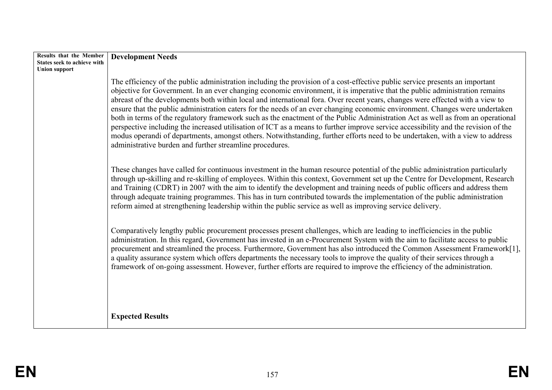| Results that the Member                                    | <b>Development Needs</b>                                                                                                                                                                                                                                                                                                                                                                                                                                                                                                                                                                                                                                                                                                                                                                                                                                                                                                                                                                           |
|------------------------------------------------------------|----------------------------------------------------------------------------------------------------------------------------------------------------------------------------------------------------------------------------------------------------------------------------------------------------------------------------------------------------------------------------------------------------------------------------------------------------------------------------------------------------------------------------------------------------------------------------------------------------------------------------------------------------------------------------------------------------------------------------------------------------------------------------------------------------------------------------------------------------------------------------------------------------------------------------------------------------------------------------------------------------|
| <b>States seek to achieve with</b><br><b>Union support</b> |                                                                                                                                                                                                                                                                                                                                                                                                                                                                                                                                                                                                                                                                                                                                                                                                                                                                                                                                                                                                    |
|                                                            | The efficiency of the public administration including the provision of a cost-effective public service presents an important<br>objective for Government. In an ever changing economic environment, it is imperative that the public administration remains<br>abreast of the developments both within local and international fora. Over recent years, changes were effected with a view to<br>ensure that the public administration caters for the needs of an ever changing economic environment. Changes were undertaken<br>both in terms of the regulatory framework such as the enactment of the Public Administration Act as well as from an operational<br>perspective including the increased utilisation of ICT as a means to further improve service accessibility and the revision of the<br>modus operandi of departments, amongst others. Notwithstanding, further efforts need to be undertaken, with a view to address<br>administrative burden and further streamline procedures. |
|                                                            | These changes have called for continuous investment in the human resource potential of the public administration particularly<br>through up-skilling and re-skilling of employees. Within this context, Government set up the Centre for Development, Research<br>and Training (CDRT) in 2007 with the aim to identify the development and training needs of public officers and address them<br>through adequate training programmes. This has in turn contributed towards the implementation of the public administration<br>reform aimed at strengthening leadership within the public service as well as improving service delivery.                                                                                                                                                                                                                                                                                                                                                           |
|                                                            | Comparatively lengthy public procurement processes present challenges, which are leading to inefficiencies in the public<br>administration. In this regard, Government has invested in an e-Procurement System with the aim to facilitate access to public<br>procurement and streamlined the process. Furthermore, Government has also introduced the Common Assessment Framework[1],<br>a quality assurance system which offers departments the necessary tools to improve the quality of their services through a<br>framework of on-going assessment. However, further efforts are required to improve the efficiency of the administration.                                                                                                                                                                                                                                                                                                                                                   |
|                                                            | <b>Expected Results</b>                                                                                                                                                                                                                                                                                                                                                                                                                                                                                                                                                                                                                                                                                                                                                                                                                                                                                                                                                                            |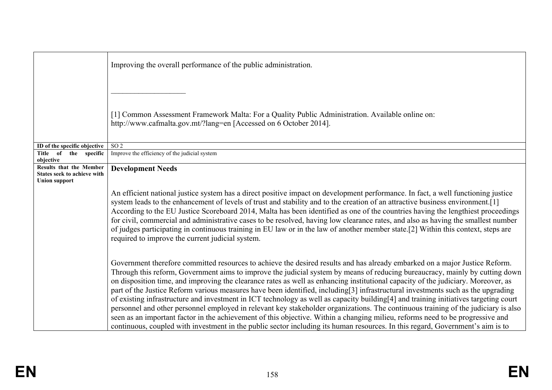|                                                                                | Improving the overall performance of the public administration.                                                                                                                                                                                                                                                                                                                                                                                                                                                                                                                                                                                                                                                                                                                                                                                                                                                                                                                                                                                                                        |
|--------------------------------------------------------------------------------|----------------------------------------------------------------------------------------------------------------------------------------------------------------------------------------------------------------------------------------------------------------------------------------------------------------------------------------------------------------------------------------------------------------------------------------------------------------------------------------------------------------------------------------------------------------------------------------------------------------------------------------------------------------------------------------------------------------------------------------------------------------------------------------------------------------------------------------------------------------------------------------------------------------------------------------------------------------------------------------------------------------------------------------------------------------------------------------|
|                                                                                | [1] Common Assessment Framework Malta: For a Quality Public Administration. Available online on:<br>http://www.cafmalta.gov.mt/?lang=en [Accessed on 6 October 2014].                                                                                                                                                                                                                                                                                                                                                                                                                                                                                                                                                                                                                                                                                                                                                                                                                                                                                                                  |
| ID of the specific objective                                                   | SO <sub>2</sub>                                                                                                                                                                                                                                                                                                                                                                                                                                                                                                                                                                                                                                                                                                                                                                                                                                                                                                                                                                                                                                                                        |
| Title of the specific<br>objective                                             | Improve the efficiency of the judicial system                                                                                                                                                                                                                                                                                                                                                                                                                                                                                                                                                                                                                                                                                                                                                                                                                                                                                                                                                                                                                                          |
| Results that the Member<br>States seek to achieve with<br><b>Union support</b> | <b>Development Needs</b>                                                                                                                                                                                                                                                                                                                                                                                                                                                                                                                                                                                                                                                                                                                                                                                                                                                                                                                                                                                                                                                               |
|                                                                                | An efficient national justice system has a direct positive impact on development performance. In fact, a well functioning justice<br>system leads to the enhancement of levels of trust and stability and to the creation of an attractive business environment.[1]<br>According to the EU Justice Scoreboard 2014, Malta has been identified as one of the countries having the lengthiest proceedings<br>for civil, commercial and administrative cases to be resolved, having low clearance rates, and also as having the smallest number<br>of judges participating in continuous training in EU law or in the law of another member state.[2] Within this context, steps are<br>required to improve the current judicial system.                                                                                                                                                                                                                                                                                                                                                  |
|                                                                                | Government therefore committed resources to achieve the desired results and has already embarked on a major Justice Reform.<br>Through this reform, Government aims to improve the judicial system by means of reducing bureaucracy, mainly by cutting down<br>on disposition time, and improving the clearance rates as well as enhancing institutional capacity of the judiciary. Moreover, as<br>part of the Justice Reform various measures have been identified, including[3] infrastructural investments such as the upgrading<br>of existing infrastructure and investment in ICT technology as well as capacity building[4] and training initiatives targeting court<br>personnel and other personnel employed in relevant key stakeholder organizations. The continuous training of the judiciary is also<br>seen as an important factor in the achievement of this objective. Within a changing milieu, reforms need to be progressive and<br>continuous, coupled with investment in the public sector including its human resources. In this regard, Government's aim is to |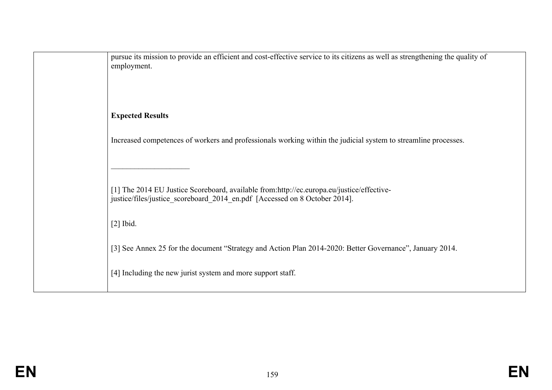| pursue its mission to provide an efficient and cost-effective service to its citizens as well as strengthening the quality of<br>employment.                            |
|-------------------------------------------------------------------------------------------------------------------------------------------------------------------------|
| <b>Expected Results</b>                                                                                                                                                 |
| Increased competences of workers and professionals working within the judicial system to streamline processes.                                                          |
| [1] The 2014 EU Justice Scoreboard, available from:http://ec.europa.eu/justice/effective-<br>justice/files/justice scoreboard 2014 en.pdf [Accessed on 8 October 2014]. |
| $[2]$ Ibid.                                                                                                                                                             |
| [3] See Annex 25 for the document "Strategy and Action Plan 2014-2020: Better Governance", January 2014.                                                                |
| [4] Including the new jurist system and more support staff.                                                                                                             |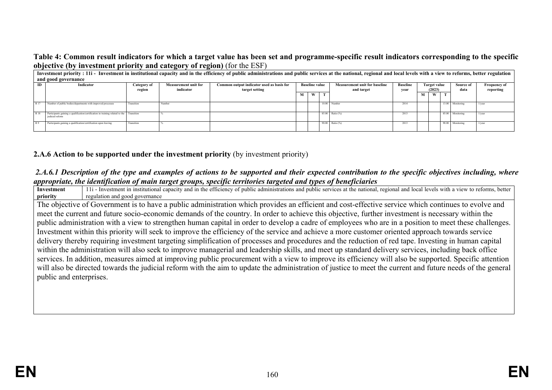### **Table 4: Common result indicators for which a target value has been set and programme-specific result indicators corresponding to the specific objective (by investment priority and category of region)** (for the ESF)

|                                                                                                            | Investment priority: 11i - Investment in institutional capacity and in the efficiency of public administrations and public services at the national, regional and local levels with a view to reforms, better regulation and t |                       |           |                                      |   |                 |                               |                 |           |                     |   |                  |           |
|------------------------------------------------------------------------------------------------------------|--------------------------------------------------------------------------------------------------------------------------------------------------------------------------------------------------------------------------------|-----------------------|-----------|--------------------------------------|---|-----------------|-------------------------------|-----------------|-----------|---------------------|---|------------------|-----------|
|                                                                                                            | and good governance                                                                                                                                                                                                            |                       |           |                                      |   |                 |                               |                 |           |                     |   |                  |           |
| Common output indicator used as basis for<br><b>Measurement unit for</b><br>Indicator<br>ID<br>Category of |                                                                                                                                                                                                                                | <b>Baseline value</b> |           | <b>Measurement unit for baseline</b> |   | <b>Baseline</b> | <b>Target value</b><br>(2023) |                 | Source of | <b>Frequency of</b> |   |                  |           |
|                                                                                                            |                                                                                                                                                                                                                                | region                | indicator | target setting                       |   | and target      |                               |                 |           | vear                |   | data             | reporting |
|                                                                                                            |                                                                                                                                                                                                                                |                       |           |                                      | м | W               |                               |                 |           | м                   | W |                  |           |
|                                                                                                            |                                                                                                                                                                                                                                |                       |           |                                      |   |                 |                               |                 |           |                     |   |                  |           |
| R 17                                                                                                       | Number of public bodies/departments with improved processes                                                                                                                                                                    | Transition            | Number    |                                      |   |                 |                               | 10.00 Number    | 2014      |                     |   | 13.00 Monitoring | $1$ /vear |
|                                                                                                            |                                                                                                                                                                                                                                |                       |           |                                      |   |                 |                               |                 |           |                     |   |                  |           |
| R 18                                                                                                       | Participants gaining a qualification/certification in training related to the Transition<br>judicial reform                                                                                                                    |                       |           |                                      |   |                 |                               | 85.00 Ratio (%) | 2013      |                     |   | 85.00 Monitoring | $1$ /vear |
|                                                                                                            |                                                                                                                                                                                                                                |                       |           |                                      |   |                 |                               |                 |           |                     |   |                  |           |
| R 9                                                                                                        | Participants gaining a qualification/certification upon leaving                                                                                                                                                                | Transition            |           |                                      |   |                 |                               | 90.00 Ratio (%) | 2013      |                     |   | 90.00 Monitoring | $1$ /vear |
|                                                                                                            |                                                                                                                                                                                                                                |                       |           |                                      |   |                 |                               |                 |           |                     |   |                  |           |

## **2.A.6 Action to be supported under the investment priority** (by investment priority)

#### *2.A.6.1 Description of the type and examples of actions to be supported and their expected contribution to the specific objectives including, where appropriate, the identification of main target groups, specific territories targeted and types of beneficiaries*

**Investment priority** 11i - Investment in institutional capacity and in the efficiency of public administrations and public services at the national, regional and local levels with a view to reforms, better regulation and good governance The objective of Government is to have a public administration which provides an efficient and cost-effective service which continues to evolve and meet the current and future socio-economic demands of the country. In order to achieve this objective, further investment is necessary within the public administration with a view to strengthen human capital in order to develop a cadre of employees who are in a position to meet these challenges. Investment within this priority will seek to improve the efficiency of the service and achieve a more customer oriented approach towards service delivery thereby requiring investment targeting simplification of processes and procedures and the reduction of red tape. Investing in human capital within the administration will also seek to improve managerial and leadership skills, and meet up standard delivery services, including back office services. In addition, measures aimed at improving public procurement with a view to improve its efficiency will also be supported. Specific attention will also be directed towards the judicial reform with the aim to update the administration of justice to meet the current and future needs of the general public and enterprises.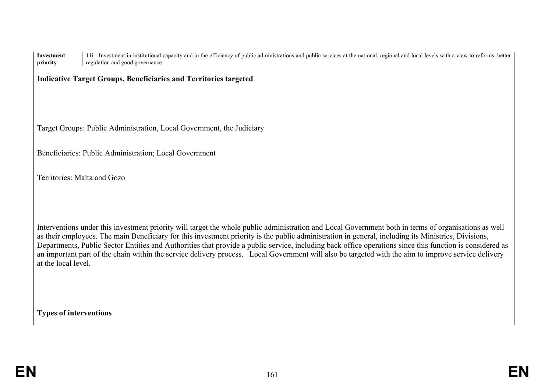| <b>Investment</b><br>priority | 11i - Investment in institutional capacity and in the efficiency of public administrations and public services at the national, regional and local levels with a view to reforms, better<br>regulation and good governance                                                                                                                                                                                                                                                                                                                                                                                                     |
|-------------------------------|--------------------------------------------------------------------------------------------------------------------------------------------------------------------------------------------------------------------------------------------------------------------------------------------------------------------------------------------------------------------------------------------------------------------------------------------------------------------------------------------------------------------------------------------------------------------------------------------------------------------------------|
|                               | <b>Indicative Target Groups, Beneficiaries and Territories targeted</b>                                                                                                                                                                                                                                                                                                                                                                                                                                                                                                                                                        |
|                               | Target Groups: Public Administration, Local Government, the Judiciary                                                                                                                                                                                                                                                                                                                                                                                                                                                                                                                                                          |
|                               | Beneficiaries: Public Administration; Local Government                                                                                                                                                                                                                                                                                                                                                                                                                                                                                                                                                                         |
|                               | Territories: Malta and Gozo                                                                                                                                                                                                                                                                                                                                                                                                                                                                                                                                                                                                    |
| at the local level.           | Interventions under this investment priority will target the whole public administration and Local Government both in terms of organisations as well<br>as their employees. The main Beneficiary for this investment priority is the public administration in general, including its Ministries, Divisions,<br>Departments, Public Sector Entities and Authorities that provide a public service, including back office operations since this function is considered as<br>an important part of the chain within the service delivery process. Local Government will also be targeted with the aim to improve service delivery |
| <b>Types of interventions</b> |                                                                                                                                                                                                                                                                                                                                                                                                                                                                                                                                                                                                                                |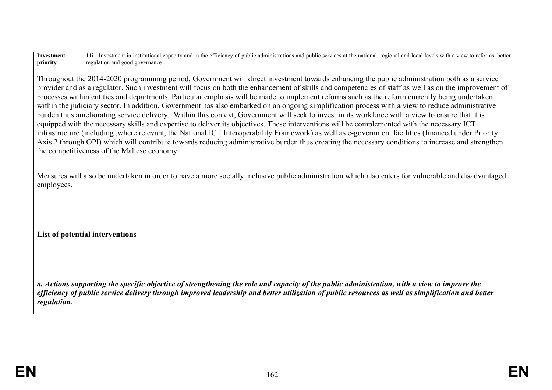| Investment | hette<br>. .<br>efficienc<br>view i<br>nubi<br>istrations<br>local<br>leve.<br>service<br>admır<br>and<br>with .<br>stme<br>112<br>national.<br>$\degree$ 01000 $\alpha$<br>and<br>ublic<br>∙ Inv<br>- OT<br>аı<br><b><i>CLIIV</i></b><br>. |
|------------|---------------------------------------------------------------------------------------------------------------------------------------------------------------------------------------------------------------------------------------------|
| priority   | mance<br>regi<br>and<br>$g_0$ ve<br>†1∩n<br>' 200t<br>                                                                                                                                                                                      |

Throughout the 2014-2020 programming period, Government will direct investment towards enhancing the public administration both as a service provider and as a regulator. Such investment will focus on both the enhancement of skills and competencies of staff as well as on the improvement of processes within entities and departments. Particular emphasis will be made to implement reforms such as the reform currently being undertaken within the judiciary sector. In addition, Government has also embarked on an ongoing simplification process with a view to reduce administrative burden thus ameliorating service delivery. Within this context, Government will seek to invest in its workforce with a view to ensure that it is equipped with the necessary skills and expertise to deliver its objectives. These interventions will be complemented with the necessary ICT infrastructure (including ,where relevant, the National ICT Interoperability Framework) as well as e-government facilities (financed under Priority Axis 2 through OPI) which will contribute towards reducing administrative burden thus creating the necessary conditions to increase and strengthen the competitiveness of the Maltese economy.

Measures will also be undertaken in order to have a more socially inclusive public administration which also caters for vulnerable and disadvantaged employees.

**List of potential interventions**

*a. Actions supporting the specific objective of strengthening the role and capacity of the public administration, with a view to improve the efficiency of public service delivery through improved leadership and better utilization of public resources as well as simplification and better regulation.*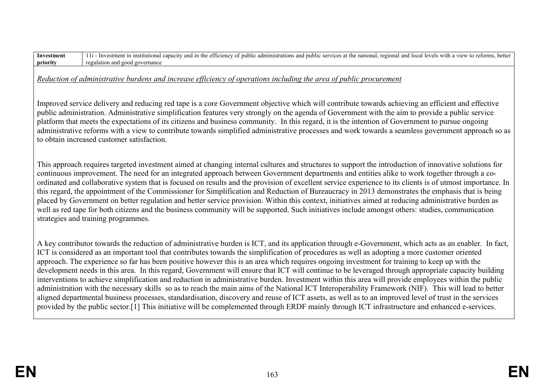| Investment | 11 - Investment in institutional capacity and in the efficiency of public administrations and public services at the national, regional and local levels with a view to reforms, better |
|------------|-----------------------------------------------------------------------------------------------------------------------------------------------------------------------------------------|
| priority   | regulation and good governance                                                                                                                                                          |
|            | Reduction of administrative burdens and increase efficiency of operations including the area of public procurement                                                                      |

Improved service delivery and reducing red tape is a core Government objective which will contribute towards achieving an efficient and effective public administration. Administrative simplification features very strongly on the agenda of Government with the aim to provide a public service platform that meets the expectations of its citizens and business community. In this regard, it is the intention of Government to pursue ongoing administrative reforms with a view to contribute towards simplified administrative processes and work towards a seamless government approach so as to obtain increased customer satisfaction.

This approach requires targeted investment aimed at changing internal cultures and structures to support the introduction of innovative solutions for continuous improvement. The need for an integrated approach between Government departments and entities alike to work together through a coordinated and collaborative system that is focused on results and the provision of excellent service experience to its clients is of utmost importance. In this regard, the appointment of the Commissioner for Simplification and Reduction of Bureaucracy in 2013 demonstrates the emphasis that is being placed by Government on better regulation and better service provision. Within this context, initiatives aimed at reducing administrative burden as well as red tape for both citizens and the business community will be supported. Such initiatives include amongst others: studies, communication strategies and training programmes.

A key contributor towards the reduction of administrative burden is ICT, and its application through e-Government, which acts as an enabler. In fact, ICT is considered as an important tool that contributes towards the simplification of procedures as well as adopting a more customer oriented approach. The experience so far has been positive however this is an area which requires ongoing investment for training to keep up with the development needs in this area. In this regard, Government will ensure that ICT will continue to be leveraged through appropriate capacity building interventions to achieve simplification and reduction in administrative burden. Investment within this area will provide employees within the public administration with the necessary skills so as to reach the main aims of the National ICT Interoperability Framework (NIF). This will lead to better aligned departmental business processes, standardisation, discovery and reuse of ICT assets, as well as to an improved level of trust in the services provided by the public sector.[1] This initiative will be complemented through ERDF mainly through ICT infrastructure and enhanced e-services.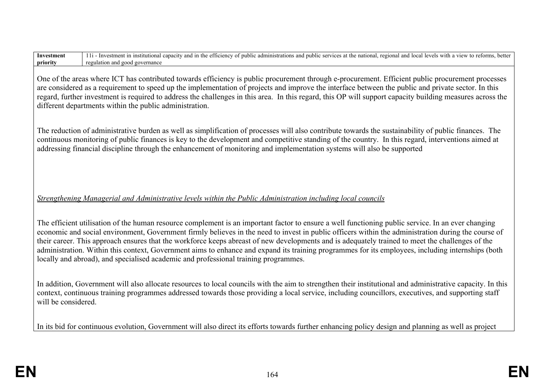| Investment<br>priority | 11 - Investment in institutional capacity and in the efficiency of public administrations and public services at the national, regional and local levels with a view to reforms, better<br>regulation and good governance                                                                                                                                                                                                                                                                                                                                                                                                                                                                                 |
|------------------------|-----------------------------------------------------------------------------------------------------------------------------------------------------------------------------------------------------------------------------------------------------------------------------------------------------------------------------------------------------------------------------------------------------------------------------------------------------------------------------------------------------------------------------------------------------------------------------------------------------------------------------------------------------------------------------------------------------------|
|                        | One of the areas where ICT has contributed towards efficiency is public procurement through e-procurement. Efficient public procurement processes<br>are considered as a requirement to speed up the implementation of projects and improve the interface between the public and private sector. In this<br>regard, further investment is required to address the challenges in this area. In this regard, this OP will support capacity building measures across the<br>different departments within the public administration.                                                                                                                                                                          |
|                        | The reduction of administrative burden as well as simplification of processes will also contribute towards the sustainability of public finances. The<br>continuous monitoring of public finances is key to the development and competitive standing of the country. In this regard, interventions aimed at<br>addressing financial discipline through the enhancement of monitoring and implementation systems will also be supported                                                                                                                                                                                                                                                                    |
|                        | Strengthening Managerial and Administrative levels within the Public Administration including local councils                                                                                                                                                                                                                                                                                                                                                                                                                                                                                                                                                                                              |
|                        | The efficient utilisation of the human resource complement is an important factor to ensure a well functioning public service. In an ever changing<br>economic and social environment, Government firmly believes in the need to invest in public officers within the administration during the course of<br>their career. This approach ensures that the workforce keeps abreast of new developments and is adequately trained to meet the challenges of the<br>administration. Within this context, Government aims to enhance and expand its training programmes for its employees, including internships (both<br>locally and abroad), and specialised academic and professional training programmes. |
| will be considered.    | In addition, Government will also allocate resources to local councils with the aim to strengthen their institutional and administrative capacity. In this<br>context, continuous training programmes addressed towards those providing a local service, including councillors, executives, and supporting staff                                                                                                                                                                                                                                                                                                                                                                                          |
|                        | In its bid for continuous evolution, Government will also direct its efforts towards further enhancing policy design and planning as well as project                                                                                                                                                                                                                                                                                                                                                                                                                                                                                                                                                      |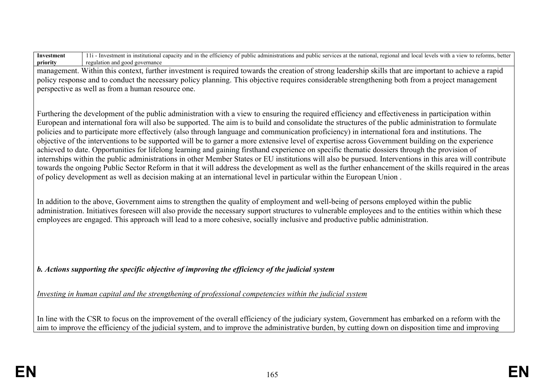**Investment priority** 11i - Investment in institutional capacity and in the efficiency of public administrations and public services at the national, regional and local levels with a view to reforms, better regulation and good governance

management. Within this context, further investment is required towards the creation of strong leadership skills that are important to achieve a rapid policy response and to conduct the necessary policy planning. This objective requires considerable strengthening both from a project management perspective as well as from a human resource one.

Furthering the development of the public administration with a view to ensuring the required efficiency and effectiveness in participation within European and international fora will also be supported. The aim is to build and consolidate the structures of the public administration to formulate policies and to participate more effectively (also through language and communication proficiency) in international fora and institutions. The objective of the interventions to be supported will be to garner a more extensive level of expertise across Government building on the experience achieved to date. Opportunities for lifelong learning and gaining firsthand experience on specific thematic dossiers through the provision of internships within the public administrations in other Member States or EU institutions will also be pursued. Interventions in this area will contribute towards the ongoing Public Sector Reform in that it will address the development as well as the further enhancement of the skills required in the areas of policy development as well as decision making at an international level in particular within the European Union .

In addition to the above, Government aims to strengthen the quality of employment and well-being of persons employed within the public administration. Initiatives foreseen will also provide the necessary support structures to vulnerable employees and to the entities within which these employees are engaged. This approach will lead to a more cohesive, socially inclusive and productive public administration.

*b. Actions supporting the specific objective of improving the efficiency of the judicial system*

*Investing in human capital and the strengthening of professional competencies within the judicial system*

In line with the CSR to focus on the improvement of the overall efficiency of the judiciary system, Government has embarked on a reform with the aim to improve the efficiency of the judicial system, and to improve the administrative burden, by cutting down on disposition time and improving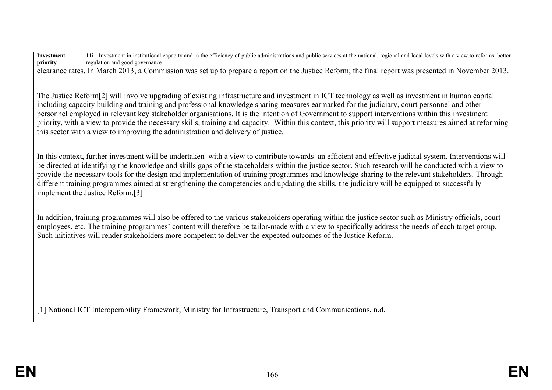**Investment priority** 11i - Investment in institutional capacity and in the efficiency of public administrations and public services at the national, regional and local levels with a view to reforms, better regulation and good governance

clearance rates. In March 2013, a Commission was set up to prepare a report on the Justice Reform; the final report was presented in November 2013.

The Justice Reform[2] will involve upgrading of existing infrastructure and investment in ICT technology as well as investment in human capital including capacity building and training and professional knowledge sharing measures earmarked for the judiciary, court personnel and other personnel employed in relevant key stakeholder organisations. It is the intention of Government to support interventions within this investment priority, with a view to provide the necessary skills, training and capacity. Within this context, this priority will support measures aimed at reforming this sector with a view to improving the administration and delivery of justice.

In this context, further investment will be undertaken with a view to contribute towards an efficient and effective judicial system. Interventions will be directed at identifying the knowledge and skills gaps of the stakeholders within the justice sector. Such research will be conducted with a view to provide the necessary tools for the design and implementation of training programmes and knowledge sharing to the relevant stakeholders. Through different training programmes aimed at strengthening the competencies and updating the skills, the judiciary will be equipped to successfully implement the Justice Reform.[3]

In addition, training programmes will also be offered to the various stakeholders operating within the justice sector such as Ministry officials, court employees, etc. The training programmes' content will therefore be tailor-made with a view to specifically address the needs of each target group. Such initiatives will render stakeholders more competent to deliver the expected outcomes of the Justice Reform.

[1] National ICT Interoperability Framework, Ministry for Infrastructure, Transport and Communications, n.d.

 $\_$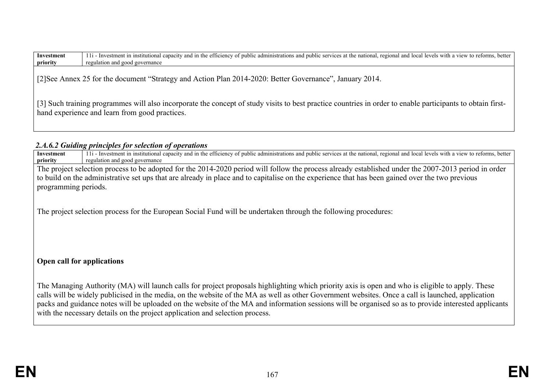| Investment | 11i<br>better<br>l local levels with a view to i<br>administrations<br>≧nati∩nal -<br>public<br>regional and<br>and in the<br>efficiency<br>ı - Inve<br>t in institutional c<br>services :<br>reforms<br>.stmen<br>)ublic<br>al capacity.<br>and<br>---<br>at the national |
|------------|----------------------------------------------------------------------------------------------------------------------------------------------------------------------------------------------------------------------------------------------------------------------------|
| priority   | regu<br>lation and<br>1 governance<br>good                                                                                                                                                                                                                                 |

[2]See Annex 25 for the document "Strategy and Action Plan 2014-2020: Better Governance", January 2014.

[3] Such training programmes will also incorporate the concept of study visits to best practice countries in order to enable participants to obtain firsthand experience and learn from good practices.

## *2.A.6.2 Guiding principles for selection of operations*

| Investment           | 11i - Investment in institutional capacity and in the efficiency of public administrations and public services at the national, regional and local levels with a view to reforms, better |
|----------------------|------------------------------------------------------------------------------------------------------------------------------------------------------------------------------------------|
| priority             | regulation and good governance                                                                                                                                                           |
|                      | The project selection process to be adopted for the 2014-2020 period will follow the process already established under the 2007-2013 period in order                                     |
|                      | to build on the administrative set ups that are already in place and to capitalise on the experience that has been gained over the two previous                                          |
| programming periods. |                                                                                                                                                                                          |
|                      | The project selection process for the European Social Fund will be undertaken through the following procedures:                                                                          |
|                      | Open call for applications                                                                                                                                                               |

The Managing Authority (MA) will launch calls for project proposals highlighting which priority axis is open and who is eligible to apply. These calls will be widely publicised in the media, on the website of the MA as well as other Government websites. Once a call is launched, application packs and guidance notes will be uploaded on the website of the MA and information sessions will be organised so as to provide interested applicants with the necessary details on the project application and selection process.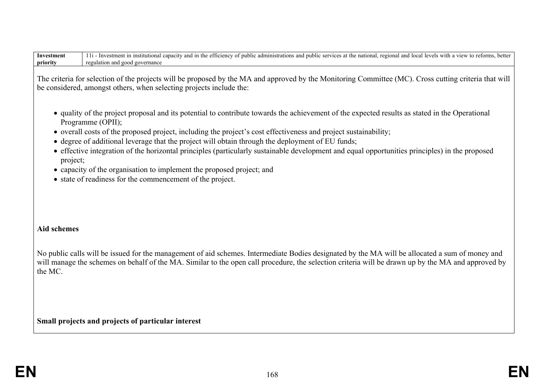| Investment | with<br>-Inv<br>adminic<br>nai<br>nublic<br>the<br>arations of<br>services<br>$\alpha$ vele<br>toc:<br>view<br>onal.<br>and<br>regi<br>1nstitution<br>ın<br>mat ar<br>וומנוי<br>anc<br>vrms<br>ΤИ<br>nac<br>$\neg$ vc. |
|------------|------------------------------------------------------------------------------------------------------------------------------------------------------------------------------------------------------------------------|
| priority   | re 0111<br>. 20V<br>ation.<br>2000<br>rernan<br><b>ULLIALIO</b>                                                                                                                                                        |

The criteria for selection of the projects will be proposed by the MA and approved by the Monitoring Committee (MC). Cross cutting criteria that will be considered, amongst others, when selecting projects include the:

- quality of the project proposal and its potential to contribute towards the achievement of the expected results as stated in the Operational Programme (OPII);
- overall costs of the proposed project, including the project's cost effectiveness and project sustainability;
- degree of additional leverage that the project will obtain through the deployment of EU funds;
- effective integration of the horizontal principles (particularly sustainable development and equal opportunities principles) in the proposed project;
- capacity of the organisation to implement the proposed project; and
- state of readiness for the commencement of the project.

## **Aid schemes**

No public calls will be issued for the management of aid schemes. Intermediate Bodies designated by the MA will be allocated a sum of money and will manage the schemes on behalf of the MA. Similar to the open call procedure, the selection criteria will be drawn up by the MA and approved by the MC.

**Small projects and projects of particular interest**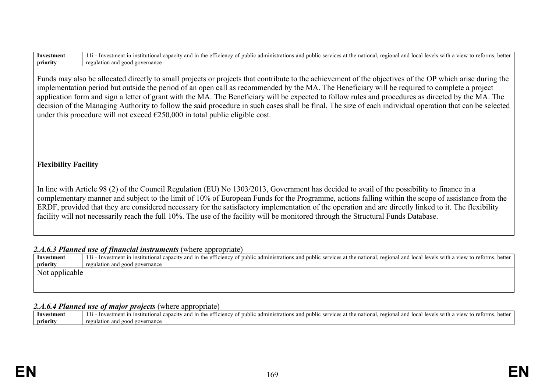| <b>Investment</b>           | 11 - Investment in institutional capacity and in the efficiency of public administrations and public services at the national, regional and local levels with a view to reforms, better |
|-----------------------------|-----------------------------------------------------------------------------------------------------------------------------------------------------------------------------------------|
| priority                    | regulation and good governance                                                                                                                                                          |
|                             |                                                                                                                                                                                         |
|                             | Funds may also be allocated directly to small projects or projects that contribute to the achievement of the objectives of the OP which arise during the                                |
|                             |                                                                                                                                                                                         |
|                             | implementation period but outside the period of an open call as recommended by the MA. The Beneficiary will be required to complete a project                                           |
|                             | application form and sign a letter of grant with the MA. The Beneficiary will be expected to follow rules and procedures as directed by the MA. The                                     |
|                             | decision of the Managing Authority to follow the said procedure in such cases shall be final. The size of each individual operation that can be selected                                |
|                             |                                                                                                                                                                                         |
|                             | under this procedure will not exceed $\epsilon$ 250,000 in total public eligible cost.                                                                                                  |
|                             |                                                                                                                                                                                         |
|                             |                                                                                                                                                                                         |
|                             |                                                                                                                                                                                         |
|                             |                                                                                                                                                                                         |
|                             |                                                                                                                                                                                         |
|                             |                                                                                                                                                                                         |
| <b>Flexibility Facility</b> |                                                                                                                                                                                         |
|                             |                                                                                                                                                                                         |

In line with Article 98 (2) of the Council Regulation (EU) No 1303/2013, Government has decided to avail of the possibility to finance in a complementary manner and subject to the limit of 10% of European Funds for the Programme, actions falling within the scope of assistance from the ERDF, provided that they are considered necessary for the satisfactory implementation of the operation and are directly linked to it. The flexibility facility will not necessarily reach the full 10%. The use of the facility will be monitored through the Structural Funds Database.

## 2.*A.6.3 Planned use of financial instruments* (where appropriate)

| Investment     | 11 - Investment in institutional capacity and in the efficiency of public administrations and public services at the national, regional and local levels with a view to reforms, better |
|----------------|-----------------------------------------------------------------------------------------------------------------------------------------------------------------------------------------|
| priority       | regulation and good governance                                                                                                                                                          |
| Not applicable |                                                                                                                                                                                         |

#### *2.A.6.4 Planned use of major projects* (where appropriate)

| stment<br>Inves | $-1$<br>etter<br>- etticiency<br>Toca<br>nationa.<br>with<br>$re$ $q1$ $qn$<br>ministrai.<br>atutior<br>and in<br>nun<br>nu<br>etorms.<br>$\mathbf{11} \alpha$<br>levels<br>anacıt<br>services<br>s at the<br>ำท⊆<br>$\alpha$<br>$^{\Omega}$<br>view<br>'NU G |
|-----------------|---------------------------------------------------------------------------------------------------------------------------------------------------------------------------------------------------------------------------------------------------------------|
| priority        | ulation and!<br>overnance!<br>്റററി                                                                                                                                                                                                                           |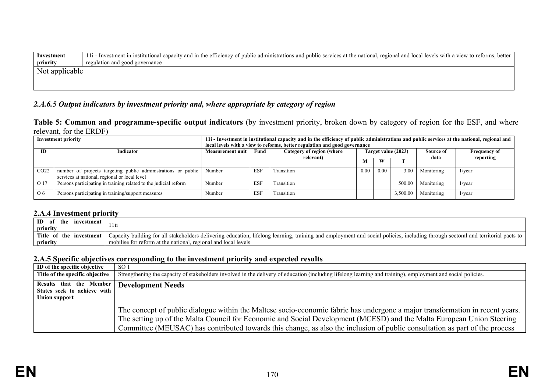| Investment     | 11 I - Investment in institutional capacity and in the efficiency of public administrations and public services at the national, regional and local levels with a view to reforms, better |  |  |  |
|----------------|-------------------------------------------------------------------------------------------------------------------------------------------------------------------------------------------|--|--|--|
| priority       | regulation and good governance                                                                                                                                                            |  |  |  |
| Not applicable |                                                                                                                                                                                           |  |  |  |
|                |                                                                                                                                                                                           |  |  |  |

# *2.A.6.5 Output indicators by investment priority and, where appropriate by category of region*

**Table 5: Common and programme-specific output indicators** (by investment priority, broken down by category of region for the ESF, and where relevant, for the ERDF)

|                  | <b>Investment priority</b>                                                                                     | 11 I - Investment in institutional capacity and in the efficiency of public administrations and public services at the national, regional and<br>local levels with a view to reforms, better regulation and good governance |            |                           |                     |      |          |            |                     |  |
|------------------|----------------------------------------------------------------------------------------------------------------|-----------------------------------------------------------------------------------------------------------------------------------------------------------------------------------------------------------------------------|------------|---------------------------|---------------------|------|----------|------------|---------------------|--|
| ID.              | <b>Indicator</b><br><b>Measurement unit</b>                                                                    |                                                                                                                                                                                                                             | Fund       | Category of region (where | Target value (2023) |      |          | Source of  | <b>Frequency of</b> |  |
|                  |                                                                                                                |                                                                                                                                                                                                                             |            | relevant)                 | м                   | W    |          | data       | reporting           |  |
| CO <sub>22</sub> | number of projects targeting public administrations or public<br>services at national, regional or local level | Number                                                                                                                                                                                                                      | <b>ESF</b> | Fransition                | 0.00                | 0.00 | 3.00     | Monitoring | l/year              |  |
| O 17             | Persons participating in training related to the judicial reform                                               | Number                                                                                                                                                                                                                      | <b>ESF</b> | Transition                |                     |      | 500.00   | Monitoring | $1$ /year           |  |
| 06               | Persons participating in training/support measures                                                             | Number                                                                                                                                                                                                                      | <b>ESF</b> | Transition                |                     |      | 3,500.00 | Monitoring | $1/\text{year}$     |  |

## **2.A.4 Investment priority**

| ID<br>investment<br>the<br>priority | l 111                                                                                                                                                                              |
|-------------------------------------|------------------------------------------------------------------------------------------------------------------------------------------------------------------------------------|
| Title of the<br>investment          | Capacity building for all stakeholders delivering education, lifelong learning, training and employment and social policies, including through sectoral and territorial pacts to 1 |
| priority                            | mobilise for reform at the national, regional and local levels                                                                                                                     |

#### **2.A.5 Specific objectives corresponding to the investment priority and expected results**

| ID of the specific objective                                                   | SO <sub>1</sub>                                                                                                                                                                                                                                                                                                                                                                       |
|--------------------------------------------------------------------------------|---------------------------------------------------------------------------------------------------------------------------------------------------------------------------------------------------------------------------------------------------------------------------------------------------------------------------------------------------------------------------------------|
| Title of the specific objective                                                | Strengthening the capacity of stakeholders involved in the delivery of education (including lifelong learning and training), employment and social policies.                                                                                                                                                                                                                          |
| Results that the Member<br>States seek to achieve with<br><b>Union support</b> | <b>Development Needs</b>                                                                                                                                                                                                                                                                                                                                                              |
|                                                                                | The concept of public dialogue within the Maltese socio-economic fabric has undergone a major transformation in recent years.<br>The setting up of the Malta Council for Economic and Social Development (MCESD) and the Malta European Union Steering<br>Committee (MEUSAC) has contributed towards this change, as also the inclusion of public consultation as part of the process |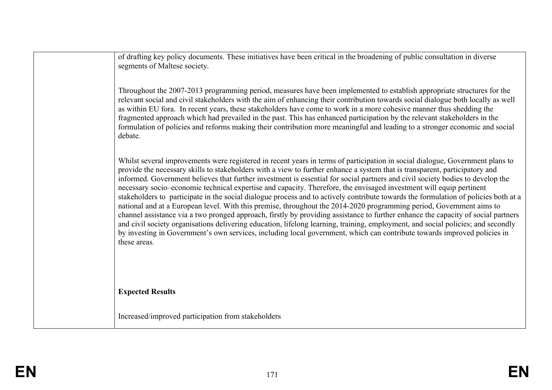of drafting key policy documents. These initiatives have been critical in the broadening of public consultation in diverse segments of Maltese society.

Throughout the 2007-2013 programming period, measures have been implemented to establish appropriate structures for the relevant social and civil stakeholders with the aim of enhancing their contribution towards social dialogue both locally as well as within EU fora. In recent years, these stakeholders have come to work in a more cohesive manner thus shedding the fragmented approach which had prevailed in the past. This has enhanced participation by the relevant stakeholders in the formulation of policies and reforms making their contribution more meaningful and leading to a stronger economic and social debate.

Whilst several improvements were registered in recent years in terms of participation in social dialogue, Government plans to provide the necessary skills to stakeholders with a view to further enhance a system that is transparent, participatory and informed. Government believes that further investment is essential for social partners and civil society bodies to develop the necessary socio–economic technical expertise and capacity. Therefore, the envisaged investment will equip pertinent stakeholders to participate in the social dialogue process and to actively contribute towards the formulation of policies both at a national and at a European level. With this premise, throughout the 2014-2020 programming period, Government aims to channel assistance via a two pronged approach, firstly by providing assistance to further enhance the capacity of social partners and civil society organisations delivering education, lifelong learning, training, employment, and social policies; and secondly by investing in Government's own services, including local government, which can contribute towards improved policies in these areas.

**Expected Results**

Increased/improved participation from stakeholders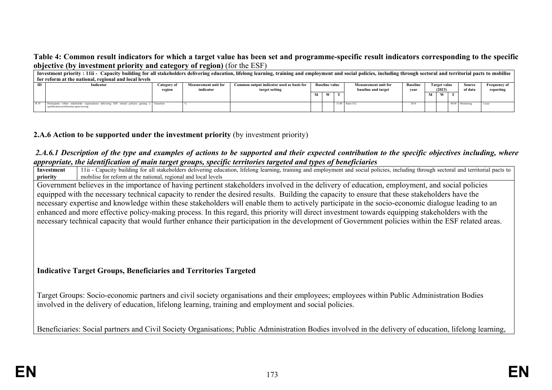**Table 4: Common result indicators for which a target value has been set and programme-specific result indicators corresponding to the specific objective (by investment priority and category of region)** (for the ESF)

|    | Investment priority: 11ii - Capacity building for all stakeholders delivering education, lifelong learning, training and employment and social policies, including through sectoral and territorial pacts to mobilise |             |                             |                                           |   |                       |  |                             |                 |                     |                     |                  |                     |         |           |
|----|-----------------------------------------------------------------------------------------------------------------------------------------------------------------------------------------------------------------------|-------------|-----------------------------|-------------------------------------------|---|-----------------------|--|-----------------------------|-----------------|---------------------|---------------------|------------------|---------------------|---------|-----------|
|    | for reform at the national, regional and local levels                                                                                                                                                                 |             |                             |                                           |   |                       |  |                             |                 |                     |                     |                  |                     |         |           |
| ID | Indicator                                                                                                                                                                                                             | Category of | <b>Measurement unit for</b> | Common output indicator used as basis for |   | <b>Baseline value</b> |  | <b>Measurement unit for</b> | <b>Baseline</b> |                     | <b>Target value</b> | Source           | <b>Frequency of</b> |         |           |
|    |                                                                                                                                                                                                                       | region      | indicator                   | target setting                            |   |                       |  |                             |                 | baseline and target | vear                |                  | (2023)              | of data | reporting |
|    |                                                                                                                                                                                                                       |             |                             |                                           | М |                       |  |                             |                 |                     | W                   |                  |                     |         |           |
|    |                                                                                                                                                                                                                       |             |                             |                                           |   |                       |  |                             |                 |                     |                     |                  |                     |         |           |
|    | Participants within stakeholder organisations delivering ESF related policies gaining a Transition<br>qualification/certification upon leaving                                                                        |             |                             |                                           |   |                       |  | 31.00 Ratio (%              |                 |                     |                     | 40.00 Monitoring | 1/yea               |         |           |
|    |                                                                                                                                                                                                                       |             |                             |                                           |   |                       |  |                             |                 |                     |                     |                  |                     |         |           |

## **2.A.6 Action to be supported under the investment priority** (by investment priority)

#### *2.A.6.1 Description of the type and examples of actions to be supported and their expected contribution to the specific objectives including, where appropriate, the identification of main target groups, specific territories targeted and types of beneficiaries*

**Investment priority** 11ii - Capacity building for all stakeholders delivering education, lifelong learning, training and employment and social policies, including through sectoral and territorial pacts to mobilise for reform at the national, regional and local levels Government believes in the importance of having pertinent stakeholders involved in the delivery of education, employment, and social policies

equipped with the necessary technical capacity to render the desired results. Building the capacity to ensure that these stakeholders have the necessary expertise and knowledge within these stakeholders will enable them to actively participate in the socio-economic dialogue leading to an enhanced and more effective policy-making process. In this regard, this priority will direct investment towards equipping stakeholders with the necessary technical capacity that would further enhance their participation in the development of Government policies within the ESF related areas.

## **Indicative Target Groups, Beneficiaries and Territories Targeted**

Target Groups: Socio-economic partners and civil society organisations and their employees; employees within Public Administration Bodies involved in the delivery of education, lifelong learning, training and employment and social policies.

Beneficiaries: Social partners and Civil Society Organisations; Public Administration Bodies involved in the delivery of education, lifelong learning,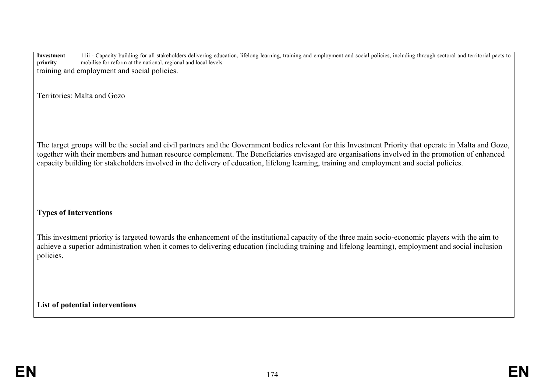**priority** 11ii - Capacity building for all stakeholders delivering education, lifelong learning, training and employment and social policies, including through sectoral and territorial pacts to mobilise for reform at the national, regional and local levels training and employment and social policies. Territories: Malta and Gozo The target groups will be the social and civil partners and the Government bodies relevant for this Investment Priority that operate in Malta and Gozo, together with their members and human resource complement. The Beneficiaries envisaged are organisations involved in the promotion of enhanced capacity building for stakeholders involved in the delivery of education, lifelong learning, training and employment and social policies. **Types of Interventions**  This investment priority is targeted towards the enhancement of the institutional capacity of the three main socio-economic players with the aim to achieve a superior administration when it comes to delivering education (including training and lifelong learning), employment and social inclusion policies. **List of potential interventions**

**Investment**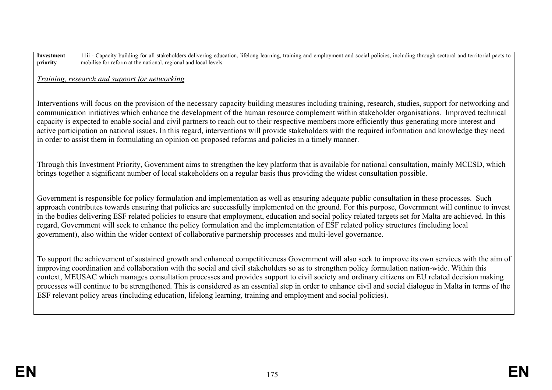| Investment | $11ii -$<br>. including through sectoral and<br>I employment and social<br>training and<br>to building for all stakeholders delivering education.<br>policies<br>apacity<br>, lifelong learning,<br>pacts to<br>territorial |
|------------|-----------------------------------------------------------------------------------------------------------------------------------------------------------------------------------------------------------------------------|
| priority   | regional<br>mobilise for reform at the national.<br>and local levels *                                                                                                                                                      |

*Training, research and support for networking*

Interventions will focus on the provision of the necessary capacity building measures including training, research, studies, support for networking and communication initiatives which enhance the development of the human resource complement within stakeholder organisations. Improved technical capacity is expected to enable social and civil partners to reach out to their respective members more efficiently thus generating more interest and active participation on national issues. In this regard, interventions will provide stakeholders with the required information and knowledge they need in order to assist them in formulating an opinion on proposed reforms and policies in a timely manner.

Through this Investment Priority, Government aims to strengthen the key platform that is available for national consultation, mainly MCESD, which brings together a significant number of local stakeholders on a regular basis thus providing the widest consultation possible.

Government is responsible for policy formulation and implementation as well as ensuring adequate public consultation in these processes. Such approach contributes towards ensuring that policies are successfully implemented on the ground. For this purpose, Government will continue to invest in the bodies delivering ESF related policies to ensure that employment, education and social policy related targets set for Malta are achieved. In this regard, Government will seek to enhance the policy formulation and the implementation of ESF related policy structures (including local government), also within the wider context of collaborative partnership processes and multi-level governance.

To support the achievement of sustained growth and enhanced competitiveness Government will also seek to improve its own services with the aim of improving coordination and collaboration with the social and civil stakeholders so as to strengthen policy formulation nation-wide. Within this context, MEUSAC which manages consultation processes and provides support to civil society and ordinary citizens on EU related decision making processes will continue to be strengthened. This is considered as an essential step in order to enhance civil and social dialogue in Malta in terms of the ESF relevant policy areas (including education, lifelong learning, training and employment and social policies).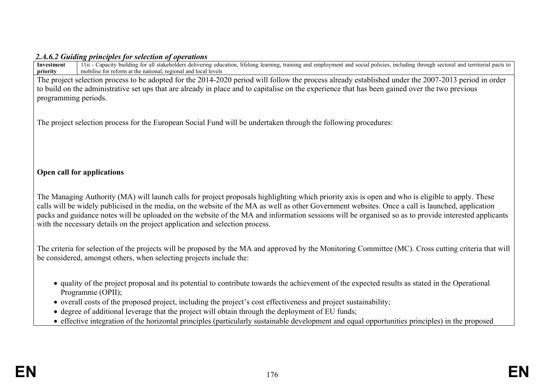### *2.A.6.2 Guiding principles for selection of operations*

| 11ii - Capacity building for all stakeholders delivering education, lifelong learning, training and employment and social policies, including through sectoral and territorial pacts to<br>Investment<br>mobilise for reform at the national, regional and local levels<br>priority                                                                                                                                                                                                                                                           |
|-----------------------------------------------------------------------------------------------------------------------------------------------------------------------------------------------------------------------------------------------------------------------------------------------------------------------------------------------------------------------------------------------------------------------------------------------------------------------------------------------------------------------------------------------|
| The project selection process to be adopted for the 2014-2020 period will follow the process already established under the 2007-2013 period in order                                                                                                                                                                                                                                                                                                                                                                                          |
| to build on the administrative set ups that are already in place and to capitalise on the experience that has been gained over the two previous                                                                                                                                                                                                                                                                                                                                                                                               |
| programming periods.                                                                                                                                                                                                                                                                                                                                                                                                                                                                                                                          |
|                                                                                                                                                                                                                                                                                                                                                                                                                                                                                                                                               |
| The project selection process for the European Social Fund will be undertaken through the following procedures:                                                                                                                                                                                                                                                                                                                                                                                                                               |
|                                                                                                                                                                                                                                                                                                                                                                                                                                                                                                                                               |
|                                                                                                                                                                                                                                                                                                                                                                                                                                                                                                                                               |
|                                                                                                                                                                                                                                                                                                                                                                                                                                                                                                                                               |
| Open call for applications                                                                                                                                                                                                                                                                                                                                                                                                                                                                                                                    |
|                                                                                                                                                                                                                                                                                                                                                                                                                                                                                                                                               |
| The Managing Authority (MA) will launch calls for project proposals highlighting which priority axis is open and who is eligible to apply. These<br>calls will be widely publicised in the media, on the website of the MA as well as other Government websites. Once a call is launched, application<br>packs and guidance notes will be uploaded on the website of the MA and information sessions will be organised so as to provide interested applicants<br>with the necessary details on the project application and selection process. |
|                                                                                                                                                                                                                                                                                                                                                                                                                                                                                                                                               |
| The criteria for selection of the projects will be proposed by the MA and approved by the Monitoring Committee (MC). Cross cutting criteria that will<br>be considered, amongst others, when selecting projects include the:                                                                                                                                                                                                                                                                                                                  |
| • quality of the project proposal and its potential to contribute towards the achievement of the expected results as stated in the Operational<br>Programme (OPII);                                                                                                                                                                                                                                                                                                                                                                           |
| • overall costs of the proposed project, including the project's cost effectiveness and project sustainability;                                                                                                                                                                                                                                                                                                                                                                                                                               |
| • degree of additional leverage that the project will obtain through the deployment of EU funds;                                                                                                                                                                                                                                                                                                                                                                                                                                              |
| • effective integration of the horizontal principles (particularly sustainable development and equal opportunities principles) in the proposed                                                                                                                                                                                                                                                                                                                                                                                                |
|                                                                                                                                                                                                                                                                                                                                                                                                                                                                                                                                               |
|                                                                                                                                                                                                                                                                                                                                                                                                                                                                                                                                               |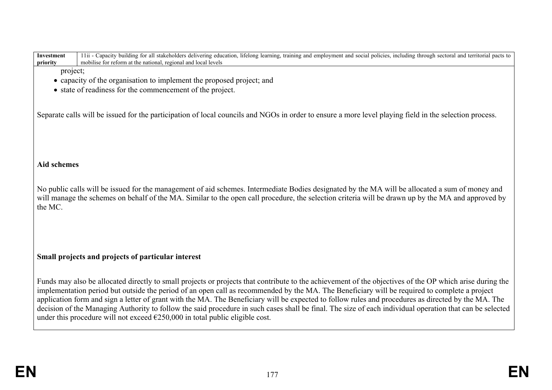| 11ii - Capacity building for all stakeholders delivering education, lifelong learning, training and employment and social policies, including through sectoral and territorial pacts to<br>Investment<br>mobilise for reform at the national, regional and local levels<br>priority                             |
|-----------------------------------------------------------------------------------------------------------------------------------------------------------------------------------------------------------------------------------------------------------------------------------------------------------------|
| project;                                                                                                                                                                                                                                                                                                        |
| • capacity of the organisation to implement the proposed project; and                                                                                                                                                                                                                                           |
| • state of readiness for the commencement of the project.                                                                                                                                                                                                                                                       |
|                                                                                                                                                                                                                                                                                                                 |
| Separate calls will be issued for the participation of local councils and NGOs in order to ensure a more level playing field in the selection process.                                                                                                                                                          |
|                                                                                                                                                                                                                                                                                                                 |
|                                                                                                                                                                                                                                                                                                                 |
|                                                                                                                                                                                                                                                                                                                 |
|                                                                                                                                                                                                                                                                                                                 |
| <b>Aid schemes</b>                                                                                                                                                                                                                                                                                              |
|                                                                                                                                                                                                                                                                                                                 |
| No public calls will be issued for the management of aid schemes. Intermediate Bodies designated by the MA will be allocated a sum of money and                                                                                                                                                                 |
| will manage the schemes on behalf of the MA. Similar to the open call procedure, the selection criteria will be drawn up by the MA and approved by                                                                                                                                                              |
| the MC.                                                                                                                                                                                                                                                                                                         |
|                                                                                                                                                                                                                                                                                                                 |
|                                                                                                                                                                                                                                                                                                                 |
|                                                                                                                                                                                                                                                                                                                 |
|                                                                                                                                                                                                                                                                                                                 |
| Small projects and projects of particular interest                                                                                                                                                                                                                                                              |
|                                                                                                                                                                                                                                                                                                                 |
| Funds may also be allocated directly to small projects or projects that contribute to the achievement of the objectives of the OP which arise during the                                                                                                                                                        |
| implementation period but outside the period of an open call as recommended by the MA. The Beneficiary will be required to complete a project                                                                                                                                                                   |
| application form and sign a letter of grant with the MA. The Beneficiary will be expected to follow rules and procedures as directed by the MA. The<br>decision of the Managing Authority to follow the said procedure in such cases shall be final. The size of each individual operation that can be selected |
| under this procedure will not exceed $\epsilon$ 250,000 in total public eligible cost.                                                                                                                                                                                                                          |
|                                                                                                                                                                                                                                                                                                                 |
|                                                                                                                                                                                                                                                                                                                 |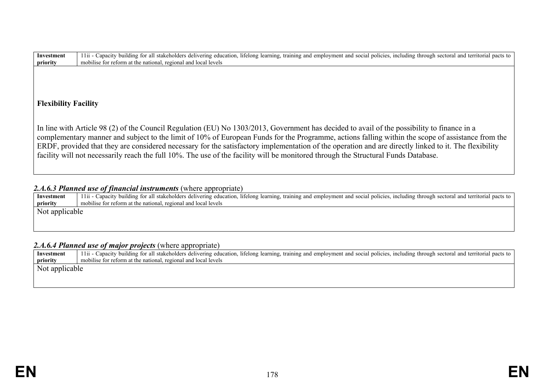| Investment | including<br>thuilding for all $\Box$<br>stakeholders<br>and<br>and<br>, lifelong learning.<br>i employment and social policies.<br>through<br>s delivering education.<br>pacts to<br>1 1 11<br>training<br>sectora.<br>apac.<br>a territorial |
|------------|------------------------------------------------------------------------------------------------------------------------------------------------------------------------------------------------------------------------------------------------|
| priority   | regional ano<br>at the national<br>mobilise for reform<br>local                                                                                                                                                                                |

# **Flexibility Facility**

In line with Article 98 (2) of the Council Regulation (EU) No 1303/2013, Government has decided to avail of the possibility to finance in a complementary manner and subject to the limit of 10% of European Funds for the Programme, actions falling within the scope of assistance from the ERDF, provided that they are considered necessary for the satisfactory implementation of the operation and are directly linked to it. The flexibility facility will not necessarily reach the full 10%. The use of the facility will be monitored through the Structural Funds Database.

## 2.*A.6.3 Planned use of financial instruments* (where appropriate)

| Investment     | 11ii - Capacity building for all stakeholders delivering education, lifelong learning, training and employment and social policies, including through sectoral and territorial pacts to |
|----------------|-----------------------------------------------------------------------------------------------------------------------------------------------------------------------------------------|
| priority       | mobilise for reform at the national, regional and local levels                                                                                                                          |
| Not applicable |                                                                                                                                                                                         |

## *2.A.6.4 Planned use of major projects* (where appropriate)

| Investment     | 11ii - Capacity building for all stakeholders delivering education, lifelong learning, training and employment and social policies, including through sectoral and territorial pacts to |
|----------------|-----------------------------------------------------------------------------------------------------------------------------------------------------------------------------------------|
| priority       | mobilise for reform at the national, regional and local levels                                                                                                                          |
| Not applicable |                                                                                                                                                                                         |
|                |                                                                                                                                                                                         |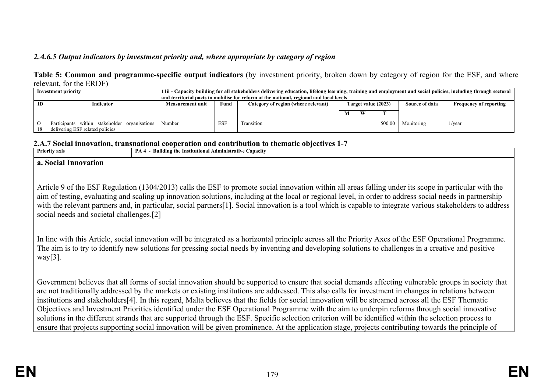# *2.A.6.5 Output indicators by investment priority and, where appropriate by category of region*

### **Table 5: Common and programme-specific output indicators** (by investment priority, broken down by category of region for the ESF, and where relevant, for the ERDF)

| Investment priority |                                               | 11ii - Capacity building for all stakeholders delivering education, lifelong learning, training and employment and social policies, including through sectoral |            |                                                                                         |                     |   |        |                |                               |  |
|---------------------|-----------------------------------------------|----------------------------------------------------------------------------------------------------------------------------------------------------------------|------------|-----------------------------------------------------------------------------------------|---------------------|---|--------|----------------|-------------------------------|--|
|                     |                                               |                                                                                                                                                                |            | and territorial pacts to mobilise for reform at the national, regional and local levels |                     |   |        |                |                               |  |
| <b>ID</b>           | Indicator                                     | <b>Measurement unit</b>                                                                                                                                        | Fund       | Category of region (where relevant)                                                     | Target value (2023) |   |        | Source of data | <b>Frequency of reporting</b> |  |
|                     |                                               |                                                                                                                                                                |            |                                                                                         |                     |   |        |                |                               |  |
|                     |                                               |                                                                                                                                                                |            |                                                                                         |                     | W |        |                |                               |  |
|                     |                                               |                                                                                                                                                                |            |                                                                                         |                     |   |        |                |                               |  |
|                     | Participants within stakeholder organisations | Number                                                                                                                                                         | <b>ESF</b> | Transition                                                                              |                     |   | 500.00 | Monitoring     | 1/year                        |  |
| 18                  | delivering ESF related policies               |                                                                                                                                                                |            |                                                                                         |                     |   |        |                |                               |  |

#### **2.A.7 Social innovation, transnational cooperation and contribution to thematic objectives 1-7**

| <b>Priority axis</b> | <b>Building the Institutional Administrative Capacity</b><br>PA4 |  |  |  |  |  |
|----------------------|------------------------------------------------------------------|--|--|--|--|--|
| a. Social Innovation |                                                                  |  |  |  |  |  |

Article 9 of the ESF Regulation (1304/2013) calls the ESF to promote social innovation within all areas falling under its scope in particular with the aim of testing, evaluating and scaling up innovation solutions, including at the local or regional level, in order to address social needs in partnership with the relevant partners and, in particular, social partners[1]. Social innovation is a tool which is capable to integrate various stakeholders to address social needs and societal challenges.[2]

In line with this Article, social innovation will be integrated as a horizontal principle across all the Priority Axes of the ESF Operational Programme. The aim is to try to identify new solutions for pressing social needs by inventing and developing solutions to challenges in a creative and positive way $[3]$ .

Government believes that all forms of social innovation should be supported to ensure that social demands affecting vulnerable groups in society that are not traditionally addressed by the markets or existing institutions are addressed. This also calls for investment in changes in relations between institutions and stakeholders[4]. In this regard, Malta believes that the fields for social innovation will be streamed across all the ESF Thematic Objectives and Investment Priorities identified under the ESF Operational Programme with the aim to underpin reforms through social innovative solutions in the different strands that are supported through the ESF. Specific selection criterion will be identified within the selection process to ensure that projects supporting social innovation will be given prominence. At the application stage, projects contributing towards the principle of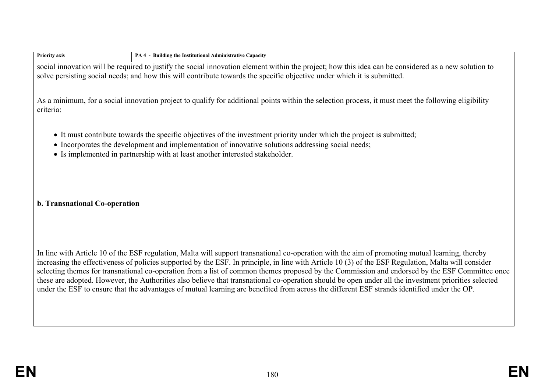| <b>Priority axis</b>          | PA 4 - Building the Institutional Administrative Capacity                                                                                                                                                                                                                                                                                                                                                                                                                                                                                                                                                                                                                                                                                                       |
|-------------------------------|-----------------------------------------------------------------------------------------------------------------------------------------------------------------------------------------------------------------------------------------------------------------------------------------------------------------------------------------------------------------------------------------------------------------------------------------------------------------------------------------------------------------------------------------------------------------------------------------------------------------------------------------------------------------------------------------------------------------------------------------------------------------|
|                               | social innovation will be required to justify the social innovation element within the project; how this idea can be considered as a new solution to<br>solve persisting social needs; and how this will contribute towards the specific objective under which it is submitted.                                                                                                                                                                                                                                                                                                                                                                                                                                                                                 |
| criteria:                     | As a minimum, for a social innovation project to qualify for additional points within the selection process, it must meet the following eligibility                                                                                                                                                                                                                                                                                                                                                                                                                                                                                                                                                                                                             |
|                               | • It must contribute towards the specific objectives of the investment priority under which the project is submitted;<br>• Incorporates the development and implementation of innovative solutions addressing social needs;<br>• Is implemented in partnership with at least another interested stakeholder.                                                                                                                                                                                                                                                                                                                                                                                                                                                    |
| b. Transnational Co-operation |                                                                                                                                                                                                                                                                                                                                                                                                                                                                                                                                                                                                                                                                                                                                                                 |
|                               | In line with Article 10 of the ESF regulation, Malta will support transnational co-operation with the aim of promoting mutual learning, thereby<br>increasing the effectiveness of policies supported by the ESF. In principle, in line with Article 10 (3) of the ESF Regulation, Malta will consider<br>selecting themes for transnational co-operation from a list of common themes proposed by the Commission and endorsed by the ESF Committee once<br>these are adopted. However, the Authorities also believe that transnational co-operation should be open under all the investment priorities selected<br>under the ESF to ensure that the advantages of mutual learning are benefited from across the different ESF strands identified under the OP. |
|                               |                                                                                                                                                                                                                                                                                                                                                                                                                                                                                                                                                                                                                                                                                                                                                                 |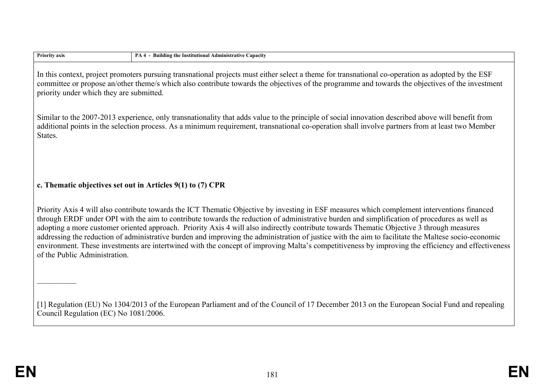| priority under which they are submitted.                   | In this context, project promoters pursuing transnational projects must either select a theme for transnational co-operation as adopted by the ESF<br>committee or propose an/other theme/s which also contribute towards the objectives of the programme and towards the objectives of the investment                                                                                                                                                                                                                                                                                                                                                                                                                                                 |
|------------------------------------------------------------|--------------------------------------------------------------------------------------------------------------------------------------------------------------------------------------------------------------------------------------------------------------------------------------------------------------------------------------------------------------------------------------------------------------------------------------------------------------------------------------------------------------------------------------------------------------------------------------------------------------------------------------------------------------------------------------------------------------------------------------------------------|
| States.                                                    | Similar to the 2007-2013 experience, only transnationality that adds value to the principle of social innovation described above will benefit from<br>additional points in the selection process. As a minimum requirement, transnational co-operation shall involve partners from at least two Member                                                                                                                                                                                                                                                                                                                                                                                                                                                 |
| c. Thematic objectives set out in Articles 9(1) to (7) CPR |                                                                                                                                                                                                                                                                                                                                                                                                                                                                                                                                                                                                                                                                                                                                                        |
| of the Public Administration.                              | Priority Axis 4 will also contribute towards the ICT Thematic Objective by investing in ESF measures which complement interventions financed<br>through ERDF under OPI with the aim to contribute towards the reduction of administrative burden and simplification of procedures as well as<br>adopting a more customer oriented approach. Priority Axis 4 will also indirectly contribute towards Thematic Objective 3 through measures<br>addressing the reduction of administrative burden and improving the administration of justice with the aim to facilitate the Maltese socio-economic<br>environment. These investments are intertwined with the concept of improving Malta's competitiveness by improving the efficiency and effectiveness |
|                                                            |                                                                                                                                                                                                                                                                                                                                                                                                                                                                                                                                                                                                                                                                                                                                                        |
| Council Regulation (EC) No 1081/2006.                      | [1] Regulation (EU) No 1304/2013 of the European Parliament and of the Council of 17 December 2013 on the European Social Fund and repealing                                                                                                                                                                                                                                                                                                                                                                                                                                                                                                                                                                                                           |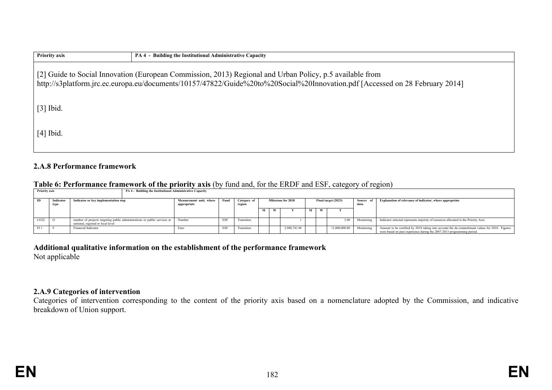| <b>Priority axis</b>                                                                                                                                                                                                                     | PA 4 - Building the Institutional Administrative Capacity |  |  |  |  |  |
|------------------------------------------------------------------------------------------------------------------------------------------------------------------------------------------------------------------------------------------|-----------------------------------------------------------|--|--|--|--|--|
| [2] Guide to Social Innovation (European Commission, 2013) Regional and Urban Policy, p.5 available from<br>http://s3platform.jrc.ec.europa.eu/documents/10157/47822/Guide%20to%20Social%20Innovation.pdf [Accessed on 28 February 2014] |                                                           |  |  |  |  |  |
| $[3]$ Ibid.                                                                                                                                                                                                                              |                                                           |  |  |  |  |  |
| $[4]$ Ibid.                                                                                                                                                                                                                              |                                                           |  |  |  |  |  |

# **2.A.8 Performance framework**

### **Table 6: Performance framework of the priority axis** (by fund and, for the ERDF and ESF, category of region)

| Priority axis |                   |                                                                                                                | PA 4 - Building the Institutional Administrative Capacity |                                        |      |                       |   |                    |   |                     |                   |                                                                                                                                                                          |
|---------------|-------------------|----------------------------------------------------------------------------------------------------------------|-----------------------------------------------------------|----------------------------------------|------|-----------------------|---|--------------------|---|---------------------|-------------------|--------------------------------------------------------------------------------------------------------------------------------------------------------------------------|
| m             | Indicator<br>type | Indicator or key implementation step                                                                           |                                                           | Measurement unit, where<br>appropriate | Fund | Category of<br>region |   | Milestone for 2018 |   | Final target (2023) | Source of<br>data | Explanation of relevance of indicator, where appropriate                                                                                                                 |
|               |                   |                                                                                                                |                                                           |                                        |      |                       | м |                    | м |                     |                   |                                                                                                                                                                          |
| CO22          |                   | number of projects targeting public administrations or public services at<br>national, regional or local level |                                                           | Number                                 | ES   | Transition            |   |                    |   | 3.00                | Monitoring        | Indicator selected represents majority of resources allocated to the Priority Axis.                                                                                      |
|               |                   | <b>Financial Indicator</b>                                                                                     |                                                           | Euro                                   | ESF  | Transition            |   | 2.988.741.96       |   | 11,000,000.00       | Monitoring        | Amount to be certified by 2018 taking into account the de-committment values for 2018. Figures<br>were based on past experience during the 2007-2013 programming period. |

# **Additional qualitative information on the establishment of the performance framework**

Not applicable

# **2.A.9 Categories of intervention**

Categories of intervention corresponding to the content of the priority axis based on a nomenclature adopted by the Commission, and indicative breakdown of Union support.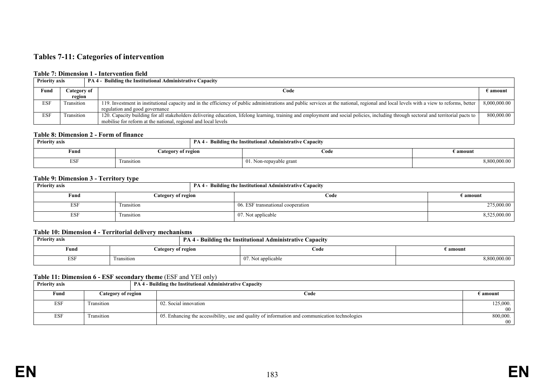# **Tables 7-11: Categories of intervention**

#### **Table 7: Dimension 1 - Intervention field**

|                          | <b>PA 4 - Building the Institutional Administrative Capacity</b><br><b>Priority axis</b> |                                                                                                                                                                                         |              |  |  |
|--------------------------|------------------------------------------------------------------------------------------|-----------------------------------------------------------------------------------------------------------------------------------------------------------------------------------------|--------------|--|--|
| Fund<br>Category of      |                                                                                          | Code                                                                                                                                                                                    | E amount     |  |  |
|                          | region                                                                                   |                                                                                                                                                                                         |              |  |  |
| <b>ESF</b><br>Transition |                                                                                          | 119. Investment in institutional capacity and in the efficiency of public administrations and public services at the national, regional and local levels with a view to reforms, better | 8,000,000.00 |  |  |
|                          |                                                                                          | regulation and good governance                                                                                                                                                          |              |  |  |
| <b>ESF</b>               | Transition                                                                               | 120. Capacity building for all stakeholders delivering education, lifelong learning, training and employment and social policies, including through sectoral and territorial pacts to   | 800,000.00   |  |  |
|                          |                                                                                          | mobilise for reform at the national, regional and local levels                                                                                                                          |              |  |  |

#### **Table 8: Dimension 2 - Form of finance**

| <b>Priority axis</b> |                    | <b>PA 4 - Building the Institutional Administrative Capacity</b> |              |
|----------------------|--------------------|------------------------------------------------------------------|--------------|
| Fund                 | Category of region | Code                                                             | i amount     |
| <b>ESF</b>           | Fransition         | 01. Non-repayable grant                                          | 8,800,000.00 |

#### **Table 9: Dimension 3 - Territory type**

| <b>Priority axis</b> | .                  |  | PA 4 - Building the Institutional Administrative Capacity |                   |
|----------------------|--------------------|--|-----------------------------------------------------------|-------------------|
| Fund                 | Category of region |  | Code                                                      | $\epsilon$ amount |
| <b>ESF</b>           | Transition         |  | 06. ESF transnational cooperation                         | 275,000.00        |
| <b>ESF</b>           | Transition         |  | 07. Not applicable                                        | 8,525,000.00      |

#### **Table 10: Dimension 4 - Territorial delivery mechanisms**

| <b>Priority axis</b>       |            | <b>PA 4 - Building the Institutional Administrative Capacity</b> |              |
|----------------------------|------------|------------------------------------------------------------------|--------------|
| Category of region<br>Fund |            | Code                                                             | e amount     |
| <b>ESF</b>                 | Transition | 07. Not applicable                                               | 3,800,000.00 |

#### **Table 11: Dimension 6 - ESF secondary theme** (ESF and YEI only)

| <b>Priority axis</b><br><b>PA 4 - Building the Institutional Administrative Capacity</b> |                    |                                                                                                |                   |
|------------------------------------------------------------------------------------------|--------------------|------------------------------------------------------------------------------------------------|-------------------|
| Fund                                                                                     | Category of region | Code                                                                                           | $\epsilon$ amount |
| <b>ESF</b>                                                                               | Transition         | 02. Social innovation                                                                          | 125,000.          |
|                                                                                          |                    |                                                                                                | 00                |
| ESF                                                                                      | Transition         | 05. Enhancing the accessibility, use and quality of information and communication technologies | 800,000.          |
|                                                                                          |                    |                                                                                                | 00                |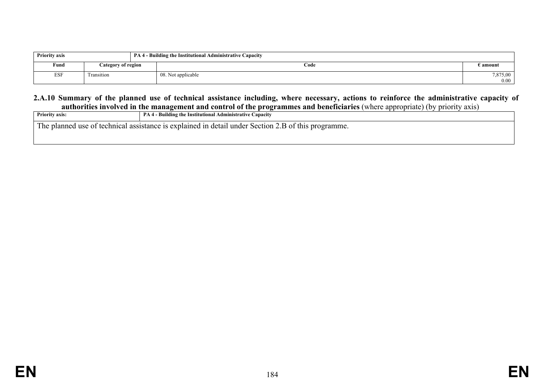| <b>Priority axis</b><br>  PA 4 - Building the Institutional Administrative Capacity |                    |                    |                  |
|-------------------------------------------------------------------------------------|--------------------|--------------------|------------------|
| Fund                                                                                | Category of region | Code               | E amount         |
| <b>ESF</b>                                                                          | Transition         | 08. Not applicable | 7,875,00<br>0.00 |

#### **2.A.10 Summary of the planned use of technical assistance including, where necessary, actions to reinforce the administrative capacity of authorities involved in the management and control of the programmes and beneficiaries** (where appropriate) (by priority axis)

| <b>Priority axis:</b>                                                                               | <b>PA 4 - Building the Institutional Administrative Capacity</b> |  |  |  |
|-----------------------------------------------------------------------------------------------------|------------------------------------------------------------------|--|--|--|
| The planned use of technical assistance is explained in detail under Section 2.B of this programme. |                                                                  |  |  |  |
|                                                                                                     |                                                                  |  |  |  |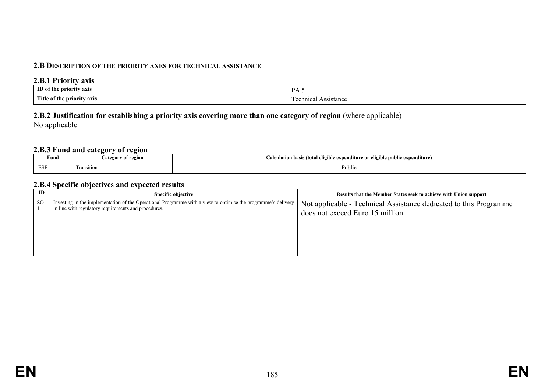### **2.B DESCRIPTION OF THE PRIORITY AXES FOR TECHNICAL ASSISTANCE**

#### **2.B.1 Priority axis**

| ID of the                  | DA.        |
|----------------------------|------------|
| e priority axis            | 11 L J     |
|                            |            |
| Title of the priority axis | Assistance |
|                            | hnıca•     |

# **2.B.2 Justification for establishing a priority axis covering more than one category of region** (where applicable) No applicable

# **2.B.3 Fund and category of region**

| Fund      | ^† region<br>0.10000000 | $\cdots$<br>s (total eligible-<br>ligible public expenditure)<br>'^ expenditure or e.<br>alculation basis<br>$\sim$ |
|-----------|-------------------------|---------------------------------------------------------------------------------------------------------------------|
| ESE<br>பய | 1000<br>Transition      | Public                                                                                                              |

# **2.B.4 Specific objectives and expected results**

| ID  | Specific objective                                                                                                                                                    | Results that the Member States seek to achieve with Union support                                     |
|-----|-----------------------------------------------------------------------------------------------------------------------------------------------------------------------|-------------------------------------------------------------------------------------------------------|
| -SO | Investing in the implementation of the Operational Programme with a view to optimise the programme's delivery<br>in line with regulatory requirements and procedures. | Not applicable - Technical Assistance dedicated to this Programme<br>does not exceed Euro 15 million. |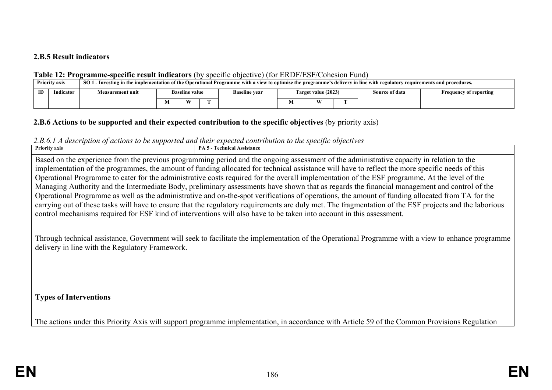# **2.B.5 Result indicators**

# **Table 12: Programme-specific result indicators** (by specific objective) (for ERDF/ESF/Cohesion Fund)

|    | <b>Priority axis</b> | SO 1 - Investing in the implementation of the Operational Programme with a view to optimise the programme's delivery in line with regulatory requirements and procedures. |  |                       |  |                      |                  |                     |  |                |                               |
|----|----------------------|---------------------------------------------------------------------------------------------------------------------------------------------------------------------------|--|-----------------------|--|----------------------|------------------|---------------------|--|----------------|-------------------------------|
| ID | Indicator            | Measurement unit                                                                                                                                                          |  | <b>Baseline value</b> |  | <b>Baseline vear</b> |                  | Target value (2023) |  | Source of data | <b>Frequency of reporting</b> |
|    |                      |                                                                                                                                                                           |  | W                     |  |                      | <b>XX</b><br>IVI |                     |  |                |                               |

# **2.B.6 Actions to be supported and their expected contribution to the specific objectives** (by priority axis)

# *2.B.6.1 A description of actions to be supported and their expected contribution to the specific objectives*

| <b>Priority axis</b>                                                                                                                                                                                 | <b>PA 5 - Technical Assistance</b>                                                                                                                     |  |  |  |  |  |  |
|------------------------------------------------------------------------------------------------------------------------------------------------------------------------------------------------------|--------------------------------------------------------------------------------------------------------------------------------------------------------|--|--|--|--|--|--|
| Based on the experience from the previous programming period and the ongoing assessment of the administrative capacity in relation to the                                                            |                                                                                                                                                        |  |  |  |  |  |  |
|                                                                                                                                                                                                      | implementation of the programmes, the amount of funding allocated for technical assistance will have to reflect the more specific needs of this        |  |  |  |  |  |  |
|                                                                                                                                                                                                      | Operational Programme to cater for the administrative costs required for the overall implementation of the ESF programme. At the level of the          |  |  |  |  |  |  |
|                                                                                                                                                                                                      | Managing Authority and the Intermediate Body, preliminary assessments have shown that as regards the financial management and control of the           |  |  |  |  |  |  |
|                                                                                                                                                                                                      | Operational Programme as well as the administrative and on-the-spot verifications of operations, the amount of funding allocated from TA for the       |  |  |  |  |  |  |
|                                                                                                                                                                                                      | carrying out of these tasks will have to ensure that the regulatory requirements are duly met. The fragmentation of the ESF projects and the laborious |  |  |  |  |  |  |
|                                                                                                                                                                                                      | control mechanisms required for ESF kind of interventions will also have to be taken into account in this assessment.                                  |  |  |  |  |  |  |
|                                                                                                                                                                                                      |                                                                                                                                                        |  |  |  |  |  |  |
| Through technical assistance, Government will seek to facilitate the implementation of the Operational Programme with a view to enhance programme<br>delivery in line with the Regulatory Framework. |                                                                                                                                                        |  |  |  |  |  |  |
|                                                                                                                                                                                                      |                                                                                                                                                        |  |  |  |  |  |  |
|                                                                                                                                                                                                      |                                                                                                                                                        |  |  |  |  |  |  |
|                                                                                                                                                                                                      |                                                                                                                                                        |  |  |  |  |  |  |
|                                                                                                                                                                                                      |                                                                                                                                                        |  |  |  |  |  |  |

**Types of Interventions**

The actions under this Priority Axis will support programme implementation, in accordance with Article 59 of the Common Provisions Regulation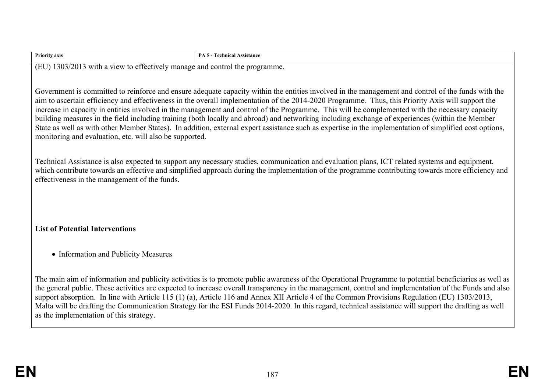| <b>Priority axis</b>                                                                                                                                                                                                                                                                                                                                                                                                                                                                                                                                                                                                                                                                                                                                                                                                                | <b>PA 5 - Technical Assistance</b>                                                                                                                                                                                                                                                                                                                                                                                                                                                                                                                                                                                         |  |  |  |  |  |  |  |
|-------------------------------------------------------------------------------------------------------------------------------------------------------------------------------------------------------------------------------------------------------------------------------------------------------------------------------------------------------------------------------------------------------------------------------------------------------------------------------------------------------------------------------------------------------------------------------------------------------------------------------------------------------------------------------------------------------------------------------------------------------------------------------------------------------------------------------------|----------------------------------------------------------------------------------------------------------------------------------------------------------------------------------------------------------------------------------------------------------------------------------------------------------------------------------------------------------------------------------------------------------------------------------------------------------------------------------------------------------------------------------------------------------------------------------------------------------------------------|--|--|--|--|--|--|--|
| (EU) 1303/2013 with a view to effectively manage and control the programme.                                                                                                                                                                                                                                                                                                                                                                                                                                                                                                                                                                                                                                                                                                                                                         |                                                                                                                                                                                                                                                                                                                                                                                                                                                                                                                                                                                                                            |  |  |  |  |  |  |  |
|                                                                                                                                                                                                                                                                                                                                                                                                                                                                                                                                                                                                                                                                                                                                                                                                                                     |                                                                                                                                                                                                                                                                                                                                                                                                                                                                                                                                                                                                                            |  |  |  |  |  |  |  |
| Government is committed to reinforce and ensure adequate capacity within the entities involved in the management and control of the funds with the<br>aim to ascertain efficiency and effectiveness in the overall implementation of the 2014-2020 Programme. Thus, this Priority Axis will support the<br>increase in capacity in entities involved in the management and control of the Programme. This will be complemented with the necessary capacity<br>building measures in the field including training (both locally and abroad) and networking including exchange of experiences (within the Member<br>State as well as with other Member States). In addition, external expert assistance such as expertise in the implementation of simplified cost options,<br>monitoring and evaluation, etc. will also be supported. |                                                                                                                                                                                                                                                                                                                                                                                                                                                                                                                                                                                                                            |  |  |  |  |  |  |  |
| effectiveness in the management of the funds.                                                                                                                                                                                                                                                                                                                                                                                                                                                                                                                                                                                                                                                                                                                                                                                       | Technical Assistance is also expected to support any necessary studies, communication and evaluation plans, ICT related systems and equipment,<br>which contribute towards an effective and simplified approach during the implementation of the programme contributing towards more efficiency and                                                                                                                                                                                                                                                                                                                        |  |  |  |  |  |  |  |
|                                                                                                                                                                                                                                                                                                                                                                                                                                                                                                                                                                                                                                                                                                                                                                                                                                     |                                                                                                                                                                                                                                                                                                                                                                                                                                                                                                                                                                                                                            |  |  |  |  |  |  |  |
| <b>List of Potential Interventions</b>                                                                                                                                                                                                                                                                                                                                                                                                                                                                                                                                                                                                                                                                                                                                                                                              |                                                                                                                                                                                                                                                                                                                                                                                                                                                                                                                                                                                                                            |  |  |  |  |  |  |  |
| • Information and Publicity Measures                                                                                                                                                                                                                                                                                                                                                                                                                                                                                                                                                                                                                                                                                                                                                                                                |                                                                                                                                                                                                                                                                                                                                                                                                                                                                                                                                                                                                                            |  |  |  |  |  |  |  |
| as the implementation of this strategy.                                                                                                                                                                                                                                                                                                                                                                                                                                                                                                                                                                                                                                                                                                                                                                                             | The main aim of information and publicity activities is to promote public awareness of the Operational Programme to potential beneficiaries as well as<br>the general public. These activities are expected to increase overall transparency in the management, control and implementation of the Funds and also<br>support absorption. In line with Article 115 (1) (a), Article 116 and Annex XII Article 4 of the Common Provisions Regulation (EU) 1303/2013,<br>Malta will be drafting the Communication Strategy for the ESI Funds 2014-2020. In this regard, technical assistance will support the drafting as well |  |  |  |  |  |  |  |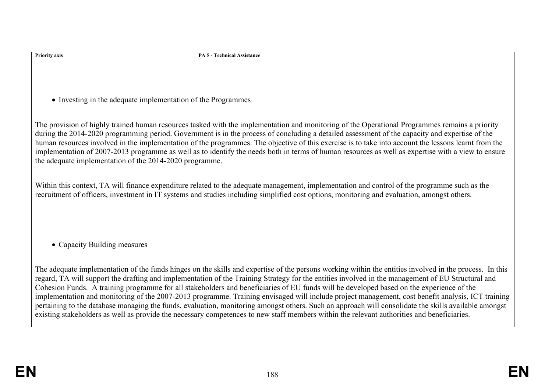| <b>Priority axis</b>                                                                                                                                                                                                                                                                                                                                                                                                                                                                                                                                                                                                                                                      | <b>PA 5 - Technical Assistance</b>                                                                                                                                                                                                                                                                                                                                                                                                                                                                                                                                                                                                                                                                                                                                                                                                                                                                                  |  |  |  |  |  |  |
|---------------------------------------------------------------------------------------------------------------------------------------------------------------------------------------------------------------------------------------------------------------------------------------------------------------------------------------------------------------------------------------------------------------------------------------------------------------------------------------------------------------------------------------------------------------------------------------------------------------------------------------------------------------------------|---------------------------------------------------------------------------------------------------------------------------------------------------------------------------------------------------------------------------------------------------------------------------------------------------------------------------------------------------------------------------------------------------------------------------------------------------------------------------------------------------------------------------------------------------------------------------------------------------------------------------------------------------------------------------------------------------------------------------------------------------------------------------------------------------------------------------------------------------------------------------------------------------------------------|--|--|--|--|--|--|
|                                                                                                                                                                                                                                                                                                                                                                                                                                                                                                                                                                                                                                                                           |                                                                                                                                                                                                                                                                                                                                                                                                                                                                                                                                                                                                                                                                                                                                                                                                                                                                                                                     |  |  |  |  |  |  |
|                                                                                                                                                                                                                                                                                                                                                                                                                                                                                                                                                                                                                                                                           |                                                                                                                                                                                                                                                                                                                                                                                                                                                                                                                                                                                                                                                                                                                                                                                                                                                                                                                     |  |  |  |  |  |  |
|                                                                                                                                                                                                                                                                                                                                                                                                                                                                                                                                                                                                                                                                           |                                                                                                                                                                                                                                                                                                                                                                                                                                                                                                                                                                                                                                                                                                                                                                                                                                                                                                                     |  |  |  |  |  |  |
| • Investing in the adequate implementation of the Programmes                                                                                                                                                                                                                                                                                                                                                                                                                                                                                                                                                                                                              |                                                                                                                                                                                                                                                                                                                                                                                                                                                                                                                                                                                                                                                                                                                                                                                                                                                                                                                     |  |  |  |  |  |  |
|                                                                                                                                                                                                                                                                                                                                                                                                                                                                                                                                                                                                                                                                           |                                                                                                                                                                                                                                                                                                                                                                                                                                                                                                                                                                                                                                                                                                                                                                                                                                                                                                                     |  |  |  |  |  |  |
| The provision of highly trained human resources tasked with the implementation and monitoring of the Operational Programmes remains a priority<br>during the 2014-2020 programming period. Government is in the process of concluding a detailed assessment of the capacity and expertise of the<br>human resources involved in the implementation of the programmes. The objective of this exercise is to take into account the lessons learnt from the<br>implementation of 2007-2013 programme as well as to identify the needs both in terms of human resources as well as expertise with a view to ensure<br>the adequate implementation of the 2014-2020 programme. |                                                                                                                                                                                                                                                                                                                                                                                                                                                                                                                                                                                                                                                                                                                                                                                                                                                                                                                     |  |  |  |  |  |  |
|                                                                                                                                                                                                                                                                                                                                                                                                                                                                                                                                                                                                                                                                           |                                                                                                                                                                                                                                                                                                                                                                                                                                                                                                                                                                                                                                                                                                                                                                                                                                                                                                                     |  |  |  |  |  |  |
|                                                                                                                                                                                                                                                                                                                                                                                                                                                                                                                                                                                                                                                                           | Within this context, TA will finance expenditure related to the adequate management, implementation and control of the programme such as the<br>recruitment of officers, investment in IT systems and studies including simplified cost options, monitoring and evaluation, amongst others.                                                                                                                                                                                                                                                                                                                                                                                                                                                                                                                                                                                                                         |  |  |  |  |  |  |
|                                                                                                                                                                                                                                                                                                                                                                                                                                                                                                                                                                                                                                                                           |                                                                                                                                                                                                                                                                                                                                                                                                                                                                                                                                                                                                                                                                                                                                                                                                                                                                                                                     |  |  |  |  |  |  |
|                                                                                                                                                                                                                                                                                                                                                                                                                                                                                                                                                                                                                                                                           |                                                                                                                                                                                                                                                                                                                                                                                                                                                                                                                                                                                                                                                                                                                                                                                                                                                                                                                     |  |  |  |  |  |  |
|                                                                                                                                                                                                                                                                                                                                                                                                                                                                                                                                                                                                                                                                           |                                                                                                                                                                                                                                                                                                                                                                                                                                                                                                                                                                                                                                                                                                                                                                                                                                                                                                                     |  |  |  |  |  |  |
| • Capacity Building measures                                                                                                                                                                                                                                                                                                                                                                                                                                                                                                                                                                                                                                              |                                                                                                                                                                                                                                                                                                                                                                                                                                                                                                                                                                                                                                                                                                                                                                                                                                                                                                                     |  |  |  |  |  |  |
|                                                                                                                                                                                                                                                                                                                                                                                                                                                                                                                                                                                                                                                                           |                                                                                                                                                                                                                                                                                                                                                                                                                                                                                                                                                                                                                                                                                                                                                                                                                                                                                                                     |  |  |  |  |  |  |
|                                                                                                                                                                                                                                                                                                                                                                                                                                                                                                                                                                                                                                                                           | The adequate implementation of the funds hinges on the skills and expertise of the persons working within the entities involved in the process. In this<br>regard, TA will support the drafting and implementation of the Training Strategy for the entities involved in the management of EU Structural and<br>Cohesion Funds. A training programme for all stakeholders and beneficiaries of EU funds will be developed based on the experience of the<br>implementation and monitoring of the 2007-2013 programme. Training envisaged will include project management, cost benefit analysis, ICT training<br>pertaining to the database managing the funds, evaluation, monitoring amongst others. Such an approach will consolidate the skills available amongst<br>existing stakeholders as well as provide the necessary competences to new staff members within the relevant authorities and beneficiaries. |  |  |  |  |  |  |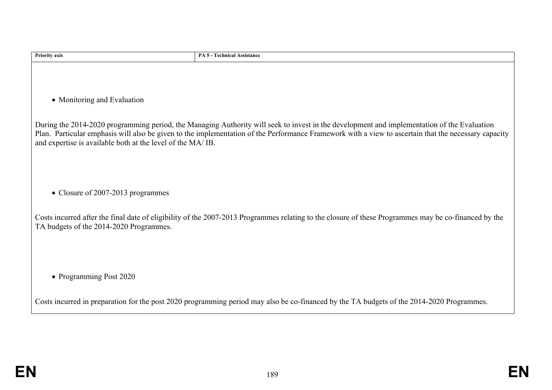| <b>Priority axis</b>                                       | PA 5 - Technical Assistance                                                                                                                                                                                                                                                                         |
|------------------------------------------------------------|-----------------------------------------------------------------------------------------------------------------------------------------------------------------------------------------------------------------------------------------------------------------------------------------------------|
|                                                            |                                                                                                                                                                                                                                                                                                     |
|                                                            |                                                                                                                                                                                                                                                                                                     |
| • Monitoring and Evaluation                                |                                                                                                                                                                                                                                                                                                     |
|                                                            |                                                                                                                                                                                                                                                                                                     |
| and expertise is available both at the level of the MA/IB. | During the 2014-2020 programming period, the Managing Authority will seek to invest in the development and implementation of the Evaluation<br>Plan. Particular emphasis will also be given to the implementation of the Performance Framework with a view to ascertain that the necessary capacity |
|                                                            |                                                                                                                                                                                                                                                                                                     |
|                                                            |                                                                                                                                                                                                                                                                                                     |
| • Closure of 2007-2013 programmes                          |                                                                                                                                                                                                                                                                                                     |
|                                                            |                                                                                                                                                                                                                                                                                                     |
| TA budgets of the 2014-2020 Programmes.                    | Costs incurred after the final date of eligibility of the 2007-2013 Programmes relating to the closure of these Programmes may be co-financed by the                                                                                                                                                |
|                                                            |                                                                                                                                                                                                                                                                                                     |
|                                                            |                                                                                                                                                                                                                                                                                                     |
| • Programming Post 2020                                    |                                                                                                                                                                                                                                                                                                     |
|                                                            |                                                                                                                                                                                                                                                                                                     |
|                                                            | Costs incurred in preparation for the post 2020 programming period may also be co-financed by the TA budgets of the 2014-2020 Programmes.                                                                                                                                                           |
|                                                            |                                                                                                                                                                                                                                                                                                     |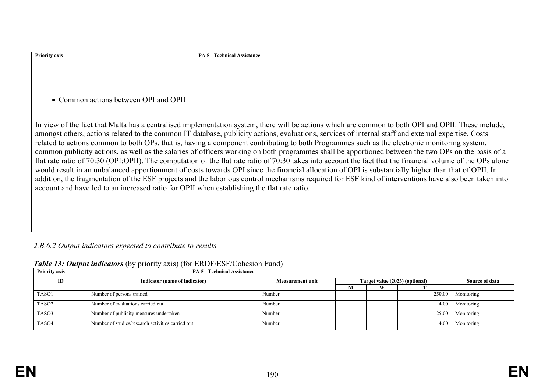| <b>Priority axis</b>                                                                       | <b>PA 5 - Technical Assistance</b>                                                                                                                                                                                                                                                                                                                                                                                                                                                                                                                                                                                                                                                                                                                                                                                                                                                                                                                                                                                                                                                                |
|--------------------------------------------------------------------------------------------|---------------------------------------------------------------------------------------------------------------------------------------------------------------------------------------------------------------------------------------------------------------------------------------------------------------------------------------------------------------------------------------------------------------------------------------------------------------------------------------------------------------------------------------------------------------------------------------------------------------------------------------------------------------------------------------------------------------------------------------------------------------------------------------------------------------------------------------------------------------------------------------------------------------------------------------------------------------------------------------------------------------------------------------------------------------------------------------------------|
|                                                                                            |                                                                                                                                                                                                                                                                                                                                                                                                                                                                                                                                                                                                                                                                                                                                                                                                                                                                                                                                                                                                                                                                                                   |
|                                                                                            |                                                                                                                                                                                                                                                                                                                                                                                                                                                                                                                                                                                                                                                                                                                                                                                                                                                                                                                                                                                                                                                                                                   |
|                                                                                            |                                                                                                                                                                                                                                                                                                                                                                                                                                                                                                                                                                                                                                                                                                                                                                                                                                                                                                                                                                                                                                                                                                   |
|                                                                                            |                                                                                                                                                                                                                                                                                                                                                                                                                                                                                                                                                                                                                                                                                                                                                                                                                                                                                                                                                                                                                                                                                                   |
|                                                                                            |                                                                                                                                                                                                                                                                                                                                                                                                                                                                                                                                                                                                                                                                                                                                                                                                                                                                                                                                                                                                                                                                                                   |
| • Common actions between OPI and OPII                                                      |                                                                                                                                                                                                                                                                                                                                                                                                                                                                                                                                                                                                                                                                                                                                                                                                                                                                                                                                                                                                                                                                                                   |
|                                                                                            |                                                                                                                                                                                                                                                                                                                                                                                                                                                                                                                                                                                                                                                                                                                                                                                                                                                                                                                                                                                                                                                                                                   |
| account and have led to an increased ratio for OPII when establishing the flat rate ratio. | In view of the fact that Malta has a centralised implementation system, there will be actions which are common to both OPI and OPII. These include,<br>amongst others, actions related to the common IT database, publicity actions, evaluations, services of internal staff and external expertise. Costs<br>related to actions common to both OPs, that is, having a component contributing to both Programmes such as the electronic monitoring system,<br>common publicity actions, as well as the salaries of officers working on both programmes shall be apportioned between the two OPs on the basis of a<br>flat rate ratio of 70:30 (OPI:OPII). The computation of the flat rate ratio of 70:30 takes into account the fact that the financial volume of the OPs alone<br>would result in an unbalanced apportionment of costs towards OPI since the financial allocation of OPI is substantially higher than that of OPII. In<br>addition, the fragmentation of the ESF projects and the laborious control mechanisms required for ESF kind of interventions have also been taken into |

# *2.B.6.2 Output indicators expected to contribute to results*

| Table 13: Output indicators (by priority axis) (for ERDF/ESF/Cohesion Fund) |  |  |  |  |  |  |  |
|-----------------------------------------------------------------------------|--|--|--|--|--|--|--|
|-----------------------------------------------------------------------------|--|--|--|--|--|--|--|

| <b>Priority axis</b> | <b>PA 5 - Technical Assistance</b>                |                                                           |   |   |        |                |
|----------------------|---------------------------------------------------|-----------------------------------------------------------|---|---|--------|----------------|
| ID                   | Indicator (name of indicator)                     | Target value (2023) (optional)<br><b>Measurement unit</b> |   |   |        | Source of data |
|                      |                                                   |                                                           | м | W |        |                |
| TASO1                | Number of persons trained                         | Number                                                    |   |   | 250.00 | Monitoring     |
| TASO <sub>2</sub>    | Number of evaluations carried out                 | Number                                                    |   |   | 4.00   | Monitoring     |
| TASO3                | Number of publicity measures undertaken           | Number                                                    |   |   | 25.00  | Monitoring     |
| TASO4                | Number of studies/research activities carried out | Number                                                    |   |   | 4.00   | Monitoring     |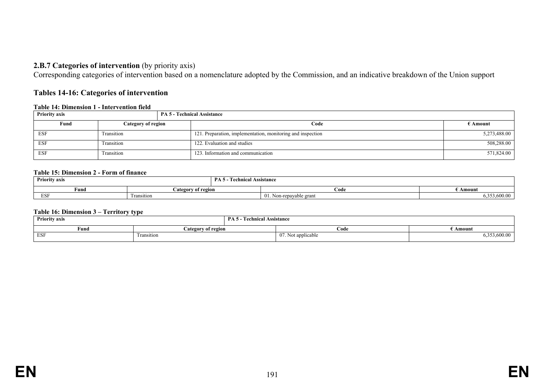# **2.B.7 Categories of intervention** (by priority axis)

Corresponding categories of intervention based on a nomenclature adopted by the Commission, and an indicative breakdown of the Union support

### **Tables 14-16: Categories of intervention**

#### **Table 14: Dimension 1 - Intervention field**

| <b>Priority axis</b><br><b>PA 5 - Technical Assistance</b> |            |                                                             |              |
|------------------------------------------------------------|------------|-------------------------------------------------------------|--------------|
| Fund<br>Category of region                                 |            | Code                                                        | E Amount -   |
| <b>ESF</b>                                                 | Transition | 121. Preparation, implementation, monitoring and inspection | 5,273,488.00 |
| <b>ESF</b>                                                 | Transition | 122. Evaluation and studies                                 | 508,288.00   |
| <b>ESF</b>                                                 | Transition | 123. Information and communication                          | 571,824.00   |

#### **Table 15: Dimension 2 - Form of finance**

| <b>Priority axis</b><br>$\sim$ |                    | PA<br>. .<br>echnical Assistance |                            |                           |  |
|--------------------------------|--------------------|----------------------------------|----------------------------|---------------------------|--|
| $\sim$<br>Fund                 | Category of region |                                  | Code                       | Amount                    |  |
| <b>ESF</b>                     | l ransıtıon        |                                  | 01.<br>Non-repavable grant | .5.600.00<br>20.72<br>ر ر |  |

#### **Table 16: Dimension 3 – Territory type**

| <b>Priority axis</b> |                    | PА<br><b>Technical Assistance</b> |                            |             |  |
|----------------------|--------------------|-----------------------------------|----------------------------|-------------|--|
| Fund                 | Category of region |                                   | Code                       | Amount      |  |
| ESF                  | Fransition         |                                   | .<br>07.<br>vot applicable | 2,33,600.00 |  |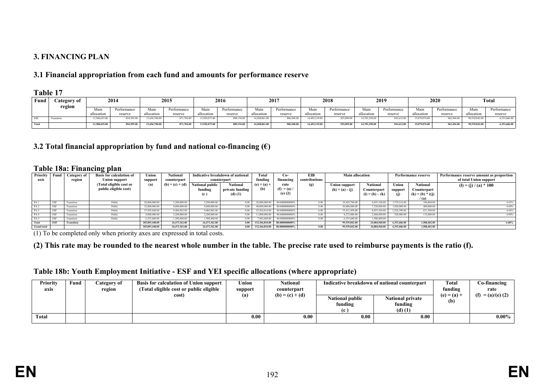# **3. FINANCING PLAN**

# **3.1 Financial appropriation from each fund and amounts for performance reserve**

### **Table 17**

| Fund  | <i>C</i> ategory of | 2014          |             | 2015          |             |               | 2016        |               | 2017        |               | 2018        |               | 2019        |               | 2020        |               | <b>Total</b> |  |
|-------|---------------------|---------------|-------------|---------------|-------------|---------------|-------------|---------------|-------------|---------------|-------------|---------------|-------------|---------------|-------------|---------------|--------------|--|
|       | region              | Main          | Performance | Mair          | Performance | Main          | Performance | Main          | Performance | Main          | Performance | Mair          | Performance | Main          | Performance | Mair          | Performance  |  |
|       |                     | allocation    | reserve     | allocation    | reserve     | allocation    | reserve     | allocation    | reserve     | allocation    | reserve     | llocation     | reserve     | allocation    | reserve     | allocation    | reserve      |  |
| ESF   | Transition          | 3,388,655.00  | 854,595.00  | 3,656,700.00  | 871.704.00  | 13,930,073.00 | 889,154.00  | 14.208.861.00 | 906,948.00  | 14,493,219.00 | 925,099.0   | 14,783,258.00 | 943,612.00  | 15.079.076.00 | 962.494.00  | 99,539,842.00 | 6,353,606.00 |  |
| Total |                     | 13,388,655,00 | 854,595.00  | 13,656,700.00 | 871,704.00  | 13,930,073,00 | 889,154.00  | 14,208,861.00 | 906,948.00  | 4.493.219.00  | 925,099.00  | 14,783,258,00 | 943,612.00  | 15,079,076.00 | 962,494.00  | 99,539,842.00 | 6,353,606.00 |  |

# **3.2 Total financial appropriation by fund and national co-financing (€)**

#### **Table 18a: Financing plan**

| Priority<br>axis   | Fund | Category of<br>region | $\sim$ $\blacksquare$<br><b>Basis for calculation of</b><br>Union support | Union<br>support | National<br>counterpart |                        | Indicative breakdown of national<br>counterpart | Total<br>funding | Со-<br>financing | EIB<br>contributions | <b>Main allocation</b> |                   | Performance reserve |                    | Performance reserve amount as proportion  <br>of total Union support |
|--------------------|------|-----------------------|---------------------------------------------------------------------------|------------------|-------------------------|------------------------|-------------------------------------------------|------------------|------------------|----------------------|------------------------|-------------------|---------------------|--------------------|----------------------------------------------------------------------|
|                    |      |                       | (Total eligible cost or                                                   | (a)              | $(b) = (c) + (d)$       | <b>National public</b> | <b>National</b>                                 | $(e) = (a) +$    | rate             | (g)                  | <b>Union support</b>   | National          | Union               | <b>National</b>    | $(l) = (j) / (a) * 100$                                              |
|                    |      |                       | public eligible cost)                                                     |                  |                         | funding                | private funding                                 | (b)              | $(f) = (a) /$    |                      | $(h) = (a) - (j)$      | Counterpart       | support             | Counterpart        |                                                                      |
|                    |      |                       |                                                                           |                  |                         | (c                     | $(d)$ $(1)$                                     |                  | $(e)$ $(2)$      |                      |                        | $(i) = (b) - (k)$ | (i)                 | $(k) = (b) * ((j)$ |                                                                      |
|                    |      |                       |                                                                           |                  |                         |                        |                                                 |                  |                  |                      |                        |                   |                     | /(a)               |                                                                      |
| PA <sub>1</sub>    | ESF  | Transition            | Public                                                                    | 20,800,000.00    | 5,200,000.00            | 5,200,000.00           | 0.00                                            | 26,000,000.00    | 80.0000000000%   | 0.00                 | 19,420,784.00          | 4,855,196.00      | 1,379,216.00        | 344.804.00         | 6.63%                                                                |
| PA <sub>2</sub>    | ESF  | Transition            | Public                                                                    | 32,000,000.00    | 8,000,000.00            | 8.000.000.00           | $0.00 -$                                        | 40.000.000.00    | 80.0000000000%   | 0.00                 | 30,080,000.00          | 7,520,000.00      | 1,920,000.00        | 480,000.00         | 6.00%                                                                |
| PA <sub>3</sub>    | ESF  | Transition            | Public                                                                    | 37,939,848.00    | 9,484,962.00            | 9,484,962.00           | 0.00                                            | 47,424,810.00    | 80.0000000000%   | 0.00                 | 35,413,458.00          | 8,853,364.00      | 2,526,390.00        | 631,598.00         | 6.66%                                                                |
| PA <sub>4</sub>    | ESF  | Transition            | Public                                                                    | 8,800,000.00     | 2,200,000.00            | 2,200,000.00           | $0.00 -$                                        | 11,000,000.00    | 80.0000000000%   | 0.00                 | 8,272,000.00           | 2,068,000.00      | 528.000.00          | 132,000.00         | 6.00%                                                                |
| PA <sub>5</sub>    | ESF  | Transition            | Public                                                                    | 6.353.600.00     | 1,588,400.00            | 1.588.400.00           | 0.00                                            | 7,942,000.00     | 80.0000000000%   | 0.00                 | 6,353,600.00           | 588,400.00        |                     |                    |                                                                      |
| Total              | ESF  | <b>Transition</b>     |                                                                           | 105,893,448.00   | 26,473,362.00           | 26,473,362,00          | 0.00                                            | 132,366,810.00   | 80,0000000000%   |                      | 99,539,842.00          | 24,884,960,00     | 6,353,606,00        | 1,588,402,00       | 6.00%                                                                |
| <b>Grand</b> total |      |                       |                                                                           | 105,893,448.00   | 26,473,362.00           | 26,473,362,00          | 0.00                                            | 132,366,810.00   | 80,0000000000%   | 0.00                 | 99,539,842.00          | 24,884,960,00     | 6,353,606,00        | 1.588,402.00       |                                                                      |

(1) To be completed only when priority axes are expressed in total costs.

#### **(2) This rate may be rounded to the nearest whole number in the table. The precise rate used to reimburse payments is the ratio (f).**

#### **Table 18b: Youth Employment Initiative - ESF and YEI specific allocations (where appropriate)**

| Priority<br>axis | Fund | Category of<br>region | <b>Basis for calculation of Union support</b><br>(Total eligible cost or public eligible | Union<br>support | <b>National</b><br>counterpart |                                          | Indicative breakdown of national counterpart      | <b>Total</b><br>funding | Co-financing<br>rate |  |
|------------------|------|-----------------------|------------------------------------------------------------------------------------------|------------------|--------------------------------|------------------------------------------|---------------------------------------------------|-------------------------|----------------------|--|
|                  |      |                       | cost)                                                                                    | (a)              | $(b) = (c) + (d)$              | <b>National public</b><br>funding<br>(c) | <b>National private</b><br>funding<br>$(d)$ $(1)$ | $(e) = (a) +$<br>(b)    | $(f) = (a)/(e) (2)$  |  |
| Total            |      |                       |                                                                                          | 0.00             | 0.00                           | 0.00                                     | 0.00                                              |                         | $0.00\%$             |  |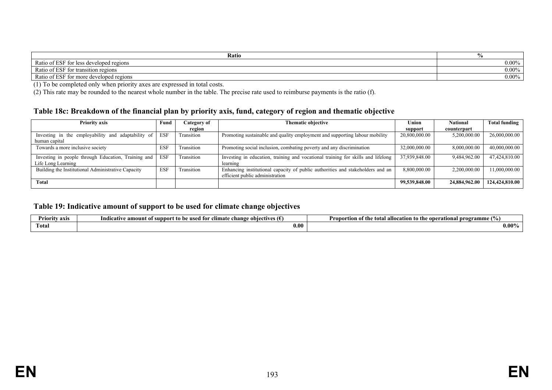| Ratio                                                | 70       |
|------------------------------------------------------|----------|
| f ESF fc<br>Ratio of .<br>tor less developed regions | $0.00\%$ |
| Ratio of ESF fo<br>r transition regions<br>tor -     | 0.00%    |
| Ratio of ESF<br>tor more developed regions           | 0.00%    |

(1) To be completed only when priority axes are expressed in total costs.

(2) This rate may be rounded to the nearest whole number in the table. The precise rate used to reimburse payments is the ratio (f).

### **Table 18c: Breakdown of the financial plan by priority axis, fund, category of region and thematic objective**

| <b>Priority axis</b><br>Fund                        |            | Category of | <b>Thematic objective</b>                                                        | Union         | <b>National</b> | <b>Total funding</b> |
|-----------------------------------------------------|------------|-------------|----------------------------------------------------------------------------------|---------------|-----------------|----------------------|
|                                                     |            | region      |                                                                                  | support       | counterpart     |                      |
| Investing in the employability and adaptability of  | <b>ESF</b> | Transition  | Promoting sustainable and quality employment and supporting labour mobility      | 20,800,000.00 | 5,200,000.00    | 26,000,000.00        |
| human capital                                       |            |             |                                                                                  |               |                 |                      |
| Towards a more inclusive society                    | ESF        | Transition  | Promoting social inclusion, combating poverty and any discrimination             | 32,000,000.00 | 8,000,000.00    | 40,000,000.00        |
| Investing in people through Education, Training and | <b>ESF</b> | Transition  | Investing in education, training and vocational training for skills and lifelong | 37,939,848.00 | 9,484,962.00    | 47,424,810.00        |
| Life Long Learning                                  |            |             | learning                                                                         |               |                 |                      |
| Building the Institutional Administrative Capacity  | <b>ESF</b> | Transition  | Enhancing institutional capacity of public authorities and stakeholders and an   | 8,800,000.00  | 2,200,000.00    | 11,000,000.00        |
|                                                     |            |             | efficient public administration                                                  |               |                 |                      |
| <b>Total</b>                                        |            |             |                                                                                  | 99,539,848.00 | 24,884,962.00   | 124,424,810.00       |

### **Table 19: Indicative amount of support to be used for climate change objectives**

| <br>axis<br>. A TIOPITY - | - 14<br>amount<br>sunnoi<br>Indi<br>chər<br>climate<br>`tıve.<br>Ativ:<br>used tor<br>n6<br>obie<br>г то | 1 V<br><b>Proportion of the total</b><br>operati<br>zramme 1<br>m a I<br>to the<br>allocation<br>шаг |
|---------------------------|----------------------------------------------------------------------------------------------------------|------------------------------------------------------------------------------------------------------|
| Total                     | 0.06                                                                                                     | $0.00\%$                                                                                             |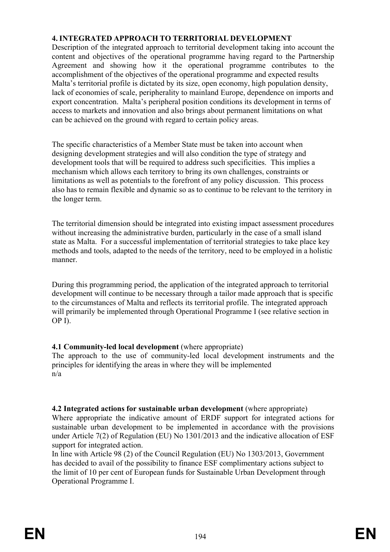# **4. INTEGRATED APPROACH TO TERRITORIAL DEVELOPMENT**

Description of the integrated approach to territorial development taking into account the content and objectives of the operational programme having regard to the Partnership Agreement and showing how it the operational programme contributes to the accomplishment of the objectives of the operational programme and expected results Malta's territorial profile is dictated by its size, open economy, high population density, lack of economies of scale, peripherality to mainland Europe, dependence on imports and export concentration. Malta's peripheral position conditions its development in terms of access to markets and innovation and also brings about permanent limitations on what can be achieved on the ground with regard to certain policy areas.

The specific characteristics of a Member State must be taken into account when designing development strategies and will also condition the type of strategy and development tools that will be required to address such specificities. This implies a mechanism which allows each territory to bring its own challenges, constraints or limitations as well as potentials to the forefront of any policy discussion. This process also has to remain flexible and dynamic so as to continue to be relevant to the territory in the longer term.

The territorial dimension should be integrated into existing impact assessment procedures without increasing the administrative burden, particularly in the case of a small island state as Malta. For a successful implementation of territorial strategies to take place key methods and tools, adapted to the needs of the territory, need to be employed in a holistic manner.

During this programming period, the application of the integrated approach to territorial development will continue to be necessary through a tailor made approach that is specific to the circumstances of Malta and reflects its territorial profile. The integrated approach will primarily be implemented through Operational Programme I (see relative section in OP I).

# **4.1 Community-led local development** (where appropriate)

The approach to the use of community-led local development instruments and the principles for identifying the areas in where they will be implemented n/a

# **4.2 Integrated actions for sustainable urban development** (where appropriate)

Where appropriate the indicative amount of ERDF support for integrated actions for sustainable urban development to be implemented in accordance with the provisions under Article 7(2) of Regulation (EU) No 1301/2013 and the indicative allocation of ESF support for integrated action.

In line with Article 98 (2) of the Council Regulation (EU) No 1303/2013, Government has decided to avail of the possibility to finance ESF complimentary actions subject to the limit of 10 per cent of European funds for Sustainable Urban Development through Operational Programme I.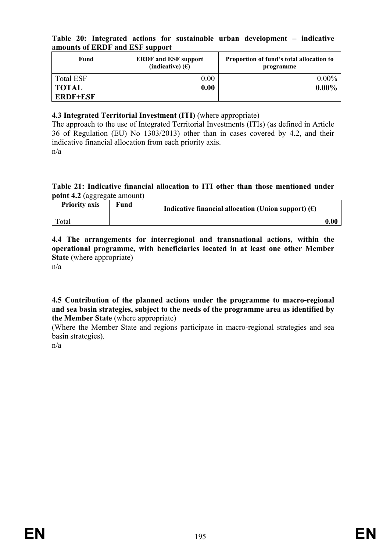|  |                                 |  |  | Table 20: Integrated actions for sustainable urban development – indicative |  |
|--|---------------------------------|--|--|-----------------------------------------------------------------------------|--|
|  | amounts of ERDF and ESF support |  |  |                                                                             |  |

| Fund                            | <b>ERDF</b> and ESF support<br>(indicative) $(E)$ | Proportion of fund's total allocation to<br>programme |  |  |  |  |
|---------------------------------|---------------------------------------------------|-------------------------------------------------------|--|--|--|--|
| <b>Total ESF</b>                | $0.00\,$                                          | $0.00\%$                                              |  |  |  |  |
| <b>TOTAL</b><br><b>ERDF+ESF</b> | 0.00                                              | $0.00\%$                                              |  |  |  |  |

# **4.3 Integrated Territorial Investment (ITI)** (where appropriate)

The approach to the use of Integrated Territorial Investments (ITIs) (as defined in Article 36 of Regulation (EU) No 1303/2013) other than in cases covered by 4.2, and their indicative financial allocation from each priority axis. n/a

**Table 21: Indicative financial allocation to ITI other than those mentioned under point 4.2** (aggregate amount)

| <b>Priority axis</b> | Fund | Indicative financial allocation (Union support) $(\epsilon)$ |      |
|----------------------|------|--------------------------------------------------------------|------|
| Total                |      |                                                              | 0.00 |

**4.4 The arrangements for interregional and transnational actions, within the operational programme, with beneficiaries located in at least one other Member State** (where appropriate)

n/a

**4.5 Contribution of the planned actions under the programme to macro-regional and sea basin strategies, subject to the needs of the programme area as identified by the Member State** (where appropriate)

(Where the Member State and regions participate in macro-regional strategies and sea basin strategies).

n/a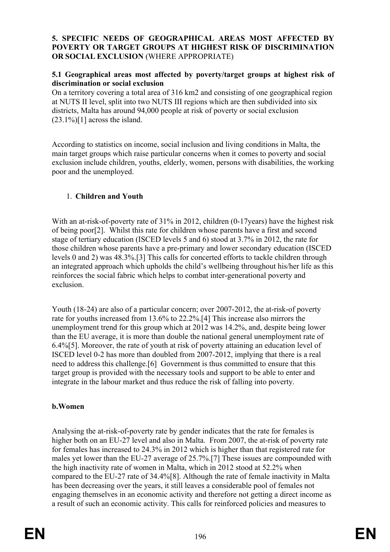# **5. SPECIFIC NEEDS OF GEOGRAPHICAL AREAS MOST AFFECTED BY POVERTY OR TARGET GROUPS AT HIGHEST RISK OF DISCRIMINATION OR SOCIAL EXCLUSION** (WHERE APPROPRIATE)

# **5.1 Geographical areas most affected by poverty/target groups at highest risk of discrimination or social exclusion**

On a territory covering a total area of 316 km2 and consisting of one geographical region at NUTS II level, split into two NUTS III regions which are then subdivided into six districts, Malta has around 94,000 people at risk of poverty or social exclusion  $(23.1\%)$ [1] across the island.

According to statistics on income, social inclusion and living conditions in Malta, the main target groups which raise particular concerns when it comes to poverty and social exclusion include children, youths, elderly, women, persons with disabilities, the working poor and the unemployed.

# 1. **Children and Youth**

With an at-risk-of-poverty rate of 31% in 2012, children (0-17 years) have the highest risk of being poor[2]. Whilst this rate for children whose parents have a first and second stage of tertiary education (ISCED levels 5 and 6) stood at 3.7% in 2012, the rate for those children whose parents have a pre-primary and lower secondary education (ISCED levels 0 and 2) was 48.3%.[3] This calls for concerted efforts to tackle children through an integrated approach which upholds the child's wellbeing throughout his/her life as this reinforces the social fabric which helps to combat inter-generational poverty and exclusion.

Youth (18-24) are also of a particular concern; over 2007-2012, the at-risk-of poverty rate for youths increased from 13.6% to 22.2%.[4] This increase also mirrors the unemployment trend for this group which at 2012 was 14.2%, and, despite being lower than the EU average, it is more than double the national general unemployment rate of 6.4%[5]. Moreover, the rate of youth at risk of poverty attaining an education level of ISCED level 0-2 has more than doubled from 2007-2012, implying that there is a real need to address this challenge.[6] Government is thus committed to ensure that this target group is provided with the necessary tools and support to be able to enter and integrate in the labour market and thus reduce the risk of falling into poverty.

# **b.Women**

Analysing the at-risk-of-poverty rate by gender indicates that the rate for females is higher both on an EU-27 level and also in Malta. From 2007, the at-risk of poverty rate for females has increased to 24.3% in 2012 which is higher than that registered rate for males yet lower than the EU-27 average of 25.7%.[7] These issues are compounded with the high inactivity rate of women in Malta, which in 2012 stood at 52.2% when compared to the EU-27 rate of 34.4%[8]. Although the rate of female inactivity in Malta has been decreasing over the years, it still leaves a considerable pool of females not engaging themselves in an economic activity and therefore not getting a direct income as a result of such an economic activity. This calls for reinforced policies and measures to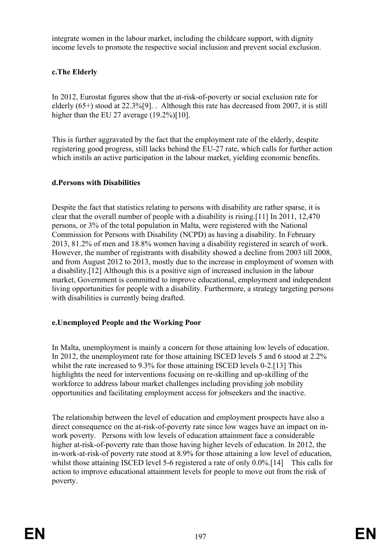integrate women in the labour market, including the childcare support, with dignity income levels to promote the respective social inclusion and prevent social exclusion.

# **c.The Elderly**

In 2012, Eurostat figures show that the at-risk-of-poverty or social exclusion rate for elderly (65+) stood at 22.3%[9]. . Although this rate has decreased from 2007, it is still higher than the EU 27 average (19.2%)[10].

This is further aggravated by the fact that the employment rate of the elderly, despite registering good progress, still lacks behind the EU-27 rate, which calls for further action which instils an active participation in the labour market, yielding economic benefits.

# **d.Persons with Disabilities**

Despite the fact that statistics relating to persons with disability are rather sparse, it is clear that the overall number of people with a disability is rising.[11] In 2011, 12,470 persons, or 3% of the total population in Malta, were registered with the National Commission for Persons with Disability (NCPD) as having a disability. In February 2013, 81.2% of men and 18.8% women having a disability registered in search of work. However, the number of registrants with disability showed a decline from 2003 till 2008, and from August 2012 to 2013, mostly due to the increase in employment of women with a disability.[12] Although this is a positive sign of increased inclusion in the labour market, Government is committed to improve educational, employment and independent living opportunities for people with a disability. Furthermore, a strategy targeting persons with disabilities is currently being drafted.

# **e.Unemployed People and the Working Poor**

In Malta, unemployment is mainly a concern for those attaining low levels of education. In 2012, the unemployment rate for those attaining ISCED levels 5 and 6 stood at 2.2% whilst the rate increased to 9.3% for those attaining ISCED levels 0-2.[13] This highlights the need for interventions focusing on re-skilling and up-skilling of the workforce to address labour market challenges including providing job mobility opportunities and facilitating employment access for jobseekers and the inactive.

The relationship between the level of education and employment prospects have also a direct consequence on the at-risk-of-poverty rate since low wages have an impact on inwork poverty. Persons with low levels of education attainment face a considerable higher at-risk-of-poverty rate than those having higher levels of education. In 2012, the in-work-at-risk-of poverty rate stood at 8.9% for those attaining a low level of education, whilst those attaining ISCED level 5-6 registered a rate of only 0.0%.<sup>[14]</sup> This calls for action to improve educational attainment levels for people to move out from the risk of poverty.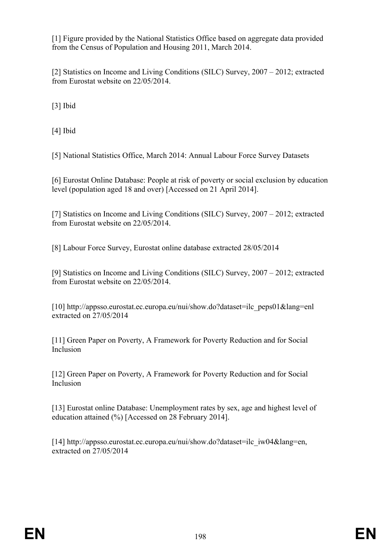[1] Figure provided by the National Statistics Office based on aggregate data provided from the Census of Population and Housing 2011, March 2014.

[2] Statistics on Income and Living Conditions (SILC) Survey, 2007 – 2012; extracted from Eurostat website on 22/05/2014.

[3] Ibid

[4] Ibid

[5] National Statistics Office, March 2014: Annual Labour Force Survey Datasets

[6] Eurostat Online Database: People at risk of poverty or social exclusion by education level (population aged 18 and over) [Accessed on 21 April 2014].

[7] Statistics on Income and Living Conditions (SILC) Survey, 2007 – 2012; extracted from Eurostat website on 22/05/2014.

[8] Labour Force Survey, Eurostat online database extracted 28/05/2014

[9] Statistics on Income and Living Conditions (SILC) Survey, 2007 – 2012; extracted from Eurostat website on 22/05/2014.

[10] http://appsso.eurostat.ec.europa.eu/nui/show.do?dataset=ilc\_peps01&lang=enl extracted on 27/05/2014

[11] Green Paper on Poverty, A Framework for Poverty Reduction and for Social Inclusion

[12] Green Paper on Poverty, A Framework for Poverty Reduction and for Social Inclusion

[13] Eurostat online Database: Unemployment rates by sex, age and highest level of education attained (%) [Accessed on 28 February 2014].

[14] http://appsso.eurostat.ec.europa.eu/nui/show.do?dataset=ilc\_iw04&lang=en, extracted on 27/05/2014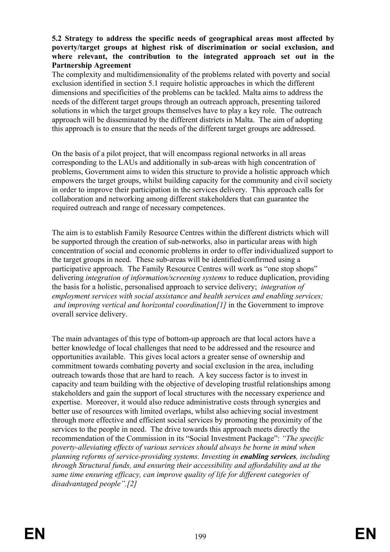### **5.2 Strategy to address the specific needs of geographical areas most affected by poverty/target groups at highest risk of discrimination or social exclusion, and where relevant, the contribution to the integrated approach set out in the Partnership Agreement**

The complexity and multidimensionality of the problems related with poverty and social exclusion identified in section 5.1 require holistic approaches in which the different dimensions and specificities of the problems can be tackled. Malta aims to address the needs of the different target groups through an outreach approach, presenting tailored solutions in which the target groups themselves have to play a key role. The outreach approach will be disseminated by the different districts in Malta. The aim of adopting this approach is to ensure that the needs of the different target groups are addressed.

On the basis of a pilot project, that will encompass regional networks in all areas corresponding to the LAUs and additionally in sub-areas with high concentration of problems, Government aims to widen this structure to provide a holistic approach which empowers the target groups, whilst building capacity for the community and civil society in order to improve their participation in the services delivery. This approach calls for collaboration and networking among different stakeholders that can guarantee the required outreach and range of necessary competences.

The aim is to establish Family Resource Centres within the different districts which will be supported through the creation of sub-networks, also in particular areas with high concentration of social and economic problems in order to offer individualized support to the target groups in need. These sub-areas will be identified/confirmed using a participative approach. The Family Resource Centres will work as "one stop shops" delivering *integration of information/screening systems* to reduce duplication, providing the basis for a holistic, personalised approach to service delivery; *integration of employment services with social assistance and health services and enabling services; and improving vertical and horizontal coordination[1]* in the Government to improve overall service delivery.

The main advantages of this type of bottom-up approach are that local actors have a better knowledge of local challenges that need to be addressed and the resource and opportunities available. This gives local actors a greater sense of ownership and commitment towards combating poverty and social exclusion in the area, including outreach towards those that are hard to reach. A key success factor is to invest in capacity and team building with the objective of developing trustful relationships among stakeholders and gain the support of local structures with the necessary experience and expertise. Moreover, it would also reduce administrative costs through synergies and better use of resources with limited overlaps, whilst also achieving social investment through more effective and efficient social services by promoting the proximity of the services to the people in need. The drive towards this approach meets directly the recommendation of the Commission in its "Social Investment Package": *"The specific poverty-alleviating effects of various services should always be borne in mind when planning reforms of service-providing systems. Investing in enabling services, including through Structural funds, and ensuring their accessibility and affordability and at the same time ensuring efficacy, can improve quality of life for different categories of disadvantaged people".[2]*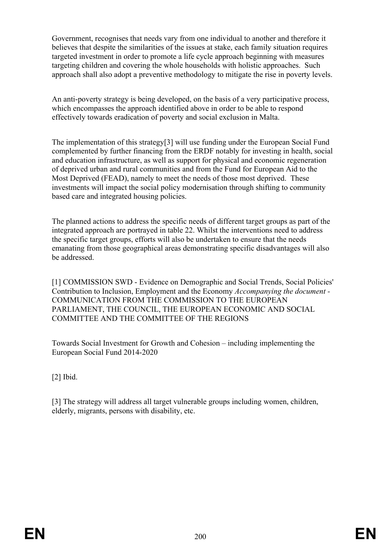Government, recognises that needs vary from one individual to another and therefore it believes that despite the similarities of the issues at stake, each family situation requires targeted investment in order to promote a life cycle approach beginning with measures targeting children and covering the whole households with holistic approaches. Such approach shall also adopt a preventive methodology to mitigate the rise in poverty levels.

An anti-poverty strategy is being developed, on the basis of a very participative process, which encompasses the approach identified above in order to be able to respond effectively towards eradication of poverty and social exclusion in Malta.

The implementation of this strategy[3] will use funding under the European Social Fund complemented by further financing from the ERDF notably for investing in health, social and education infrastructure, as well as support for physical and economic regeneration of deprived urban and rural communities and from the Fund for European Aid to the Most Deprived (FEAD), namely to meet the needs of those most deprived. These investments will impact the social policy modernisation through shifting to community based care and integrated housing policies.

The planned actions to address the specific needs of different target groups as part of the integrated approach are portrayed in table 22. Whilst the interventions need to address the specific target groups, efforts will also be undertaken to ensure that the needs emanating from those geographical areas demonstrating specific disadvantages will also be addressed.

[1] COMMISSION SWD - Evidence on Demographic and Social Trends, Social Policies' Contribution to Inclusion, Employment and the Economy *Accompanying the document -*  COMMUNICATION FROM THE COMMISSION TO THE EUROPEAN PARLIAMENT, THE COUNCIL, THE EUROPEAN ECONOMIC AND SOCIAL COMMITTEE AND THE COMMITTEE OF THE REGIONS

Towards Social Investment for Growth and Cohesion – including implementing the European Social Fund 2014-2020

[2] Ibid.

[3] The strategy will address all target vulnerable groups including women, children, elderly, migrants, persons with disability, etc.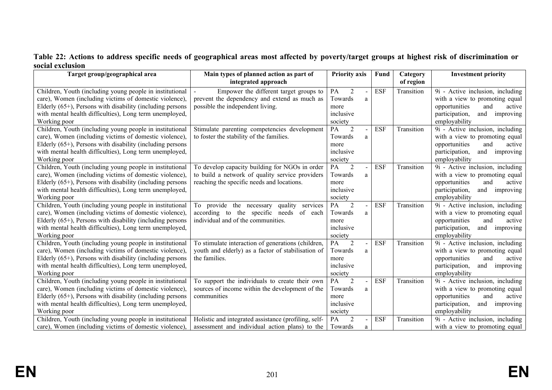# **Table 22: Actions to address specific needs of geographical areas most affected by poverty/target groups at highest risk of discrimination or social exclusion**

| Target group/geographical area                               | Main types of planned action as part of              | <b>Priority axis</b> | Fund       | Category   | <b>Investment priority</b>         |
|--------------------------------------------------------------|------------------------------------------------------|----------------------|------------|------------|------------------------------------|
|                                                              | integrated approach                                  |                      |            | of region  |                                    |
| Children, Youth (including young people in institutional     | Empower the different target groups to               | PA<br>$\overline{2}$ | <b>ESF</b> | Transition | 9i - Active inclusion, including   |
| care), Women (including victims of domestic violence),       | prevent the dependency and extend as much as         | Towards<br>a         |            |            | with a view to promoting equal     |
| Elderly $(65+)$ , Persons with disability (including persons | possible the independent living.                     | more                 |            |            | opportunities<br>and<br>active     |
| with mental health difficulties), Long term unemployed,      |                                                      | inclusive            |            |            | participation,<br>and<br>improving |
| Working poor                                                 |                                                      | society              |            |            | employability                      |
| Children, Youth (including young people in institutional     | Stimulate parenting competencies development         | $\overline{2}$<br>PA | <b>ESF</b> | Transition | 9i - Active inclusion, including   |
| care), Women (including victims of domestic violence),       | to foster the stability of the families.             | Towards<br>a         |            |            | with a view to promoting equal     |
| Elderly $(65+)$ , Persons with disability (including persons |                                                      | more                 |            |            | opportunities<br>and<br>active     |
| with mental health difficulties), Long term unemployed,      |                                                      | inclusive            |            |            | participation,<br>and<br>improving |
| Working poor                                                 |                                                      | society              |            |            | employability                      |
| Children, Youth (including young people in institutional     | To develop capacity building for NGOs in order       | $\overline{2}$<br>PA | <b>ESF</b> | Transition | 9i - Active inclusion, including   |
| care), Women (including victims of domestic violence),       | to build a network of quality service providers      | Towards<br>a         |            |            | with a view to promoting equal     |
| Elderly $(65+)$ , Persons with disability (including persons | reaching the specific needs and locations.           | more                 |            |            | opportunities<br>and<br>active     |
| with mental health difficulties), Long term unemployed,      |                                                      | inclusive            |            |            | participation,<br>and<br>improving |
| Working poor                                                 |                                                      | society              |            |            | employability                      |
| Children, Youth (including young people in institutional     | To provide the necessary quality<br>services         | 2<br>PA              | <b>ESF</b> | Transition | 9i - Active inclusion, including   |
| care), Women (including victims of domestic violence),       | according to the specific needs of each              | Towards<br>a         |            |            | with a view to promoting equal     |
| Elderly $(65+)$ , Persons with disability (including persons | individual and of the communities.                   | more                 |            |            | opportunities<br>and<br>active     |
| with mental health difficulties), Long term unemployed,      |                                                      | inclusive            |            |            | participation,<br>and<br>improving |
| Working poor                                                 |                                                      | society              |            |            | employability                      |
| Children, Youth (including young people in institutional     | To stimulate interaction of generations (children,   | PA<br>$\overline{2}$ | <b>ESF</b> | Transition | 9i - Active inclusion, including   |
| care), Women (including victims of domestic violence),       | youth and elderly) as a factor of stabilisation of   | Towards<br>a         |            |            | with a view to promoting equal     |
| Elderly $(65+)$ , Persons with disability (including persons | the families.                                        | more                 |            |            | opportunities<br>active<br>and     |
| with mental health difficulties), Long term unemployed,      |                                                      | inclusive            |            |            | participation,<br>and<br>improving |
| Working poor                                                 |                                                      | society              |            |            | employability                      |
| Children, Youth (including young people in institutional     | To support the individuals to create their own       | PA<br>$\overline{2}$ | <b>ESF</b> | Transition | 9i - Active inclusion, including   |
| care), Women (including victims of domestic violence),       | sources of income within the development of the      | Towards<br>a         |            |            | with a view to promoting equal     |
| Elderly $(65+)$ , Persons with disability (including persons | communities                                          | more                 |            |            | opportunities<br>and<br>active     |
| with mental health difficulties), Long term unemployed,      |                                                      | inclusive            |            |            | participation,<br>and<br>improving |
| Working poor                                                 |                                                      | society              |            |            | employability                      |
| Children, Youth (including young people in institutional     | Holistic and integrated assistance (profiling, self- | PA<br>$\overline{2}$ | <b>ESF</b> | Transition | 9i - Active inclusion, including   |
| care), Women (including victims of domestic violence),       | assessment and individual action plans) to the       | Towards<br>a         |            |            | with a view to promoting equal     |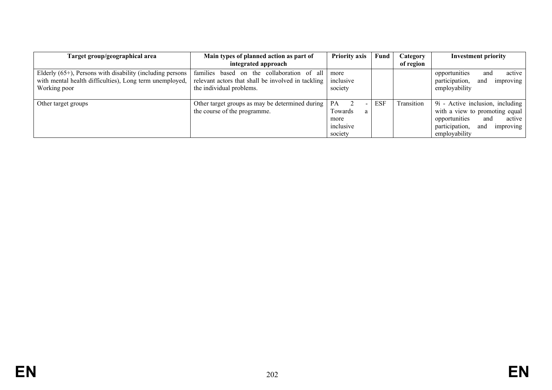| Target group/geographical area                                                                                                                  | Main types of planned action as part of<br>integrated approach                                                                  | <b>Priority axis</b>                               | Fund | Category<br>of region | <b>Investment priority</b>                                                                                                                                  |
|-------------------------------------------------------------------------------------------------------------------------------------------------|---------------------------------------------------------------------------------------------------------------------------------|----------------------------------------------------|------|-----------------------|-------------------------------------------------------------------------------------------------------------------------------------------------------------|
| Elderly $(65+)$ , Persons with disability (including persons $\vert$<br>with mental health difficulties), Long term unemployed,<br>Working poor | the collaboration of all<br>families based on<br>relevant actors that shall be involved in tackling<br>the individual problems. | more<br>inclusive<br>society                       |      |                       | active<br>opportunities<br>and<br>participation,<br>improving<br>and<br>employability                                                                       |
| Other target groups                                                                                                                             | Other target groups as may be determined during<br>the course of the programme.                                                 | PA<br>Towards<br>a<br>more<br>inclusive<br>society | ESF  | Transition            | 9i - Active inclusion, including<br>with a view to promoting equal<br>opportunities<br>and<br>active<br>participation,<br>and<br>improving<br>employability |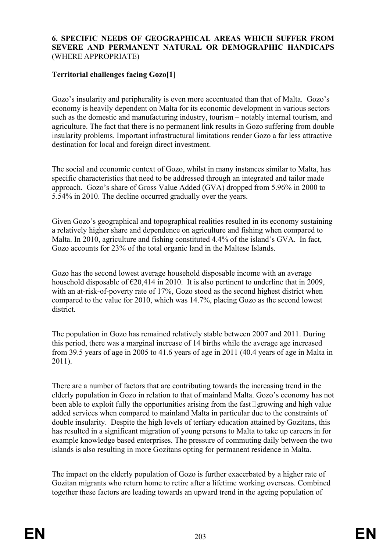# **6. SPECIFIC NEEDS OF GEOGRAPHICAL AREAS WHICH SUFFER FROM SEVERE AND PERMANENT NATURAL OR DEMOGRAPHIC HANDICAPS** (WHERE APPROPRIATE)

# **Territorial challenges facing Gozo[1]**

Gozo's insularity and peripherality is even more accentuated than that of Malta. Gozo's economy is heavily dependent on Malta for its economic development in various sectors such as the domestic and manufacturing industry, tourism – notably internal tourism, and agriculture. The fact that there is no permanent link results in Gozo suffering from double insularity problems. Important infrastructural limitations render Gozo a far less attractive destination for local and foreign direct investment.

The social and economic context of Gozo, whilst in many instances similar to Malta, has specific characteristics that need to be addressed through an integrated and tailor made approach. Gozo's share of Gross Value Added (GVA) dropped from 5.96% in 2000 to 5.54% in 2010. The decline occurred gradually over the years.

Given Gozo's geographical and topographical realities resulted in its economy sustaining a relatively higher share and dependence on agriculture and fishing when compared to Malta. In 2010, agriculture and fishing constituted 4.4% of the island's GVA. In fact, Gozo accounts for 23% of the total organic land in the Maltese Islands.

Gozo has the second lowest average household disposable income with an average household disposable of  $\epsilon$ 20,414 in 2010. It is also pertinent to underline that in 2009, with an at-risk-of-poverty rate of 17%, Gozo stood as the second highest district when compared to the value for 2010, which was 14.7%, placing Gozo as the second lowest district.

The population in Gozo has remained relatively stable between 2007 and 2011. During this period, there was a marginal increase of 14 births while the average age increased from 39.5 years of age in 2005 to 41.6 years of age in 2011 (40.4 years of age in Malta in 2011).

There are a number of factors that are contributing towards the increasing trend in the elderly population in Gozo in relation to that of mainland Malta. Gozo's economy has not been able to exploit fully the opportunities arising from the fast $\Box$ growing and high value added services when compared to mainland Malta in particular due to the constraints of double insularity. Despite the high levels of tertiary education attained by Gozitans, this has resulted in a significant migration of young persons to Malta to take up careers in for example knowledge based enterprises. The pressure of commuting daily between the two islands is also resulting in more Gozitans opting for permanent residence in Malta.

The impact on the elderly population of Gozo is further exacerbated by a higher rate of Gozitan migrants who return home to retire after a lifetime working overseas. Combined together these factors are leading towards an upward trend in the ageing population of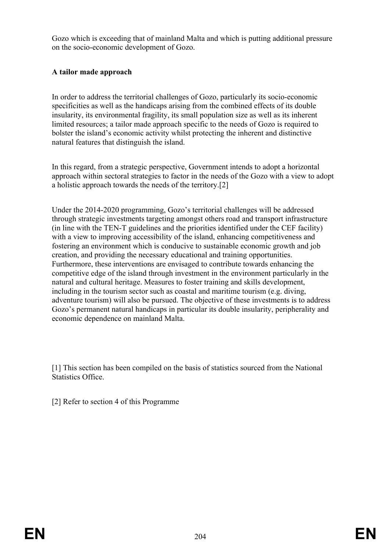Gozo which is exceeding that of mainland Malta and which is putting additional pressure on the socio-economic development of Gozo.

# **A tailor made approach**

In order to address the territorial challenges of Gozo, particularly its socio-economic specificities as well as the handicaps arising from the combined effects of its double insularity, its environmental fragility, its small population size as well as its inherent limited resources; a tailor made approach specific to the needs of Gozo is required to bolster the island's economic activity whilst protecting the inherent and distinctive natural features that distinguish the island.

In this regard, from a strategic perspective, Government intends to adopt a horizontal approach within sectoral strategies to factor in the needs of the Gozo with a view to adopt a holistic approach towards the needs of the territory.[2]

Under the 2014-2020 programming, Gozo's territorial challenges will be addressed through strategic investments targeting amongst others road and transport infrastructure (in line with the TEN-T guidelines and the priorities identified under the CEF facility) with a view to improving accessibility of the island, enhancing competitiveness and fostering an environment which is conducive to sustainable economic growth and job creation, and providing the necessary educational and training opportunities. Furthermore, these interventions are envisaged to contribute towards enhancing the competitive edge of the island through investment in the environment particularly in the natural and cultural heritage. Measures to foster training and skills development, including in the tourism sector such as coastal and maritime tourism (e.g. diving, adventure tourism) will also be pursued. The objective of these investments is to address Gozo's permanent natural handicaps in particular its double insularity, peripherality and economic dependence on mainland Malta.

[1] This section has been compiled on the basis of statistics sourced from the National Statistics Office.

[2] Refer to section 4 of this Programme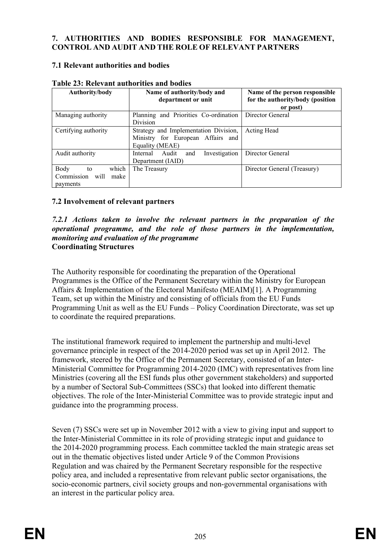# **7. AUTHORITIES AND BODIES RESPONSIBLE FOR MANAGEMENT, CONTROL AND AUDIT AND THE ROLE OF RELEVANT PARTNERS**

# **7.1 Relevant authorities and bodies**

| Authority/body                                             | Name of authority/body and<br>department or unit                                              | Name of the person responsible<br>for the authority/body (position<br>or post) |  |  |
|------------------------------------------------------------|-----------------------------------------------------------------------------------------------|--------------------------------------------------------------------------------|--|--|
| Managing authority                                         | Planning and Priorities Co-ordination<br>Division                                             | Director General                                                               |  |  |
| Certifying authority                                       | Strategy and Implementation Division,<br>Ministry for European Affairs and<br>Equality (MEAE) | Acting Head                                                                    |  |  |
| Audit authority                                            | Audit<br>Investigation<br>Internal<br>and<br>Department (IAID)                                | Director General                                                               |  |  |
| Body<br>which<br>to<br>Commission will<br>make<br>payments | The Treasury                                                                                  | Director General (Treasury)                                                    |  |  |

### **Table 23: Relevant authorities and bodies**

# **7.2 Involvement of relevant partners**

### *7.2.1 Actions taken to involve the relevant partners in the preparation of the operational programme, and the role of those partners in the implementation, monitoring and evaluation of the programme* **Coordinating Structures**

The Authority responsible for coordinating the preparation of the Operational Programmes is the Office of the Permanent Secretary within the Ministry for European Affairs & Implementation of the Electoral Manifesto (MEAIM)[1]. A Programming Team, set up within the Ministry and consisting of officials from the EU Funds Programming Unit as well as the EU Funds – Policy Coordination Directorate, was set up to coordinate the required preparations.

The institutional framework required to implement the partnership and multi-level governance principle in respect of the 2014-2020 period was set up in April 2012. The framework, steered by the Office of the Permanent Secretary, consisted of an Inter-Ministerial Committee for Programming 2014-2020 (IMC) with representatives from line Ministries (covering all the ESI funds plus other government stakeholders) and supported by a number of Sectoral Sub-Committees (SSCs) that looked into different thematic objectives. The role of the Inter-Ministerial Committee was to provide strategic input and guidance into the programming process.

Seven (7) SSCs were set up in November 2012 with a view to giving input and support to the Inter-Ministerial Committee in its role of providing strategic input and guidance to the 2014-2020 programming process. Each committee tackled the main strategic areas set out in the thematic objectives listed under Article 9 of the Common Provisions Regulation and was chaired by the Permanent Secretary responsible for the respective policy area, and included a representative from relevant public sector organisations, the socio-economic partners, civil society groups and non-governmental organisations with an interest in the particular policy area.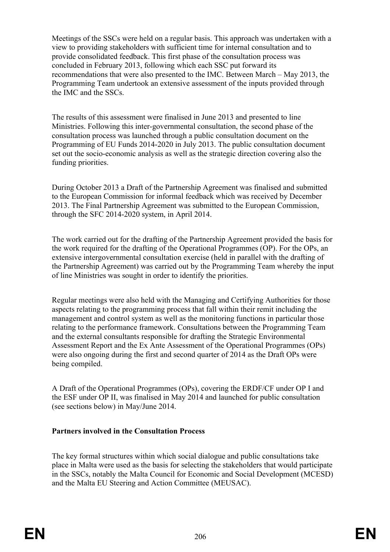Meetings of the SSCs were held on a regular basis. This approach was undertaken with a view to providing stakeholders with sufficient time for internal consultation and to provide consolidated feedback. This first phase of the consultation process was concluded in February 2013, following which each SSC put forward its recommendations that were also presented to the IMC. Between March – May 2013, the Programming Team undertook an extensive assessment of the inputs provided through the IMC and the SSCs.

The results of this assessment were finalised in June 2013 and presented to line Ministries. Following this inter-governmental consultation, the second phase of the consultation process was launched through a public consultation document on the Programming of EU Funds 2014-2020 in July 2013. The public consultation document set out the socio-economic analysis as well as the strategic direction covering also the funding priorities.

During October 2013 a Draft of the Partnership Agreement was finalised and submitted to the European Commission for informal feedback which was received by December 2013. The Final Partnership Agreement was submitted to the European Commission, through the SFC 2014-2020 system, in April 2014.

The work carried out for the drafting of the Partnership Agreement provided the basis for the work required for the drafting of the Operational Programmes (OP). For the OPs, an extensive intergovernmental consultation exercise (held in parallel with the drafting of the Partnership Agreement) was carried out by the Programming Team whereby the input of line Ministries was sought in order to identify the priorities.

Regular meetings were also held with the Managing and Certifying Authorities for those aspects relating to the programming process that fall within their remit including the management and control system as well as the monitoring functions in particular those relating to the performance framework. Consultations between the Programming Team and the external consultants responsible for drafting the Strategic Environmental Assessment Report and the Ex Ante Assessment of the Operational Programmes (OPs) were also ongoing during the first and second quarter of 2014 as the Draft OPs were being compiled.

A Draft of the Operational Programmes (OPs), covering the ERDF/CF under OP I and the ESF under OP II, was finalised in May 2014 and launched for public consultation (see sections below) in May/June 2014.

# **Partners involved in the Consultation Process**

The key formal structures within which social dialogue and public consultations take place in Malta were used as the basis for selecting the stakeholders that would participate in the SSCs, notably the Malta Council for Economic and Social Development (MCESD) and the Malta EU Steering and Action Committee (MEUSAC).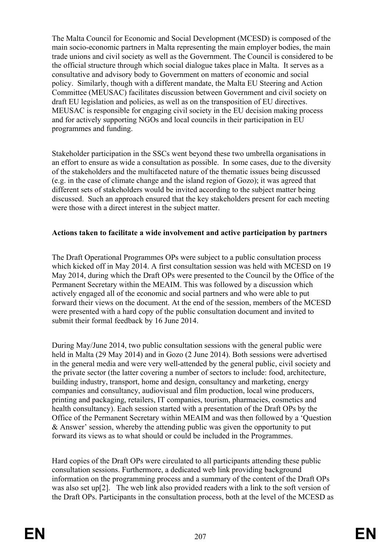The Malta Council for Economic and Social Development (MCESD) is composed of the main socio-economic partners in Malta representing the main employer bodies, the main trade unions and civil society as well as the Government. The Council is considered to be the official structure through which social dialogue takes place in Malta. It serves as a consultative and advisory body to Government on matters of economic and social policy. Similarly, though with a different mandate, the Malta EU Steering and Action Committee (MEUSAC) facilitates discussion between Government and civil society on draft EU legislation and policies, as well as on the transposition of EU directives. MEUSAC is responsible for engaging civil society in the EU decision making process and for actively supporting NGOs and local councils in their participation in EU programmes and funding.

Stakeholder participation in the SSCs went beyond these two umbrella organisations in an effort to ensure as wide a consultation as possible. In some cases, due to the diversity of the stakeholders and the multifaceted nature of the thematic issues being discussed (e.g. in the case of climate change and the island region of Gozo); it was agreed that different sets of stakeholders would be invited according to the subject matter being discussed. Such an approach ensured that the key stakeholders present for each meeting were those with a direct interest in the subject matter.

# **Actions taken to facilitate a wide involvement and active participation by partners**

The Draft Operational Programmes OPs were subject to a public consultation process which kicked off in May 2014. A first consultation session was held with MCESD on 19 May 2014, during which the Draft OPs were presented to the Council by the Office of the Permanent Secretary within the MEAIM. This was followed by a discussion which actively engaged all of the economic and social partners and who were able to put forward their views on the document. At the end of the session, members of the MCESD were presented with a hard copy of the public consultation document and invited to submit their formal feedback by 16 June 2014.

During May/June 2014, two public consultation sessions with the general public were held in Malta (29 May 2014) and in Gozo (2 June 2014). Both sessions were advertised in the general media and were very well-attended by the general public, civil society and the private sector (the latter covering a number of sectors to include: food, architecture, building industry, transport, home and design, consultancy and marketing, energy companies and consultancy, audiovisual and film production, local wine producers, printing and packaging, retailers, IT companies, tourism, pharmacies, cosmetics and health consultancy). Each session started with a presentation of the Draft OPs by the Office of the Permanent Secretary within MEAIM and was then followed by a 'Question & Answer' session, whereby the attending public was given the opportunity to put forward its views as to what should or could be included in the Programmes.

Hard copies of the Draft OPs were circulated to all participants attending these public consultation sessions. Furthermore, a dedicated web link providing background information on the programming process and a summary of the content of the Draft OPs was also set up[2]. The web link also provided readers with a link to the soft version of the Draft OPs. Participants in the consultation process, both at the level of the MCESD as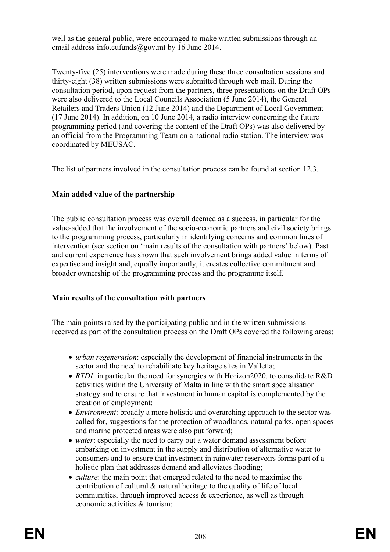well as the general public, were encouraged to make written submissions through an email address info.eufunds@gov.mt by 16 June 2014.

Twenty-five (25) interventions were made during these three consultation sessions and thirty-eight (38) written submissions were submitted through web mail. During the consultation period, upon request from the partners, three presentations on the Draft OPs were also delivered to the Local Councils Association (5 June 2014), the General Retailers and Traders Union (12 June 2014) and the Department of Local Government (17 June 2014). In addition, on 10 June 2014, a radio interview concerning the future programming period (and covering the content of the Draft OPs) was also delivered by an official from the Programming Team on a national radio station. The interview was coordinated by MEUSAC.

The list of partners involved in the consultation process can be found at section 12.3.

# **Main added value of the partnership**

The public consultation process was overall deemed as a success, in particular for the value-added that the involvement of the socio-economic partners and civil society brings to the programming process, particularly in identifying concerns and common lines of intervention (see section on 'main results of the consultation with partners' below). Past and current experience has shown that such involvement brings added value in terms of expertise and insight and, equally importantly, it creates collective commitment and broader ownership of the programming process and the programme itself.

# **Main results of the consultation with partners**

The main points raised by the participating public and in the written submissions received as part of the consultation process on the Draft OPs covered the following areas:

- *urban regeneration*: especially the development of financial instruments in the sector and the need to rehabilitate key heritage sites in Valletta;
- *RTDI*: in particular the need for synergies with Horizon2020, to consolidate R&D activities within the University of Malta in line with the smart specialisation strategy and to ensure that investment in human capital is complemented by the creation of employment;
- *Environment*: broadly a more holistic and overarching approach to the sector was called for, suggestions for the protection of woodlands, natural parks, open spaces and marine protected areas were also put forward;
- *water*: especially the need to carry out a water demand assessment before embarking on investment in the supply and distribution of alternative water to consumers and to ensure that investment in rainwater reservoirs forms part of a holistic plan that addresses demand and alleviates flooding;
- *culture*: the main point that emerged related to the need to maximise the contribution of cultural & natural heritage to the quality of life of local communities, through improved access & experience, as well as through economic activities & tourism;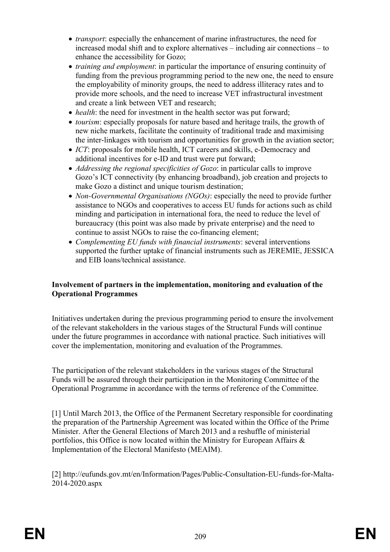- *transport*: especially the enhancement of marine infrastructures, the need for increased modal shift and to explore alternatives – including air connections – to enhance the accessibility for Gozo;
- *training and employment*: in particular the importance of ensuring continuity of funding from the previous programming period to the new one, the need to ensure the employability of minority groups, the need to address illiteracy rates and to provide more schools, and the need to increase VET infrastructural investment and create a link between VET and research;
- *health*: the need for investment in the health sector was put forward;
- *tourism*: especially proposals for nature based and heritage trails, the growth of new niche markets, facilitate the continuity of traditional trade and maximising the inter-linkages with tourism and opportunities for growth in the aviation sector;
- *ICT*: proposals for mobile health, ICT careers and skills, e-Democracy and additional incentives for e-ID and trust were put forward;
- *Addressing the regional specificities of Gozo*: in particular calls to improve Gozo's ICT connectivity (by enhancing broadband), job creation and projects to make Gozo a distinct and unique tourism destination;
- *Non-Governmental Organisations (NGOs)*: especially the need to provide further assistance to NGOs and cooperatives to access EU funds for actions such as child minding and participation in international fora, the need to reduce the level of bureaucracy (this point was also made by private enterprise) and the need to continue to assist NGOs to raise the co-financing element;
- *Complementing EU funds with financial instruments*: several interventions supported the further uptake of financial instruments such as JEREMIE, JESSICA and EIB loans/technical assistance.

# **Involvement of partners in the implementation, monitoring and evaluation of the Operational Programmes**

Initiatives undertaken during the previous programming period to ensure the involvement of the relevant stakeholders in the various stages of the Structural Funds will continue under the future programmes in accordance with national practice. Such initiatives will cover the implementation, monitoring and evaluation of the Programmes.

The participation of the relevant stakeholders in the various stages of the Structural Funds will be assured through their participation in the Monitoring Committee of the Operational Programme in accordance with the terms of reference of the Committee.

[1] Until March 2013, the Office of the Permanent Secretary responsible for coordinating the preparation of the Partnership Agreement was located within the Office of the Prime Minister. After the General Elections of March 2013 and a reshuffle of ministerial portfolios, this Office is now located within the Ministry for European Affairs & Implementation of the Electoral Manifesto (MEAIM).

[2] http://eufunds.gov.mt/en/Information/Pages/Public-Consultation-EU-funds-for-Malta-2014-2020.aspx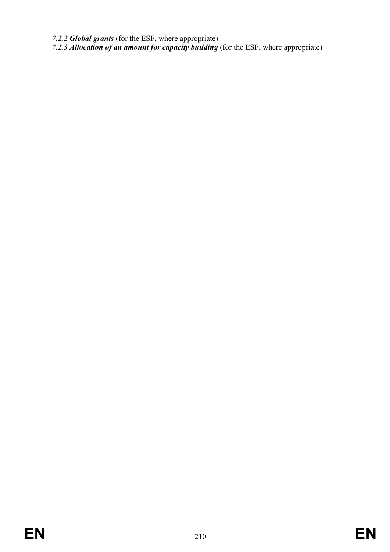*7.2.2 Global grants* (for the ESF, where appropriate)

*7.2.3 Allocation of an amount for capacity building* (for the ESF, where appropriate)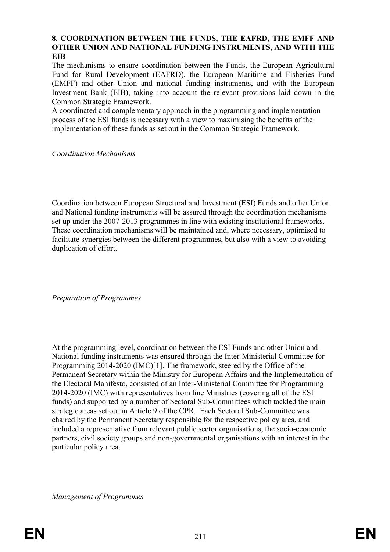# **8. COORDINATION BETWEEN THE FUNDS, THE EAFRD, THE EMFF AND OTHER UNION AND NATIONAL FUNDING INSTRUMENTS, AND WITH THE EIB**

The mechanisms to ensure coordination between the Funds, the European Agricultural Fund for Rural Development (EAFRD), the European Maritime and Fisheries Fund (EMFF) and other Union and national funding instruments, and with the European Investment Bank (EIB), taking into account the relevant provisions laid down in the Common Strategic Framework.

A coordinated and complementary approach in the programming and implementation process of the ESI funds is necessary with a view to maximising the benefits of the implementation of these funds as set out in the Common Strategic Framework.

*Coordination Mechanisms*

Coordination between European Structural and Investment (ESI) Funds and other Union and National funding instruments will be assured through the coordination mechanisms set up under the 2007-2013 programmes in line with existing institutional frameworks. These coordination mechanisms will be maintained and, where necessary, optimised to facilitate synergies between the different programmes, but also with a view to avoiding duplication of effort.

*Preparation of Programmes*

At the programming level, coordination between the ESI Funds and other Union and National funding instruments was ensured through the Inter-Ministerial Committee for Programming 2014-2020 (IMC)[1]. The framework, steered by the Office of the Permanent Secretary within the Ministry for European Affairs and the Implementation of the Electoral Manifesto, consisted of an Inter-Ministerial Committee for Programming 2014-2020 (IMC) with representatives from line Ministries (covering all of the ESI funds) and supported by a number of Sectoral Sub-Committees which tackled the main strategic areas set out in Article 9 of the CPR. Each Sectoral Sub-Committee was chaired by the Permanent Secretary responsible for the respective policy area, and included a representative from relevant public sector organisations, the socio-economic partners, civil society groups and non-governmental organisations with an interest in the particular policy area.

*Management of Programmes*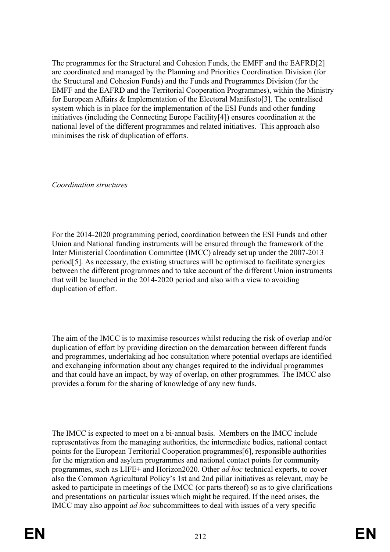The programmes for the Structural and Cohesion Funds, the EMFF and the EAFRD[2] are coordinated and managed by the Planning and Priorities Coordination Division (for the Structural and Cohesion Funds) and the Funds and Programmes Division (for the EMFF and the EAFRD and the Territorial Cooperation Programmes), within the Ministry for European Affairs & Implementation of the Electoral Manifesto[3]. The centralised system which is in place for the implementation of the ESI Funds and other funding initiatives (including the Connecting Europe Facility[4]) ensures coordination at the national level of the different programmes and related initiatives. This approach also minimises the risk of duplication of efforts.

*Coordination structures*

For the 2014-2020 programming period, coordination between the ESI Funds and other Union and National funding instruments will be ensured through the framework of the Inter Ministerial Coordination Committee (IMCC) already set up under the 2007-2013 period[5]. As necessary, the existing structures will be optimised to facilitate synergies between the different programmes and to take account of the different Union instruments that will be launched in the 2014-2020 period and also with a view to avoiding duplication of effort.

The aim of the IMCC is to maximise resources whilst reducing the risk of overlap and/or duplication of effort by providing direction on the demarcation between different funds and programmes, undertaking ad hoc consultation where potential overlaps are identified and exchanging information about any changes required to the individual programmes and that could have an impact, by way of overlap, on other programmes. The IMCC also provides a forum for the sharing of knowledge of any new funds.

The IMCC is expected to meet on a bi-annual basis. Members on the IMCC include representatives from the managing authorities, the intermediate bodies, national contact points for the European Territorial Cooperation programmes[6], responsible authorities for the migration and asylum programmes and national contact points for community programmes, such as LIFE+ and Horizon2020. Other *ad hoc* technical experts, to cover also the Common Agricultural Policy's 1st and 2nd pillar initiatives as relevant, may be asked to participate in meetings of the IMCC (or parts thereof) so as to give clarifications and presentations on particular issues which might be required. If the need arises, the IMCC may also appoint *ad hoc* subcommittees to deal with issues of a very specific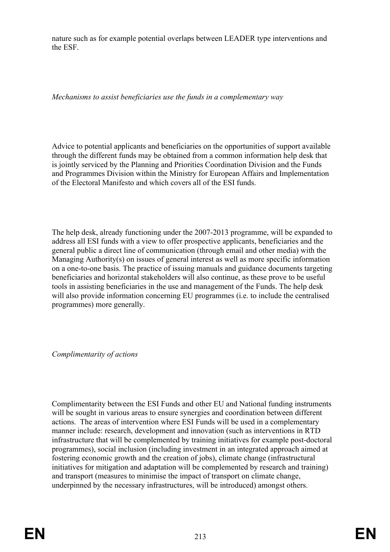nature such as for example potential overlaps between LEADER type interventions and the ESF.

*Mechanisms to assist beneficiaries use the funds in a complementary way*

Advice to potential applicants and beneficiaries on the opportunities of support available through the different funds may be obtained from a common information help desk that is jointly serviced by the Planning and Priorities Coordination Division and the Funds and Programmes Division within the Ministry for European Affairs and Implementation of the Electoral Manifesto and which covers all of the ESI funds.

The help desk, already functioning under the 2007-2013 programme, will be expanded to address all ESI funds with a view to offer prospective applicants, beneficiaries and the general public a direct line of communication (through email and other media) with the Managing Authority(s) on issues of general interest as well as more specific information on a one-to-one basis. The practice of issuing manuals and guidance documents targeting beneficiaries and horizontal stakeholders will also continue, as these prove to be useful tools in assisting beneficiaries in the use and management of the Funds. The help desk will also provide information concerning EU programmes (i.e. to include the centralised programmes) more generally.

*Complimentarity of actions*

Complimentarity between the ESI Funds and other EU and National funding instruments will be sought in various areas to ensure synergies and coordination between different actions. The areas of intervention where ESI Funds will be used in a complementary manner include: research, development and innovation (such as interventions in RTD infrastructure that will be complemented by training initiatives for example post-doctoral programmes), social inclusion (including investment in an integrated approach aimed at fostering economic growth and the creation of jobs), climate change (infrastructural initiatives for mitigation and adaptation will be complemented by research and training) and transport (measures to minimise the impact of transport on climate change, underpinned by the necessary infrastructures, will be introduced) amongst others.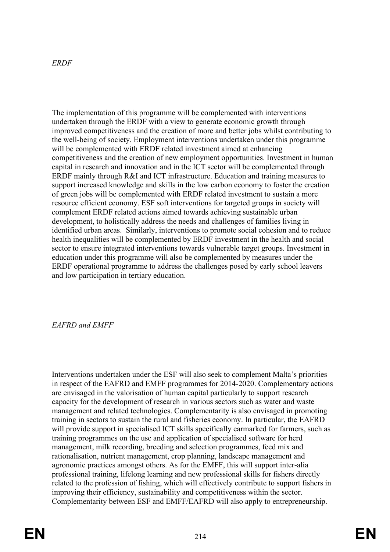# *ERDF*

The implementation of this programme will be complemented with interventions undertaken through the ERDF with a view to generate economic growth through improved competitiveness and the creation of more and better jobs whilst contributing to the well-being of society. Employment interventions undertaken under this programme will be complemented with ERDF related investment aimed at enhancing competitiveness and the creation of new employment opportunities. Investment in human capital in research and innovation and in the ICT sector will be complemented through ERDF mainly through R&I and ICT infrastructure. Education and training measures to support increased knowledge and skills in the low carbon economy to foster the creation of green jobs will be complemented with ERDF related investment to sustain a more resource efficient economy. ESF soft interventions for targeted groups in society will complement ERDF related actions aimed towards achieving sustainable urban development, to holistically address the needs and challenges of families living in identified urban areas. Similarly, interventions to promote social cohesion and to reduce health inequalities will be complemented by ERDF investment in the health and social sector to ensure integrated interventions towards vulnerable target groups. Investment in education under this programme will also be complemented by measures under the ERDF operational programme to address the challenges posed by early school leavers and low participation in tertiary education.

### *EAFRD and EMFF*

Interventions undertaken under the ESF will also seek to complement Malta's priorities in respect of the EAFRD and EMFF programmes for 2014-2020. Complementary actions are envisaged in the valorisation of human capital particularly to support research capacity for the development of research in various sectors such as water and waste management and related technologies. Complementarity is also envisaged in promoting training in sectors to sustain the rural and fisheries economy. In particular, the EAFRD will provide support in specialised ICT skills specifically earmarked for farmers, such as training programmes on the use and application of specialised software for herd management, milk recording, breeding and selection programmes, feed mix and rationalisation, nutrient management, crop planning, landscape management and agronomic practices amongst others. As for the EMFF, this will support inter-alia professional training, lifelong learning and new professional skills for fishers directly related to the profession of fishing, which will effectively contribute to support fishers in improving their efficiency, sustainability and competitiveness within the sector. Complementarity between ESF and EMFF/EAFRD will also apply to entrepreneurship.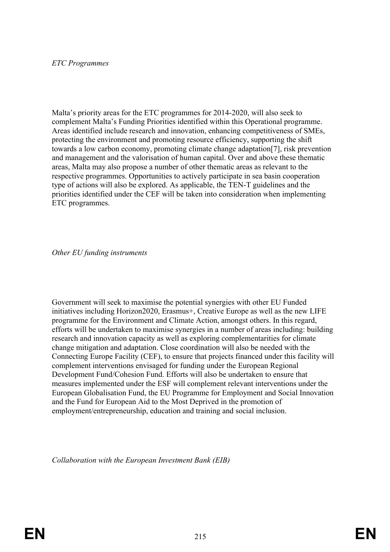## *ETC Programmes*

Malta's priority areas for the ETC programmes for 2014-2020, will also seek to complement Malta's Funding Priorities identified within this Operational programme. Areas identified include research and innovation, enhancing competitiveness of SMEs, protecting the environment and promoting resource efficiency, supporting the shift towards a low carbon economy, promoting climate change adaptation[7], risk prevention and management and the valorisation of human capital. Over and above these thematic areas, Malta may also propose a number of other thematic areas as relevant to the respective programmes. Opportunities to actively participate in sea basin cooperation type of actions will also be explored. As applicable, the TEN-T guidelines and the priorities identified under the CEF will be taken into consideration when implementing ETC programmes.

*Other EU funding instruments*

Government will seek to maximise the potential synergies with other EU Funded initiatives including Horizon2020, Erasmus+, Creative Europe as well as the new LIFE programme for the Environment and Climate Action, amongst others. In this regard, efforts will be undertaken to maximise synergies in a number of areas including: building research and innovation capacity as well as exploring complementarities for climate change mitigation and adaptation. Close coordination will also be needed with the Connecting Europe Facility (CEF), to ensure that projects financed under this facility will complement interventions envisaged for funding under the European Regional Development Fund/Cohesion Fund. Efforts will also be undertaken to ensure that measures implemented under the ESF will complement relevant interventions under the European Globalisation Fund, the EU Programme for Employment and Social Innovation and the Fund for European Aid to the Most Deprived in the promotion of employment/entrepreneurship, education and training and social inclusion.

*Collaboration with the European Investment Bank (EIB)*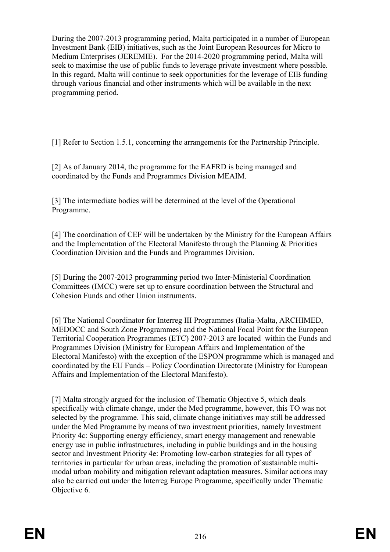During the 2007-2013 programming period, Malta participated in a number of European Investment Bank (EIB) initiatives, such as the Joint European Resources for Micro to Medium Enterprises (JEREMIE). For the 2014-2020 programming period, Malta will seek to maximise the use of public funds to leverage private investment where possible. In this regard, Malta will continue to seek opportunities for the leverage of EIB funding through various financial and other instruments which will be available in the next programming period.

[1] Refer to Section 1.5.1, concerning the arrangements for the Partnership Principle.

[2] As of January 2014, the programme for the EAFRD is being managed and coordinated by the Funds and Programmes Division MEAIM.

[3] The intermediate bodies will be determined at the level of the Operational Programme.

[4] The coordination of CEF will be undertaken by the Ministry for the European Affairs and the Implementation of the Electoral Manifesto through the Planning & Priorities Coordination Division and the Funds and Programmes Division.

[5] During the 2007-2013 programming period two Inter-Ministerial Coordination Committees (IMCC) were set up to ensure coordination between the Structural and Cohesion Funds and other Union instruments.

[6] The National Coordinator for Interreg III Programmes (Italia-Malta, ARCHIMED, MEDOCC and South Zone Programmes) and the National Focal Point for the European Territorial Cooperation Programmes (ETC) 2007-2013 are located within the Funds and Programmes Division (Ministry for European Affairs and Implementation of the Electoral Manifesto) with the exception of the ESPON programme which is managed and coordinated by the EU Funds – Policy Coordination Directorate (Ministry for European Affairs and Implementation of the Electoral Manifesto).

[7] Malta strongly argued for the inclusion of Thematic Objective 5, which deals specifically with climate change, under the Med programme, however, this TO was not selected by the programme. This said, climate change initiatives may still be addressed under the Med Programme by means of two investment priorities, namely Investment Priority 4c: Supporting energy efficiency, smart energy management and renewable energy use in public infrastructures, including in public buildings and in the housing sector and Investment Priority 4e: Promoting low-carbon strategies for all types of territories in particular for urban areas, including the promotion of sustainable multimodal urban mobility and mitigation relevant adaptation measures. Similar actions may also be carried out under the Interreg Europe Programme, specifically under Thematic Objective 6.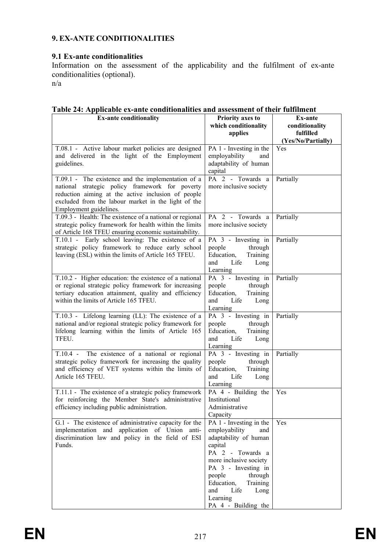## **9. EX-ANTE CONDITIONALITIES**

## **9.1 Ex-ante conditionalities**

Information on the assessment of the applicability and the fulfilment of ex-ante conditionalities (optional).

n/a

| Table 24: Applicable ex-ante conditionalities and assessment of their fulfilment |  |
|----------------------------------------------------------------------------------|--|
|----------------------------------------------------------------------------------|--|

| <b>Ex-ante conditionality</b>                                                                                                                                                                                                                | <b>Priority axes to</b><br>which conditionality                                                                                                                                                                                                                                | <b>Ex-ante</b><br>conditionality |
|----------------------------------------------------------------------------------------------------------------------------------------------------------------------------------------------------------------------------------------------|--------------------------------------------------------------------------------------------------------------------------------------------------------------------------------------------------------------------------------------------------------------------------------|----------------------------------|
|                                                                                                                                                                                                                                              | applies                                                                                                                                                                                                                                                                        | fulfilled<br>(Yes/No/Partially)  |
| T.08.1 - Active labour market policies are designed<br>and delivered in the light of the Employment<br>guidelines.                                                                                                                           | PA 1 - Investing in the<br>employability<br>and<br>adaptability of human<br>capital                                                                                                                                                                                            | Yes                              |
| T.09.1 - The existence and the implementation of a<br>national strategic policy framework for poverty<br>reduction aiming at the active inclusion of people<br>excluded from the labour market in the light of the<br>Employment guidelines. | PA 2 - Towards a<br>more inclusive society                                                                                                                                                                                                                                     | Partially                        |
| T.09.3 - Health: The existence of a national or regional<br>strategic policy framework for health within the limits<br>of Article 168 TFEU ensuring economic sustainability.                                                                 | PA 2 - Towards a<br>more inclusive society                                                                                                                                                                                                                                     | Partially                        |
| T.10.1 - Early school leaving: The existence of a<br>strategic policy framework to reduce early school<br>leaving (ESL) within the limits of Article 165 TFEU.                                                                               | PA 3 - Investing in<br>people<br>through<br>Education,<br>Training<br>Life<br>and<br>Long<br>Learning                                                                                                                                                                          | Partially                        |
| T.10.2 - Higher education: the existence of a national<br>or regional strategic policy framework for increasing<br>tertiary education attainment, quality and efficiency<br>within the limits of Article 165 TFEU.                           | PA 3 - Investing in<br>people<br>through<br>Education,<br>Training<br>Life<br>and<br>Long<br>Learning                                                                                                                                                                          | Partially                        |
| T.10.3 - Lifelong learning (LL): The existence of a<br>national and/or regional strategic policy framework for<br>lifelong learning within the limits of Article 165<br>TFEU.                                                                | PA 3 - Investing in<br>people<br>through<br>Education,<br>Training<br>and<br>Life<br>Long<br>Learning                                                                                                                                                                          | Partially                        |
| T.10.4 - The existence of a national or regional<br>strategic policy framework for increasing the quality<br>and efficiency of VET systems within the limits of<br>Article 165 TFEU.                                                         | PA 3 - Investing in<br>people<br>through<br>Education,<br>Training<br>Life<br>and<br>Long<br>Learning                                                                                                                                                                          | Partially                        |
| T.11.1 - The existence of a strategic policy framework<br>for reinforcing the Member State's administrative<br>efficiency including public administration.                                                                                   | PA 4 - Building the<br>Institutional<br>Administrative<br>Capacity                                                                                                                                                                                                             | Yes                              |
| G.1 - The existence of administrative capacity for the<br>implementation and application of Union anti-<br>discrimination law and policy in the field of ESI<br>Funds.                                                                       | $\overline{PA}$ 1 - Investing in the<br>employability<br>and<br>adaptability of human<br>capital<br>PA 2 - Towards a<br>more inclusive society<br>PA 3 - Investing in<br>people<br>through<br>Education,<br>Training<br>Life<br>and<br>Long<br>Learning<br>PA 4 - Building the | Yes                              |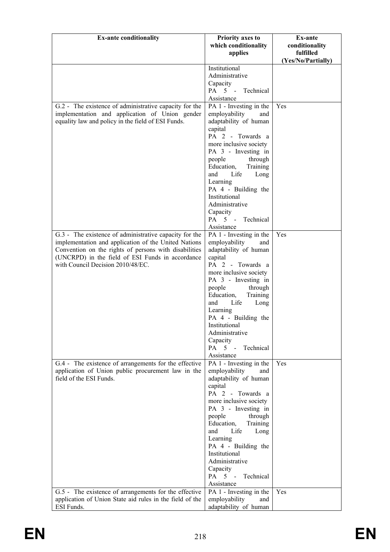| <b>Ex-ante conditionality</b>                                                                                                                                                                                                                                    | <b>Priority axes to</b><br>which conditionality                                                                                                                                                                                                                                                                                                                                  | Ex-ante<br>conditionality       |
|------------------------------------------------------------------------------------------------------------------------------------------------------------------------------------------------------------------------------------------------------------------|----------------------------------------------------------------------------------------------------------------------------------------------------------------------------------------------------------------------------------------------------------------------------------------------------------------------------------------------------------------------------------|---------------------------------|
|                                                                                                                                                                                                                                                                  | applies                                                                                                                                                                                                                                                                                                                                                                          | fulfilled<br>(Yes/No/Partially) |
|                                                                                                                                                                                                                                                                  | Institutional<br>Administrative<br>Capacity<br>PA 5 - Technical<br>Assistance                                                                                                                                                                                                                                                                                                    |                                 |
| G.2 - The existence of administrative capacity for the<br>implementation and application of Union gender<br>equality law and policy in the field of ESI Funds.                                                                                                   | PA 1 - Investing in the<br>employability<br>and<br>adaptability of human<br>capital<br>PA 2 - Towards a<br>more inclusive society<br>PA 3 - Investing in<br>people<br>through<br>Education,<br>Training<br>Life<br>and<br>Long<br>Learning<br>PA 4 - Building the<br>Institutional<br>Administrative<br>Capacity<br>PA 5 - Technical<br>Assistance                               | Yes                             |
| G.3 - The existence of administrative capacity for the<br>implementation and application of the United Nations<br>Convention on the rights of persons with disabilities<br>(UNCRPD) in the field of ESI Funds in accordance<br>with Council Decision 2010/48/EC. | PA 1 - Investing in the<br>employability<br>and<br>adaptability of human<br>capital<br>PA 2 - Towards a<br>more inclusive society<br>PA 3 - Investing in<br>people<br>through<br>Education,<br>Training<br>Life<br>and<br>Long<br>Learning<br>PA 4 - Building the<br>Institutional<br>Administrative<br>Capacity<br>PA 5 - Technical<br>Assistance                               | Yes                             |
| G.4 - The existence of arrangements for the effective<br>application of Union public procurement law in the<br>field of the ESI Funds.<br>G.5 - The existence of arrangements for the effective                                                                  | PA 1 - Investing in the<br>employability<br>and<br>adaptability of human<br>capital<br>PA 2 - Towards a<br>more inclusive society<br>PA 3 - Investing in<br>people<br>through<br>Education,<br>Training<br>and<br>Life<br>Long<br>Learning<br>PA 4 - Building the<br>Institutional<br>Administrative<br>Capacity<br>PA 5 -<br>Technical<br>Assistance<br>PA 1 - Investing in the | Yes<br>Yes                      |
| application of Union State aid rules in the field of the<br>ESI Funds.                                                                                                                                                                                           | employability<br>and<br>adaptability of human                                                                                                                                                                                                                                                                                                                                    |                                 |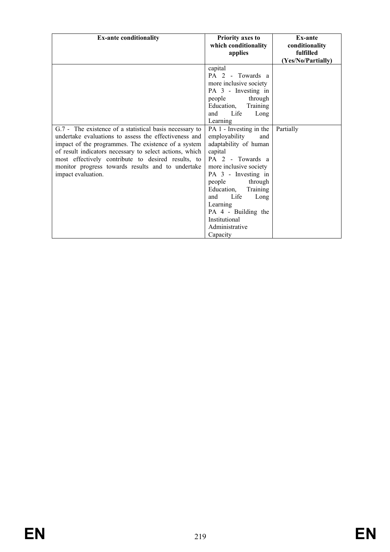| <b>Ex-ante conditionality</b>                                                                                                                                                                                                                                                                                                                                       | <b>Priority axes to</b><br>which conditionality<br>applies                                                                                                                                                                                                                                                                                                                                                                                                                         | <b>Ex-ante</b><br>conditionality<br>fulfilled<br>(Yes/No/Partially) |
|---------------------------------------------------------------------------------------------------------------------------------------------------------------------------------------------------------------------------------------------------------------------------------------------------------------------------------------------------------------------|------------------------------------------------------------------------------------------------------------------------------------------------------------------------------------------------------------------------------------------------------------------------------------------------------------------------------------------------------------------------------------------------------------------------------------------------------------------------------------|---------------------------------------------------------------------|
| G.7 - The existence of a statistical basis necessary to<br>undertake evaluations to assess the effectiveness and<br>impact of the programmes. The existence of a system<br>of result indicators necessary to select actions, which<br>most effectively contribute to desired results, to<br>monitor progress towards results and to undertake<br>impact evaluation. | capital<br>PA 2 - Towards a<br>more inclusive society<br>PA 3 - Investing in<br>through<br>people<br>Education,<br>Training<br>Life<br>and<br>Long<br>Learning<br>PA 1 - Investing in the<br>employability<br>and<br>adaptability of human<br>capital<br>PA 2 - Towards a<br>more inclusive society<br>PA 3 - Investing in<br>through<br>people<br>Education,<br>Training<br>Life<br>and<br>Long<br>Learning<br>PA 4 - Building the<br>Institutional<br>Administrative<br>Capacity | Partially                                                           |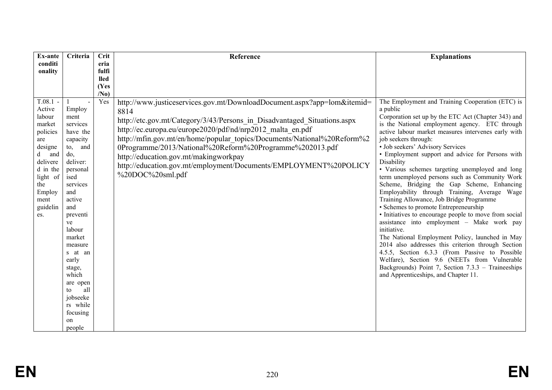| <b>Ex-ante</b>                                                                                                                                                     | Criteria                                                                                                                                                                                                                                                                                                                       | <b>Crit</b>            | Reference                                                                                                                                                                                                                                                                                                                                                                                                                                                                                         | <b>Explanations</b>                                                                                                                                                                                                                                                                                                                                                                                                                                                                                                                                                                                                                                                                                                                                                                                                                                                                                                                                                                                                                                                               |
|--------------------------------------------------------------------------------------------------------------------------------------------------------------------|--------------------------------------------------------------------------------------------------------------------------------------------------------------------------------------------------------------------------------------------------------------------------------------------------------------------------------|------------------------|---------------------------------------------------------------------------------------------------------------------------------------------------------------------------------------------------------------------------------------------------------------------------------------------------------------------------------------------------------------------------------------------------------------------------------------------------------------------------------------------------|-----------------------------------------------------------------------------------------------------------------------------------------------------------------------------------------------------------------------------------------------------------------------------------------------------------------------------------------------------------------------------------------------------------------------------------------------------------------------------------------------------------------------------------------------------------------------------------------------------------------------------------------------------------------------------------------------------------------------------------------------------------------------------------------------------------------------------------------------------------------------------------------------------------------------------------------------------------------------------------------------------------------------------------------------------------------------------------|
| conditi<br>onality                                                                                                                                                 |                                                                                                                                                                                                                                                                                                                                | eria<br>fulfi          |                                                                                                                                                                                                                                                                                                                                                                                                                                                                                                   |                                                                                                                                                                                                                                                                                                                                                                                                                                                                                                                                                                                                                                                                                                                                                                                                                                                                                                                                                                                                                                                                                   |
|                                                                                                                                                                    |                                                                                                                                                                                                                                                                                                                                | <b>lled</b>            |                                                                                                                                                                                                                                                                                                                                                                                                                                                                                                   |                                                                                                                                                                                                                                                                                                                                                                                                                                                                                                                                                                                                                                                                                                                                                                                                                                                                                                                                                                                                                                                                                   |
|                                                                                                                                                                    |                                                                                                                                                                                                                                                                                                                                | (Yes                   |                                                                                                                                                                                                                                                                                                                                                                                                                                                                                                   |                                                                                                                                                                                                                                                                                                                                                                                                                                                                                                                                                                                                                                                                                                                                                                                                                                                                                                                                                                                                                                                                                   |
| $T.08.1$ -<br>Active<br>labour<br>market<br>policies<br>are<br>designe<br>and<br>d<br>delivere<br>d in the<br>light of<br>the<br>Employ<br>ment<br>guidelin<br>es. | Employ<br>ment<br>services<br>have the<br>capacity<br>and<br>$\mathfrak{to}$ ,<br>do,<br>deliver:<br>personal<br>ised<br>services<br>and<br>active<br>and<br>preventi<br>ve<br>labour<br>market<br>measure<br>s at an<br>early<br>stage,<br>which<br>are open<br>all<br>to<br>jobseeke<br>rs while<br>focusing<br>on<br>people | /N <sub>0</sub><br>Yes | http://www.justiceservices.gov.mt/DownloadDocument.aspx?app=lom&itemid=<br>8814<br>http://etc.gov.mt/Category/3/43/Persons in Disadvantaged Situations.aspx<br>http://ec.europa.eu/europe2020/pdf/nd/nrp2012 malta en.pdf<br>http://mfin.gov.mt/en/home/popular_topics/Documents/National%20Reform%2<br>0Programme/2013/National%20Reform%20Programme%202013.pdf<br>http://education.gov.mt/makingworkpay<br>http://education.gov.mt/employment/Documents/EMPLOYMENT%20POLICY<br>%20DOC%20sml.pdf | The Employment and Training Cooperation (ETC) is<br>a public<br>Corporation set up by the ETC Act (Chapter 343) and<br>is the National employment agency. ETC through<br>active labour market measures intervenes early with<br>job seekers through:<br>· Job seekers' Advisory Services<br>• Employment support and advice for Persons with<br>Disability<br>· Various schemes targeting unemployed and long<br>term unemployed persons such as Community Work<br>Scheme, Bridging the Gap Scheme, Enhancing<br>Employability through Training, Average Wage<br>Training Allowance, Job Bridge Programme<br>• Schemes to promote Entrepreneurship<br>• Initiatives to encourage people to move from social<br>assistance into employment - Make work pay<br>initiative.<br>The National Employment Policy, launched in May<br>2014 also addresses this criterion through Section<br>4.5.5, Section 6.3.3 (From Passive to Possible<br>Welfare), Section 9.6 (NEETs from Vulnerable<br>Backgrounds) Point 7, Section 7.3.3 - Traineeships<br>and Apprenticeships, and Chapter 11. |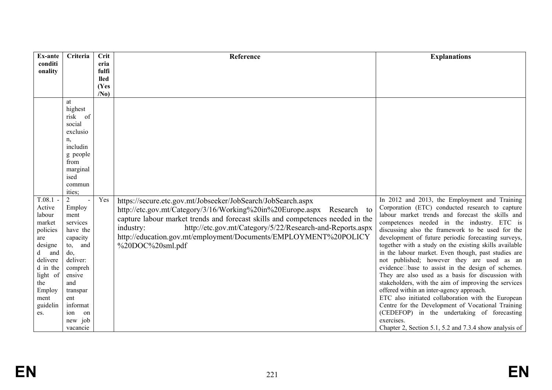| Ex-ante              | Criteria            | Crit            | Reference                                                                      | <b>Explanations</b>                                                                               |
|----------------------|---------------------|-----------------|--------------------------------------------------------------------------------|---------------------------------------------------------------------------------------------------|
| conditi<br>onality   |                     | eria<br>fulfi   |                                                                                |                                                                                                   |
|                      |                     | <b>lled</b>     |                                                                                |                                                                                                   |
|                      |                     | (Yes            |                                                                                |                                                                                                   |
|                      |                     | /N <sub>0</sub> |                                                                                |                                                                                                   |
|                      | at                  |                 |                                                                                |                                                                                                   |
|                      | highest<br>risk of  |                 |                                                                                |                                                                                                   |
|                      | social              |                 |                                                                                |                                                                                                   |
|                      | exclusio            |                 |                                                                                |                                                                                                   |
|                      | n,                  |                 |                                                                                |                                                                                                   |
|                      | includin            |                 |                                                                                |                                                                                                   |
|                      | g people            |                 |                                                                                |                                                                                                   |
|                      | from                |                 |                                                                                |                                                                                                   |
|                      | marginal            |                 |                                                                                |                                                                                                   |
|                      | ised                |                 |                                                                                |                                                                                                   |
|                      | commun<br>ities;    |                 |                                                                                |                                                                                                   |
| $T.08.1 -$           | $\overline{2}$      | Yes             | https://secure.etc.gov.mt/Jobseeker/JobSearch/JobSearch.aspx                   | In 2012 and 2013, the Employment and Training                                                     |
| Active               | Employ              |                 | Research to                                                                    | Corporation (ETC) conducted research to capture                                                   |
| labour               | ment                |                 | http://etc.gov.mt/Category/3/16/Working%20in%20Europe.aspx                     | labour market trends and forecast the skills and                                                  |
| market               | services            |                 | capture labour market trends and forecast skills and competences needed in the | competences needed in the industry. ETC is                                                        |
| policies             | have the            |                 | http://etc.gov.mt/Category/5/22/Research-and-Reports.aspx<br>industry:         | discussing also the framework to be used for the                                                  |
| are                  | capacity            |                 | http://education.gov.mt/employment/Documents/EMPLOYMENT%20POLICY               | development of future periodic forecasting surveys,                                               |
| designe              | and<br>to,          |                 | %20DOC%20sml.pdf                                                               | together with a study on the existing skills available                                            |
| and<br>d<br>delivere | do,<br>deliver:     |                 |                                                                                | in the labour market. Even though, past studies are<br>not published; however they are used as an |
| d in the             | compreh             |                 |                                                                                | evidence□base to assist in the design of schemes.                                                 |
| light of             | ensive              |                 |                                                                                | They are also used as a basis for discussion with                                                 |
| the                  | and                 |                 |                                                                                | stakeholders, with the aim of improving the services                                              |
| Employ               | transpar            |                 |                                                                                | offered within an inter-agency approach.                                                          |
| ment                 | ent                 |                 |                                                                                | ETC also initiated collaboration with the European                                                |
| guidelin             | informat            |                 |                                                                                | Centre for the Development of Vocational Training                                                 |
| es.                  | ion<br>on           |                 |                                                                                | (CEDEFOP) in the undertaking of forecasting                                                       |
|                      | new job<br>vacancie |                 |                                                                                | exercises.<br>Chapter 2, Section 5.1, 5.2 and 7.3.4 show analysis of                              |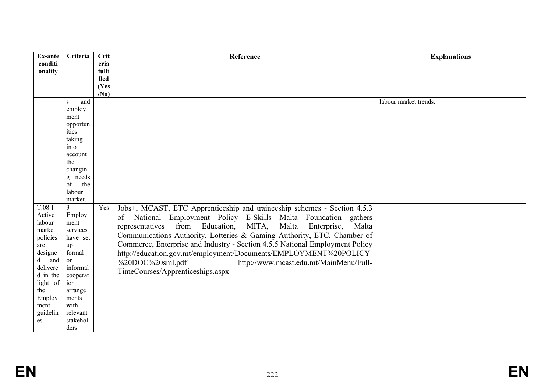| <b>Crit</b><br>Ex-ante<br>Criteria                                                                                                                                                                                                                                                             | Reference                                                                                                                                                                                                                                                                                                                                                                                                                                                                                            | <b>Explanations</b>   |
|------------------------------------------------------------------------------------------------------------------------------------------------------------------------------------------------------------------------------------------------------------------------------------------------|------------------------------------------------------------------------------------------------------------------------------------------------------------------------------------------------------------------------------------------------------------------------------------------------------------------------------------------------------------------------------------------------------------------------------------------------------------------------------------------------------|-----------------------|
| conditi<br>eria                                                                                                                                                                                                                                                                                |                                                                                                                                                                                                                                                                                                                                                                                                                                                                                                      |                       |
| onality<br>fulfi                                                                                                                                                                                                                                                                               |                                                                                                                                                                                                                                                                                                                                                                                                                                                                                                      |                       |
| <b>lled</b>                                                                                                                                                                                                                                                                                    |                                                                                                                                                                                                                                                                                                                                                                                                                                                                                                      |                       |
| (Yes                                                                                                                                                                                                                                                                                           |                                                                                                                                                                                                                                                                                                                                                                                                                                                                                                      |                       |
| /N <sub>0</sub>                                                                                                                                                                                                                                                                                |                                                                                                                                                                                                                                                                                                                                                                                                                                                                                                      |                       |
| and<br>S                                                                                                                                                                                                                                                                                       |                                                                                                                                                                                                                                                                                                                                                                                                                                                                                                      | labour market trends. |
| employ<br>ment                                                                                                                                                                                                                                                                                 |                                                                                                                                                                                                                                                                                                                                                                                                                                                                                                      |                       |
| opportun                                                                                                                                                                                                                                                                                       |                                                                                                                                                                                                                                                                                                                                                                                                                                                                                                      |                       |
| ities                                                                                                                                                                                                                                                                                          |                                                                                                                                                                                                                                                                                                                                                                                                                                                                                                      |                       |
| taking                                                                                                                                                                                                                                                                                         |                                                                                                                                                                                                                                                                                                                                                                                                                                                                                                      |                       |
| into                                                                                                                                                                                                                                                                                           |                                                                                                                                                                                                                                                                                                                                                                                                                                                                                                      |                       |
| account                                                                                                                                                                                                                                                                                        |                                                                                                                                                                                                                                                                                                                                                                                                                                                                                                      |                       |
| the                                                                                                                                                                                                                                                                                            |                                                                                                                                                                                                                                                                                                                                                                                                                                                                                                      |                       |
| changin                                                                                                                                                                                                                                                                                        |                                                                                                                                                                                                                                                                                                                                                                                                                                                                                                      |                       |
| g needs                                                                                                                                                                                                                                                                                        |                                                                                                                                                                                                                                                                                                                                                                                                                                                                                                      |                       |
| the<br>of                                                                                                                                                                                                                                                                                      |                                                                                                                                                                                                                                                                                                                                                                                                                                                                                                      |                       |
| labour                                                                                                                                                                                                                                                                                         |                                                                                                                                                                                                                                                                                                                                                                                                                                                                                                      |                       |
|                                                                                                                                                                                                                                                                                                |                                                                                                                                                                                                                                                                                                                                                                                                                                                                                                      |                       |
|                                                                                                                                                                                                                                                                                                |                                                                                                                                                                                                                                                                                                                                                                                                                                                                                                      |                       |
|                                                                                                                                                                                                                                                                                                | of<br>gathers                                                                                                                                                                                                                                                                                                                                                                                                                                                                                        |                       |
|                                                                                                                                                                                                                                                                                                | MITA,<br>Malta<br>Enterprise,<br>Malta                                                                                                                                                                                                                                                                                                                                                                                                                                                               |                       |
|                                                                                                                                                                                                                                                                                                |                                                                                                                                                                                                                                                                                                                                                                                                                                                                                                      |                       |
|                                                                                                                                                                                                                                                                                                |                                                                                                                                                                                                                                                                                                                                                                                                                                                                                                      |                       |
|                                                                                                                                                                                                                                                                                                |                                                                                                                                                                                                                                                                                                                                                                                                                                                                                                      |                       |
| or                                                                                                                                                                                                                                                                                             |                                                                                                                                                                                                                                                                                                                                                                                                                                                                                                      |                       |
| delivere<br>informal                                                                                                                                                                                                                                                                           |                                                                                                                                                                                                                                                                                                                                                                                                                                                                                                      |                       |
| d in the<br>cooperat                                                                                                                                                                                                                                                                           |                                                                                                                                                                                                                                                                                                                                                                                                                                                                                                      |                       |
| ion                                                                                                                                                                                                                                                                                            |                                                                                                                                                                                                                                                                                                                                                                                                                                                                                                      |                       |
| the<br>arrange                                                                                                                                                                                                                                                                                 |                                                                                                                                                                                                                                                                                                                                                                                                                                                                                                      |                       |
| ments                                                                                                                                                                                                                                                                                          |                                                                                                                                                                                                                                                                                                                                                                                                                                                                                                      |                       |
|                                                                                                                                                                                                                                                                                                |                                                                                                                                                                                                                                                                                                                                                                                                                                                                                                      |                       |
|                                                                                                                                                                                                                                                                                                |                                                                                                                                                                                                                                                                                                                                                                                                                                                                                                      |                       |
|                                                                                                                                                                                                                                                                                                |                                                                                                                                                                                                                                                                                                                                                                                                                                                                                                      |                       |
| market.<br>$T.08.1 -$<br>$\overline{3}$<br>Yes<br>$\sim$<br>Active<br>Employ<br>labour<br>ment<br>market<br>services<br>policies<br>have set<br>up<br>are<br>designe<br>formal<br>and<br>$\mathbf d$<br>light of<br>Employ<br>with<br>ment<br>guidelin<br>relevant<br>stakehol<br>es.<br>ders. | Jobs+, MCAST, ETC Apprenticeship and traineeship schemes - Section 4.5.3<br>National Employment Policy E-Skills Malta Foundation<br>representatives from Education,<br>Communications Authority, Lotteries & Gaming Authority, ETC, Chamber of<br>Commerce, Enterprise and Industry - Section 4.5.5 National Employment Policy<br>http://education.gov.mt/employment/Documents/EMPLOYMENT%20POLICY<br>%20DOC%20sml.pdf<br>http://www.mcast.edu.mt/MainMenu/Full-<br>TimeCourses/Apprenticeships.aspx |                       |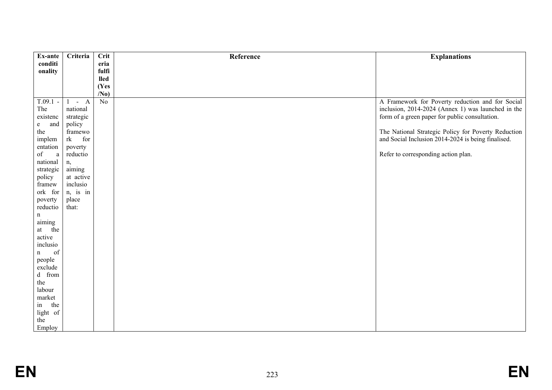| Ex-ante             | Criteria             | Crit            | Reference | <b>Explanations</b>                                 |
|---------------------|----------------------|-----------------|-----------|-----------------------------------------------------|
| conditi             |                      | eria            |           |                                                     |
| onality             |                      | fulfi           |           |                                                     |
|                     |                      | lled            |           |                                                     |
|                     |                      | (Yes            |           |                                                     |
|                     |                      | /N <sub>0</sub> |           |                                                     |
| $T.09.1 -$          | $-A$<br>$\mathbf{1}$ | N <sub>o</sub>  |           | A Framework for Poverty reduction and for Social    |
| The                 | national             |                 |           | inclusion, 2014-2024 (Annex 1) was launched in the  |
| existenc            | strategic            |                 |           | form of a green paper for public consultation.      |
| and<br>e            | policy               |                 |           |                                                     |
| the                 | framewo              |                 |           | The National Strategic Policy for Poverty Reduction |
| implem              | rk<br>for            |                 |           | and Social Inclusion 2014-2024 is being finalised.  |
| entation            | poverty              |                 |           |                                                     |
| of<br>$\rm{a}$      | reductio             |                 |           | Refer to corresponding action plan.                 |
| national            | n,                   |                 |           |                                                     |
| strategic           | aiming               |                 |           |                                                     |
| policy              | at active            |                 |           |                                                     |
| framew              | inclusio             |                 |           |                                                     |
| ork for             | n, is in             |                 |           |                                                     |
| poverty             | place                |                 |           |                                                     |
| reductio            | that:                |                 |           |                                                     |
| n                   |                      |                 |           |                                                     |
| aiming              |                      |                 |           |                                                     |
| at the              |                      |                 |           |                                                     |
| active              |                      |                 |           |                                                     |
| inclusio<br>of<br>n |                      |                 |           |                                                     |
| people              |                      |                 |           |                                                     |
| exclude             |                      |                 |           |                                                     |
| d from              |                      |                 |           |                                                     |
| the                 |                      |                 |           |                                                     |
| labour              |                      |                 |           |                                                     |
| market              |                      |                 |           |                                                     |
| in<br>the           |                      |                 |           |                                                     |
| light of            |                      |                 |           |                                                     |
| the                 |                      |                 |           |                                                     |
| Employ              |                      |                 |           |                                                     |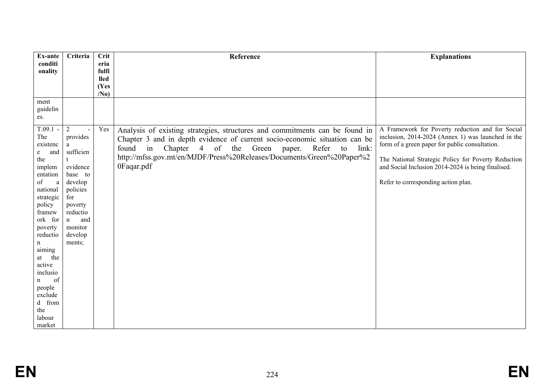| Ex-ante             | Criteria            | <b>Crit</b>     | Reference                                                                                                                                                 | <b>Explanations</b>                                 |
|---------------------|---------------------|-----------------|-----------------------------------------------------------------------------------------------------------------------------------------------------------|-----------------------------------------------------|
| conditi<br>onality  |                     | eria<br>fulfi   |                                                                                                                                                           |                                                     |
|                     |                     | <b>lled</b>     |                                                                                                                                                           |                                                     |
|                     |                     | (Yes            |                                                                                                                                                           |                                                     |
|                     |                     | /N <sub>0</sub> |                                                                                                                                                           |                                                     |
| ment<br>guidelin    |                     |                 |                                                                                                                                                           |                                                     |
| es.                 |                     |                 |                                                                                                                                                           |                                                     |
| $T.09.1 -$          | $\overline{2}$      | Yes             |                                                                                                                                                           | A Framework for Poverty reduction and for Social    |
| The                 | provides            |                 | Analysis of existing strategies, structures and commitments can be found in<br>Chapter 3 and in depth evidence of current socio-economic situation can be | inclusion, 2014-2024 (Annex 1) was launched in the  |
| existenc            | a                   |                 | Chapter<br>4 of the<br>Refer<br>found<br>in<br>Green<br>link:<br>to<br>paper.                                                                             | form of a green paper for public consultation.      |
| and<br>e<br>the     | sufficien           |                 | http://mfss.gov.mt/en/MJDF/Press%20Releases/Documents/Green%20Paper%2                                                                                     | The National Strategic Policy for Poverty Reduction |
| implem              | evidence            |                 | 0Faqar.pdf                                                                                                                                                | and Social Inclusion 2014-2024 is being finalised.  |
| entation            | base to             |                 |                                                                                                                                                           |                                                     |
| of<br>a<br>national | develop             |                 |                                                                                                                                                           | Refer to corresponding action plan.                 |
| strategic           | policies<br>for     |                 |                                                                                                                                                           |                                                     |
| policy              | poverty             |                 |                                                                                                                                                           |                                                     |
| framew              | reductio            |                 |                                                                                                                                                           |                                                     |
| ork for<br>poverty  | and<br>n<br>monitor |                 |                                                                                                                                                           |                                                     |
| reductio            | develop             |                 |                                                                                                                                                           |                                                     |
| n                   | ments;              |                 |                                                                                                                                                           |                                                     |
| aiming<br>the<br>at |                     |                 |                                                                                                                                                           |                                                     |
| active              |                     |                 |                                                                                                                                                           |                                                     |
| inclusio            |                     |                 |                                                                                                                                                           |                                                     |
| of<br>$\mathbf n$   |                     |                 |                                                                                                                                                           |                                                     |
| people<br>exclude   |                     |                 |                                                                                                                                                           |                                                     |
| d from              |                     |                 |                                                                                                                                                           |                                                     |
| the                 |                     |                 |                                                                                                                                                           |                                                     |
| labour<br>market    |                     |                 |                                                                                                                                                           |                                                     |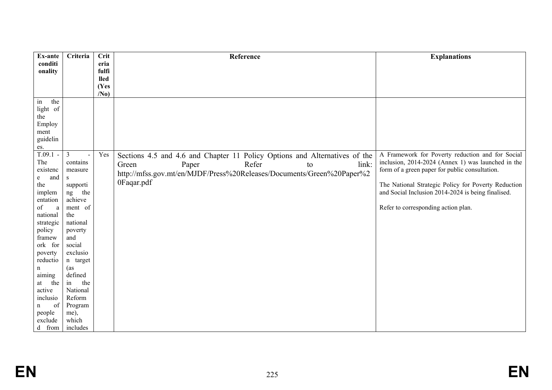| Ex-ante             | Criteria        | Crit            | Reference                                                                  | <b>Explanations</b>                                 |
|---------------------|-----------------|-----------------|----------------------------------------------------------------------------|-----------------------------------------------------|
| conditi             |                 | eria            |                                                                            |                                                     |
| onality             |                 | fulfi           |                                                                            |                                                     |
|                     |                 | <b>lled</b>     |                                                                            |                                                     |
|                     |                 | (Yes            |                                                                            |                                                     |
|                     |                 | /N <sub>0</sub> |                                                                            |                                                     |
| the<br>in           |                 |                 |                                                                            |                                                     |
| light of<br>the     |                 |                 |                                                                            |                                                     |
| Employ              |                 |                 |                                                                            |                                                     |
| ment                |                 |                 |                                                                            |                                                     |
| guidelin            |                 |                 |                                                                            |                                                     |
| es.                 |                 |                 |                                                                            |                                                     |
| $T.09.1 -$          | $\overline{3}$  | Yes             | Sections 4.5 and 4.6 and Chapter 11 Policy Options and Alternatives of the | A Framework for Poverty reduction and for Social    |
| The                 | contains        |                 | Refer<br>link:<br>Green                                                    | inclusion, 2014-2024 (Annex 1) was launched in the  |
| existenc            | measure         |                 | Paper<br>to                                                                | form of a green paper for public consultation.      |
| and<br>e            | S               |                 | http://mfss.gov.mt/en/MJDF/Press%20Releases/Documents/Green%20Paper%2      |                                                     |
| the                 | supporti        |                 | 0Faqar.pdf                                                                 | The National Strategic Policy for Poverty Reduction |
| implem              | the<br>ng       |                 |                                                                            | and Social Inclusion 2014-2024 is being finalised.  |
| entation            | achieve         |                 |                                                                            |                                                     |
| of<br>a             | ment of         |                 |                                                                            | Refer to corresponding action plan.                 |
| national            | the             |                 |                                                                            |                                                     |
| strategic           | national        |                 |                                                                            |                                                     |
| policy              | poverty         |                 |                                                                            |                                                     |
| framew              | and             |                 |                                                                            |                                                     |
| ork for             | social          |                 |                                                                            |                                                     |
| poverty<br>reductio | exclusio        |                 |                                                                            |                                                     |
| n                   | n target<br>(as |                 |                                                                            |                                                     |
| aiming              | defined         |                 |                                                                            |                                                     |
| the<br>at           | the<br>in       |                 |                                                                            |                                                     |
| active              | National        |                 |                                                                            |                                                     |
| inclusio            | Reform          |                 |                                                                            |                                                     |
| of<br>n             | Program         |                 |                                                                            |                                                     |
| people              | me),            |                 |                                                                            |                                                     |
| exclude             | which           |                 |                                                                            |                                                     |
| d from              | includes        |                 |                                                                            |                                                     |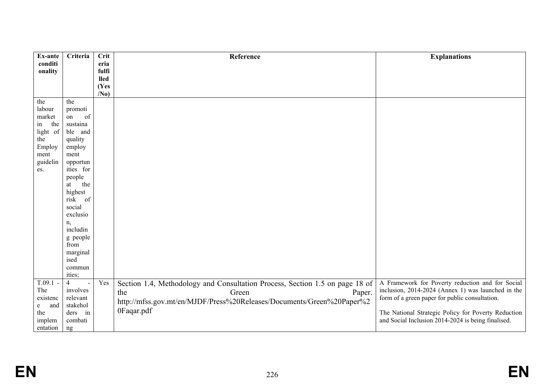| Ex-ante            | Criteria                         | Crit            | Reference                                                                    | <b>Explanations</b>                                                                                       |
|--------------------|----------------------------------|-----------------|------------------------------------------------------------------------------|-----------------------------------------------------------------------------------------------------------|
| conditi            |                                  | eria            |                                                                              |                                                                                                           |
| onality            |                                  | fulfi           |                                                                              |                                                                                                           |
|                    |                                  | <b>lled</b>     |                                                                              |                                                                                                           |
|                    |                                  | (Yes            |                                                                              |                                                                                                           |
|                    |                                  | /N <sub>0</sub> |                                                                              |                                                                                                           |
| the                | the                              |                 |                                                                              |                                                                                                           |
| labour<br>market   | promoti<br>of                    |                 |                                                                              |                                                                                                           |
| the                | on<br>sustaina                   |                 |                                                                              |                                                                                                           |
| in                 | ble and                          |                 |                                                                              |                                                                                                           |
| light of<br>the    | quality                          |                 |                                                                              |                                                                                                           |
| Employ             | employ                           |                 |                                                                              |                                                                                                           |
| ment               | ment                             |                 |                                                                              |                                                                                                           |
| guidelin           | opportun                         |                 |                                                                              |                                                                                                           |
| es.                | ities for                        |                 |                                                                              |                                                                                                           |
|                    | people                           |                 |                                                                              |                                                                                                           |
|                    | the<br>at                        |                 |                                                                              |                                                                                                           |
|                    | highest                          |                 |                                                                              |                                                                                                           |
|                    | risk of                          |                 |                                                                              |                                                                                                           |
|                    | social                           |                 |                                                                              |                                                                                                           |
|                    | exclusio                         |                 |                                                                              |                                                                                                           |
|                    | n,                               |                 |                                                                              |                                                                                                           |
|                    | includin                         |                 |                                                                              |                                                                                                           |
|                    | g people                         |                 |                                                                              |                                                                                                           |
|                    | from                             |                 |                                                                              |                                                                                                           |
|                    | marginal                         |                 |                                                                              |                                                                                                           |
|                    | ised                             |                 |                                                                              |                                                                                                           |
|                    | commun                           |                 |                                                                              |                                                                                                           |
|                    | ities;                           |                 |                                                                              |                                                                                                           |
| $T.09.1 -$         | $\overline{4}$<br>$\overline{a}$ | Yes             | Section 1.4, Methodology and Consultation Process, Section 1.5 on page 18 of | A Framework for Poverty reduction and for Social                                                          |
| The                | involves                         |                 | the<br>Green<br>Paper.                                                       | inclusion, 2014-2024 (Annex 1) was launched in the                                                        |
| existenc           | relevant                         |                 | http://mfss.gov.mt/en/MJDF/Press%20Releases/Documents/Green%20Paper%2        | form of a green paper for public consultation.                                                            |
| and<br>e<br>the    | stakehol<br>ders in              |                 | 0Faqar.pdf                                                                   |                                                                                                           |
|                    | combati                          |                 |                                                                              | The National Strategic Policy for Poverty Reduction<br>and Social Inclusion 2014-2024 is being finalised. |
| implem<br>entation |                                  |                 |                                                                              |                                                                                                           |
|                    | ng                               |                 |                                                                              |                                                                                                           |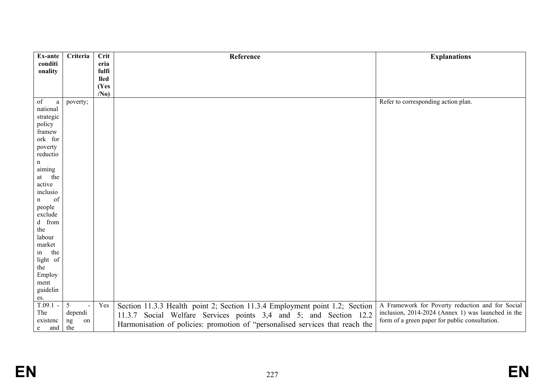| Ex-ante                                                                                                                                                                                          | Criteria                        | Crit                | Reference                                                                                                                                                                                                                         | <b>Explanations</b>                                                                                                                                      |
|--------------------------------------------------------------------------------------------------------------------------------------------------------------------------------------------------|---------------------------------|---------------------|-----------------------------------------------------------------------------------------------------------------------------------------------------------------------------------------------------------------------------------|----------------------------------------------------------------------------------------------------------------------------------------------------------|
| conditi                                                                                                                                                                                          |                                 | eria                |                                                                                                                                                                                                                                   |                                                                                                                                                          |
| onality                                                                                                                                                                                          |                                 | fulfi               |                                                                                                                                                                                                                                   |                                                                                                                                                          |
|                                                                                                                                                                                                  |                                 | <b>lled</b><br>(Yes |                                                                                                                                                                                                                                   |                                                                                                                                                          |
|                                                                                                                                                                                                  |                                 | /N <sub>0</sub>     |                                                                                                                                                                                                                                   |                                                                                                                                                          |
| of<br>a<br>national<br>strategic<br>policy<br>framew<br>ork for<br>poverty<br>reductio<br>n<br>aiming<br>at the<br>active<br>inclusio<br>of<br>n<br>people<br>exclude<br>d from<br>the<br>labour | poverty;                        |                     |                                                                                                                                                                                                                                   | Refer to corresponding action plan.                                                                                                                      |
| market<br>the<br>in<br>light of<br>the<br>Employ<br>ment<br>guidelin                                                                                                                             |                                 |                     |                                                                                                                                                                                                                                   |                                                                                                                                                          |
| es.<br>$T.09.1 -$<br>The<br>existenc<br>and<br>e —                                                                                                                                               | 5<br>dependi<br>ng<br>on<br>the | Yes                 | Section 11.3.3 Health point 2; Section 11.3.4 Employment point 1.2; Section<br>11.3.7 Social Welfare Services points 3,4 and 5; and Section 12.2<br>Harmonisation of policies: promotion of "personalised services that reach the | A Framework for Poverty reduction and for Social<br>inclusion, 2014-2024 (Annex 1) was launched in the<br>form of a green paper for public consultation. |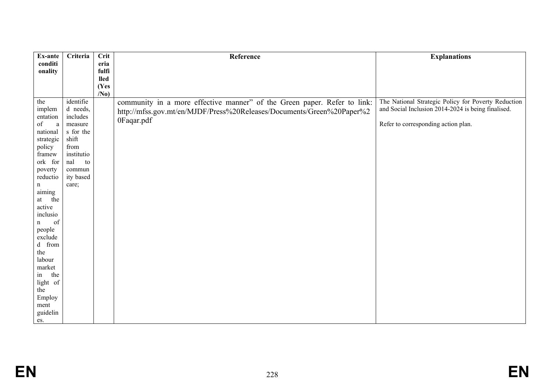| Ex-ante               | Criteria           | <b>Crit</b>          | Reference                                                                | <b>Explanations</b>                                 |
|-----------------------|--------------------|----------------------|--------------------------------------------------------------------------|-----------------------------------------------------|
| conditi               |                    | eria                 |                                                                          |                                                     |
| onality               |                    | fulfi<br><b>lled</b> |                                                                          |                                                     |
|                       |                    | (Yes                 |                                                                          |                                                     |
|                       |                    | /N <sub>0</sub>      |                                                                          |                                                     |
| the                   | identifie          |                      | community in a more effective manner" of the Green paper. Refer to link: | The National Strategic Policy for Poverty Reduction |
| implem                | d needs,           |                      | http://mfss.gov.mt/en/MJDF/Press%20Releases/Documents/Green%20Paper%2    | and Social Inclusion 2014-2024 is being finalised.  |
| entation              | includes           |                      | 0Faqar.pdf                                                               |                                                     |
| of<br>a               | measure            |                      |                                                                          | Refer to corresponding action plan.                 |
| national<br>strategic | s for the<br>shift |                      |                                                                          |                                                     |
| policy                | from               |                      |                                                                          |                                                     |
| framew                | institutio         |                      |                                                                          |                                                     |
| ork for               | nal<br>to          |                      |                                                                          |                                                     |
| poverty               | commun             |                      |                                                                          |                                                     |
| reductio              | ity based          |                      |                                                                          |                                                     |
| n                     | care;              |                      |                                                                          |                                                     |
| aiming                |                    |                      |                                                                          |                                                     |
| the<br>at<br>active   |                    |                      |                                                                          |                                                     |
| inclusio              |                    |                      |                                                                          |                                                     |
| of<br>n               |                    |                      |                                                                          |                                                     |
| people                |                    |                      |                                                                          |                                                     |
| exclude               |                    |                      |                                                                          |                                                     |
| d from                |                    |                      |                                                                          |                                                     |
| the                   |                    |                      |                                                                          |                                                     |
| labour                |                    |                      |                                                                          |                                                     |
| market                |                    |                      |                                                                          |                                                     |
| the<br>in<br>light of |                    |                      |                                                                          |                                                     |
| the                   |                    |                      |                                                                          |                                                     |
| Employ                |                    |                      |                                                                          |                                                     |
| ment                  |                    |                      |                                                                          |                                                     |
| guidelin              |                    |                      |                                                                          |                                                     |
| es.                   |                    |                      |                                                                          |                                                     |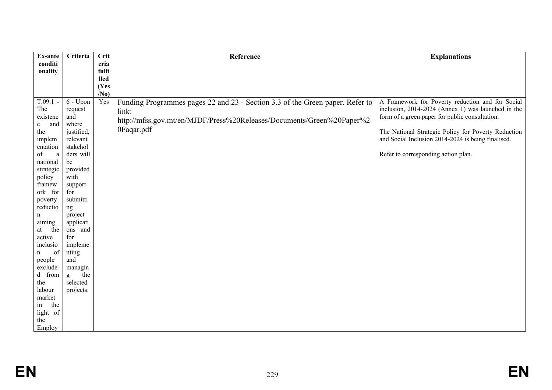| Ex-ante                                                                                                                                                                 | Criteria                                                                                                                                               | Crit                 | Reference                                                                                                                                                                     | <b>Explanations</b>                                                                                                                                                                                                                                                                                          |
|-------------------------------------------------------------------------------------------------------------------------------------------------------------------------|--------------------------------------------------------------------------------------------------------------------------------------------------------|----------------------|-------------------------------------------------------------------------------------------------------------------------------------------------------------------------------|--------------------------------------------------------------------------------------------------------------------------------------------------------------------------------------------------------------------------------------------------------------------------------------------------------------|
| conditi                                                                                                                                                                 |                                                                                                                                                        | eria                 |                                                                                                                                                                               |                                                                                                                                                                                                                                                                                                              |
| onality                                                                                                                                                                 |                                                                                                                                                        | fulfi<br><b>lled</b> |                                                                                                                                                                               |                                                                                                                                                                                                                                                                                                              |
|                                                                                                                                                                         |                                                                                                                                                        | (Yes                 |                                                                                                                                                                               |                                                                                                                                                                                                                                                                                                              |
|                                                                                                                                                                         |                                                                                                                                                        | /N <sub>0</sub>      |                                                                                                                                                                               |                                                                                                                                                                                                                                                                                                              |
| $T.09.1 -$<br>The<br>existenc<br>and<br>e<br>the<br>implem<br>entation<br>of<br>$\rm{a}$<br>national<br>strategic<br>policy<br>framew<br>ork for<br>poverty<br>reductio | $6 - Upon$<br>request<br>and<br>where<br>justified,<br>relevant<br>stakehol<br>ders will<br>be<br>provided<br>with<br>support<br>for<br>submitti<br>ng | Yes                  | Funding Programmes pages 22 and 23 - Section 3.3 of the Green paper. Refer to<br>link:<br>http://mfss.gov.mt/en/MJDF/Press%20Releases/Documents/Green%20Paper%2<br>0Faqar.pdf | A Framework for Poverty reduction and for Social<br>inclusion, 2014-2024 (Annex 1) was launched in the<br>form of a green paper for public consultation.<br>The National Strategic Policy for Poverty Reduction<br>and Social Inclusion 2014-2024 is being finalised.<br>Refer to corresponding action plan. |
| n<br>aiming<br>the<br>at<br>active<br>inclusio<br>of<br>n<br>people<br>exclude<br>d from<br>the<br>labour<br>market<br>the<br>in<br>light of<br>the<br>Employ           | project<br>applicati<br>ons and<br>for<br>impleme<br>nting<br>and<br>managin<br>the<br>g<br>selected<br>projects.                                      |                      |                                                                                                                                                                               |                                                                                                                                                                                                                                                                                                              |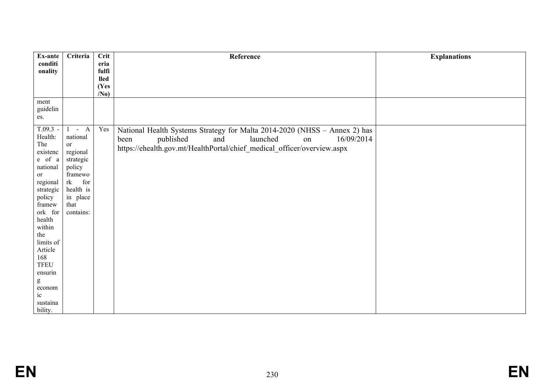| Ex-ante            | Criteria            | <b>Crit</b>     | Reference                                                                 | <b>Explanations</b> |
|--------------------|---------------------|-----------------|---------------------------------------------------------------------------|---------------------|
| conditi            |                     | eria<br>fulfi   |                                                                           |                     |
| onality            |                     | <b>lled</b>     |                                                                           |                     |
|                    |                     | (Yes            |                                                                           |                     |
|                    |                     | /N <sub>0</sub> |                                                                           |                     |
| ment               |                     |                 |                                                                           |                     |
| guidelin           |                     |                 |                                                                           |                     |
| es.                |                     |                 |                                                                           |                     |
| $T.09.3 -$         | $1 - A$             | Yes             | National Health Systems Strategy for Malta 2014-2020 (NHSS - Annex 2) has |                     |
| Health:            | national            |                 | published<br>launched<br>16/09/2014<br>and<br>been<br>on                  |                     |
| The                | or                  |                 | https://ehealth.gov.mt/HealthPortal/chief_medical_officer/overview.aspx   |                     |
| existenc           | regional            |                 |                                                                           |                     |
| e of a<br>national | strategic<br>policy |                 |                                                                           |                     |
| or                 | framewo             |                 |                                                                           |                     |
| regional           | for<br>rk           |                 |                                                                           |                     |
| strategic          | health is           |                 |                                                                           |                     |
| policy             | in place            |                 |                                                                           |                     |
| framew             | that                |                 |                                                                           |                     |
| ork for            | contains:           |                 |                                                                           |                     |
| health             |                     |                 |                                                                           |                     |
| within<br>the      |                     |                 |                                                                           |                     |
| limits of          |                     |                 |                                                                           |                     |
| Article            |                     |                 |                                                                           |                     |
| 168                |                     |                 |                                                                           |                     |
| TFEU               |                     |                 |                                                                           |                     |
| ensurin            |                     |                 |                                                                           |                     |
| ${\bf g}$          |                     |                 |                                                                           |                     |
| econom             |                     |                 |                                                                           |                     |
| $i$ c<br>sustaina  |                     |                 |                                                                           |                     |
| bility.            |                     |                 |                                                                           |                     |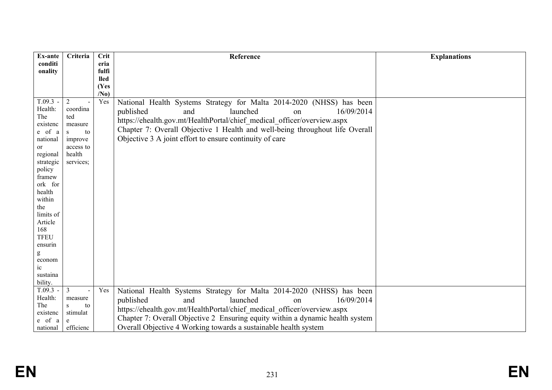| Ex-ante               | Criteria                         | Crit                    | Reference                                                                     | <b>Explanations</b> |
|-----------------------|----------------------------------|-------------------------|-------------------------------------------------------------------------------|---------------------|
| conditi               |                                  | eria                    |                                                                               |                     |
| onality               |                                  | fulfi                   |                                                                               |                     |
|                       |                                  | <b>lled</b>             |                                                                               |                     |
|                       |                                  | (Yes<br>/N <sub>0</sub> |                                                                               |                     |
| $T.09.3 -$            | $\overline{2}$<br>$\overline{a}$ | Yes                     | National Health Systems Strategy for Malta 2014-2020 (NHSS) has been          |                     |
| Health:               | coordina                         |                         | 16/09/2014<br>published<br>launched<br>and                                    |                     |
| The                   | ted                              |                         | on                                                                            |                     |
| existenc              | measure                          |                         | https://ehealth.gov.mt/HealthPortal/chief_medical_officer/overview.aspx       |                     |
| e of a                | to<br>S                          |                         | Chapter 7: Overall Objective 1 Health and well-being throughout life Overall  |                     |
| national              | improve                          |                         | Objective 3 A joint effort to ensure continuity of care                       |                     |
| or                    | access to                        |                         |                                                                               |                     |
| regional              | health                           |                         |                                                                               |                     |
| strategic             | services;                        |                         |                                                                               |                     |
| policy                |                                  |                         |                                                                               |                     |
| framew<br>ork for     |                                  |                         |                                                                               |                     |
| health                |                                  |                         |                                                                               |                     |
| within                |                                  |                         |                                                                               |                     |
| the                   |                                  |                         |                                                                               |                     |
| limits of             |                                  |                         |                                                                               |                     |
| Article               |                                  |                         |                                                                               |                     |
| 168                   |                                  |                         |                                                                               |                     |
| <b>TFEU</b>           |                                  |                         |                                                                               |                     |
| ensurin               |                                  |                         |                                                                               |                     |
| g                     |                                  |                         |                                                                               |                     |
| econom                |                                  |                         |                                                                               |                     |
| $i$ c                 |                                  |                         |                                                                               |                     |
| sustaina              |                                  |                         |                                                                               |                     |
| bility.<br>$T.09.3 -$ | $\mathfrak{Z}$                   | Yes                     |                                                                               |                     |
| Health:               | measure                          |                         | National Health Systems Strategy for Malta 2014-2020 (NHSS) has been          |                     |
| The                   | to<br>S.                         |                         | published<br>launched<br>16/09/2014<br>and<br><sub>on</sub>                   |                     |
| existenc              | stimulat                         |                         | https://ehealth.gov.mt/HealthPortal/chief medical officer/overview.aspx       |                     |
| e of a                |                                  |                         | Chapter 7: Overall Objective 2 Ensuring equity within a dynamic health system |                     |
| national              | efficienc                        |                         | Overall Objective 4 Working towards a sustainable health system               |                     |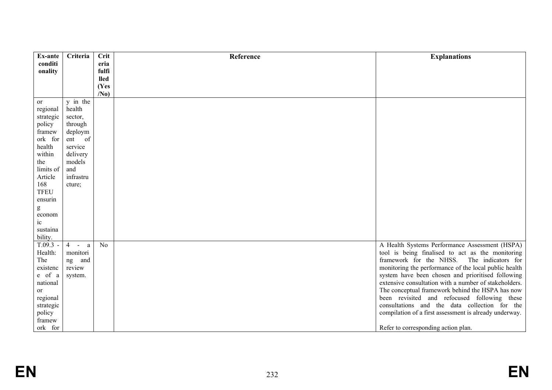| Ex-ante       | Criteria                      | Crit            | Reference | <b>Explanations</b>                                    |
|---------------|-------------------------------|-----------------|-----------|--------------------------------------------------------|
| conditi       |                               | eria            |           |                                                        |
| onality       |                               | fulfi           |           |                                                        |
|               |                               | <b>lled</b>     |           |                                                        |
|               |                               | (Yes            |           |                                                        |
|               |                               | /N <sub>0</sub> |           |                                                        |
| or            | y in the                      |                 |           |                                                        |
| regional      | health                        |                 |           |                                                        |
| strategic     | sector,                       |                 |           |                                                        |
| policy        | through                       |                 |           |                                                        |
| framew        | deploym                       |                 |           |                                                        |
| ork for       | ent of                        |                 |           |                                                        |
| health        | service                       |                 |           |                                                        |
| within        | delivery                      |                 |           |                                                        |
| the           | models                        |                 |           |                                                        |
| limits of     | and                           |                 |           |                                                        |
| Article       | infrastru                     |                 |           |                                                        |
| 168           | cture;                        |                 |           |                                                        |
| <b>TFEU</b>   |                               |                 |           |                                                        |
| ensurin       |                               |                 |           |                                                        |
| ${\bf g}$     |                               |                 |           |                                                        |
| econom        |                               |                 |           |                                                        |
| ic            |                               |                 |           |                                                        |
| sustaina      |                               |                 |           |                                                        |
| bility.       |                               |                 |           |                                                        |
| $T.09.3 -$    | $\overline{4}$<br>a<br>$\sim$ | N <sub>0</sub>  |           | A Health Systems Performance Assessment (HSPA)         |
| Health:       | monitori                      |                 |           | tool is being finalised to act as the monitoring       |
| The           | ng<br>and                     |                 |           | framework for the NHSS.<br>The indicators for          |
| existenc      | review                        |                 |           | monitoring the performance of the local public health  |
| e of a        | system.                       |                 |           | system have been chosen and prioritised following      |
| national      |                               |                 |           | extensive consultation with a number of stakeholders.  |
| <sub>or</sub> |                               |                 |           | The conceptual framework behind the HSPA has now       |
| regional      |                               |                 |           | been revisited and refocused following these           |
| strategic     |                               |                 |           | consultations and the data collection for the          |
| policy        |                               |                 |           | compilation of a first assessment is already underway. |
| framew        |                               |                 |           |                                                        |
| ork for       |                               |                 |           | Refer to corresponding action plan.                    |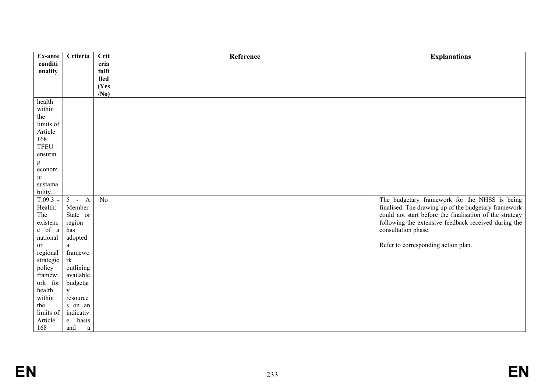| Ex-ante     | Criteria    | Crit            | Reference | <b>Explanations</b>                                     |
|-------------|-------------|-----------------|-----------|---------------------------------------------------------|
| conditi     |             | eria            |           |                                                         |
| onality     |             | fulfi           |           |                                                         |
|             |             | <b>lled</b>     |           |                                                         |
|             |             | (Yes            |           |                                                         |
|             |             | /N <sub>0</sub> |           |                                                         |
| health      |             |                 |           |                                                         |
| within      |             |                 |           |                                                         |
| the         |             |                 |           |                                                         |
| limits of   |             |                 |           |                                                         |
| Article     |             |                 |           |                                                         |
| 168         |             |                 |           |                                                         |
| <b>TFEU</b> |             |                 |           |                                                         |
| ensurin     |             |                 |           |                                                         |
| ${\bf g}$   |             |                 |           |                                                         |
| econom      |             |                 |           |                                                         |
| $\rm ic$    |             |                 |           |                                                         |
| sustaina    |             |                 |           |                                                         |
| bility.     |             |                 |           |                                                         |
| $T.09.3 -$  | $5 - A$     | No              |           | The budgetary framework for the NHSS is being           |
| Health:     | Member      |                 |           | finalised. The drawing up of the budgetary framework    |
| The         | State or    |                 |           | could not start before the finalisation of the strategy |
| existenc    | region      |                 |           | following the extensive feedback received during the    |
| e of a      | has         |                 |           | consultation phase.                                     |
| national    | adopted     |                 |           |                                                         |
| or          | $\rm{a}$    |                 |           | Refer to corresponding action plan.                     |
| regional    | framewo     |                 |           |                                                         |
| strategic   | rk          |                 |           |                                                         |
| policy      | outlining   |                 |           |                                                         |
| framew      | available   |                 |           |                                                         |
| ork for     | budgetar    |                 |           |                                                         |
| health      | $\mathbf y$ |                 |           |                                                         |
| within      | resource    |                 |           |                                                         |
| the         | s on an     |                 |           |                                                         |
| limits of   | indicativ   |                 |           |                                                         |
| Article     | basis<br>e  |                 |           |                                                         |
| 168         | and<br>a    |                 |           |                                                         |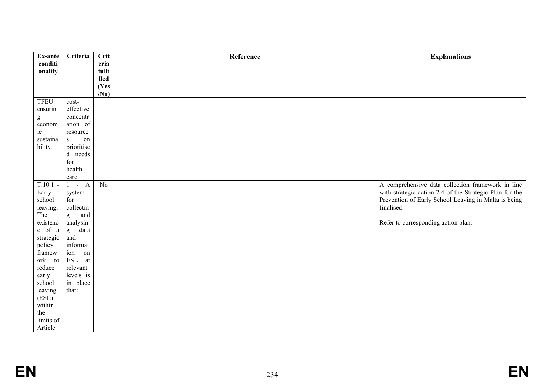| Ex-ante                                                                                                                                                                                                                                                                                                                                                                                                                        | Criteria                | Crit            | Reference | <b>Explanations</b>                                     |
|--------------------------------------------------------------------------------------------------------------------------------------------------------------------------------------------------------------------------------------------------------------------------------------------------------------------------------------------------------------------------------------------------------------------------------|-------------------------|-----------------|-----------|---------------------------------------------------------|
| conditi                                                                                                                                                                                                                                                                                                                                                                                                                        |                         | eria            |           |                                                         |
| onality                                                                                                                                                                                                                                                                                                                                                                                                                        |                         | fulfi           |           |                                                         |
|                                                                                                                                                                                                                                                                                                                                                                                                                                |                         | <b>lled</b>     |           |                                                         |
|                                                                                                                                                                                                                                                                                                                                                                                                                                |                         | (Yes            |           |                                                         |
|                                                                                                                                                                                                                                                                                                                                                                                                                                |                         | /N <sub>0</sub> |           |                                                         |
| <b>TFEU</b>                                                                                                                                                                                                                                                                                                                                                                                                                    | cost-                   |                 |           |                                                         |
| ensurin                                                                                                                                                                                                                                                                                                                                                                                                                        | effective               |                 |           |                                                         |
| $\mathbf{g}% _{T}=\mathbf{g}_{T}=\mathbf{g}_{T}=\mathbf{g}_{T}=\mathbf{g}_{T}=\mathbf{g}_{T}=\mathbf{g}_{T}=\mathbf{g}_{T}=\mathbf{g}_{T}=\mathbf{g}_{T}=\mathbf{g}_{T}=\mathbf{g}_{T}=\mathbf{g}_{T}=\mathbf{g}_{T}=\mathbf{g}_{T}=\mathbf{g}_{T}=\mathbf{g}_{T}=\mathbf{g}_{T}=\mathbf{g}_{T}=\mathbf{g}_{T}=\mathbf{g}_{T}=\mathbf{g}_{T}=\mathbf{g}_{T}=\mathbf{g}_{T}=\mathbf{g}_{T}=\mathbf{g}_{T}=\mathbf{g}_{T}=\math$ | concentr                |                 |           |                                                         |
| econom                                                                                                                                                                                                                                                                                                                                                                                                                         | ation of                |                 |           |                                                         |
| ic                                                                                                                                                                                                                                                                                                                                                                                                                             | resource                |                 |           |                                                         |
| sustaina                                                                                                                                                                                                                                                                                                                                                                                                                       | $\,$ S $\,$<br>on       |                 |           |                                                         |
| bility.                                                                                                                                                                                                                                                                                                                                                                                                                        | prioritise              |                 |           |                                                         |
|                                                                                                                                                                                                                                                                                                                                                                                                                                | d needs                 |                 |           |                                                         |
|                                                                                                                                                                                                                                                                                                                                                                                                                                | for                     |                 |           |                                                         |
|                                                                                                                                                                                                                                                                                                                                                                                                                                | health                  |                 |           |                                                         |
|                                                                                                                                                                                                                                                                                                                                                                                                                                | care.                   |                 |           |                                                         |
| $T.10.1 -$                                                                                                                                                                                                                                                                                                                                                                                                                     | $-A$<br>$\mathbf{1}$    | N <sub>0</sub>  |           | A comprehensive data collection framework in line       |
| Early                                                                                                                                                                                                                                                                                                                                                                                                                          | system                  |                 |           | with strategic action 2.4 of the Strategic Plan for the |
| school                                                                                                                                                                                                                                                                                                                                                                                                                         | for                     |                 |           | Prevention of Early School Leaving in Malta is being    |
| leaving:                                                                                                                                                                                                                                                                                                                                                                                                                       | collectin               |                 |           | finalised.                                              |
| The                                                                                                                                                                                                                                                                                                                                                                                                                            | and<br>g                |                 |           |                                                         |
| existenc                                                                                                                                                                                                                                                                                                                                                                                                                       | analysin                |                 |           | Refer to corresponding action plan.                     |
| $e$ of $\,$ a                                                                                                                                                                                                                                                                                                                                                                                                                  | data<br>g               |                 |           |                                                         |
| strategic                                                                                                                                                                                                                                                                                                                                                                                                                      | and                     |                 |           |                                                         |
| policy                                                                                                                                                                                                                                                                                                                                                                                                                         | informat                |                 |           |                                                         |
| framew                                                                                                                                                                                                                                                                                                                                                                                                                         | ion<br>on               |                 |           |                                                         |
| ork to                                                                                                                                                                                                                                                                                                                                                                                                                         | $\operatorname{ESL}$ at |                 |           |                                                         |
| reduce                                                                                                                                                                                                                                                                                                                                                                                                                         | relevant                |                 |           |                                                         |
| early                                                                                                                                                                                                                                                                                                                                                                                                                          | levels is               |                 |           |                                                         |
| school                                                                                                                                                                                                                                                                                                                                                                                                                         | in place                |                 |           |                                                         |
| leaving                                                                                                                                                                                                                                                                                                                                                                                                                        | that:                   |                 |           |                                                         |
| (ESL)                                                                                                                                                                                                                                                                                                                                                                                                                          |                         |                 |           |                                                         |
| within                                                                                                                                                                                                                                                                                                                                                                                                                         |                         |                 |           |                                                         |
| the                                                                                                                                                                                                                                                                                                                                                                                                                            |                         |                 |           |                                                         |
| limits of                                                                                                                                                                                                                                                                                                                                                                                                                      |                         |                 |           |                                                         |
| Article                                                                                                                                                                                                                                                                                                                                                                                                                        |                         |                 |           |                                                         |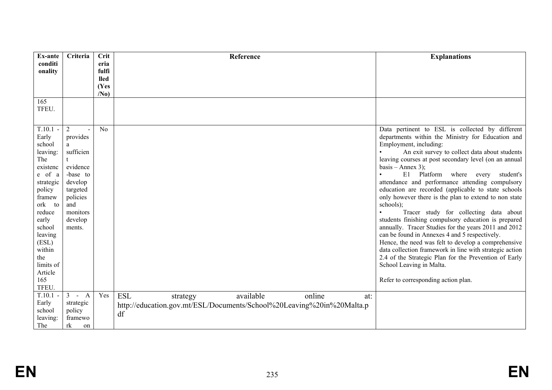| <b>Ex-ante</b>      | Criteria                                 | Crit            | Reference                                                             | <b>Explanations</b>                                     |
|---------------------|------------------------------------------|-----------------|-----------------------------------------------------------------------|---------------------------------------------------------|
| conditi             |                                          | eria            |                                                                       |                                                         |
| onality             |                                          | fulfi           |                                                                       |                                                         |
|                     |                                          | <b>lled</b>     |                                                                       |                                                         |
|                     |                                          | (Yes            |                                                                       |                                                         |
|                     |                                          | /N <sub>0</sub> |                                                                       |                                                         |
| 165                 |                                          |                 |                                                                       |                                                         |
| TFEU.               |                                          |                 |                                                                       |                                                         |
|                     |                                          |                 |                                                                       |                                                         |
| $T.10.1 -$          | $\overline{2}$                           | No              |                                                                       | Data pertinent to ESL is collected by different         |
| Early               | provides                                 |                 |                                                                       | departments within the Ministry for Education and       |
| school              | a                                        |                 |                                                                       | Employment, including:                                  |
| leaving:            | sufficien                                |                 |                                                                       | An exit survey to collect data about students           |
| The                 |                                          |                 |                                                                       | leaving courses at post secondary level (on an annual   |
| existenc            | evidence                                 |                 |                                                                       | basis – Annex 3);                                       |
| e of a              | -base to                                 |                 |                                                                       | E1 Platform where every<br>student's                    |
| strategic           | develop                                  |                 |                                                                       | attendance and performance attending compulsory         |
| policy              | targeted                                 |                 |                                                                       | education are recorded (applicable to state schools     |
| framew              | policies                                 |                 |                                                                       | only however there is the plan to extend to non state   |
| ork<br>to<br>reduce | and<br>monitors                          |                 |                                                                       | schools);<br>Tracer study for collecting data about     |
| early               | develop                                  |                 |                                                                       | students finishing compulsory education is prepared     |
| school              | ments.                                   |                 |                                                                       | annually. Tracer Studies for the years 2011 and 2012    |
| leaving             |                                          |                 |                                                                       | can be found in Annexes 4 and 5 respectively.           |
| (ESL)               |                                          |                 |                                                                       | Hence, the need was felt to develop a comprehensive     |
| within              |                                          |                 |                                                                       | data collection framework in line with strategic action |
| the                 |                                          |                 |                                                                       | 2.4 of the Strategic Plan for the Prevention of Early   |
| limits of           |                                          |                 |                                                                       | School Leaving in Malta.                                |
| Article             |                                          |                 |                                                                       |                                                         |
| 165                 |                                          |                 |                                                                       | Refer to corresponding action plan.                     |
| TFEU.               |                                          |                 |                                                                       |                                                         |
| $T.10.1 -$          | $\overline{3}$<br>$\mathbf{A}$<br>$\sim$ | Yes             | <b>ESL</b><br>available<br>online<br>strategy<br>at:                  |                                                         |
| Early               | strategic                                |                 | http://education.gov.mt/ESL/Documents/School%20Leaving%20in%20Malta.p |                                                         |
| school              | policy                                   |                 | df                                                                    |                                                         |
| leaving:            | framewo                                  |                 |                                                                       |                                                         |
| The                 | rk<br>on                                 |                 |                                                                       |                                                         |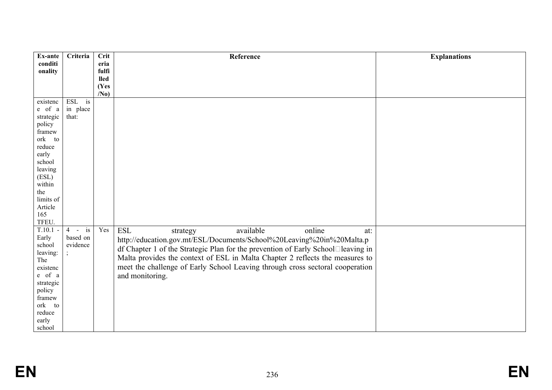| Ex-ante             | Criteria                            | <b>Crit</b>     | Reference                                                                        | <b>Explanations</b> |
|---------------------|-------------------------------------|-----------------|----------------------------------------------------------------------------------|---------------------|
| conditi             |                                     | eria            |                                                                                  |                     |
| onality             |                                     | fulfi           |                                                                                  |                     |
|                     |                                     | <b>lled</b>     |                                                                                  |                     |
|                     |                                     | (Yes            |                                                                                  |                     |
|                     |                                     | /N <sub>0</sub> |                                                                                  |                     |
| existenc            | ESL is                              |                 |                                                                                  |                     |
| e of a              | in place                            |                 |                                                                                  |                     |
| strategic           | that:                               |                 |                                                                                  |                     |
| policy              |                                     |                 |                                                                                  |                     |
| framew              |                                     |                 |                                                                                  |                     |
| ork to              |                                     |                 |                                                                                  |                     |
| reduce              |                                     |                 |                                                                                  |                     |
| early               |                                     |                 |                                                                                  |                     |
| school              |                                     |                 |                                                                                  |                     |
| leaving             |                                     |                 |                                                                                  |                     |
| (ESL)               |                                     |                 |                                                                                  |                     |
| within              |                                     |                 |                                                                                  |                     |
| the                 |                                     |                 |                                                                                  |                     |
| limits of           |                                     |                 |                                                                                  |                     |
| Article             |                                     |                 |                                                                                  |                     |
| 165                 |                                     |                 |                                                                                  |                     |
| TFEU.               |                                     |                 |                                                                                  |                     |
| $T.10.1 -$<br>Early | i <sub>s</sub><br>$4 -$<br>based on | Yes             | $\operatorname{ESL}$<br>available<br>online<br>strategy<br>at:                   |                     |
|                     | evidence                            |                 | http://education.gov.mt/ESL/Documents/School%20Leaving%20in%20Malta.p            |                     |
| school              |                                     |                 | df Chapter 1 of the Strategic Plan for the prevention of Early School□leaving in |                     |
| leaving:<br>The     |                                     |                 | Malta provides the context of ESL in Malta Chapter 2 reflects the measures to    |                     |
| existenc            |                                     |                 | meet the challenge of Early School Leaving through cross sectoral cooperation    |                     |
| e of a              |                                     |                 | and monitoring.                                                                  |                     |
| strategic           |                                     |                 |                                                                                  |                     |
| policy              |                                     |                 |                                                                                  |                     |
| framew              |                                     |                 |                                                                                  |                     |
| ork to              |                                     |                 |                                                                                  |                     |
| reduce              |                                     |                 |                                                                                  |                     |
| early               |                                     |                 |                                                                                  |                     |
| school              |                                     |                 |                                                                                  |                     |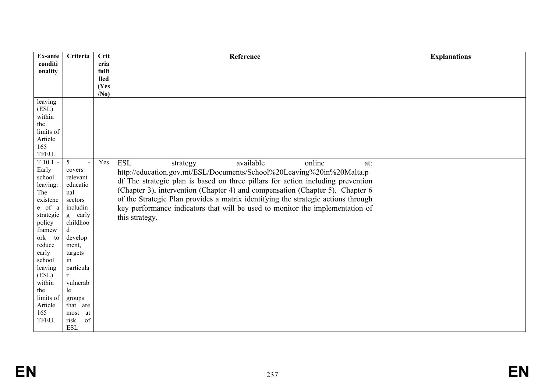| Ex-ante          | Criteria     | <b>Crit</b>             | Reference                                                                         | <b>Explanations</b> |
|------------------|--------------|-------------------------|-----------------------------------------------------------------------------------|---------------------|
| conditi          |              | eria                    |                                                                                   |                     |
| onality          |              | fulfi                   |                                                                                   |                     |
|                  |              | <b>lled</b>             |                                                                                   |                     |
|                  |              | (Yes<br>/N <sub>0</sub> |                                                                                   |                     |
| leaving          |              |                         |                                                                                   |                     |
| (ESL)            |              |                         |                                                                                   |                     |
| within           |              |                         |                                                                                   |                     |
| the              |              |                         |                                                                                   |                     |
| limits of        |              |                         |                                                                                   |                     |
| Article          |              |                         |                                                                                   |                     |
| 165              |              |                         |                                                                                   |                     |
| TFEU.            |              |                         |                                                                                   |                     |
| $T.10.1 -$       | 5            | Yes                     | <b>ESL</b><br>available<br>online<br>strategy<br>at:                              |                     |
| Early            | covers       |                         | http://education.gov.mt/ESL/Documents/School%20Leaving%20in%20Malta.p             |                     |
| school           | relevant     |                         | df The strategic plan is based on three pillars for action including prevention   |                     |
| leaving:         | educatio     |                         |                                                                                   |                     |
| The              | nal          |                         | (Chapter 3), intervention (Chapter 4) and compensation (Chapter 5). Chapter 6     |                     |
| existenc         | sectors      |                         | of the Strategic Plan provides a matrix identifying the strategic actions through |                     |
| e of a           | includin     |                         | key performance indicators that will be used to monitor the implementation of     |                     |
| strategic        | g early      |                         | this strategy.                                                                    |                     |
| policy           | childhoo     |                         |                                                                                   |                     |
| framew<br>ork to | d<br>develop |                         |                                                                                   |                     |
| reduce           | ment,        |                         |                                                                                   |                     |
| early            | targets      |                         |                                                                                   |                     |
| school           | in           |                         |                                                                                   |                     |
| leaving          | particula    |                         |                                                                                   |                     |
| (ESL)            | $r_{\rm}$    |                         |                                                                                   |                     |
| within           | vulnerab     |                         |                                                                                   |                     |
| the              | le           |                         |                                                                                   |                     |
| limits of        | groups       |                         |                                                                                   |                     |
| Article          | that are     |                         |                                                                                   |                     |
| 165              | most at      |                         |                                                                                   |                     |
| TFEU.            | risk<br>of   |                         |                                                                                   |                     |
|                  | <b>ESL</b>   |                         |                                                                                   |                     |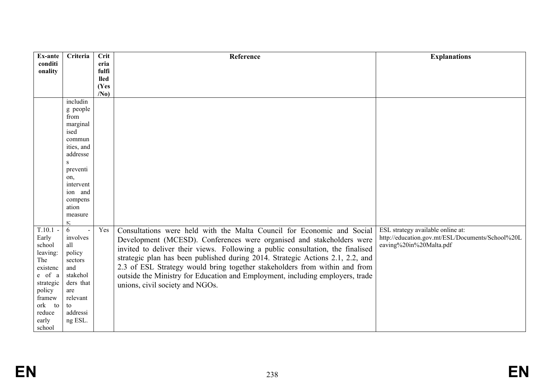| Ex-ante         | Criteria          | Crit                | Reference                                                                      | <b>Explanations</b>                              |
|-----------------|-------------------|---------------------|--------------------------------------------------------------------------------|--------------------------------------------------|
| conditi         |                   | eria                |                                                                                |                                                  |
| onality         |                   | fulfi               |                                                                                |                                                  |
|                 |                   | <b>lled</b><br>(Yes |                                                                                |                                                  |
|                 |                   | /N <sub>0</sub>     |                                                                                |                                                  |
|                 | includin          |                     |                                                                                |                                                  |
|                 | g people          |                     |                                                                                |                                                  |
|                 | from              |                     |                                                                                |                                                  |
|                 | marginal          |                     |                                                                                |                                                  |
|                 | ised              |                     |                                                                                |                                                  |
|                 | commun            |                     |                                                                                |                                                  |
|                 | ities, and        |                     |                                                                                |                                                  |
|                 | addresse          |                     |                                                                                |                                                  |
|                 | S                 |                     |                                                                                |                                                  |
|                 | preventi<br>on,   |                     |                                                                                |                                                  |
|                 | intervent         |                     |                                                                                |                                                  |
|                 | ion and           |                     |                                                                                |                                                  |
|                 | compens           |                     |                                                                                |                                                  |
|                 | ation             |                     |                                                                                |                                                  |
|                 | measure           |                     |                                                                                |                                                  |
|                 | s;                |                     |                                                                                |                                                  |
| $T.10.1 -$      | 6                 | Yes                 | Consultations were held with the Malta Council for Economic and Social         | ESL strategy available online at:                |
| Early           | involves          |                     | Development (MCESD). Conferences were organised and stakeholders were          | http://education.gov.mt/ESL/Documents/School%20L |
| school          | all               |                     | invited to deliver their views. Following a public consultation, the finalised | eaving%20in%20Malta.pdf                          |
| leaving:<br>The | policy<br>sectors |                     | strategic plan has been published during 2014. Strategic Actions 2.1, 2.2, and |                                                  |
| existenc        | and               |                     | 2.3 of ESL Strategy would bring together stakeholders from within and from     |                                                  |
| e of a          | stakehol          |                     | outside the Ministry for Education and Employment, including employers, trade  |                                                  |
| strategic       | ders that         |                     |                                                                                |                                                  |
| policy          | are               |                     | unions, civil society and NGOs.                                                |                                                  |
| framew          | relevant          |                     |                                                                                |                                                  |
| ork to          | to                |                     |                                                                                |                                                  |
| reduce          | addressi          |                     |                                                                                |                                                  |
| early           | ng ESL.           |                     |                                                                                |                                                  |
| school          |                   |                     |                                                                                |                                                  |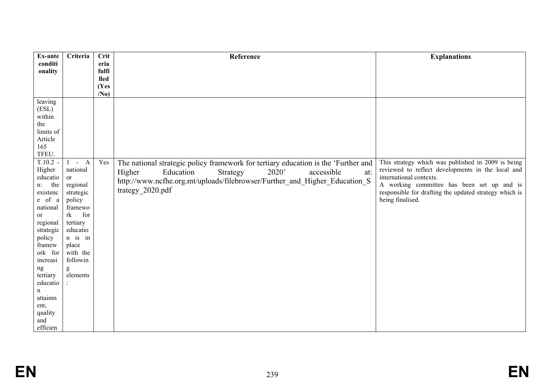| Ex-ante                                                                                                                                                                                                                                                                                                                        | Criteria                                                                                                                                                                               | <b>Crit</b>          | Reference                                                                                                                                                                                                                                             | <b>Explanations</b>                                                                                                                                                                                                                                            |
|--------------------------------------------------------------------------------------------------------------------------------------------------------------------------------------------------------------------------------------------------------------------------------------------------------------------------------|----------------------------------------------------------------------------------------------------------------------------------------------------------------------------------------|----------------------|-------------------------------------------------------------------------------------------------------------------------------------------------------------------------------------------------------------------------------------------------------|----------------------------------------------------------------------------------------------------------------------------------------------------------------------------------------------------------------------------------------------------------------|
| conditi                                                                                                                                                                                                                                                                                                                        |                                                                                                                                                                                        | eria                 |                                                                                                                                                                                                                                                       |                                                                                                                                                                                                                                                                |
| onality                                                                                                                                                                                                                                                                                                                        |                                                                                                                                                                                        | fulfi<br><b>lled</b> |                                                                                                                                                                                                                                                       |                                                                                                                                                                                                                                                                |
|                                                                                                                                                                                                                                                                                                                                |                                                                                                                                                                                        | (Yes                 |                                                                                                                                                                                                                                                       |                                                                                                                                                                                                                                                                |
|                                                                                                                                                                                                                                                                                                                                |                                                                                                                                                                                        | /N <sub>0</sub>      |                                                                                                                                                                                                                                                       |                                                                                                                                                                                                                                                                |
| leaving<br>(ESL)<br>within<br>the<br>limits of<br>Article<br>165<br>TFEU.<br>$T.10.2 -$<br>Higher<br>educatio<br>n: the<br>existenc<br>e of a<br>national<br><b>or</b><br>regional<br>strategic<br>policy<br>framew<br>ork for<br>increasi<br>ng<br>tertiary<br>educatio<br>n<br>attainm<br>ent,<br>quality<br>and<br>efficien | $1 - A$<br>national<br><sub>or</sub><br>regional<br>strategic<br>policy<br>framewo<br>rk<br>for<br>tertiary<br>educatio<br>$n$ is in<br>place<br>with the<br>followin<br>g<br>elements | Yes                  | The national strategic policy framework for tertiary education is the 'Further and<br>2020'<br>Higher<br>Education<br>accessible<br>Strategy<br>at:<br>http://www.ncfhe.org.mt/uploads/filebrowser/Further_and_Higher_Education_S<br>trategy 2020.pdf | This strategy which was published in 2009 is being<br>reviewed to reflect developments in the local and<br>international contexts.<br>A working committee has been set up and is<br>responsible for drafting the updated strategy which is<br>being finalised. |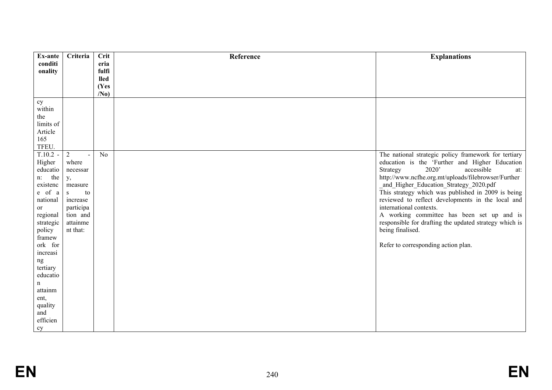| Ex-ante            | Criteria       | Crit            | Reference | <b>Explanations</b>                                                                          |
|--------------------|----------------|-----------------|-----------|----------------------------------------------------------------------------------------------|
| conditi            |                | eria            |           |                                                                                              |
| onality            |                | fulfi           |           |                                                                                              |
|                    |                | <b>lled</b>     |           |                                                                                              |
|                    |                | (Yes            |           |                                                                                              |
|                    |                | /N <sub>0</sub> |           |                                                                                              |
| cy                 |                |                 |           |                                                                                              |
| within             |                |                 |           |                                                                                              |
| the                |                |                 |           |                                                                                              |
| limits of          |                |                 |           |                                                                                              |
| Article            |                |                 |           |                                                                                              |
| 165                |                |                 |           |                                                                                              |
| TFEU.              |                |                 |           |                                                                                              |
| $T.10.2 -$         | $\overline{2}$ | No              |           | The national strategic policy framework for tertiary                                         |
| Higher             | where          |                 |           | education is the 'Further and Higher Education<br>2020'<br>accessible                        |
| educatio           | necessar       |                 |           | Strategy<br>at:                                                                              |
| the<br>$n$ :       | y,             |                 |           | http://www.ncfhe.org.mt/uploads/filebrowser/Further                                          |
| existenc<br>e of a | measure<br>S   |                 |           | and Higher Education Strategy 2020.pdf<br>This strategy which was published in 2009 is being |
| national           | to<br>increase |                 |           | reviewed to reflect developments in the local and                                            |
| or                 | participa      |                 |           | international contexts.                                                                      |
| regional           | tion and       |                 |           | A working committee has been set up and is                                                   |
| strategic          | attainme       |                 |           | responsible for drafting the updated strategy which is                                       |
| policy             | nt that:       |                 |           | being finalised.                                                                             |
| framew             |                |                 |           |                                                                                              |
| ork for            |                |                 |           | Refer to corresponding action plan.                                                          |
| increasi           |                |                 |           |                                                                                              |
| ng                 |                |                 |           |                                                                                              |
| tertiary           |                |                 |           |                                                                                              |
| educatio           |                |                 |           |                                                                                              |
| n                  |                |                 |           |                                                                                              |
| attainm            |                |                 |           |                                                                                              |
| ent,               |                |                 |           |                                                                                              |
| quality            |                |                 |           |                                                                                              |
| and                |                |                 |           |                                                                                              |
| efficien           |                |                 |           |                                                                                              |
| cy                 |                |                 |           |                                                                                              |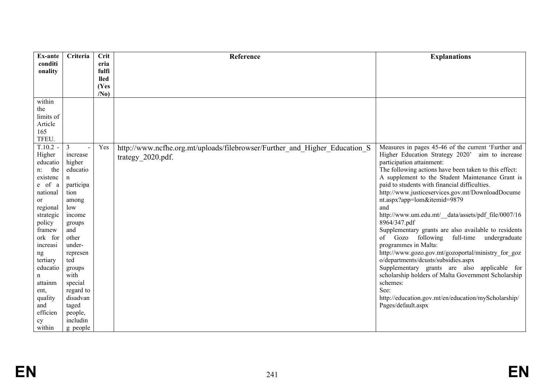| Ex-ante                  | Criteria           | Crit                 | Reference                                                                  | <b>Explanations</b>                                                                 |
|--------------------------|--------------------|----------------------|----------------------------------------------------------------------------|-------------------------------------------------------------------------------------|
| conditi                  |                    | eria                 |                                                                            |                                                                                     |
| onality                  |                    | fulfi<br><b>lled</b> |                                                                            |                                                                                     |
|                          |                    | (Yes                 |                                                                            |                                                                                     |
|                          |                    | /N <sub>0</sub>      |                                                                            |                                                                                     |
| within                   |                    |                      |                                                                            |                                                                                     |
| the                      |                    |                      |                                                                            |                                                                                     |
| limits of                |                    |                      |                                                                            |                                                                                     |
| Article                  |                    |                      |                                                                            |                                                                                     |
| 165                      |                    |                      |                                                                            |                                                                                     |
| TFEU.                    |                    |                      |                                                                            |                                                                                     |
| $T.10.2 -$               | 3                  | Yes                  | http://www.ncfhe.org.mt/uploads/filebrowser/Further and Higher Education S | Measures in pages 45-46 of the current 'Further and                                 |
| Higher                   | increase           |                      | trategy 2020.pdf.                                                          | Higher Education Strategy 2020' aim to increase                                     |
| educatio<br>the<br>$n$ : | higher<br>educatio |                      |                                                                            | participation attainment:<br>The following actions have been taken to this effect:  |
| existenc                 | $\mathbf n$        |                      |                                                                            | A supplement to the Student Maintenance Grant is                                    |
| e of a                   | participa          |                      |                                                                            | paid to students with financial difficulties.                                       |
| national                 | tion               |                      |                                                                            | http://www.justiceservices.gov.mt/DownloadDocume                                    |
| <sub>or</sub>            | among              |                      |                                                                            | nt.aspx?app=lom&itemid=9879                                                         |
| regional                 | low                |                      |                                                                            | and                                                                                 |
| strategic                | income             |                      |                                                                            | http://www.um.edu.mt/ data/assets/pdf file/0007/16                                  |
| policy                   | groups             |                      |                                                                            | 8964/347.pdf                                                                        |
| framew                   | and                |                      |                                                                            | Supplementary grants are also available to residents                                |
| ork for                  | other              |                      |                                                                            | of Gozo following<br>full-time undergraduate                                        |
| increasi                 | under-             |                      |                                                                            | programmes in Malta:                                                                |
| ng                       | represen           |                      |                                                                            | http://www.gozo.gov.mt/gozoportal/ministry for goz                                  |
| tertiary                 | ted                |                      |                                                                            | o/departments/dcusts/subsidies.aspx<br>Supplementary grants are also applicable for |
| educatio                 | groups<br>with     |                      |                                                                            | scholarship holders of Malta Government Scholarship                                 |
| n<br>attainm             | special            |                      |                                                                            | schemes:                                                                            |
| ent,                     | regard to          |                      |                                                                            | See:                                                                                |
| quality                  | disadvan           |                      |                                                                            | http://education.gov.mt/en/education/myScholarship/                                 |
| and                      | taged              |                      |                                                                            | Pages/default.aspx                                                                  |
| efficien                 | people,            |                      |                                                                            |                                                                                     |
| cy                       | includin           |                      |                                                                            |                                                                                     |
| within                   | g people           |                      |                                                                            |                                                                                     |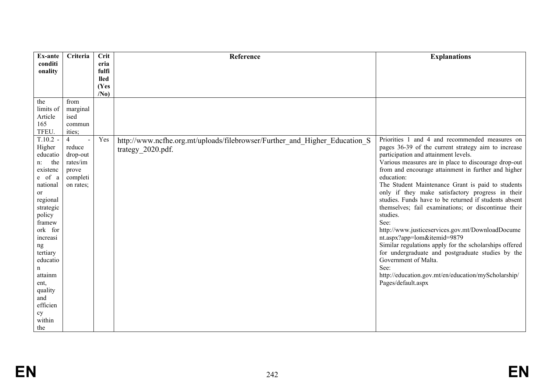| Ex-ante            | Criteria       | <b>Crit</b>         | Reference                                                                  | <b>Explanations</b>                                               |
|--------------------|----------------|---------------------|----------------------------------------------------------------------------|-------------------------------------------------------------------|
| conditi            |                | eria                |                                                                            |                                                                   |
| onality            |                | fulfi               |                                                                            |                                                                   |
|                    |                | <b>lled</b><br>(Yes |                                                                            |                                                                   |
|                    |                | /N <sub>0</sub>     |                                                                            |                                                                   |
| the                | from           |                     |                                                                            |                                                                   |
| limits of          | marginal       |                     |                                                                            |                                                                   |
| Article            | ised           |                     |                                                                            |                                                                   |
| 165                | commun         |                     |                                                                            |                                                                   |
| TFEU.              | ities;         |                     |                                                                            |                                                                   |
| $T.10.2 -$         | $\overline{4}$ | Yes                 | http://www.ncfhe.org.mt/uploads/filebrowser/Further and Higher Education S | Priorities 1 and 4 and recommended measures on                    |
| Higher             | reduce         |                     | trategy_2020.pdf.                                                          | pages 36-39 of the current strategy aim to increase               |
| educatio           | drop-out       |                     |                                                                            | participation and attainment levels.                              |
| the<br>$n$ :       | rates/im       |                     |                                                                            | Various measures are in place to discourage drop-out              |
| existenc<br>e of a | prove          |                     |                                                                            | from and encourage attainment in further and higher<br>education: |
| national           | completi       |                     |                                                                            | The Student Maintenance Grant is paid to students                 |
| or                 | on rates;      |                     |                                                                            | only if they make satisfactory progress in their                  |
| regional           |                |                     |                                                                            | studies. Funds have to be returned if students absent             |
| strategic          |                |                     |                                                                            | themselves; fail examinations; or discontinue their               |
| policy             |                |                     |                                                                            | studies.                                                          |
| framew             |                |                     |                                                                            | See:                                                              |
| ork for            |                |                     |                                                                            | http://www.justiceservices.gov.mt/DownloadDocume                  |
| increasi           |                |                     |                                                                            | nt.aspx?app=lom&itemid=9879                                       |
| ng                 |                |                     |                                                                            | Similar regulations apply for the scholarships offered            |
| tertiary           |                |                     |                                                                            | for undergraduate and postgraduate studies by the                 |
| educatio           |                |                     |                                                                            | Government of Malta.                                              |
| n                  |                |                     |                                                                            | See:                                                              |
| attainm            |                |                     |                                                                            | http://education.gov.mt/en/education/myScholarship/               |
| ent,               |                |                     |                                                                            | Pages/default.aspx                                                |
| quality            |                |                     |                                                                            |                                                                   |
| and<br>efficien    |                |                     |                                                                            |                                                                   |
|                    |                |                     |                                                                            |                                                                   |
| cy<br>within       |                |                     |                                                                            |                                                                   |
|                    |                |                     |                                                                            |                                                                   |
| the                |                |                     |                                                                            |                                                                   |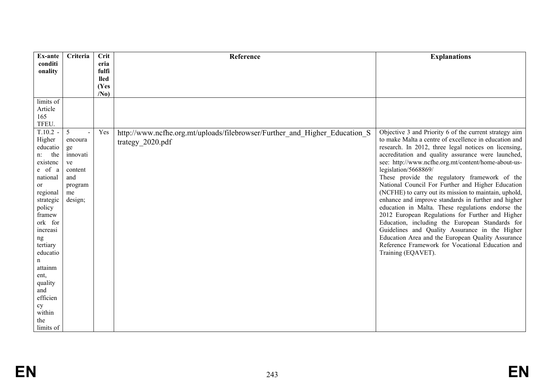| Ex-ante              | Criteria      | <b>Crit</b>     | Reference                                                                  | <b>Explanations</b>                                                                                   |
|----------------------|---------------|-----------------|----------------------------------------------------------------------------|-------------------------------------------------------------------------------------------------------|
| conditi<br>onality   |               | eria<br>fulfi   |                                                                            |                                                                                                       |
|                      |               | <b>lled</b>     |                                                                            |                                                                                                       |
|                      |               | (Yes            |                                                                            |                                                                                                       |
|                      |               | /N <sub>0</sub> |                                                                            |                                                                                                       |
| limits of            |               |                 |                                                                            |                                                                                                       |
| Article<br>165       |               |                 |                                                                            |                                                                                                       |
| TFEU.                |               |                 |                                                                            |                                                                                                       |
| $T.10.2 -$           | 5             | Yes             | http://www.ncfhe.org.mt/uploads/filebrowser/Further_and_Higher_Education_S | Objective 3 and Priority 6 of the current strategy aim                                                |
| Higher               | encoura       |                 | trategy 2020.pdf                                                           | to make Malta a centre of excellence in education and                                                 |
| educatio             | ge            |                 |                                                                            | research. In 2012, three legal notices on licensing,                                                  |
| the<br>$n$ :         | innovati      |                 |                                                                            | accreditation and quality assurance were launched,                                                    |
| existenc             | ve            |                 |                                                                            | see: http://www.ncfhe.org.mt/content/home-about-us-                                                   |
| e of a               | content       |                 |                                                                            | legislation/5668869/                                                                                  |
| national<br>or       | and           |                 |                                                                            | These provide the regulatory framework of the<br>National Council For Further and Higher Education    |
| regional             | program<br>me |                 |                                                                            | (NCFHE) to carry out its mission to maintain, uphold,                                                 |
| strategic            | design;       |                 |                                                                            | enhance and improve standards in further and higher                                                   |
| policy               |               |                 |                                                                            | education in Malta. These regulations endorse the                                                     |
| framew               |               |                 |                                                                            | 2012 European Regulations for Further and Higher                                                      |
| ork for              |               |                 |                                                                            | Education, including the European Standards for                                                       |
| increasi             |               |                 |                                                                            | Guidelines and Quality Assurance in the Higher                                                        |
| ng                   |               |                 |                                                                            | Education Area and the European Quality Assurance<br>Reference Framework for Vocational Education and |
| tertiary<br>educatio |               |                 |                                                                            | Training (EQAVET).                                                                                    |
| n                    |               |                 |                                                                            |                                                                                                       |
| attainm              |               |                 |                                                                            |                                                                                                       |
| ent,                 |               |                 |                                                                            |                                                                                                       |
| quality              |               |                 |                                                                            |                                                                                                       |
| and                  |               |                 |                                                                            |                                                                                                       |
| efficien             |               |                 |                                                                            |                                                                                                       |
| cy<br>within         |               |                 |                                                                            |                                                                                                       |
| the                  |               |                 |                                                                            |                                                                                                       |
| limits of            |               |                 |                                                                            |                                                                                                       |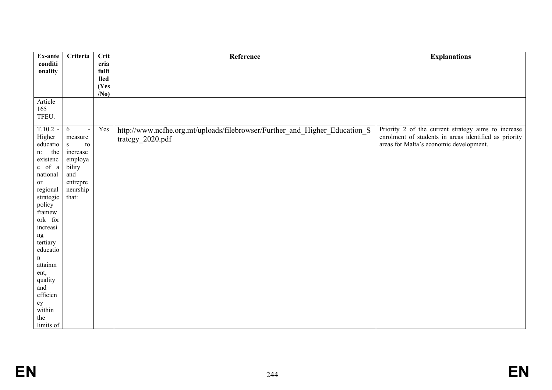| Ex-ante                                                                                                                                                                                                                                                                            | Criteria                                                                                              | Crit                 | Reference                                                                                      | <b>Explanations</b>                                                                                                                                     |
|------------------------------------------------------------------------------------------------------------------------------------------------------------------------------------------------------------------------------------------------------------------------------------|-------------------------------------------------------------------------------------------------------|----------------------|------------------------------------------------------------------------------------------------|---------------------------------------------------------------------------------------------------------------------------------------------------------|
| conditi                                                                                                                                                                                                                                                                            |                                                                                                       | eria                 |                                                                                                |                                                                                                                                                         |
| onality                                                                                                                                                                                                                                                                            |                                                                                                       | fulfi<br><b>lled</b> |                                                                                                |                                                                                                                                                         |
|                                                                                                                                                                                                                                                                                    |                                                                                                       | (Yes                 |                                                                                                |                                                                                                                                                         |
|                                                                                                                                                                                                                                                                                    |                                                                                                       | /N <sub>0</sub>      |                                                                                                |                                                                                                                                                         |
| Article<br>165<br>TFEU.                                                                                                                                                                                                                                                            |                                                                                                       |                      |                                                                                                |                                                                                                                                                         |
| $T.10.2 -$<br>Higher<br>educatio<br>the<br>$n$ :<br>existenc<br>e of a<br>national<br>or<br>regional<br>strategic<br>policy<br>framew<br>ork for<br>increasi<br>ng<br>tertiary<br>educatio<br>$\mathbf n$<br>attainm<br>ent,<br>quality<br>and<br>efficien<br>${\rm cy}$<br>within | 6<br>measure<br>$\,$ s<br>to<br>increase<br>employa<br>bility<br>and<br>entrepre<br>neurship<br>that: | Yes                  | http://www.ncfhe.org.mt/uploads/filebrowser/Further_and_Higher_Education_S<br>trategy_2020.pdf | Priority 2 of the current strategy aims to increase<br>enrolment of students in areas identified as priority<br>areas for Malta's economic development. |
| the<br>limits of                                                                                                                                                                                                                                                                   |                                                                                                       |                      |                                                                                                |                                                                                                                                                         |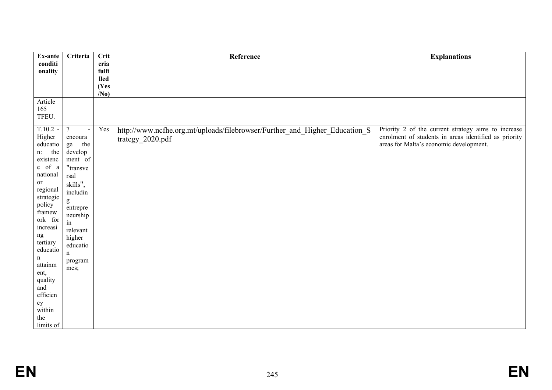| Ex-ante                | Criteria               | Crit                 | Reference                                                                  | <b>Explanations</b>                                                                                          |
|------------------------|------------------------|----------------------|----------------------------------------------------------------------------|--------------------------------------------------------------------------------------------------------------|
| conditi                |                        | eria                 |                                                                            |                                                                                                              |
| onality                |                        | fulfi<br><b>lled</b> |                                                                            |                                                                                                              |
|                        |                        | (Yes                 |                                                                            |                                                                                                              |
|                        |                        | /N <sub>0</sub>      |                                                                            |                                                                                                              |
| Article                |                        |                      |                                                                            |                                                                                                              |
| 165<br>TFEU.           |                        |                      |                                                                            |                                                                                                              |
|                        |                        |                      |                                                                            |                                                                                                              |
| $T.10.2 -$             | $\overline{7}$         | Yes                  | http://www.ncfhe.org.mt/uploads/filebrowser/Further_and_Higher_Education_S | Priority 2 of the current strategy aims to increase<br>enrolment of students in areas identified as priority |
| Higher<br>educatio     | encoura<br>the<br>ge   |                      | trategy_2020.pdf                                                           | areas for Malta's economic development.                                                                      |
| the<br>$n$ :           | develop                |                      |                                                                            |                                                                                                              |
| existenc               | ment of                |                      |                                                                            |                                                                                                              |
| $e$ of $a$<br>national | "transve               |                      |                                                                            |                                                                                                              |
| or                     | rsal                   |                      |                                                                            |                                                                                                              |
| regional               | skills",<br>includin   |                      |                                                                            |                                                                                                              |
| strategic              | g                      |                      |                                                                            |                                                                                                              |
| policy<br>framew       | entrepre               |                      |                                                                            |                                                                                                              |
| ork for                | neurship               |                      |                                                                            |                                                                                                              |
| increasi               | in<br>relevant         |                      |                                                                            |                                                                                                              |
| ng                     | higher                 |                      |                                                                            |                                                                                                              |
| tertiary<br>educatio   | educatio               |                      |                                                                            |                                                                                                              |
| n                      | $\mathbf n$<br>program |                      |                                                                            |                                                                                                              |
| attainm                | mes;                   |                      |                                                                            |                                                                                                              |
| ent,                   |                        |                      |                                                                            |                                                                                                              |
| quality<br>and         |                        |                      |                                                                            |                                                                                                              |
| efficien               |                        |                      |                                                                            |                                                                                                              |
| ${\rm cy}$             |                        |                      |                                                                            |                                                                                                              |
| within<br>the          |                        |                      |                                                                            |                                                                                                              |
| limits of              |                        |                      |                                                                            |                                                                                                              |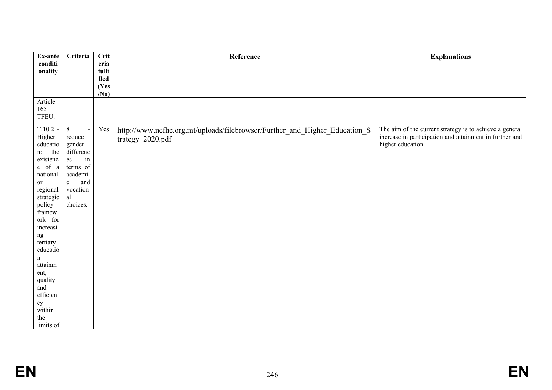| Ex-ante                                                                                                                                                                                                                                                                                            | Criteria                                                                                                                        | Crit                 | Reference                                                                                      | <b>Explanations</b>                                                                                                                     |
|----------------------------------------------------------------------------------------------------------------------------------------------------------------------------------------------------------------------------------------------------------------------------------------------------|---------------------------------------------------------------------------------------------------------------------------------|----------------------|------------------------------------------------------------------------------------------------|-----------------------------------------------------------------------------------------------------------------------------------------|
| conditi                                                                                                                                                                                                                                                                                            |                                                                                                                                 | eria                 |                                                                                                |                                                                                                                                         |
| onality                                                                                                                                                                                                                                                                                            |                                                                                                                                 | fulfi<br><b>lled</b> |                                                                                                |                                                                                                                                         |
|                                                                                                                                                                                                                                                                                                    |                                                                                                                                 | (Yes                 |                                                                                                |                                                                                                                                         |
|                                                                                                                                                                                                                                                                                                    |                                                                                                                                 | /N <sub>0</sub>      |                                                                                                |                                                                                                                                         |
| Article<br>165<br>TFEU.                                                                                                                                                                                                                                                                            |                                                                                                                                 |                      |                                                                                                |                                                                                                                                         |
| $T.10.2 -$<br>Higher<br>${\it education}$<br>the<br>$n$ :<br>existenc<br>e of a<br>national<br>or<br>regional<br>strategic<br>policy<br>framew<br>ork for<br>increasi<br>ng<br>tertiary<br>educatio<br>$\mathbf n$<br>attainm<br>ent,<br>quality<br>and<br>efficien<br>${\rm cy}$<br>within<br>the | $\,8\,$<br>reduce<br>gender<br>differenc<br>in<br>es<br>terms of<br>academi<br>and<br>$\mathbf c$<br>vocation<br>al<br>choices. | Yes                  | http://www.ncfhe.org.mt/uploads/filebrowser/Further_and_Higher_Education_S<br>trategy_2020.pdf | The aim of the current strategy is to achieve a general<br>increase in participation and attainment in further and<br>higher education. |
| limits of                                                                                                                                                                                                                                                                                          |                                                                                                                                 |                      |                                                                                                |                                                                                                                                         |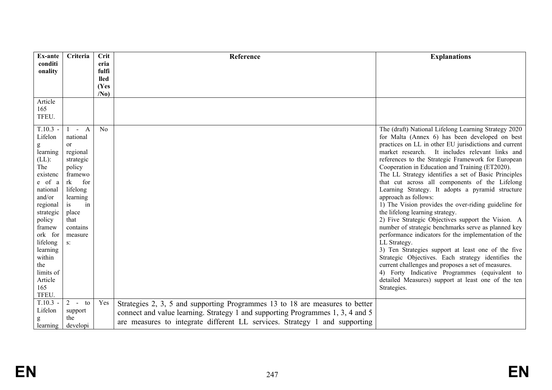| Ex-ante                                                                                                                                                                                                                          | Criteria                                                                                                                                                                        | Crit                | Reference                                                                                                                                                                                                                                    | <b>Explanations</b>                                                                                                                                                                                                                                                                                                                                                                                                                                                                                                                                                                                                                                                                                                                                                                                                                                                                                                                                                                                                                                                                       |
|----------------------------------------------------------------------------------------------------------------------------------------------------------------------------------------------------------------------------------|---------------------------------------------------------------------------------------------------------------------------------------------------------------------------------|---------------------|----------------------------------------------------------------------------------------------------------------------------------------------------------------------------------------------------------------------------------------------|-------------------------------------------------------------------------------------------------------------------------------------------------------------------------------------------------------------------------------------------------------------------------------------------------------------------------------------------------------------------------------------------------------------------------------------------------------------------------------------------------------------------------------------------------------------------------------------------------------------------------------------------------------------------------------------------------------------------------------------------------------------------------------------------------------------------------------------------------------------------------------------------------------------------------------------------------------------------------------------------------------------------------------------------------------------------------------------------|
| conditi                                                                                                                                                                                                                          |                                                                                                                                                                                 | eria                |                                                                                                                                                                                                                                              |                                                                                                                                                                                                                                                                                                                                                                                                                                                                                                                                                                                                                                                                                                                                                                                                                                                                                                                                                                                                                                                                                           |
| onality                                                                                                                                                                                                                          |                                                                                                                                                                                 | fulfi               |                                                                                                                                                                                                                                              |                                                                                                                                                                                                                                                                                                                                                                                                                                                                                                                                                                                                                                                                                                                                                                                                                                                                                                                                                                                                                                                                                           |
|                                                                                                                                                                                                                                  |                                                                                                                                                                                 | <b>lled</b><br>(Yes |                                                                                                                                                                                                                                              |                                                                                                                                                                                                                                                                                                                                                                                                                                                                                                                                                                                                                                                                                                                                                                                                                                                                                                                                                                                                                                                                                           |
|                                                                                                                                                                                                                                  |                                                                                                                                                                                 | /N <sub>0</sub>     |                                                                                                                                                                                                                                              |                                                                                                                                                                                                                                                                                                                                                                                                                                                                                                                                                                                                                                                                                                                                                                                                                                                                                                                                                                                                                                                                                           |
| Article<br>165<br>TFEU.                                                                                                                                                                                                          |                                                                                                                                                                                 |                     |                                                                                                                                                                                                                                              |                                                                                                                                                                                                                                                                                                                                                                                                                                                                                                                                                                                                                                                                                                                                                                                                                                                                                                                                                                                                                                                                                           |
| $T.10.3 -$<br>Lifelon<br>learning<br>$(LL)$ :<br>The<br>existenc<br>e of a<br>national<br>and/or<br>regional<br>strategic<br>policy<br>framew<br>ork for<br>lifelong<br>learning<br>within<br>the<br>limits of<br>Article<br>165 | $- A$<br>national<br>or<br>regional<br>strategic<br>policy<br>framewo<br>for<br>rk<br>lifelong<br>learning<br>in<br>is<br>place<br>that<br>contains<br>measure<br>$S^{\dagger}$ | N <sub>0</sub>      |                                                                                                                                                                                                                                              | The (draft) National Lifelong Learning Strategy 2020<br>for Malta (Annex 6) has been developed on best<br>practices on LL in other EU jurisdictions and current<br>market research. It includes relevant links and<br>references to the Strategic Framework for European<br>Cooperation in Education and Training (ET2020).<br>The LL Strategy identifies a set of Basic Principles<br>that cut across all components of the Lifelong<br>Learning Strategy. It adopts a pyramid structure<br>approach as follows:<br>1) The Vision provides the over-riding guideline for<br>the lifelong learning strategy.<br>2) Five Strategic Objectives support the Vision. A<br>number of strategic benchmarks serve as planned key<br>performance indicators for the implementation of the<br>LL Strategy.<br>3) Ten Strategies support at least one of the five<br>Strategic Objectives. Each strategy identifies the<br>current challenges and proposes a set of measures.<br>4) Forty Indicative Programmes (equivalent to<br>detailed Measures) support at least one of the ten<br>Strategies. |
| TFEU.                                                                                                                                                                                                                            |                                                                                                                                                                                 |                     |                                                                                                                                                                                                                                              |                                                                                                                                                                                                                                                                                                                                                                                                                                                                                                                                                                                                                                                                                                                                                                                                                                                                                                                                                                                                                                                                                           |
| $T.10.3 -$<br>Lifelon<br>learning                                                                                                                                                                                                | $2 - t_0$<br>support<br>the<br>developi                                                                                                                                         | Yes                 | Strategies 2, 3, 5 and supporting Programmes 13 to 18 are measures to better<br>connect and value learning. Strategy 1 and supporting Programmes 1, 3, 4 and 5<br>are measures to integrate different LL services. Strategy 1 and supporting |                                                                                                                                                                                                                                                                                                                                                                                                                                                                                                                                                                                                                                                                                                                                                                                                                                                                                                                                                                                                                                                                                           |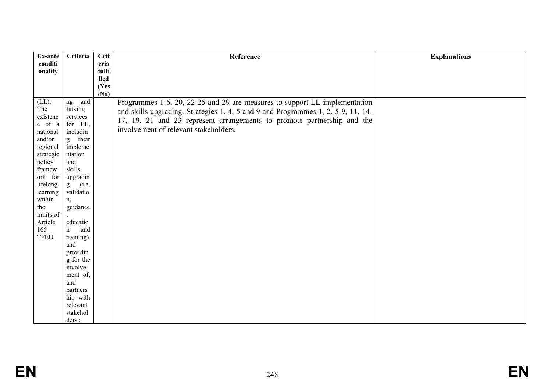| <b>Explanations</b> |
|---------------------|
|                     |
|                     |
|                     |
|                     |
|                     |
|                     |
|                     |
|                     |
|                     |
|                     |
|                     |
|                     |
|                     |
|                     |
|                     |
|                     |
|                     |
|                     |
|                     |
|                     |
|                     |
|                     |
|                     |
|                     |
|                     |
|                     |
|                     |
|                     |
|                     |
|                     |
|                     |
|                     |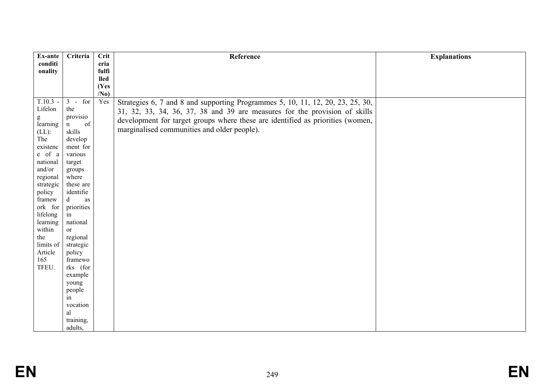| Ex-ante            | Criteria             | <b>Crit</b>          | Reference                                                                      | <b>Explanations</b> |
|--------------------|----------------------|----------------------|--------------------------------------------------------------------------------|---------------------|
| conditi            |                      | eria                 |                                                                                |                     |
| onality            |                      | fulfi<br><b>lled</b> |                                                                                |                     |
|                    |                      | (Yes                 |                                                                                |                     |
|                    |                      | /N <sub>0</sub>      |                                                                                |                     |
| $T.10.3 -$         | $3 - for$            | Yes                  | Strategies 6, 7 and 8 and supporting Programmes 5, 10, 11, 12, 20, 23, 25, 30, |                     |
| Lifelon            | the                  |                      | 31, 32, 33, 34, 36, 37, 38 and 39 are measures for the provision of skills     |                     |
| g                  | provisio             |                      | development for target groups where these are identified as priorities (women, |                     |
| learning           | of<br>$\mathbf n$    |                      | marginalised communities and older people).                                    |                     |
| $(LL)$ :           | skills               |                      |                                                                                |                     |
| The                | develop<br>ment for  |                      |                                                                                |                     |
| existenc<br>e of a | various              |                      |                                                                                |                     |
| national           | target               |                      |                                                                                |                     |
| and/or             | groups               |                      |                                                                                |                     |
| regional           | where                |                      |                                                                                |                     |
| strategic          | these are            |                      |                                                                                |                     |
| policy             | identifie            |                      |                                                                                |                     |
| framew             | $\mathbf d$<br>as    |                      |                                                                                |                     |
| ork for            | priorities           |                      |                                                                                |                     |
| lifelong           | in                   |                      |                                                                                |                     |
| learning           | national             |                      |                                                                                |                     |
| within<br>the      | or<br>regional       |                      |                                                                                |                     |
| limits of          | strategic            |                      |                                                                                |                     |
| Article            | policy               |                      |                                                                                |                     |
| 165                | framewo              |                      |                                                                                |                     |
| TFEU.              | rks (for             |                      |                                                                                |                     |
|                    | example              |                      |                                                                                |                     |
|                    | young                |                      |                                                                                |                     |
|                    | people               |                      |                                                                                |                     |
|                    | in                   |                      |                                                                                |                     |
|                    | vocation             |                      |                                                                                |                     |
|                    | al                   |                      |                                                                                |                     |
|                    | training,<br>adults, |                      |                                                                                |                     |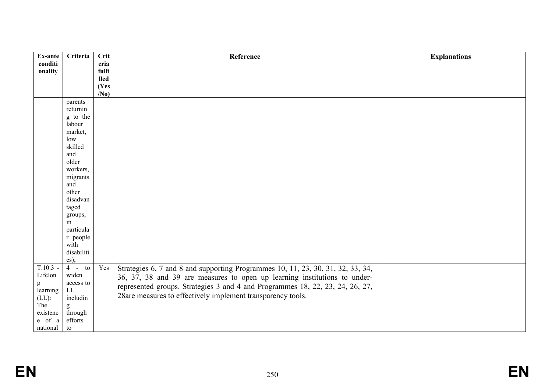| Ex-ante         | Criteria                                                                                                                                                                                                                                                                                                                                                                                                                                  | Crit            | Reference                                                                       | <b>Explanations</b> |
|-----------------|-------------------------------------------------------------------------------------------------------------------------------------------------------------------------------------------------------------------------------------------------------------------------------------------------------------------------------------------------------------------------------------------------------------------------------------------|-----------------|---------------------------------------------------------------------------------|---------------------|
| conditi         |                                                                                                                                                                                                                                                                                                                                                                                                                                           | eria            |                                                                                 |                     |
| onality         |                                                                                                                                                                                                                                                                                                                                                                                                                                           | fulfi           |                                                                                 |                     |
|                 |                                                                                                                                                                                                                                                                                                                                                                                                                                           | <b>lled</b>     |                                                                                 |                     |
|                 |                                                                                                                                                                                                                                                                                                                                                                                                                                           | (Yes            |                                                                                 |                     |
|                 |                                                                                                                                                                                                                                                                                                                                                                                                                                           | /N <sub>0</sub> |                                                                                 |                     |
|                 | parents                                                                                                                                                                                                                                                                                                                                                                                                                                   |                 |                                                                                 |                     |
|                 | returnin                                                                                                                                                                                                                                                                                                                                                                                                                                  |                 |                                                                                 |                     |
|                 | g to the                                                                                                                                                                                                                                                                                                                                                                                                                                  |                 |                                                                                 |                     |
|                 | labour                                                                                                                                                                                                                                                                                                                                                                                                                                    |                 |                                                                                 |                     |
|                 | market,                                                                                                                                                                                                                                                                                                                                                                                                                                   |                 |                                                                                 |                     |
|                 | low                                                                                                                                                                                                                                                                                                                                                                                                                                       |                 |                                                                                 |                     |
|                 | skilled                                                                                                                                                                                                                                                                                                                                                                                                                                   |                 |                                                                                 |                     |
|                 | and                                                                                                                                                                                                                                                                                                                                                                                                                                       |                 |                                                                                 |                     |
|                 | older                                                                                                                                                                                                                                                                                                                                                                                                                                     |                 |                                                                                 |                     |
|                 | workers,                                                                                                                                                                                                                                                                                                                                                                                                                                  |                 |                                                                                 |                     |
|                 | migrants                                                                                                                                                                                                                                                                                                                                                                                                                                  |                 |                                                                                 |                     |
|                 | and                                                                                                                                                                                                                                                                                                                                                                                                                                       |                 |                                                                                 |                     |
|                 | other                                                                                                                                                                                                                                                                                                                                                                                                                                     |                 |                                                                                 |                     |
|                 | disadvan                                                                                                                                                                                                                                                                                                                                                                                                                                  |                 |                                                                                 |                     |
|                 | taged                                                                                                                                                                                                                                                                                                                                                                                                                                     |                 |                                                                                 |                     |
|                 | groups,                                                                                                                                                                                                                                                                                                                                                                                                                                   |                 |                                                                                 |                     |
|                 | $\overline{\text{in}}$                                                                                                                                                                                                                                                                                                                                                                                                                    |                 |                                                                                 |                     |
|                 | particula                                                                                                                                                                                                                                                                                                                                                                                                                                 |                 |                                                                                 |                     |
|                 | r people                                                                                                                                                                                                                                                                                                                                                                                                                                  |                 |                                                                                 |                     |
|                 | with<br>disabiliti                                                                                                                                                                                                                                                                                                                                                                                                                        |                 |                                                                                 |                     |
|                 |                                                                                                                                                                                                                                                                                                                                                                                                                                           |                 |                                                                                 |                     |
| $T.10.3 -$      | $\cos$ );<br>$4 - t0$                                                                                                                                                                                                                                                                                                                                                                                                                     |                 |                                                                                 |                     |
| Lifelon         | widen                                                                                                                                                                                                                                                                                                                                                                                                                                     | Yes             | Strategies 6, 7 and 8 and supporting Programmes 10, 11, 23, 30, 31, 32, 33, 34, |                     |
|                 | access to                                                                                                                                                                                                                                                                                                                                                                                                                                 |                 | 36, 37, 38 and 39 are measures to open up learning institutions to under-       |                     |
| g               | LL                                                                                                                                                                                                                                                                                                                                                                                                                                        |                 | represented groups. Strategies 3 and 4 and Programmes 18, 22, 23, 24, 26, 27,   |                     |
| learning        | includin                                                                                                                                                                                                                                                                                                                                                                                                                                  |                 | 28are measures to effectively implement transparency tools.                     |                     |
| $(LL)$ :<br>The |                                                                                                                                                                                                                                                                                                                                                                                                                                           |                 |                                                                                 |                     |
| existenc        | $\mathbf{g}% _{T}=\mathbf{g}_{T}=\mathbf{g}_{T}=\mathbf{g}_{T}=\mathbf{g}_{T}=\mathbf{g}_{T}=\mathbf{g}_{T}=\mathbf{g}_{T}=\mathbf{g}_{T}=\mathbf{g}_{T}=\mathbf{g}_{T}=\mathbf{g}_{T}=\mathbf{g}_{T}=\mathbf{g}_{T}=\mathbf{g}_{T}=\mathbf{g}_{T}=\mathbf{g}_{T}=\mathbf{g}_{T}=\mathbf{g}_{T}=\mathbf{g}_{T}=\mathbf{g}_{T}=\mathbf{g}_{T}=\mathbf{g}_{T}=\mathbf{g}_{T}=\mathbf{g}_{T}=\mathbf{g}_{T}=\mathbf{g}_{T}=\math$<br>through |                 |                                                                                 |                     |
| e of a          | efforts                                                                                                                                                                                                                                                                                                                                                                                                                                   |                 |                                                                                 |                     |
| national        | ${\rm to}$                                                                                                                                                                                                                                                                                                                                                                                                                                |                 |                                                                                 |                     |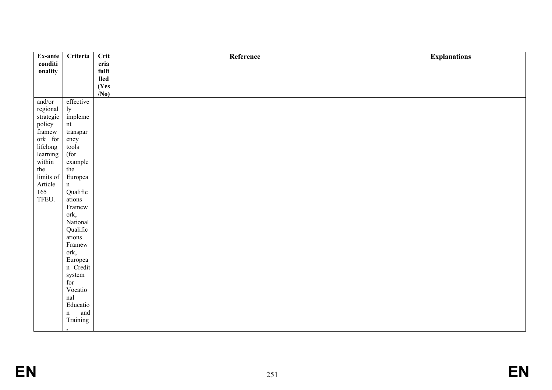| Ex-ante                 | Criteria                                                                                                                                                                                                        | Crit              | Reference | <b>Explanations</b> |
|-------------------------|-----------------------------------------------------------------------------------------------------------------------------------------------------------------------------------------------------------------|-------------------|-----------|---------------------|
| conditi                 |                                                                                                                                                                                                                 | eria              |           |                     |
| onality                 |                                                                                                                                                                                                                 | fulfi             |           |                     |
|                         |                                                                                                                                                                                                                 | <b>lled</b>       |           |                     |
|                         |                                                                                                                                                                                                                 | (Yes              |           |                     |
|                         |                                                                                                                                                                                                                 | (N <sub>0</sub> ) |           |                     |
| and/or                  | effective                                                                                                                                                                                                       |                   |           |                     |
| regional                | ly<br>impleme                                                                                                                                                                                                   |                   |           |                     |
| strategic               |                                                                                                                                                                                                                 |                   |           |                     |
| policy<br>framew        | nt                                                                                                                                                                                                              |                   |           |                     |
|                         | ${\rm transpar}$                                                                                                                                                                                                |                   |           |                     |
| ork for                 | ency                                                                                                                                                                                                            |                   |           |                     |
| lifelong                | $\operatorname{tools}$                                                                                                                                                                                          |                   |           |                     |
| learning                | (for                                                                                                                                                                                                            |                   |           |                     |
| within                  | example                                                                                                                                                                                                         |                   |           |                     |
| the                     | the                                                                                                                                                                                                             |                   |           |                     |
| limits of               | Europea                                                                                                                                                                                                         |                   |           |                     |
|                         |                                                                                                                                                                                                                 |                   |           |                     |
|                         |                                                                                                                                                                                                                 |                   |           |                     |
|                         |                                                                                                                                                                                                                 |                   |           |                     |
|                         |                                                                                                                                                                                                                 |                   |           |                     |
|                         |                                                                                                                                                                                                                 |                   |           |                     |
|                         |                                                                                                                                                                                                                 |                   |           |                     |
|                         |                                                                                                                                                                                                                 |                   |           |                     |
|                         |                                                                                                                                                                                                                 |                   |           |                     |
|                         |                                                                                                                                                                                                                 |                   |           |                     |
|                         |                                                                                                                                                                                                                 |                   |           |                     |
|                         |                                                                                                                                                                                                                 |                   |           |                     |
|                         |                                                                                                                                                                                                                 |                   |           |                     |
|                         |                                                                                                                                                                                                                 |                   |           |                     |
|                         |                                                                                                                                                                                                                 |                   |           |                     |
|                         |                                                                                                                                                                                                                 |                   |           |                     |
|                         |                                                                                                                                                                                                                 |                   |           |                     |
|                         |                                                                                                                                                                                                                 |                   |           |                     |
|                         |                                                                                                                                                                                                                 |                   |           |                     |
|                         |                                                                                                                                                                                                                 |                   |           |                     |
| Article<br>165<br>TFEU. | $\mathbf n$<br>Qualific<br>ations<br>Framew<br>ork,<br>National<br>Qualific<br>ations<br>Framew<br>ork,<br>Europea<br>n Credit<br>system<br>for<br>Vocatio<br>nal<br>Educatio<br>and<br>$\mathbf n$<br>Training |                   |           |                     |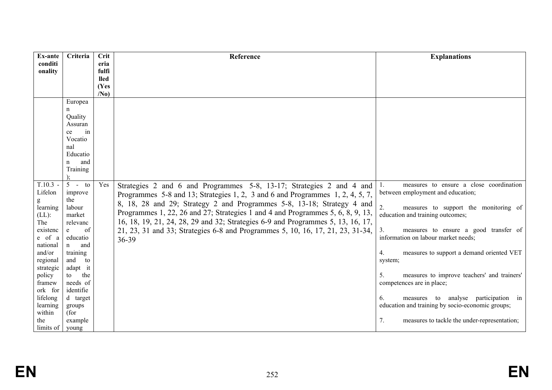| Ex-ante                 | Criteria            | Crit            | Reference                                                                       | <b>Explanations</b>                                |
|-------------------------|---------------------|-----------------|---------------------------------------------------------------------------------|----------------------------------------------------|
| conditi<br>onality      |                     | eria<br>fulfi   |                                                                                 |                                                    |
|                         |                     | <b>lled</b>     |                                                                                 |                                                    |
|                         |                     | (Yes            |                                                                                 |                                                    |
|                         |                     | /N <sub>0</sub> |                                                                                 |                                                    |
|                         | Europea             |                 |                                                                                 |                                                    |
|                         | n                   |                 |                                                                                 |                                                    |
|                         | Quality             |                 |                                                                                 |                                                    |
|                         | Assuran             |                 |                                                                                 |                                                    |
|                         | in<br>ce<br>Vocatio |                 |                                                                                 |                                                    |
|                         | nal                 |                 |                                                                                 |                                                    |
|                         | Educatio            |                 |                                                                                 |                                                    |
|                         | and<br>n            |                 |                                                                                 |                                                    |
|                         | Training            |                 |                                                                                 |                                                    |
|                         |                     |                 |                                                                                 |                                                    |
| $T.10.3 -$              | $5 - t0$            | Yes             | Strategies 2 and 6 and Programmes 5-8, 13-17; Strategies 2 and 4 and            | measures to ensure a close coordination            |
| Lifelon                 | improve             |                 | Programmes 5-8 and 13; Strategies 1, 2, 3 and 6 and Programmes 1, 2, 4, 5, 7,   | between employment and education;                  |
| g                       | the                 |                 | 8, 18, 28 and 29; Strategy 2 and Programmes 5-8, 13-18; Strategy 4 and          |                                                    |
| learning                | labour              |                 | Programmes 1, 22, 26 and 27; Strategies 1 and 4 and Programmes 5, 6, 8, 9, 13,  | measures to support the monitoring of              |
| $(LL)$ :<br>The         | market<br>relevanc  |                 | 16, 18, 19, 21, 24, 28, 29 and 32; Strategies 6-9 and Programmes 5, 13, 16, 17, | education and training outcomes;                   |
| existenc                | of<br>e             |                 | 21, 23, 31 and 33; Strategies 6-8 and Programmes 5, 10, 16, 17, 21, 23, 31-34,  | 3.<br>measures to ensure a good transfer of        |
| e of a                  | educatio            |                 | 36-39                                                                           | information on labour market needs;                |
| national                | $\mathbf n$<br>and  |                 |                                                                                 |                                                    |
| and/or                  | training            |                 |                                                                                 | 4.<br>measures to support a demand oriented VET    |
| regional                | and<br>to           |                 |                                                                                 | system;                                            |
| strategic               | adapt it            |                 |                                                                                 |                                                    |
| policy                  | the<br>to           |                 |                                                                                 | 5.<br>measures to improve teachers' and trainers'  |
| framew                  | needs of            |                 |                                                                                 | competences are in place;                          |
| ork for<br>lifelong     | identifie           |                 |                                                                                 | measures to analyse participation in<br>6.         |
| learning                | d target<br>groups  |                 |                                                                                 | education and training by socio-economic groups;   |
| within                  | (for                |                 |                                                                                 |                                                    |
| the                     | example             |                 |                                                                                 | 7.<br>measures to tackle the under-representation; |
| limits of $\vert$ young |                     |                 |                                                                                 |                                                    |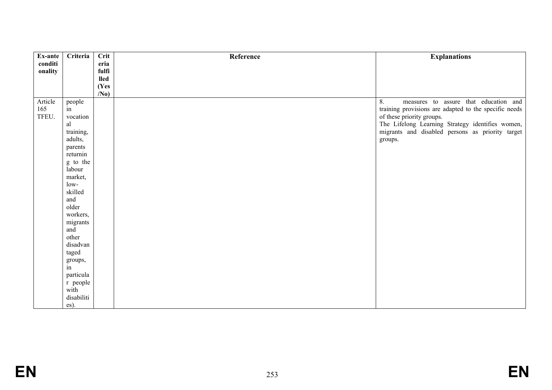| Ex-ante | Criteria     | Crit                    | Reference | <b>Explanations</b>                                   |
|---------|--------------|-------------------------|-----------|-------------------------------------------------------|
| conditi |              | eria                    |           |                                                       |
| onality |              | fulfi                   |           |                                                       |
|         |              | <b>lled</b>             |           |                                                       |
|         |              | (Yes<br>/N <sub>0</sub> |           |                                                       |
| Article |              |                         |           | 8.<br>measures to assure that education and           |
| 165     | people<br>in |                         |           | training provisions are adapted to the specific needs |
| TFEU.   | vocation     |                         |           | of these priority groups.                             |
|         | al           |                         |           | The Lifelong Learning Strategy identifies women,      |
|         | training,    |                         |           | migrants and disabled persons as priority target      |
|         | adults,      |                         |           | groups.                                               |
|         | parents      |                         |           |                                                       |
|         | returnin     |                         |           |                                                       |
|         | g to the     |                         |           |                                                       |
|         | labour       |                         |           |                                                       |
|         | market,      |                         |           |                                                       |
|         | $low-$       |                         |           |                                                       |
|         | skilled      |                         |           |                                                       |
|         | and          |                         |           |                                                       |
|         | older        |                         |           |                                                       |
|         | workers,     |                         |           |                                                       |
|         | migrants     |                         |           |                                                       |
|         | and<br>other |                         |           |                                                       |
|         | disadvan     |                         |           |                                                       |
|         | taged        |                         |           |                                                       |
|         | groups,      |                         |           |                                                       |
|         | in           |                         |           |                                                       |
|         | particula    |                         |           |                                                       |
|         | r people     |                         |           |                                                       |
|         | with         |                         |           |                                                       |
|         | disabiliti   |                         |           |                                                       |
|         | es).         |                         |           |                                                       |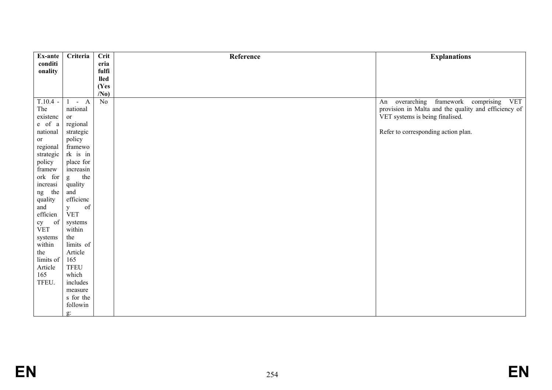| Ex-ante           | Criteria             | <b>Crit</b>     | Reference | <b>Explanations</b>                                        |
|-------------------|----------------------|-----------------|-----------|------------------------------------------------------------|
| conditi           |                      | eria            |           |                                                            |
| onality           |                      | fulfi<br>lled   |           |                                                            |
|                   |                      | (Yes            |           |                                                            |
|                   |                      | /N <sub>0</sub> |           |                                                            |
| $T.10.4 -$        | $-A$<br>$\mathbf{1}$ | No              |           | overarching<br>framework<br>comprising<br>An<br><b>VET</b> |
| The               | national             |                 |           | provision in Malta and the quality and efficiency of       |
| existenc          | or                   |                 |           | VET systems is being finalised.                            |
| e of a            | regional             |                 |           |                                                            |
| national          | strategic            |                 |           | Refer to corresponding action plan.                        |
| or                | policy               |                 |           |                                                            |
| regional          | framewo              |                 |           |                                                            |
| strategic         | rk is in             |                 |           |                                                            |
| policy            | place for            |                 |           |                                                            |
| framew<br>ork for | increasin<br>the     |                 |           |                                                            |
| increasi          | g<br>quality         |                 |           |                                                            |
| the<br>ng         | and                  |                 |           |                                                            |
| quality           | efficienc            |                 |           |                                                            |
| and               | of<br>y              |                 |           |                                                            |
| efficien          | <b>VET</b>           |                 |           |                                                            |
| of                | systems              |                 |           |                                                            |
| cy<br>VET         | within               |                 |           |                                                            |
| systems           | the                  |                 |           |                                                            |
| within            | limits of            |                 |           |                                                            |
| the               | Article              |                 |           |                                                            |
| limits of         | 165                  |                 |           |                                                            |
| Article           | <b>TFEU</b>          |                 |           |                                                            |
| 165               | which                |                 |           |                                                            |
| TFEU.             | includes             |                 |           |                                                            |
|                   | measure              |                 |           |                                                            |
|                   | s for the            |                 |           |                                                            |
|                   | followin             |                 |           |                                                            |
|                   | g:                   |                 |           |                                                            |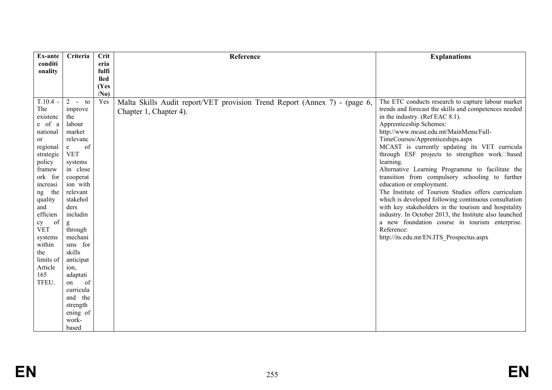| Ex-ante            | Criteria             | Crit            | Reference                                                                 | <b>Explanations</b>                                           |
|--------------------|----------------------|-----------------|---------------------------------------------------------------------------|---------------------------------------------------------------|
| conditi<br>onality |                      | eria<br>fulfi   |                                                                           |                                                               |
|                    |                      | <b>lled</b>     |                                                                           |                                                               |
|                    |                      | (Yes            |                                                                           |                                                               |
|                    |                      | /N <sub>0</sub> |                                                                           |                                                               |
| $T.10.4 -$         | $2 - t_0$            | Yes             | Malta Skills Audit report/VET provision Trend Report (Annex 7) - (page 6, | The ETC conducts research to capture labour market            |
| The                | improve              |                 | Chapter 1, Chapter 4).                                                    | trends and forecast the skills and competences needed         |
| existenc           | the                  |                 |                                                                           | in the industry. (Ref EAC 8.1).                               |
| e of a             | labour               |                 |                                                                           | Apprenticeship Schemes:                                       |
| national           | market               |                 |                                                                           | http://www.mcast.edu.mt/MainMenu/Full-                        |
| <sub>or</sub>      | relevanc             |                 |                                                                           | TimeCourses/Apprenticeships.aspx                              |
| regional           | of<br>$\mathbf e$    |                 |                                                                           | MCAST is currently updating its VET curricula                 |
| strategic          | <b>VET</b>           |                 |                                                                           | through ESF projects to strengthen work <sup>[1]</sup> based  |
| policy<br>framew   | systems<br>in close  |                 |                                                                           | learning.<br>Alternative Learning Programme to facilitate the |
| ork for            | cooperat             |                 |                                                                           | transition from compulsory schooling to further               |
| increasi           | ion with             |                 |                                                                           | education or employment.                                      |
| the<br>ng          | relevant             |                 |                                                                           | The Institute of Tourism Studies offers curriculum            |
| quality            | stakehol             |                 |                                                                           | which is developed following continuous consultation          |
| and                | ders                 |                 |                                                                           | with key stakeholders in the tourism and hospitality          |
| efficien           | includin             |                 |                                                                           | industry. In October 2013, the Institute also launched        |
| of<br>cy           | g                    |                 |                                                                           | a new foundation course in tourism enterprise.                |
| <b>VET</b>         | through              |                 |                                                                           | Reference:                                                    |
| systems            | mechani              |                 |                                                                           | http://its.edu.mt/EN.ITS_Prospectus.aspx                      |
| within             | sms for              |                 |                                                                           |                                                               |
| the                | skills               |                 |                                                                           |                                                               |
| limits of          | anticipat            |                 |                                                                           |                                                               |
| Article            | ion.                 |                 |                                                                           |                                                               |
| 165                | adaptati             |                 |                                                                           |                                                               |
| TFEU.              | of<br>on             |                 |                                                                           |                                                               |
|                    | curricula<br>and the |                 |                                                                           |                                                               |
|                    | strength             |                 |                                                                           |                                                               |
|                    | ening of             |                 |                                                                           |                                                               |
|                    | work-                |                 |                                                                           |                                                               |
|                    | based                |                 |                                                                           |                                                               |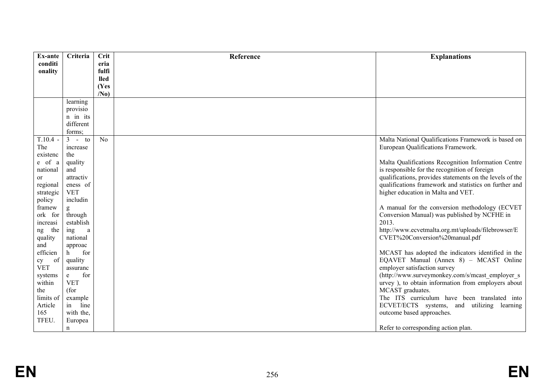| <b>Ex-ante</b>         | Criteria                   | Crit            | Reference | <b>Explanations</b>                                                                                   |
|------------------------|----------------------------|-----------------|-----------|-------------------------------------------------------------------------------------------------------|
| conditi                |                            | eria            |           |                                                                                                       |
| onality                |                            | fulfi           |           |                                                                                                       |
|                        |                            | lled            |           |                                                                                                       |
|                        |                            | (Yes            |           |                                                                                                       |
|                        |                            | /N <sub>0</sub> |           |                                                                                                       |
|                        | learning                   |                 |           |                                                                                                       |
|                        | provisio                   |                 |           |                                                                                                       |
|                        | n in its                   |                 |           |                                                                                                       |
|                        | different                  |                 |           |                                                                                                       |
|                        | forms;                     |                 |           |                                                                                                       |
| $T.10.4 -$             | $3 - t0$                   | N <sub>0</sub>  |           | Malta National Qualifications Framework is based on                                                   |
| The                    | increase                   |                 |           | European Qualifications Framework.                                                                    |
| existenc               | the                        |                 |           |                                                                                                       |
| e of a                 | quality                    |                 |           | Malta Qualifications Recognition Information Centre                                                   |
| national               | and                        |                 |           | is responsible for the recognition of foreign                                                         |
| <sub>or</sub>          | attractiv                  |                 |           | qualifications, provides statements on the levels of the                                              |
| regional               | eness of                   |                 |           | qualifications framework and statistics on further and                                                |
| strategic              | <b>VET</b>                 |                 |           | higher education in Malta and VET.                                                                    |
| policy                 | includin                   |                 |           |                                                                                                       |
| framew                 | g                          |                 |           | A manual for the conversion methodology (ECVET                                                        |
| ork for                | through                    |                 |           | Conversion Manual) was published by NCFHE in                                                          |
| increasi               | establish                  |                 |           | 2013.                                                                                                 |
| the<br>ng              | ing<br>$\rm{a}$            |                 |           | http://www.ecvetmalta.org.mt/uploads/filebrowser/E                                                    |
| quality                | national                   |                 |           | CVET%20Conversion%20manual.pdf                                                                        |
| and                    | approac                    |                 |           |                                                                                                       |
| efficien               | for<br>h.                  |                 |           | MCAST has adopted the indicators identified in the                                                    |
| of<br>cy<br><b>VET</b> | quality                    |                 |           | EQAVET Manual (Annex 8) - MCAST Online<br>employer satisfaction survey                                |
|                        | assuranc<br>for            |                 |           |                                                                                                       |
| systems<br>within      | $\mathbf{e}$<br><b>VET</b> |                 |           | (http://www.surveymonkey.com/s/mcast employer s<br>urvey), to obtain information from employers about |
| the                    | (for                       |                 |           | MCAST graduates.                                                                                      |
| limits of              | example                    |                 |           | The ITS curriculum have been translated into                                                          |
| Article                | line<br>in                 |                 |           | ECVET/ECTS systems, and utilizing learning                                                            |
| 165                    | with the,                  |                 |           | outcome based approaches.                                                                             |
| TFEU.                  | Europea                    |                 |           |                                                                                                       |
|                        | n                          |                 |           | Refer to corresponding action plan.                                                                   |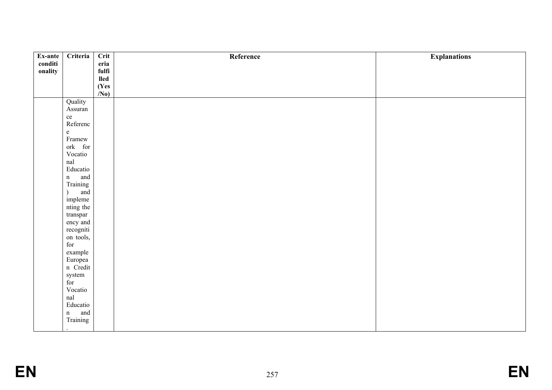| Ex-ante | Criteria              | $\overline{\text{Crit}}$ | Reference | <b>Explanations</b> |
|---------|-----------------------|--------------------------|-----------|---------------------|
| conditi |                       | eria                     |           |                     |
| onality |                       | fulfi                    |           |                     |
|         |                       | lled<br>(Yes             |           |                     |
|         |                       | $\overline{N_0}$         |           |                     |
|         | Quality               |                          |           |                     |
|         | Assuran               |                          |           |                     |
|         | ce<br>Referenc        |                          |           |                     |
|         |                       |                          |           |                     |
|         | $\mathbf{e}$          |                          |           |                     |
|         | Framew                |                          |           |                     |
|         | ork for<br>Vocatio    |                          |           |                     |
|         | $\operatorname{nal}$  |                          |           |                     |
|         | Educatio              |                          |           |                     |
|         |                       |                          |           |                     |
|         | n and<br>Training     |                          |           |                     |
|         | and<br>$\mathcal{L}$  |                          |           |                     |
|         | impleme               |                          |           |                     |
|         | nting the             |                          |           |                     |
|         | ${\rm transpar}$      |                          |           |                     |
|         | ency and<br>recogniti |                          |           |                     |
|         | on tools,             |                          |           |                     |
|         | $\operatorname{for}$  |                          |           |                     |
|         | example               |                          |           |                     |
|         |                       |                          |           |                     |
|         | Europea<br>n Credit   |                          |           |                     |
|         | system<br>for         |                          |           |                     |
|         |                       |                          |           |                     |
|         | Vocatio               |                          |           |                     |
|         | $\operatorname{nal}$  |                          |           |                     |
|         | Educatio              |                          |           |                     |
|         | n and<br>Training     |                          |           |                     |
|         |                       |                          |           |                     |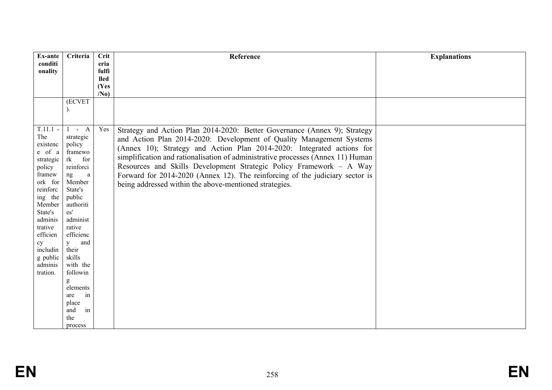| Ex-ante            | Criteria                     | Crit                 | Reference                                                                       | <b>Explanations</b> |
|--------------------|------------------------------|----------------------|---------------------------------------------------------------------------------|---------------------|
| conditi            |                              | eria                 |                                                                                 |                     |
| onality            |                              | fulfi<br><b>lled</b> |                                                                                 |                     |
|                    |                              | (Yes                 |                                                                                 |                     |
|                    |                              | /N <sub>0</sub>      |                                                                                 |                     |
|                    | <b>(ECVET</b>                |                      |                                                                                 |                     |
|                    |                              |                      |                                                                                 |                     |
|                    |                              |                      |                                                                                 |                     |
| $T.11.1 -$         | $-A$<br>$\mathbf{1}$         | Yes                  | Strategy and Action Plan 2014-2020: Better Governance (Annex 9); Strategy       |                     |
| The                | strategic                    |                      | and Action Plan 2014-2020: Development of Quality Management Systems            |                     |
| existenc<br>e of a | policy<br>framewo            |                      | (Annex 10); Strategy and Action Plan 2014-2020: Integrated actions for          |                     |
| strategic          | rk<br>for                    |                      | simplification and rationalisation of administrative processes (Annex 11) Human |                     |
| policy             | reinforci                    |                      | Resources and Skills Development Strategic Policy Framework - A Way             |                     |
| framew             | ng<br>a                      |                      | Forward for 2014-2020 (Annex 12). The reinforcing of the judiciary sector is    |                     |
| ork for            | Member                       |                      | being addressed within the above-mentioned strategies.                          |                     |
| reinforc           | State's                      |                      |                                                                                 |                     |
| ing the<br>Member  | public<br>authoriti          |                      |                                                                                 |                     |
| State's            | $\mathbf{e}\mathbf{s}'$      |                      |                                                                                 |                     |
| adminis            | administ                     |                      |                                                                                 |                     |
| trative            | rative                       |                      |                                                                                 |                     |
| efficien           | efficienc                    |                      |                                                                                 |                     |
| cy<br>includin     | and<br>$\mathbf{y}$<br>their |                      |                                                                                 |                     |
| g public           | skills                       |                      |                                                                                 |                     |
| adminis            | with the                     |                      |                                                                                 |                     |
| tration.           | followin                     |                      |                                                                                 |                     |
|                    | g                            |                      |                                                                                 |                     |
|                    | elements<br>in<br>are        |                      |                                                                                 |                     |
|                    | place                        |                      |                                                                                 |                     |
|                    | and<br>in                    |                      |                                                                                 |                     |
|                    | the                          |                      |                                                                                 |                     |
|                    | process                      |                      |                                                                                 |                     |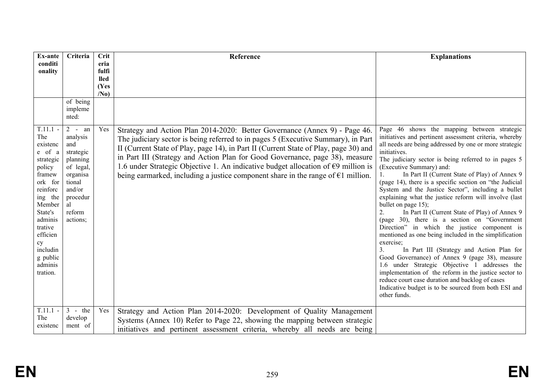| Ex-ante                                                                                                                                                                                                                | Criteria                                                                                                                                                        | <b>Crit</b>         | Reference                                                                                                                                                                                                                                                                                                                                                                                                                                                                                                                            | <b>Explanations</b>                                                                                                                                                                                                                                                                                                                                                                                                                                                                                                                                                                                                                                                                                                                                                                                                                                                                                                                                                                                                                                                                                        |
|------------------------------------------------------------------------------------------------------------------------------------------------------------------------------------------------------------------------|-----------------------------------------------------------------------------------------------------------------------------------------------------------------|---------------------|--------------------------------------------------------------------------------------------------------------------------------------------------------------------------------------------------------------------------------------------------------------------------------------------------------------------------------------------------------------------------------------------------------------------------------------------------------------------------------------------------------------------------------------|------------------------------------------------------------------------------------------------------------------------------------------------------------------------------------------------------------------------------------------------------------------------------------------------------------------------------------------------------------------------------------------------------------------------------------------------------------------------------------------------------------------------------------------------------------------------------------------------------------------------------------------------------------------------------------------------------------------------------------------------------------------------------------------------------------------------------------------------------------------------------------------------------------------------------------------------------------------------------------------------------------------------------------------------------------------------------------------------------------|
| conditi<br>onality                                                                                                                                                                                                     |                                                                                                                                                                 | eria<br>fulfi       |                                                                                                                                                                                                                                                                                                                                                                                                                                                                                                                                      |                                                                                                                                                                                                                                                                                                                                                                                                                                                                                                                                                                                                                                                                                                                                                                                                                                                                                                                                                                                                                                                                                                            |
|                                                                                                                                                                                                                        |                                                                                                                                                                 | <b>lled</b><br>(Yes |                                                                                                                                                                                                                                                                                                                                                                                                                                                                                                                                      |                                                                                                                                                                                                                                                                                                                                                                                                                                                                                                                                                                                                                                                                                                                                                                                                                                                                                                                                                                                                                                                                                                            |
|                                                                                                                                                                                                                        |                                                                                                                                                                 | /N <sub>0</sub>     |                                                                                                                                                                                                                                                                                                                                                                                                                                                                                                                                      |                                                                                                                                                                                                                                                                                                                                                                                                                                                                                                                                                                                                                                                                                                                                                                                                                                                                                                                                                                                                                                                                                                            |
|                                                                                                                                                                                                                        | of being<br>impleme<br>nted:                                                                                                                                    |                     |                                                                                                                                                                                                                                                                                                                                                                                                                                                                                                                                      |                                                                                                                                                                                                                                                                                                                                                                                                                                                                                                                                                                                                                                                                                                                                                                                                                                                                                                                                                                                                                                                                                                            |
| $T.11.1 -$<br>The<br>existenc<br>e of a<br>strategic<br>policy<br>framew<br>ork for<br>reinforc<br>ing the<br>Member<br>State's<br>adminis<br>trative<br>efficien<br>cy<br>includin<br>g public<br>adminis<br>tration. | $\overline{2}$<br>an<br>$\sim$<br>analysis<br>and<br>strategic<br>planning<br>of legal,<br>organisa<br>tional<br>and/or<br>procedur<br>al<br>reform<br>actions; | Yes                 | Strategy and Action Plan 2014-2020: Better Governance (Annex 9) - Page 46.<br>The judiciary sector is being referred to in pages 5 (Executive Summary), in Part<br>II (Current State of Play, page 14), in Part II (Current State of Play, page 30) and<br>in Part III (Strategy and Action Plan for Good Governance, page 38), measure<br>1.6 under Strategic Objective 1. An indicative budget allocation of $\epsilon$ 9 million is<br>being earmarked, including a justice component share in the range of $\epsilon$ 1 million. | Page 46 shows the mapping between strategic<br>initiatives and pertinent assessment criteria, whereby<br>all needs are being addressed by one or more strategic<br>initiatives.<br>The judiciary sector is being referred to in pages 5<br>(Executive Summary) and:<br>In Part II (Current State of Play) of Annex 9<br>(page 14), there is a specific section on "the Judicial<br>System and the Justice Sector", including a bullet<br>explaining what the justice reform will involve (last<br>bullet on page 15);<br>In Part II (Current State of Play) of Annex 9<br>$\overline{2}$ .<br>(page 30), there is a section on "Government<br>Direction" in which the justice component is<br>mentioned as one being included in the simplification<br>exercise;<br>In Part III (Strategy and Action Plan for<br>3.<br>Good Governance) of Annex 9 (page 38), measure<br>1.6 under Strategic Objective 1 addresses the<br>implementation of the reform in the justice sector to<br>reduce court case duration and backlog of cases<br>Indicative budget is to be sourced from both ESI and<br>other funds. |
| $T.11.1 -$<br>The<br>existenc                                                                                                                                                                                          | $3 -$ the<br>develop<br>ment of                                                                                                                                 | Yes                 | Strategy and Action Plan 2014-2020: Development of Quality Management<br>Systems (Annex 10) Refer to Page 22, showing the mapping between strategic<br>initiatives and pertinent assessment criteria, whereby all needs are being                                                                                                                                                                                                                                                                                                    |                                                                                                                                                                                                                                                                                                                                                                                                                                                                                                                                                                                                                                                                                                                                                                                                                                                                                                                                                                                                                                                                                                            |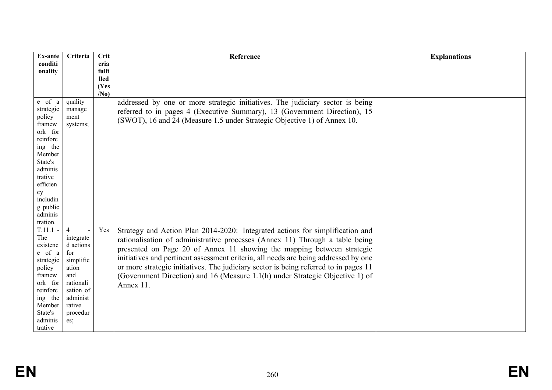| Ex-ante            | Criteria         | Crit            | Reference                                                                            | <b>Explanations</b> |
|--------------------|------------------|-----------------|--------------------------------------------------------------------------------------|---------------------|
| conditi            |                  | eria<br>fulfi   |                                                                                      |                     |
| onality            |                  | <b>lled</b>     |                                                                                      |                     |
|                    |                  | (Yes            |                                                                                      |                     |
|                    |                  | /N <sub>0</sub> |                                                                                      |                     |
| e of a             | quality          |                 | addressed by one or more strategic initiatives. The judiciary sector is being        |                     |
| strategic          | manage           |                 | referred to in pages 4 (Executive Summary), 13 (Government Direction), 15            |                     |
| policy             | ment             |                 | (SWOT), 16 and 24 (Measure 1.5 under Strategic Objective 1) of Annex 10.             |                     |
| framew<br>ork for  | systems;         |                 |                                                                                      |                     |
| reinforc           |                  |                 |                                                                                      |                     |
| ing the            |                  |                 |                                                                                      |                     |
| Member             |                  |                 |                                                                                      |                     |
| State's            |                  |                 |                                                                                      |                     |
| adminis            |                  |                 |                                                                                      |                     |
| trative            |                  |                 |                                                                                      |                     |
| efficien           |                  |                 |                                                                                      |                     |
| cy<br>includin     |                  |                 |                                                                                      |                     |
| g public           |                  |                 |                                                                                      |                     |
| adminis            |                  |                 |                                                                                      |                     |
| tration.           |                  |                 |                                                                                      |                     |
| $T.11.1 -$         | $\overline{4}$   | Yes             | Strategy and Action Plan 2014-2020: Integrated actions for simplification and        |                     |
| The                | integrate        |                 | rationalisation of administrative processes (Annex 11) Through a table being         |                     |
| existenc<br>e of a | d actions<br>for |                 | presented on Page 20 of Annex 11 showing the mapping between strategic               |                     |
| strategic          | simplific        |                 | initiatives and pertinent assessment criteria, all needs are being addressed by one  |                     |
| policy             | ation            |                 | or more strategic initiatives. The judiciary sector is being referred to in pages 11 |                     |
| framew             | and              |                 | (Government Direction) and 16 (Measure 1.1(h) under Strategic Objective 1) of        |                     |
| ork for            | rationali        |                 | Annex 11.                                                                            |                     |
| reinforc           | sation of        |                 |                                                                                      |                     |
| ing the            | administ         |                 |                                                                                      |                     |
| Member             | rative           |                 |                                                                                      |                     |
| State's<br>adminis | procedur<br>es;  |                 |                                                                                      |                     |
| trative            |                  |                 |                                                                                      |                     |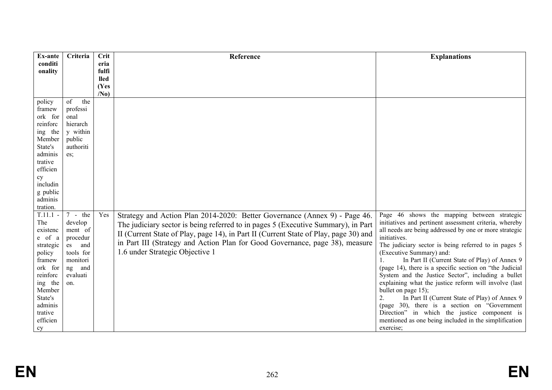| Ex-ante           | Criteria  | <b>Crit</b>         | Reference                                                                            | <b>Explanations</b>                                                        |
|-------------------|-----------|---------------------|--------------------------------------------------------------------------------------|----------------------------------------------------------------------------|
| conditi           |           | eria                |                                                                                      |                                                                            |
| onality           |           | fulfi               |                                                                                      |                                                                            |
|                   |           | <b>lled</b><br>(Yes |                                                                                      |                                                                            |
|                   |           | /N <sub>0</sub>     |                                                                                      |                                                                            |
| policy            | of<br>the |                     |                                                                                      |                                                                            |
| framew            | professi  |                     |                                                                                      |                                                                            |
| ork for           | onal      |                     |                                                                                      |                                                                            |
| reinforc          | hierarch  |                     |                                                                                      |                                                                            |
| ing the           | y within  |                     |                                                                                      |                                                                            |
| Member            | public    |                     |                                                                                      |                                                                            |
| State's           | authoriti |                     |                                                                                      |                                                                            |
| adminis           | es;       |                     |                                                                                      |                                                                            |
| trative           |           |                     |                                                                                      |                                                                            |
| efficien          |           |                     |                                                                                      |                                                                            |
| cy<br>includin    |           |                     |                                                                                      |                                                                            |
| g public          |           |                     |                                                                                      |                                                                            |
| adminis           |           |                     |                                                                                      |                                                                            |
| tration.          |           |                     |                                                                                      |                                                                            |
| $T.11.1 -$        | $7 - the$ | Yes                 | Strategy and Action Plan 2014-2020: Better Governance (Annex 9) - Page 46.           | Page 46 shows the mapping between strategic                                |
| The               | develop   |                     | The judiciary sector is being referred to in pages 5 (Executive Summary), in Part    | initiatives and pertinent assessment criteria, whereby                     |
| existenc          | ment of   |                     | II (Current State of Play, page 14), in Part II (Current State of Play, page 30) and | all needs are being addressed by one or more strategic                     |
| e of a            | procedur  |                     |                                                                                      | initiatives.                                                               |
| strategic         | and<br>es |                     | in Part III (Strategy and Action Plan for Good Governance, page 38), measure         | The judiciary sector is being referred to in pages 5                       |
| policy            | tools for |                     | 1.6 under Strategic Objective 1                                                      | (Executive Summary) and:                                                   |
| framew            | monitori  |                     |                                                                                      | In Part II (Current State of Play) of Annex 9                              |
| ork for           | ng<br>and |                     |                                                                                      | (page 14), there is a specific section on "the Judicial                    |
| reinforc          | evaluati  |                     |                                                                                      | System and the Justice Sector", including a bullet                         |
| ing the           | on.       |                     |                                                                                      | explaining what the justice reform will involve (last                      |
| Member<br>State's |           |                     |                                                                                      | bullet on page 15);<br>2.<br>In Part II (Current State of Play) of Annex 9 |
| adminis           |           |                     |                                                                                      | (page 30), there is a section on "Government"                              |
| trative           |           |                     |                                                                                      | Direction" in which the justice component is                               |
| efficien          |           |                     |                                                                                      | mentioned as one being included in the simplification                      |
| cy                |           |                     |                                                                                      | exercise;                                                                  |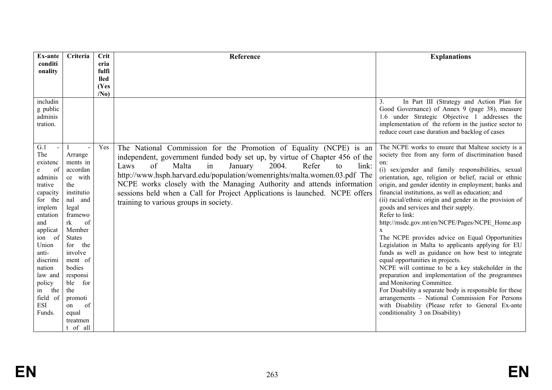| Ex-ante                                                                                                                                                                                                                                            | Criteria                                                                                                                                                                                                                                                                                    | Crit            | Reference                                                                                                                                                                                                                                                                                                                                                                                                                                                                                                  | <b>Explanations</b>                                                                                                                                                                                                                                                                                                                                                                                                                                                                                                                                                                                                                                                                                                                                                                                                                                                                                                                                                                                                                                                    |
|----------------------------------------------------------------------------------------------------------------------------------------------------------------------------------------------------------------------------------------------------|---------------------------------------------------------------------------------------------------------------------------------------------------------------------------------------------------------------------------------------------------------------------------------------------|-----------------|------------------------------------------------------------------------------------------------------------------------------------------------------------------------------------------------------------------------------------------------------------------------------------------------------------------------------------------------------------------------------------------------------------------------------------------------------------------------------------------------------------|------------------------------------------------------------------------------------------------------------------------------------------------------------------------------------------------------------------------------------------------------------------------------------------------------------------------------------------------------------------------------------------------------------------------------------------------------------------------------------------------------------------------------------------------------------------------------------------------------------------------------------------------------------------------------------------------------------------------------------------------------------------------------------------------------------------------------------------------------------------------------------------------------------------------------------------------------------------------------------------------------------------------------------------------------------------------|
| conditi<br>onality                                                                                                                                                                                                                                 |                                                                                                                                                                                                                                                                                             | eria<br>fulfi   |                                                                                                                                                                                                                                                                                                                                                                                                                                                                                                            |                                                                                                                                                                                                                                                                                                                                                                                                                                                                                                                                                                                                                                                                                                                                                                                                                                                                                                                                                                                                                                                                        |
|                                                                                                                                                                                                                                                    |                                                                                                                                                                                                                                                                                             | <b>lled</b>     |                                                                                                                                                                                                                                                                                                                                                                                                                                                                                                            |                                                                                                                                                                                                                                                                                                                                                                                                                                                                                                                                                                                                                                                                                                                                                                                                                                                                                                                                                                                                                                                                        |
|                                                                                                                                                                                                                                                    |                                                                                                                                                                                                                                                                                             | (Yes            |                                                                                                                                                                                                                                                                                                                                                                                                                                                                                                            |                                                                                                                                                                                                                                                                                                                                                                                                                                                                                                                                                                                                                                                                                                                                                                                                                                                                                                                                                                                                                                                                        |
| includin<br>g public<br>adminis<br>tration.                                                                                                                                                                                                        |                                                                                                                                                                                                                                                                                             | /N <sub>0</sub> |                                                                                                                                                                                                                                                                                                                                                                                                                                                                                                            | In Part III (Strategy and Action Plan for<br>$\mathfrak{Z}$ .<br>Good Governance) of Annex 9 (page 38), measure<br>1.6 under Strategic Objective 1 addresses the<br>implementation of the reform in the justice sector to<br>reduce court case duration and backlog of cases                                                                                                                                                                                                                                                                                                                                                                                                                                                                                                                                                                                                                                                                                                                                                                                           |
| G.1<br>The<br>existenc<br>of<br>e<br>adminis<br>trative<br>capacity<br>for the<br>implem<br>entation<br>and<br>applicat<br>of<br>ion<br>Union<br>anti-<br>discrimi<br>nation<br>law and<br>policy<br>the<br>in<br>field of<br><b>ESI</b><br>Funds. | $\overline{a}$<br>Arrange<br>ments in<br>accordan<br>ce with<br>the<br>institutio<br>nal and<br>legal<br>framewo<br>rk<br>of<br>Member<br><b>States</b><br>the<br>for<br>involve<br>ment of<br>bodies<br>responsi<br>ble for<br>the<br>promoti<br>of<br>on<br>equal<br>treatmen<br>t of all | Yes             | The National Commission for the Promotion of Equality (NCPE) is an<br>independent, government funded body set up, by virtue of Chapter 456 of the<br>of<br>2004.<br>Refer<br>Malta<br>Laws<br>in<br>January<br>link:<br>to<br>http://www.hsph.harvard.edu/population/womenrights/malta.women.03.pdf The<br>NCPE works closely with the Managing Authority and attends information<br>sessions held when a Call for Project Applications is launched. NCPE offers<br>training to various groups in society. | The NCPE works to ensure that Maltese society is a<br>society free from any form of discrimination based<br>on:<br>(i) sex/gender and family responsibilities, sexual<br>orientation, age, religion or belief, racial or ethnic<br>origin, and gender identity in employment; banks and<br>financial institutions, as well as education; and<br>(ii) racial/ethnic origin and gender in the provision of<br>goods and services and their supply.<br>Refer to link:<br>http://msdc.gov.mt/en/NCPE/Pages/NCPE Home.asp<br>X<br>The NCPE provides advice on Equal Opportunities<br>Legislation in Malta to applicants applying for EU<br>funds as well as guidance on how best to integrate<br>equal opportunities in projects.<br>NCPE will continue to be a key stakeholder in the<br>preparation and implementation of the programmes<br>and Monitoring Committee.<br>For Disability a separate body is responsible for these<br>arrangements - National Commission For Persons<br>with Disability (Please refer to General Ex-ante<br>conditionality 3 on Disability) |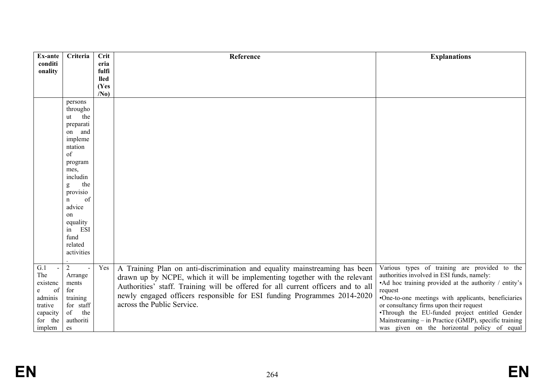| Ex-ante                | Criteria               | <b>Crit</b>     | Reference                                                                        | <b>Explanations</b>                                                                       |
|------------------------|------------------------|-----------------|----------------------------------------------------------------------------------|-------------------------------------------------------------------------------------------|
| conditi<br>onality     |                        | eria<br>fulfi   |                                                                                  |                                                                                           |
|                        |                        | <b>lled</b>     |                                                                                  |                                                                                           |
|                        |                        | (Yes            |                                                                                  |                                                                                           |
|                        |                        | /N <sub>0</sub> |                                                                                  |                                                                                           |
|                        | persons                |                 |                                                                                  |                                                                                           |
|                        | througho               |                 |                                                                                  |                                                                                           |
|                        | the<br>ut              |                 |                                                                                  |                                                                                           |
|                        | preparati              |                 |                                                                                  |                                                                                           |
|                        | on and<br>impleme      |                 |                                                                                  |                                                                                           |
|                        | ntation                |                 |                                                                                  |                                                                                           |
|                        | of                     |                 |                                                                                  |                                                                                           |
|                        | program                |                 |                                                                                  |                                                                                           |
|                        | mes,                   |                 |                                                                                  |                                                                                           |
|                        | includin               |                 |                                                                                  |                                                                                           |
|                        | the<br>g               |                 |                                                                                  |                                                                                           |
|                        | provisio               |                 |                                                                                  |                                                                                           |
|                        | of<br>$\mathbf n$      |                 |                                                                                  |                                                                                           |
|                        | advice                 |                 |                                                                                  |                                                                                           |
|                        | on                     |                 |                                                                                  |                                                                                           |
|                        | equality<br>in ESI     |                 |                                                                                  |                                                                                           |
|                        | fund                   |                 |                                                                                  |                                                                                           |
|                        | related                |                 |                                                                                  |                                                                                           |
|                        | activities             |                 |                                                                                  |                                                                                           |
|                        |                        |                 |                                                                                  |                                                                                           |
| G.1<br>$\mathbb{Z}^2$  | $\overline{2}$         | Yes             | A Training Plan on anti-discrimination and equality mainstreaming has been       | Various types of training are provided to the                                             |
| The                    | Arrange                |                 | drawn up by NCPE, which it will be implementing together with the relevant       | authorities involved in ESI funds, namely:                                                |
| existenc               | ments                  |                 | Authorities' staff. Training will be offered for all current officers and to all | •Ad hoc training provided at the authority / entity's                                     |
| of<br>e                | for                    |                 | newly engaged officers responsible for ESI funding Programmes 2014-2020          | request                                                                                   |
| adminis                | training               |                 | across the Public Service.                                                       | •One-to-one meetings with applicants, beneficiaries                                       |
| trative                | for staff<br>the<br>of |                 |                                                                                  | or consultancy firms upon their request<br>•Through the EU-funded project entitled Gender |
| capacity<br>the<br>for | authoriti              |                 |                                                                                  | Mainstreaming – in Practice (GMIP), specific training                                     |
| implem                 | es                     |                 |                                                                                  | was given on the horizontal policy of equal                                               |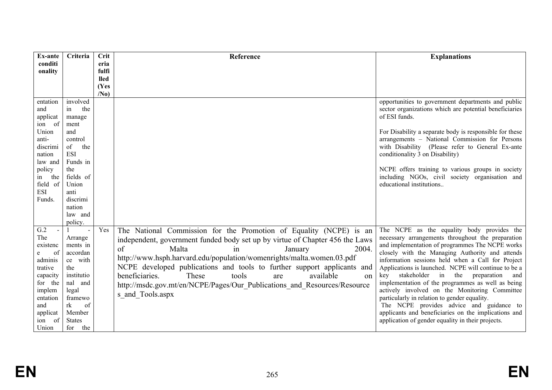| Ex-ante               | Criteria                 | Crit            | Reference                                                                    | <b>Explanations</b>                                                                                       |
|-----------------------|--------------------------|-----------------|------------------------------------------------------------------------------|-----------------------------------------------------------------------------------------------------------|
| conditi               |                          | eria            |                                                                              |                                                                                                           |
| onality               |                          | fulfi           |                                                                              |                                                                                                           |
|                       |                          | lled            |                                                                              |                                                                                                           |
|                       |                          | (Yes            |                                                                              |                                                                                                           |
|                       |                          | /N <sub>0</sub> |                                                                              |                                                                                                           |
| entation              | involved                 |                 |                                                                              | opportunities to government departments and public                                                        |
| and                   | in<br>the                |                 |                                                                              | sector organizations which are potential beneficiaries                                                    |
| applicat              | manage                   |                 |                                                                              | of ESI funds.                                                                                             |
| ion of                | ment                     |                 |                                                                              |                                                                                                           |
| Union<br>anti-        | and                      |                 |                                                                              | For Disability a separate body is responsible for these<br>arrangements - National Commission for Persons |
| discrimi              | control<br>of<br>the     |                 |                                                                              | with Disability (Please refer to General Ex-ante                                                          |
| nation                | <b>ESI</b>               |                 |                                                                              | conditionality 3 on Disability)                                                                           |
| law and               | Funds in                 |                 |                                                                              |                                                                                                           |
| policy                | the                      |                 |                                                                              | NCPE offers training to various groups in society                                                         |
| the<br>in             | fields of                |                 |                                                                              | including NGOs, civil society organisation and                                                            |
| field of              | Union                    |                 |                                                                              | educational institutions                                                                                  |
| <b>ESI</b>            | anti                     |                 |                                                                              |                                                                                                           |
| Funds.                | discrimi                 |                 |                                                                              |                                                                                                           |
|                       | nation                   |                 |                                                                              |                                                                                                           |
|                       | law and                  |                 |                                                                              |                                                                                                           |
|                       | policy.                  |                 |                                                                              |                                                                                                           |
| G.2                   | $\overline{\phantom{a}}$ | Yes             | The National Commission for the Promotion of Equality (NCPE) is an           | The NCPE as the equality body provides the                                                                |
| The                   | Arrange                  |                 | independent, government funded body set up by virtue of Chapter 456 the Laws | necessary arrangements throughout the preparation                                                         |
| existenc              | ments in                 |                 | $\sigma$ f<br>Malta<br>2004.<br>in<br>January                                | and implementation of programmes The NCPE works                                                           |
| of<br>e               | accordan                 |                 | http://www.hsph.harvard.edu/population/womenrights/malta.women.03.pdf        | closely with the Managing Authority and attends                                                           |
| adminis               | ce with                  |                 |                                                                              | information sessions held when a Call for Project                                                         |
| trative               | the                      |                 | NCPE developed publications and tools to further support applicants and      | Applications is launched. NCPE will continue to be a                                                      |
| capacity              | institutio               |                 | beneficiaries.<br>These<br>tools<br>available<br>are<br>$_{\rm on}$          | in the<br>stakeholder<br>preparation<br>kev<br>and                                                        |
| for the               | nal and                  |                 | http://msdc.gov.mt/en/NCPE/Pages/Our Publications and Resources/Resource     | implementation of the programmes as well as being                                                         |
| implem                | legal                    |                 | s_and_Tools.aspx                                                             | actively involved on the Monitoring Committee                                                             |
| entation              | framewo<br>rk            |                 |                                                                              | particularly in relation to gender equality.<br>The NCPE provides advice and guidance to                  |
| and                   | of<br>Member             |                 |                                                                              | applicants and beneficiaries on the implications and                                                      |
| applicat<br>of<br>ion | <b>States</b>            |                 |                                                                              | application of gender equality in their projects.                                                         |
| Union                 | for<br>the               |                 |                                                                              |                                                                                                           |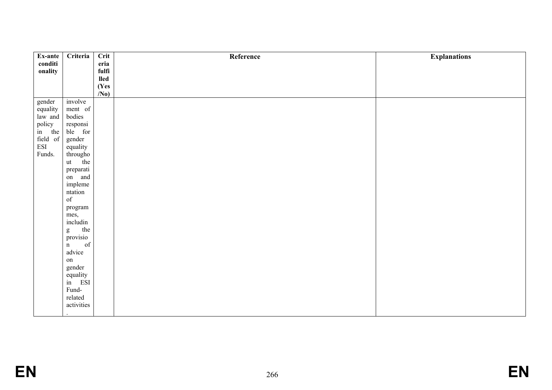| Ex-ante                             | Criteria           | $\overline{\text{Crit}}$             | Reference | <b>Explanations</b> |
|-------------------------------------|--------------------|--------------------------------------|-----------|---------------------|
| conditi                             |                    | eria                                 |           |                     |
| onality                             |                    | fulfi                                |           |                     |
|                                     |                    | $\boldsymbol{\mathsf{lled}}$<br>(Yes |           |                     |
|                                     |                    | (N <sub>0</sub> )                    |           |                     |
| gender                              | involve            |                                      |           |                     |
| equality                            | ment of            |                                      |           |                     |
| law and                             | bodies             |                                      |           |                     |
|                                     | responsi           |                                      |           |                     |
|                                     | ble for            |                                      |           |                     |
| policy<br>in the<br>field of<br>ESI | gender             |                                      |           |                     |
|                                     | equality           |                                      |           |                     |
| Funds.                              | througho<br>ut the |                                      |           |                     |
|                                     |                    |                                      |           |                     |
|                                     | preparati          |                                      |           |                     |
|                                     | on and             |                                      |           |                     |
|                                     | impleme            |                                      |           |                     |
|                                     | ntation<br>of      |                                      |           |                     |
|                                     |                    |                                      |           |                     |
|                                     | program            |                                      |           |                     |
|                                     | mes,<br>includin   |                                      |           |                     |
|                                     |                    |                                      |           |                     |
|                                     | g the<br>provisio  |                                      |           |                     |
|                                     | of<br>$\mathbf n$  |                                      |           |                     |
|                                     | advice             |                                      |           |                     |
|                                     | $\,$ on $\,$       |                                      |           |                     |
|                                     | gender             |                                      |           |                     |
|                                     |                    |                                      |           |                     |
|                                     | equality<br>in ESI |                                      |           |                     |
|                                     | Fund-              |                                      |           |                     |
|                                     | related            |                                      |           |                     |
|                                     | activities         |                                      |           |                     |
|                                     |                    |                                      |           |                     |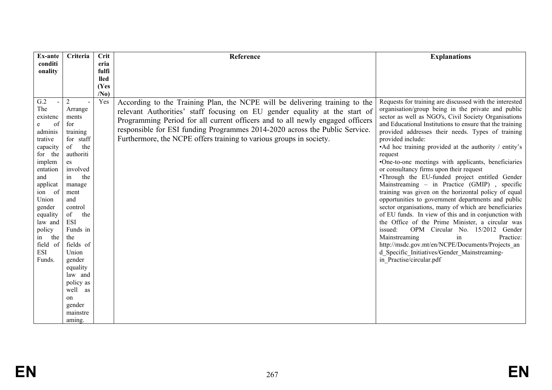|                                                                                                             | <b>Explanations</b>                                                                 |
|-------------------------------------------------------------------------------------------------------------|-------------------------------------------------------------------------------------|
| conditi<br>eria<br>fulfi                                                                                    |                                                                                     |
| onality<br><b>lled</b>                                                                                      |                                                                                     |
| (Yes                                                                                                        |                                                                                     |
| /N <sub>0</sub>                                                                                             |                                                                                     |
| G.2<br>Yes<br>$\overline{2}$<br>According to the Training Plan, the NCPE will be delivering training to the | Requests for training are discussed with the interested                             |
| The<br>Arrange<br>relevant Authorities' staff focusing on EU gender equality at the start of                | organisation/group being in the private and public                                  |
| existenc<br>ments<br>Programming Period for all current officers and to all newly engaged officers          | sector as well as NGO's, Civil Society Organisations                                |
| for<br>of<br>e<br>responsible for ESI funding Programmes 2014-2020 across the Public Service.               | and Educational Institutions to ensure that the training                            |
| adminis<br>training<br>Furthermore, the NCPE offers training to various groups in society.                  | provided addresses their needs. Types of training                                   |
| for staff<br>provided include:<br>trative<br>of<br>the<br>capacity                                          | •Ad hoc training provided at the authority / entity's                               |
| for the<br>authoriti<br>request                                                                             |                                                                                     |
| implem<br>es                                                                                                | •One-to-one meetings with applicants, beneficiaries                                 |
| or consultancy firms upon their request<br>involved<br>entation                                             |                                                                                     |
| in<br>the<br>and                                                                                            | •Through the EU-funded project entitled Gender                                      |
| applicat<br>manage                                                                                          | Mainstreaming - in Practice (GMIP), specific                                        |
| ion of<br>ment                                                                                              | training was given on the horizontal policy of equal                                |
| Union<br>and                                                                                                | opportunities to government departments and public                                  |
| gender<br>control                                                                                           | sector organisations, many of which are beneficiaries                               |
| of<br>the<br>equality                                                                                       | of EU funds. In view of this and in conjunction with                                |
| <b>ESI</b><br>law and<br>Funds in<br>issued:                                                                | the Office of the Prime Minister, a circular was<br>OPM Circular No. 15/2012 Gender |
| policy<br>the<br>Mainstreaming<br>the<br>in                                                                 | in<br>Practice:                                                                     |
| field of<br>fields of                                                                                       | http://msdc.gov.mt/en/NCPE/Documents/Projects an                                    |
| <b>ESI</b><br>Union<br>d Specific Initiatives/Gender Mainstreaming-                                         |                                                                                     |
| in Practise/circular.pdf<br>Funds.<br>gender                                                                |                                                                                     |
| equality                                                                                                    |                                                                                     |
| law and                                                                                                     |                                                                                     |
| policy as                                                                                                   |                                                                                     |
| well as                                                                                                     |                                                                                     |
| on                                                                                                          |                                                                                     |
| gender                                                                                                      |                                                                                     |
| mainstre<br>aming.                                                                                          |                                                                                     |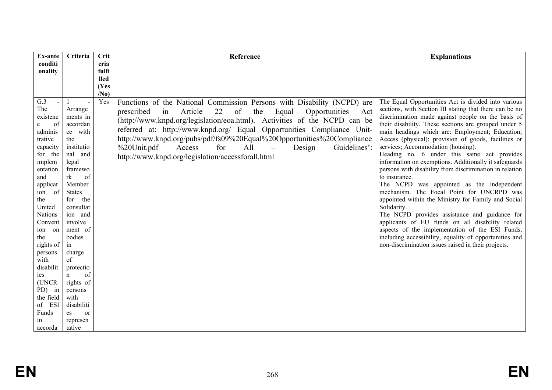| Ex-ante                                                                                                                                                                                                                                                                                                                       | <b>Crit</b><br>Criteria                                                                                                                                                                                                                                                                                                                                                       | Reference                                                                                                                                                                                                                                                                                                                                                                                                                                                                                                                                     | <b>Explanations</b>                                                                                                                                                                                                                                                                                                                                                                                                                                                                                                                                                                                                                                                                                                                                                                                                                                                                                                                                                                                       |
|-------------------------------------------------------------------------------------------------------------------------------------------------------------------------------------------------------------------------------------------------------------------------------------------------------------------------------|-------------------------------------------------------------------------------------------------------------------------------------------------------------------------------------------------------------------------------------------------------------------------------------------------------------------------------------------------------------------------------|-----------------------------------------------------------------------------------------------------------------------------------------------------------------------------------------------------------------------------------------------------------------------------------------------------------------------------------------------------------------------------------------------------------------------------------------------------------------------------------------------------------------------------------------------|-----------------------------------------------------------------------------------------------------------------------------------------------------------------------------------------------------------------------------------------------------------------------------------------------------------------------------------------------------------------------------------------------------------------------------------------------------------------------------------------------------------------------------------------------------------------------------------------------------------------------------------------------------------------------------------------------------------------------------------------------------------------------------------------------------------------------------------------------------------------------------------------------------------------------------------------------------------------------------------------------------------|
| conditi                                                                                                                                                                                                                                                                                                                       | eria                                                                                                                                                                                                                                                                                                                                                                          |                                                                                                                                                                                                                                                                                                                                                                                                                                                                                                                                               |                                                                                                                                                                                                                                                                                                                                                                                                                                                                                                                                                                                                                                                                                                                                                                                                                                                                                                                                                                                                           |
| onality                                                                                                                                                                                                                                                                                                                       | fulfi                                                                                                                                                                                                                                                                                                                                                                         |                                                                                                                                                                                                                                                                                                                                                                                                                                                                                                                                               |                                                                                                                                                                                                                                                                                                                                                                                                                                                                                                                                                                                                                                                                                                                                                                                                                                                                                                                                                                                                           |
|                                                                                                                                                                                                                                                                                                                               | <b>lled</b>                                                                                                                                                                                                                                                                                                                                                                   |                                                                                                                                                                                                                                                                                                                                                                                                                                                                                                                                               |                                                                                                                                                                                                                                                                                                                                                                                                                                                                                                                                                                                                                                                                                                                                                                                                                                                                                                                                                                                                           |
|                                                                                                                                                                                                                                                                                                                               | (Yes                                                                                                                                                                                                                                                                                                                                                                          |                                                                                                                                                                                                                                                                                                                                                                                                                                                                                                                                               |                                                                                                                                                                                                                                                                                                                                                                                                                                                                                                                                                                                                                                                                                                                                                                                                                                                                                                                                                                                                           |
| G.3<br>The<br>existenc<br>of<br>e<br>adminis<br>trative<br>capacity<br>for the<br>implem<br>entation<br>and<br>applicat<br>- of<br>ion<br>the<br>United<br><b>Nations</b><br>Convent<br>ion on<br>the<br>rights of<br>persons<br>with<br>disabilit<br>ies<br>(UNCR<br>PD) in<br>the field<br>of ESI<br>Funds<br>in<br>accorda | /N <sub>0</sub><br>Yes<br>Arrange<br>ments in<br>accordan<br>ce with<br>the<br>institutio<br>nal and<br>legal<br>framewo<br>rk<br>of<br>Member<br><b>States</b><br>for<br>the<br>consultat<br>ion and<br>involve<br>ment of<br>bodies<br>in<br>charge<br>of<br>protectio<br>of<br>$\mathbf n$<br>rights of<br>persons<br>with<br>disabiliti<br>es<br>or<br>represen<br>tative | Functions of the National Commission Persons with Disability (NCPD) are<br>22<br>of<br>prescribed<br>in<br>Article<br>the<br>Equal<br>Opportunities<br>Act<br>(http://www.knpd.org/legislation/eoa.html). Activities of the NCPD can be<br>referred at: http://www.knpd.org/ Equal Opportunities Compliance Unit-<br>http://www.knpd.org/pubs/pdf/fs09%20Equal%20Opportunities%20Compliance<br>%20Unit.pdf<br>All<br>Guidelines':<br>Access<br>for<br>Design<br>$\overline{\phantom{m}}$<br>http://www.knpd.org/legislation/accessforall.html | The Equal Opportunities Act is divided into various<br>sections, with Section III stating that there can be no<br>discrimination made against people on the basis of<br>their disability. These sections are grouped under 5<br>main headings which are: Employment; Education;<br>Access (physical); provision of goods, facilities or<br>services; Accommodation (housing).<br>Heading no. 6 under this same act provides<br>information on exemptions. Additionally it safeguards<br>persons with disability from discrimination in relation<br>to insurance.<br>The NCPD was appointed as the independent<br>mechanism. The Focal Point for UNCRPD was<br>appointed within the Ministry for Family and Social<br>Solidarity.<br>The NCPD provides assistance and guidance for<br>applicants of EU funds on all disability related<br>aspects of the implementation of the ESI Funds,<br>including accessibility, equality of opportunities and<br>non-discrimination issues raised in their projects. |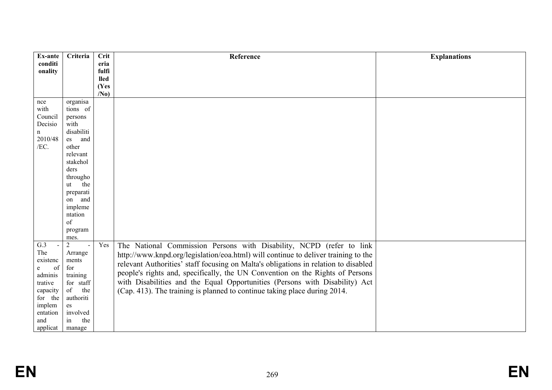| Ex-ante      | Criteria                                    | Crit                 | Reference                                                                           | <b>Explanations</b> |
|--------------|---------------------------------------------|----------------------|-------------------------------------------------------------------------------------|---------------------|
| conditi      |                                             | eria                 |                                                                                     |                     |
| onality      |                                             | fulfi<br><b>lled</b> |                                                                                     |                     |
|              |                                             | (Yes                 |                                                                                     |                     |
|              |                                             | /N <sub>0</sub>      |                                                                                     |                     |
| nce          | organisa                                    |                      |                                                                                     |                     |
| with         | tions of                                    |                      |                                                                                     |                     |
| Council      | persons                                     |                      |                                                                                     |                     |
| Decisio      | with                                        |                      |                                                                                     |                     |
| n<br>2010/48 | disabiliti<br>and                           |                      |                                                                                     |                     |
| /EC.         | es<br>other                                 |                      |                                                                                     |                     |
|              | relevant                                    |                      |                                                                                     |                     |
|              | stakehol                                    |                      |                                                                                     |                     |
|              | ders                                        |                      |                                                                                     |                     |
|              | througho                                    |                      |                                                                                     |                     |
|              | the<br>ut                                   |                      |                                                                                     |                     |
|              | preparati                                   |                      |                                                                                     |                     |
|              | on and                                      |                      |                                                                                     |                     |
|              | impleme                                     |                      |                                                                                     |                     |
|              | ntation                                     |                      |                                                                                     |                     |
|              | of                                          |                      |                                                                                     |                     |
|              | program                                     |                      |                                                                                     |                     |
| G.3          | mes.                                        |                      |                                                                                     |                     |
| The          | $\overline{2}$<br>$\overline{a}$<br>Arrange | Yes                  | The National Commission Persons with Disability, NCPD (refer to link                |                     |
| existenc     | ments                                       |                      | http://www.knpd.org/legislation/eoa.html) will continue to deliver training to the  |                     |
| of<br>e      | for                                         |                      | relevant Authorities' staff focusing on Malta's obligations in relation to disabled |                     |
| adminis      | training                                    |                      | people's rights and, specifically, the UN Convention on the Rights of Persons       |                     |
| trative      | for staff                                   |                      | with Disabilities and the Equal Opportunities (Persons with Disability) Act         |                     |
| capacity     | of<br>the                                   |                      | (Cap. 413). The training is planned to continue taking place during 2014.           |                     |
| for the      | authoriti                                   |                      |                                                                                     |                     |
| implem       | es                                          |                      |                                                                                     |                     |
| entation     | involved                                    |                      |                                                                                     |                     |
| and          | in<br>the                                   |                      |                                                                                     |                     |
| applicat     | manage                                      |                      |                                                                                     |                     |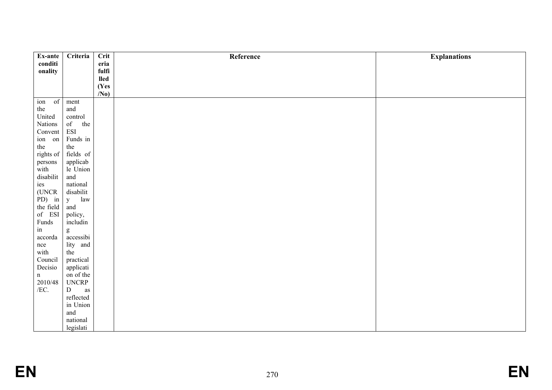| Ex-ante             | Criteria                                                                                                                                                                                                                                                                                                                                                                                                                       | $\overline{\text{Crit}}$ | Reference | <b>Explanations</b> |
|---------------------|--------------------------------------------------------------------------------------------------------------------------------------------------------------------------------------------------------------------------------------------------------------------------------------------------------------------------------------------------------------------------------------------------------------------------------|--------------------------|-----------|---------------------|
| conditi             |                                                                                                                                                                                                                                                                                                                                                                                                                                | eria                     |           |                     |
| onality             |                                                                                                                                                                                                                                                                                                                                                                                                                                | fulfi                    |           |                     |
|                     |                                                                                                                                                                                                                                                                                                                                                                                                                                | lled                     |           |                     |
|                     |                                                                                                                                                                                                                                                                                                                                                                                                                                | (Yes                     |           |                     |
|                     |                                                                                                                                                                                                                                                                                                                                                                                                                                | /N <sub>0</sub>          |           |                     |
| of<br>ion           | ment                                                                                                                                                                                                                                                                                                                                                                                                                           |                          |           |                     |
| the                 | and                                                                                                                                                                                                                                                                                                                                                                                                                            |                          |           |                     |
| United              | control                                                                                                                                                                                                                                                                                                                                                                                                                        |                          |           |                     |
| Nations             | of<br>the                                                                                                                                                                                                                                                                                                                                                                                                                      |                          |           |                     |
| Convent             | <b>ESI</b>                                                                                                                                                                                                                                                                                                                                                                                                                     |                          |           |                     |
| ion on              | Funds in                                                                                                                                                                                                                                                                                                                                                                                                                       |                          |           |                     |
| the                 | the                                                                                                                                                                                                                                                                                                                                                                                                                            |                          |           |                     |
| rights of           | fields of                                                                                                                                                                                                                                                                                                                                                                                                                      |                          |           |                     |
| persons             | applicab                                                                                                                                                                                                                                                                                                                                                                                                                       |                          |           |                     |
| with                | le Union                                                                                                                                                                                                                                                                                                                                                                                                                       |                          |           |                     |
| $\it disability$    | and                                                                                                                                                                                                                                                                                                                                                                                                                            |                          |           |                     |
| ies                 | national                                                                                                                                                                                                                                                                                                                                                                                                                       |                          |           |                     |
| (UNCR               | disabilit                                                                                                                                                                                                                                                                                                                                                                                                                      |                          |           |                     |
| PD) in              | $\mathbf{y}$<br>law                                                                                                                                                                                                                                                                                                                                                                                                            |                          |           |                     |
| the field           | and                                                                                                                                                                                                                                                                                                                                                                                                                            |                          |           |                     |
| of ESI              | policy,                                                                                                                                                                                                                                                                                                                                                                                                                        |                          |           |                     |
| Funds               | includin                                                                                                                                                                                                                                                                                                                                                                                                                       |                          |           |                     |
| $\operatorname{in}$ | $\mathbf{g}% _{T}=\mathbf{g}_{T}=\mathbf{g}_{T}=\mathbf{g}_{T}=\mathbf{g}_{T}=\mathbf{g}_{T}=\mathbf{g}_{T}=\mathbf{g}_{T}=\mathbf{g}_{T}=\mathbf{g}_{T}=\mathbf{g}_{T}=\mathbf{g}_{T}=\mathbf{g}_{T}=\mathbf{g}_{T}=\mathbf{g}_{T}=\mathbf{g}_{T}=\mathbf{g}_{T}=\mathbf{g}_{T}=\mathbf{g}_{T}=\mathbf{g}_{T}=\mathbf{g}_{T}=\mathbf{g}_{T}=\mathbf{g}_{T}=\mathbf{g}_{T}=\mathbf{g}_{T}=\mathbf{g}_{T}=\mathbf{g}_{T}=\math$ |                          |           |                     |
| accorda             | accessibi                                                                                                                                                                                                                                                                                                                                                                                                                      |                          |           |                     |
| nce                 | lity and                                                                                                                                                                                                                                                                                                                                                                                                                       |                          |           |                     |
| with                | the                                                                                                                                                                                                                                                                                                                                                                                                                            |                          |           |                     |
| Council             | practical                                                                                                                                                                                                                                                                                                                                                                                                                      |                          |           |                     |
| Decisio             | applicati                                                                                                                                                                                                                                                                                                                                                                                                                      |                          |           |                     |
| $\mathbf n$         | on of the                                                                                                                                                                                                                                                                                                                                                                                                                      |                          |           |                     |
| 2010/48             | $\ensuremath{\mathrm{UNCRP}}$                                                                                                                                                                                                                                                                                                                                                                                                  |                          |           |                     |
| /EC.                | ${\rm D}$<br>$\rm as$                                                                                                                                                                                                                                                                                                                                                                                                          |                          |           |                     |
|                     | $\operatorname{reflected}$                                                                                                                                                                                                                                                                                                                                                                                                     |                          |           |                     |
|                     | in Union                                                                                                                                                                                                                                                                                                                                                                                                                       |                          |           |                     |
|                     | and                                                                                                                                                                                                                                                                                                                                                                                                                            |                          |           |                     |
|                     | national                                                                                                                                                                                                                                                                                                                                                                                                                       |                          |           |                     |
|                     | legislati                                                                                                                                                                                                                                                                                                                                                                                                                      |                          |           |                     |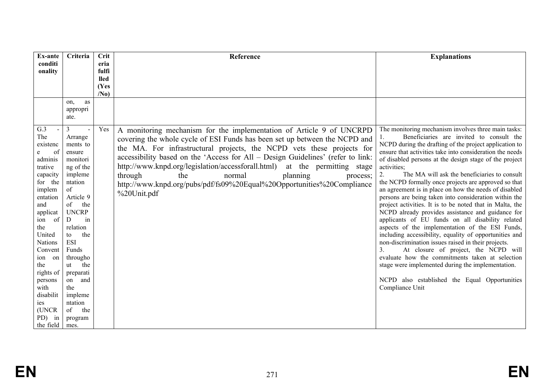| <b>Ex-ante</b>     | Criteria             | <b>Crit</b>     | Reference                                                                       | <b>Explanations</b>                                                                                                |
|--------------------|----------------------|-----------------|---------------------------------------------------------------------------------|--------------------------------------------------------------------------------------------------------------------|
| conditi<br>onality |                      | eria<br>fulfi   |                                                                                 |                                                                                                                    |
|                    |                      | <b>lled</b>     |                                                                                 |                                                                                                                    |
|                    |                      | (Yes            |                                                                                 |                                                                                                                    |
|                    |                      | /N <sub>0</sub> |                                                                                 |                                                                                                                    |
|                    | as<br>on,            |                 |                                                                                 |                                                                                                                    |
|                    | appropri             |                 |                                                                                 |                                                                                                                    |
|                    | ate.                 |                 |                                                                                 |                                                                                                                    |
| G.3                | $\overline{3}$       | Yes             | A monitoring mechanism for the implementation of Article 9 of UNCRPD            | The monitoring mechanism involves three main tasks:                                                                |
| The                | Arrange              |                 | covering the whole cycle of ESI Funds has been set up between the NCPD and      | Beneficiaries are invited to consult the                                                                           |
| existenc           | ments to             |                 | the MA. For infrastructural projects, the NCPD vets these projects for          | NCPD during the drafting of the project application to                                                             |
| of<br>e<br>adminis | ensure<br>monitori   |                 | accessibility based on the 'Access for All - Design Guidelines' (refer to link: | ensure that activities take into consideration the needs<br>of disabled persons at the design stage of the project |
| trative            | ng of the            |                 | http://www.knpd.org/legislation/accessforall.html)<br>at the permitting stage   | activities;                                                                                                        |
| capacity           | impleme              |                 | through<br>planning<br>the<br>normal<br>process;                                | 2.<br>The MA will ask the beneficiaries to consult                                                                 |
| for the            | ntation              |                 | http://www.knpd.org/pubs/pdf/fs09%20Equal%20Opportunities%20Compliance          | the NCPD formally once projects are approved so that                                                               |
| implem             | of                   |                 |                                                                                 | an agreement is in place on how the needs of disabled                                                              |
| entation           | Article 9            |                 | %20Unit.pdf                                                                     | persons are being taken into consideration within the                                                              |
| and                | of<br>the            |                 |                                                                                 | project activities. It is to be noted that in Malta, the                                                           |
| applicat           | <b>UNCRP</b>         |                 |                                                                                 | NCPD already provides assistance and guidance for                                                                  |
| of<br>ion          | D<br>in              |                 |                                                                                 | applicants of EU funds on all disability related                                                                   |
| the<br>United      | relation<br>the      |                 |                                                                                 | aspects of the implementation of the ESI Funds,                                                                    |
| <b>Nations</b>     | to<br><b>ESI</b>     |                 |                                                                                 | including accessibility, equality of opportunities and<br>non-discrimination issues raised in their projects.      |
| Convent            | Funds                |                 |                                                                                 | 3.<br>At closure of project, the NCPD will                                                                         |
| on<br>ion          | througho             |                 |                                                                                 | evaluate how the commitments taken at selection                                                                    |
| the                | the<br>ut            |                 |                                                                                 | stage were implemented during the implementation.                                                                  |
| rights of          | preparati            |                 |                                                                                 |                                                                                                                    |
| persons            | and<br>on            |                 |                                                                                 | NCPD also established the Equal Opportunities                                                                      |
| with               | the                  |                 |                                                                                 | Compliance Unit                                                                                                    |
| disabilit          | impleme              |                 |                                                                                 |                                                                                                                    |
| ies<br>(UNCR       | ntation<br>of<br>the |                 |                                                                                 |                                                                                                                    |
| PD)<br>in          | program              |                 |                                                                                 |                                                                                                                    |
| the field          | mes.                 |                 |                                                                                 |                                                                                                                    |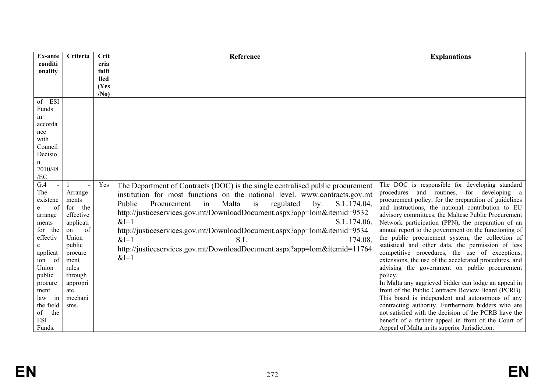| <b>Ex-ante</b>         | Criteria                | <b>Crit</b>     | Reference                                                                      | <b>Explanations</b>                                                                                        |
|------------------------|-------------------------|-----------------|--------------------------------------------------------------------------------|------------------------------------------------------------------------------------------------------------|
| conditi                |                         | eria            |                                                                                |                                                                                                            |
| onality                |                         | fulfi           |                                                                                |                                                                                                            |
|                        |                         | <b>lled</b>     |                                                                                |                                                                                                            |
|                        |                         | (Yes            |                                                                                |                                                                                                            |
| of ESI                 |                         | /N <sub>0</sub> |                                                                                |                                                                                                            |
| Funds                  |                         |                 |                                                                                |                                                                                                            |
| in                     |                         |                 |                                                                                |                                                                                                            |
| accorda                |                         |                 |                                                                                |                                                                                                            |
| nce                    |                         |                 |                                                                                |                                                                                                            |
| with                   |                         |                 |                                                                                |                                                                                                            |
| Council                |                         |                 |                                                                                |                                                                                                            |
| Decisio                |                         |                 |                                                                                |                                                                                                            |
| n                      |                         |                 |                                                                                |                                                                                                            |
| 2010/48                |                         |                 |                                                                                |                                                                                                            |
| /EC.                   |                         |                 |                                                                                |                                                                                                            |
| G.4                    |                         | Yes             | The Department of Contracts (DOC) is the single centralised public procurement | The DOC is responsible for developing standard                                                             |
| The                    | Arrange                 |                 | institution for most functions on the national level. www.contracts.gov.mt     | procedures and routines, for developing a                                                                  |
| existenc               | ments                   |                 | Public<br>Malta<br>S.L.174.04,<br>Procurement<br>in<br>is<br>regulated<br>by:  | procurement policy, for the preparation of guidelines                                                      |
| of<br>e<br>arrange     | for<br>the<br>effective |                 | http://justiceservices.gov.mt/DownloadDocument.aspx?app=lom&itemid=9532        | and instructions, the national contribution to EU<br>advisory committees, the Maltese Public Procurement   |
| ments                  | applicati               |                 | $&1=1$<br>S.L.174.06,                                                          | Network participation (PPN), the preparation of an                                                         |
| for the                | of<br>on                |                 | http://justiceservices.gov.mt/DownloadDocument.aspx?app=lom&itemid=9534        | annual report to the government on the functioning of                                                      |
| effectiv               | Union                   |                 | $&1=1$<br>S.L<br>174.08,                                                       | the public procurement system, the collection of                                                           |
| e                      | public                  |                 |                                                                                | statistical and other data, the permission of less                                                         |
| applicat               | procure                 |                 | http://justiceservices.gov.mt/DownloadDocument.aspx?app=lom&itemid=11764       | competitive procedures, the use of exceptions,                                                             |
| ion of                 | ment                    |                 | $&1=1$                                                                         | extensions, the use of the accelerated procedures, and                                                     |
| Union                  | rules                   |                 |                                                                                | advising the government on public procurement                                                              |
| public                 | through                 |                 |                                                                                | policy.                                                                                                    |
| procure                | appropri                |                 |                                                                                | In Malta any aggrieved bidder can lodge an appeal in                                                       |
| ment                   | ate                     |                 |                                                                                | front of the Public Contracts Review Board (PCRB).                                                         |
| in<br>law<br>the field | mechani                 |                 |                                                                                | This board is independent and autonomous of any                                                            |
| of<br>the              | sms.                    |                 |                                                                                | contracting authority. Furthermore bidders who are<br>not satisfied with the decision of the PCRB have the |
| <b>ESI</b>             |                         |                 |                                                                                | benefit of a further appeal in front of the Court of                                                       |
| Funds.                 |                         |                 |                                                                                | Appeal of Malta in its superior Jurisdiction.                                                              |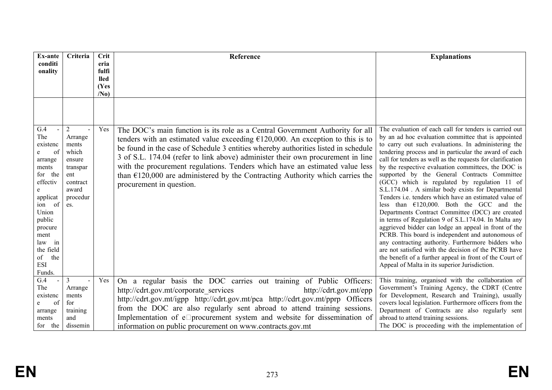| <b>Ex-ante</b><br>conditi                                                                                                                                                             | Criteria                                                                                                         | Crit<br>eria            | Reference                                                                                                                                                                                                                                                                                                                                                                                                                                                                                                                                          | <b>Explanations</b>                                                                                                                                                                                                                                                                                                                                                                                                                                                                                                                                                                                                                                                                                                                                                                                                                                                                                                                                                                                                                                                          |
|---------------------------------------------------------------------------------------------------------------------------------------------------------------------------------------|------------------------------------------------------------------------------------------------------------------|-------------------------|----------------------------------------------------------------------------------------------------------------------------------------------------------------------------------------------------------------------------------------------------------------------------------------------------------------------------------------------------------------------------------------------------------------------------------------------------------------------------------------------------------------------------------------------------|------------------------------------------------------------------------------------------------------------------------------------------------------------------------------------------------------------------------------------------------------------------------------------------------------------------------------------------------------------------------------------------------------------------------------------------------------------------------------------------------------------------------------------------------------------------------------------------------------------------------------------------------------------------------------------------------------------------------------------------------------------------------------------------------------------------------------------------------------------------------------------------------------------------------------------------------------------------------------------------------------------------------------------------------------------------------------|
| onality                                                                                                                                                                               |                                                                                                                  | fulfi                   |                                                                                                                                                                                                                                                                                                                                                                                                                                                                                                                                                    |                                                                                                                                                                                                                                                                                                                                                                                                                                                                                                                                                                                                                                                                                                                                                                                                                                                                                                                                                                                                                                                                              |
|                                                                                                                                                                                       |                                                                                                                  | lled                    |                                                                                                                                                                                                                                                                                                                                                                                                                                                                                                                                                    |                                                                                                                                                                                                                                                                                                                                                                                                                                                                                                                                                                                                                                                                                                                                                                                                                                                                                                                                                                                                                                                                              |
|                                                                                                                                                                                       |                                                                                                                  | (Yes<br>/N <sub>0</sub> |                                                                                                                                                                                                                                                                                                                                                                                                                                                                                                                                                    |                                                                                                                                                                                                                                                                                                                                                                                                                                                                                                                                                                                                                                                                                                                                                                                                                                                                                                                                                                                                                                                                              |
|                                                                                                                                                                                       |                                                                                                                  |                         |                                                                                                                                                                                                                                                                                                                                                                                                                                                                                                                                                    |                                                                                                                                                                                                                                                                                                                                                                                                                                                                                                                                                                                                                                                                                                                                                                                                                                                                                                                                                                                                                                                                              |
| G.4<br>The<br>existenc<br>of<br>arrange<br>ments<br>for the<br>effectiv<br>applicat<br>ion of<br>Union<br>public<br>procure<br>ment<br>law in<br>the field<br>the<br>of<br><b>ESI</b> | $\overline{2}$<br>Arrange<br>ments<br>which<br>ensure<br>transpar<br>ent<br>contract<br>award<br>procedur<br>es. | Yes                     | The DOC's main function is its role as a Central Government Authority for all<br>tenders with an estimated value exceeding $£120,000$ . An exception to this is to<br>be found in the case of Schedule 3 entities whereby authorities listed in schedule<br>3 of S.L. 174.04 (refer to link above) administer their own procurement in line<br>with the procurement regulations. Tenders which have an estimated value less<br>than $\epsilon$ 120,000 are administered by the Contracting Authority which carries the<br>procurement in question. | The evaluation of each call for tenders is carried out<br>by an ad hoc evaluation committee that is appointed<br>to carry out such evaluations. In administering the<br>tendering process and in particular the award of each<br>call for tenders as well as the requests for clarification<br>by the respective evaluation committees, the DOC is<br>supported by the General Contracts Committee<br>(GCC) which is regulated by regulation 11 of<br>S.L.174.04 . A similar body exists for Departmental<br>Tenders <i>i.e.</i> tenders which have an estimated value of<br>less than $£120,000$ . Both the GCC and the<br>Departments Contract Committee (DCC) are created<br>in terms of Regulation 9 of S.L.174.04. In Malta any<br>aggrieved bidder can lodge an appeal in front of the<br>PCRB. This board is independent and autonomous of<br>any contracting authority. Furthermore bidders who<br>are not satisfied with the decision of the PCRB have<br>the benefit of a further appeal in front of the Court of<br>Appeal of Malta in its superior Jurisdiction. |
| Funds.<br>G.4<br>The<br>existenc<br>of<br>e<br>arrange<br>ments<br>for the                                                                                                            | 3<br>Arrange<br>ments<br>for<br>training<br>and<br>dissemin                                                      | Yes                     | On a regular basis the DOC carries out training of Public Officers:<br>http://cdrt.gov.mt/corporate services<br>http://cdrt.gov.mt/epp<br>http://cdrt.gov.mt/igpp http://cdrt.gov.mt/pca http://cdrt.gov.mt/pprp Officers<br>from the DOC are also regularly sent abroad to attend training sessions.<br>Implementation of e $\square$ procurement system and website for dissemination of<br>information on public procurement on www.contracts.gov.mt                                                                                            | This training, organised with the collaboration of<br>Government's Training Agency, the CDRT (Centre<br>for Development, Research and Training), usually<br>covers local legislation. Furthermore officers from the<br>Department of Contracts are also regularly sent<br>abroad to attend training sessions.<br>The DOC is proceeding with the implementation of                                                                                                                                                                                                                                                                                                                                                                                                                                                                                                                                                                                                                                                                                                            |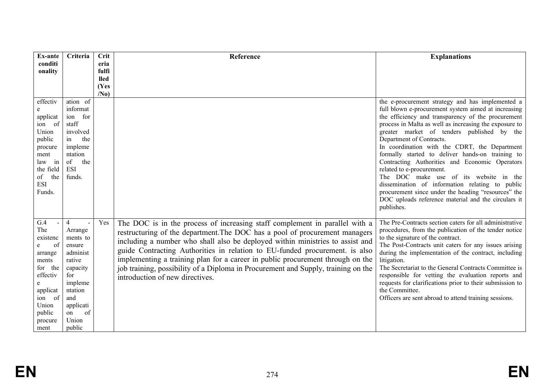| Ex-ante                                                                                                                                          | Criteria                                                                                                                                                          | <b>Crit</b>     | Reference                                                                                                                                                                                                                                                                                                                                                                                                                                                                                                                            | <b>Explanations</b>                                                                                                                                                                                                                                                                                                                                                                                                                                                                                                                                                                                                                                                                                            |
|--------------------------------------------------------------------------------------------------------------------------------------------------|-------------------------------------------------------------------------------------------------------------------------------------------------------------------|-----------------|--------------------------------------------------------------------------------------------------------------------------------------------------------------------------------------------------------------------------------------------------------------------------------------------------------------------------------------------------------------------------------------------------------------------------------------------------------------------------------------------------------------------------------------|----------------------------------------------------------------------------------------------------------------------------------------------------------------------------------------------------------------------------------------------------------------------------------------------------------------------------------------------------------------------------------------------------------------------------------------------------------------------------------------------------------------------------------------------------------------------------------------------------------------------------------------------------------------------------------------------------------------|
| conditi<br>onality                                                                                                                               |                                                                                                                                                                   | eria<br>fulfi   |                                                                                                                                                                                                                                                                                                                                                                                                                                                                                                                                      |                                                                                                                                                                                                                                                                                                                                                                                                                                                                                                                                                                                                                                                                                                                |
|                                                                                                                                                  |                                                                                                                                                                   | <b>lled</b>     |                                                                                                                                                                                                                                                                                                                                                                                                                                                                                                                                      |                                                                                                                                                                                                                                                                                                                                                                                                                                                                                                                                                                                                                                                                                                                |
|                                                                                                                                                  |                                                                                                                                                                   | (Yes            |                                                                                                                                                                                                                                                                                                                                                                                                                                                                                                                                      |                                                                                                                                                                                                                                                                                                                                                                                                                                                                                                                                                                                                                                                                                                                |
|                                                                                                                                                  | ation of                                                                                                                                                          | /N <sub>0</sub> |                                                                                                                                                                                                                                                                                                                                                                                                                                                                                                                                      |                                                                                                                                                                                                                                                                                                                                                                                                                                                                                                                                                                                                                                                                                                                |
| effectiv<br>e<br>applicat<br>- of<br>ion<br>Union<br>public<br>procure<br>ment<br>in<br>law<br>the field<br>of<br>the<br><b>ESI</b><br>Funds.    | informat<br>ion for<br>staff<br>involved<br>the<br>in<br>impleme<br>ntation<br>the<br>of<br><b>ESI</b><br>funds.                                                  |                 |                                                                                                                                                                                                                                                                                                                                                                                                                                                                                                                                      | the e-procurement strategy and has implemented a<br>full blown e-procurement system aimed at increasing<br>the efficiency and transparency of the procurement<br>process in Malta as well as increasing the exposure to<br>greater market of tenders published by the<br>Department of Contracts.<br>In coordination with the CDRT, the Department<br>formally started to deliver hands-on training to<br>Contracting Authorities and Economic Operators<br>related to e-procurement.<br>The DOC make use of its website in the<br>dissemination of information relating to public<br>procurement since under the heading "resources" the<br>DOC uploads reference material and the circulars it<br>publishes. |
| G.4<br>The<br>existenc<br>of<br>e<br>arrange<br>ments<br>for the<br>effectiv<br>e<br>applicat<br>of<br>ion<br>Union<br>public<br>procure<br>ment | $\overline{4}$<br>Arrange<br>ments to<br>ensure<br>administ<br>rative<br>capacity<br>for<br>impleme<br>ntation<br>and<br>applicati<br>of<br>on<br>Union<br>public | Yes             | The DOC is in the process of increasing staff complement in parallel with a<br>restructuring of the department. The DOC has a pool of procurement managers<br>including a number who shall also be deployed within ministries to assist and<br>guide Contracting Authorities in relation to EU-funded procurement. is also<br>implementing a training plan for a career in public procurement through on the<br>job training, possibility of a Diploma in Procurement and Supply, training on the<br>introduction of new directives. | The Pre-Contracts section caters for all administrative<br>procedures, from the publication of the tender notice<br>to the signature of the contract.<br>The Post-Contracts unit caters for any issues arising<br>during the implementation of the contract, including<br>litigation.<br>The Secretariat to the General Contracts Committee is<br>responsible for vetting the evaluation reports and<br>requests for clarifications prior to their submission to<br>the Committee.<br>Officers are sent abroad to attend training sessions.                                                                                                                                                                    |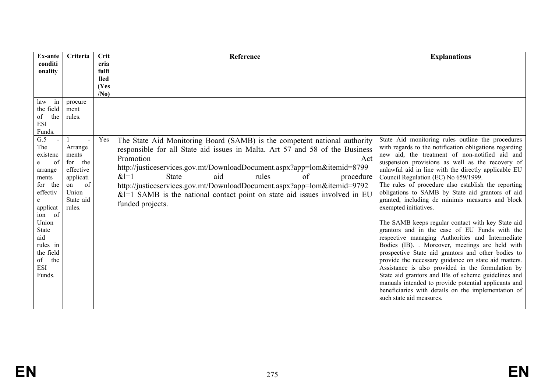| <b>Ex-ante</b>                                                                                                                                                                  | Criteria                                                                                                                          | Crit                    | Reference                                                                                                                                                                                                                                                                                                                                                                                                                                                                                            | <b>Explanations</b>                                                                                                                                                                                                                                                                                                                                                                                                                                                                                                                                            |
|---------------------------------------------------------------------------------------------------------------------------------------------------------------------------------|-----------------------------------------------------------------------------------------------------------------------------------|-------------------------|------------------------------------------------------------------------------------------------------------------------------------------------------------------------------------------------------------------------------------------------------------------------------------------------------------------------------------------------------------------------------------------------------------------------------------------------------------------------------------------------------|----------------------------------------------------------------------------------------------------------------------------------------------------------------------------------------------------------------------------------------------------------------------------------------------------------------------------------------------------------------------------------------------------------------------------------------------------------------------------------------------------------------------------------------------------------------|
| conditi<br>onality                                                                                                                                                              |                                                                                                                                   | eria<br>fulfi           |                                                                                                                                                                                                                                                                                                                                                                                                                                                                                                      |                                                                                                                                                                                                                                                                                                                                                                                                                                                                                                                                                                |
|                                                                                                                                                                                 |                                                                                                                                   | <b>lled</b>             |                                                                                                                                                                                                                                                                                                                                                                                                                                                                                                      |                                                                                                                                                                                                                                                                                                                                                                                                                                                                                                                                                                |
|                                                                                                                                                                                 |                                                                                                                                   | (Yes<br>/N <sub>0</sub> |                                                                                                                                                                                                                                                                                                                                                                                                                                                                                                      |                                                                                                                                                                                                                                                                                                                                                                                                                                                                                                                                                                |
| in<br>law<br>the field<br>the<br>of<br><b>ESI</b><br>Funds.<br>G.5<br>The<br>existenc<br>of<br>e<br>arrange<br>ments<br>for the<br>effectiv<br>e<br>applicat<br>ion of<br>Union | procure<br>ment<br>rules.<br>Arrange<br>ments<br>for<br>the<br>effective<br>applicati<br>of<br>on<br>Union<br>State aid<br>rules. | Yes                     | The State Aid Monitoring Board (SAMB) is the competent national authority<br>responsible for all State aid issues in Malta. Art 57 and 58 of the Business<br>Promotion<br>Act<br>http://justiceservices.gov.mt/DownloadDocument.aspx?app=lom&itemid=8799<br>$&1=1$<br><b>State</b><br>aid<br>rules<br>procedure<br>of<br>http://justiceservices.gov.mt/DownloadDocument.aspx?app=lom&itemid=9792<br>$&$ =1 SAMB is the national contact point on state aid issues involved in EU<br>funded projects. | State Aid monitoring rules outline the procedures<br>with regards to the notification obligations regarding<br>new aid, the treatment of non-notified aid and<br>suspension provisions as well as the recovery of<br>unlawful aid in line with the directly applicable EU<br>Council Regulation (EC) No 659/1999.<br>The rules of procedure also establish the reporting<br>obligations to SAMB by State aid grantors of aid<br>granted, including de minimis measures and block<br>exempted initiatives.<br>The SAMB keeps regular contact with key State aid |
| State<br>aid<br>rules in<br>the field<br>the<br>of<br><b>ESI</b><br>Funds.                                                                                                      |                                                                                                                                   |                         |                                                                                                                                                                                                                                                                                                                                                                                                                                                                                                      | grantors and in the case of EU Funds with the<br>respective managing Authorities and Intermediate<br>Bodies (IB). Moreover, meetings are held with<br>prospective State aid grantors and other bodies to<br>provide the necessary guidance on state aid matters.<br>Assistance is also provided in the formulation by<br>State aid grantors and IBs of scheme guidelines and<br>manuals intended to provide potential applicants and<br>beneficiaries with details on the implementation of<br>such state aid measures.                                        |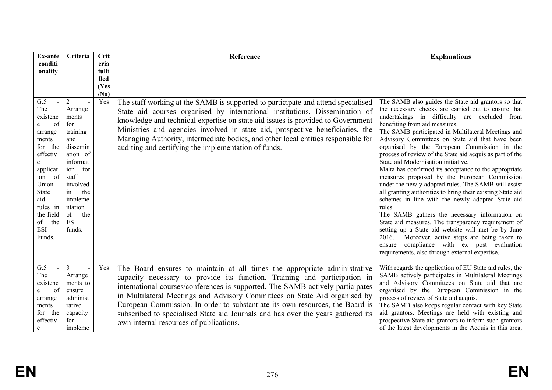| Ex-ante                                                                                                                                                                                                    | Criteria                                                                                                                                                                                    | Crit                                                    | Reference                                                                                                                                                                                                                                                                                                                                                                                                                                                                                                                              | <b>Explanations</b>                                                                                                                                                                                                                                                                                                                                                                                                                                                                                                                                                                                                                                                                                                                                                                                                                                                                                                                                                                                                                                                      |
|------------------------------------------------------------------------------------------------------------------------------------------------------------------------------------------------------------|---------------------------------------------------------------------------------------------------------------------------------------------------------------------------------------------|---------------------------------------------------------|----------------------------------------------------------------------------------------------------------------------------------------------------------------------------------------------------------------------------------------------------------------------------------------------------------------------------------------------------------------------------------------------------------------------------------------------------------------------------------------------------------------------------------------|--------------------------------------------------------------------------------------------------------------------------------------------------------------------------------------------------------------------------------------------------------------------------------------------------------------------------------------------------------------------------------------------------------------------------------------------------------------------------------------------------------------------------------------------------------------------------------------------------------------------------------------------------------------------------------------------------------------------------------------------------------------------------------------------------------------------------------------------------------------------------------------------------------------------------------------------------------------------------------------------------------------------------------------------------------------------------|
| conditi<br>onality                                                                                                                                                                                         |                                                                                                                                                                                             | eria<br>fulfi<br><b>lled</b><br>(Yes<br>/N <sub>0</sub> |                                                                                                                                                                                                                                                                                                                                                                                                                                                                                                                                        |                                                                                                                                                                                                                                                                                                                                                                                                                                                                                                                                                                                                                                                                                                                                                                                                                                                                                                                                                                                                                                                                          |
| G.5<br>The<br>existenc<br>of<br>e<br>arrange<br>ments<br>for the<br>effectiv<br>e<br>applicat<br>ion<br>- of<br>Union<br><b>State</b><br>aid<br>rules in<br>the field<br>the<br>of<br><b>ESI</b><br>Funds. | 2<br>Arrange<br>ments<br>for<br>training<br>and<br>dissemin<br>ation of<br>informat<br>ion for<br>staff<br>involved<br>the<br>in<br>impleme<br>ntation<br>of<br>the<br><b>ESI</b><br>funds. | Yes                                                     | The staff working at the SAMB is supported to participate and attend specialised<br>State aid courses organised by international institutions. Dissemination of<br>knowledge and technical expertise on state aid issues is provided to Government<br>Ministries and agencies involved in state aid, prospective beneficiaries, the<br>Managing Authority, intermediate bodies, and other local entities responsible for<br>auditing and certifying the implementation of funds.                                                       | The SAMB also guides the State aid grantors so that<br>the necessary checks are carried out to ensure that<br>undertakings in difficulty are excluded from<br>benefiting from aid measures.<br>The SAMB participated in Multilateral Meetings and<br>Advisory Committees on State aid that have been<br>organised by the European Commission in the<br>process of review of the State aid acquis as part of the<br>State aid Modernisation initiative.<br>Malta has confirmed its acceptance to the appropriate<br>measures proposed by the European Commission<br>under the newly adopted rules. The SAMB will assist<br>all granting authorities to bring their existing State aid<br>schemes in line with the newly adopted State aid<br>rules.<br>The SAMB gathers the necessary information on<br>State aid measures. The transparency requirement of<br>setting up a State aid website will met be by June<br>Moreover, active steps are being taken to<br>2016.<br>compliance with ex post evaluation<br>ensure<br>requirements, also through external expertise. |
| G.5<br>The<br>existenc<br>of<br>e<br>arrange<br>ments<br>the<br>for<br>effectiv<br>e                                                                                                                       | $\overline{3}$<br>$\overline{a}$<br>Arrange<br>ments to<br>ensure<br>administ<br>rative<br>capacity<br>for<br>impleme                                                                       | Yes                                                     | The Board ensures to maintain at all times the appropriate administrative<br>capacity necessary to provide its function. Training and participation in<br>international courses/conferences is supported. The SAMB actively participates<br>in Multilateral Meetings and Advisory Committees on State Aid organised by<br>European Commission. In order to substantiate its own resources, the Board is<br>subscribed to specialised State aid Journals and has over the years gathered its<br>own internal resources of publications. | With regards the application of EU State aid rules, the<br>SAMB actively participates in Multilateral Meetings<br>and Advisory Committees on State aid that are<br>organised by the European Commission in the<br>process of review of State aid acquis.<br>The SAMB also keeps regular contact with key State<br>aid grantors. Meetings are held with existing and<br>prospective State aid grantors to inform such grantors<br>of the latest developments in the Acquis in this area,                                                                                                                                                                                                                                                                                                                                                                                                                                                                                                                                                                                  |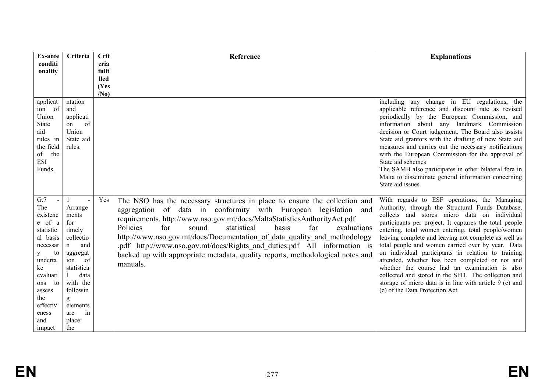| Ex-ante                                                                                                                                                                           | Criteria                                                                                                                                                                                              | Crit            | Reference                                                                                                                                                                                                                                                                                                                                                                                                                                                                                                                                                    | <b>Explanations</b>                                                                                                                                                                                                                                                                                                                                                                                                                                                                                                                                                                                                                                                                          |
|-----------------------------------------------------------------------------------------------------------------------------------------------------------------------------------|-------------------------------------------------------------------------------------------------------------------------------------------------------------------------------------------------------|-----------------|--------------------------------------------------------------------------------------------------------------------------------------------------------------------------------------------------------------------------------------------------------------------------------------------------------------------------------------------------------------------------------------------------------------------------------------------------------------------------------------------------------------------------------------------------------------|----------------------------------------------------------------------------------------------------------------------------------------------------------------------------------------------------------------------------------------------------------------------------------------------------------------------------------------------------------------------------------------------------------------------------------------------------------------------------------------------------------------------------------------------------------------------------------------------------------------------------------------------------------------------------------------------|
| conditi                                                                                                                                                                           |                                                                                                                                                                                                       | eria<br>fulfi   |                                                                                                                                                                                                                                                                                                                                                                                                                                                                                                                                                              |                                                                                                                                                                                                                                                                                                                                                                                                                                                                                                                                                                                                                                                                                              |
| onality                                                                                                                                                                           |                                                                                                                                                                                                       | <b>lled</b>     |                                                                                                                                                                                                                                                                                                                                                                                                                                                                                                                                                              |                                                                                                                                                                                                                                                                                                                                                                                                                                                                                                                                                                                                                                                                                              |
|                                                                                                                                                                                   |                                                                                                                                                                                                       | (Yes            |                                                                                                                                                                                                                                                                                                                                                                                                                                                                                                                                                              |                                                                                                                                                                                                                                                                                                                                                                                                                                                                                                                                                                                                                                                                                              |
|                                                                                                                                                                                   |                                                                                                                                                                                                       | /N <sub>0</sub> |                                                                                                                                                                                                                                                                                                                                                                                                                                                                                                                                                              |                                                                                                                                                                                                                                                                                                                                                                                                                                                                                                                                                                                                                                                                                              |
| applicat<br>ion of<br>Union<br><b>State</b><br>aid<br>rules in<br>the field<br>of the<br><b>ESI</b><br>Funds.                                                                     | ntation<br>and<br>applicati<br>of<br>on<br>Union<br>State aid<br>rules.                                                                                                                               |                 |                                                                                                                                                                                                                                                                                                                                                                                                                                                                                                                                                              | including any change in EU regulations, the<br>applicable reference and discount rate as revised<br>periodically by the European Commission, and<br>information about any landmark Commission<br>decision or Court judgement. The Board also assists<br>State aid grantors with the drafting of new State aid<br>measures and carries out the necessary notifications<br>with the European Commission for the approval of<br>State aid schemes<br>The SAMB also participates in other bilateral fora in<br>Malta to disseminate general information concerning<br>State aid issues.                                                                                                          |
| G.7<br>The<br>existenc<br>e of a<br>statistic<br>al basis<br>necessar<br>to<br>У<br>underta<br>ke<br>evaluati<br>to<br>ons<br>assess<br>the<br>effectiv<br>eness<br>and<br>impact | Arrange<br>ments<br>for<br>timely<br>collectio<br>and<br>$\mathbf n$<br>aggregat<br><sub>of</sub><br>ion<br>statistica<br>data<br>with the<br>followin<br>g<br>elements<br>are<br>in<br>place:<br>the | Yes             | The NSO has the necessary structures in place to ensure the collection and<br>aggregation of data in conformity with European legislation<br>and<br>requirements. http://www.nso.gov.mt/docs/MaltaStatisticsAuthorityAct.pdf<br>Policies<br>for<br>statistical<br>basis<br>for<br>sound<br>evaluations<br>http://www.nso.gov.mt/docs/Documentation of data quality and methodology<br>.pdf http://www.nso.gov.mt/docs/Rights and duties.pdf All information is<br>backed up with appropriate metadata, quality reports, methodological notes and<br>manuals. | With regards to ESF operations, the Managing<br>Authority, through the Structural Funds Database,<br>collects and stores micro data on individual<br>participants per project. It captures the total people<br>entering, total women entering, total people/women<br>leaving complete and leaving not complete as well as<br>total people and women carried over by year. Data<br>on individual participants in relation to training<br>attended, whether has been completed or not and<br>whether the course had an examination is also<br>collected and stored in the SFD. The collection and<br>storage of micro data is in line with article 9 (c) and<br>(e) of the Data Protection Act |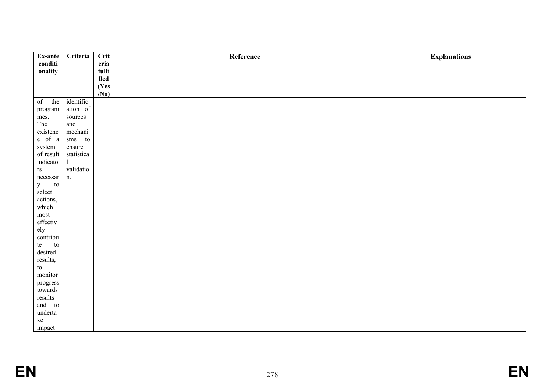| Ex-ante                                                                                                                 | Criteria     | Crit            | Reference | <b>Explanations</b> |
|-------------------------------------------------------------------------------------------------------------------------|--------------|-----------------|-----------|---------------------|
| conditi                                                                                                                 |              | eria            |           |                     |
| onality                                                                                                                 |              | fulfi           |           |                     |
|                                                                                                                         |              | <b>lled</b>     |           |                     |
|                                                                                                                         |              | (Yes            |           |                     |
|                                                                                                                         |              | /N <sub>0</sub> |           |                     |
| of<br>the                                                                                                               | identific    |                 |           |                     |
| $\,$ program                                                                                                            | ation of     |                 |           |                     |
| mes.                                                                                                                    | sources      |                 |           |                     |
| The                                                                                                                     | and          |                 |           |                     |
| existenc                                                                                                                | mechani      |                 |           |                     |
| $e$ of $\,$ a                                                                                                           | sms to       |                 |           |                     |
| system                                                                                                                  | ensure       |                 |           |                     |
| $% \left\vert \left( \mathbf{r}_{i}\right) \right\rangle$ of result                                                     | statistica   |                 |           |                     |
| indicato                                                                                                                | $\mathbf{1}$ |                 |           |                     |
| $\mathbf{r}\mathbf{s}$                                                                                                  | validatio    |                 |           |                     |
| necessary                                                                                                               | n.           |                 |           |                     |
| y<br>to                                                                                                                 |              |                 |           |                     |
| select                                                                                                                  |              |                 |           |                     |
| actions,                                                                                                                |              |                 |           |                     |
| which                                                                                                                   |              |                 |           |                     |
| ${\rm most}$                                                                                                            |              |                 |           |                     |
| effectiv                                                                                                                |              |                 |           |                     |
| ely                                                                                                                     |              |                 |           |                     |
| contribu                                                                                                                |              |                 |           |                     |
| te<br>to                                                                                                                |              |                 |           |                     |
| desired                                                                                                                 |              |                 |           |                     |
| results,                                                                                                                |              |                 |           |                     |
|                                                                                                                         |              |                 |           |                     |
|                                                                                                                         |              |                 |           |                     |
|                                                                                                                         |              |                 |           |                     |
|                                                                                                                         |              |                 |           |                     |
|                                                                                                                         |              |                 |           |                     |
|                                                                                                                         |              |                 |           |                     |
|                                                                                                                         |              |                 |           |                     |
|                                                                                                                         |              |                 |           |                     |
| $\,$ to $\,$<br>monitor<br>$\bold{progress}$<br>towards<br>results<br>and to<br>underta<br>$\rm\thinspace ke$<br>impact |              |                 |           |                     |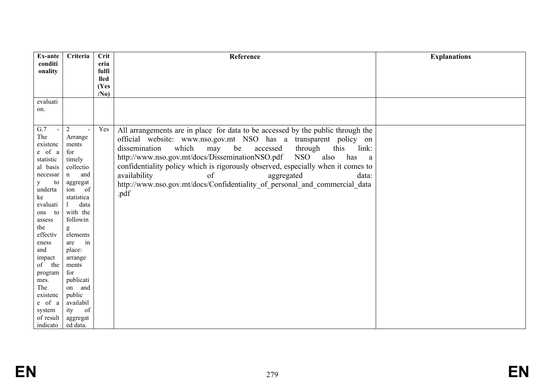| Ex-ante         | Criteria         | Crit                | Reference                                                                                    | <b>Explanations</b> |
|-----------------|------------------|---------------------|----------------------------------------------------------------------------------------------|---------------------|
| conditi         |                  | eria                |                                                                                              |                     |
| onality         |                  | fulfi               |                                                                                              |                     |
|                 |                  | <b>lled</b><br>(Yes |                                                                                              |                     |
|                 |                  | /N <sub>0</sub>     |                                                                                              |                     |
| evaluati        |                  |                     |                                                                                              |                     |
| on.             |                  |                     |                                                                                              |                     |
|                 |                  |                     |                                                                                              |                     |
|                 |                  |                     |                                                                                              |                     |
| G.7             | $\overline{2}$   | Yes                 | All arrangements are in place for data to be accessed by the public through the              |                     |
| The<br>existenc | Arrange<br>ments |                     | official website: www.nso.gov.mt NSO has a transparent policy on                             |                     |
| e of a          | for              |                     | link:<br>which<br>be<br>through<br>this<br>dissemination<br>may<br>accessed                  |                     |
| statistic       | timely           |                     | http://www.nso.gov.mt/docs/DisseminationNSO.pdf<br><b>NSO</b><br>also<br>has<br><sub>a</sub> |                     |
| al basis        | collectio        |                     | confidentiality policy which is rigorously observed, especially when it comes to             |                     |
| necessar        | and<br>n         |                     | availability<br>aggregated<br>data:<br>of                                                    |                     |
| to<br>y         | aggregat         |                     | http://www.nso.gov.mt/docs/Confidentiality_of_personal_and_commercial_data                   |                     |
| underta         | of<br>ion        |                     |                                                                                              |                     |
| ke              | statistica       |                     | .pdf                                                                                         |                     |
| evaluati        | data             |                     |                                                                                              |                     |
| to<br>ons       | with the         |                     |                                                                                              |                     |
| assess          | followin         |                     |                                                                                              |                     |
| the             | g                |                     |                                                                                              |                     |
| effectiv        | elements         |                     |                                                                                              |                     |
| eness           | are<br>in        |                     |                                                                                              |                     |
| and             | place:           |                     |                                                                                              |                     |
| impact          | arrange          |                     |                                                                                              |                     |
| of the          | ments<br>for     |                     |                                                                                              |                     |
| program<br>mes. | publicati        |                     |                                                                                              |                     |
| The             | on and           |                     |                                                                                              |                     |
| existenc        | public           |                     |                                                                                              |                     |
| e of a          | availabil        |                     |                                                                                              |                     |
| system          | ity<br>of        |                     |                                                                                              |                     |
| of result       | aggregat         |                     |                                                                                              |                     |
| indicato        | ed data.         |                     |                                                                                              |                     |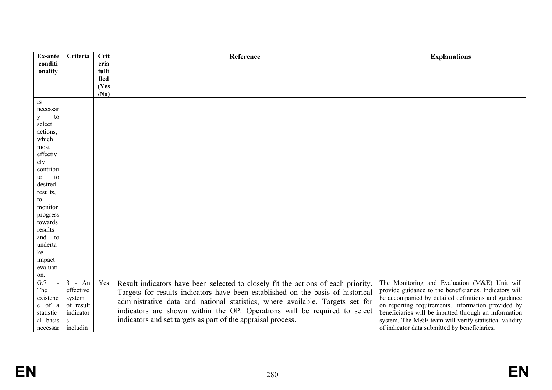| Ex-ante           | Criteria  | Crit                 | Reference                                                                         | <b>Explanations</b>                                    |
|-------------------|-----------|----------------------|-----------------------------------------------------------------------------------|--------------------------------------------------------|
| conditi           |           | eria                 |                                                                                   |                                                        |
| onality           |           | fulfi<br><b>lled</b> |                                                                                   |                                                        |
|                   |           | (Yes                 |                                                                                   |                                                        |
|                   |           | /N <sub>0</sub>      |                                                                                   |                                                        |
| rs                |           |                      |                                                                                   |                                                        |
| necessar          |           |                      |                                                                                   |                                                        |
| y<br>to           |           |                      |                                                                                   |                                                        |
| select            |           |                      |                                                                                   |                                                        |
| actions,<br>which |           |                      |                                                                                   |                                                        |
| most              |           |                      |                                                                                   |                                                        |
| effectiv          |           |                      |                                                                                   |                                                        |
| ely               |           |                      |                                                                                   |                                                        |
| contribu          |           |                      |                                                                                   |                                                        |
| to<br>te          |           |                      |                                                                                   |                                                        |
| desired           |           |                      |                                                                                   |                                                        |
| results,          |           |                      |                                                                                   |                                                        |
| to                |           |                      |                                                                                   |                                                        |
| monitor           |           |                      |                                                                                   |                                                        |
| progress          |           |                      |                                                                                   |                                                        |
| towards           |           |                      |                                                                                   |                                                        |
| results           |           |                      |                                                                                   |                                                        |
| and to            |           |                      |                                                                                   |                                                        |
| underta<br>ke     |           |                      |                                                                                   |                                                        |
| impact            |           |                      |                                                                                   |                                                        |
| evaluati          |           |                      |                                                                                   |                                                        |
| on.               |           |                      |                                                                                   |                                                        |
| $\overline{G.7}$  | $3 - An$  | Yes                  | Result indicators have been selected to closely fit the actions of each priority. | The Monitoring and Evaluation (M&E) Unit will          |
| The               | effective |                      | Targets for results indicators have been established on the basis of historical   | provide guidance to the beneficiaries. Indicators will |
| existenc          | system    |                      | administrative data and national statistics, where available. Targets set for     | be accompanied by detailed definitions and guidance    |
| e of a            | of result |                      |                                                                                   | on reporting requirements. Information provided by     |
| statistic         | indicator |                      | indicators are shown within the OP. Operations will be required to select         | beneficiaries will be inputted through an information  |
| al basis          | S         |                      | indicators and set targets as part of the appraisal process.                      | system. The M&E team will verify statistical validity  |
| necessar          | includin  |                      |                                                                                   | of indicator data submitted by beneficiaries.          |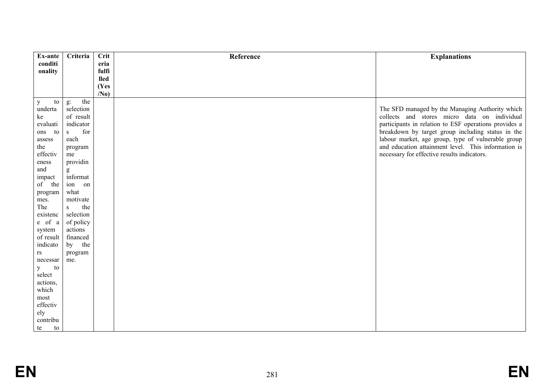| Ex-ante            | Criteria            | Crit            | Reference | <b>Explanations</b>                                   |
|--------------------|---------------------|-----------------|-----------|-------------------------------------------------------|
| conditi            |                     | eria            |           |                                                       |
| onality            |                     | fulfi           |           |                                                       |
|                    |                     | <b>lled</b>     |           |                                                       |
|                    |                     | (Yes            |           |                                                       |
|                    |                     | /N <sub>0</sub> |           |                                                       |
| $\mathbf{y}$<br>to | the<br>$g$ :        |                 |           |                                                       |
| underta            | selection           |                 |           | The SFD managed by the Managing Authority which       |
| ke                 | of result           |                 |           | collects and stores micro data on individual          |
| evaluati           | indicator           |                 |           | participants in relation to ESF operations provides a |
| to<br>ons          | for<br>${\bf S}$    |                 |           | breakdown by target group including status in the     |
| assess             | each                |                 |           | labour market, age group, type of vulnerable group    |
| the                | program             |                 |           | and education attainment level. This information is   |
| effectiv           | me                  |                 |           | necessary for effective results indicators.           |
| eness              | providin            |                 |           |                                                       |
| and                | $\mathbf{g}% _{0}$  |                 |           |                                                       |
| impact             | informat            |                 |           |                                                       |
| of the             | ion on              |                 |           |                                                       |
| program            | what                |                 |           |                                                       |
| mes.               | motivate            |                 |           |                                                       |
| The                | the<br>S            |                 |           |                                                       |
| existenc           | selection           |                 |           |                                                       |
| e of a             | of policy           |                 |           |                                                       |
| system             | actions<br>financed |                 |           |                                                       |
| of result          |                     |                 |           |                                                       |
| indicato           | by<br>the           |                 |           |                                                       |
| rs<br>necessar     | program<br>me.      |                 |           |                                                       |
| $\mathbf{y}$<br>to |                     |                 |           |                                                       |
| select             |                     |                 |           |                                                       |
| actions,           |                     |                 |           |                                                       |
| which              |                     |                 |           |                                                       |
| most               |                     |                 |           |                                                       |
| effectiv           |                     |                 |           |                                                       |
| ely                |                     |                 |           |                                                       |
| contribu           |                     |                 |           |                                                       |
| te<br>to           |                     |                 |           |                                                       |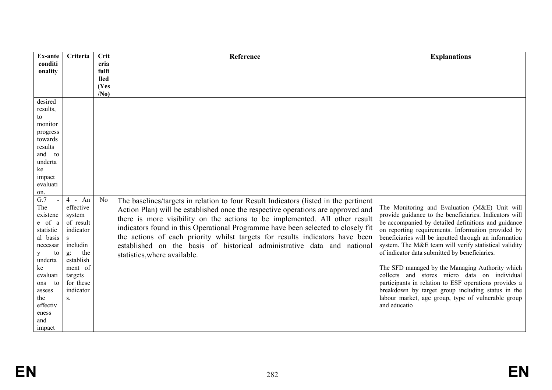| Ex-ante                    | Criteria  | Crit            | Reference                                                                            | <b>Explanations</b>                                    |
|----------------------------|-----------|-----------------|--------------------------------------------------------------------------------------|--------------------------------------------------------|
| conditi                    |           | eria            |                                                                                      |                                                        |
| onality                    |           | fulfi           |                                                                                      |                                                        |
|                            |           | <b>lled</b>     |                                                                                      |                                                        |
|                            |           | (Yes            |                                                                                      |                                                        |
|                            |           | /N <sub>0</sub> |                                                                                      |                                                        |
| desired                    |           |                 |                                                                                      |                                                        |
| results,                   |           |                 |                                                                                      |                                                        |
| to                         |           |                 |                                                                                      |                                                        |
| monitor                    |           |                 |                                                                                      |                                                        |
| progress                   |           |                 |                                                                                      |                                                        |
| towards                    |           |                 |                                                                                      |                                                        |
| results                    |           |                 |                                                                                      |                                                        |
| and to                     |           |                 |                                                                                      |                                                        |
| underta                    |           |                 |                                                                                      |                                                        |
| ke                         |           |                 |                                                                                      |                                                        |
| impact                     |           |                 |                                                                                      |                                                        |
| evaluati                   |           |                 |                                                                                      |                                                        |
| on.                        |           |                 |                                                                                      |                                                        |
| $\overline{G.7}$<br>$\sim$ | $4$ - An  | N <sub>0</sub>  | The baselines/targets in relation to four Result Indicators (listed in the pertinent |                                                        |
| The                        | effective |                 | Action Plan) will be established once the respective operations are approved and     | The Monitoring and Evaluation (M&E) Unit will          |
| existenc                   | system    |                 | there is more visibility on the actions to be implemented. All other result          | provide guidance to the beneficiaries. Indicators will |
| e of a                     | of result |                 |                                                                                      | be accompanied by detailed definitions and guidance    |
| statistic                  | indicator |                 | indicators found in this Operational Programme have been selected to closely fit     | on reporting requirements. Information provided by     |
| al basis                   | S         |                 | the actions of each priority whilst targets for results indicators have been         | beneficiaries will be inputted through an information  |
| necessar                   | includin  |                 | established on the basis of historical administrative data and national              | system. The M&E team will verify statistical validity  |
| to<br>y                    | the<br>g: |                 | statistics, where available.                                                         | of indicator data submitted by beneficiaries.          |
| underta                    | establish |                 |                                                                                      |                                                        |
| ke                         | ment of   |                 |                                                                                      | The SFD managed by the Managing Authority which        |
| evaluati                   | targets   |                 |                                                                                      | collects and stores micro data on individual           |
| to<br>ons                  | for these |                 |                                                                                      | participants in relation to ESF operations provides a  |
| assess                     | indicator |                 |                                                                                      | breakdown by target group including status in the      |
| the                        | S.        |                 |                                                                                      | labour market, age group, type of vulnerable group     |
| effectiv                   |           |                 |                                                                                      | and educatio                                           |
| eness                      |           |                 |                                                                                      |                                                        |
| and                        |           |                 |                                                                                      |                                                        |
| impact                     |           |                 |                                                                                      |                                                        |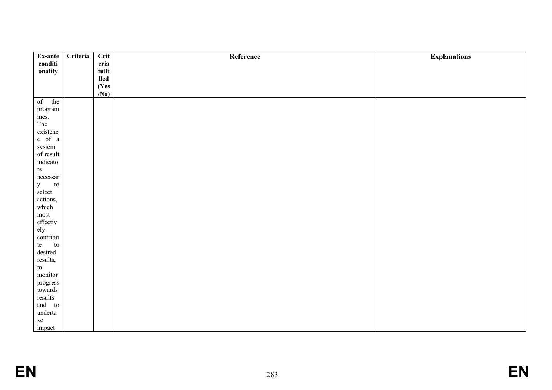| Ex-ante                   | Criteria | Crit             | Reference | <b>Explanations</b> |
|---------------------------|----------|------------------|-----------|---------------------|
| conditi                   |          | eria             |           |                     |
| onality                   |          | fulfi            |           |                     |
|                           |          | lled             |           |                     |
|                           |          | (Yes             |           |                     |
|                           |          | $\overline{N_0}$ |           |                     |
| of<br>the                 |          |                  |           |                     |
| $\,$ program              |          |                  |           |                     |
| mes.                      |          |                  |           |                     |
| The                       |          |                  |           |                     |
| existenc                  |          |                  |           |                     |
| $e$ of $a$                |          |                  |           |                     |
| system                    |          |                  |           |                     |
| of result                 |          |                  |           |                     |
| indicato                  |          |                  |           |                     |
| $\mathbf{r}\mathbf{s}$    |          |                  |           |                     |
| necessary                 |          |                  |           |                     |
| y<br>${\rm to}$<br>select |          |                  |           |                     |
|                           |          |                  |           |                     |
| actions,<br>which         |          |                  |           |                     |
| most                      |          |                  |           |                     |
| effectiv                  |          |                  |           |                     |
|                           |          |                  |           |                     |
| ely<br>contribu           |          |                  |           |                     |
| te<br>to                  |          |                  |           |                     |
| desired                   |          |                  |           |                     |
| results,                  |          |                  |           |                     |
| $\,$ to $\,$              |          |                  |           |                     |
| monitor                   |          |                  |           |                     |
| $\bold{progress}$         |          |                  |           |                     |
| towards                   |          |                  |           |                     |
| results                   |          |                  |           |                     |
| and to                    |          |                  |           |                     |
| underta                   |          |                  |           |                     |
| $\rm\thinspace ke$        |          |                  |           |                     |
| impact                    |          |                  |           |                     |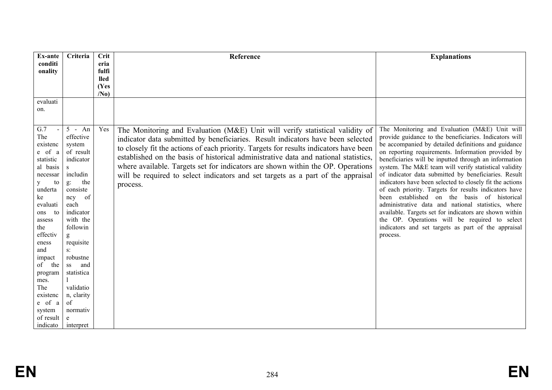| <b>Ex-ante</b>      | Criteria                  | <b>Crit</b>          | Reference                                                                             | <b>Explanations</b>                                                                                           |
|---------------------|---------------------------|----------------------|---------------------------------------------------------------------------------------|---------------------------------------------------------------------------------------------------------------|
| conditi             |                           | eria                 |                                                                                       |                                                                                                               |
| onality             |                           | fulfi<br><b>lled</b> |                                                                                       |                                                                                                               |
|                     |                           | (Yes                 |                                                                                       |                                                                                                               |
|                     |                           | /N <sub>0</sub>      |                                                                                       |                                                                                                               |
| evaluati            |                           |                      |                                                                                       |                                                                                                               |
| on.                 |                           |                      |                                                                                       |                                                                                                               |
|                     |                           |                      |                                                                                       |                                                                                                               |
| G.7                 | $5 - An$                  | Yes                  | The Monitoring and Evaluation (M&E) Unit will verify statistical validity of          | The Monitoring and Evaluation (M&E) Unit will                                                                 |
| The                 | effective                 |                      | indicator data submitted by beneficiaries. Result indicators have been selected       | provide guidance to the beneficiaries. Indicators will                                                        |
| existenc            | system                    |                      | to closely fit the actions of each priority. Targets for results indicators have been | be accompanied by detailed definitions and guidance                                                           |
| e of a              | of result                 |                      | established on the basis of historical administrative data and national statistics,   | on reporting requirements. Information provided by                                                            |
| statistic           | indicator                 |                      |                                                                                       | beneficiaries will be inputted through an information                                                         |
| al basis            | $\mathbf S$<br>includin   |                      | where available. Targets set for indicators are shown within the OP. Operations       | system. The M&E team will verify statistical validity<br>of indicator data submitted by beneficiaries. Result |
| necessar<br>to<br>y | the<br>$g$ :              |                      | will be required to select indicators and set targets as a part of the appraisal      | indicators have been selected to closely fit the actions                                                      |
| underta             | consiste                  |                      | process.                                                                              | of each priority. Targets for results indicators have                                                         |
| ke                  | of<br>ncy                 |                      |                                                                                       | been established on the basis of historical                                                                   |
| evaluati            | each                      |                      |                                                                                       | administrative data and national statistics, where                                                            |
| to<br>ons           | indicator                 |                      |                                                                                       | available. Targets set for indicators are shown within                                                        |
| assess              | with the                  |                      |                                                                                       | the OP. Operations will be required to select                                                                 |
| the                 | followin                  |                      |                                                                                       | indicators and set targets as part of the appraisal                                                           |
| effectiv            | g                         |                      |                                                                                       | process.                                                                                                      |
| eness               | requisite                 |                      |                                                                                       |                                                                                                               |
| and<br>impact       | $S^{\dagger}$<br>robustne |                      |                                                                                       |                                                                                                               |
| of the              | and<br>SS                 |                      |                                                                                       |                                                                                                               |
| program             | statistica                |                      |                                                                                       |                                                                                                               |
| mes.                |                           |                      |                                                                                       |                                                                                                               |
| The                 | validatio                 |                      |                                                                                       |                                                                                                               |
| existenc            | n, clarity                |                      |                                                                                       |                                                                                                               |
| e of a              | of                        |                      |                                                                                       |                                                                                                               |
| system              | normativ                  |                      |                                                                                       |                                                                                                               |
| of result           | e                         |                      |                                                                                       |                                                                                                               |
| indicato            | interpret                 |                      |                                                                                       |                                                                                                               |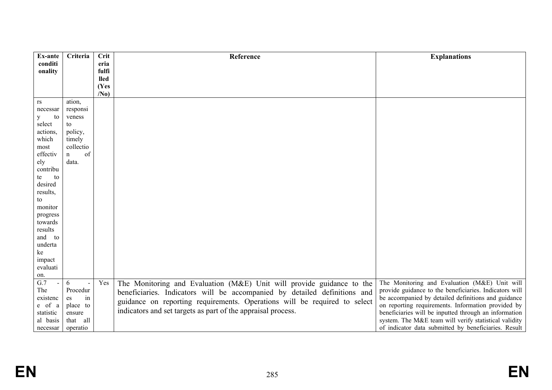| Ex-ante                                   | Criteria          | <b>Crit</b>     | Reference                                                                 | <b>Explanations</b>                                    |
|-------------------------------------------|-------------------|-----------------|---------------------------------------------------------------------------|--------------------------------------------------------|
| conditi                                   |                   | eria            |                                                                           |                                                        |
| onality                                   |                   | fulfi           |                                                                           |                                                        |
|                                           |                   | <b>lled</b>     |                                                                           |                                                        |
|                                           |                   | (Yes            |                                                                           |                                                        |
|                                           |                   | /N <sub>0</sub> |                                                                           |                                                        |
| rs                                        | ation,            |                 |                                                                           |                                                        |
| necessar                                  | responsi          |                 |                                                                           |                                                        |
| y<br>to                                   | veness            |                 |                                                                           |                                                        |
| select                                    | to                |                 |                                                                           |                                                        |
| actions,                                  | policy,           |                 |                                                                           |                                                        |
| which                                     | timely            |                 |                                                                           |                                                        |
| most                                      | collectio         |                 |                                                                           |                                                        |
| effectiv                                  | of<br>$\mathbf n$ |                 |                                                                           |                                                        |
| ely                                       | data.             |                 |                                                                           |                                                        |
| contribu                                  |                   |                 |                                                                           |                                                        |
| te<br>to                                  |                   |                 |                                                                           |                                                        |
| desired                                   |                   |                 |                                                                           |                                                        |
| results,                                  |                   |                 |                                                                           |                                                        |
| to                                        |                   |                 |                                                                           |                                                        |
| monitor                                   |                   |                 |                                                                           |                                                        |
| progress                                  |                   |                 |                                                                           |                                                        |
| towards<br>results                        |                   |                 |                                                                           |                                                        |
| and to                                    |                   |                 |                                                                           |                                                        |
|                                           |                   |                 |                                                                           |                                                        |
| underta                                   |                   |                 |                                                                           |                                                        |
| ke                                        |                   |                 |                                                                           |                                                        |
| impact<br>evaluati                        |                   |                 |                                                                           |                                                        |
|                                           |                   |                 |                                                                           |                                                        |
| on.<br>$\overline{G.7}$<br>$\blacksquare$ | 6<br>$\sim$       | Yes             |                                                                           | The Monitoring and Evaluation (M&E) Unit will          |
| The                                       | Procedur          |                 | The Monitoring and Evaluation (M&E) Unit will provide guidance to the     | provide guidance to the beneficiaries. Indicators will |
| existenc                                  | in<br>es          |                 | beneficiaries. Indicators will be accompanied by detailed definitions and | be accompanied by detailed definitions and guidance    |
| e of a                                    | place to          |                 | guidance on reporting requirements. Operations will be required to select | on reporting requirements. Information provided by     |
| statistic                                 | ensure            |                 | indicators and set targets as part of the appraisal process.              | beneficiaries will be inputted through an information  |
| al basis                                  | that all          |                 |                                                                           | system. The M&E team will verify statistical validity  |
| necessar                                  | operatio          |                 |                                                                           | of indicator data submitted by beneficiaries. Result   |
|                                           |                   |                 |                                                                           |                                                        |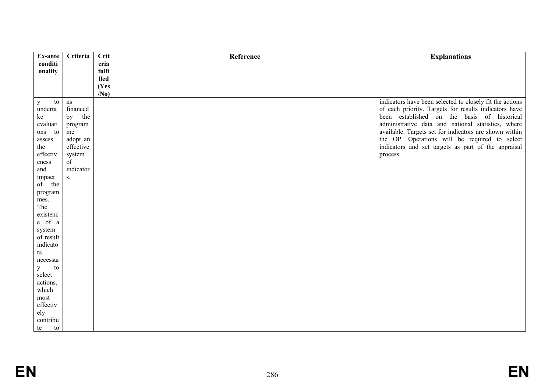| Ex-ante            | Criteria       | Crit            | Reference | <b>Explanations</b>                                      |
|--------------------|----------------|-----------------|-----------|----------------------------------------------------------|
| conditi            |                | eria            |           |                                                          |
| onality            |                | fulfi           |           |                                                          |
|                    |                | <b>lled</b>     |           |                                                          |
|                    |                | (Yes            |           |                                                          |
|                    |                | /N <sub>0</sub> |           |                                                          |
| to<br>$\mathbf{y}$ | ns             |                 |           | indicators have been selected to closely fit the actions |
| underta            | financed       |                 |           | of each priority. Targets for results indicators have    |
| ke                 | the<br>by      |                 |           | been established on the basis of historical              |
| evaluati           | program        |                 |           | administrative data and national statistics, where       |
| ons to             | me             |                 |           | available. Targets set for indicators are shown within   |
| assess             | adopt an       |                 |           | the OP. Operations will be required to select            |
| the                | effective      |                 |           | indicators and set targets as part of the appraisal      |
| effectiv           | system         |                 |           | process.                                                 |
| eness              | of             |                 |           |                                                          |
| and                | indicator      |                 |           |                                                          |
| impact             | S <sub>1</sub> |                 |           |                                                          |
| of the             |                |                 |           |                                                          |
| program            |                |                 |           |                                                          |
| mes.               |                |                 |           |                                                          |
| The                |                |                 |           |                                                          |
| existenc           |                |                 |           |                                                          |
| e of a             |                |                 |           |                                                          |
| system             |                |                 |           |                                                          |
| of result          |                |                 |           |                                                          |
| indicato           |                |                 |           |                                                          |
| rs                 |                |                 |           |                                                          |
| necessar           |                |                 |           |                                                          |
| $\mathbf{y}$<br>to |                |                 |           |                                                          |
| select             |                |                 |           |                                                          |
| actions,           |                |                 |           |                                                          |
| which              |                |                 |           |                                                          |
| most               |                |                 |           |                                                          |
| effectiv           |                |                 |           |                                                          |
| ely                |                |                 |           |                                                          |
| contribu           |                |                 |           |                                                          |
| te<br>to           |                |                 |           |                                                          |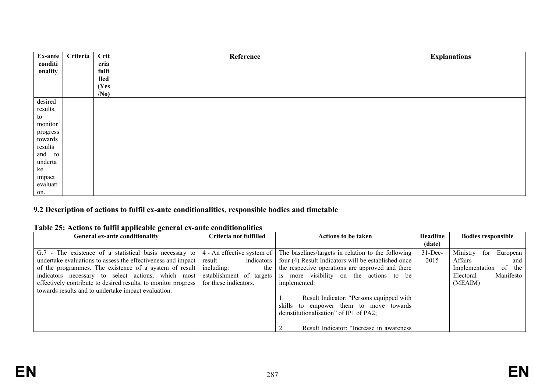| Ex-ante  | Criteria | Crit            | Reference | <b>Explanations</b> |
|----------|----------|-----------------|-----------|---------------------|
| conditi  |          | eria            |           |                     |
| onality  |          | fulfi           |           |                     |
|          |          | <b>lled</b>     |           |                     |
|          |          | (Yes            |           |                     |
|          |          | /N <sub>0</sub> |           |                     |
| desired  |          |                 |           |                     |
| results, |          |                 |           |                     |
| to       |          |                 |           |                     |
| monitor  |          |                 |           |                     |
| progress |          |                 |           |                     |
| towards  |          |                 |           |                     |
| results  |          |                 |           |                     |
| and to   |          |                 |           |                     |
| underta  |          |                 |           |                     |
| ke       |          |                 |           |                     |
| impact   |          |                 |           |                     |
| evaluati |          |                 |           |                     |
| on.      |          |                 |           |                     |

## **9.2 Description of actions to fulfil ex-ante conditionalities, responsible bodies and timetable**

## **Table 25: Actions to fulfil applicable general ex-ante conditionalities**

| General ex-ante conditionality                                 | Criteria not fulfilled     | <b>Actions to be taken</b>                          | <b>Deadline</b> | <b>Bodies responsible</b>   |
|----------------------------------------------------------------|----------------------------|-----------------------------------------------------|-----------------|-----------------------------|
|                                                                |                            |                                                     | (date)          |                             |
| G.7 - The existence of a statistical basis necessary to        | 4 - An effective system of | The baselines/targets in relation to the following  | $31$ -Dec-      | Ministry<br>European<br>for |
| undertake evaluations to assess the effectiveness and impact   | indicators<br>result       | four (4) Result Indicators will be established once | 2015            | Affairs<br>and              |
| of the programmes. The existence of a system of result         | including:<br>the          | the respective operations are approved and there    |                 | of the<br>Implementation    |
| indicators necessary to select actions, which most             | establishment of targets   | more visibility on the actions to be<br>1S          |                 | Manifesto<br>Electoral      |
| effectively contribute to desired results, to monitor progress | for these indicators.      | implemented:                                        |                 | (MEAIM)                     |
| towards results and to undertake impact evaluation.            |                            |                                                     |                 |                             |
|                                                                |                            | Result Indicator: "Persons equipped with            |                 |                             |
|                                                                |                            | skills to empower them to move towards              |                 |                             |
|                                                                |                            | deinstitutionalisation" of IP1 of PA2;              |                 |                             |
|                                                                |                            |                                                     |                 |                             |
|                                                                |                            | Result Indicator: "Increase in awareness"           |                 |                             |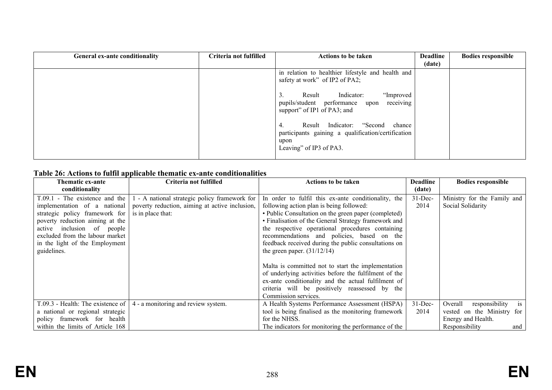| General ex-ante conditionality | Criteria not fulfilled | <b>Actions to be taken</b>                                                                                                      | <b>Deadline</b><br>(date) | <b>Bodies responsible</b> |
|--------------------------------|------------------------|---------------------------------------------------------------------------------------------------------------------------------|---------------------------|---------------------------|
|                                |                        | in relation to healthier lifestyle and health and<br>safety at work" of IP2 of PA2;                                             |                           |                           |
|                                |                        | "Improved<br>Indicator:<br>Result<br>receiving<br>pupils/student performance upon<br>support" of IP1 of PA3; and                |                           |                           |
|                                |                        | Result Indicator: "Second chance<br>4.<br>participants gaining a qualification/certification<br>upon<br>Leaving" of IP3 of PA3. |                           |                           |

## **Table 26: Actions to fulfil applicable thematic ex-ante conditionalities**

| <b>Thematic ex-ante</b>                  | Criteria not fulfilled                                                        | <b>Actions to be taken</b>                            | <b>Deadline</b> | <b>Bodies responsible</b>       |
|------------------------------------------|-------------------------------------------------------------------------------|-------------------------------------------------------|-----------------|---------------------------------|
| conditionality                           |                                                                               |                                                       | (date)          |                                 |
| $T.09.1$ - The existence and the $\vert$ | 1 - A national strategic policy framework for                                 | In order to fulfil this ex-ante conditionality, the   | $31$ -Dec-      | Ministry for the Family and     |
| implementation of a national             | poverty reduction, aiming at active inclusion,                                | following action plan is being followed:              | 2014            | Social Solidarity               |
| strategic policy framework for           | is in place that:                                                             | • Public Consultation on the green paper (completed)  |                 |                                 |
| poverty reduction aiming at the          |                                                                               | • Finalisation of the General Strategy framework and  |                 |                                 |
| active inclusion of people               |                                                                               | the respective operational procedures containing      |                 |                                 |
| excluded from the labour market          |                                                                               | recommendations and policies, based on the            |                 |                                 |
| in the light of the Employment           |                                                                               | feedback received during the public consultations on  |                 |                                 |
| guidelines.                              |                                                                               | the green paper. $(31/12/14)$                         |                 |                                 |
|                                          |                                                                               |                                                       |                 |                                 |
|                                          |                                                                               | Malta is committed not to start the implementation    |                 |                                 |
|                                          |                                                                               | of underlying activities before the fulfilment of the |                 |                                 |
|                                          |                                                                               | ex-ante conditionality and the actual fulfilment of   |                 |                                 |
|                                          |                                                                               | criteria will be positively reassessed by the         |                 |                                 |
|                                          |                                                                               | Commission services.                                  |                 |                                 |
|                                          | T.09.3 - Health: The existence of $\vert$ 4 - a monitoring and review system. | A Health Systems Performance Assessment (HSPA)        | $31$ -Dec-      | is<br>Overall<br>responsibility |
| a national or regional strategic         |                                                                               | tool is being finalised as the monitoring framework   | 2014            | vested on the Ministry for      |
| policy framework for health              |                                                                               | for the NHSS.                                         |                 | Energy and Health.              |
| within the limits of Article 168         |                                                                               | The indicators for monitoring the performance of the  |                 | Responsibility<br>and           |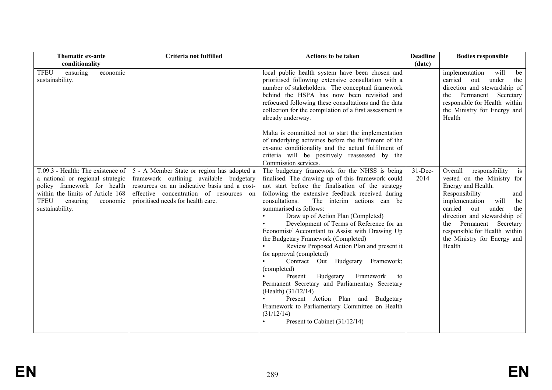| Thematic ex-ante<br>conditionality                                                                                                                                                                 | Criteria not fulfilled                                                                                                                                                                                                 | <b>Actions to be taken</b>                                                                                                                                                                                                                                                                                                                                                                                                                                                                                                                                                                                                                                                                                                                                                                                                                                        | <b>Deadline</b><br>(date) | <b>Bodies responsible</b>                                                                                                                                                                                                                                                                                                 |
|----------------------------------------------------------------------------------------------------------------------------------------------------------------------------------------------------|------------------------------------------------------------------------------------------------------------------------------------------------------------------------------------------------------------------------|-------------------------------------------------------------------------------------------------------------------------------------------------------------------------------------------------------------------------------------------------------------------------------------------------------------------------------------------------------------------------------------------------------------------------------------------------------------------------------------------------------------------------------------------------------------------------------------------------------------------------------------------------------------------------------------------------------------------------------------------------------------------------------------------------------------------------------------------------------------------|---------------------------|---------------------------------------------------------------------------------------------------------------------------------------------------------------------------------------------------------------------------------------------------------------------------------------------------------------------------|
| <b>TFEU</b><br>ensuring<br>economic<br>sustainability.                                                                                                                                             |                                                                                                                                                                                                                        | local public health system have been chosen and<br>prioritised following extensive consultation with a<br>number of stakeholders. The conceptual framework<br>behind the HSPA has now been revisited and<br>refocused following these consultations and the data<br>collection for the compilation of a first assessment is<br>already underway.                                                                                                                                                                                                                                                                                                                                                                                                                                                                                                                  |                           | implementation<br>will<br>be<br>under<br>carried<br>out<br>the<br>direction and stewardship of<br>Permanent Secretary<br>the<br>responsible for Health within<br>the Ministry for Energy and<br>Health                                                                                                                    |
|                                                                                                                                                                                                    |                                                                                                                                                                                                                        | Malta is committed not to start the implementation<br>of underlying activities before the fulfilment of the<br>ex-ante conditionality and the actual fulfilment of<br>criteria will be positively reassessed by the<br>Commission services.                                                                                                                                                                                                                                                                                                                                                                                                                                                                                                                                                                                                                       |                           |                                                                                                                                                                                                                                                                                                                           |
| T.09.3 - Health: The existence of<br>a national or regional strategic<br>policy framework for health<br>within the limits of Article 168<br><b>TFEU</b><br>ensuring<br>economic<br>sustainability. | 5 - A Member State or region has adopted a<br>framework outlining available budgetary<br>resources on an indicative basis and a cost-<br>effective concentration of resources on<br>prioritised needs for health care. | The budgetary framework for the NHSS is being<br>finalised. The drawing up of this framework could<br>not start before the finalisation of the strategy<br>following the extensive feedback received during<br>consultations.<br>The interim actions can be<br>summarised as follows:<br>Draw up of Action Plan (Completed)<br>Development of Terms of Reference for an<br>Economist/ Accountant to Assist with Drawing Up<br>the Budgetary Framework (Completed)<br>Review Proposed Action Plan and present it<br>for approval (completed)<br>Contract Out Budgetary<br>Framework;<br>(completed)<br>Framework<br>Budgetary<br>Present<br>to<br>Permanent Secretary and Parliamentary Secretary<br>(Health) $(31/12/14)$<br>Present Action Plan and Budgetary<br>Framework to Parliamentary Committee on Health<br>(31/12/14)<br>Present to Cabinet $(31/12/14)$ | $31$ -Dec-<br>2014        | Overall<br>responsibility<br>is<br>vested on the Ministry for<br>Energy and Health.<br>Responsibility<br>and<br>will<br>implementation<br>be<br>carried<br>under<br>out<br>the<br>direction and stewardship of<br>Permanent<br>Secretary<br>the<br>responsible for Health within<br>the Ministry for Energy and<br>Health |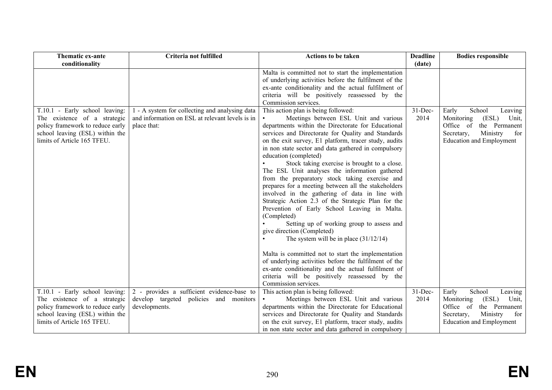| Thematic ex-ante<br>conditionality                                                                                                                                   | Criteria not fulfilled                                                                                           | <b>Actions to be taken</b>                                                                                                                                                                                                                                                                                                                                                                                                                                                                                                                                                                                                                                                                                                                                                                                                                                                                                                                                                                                                                                                                | <b>Deadline</b><br>(date) | <b>Bodies responsible</b>                                                                                                                                    |
|----------------------------------------------------------------------------------------------------------------------------------------------------------------------|------------------------------------------------------------------------------------------------------------------|-------------------------------------------------------------------------------------------------------------------------------------------------------------------------------------------------------------------------------------------------------------------------------------------------------------------------------------------------------------------------------------------------------------------------------------------------------------------------------------------------------------------------------------------------------------------------------------------------------------------------------------------------------------------------------------------------------------------------------------------------------------------------------------------------------------------------------------------------------------------------------------------------------------------------------------------------------------------------------------------------------------------------------------------------------------------------------------------|---------------------------|--------------------------------------------------------------------------------------------------------------------------------------------------------------|
|                                                                                                                                                                      |                                                                                                                  | Malta is committed not to start the implementation<br>of underlying activities before the fulfilment of the<br>ex-ante conditionality and the actual fulfilment of<br>criteria will be positively reassessed by the<br>Commission services.                                                                                                                                                                                                                                                                                                                                                                                                                                                                                                                                                                                                                                                                                                                                                                                                                                               |                           |                                                                                                                                                              |
| T.10.1 - Early school leaving:<br>The existence of a strategic<br>policy framework to reduce early<br>school leaving (ESL) within the<br>limits of Article 165 TFEU. | 1 - A system for collecting and analysing data<br>and information on ESL at relevant levels is in<br>place that: | This action plan is being followed:<br>Meetings between ESL Unit and various<br>departments within the Directorate for Educational<br>services and Directorate for Quality and Standards<br>on the exit survey, E1 platform, tracer study, audits<br>in non state sector and data gathered in compulsory<br>education (completed)<br>Stock taking exercise is brought to a close.<br>The ESL Unit analyses the information gathered<br>from the preparatory stock taking exercise and<br>prepares for a meeting between all the stakeholders<br>involved in the gathering of data in line with<br>Strategic Action 2.3 of the Strategic Plan for the<br>Prevention of Early School Leaving in Malta.<br>(Completed)<br>Setting up of working group to assess and<br>give direction (Completed)<br>The system will be in place $(31/12/14)$<br>Malta is committed not to start the implementation<br>of underlying activities before the fulfilment of the<br>ex-ante conditionality and the actual fulfilment of<br>criteria will be positively reassessed by the<br>Commission services. | $31$ -Dec-<br>2014        | School<br>Early<br>Leaving<br>Monitoring<br>(ESL)<br>Unit,<br>Office of<br>the Permanent<br>Secretary,<br>Ministry<br>for<br><b>Education and Employment</b> |
| T.10.1 - Early school leaving:<br>The existence of a strategic<br>policy framework to reduce early<br>school leaving (ESL) within the<br>limits of Article 165 TFEU. | 2 - provides a sufficient evidence-base to<br>develop targeted policies and monitors<br>developments.            | This action plan is being followed:<br>Meetings between ESL Unit and various<br>departments within the Directorate for Educational<br>services and Directorate for Quality and Standards<br>on the exit survey, E1 platform, tracer study, audits<br>in non state sector and data gathered in compulsory                                                                                                                                                                                                                                                                                                                                                                                                                                                                                                                                                                                                                                                                                                                                                                                  | $31$ -Dec-<br>2014        | Early<br>School<br>Leaving<br>Monitoring<br>(ESL)<br>Unit,<br>Office of<br>the Permanent<br>Secretary,<br>Ministry<br>for<br><b>Education and Employment</b> |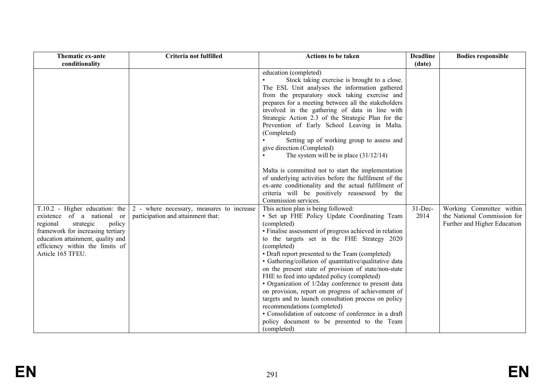| Thematic ex-ante<br>conditionality                                                                                                                                                              | Criteria not fulfilled                                                                                                   | <b>Actions to be taken</b>                                                                                                                                                                                                                                                                                                                                                                                                                                                                                                                                                                                                                                                                                                                                                                                                                                                                                                                                                                                                                                                                                                                                                                                                                                                                                                                                                                                                                                                                                                                 | <b>Deadline</b><br>(date) | <b>Bodies responsible</b>                                                               |
|-------------------------------------------------------------------------------------------------------------------------------------------------------------------------------------------------|--------------------------------------------------------------------------------------------------------------------------|--------------------------------------------------------------------------------------------------------------------------------------------------------------------------------------------------------------------------------------------------------------------------------------------------------------------------------------------------------------------------------------------------------------------------------------------------------------------------------------------------------------------------------------------------------------------------------------------------------------------------------------------------------------------------------------------------------------------------------------------------------------------------------------------------------------------------------------------------------------------------------------------------------------------------------------------------------------------------------------------------------------------------------------------------------------------------------------------------------------------------------------------------------------------------------------------------------------------------------------------------------------------------------------------------------------------------------------------------------------------------------------------------------------------------------------------------------------------------------------------------------------------------------------------|---------------------------|-----------------------------------------------------------------------------------------|
| existence of a national or<br>regional<br>strategic<br>policy<br>framework for increasing tertiary<br>education attainment, quality and<br>efficiency within the limits of<br>Article 165 TFEU. | $T.10.2$ - Higher education: the $\vert 2$ - where necessary, measures to increase<br>participation and attainment that: | education (completed)<br>Stock taking exercise is brought to a close.<br>The ESL Unit analyses the information gathered<br>from the preparatory stock taking exercise and<br>prepares for a meeting between all the stakeholders<br>involved in the gathering of data in line with<br>Strategic Action 2.3 of the Strategic Plan for the<br>Prevention of Early School Leaving in Malta.<br>(Completed)<br>Setting up of working group to assess and<br>give direction (Completed)<br>The system will be in place $(31/12/14)$<br>Malta is committed not to start the implementation<br>of underlying activities before the fulfilment of the<br>ex-ante conditionality and the actual fulfilment of<br>criteria will be positively reassessed by the<br>Commission services.<br>This action plan is being followed:<br>• Set up FHE Policy Update Coordinating Team<br>(completed)<br>• Finalise assessment of progress achieved in relation<br>to the targets set in the FHE Strategy 2020<br>(completed)<br>• Draft report presented to the Team (completed)<br>• Gathering/collation of quantitative/qualitative data<br>on the present state of provision of state/non-state<br>FHE to feed into updated policy (completed)<br>• Organization of 1/2day conference to present data<br>on provision, report on progress of achievement of<br>targets and to launch consultation process on policy<br>recommendations (completed)<br>• Consolidation of outcome of conference in a draft<br>policy document to be presented to the Team | $31$ -Dec-<br>2014        | Working Committee within<br>the National Commission for<br>Further and Higher Education |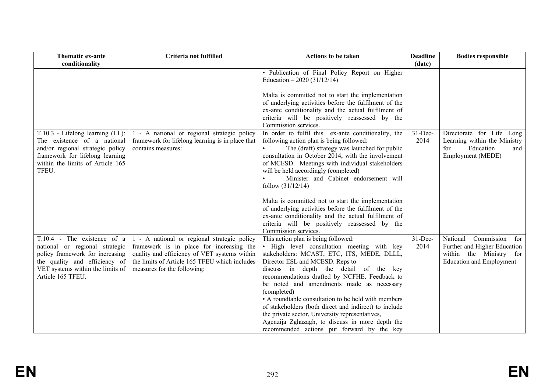| Thematic ex-ante<br>conditionality                                                                                                                                                         | Criteria not fulfilled                                                                                                                                                                                                  | <b>Actions to be taken</b>                                                                                                                                                                                                                                                                                                                                                                                                                                                                                                                                                                    | <b>Deadline</b><br>(date) | <b>Bodies responsible</b>                                                                                                   |
|--------------------------------------------------------------------------------------------------------------------------------------------------------------------------------------------|-------------------------------------------------------------------------------------------------------------------------------------------------------------------------------------------------------------------------|-----------------------------------------------------------------------------------------------------------------------------------------------------------------------------------------------------------------------------------------------------------------------------------------------------------------------------------------------------------------------------------------------------------------------------------------------------------------------------------------------------------------------------------------------------------------------------------------------|---------------------------|-----------------------------------------------------------------------------------------------------------------------------|
|                                                                                                                                                                                            |                                                                                                                                                                                                                         | • Publication of Final Policy Report on Higher<br>Education $-2020(31/12/14)$                                                                                                                                                                                                                                                                                                                                                                                                                                                                                                                 |                           |                                                                                                                             |
|                                                                                                                                                                                            |                                                                                                                                                                                                                         | Malta is committed not to start the implementation<br>of underlying activities before the fulfilment of the<br>ex-ante conditionality and the actual fulfilment of<br>criteria will be positively reassessed by the<br>Commission services.                                                                                                                                                                                                                                                                                                                                                   |                           |                                                                                                                             |
| T.10.3 - Lifelong learning (LL):<br>The existence of a national<br>and/or regional strategic policy<br>framework for lifelong learning<br>within the limits of Article 165<br>TFEU.        | 1 - A national or regional strategic policy<br>framework for lifelong learning is in place that<br>contains measures:                                                                                                   | In order to fulfil this ex-ante conditionality, the<br>following action plan is being followed:<br>The (draft) strategy was launched for public<br>consultation in October 2014, with the involvement<br>of MCESD. Meetings with individual stakeholders<br>will be held accordingly (completed)<br>Minister and Cabinet endorsement will<br>follow $(31/12/14)$                                                                                                                                                                                                                              | $31 - Dec-$<br>2014       | Directorate for Life Long<br>Learning within the Ministry<br>for<br>Education<br>and<br>Employment (MEDE)                   |
|                                                                                                                                                                                            |                                                                                                                                                                                                                         | Malta is committed not to start the implementation<br>of underlying activities before the fulfilment of the<br>ex-ante conditionality and the actual fulfilment of<br>criteria will be positively reassessed by the<br>Commission services.                                                                                                                                                                                                                                                                                                                                                   |                           |                                                                                                                             |
| T.10.4 - The existence of a<br>national or regional strategic<br>policy framework for increasing<br>the quality and efficiency of<br>VET systems within the limits of<br>Article 165 TFEU. | 1 - A national or regional strategic policy<br>framework is in place for increasing the<br>quality and efficiency of VET systems within<br>the limits of Article 165 TFEU which includes<br>measures for the following: | This action plan is being followed:<br>• High level consultation meeting with key<br>stakeholders: MCAST, ETC, ITS, MEDE, DLLL,<br>Director ESL and MCESD. Reps to<br>discuss in depth the detail of the key<br>recommendations drafted by NCFHE. Feedback to<br>be noted and amendments made as necessary<br>(completed)<br>• A roundtable consultation to be held with members<br>of stakeholders (both direct and indirect) to include<br>the private sector, University representatives,<br>Agenzija Zghazagh, to discuss in more depth the<br>recommended actions put forward by the key | $31$ -Dec-<br>2014        | National<br>Commission<br>for<br>Further and Higher Education<br>within the Ministry for<br><b>Education and Employment</b> |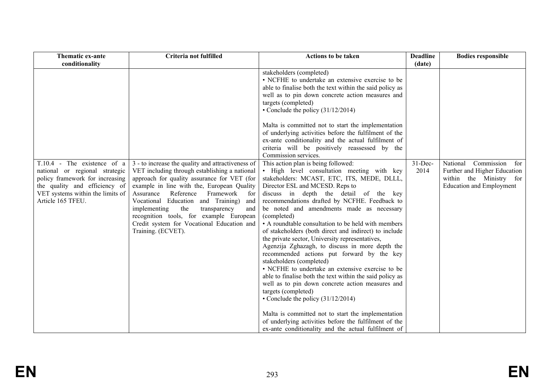| Thematic ex-ante<br>conditionality                                                                                                                                                         | Criteria not fulfilled                                                                                                                                                                                                                                                                                                                                                                                                                                  | <b>Actions to be taken</b>                                                                                                                                                                                                                                                                                                                                                                                                                                                                                                                                                                                                                                                                                                                                                                                                                                                                                                                                                                                                                                                                                                                                                                                                                                                                                                                                                                                                       | <b>Deadline</b><br>(date) | <b>Bodies responsible</b>                                                                                                   |
|--------------------------------------------------------------------------------------------------------------------------------------------------------------------------------------------|---------------------------------------------------------------------------------------------------------------------------------------------------------------------------------------------------------------------------------------------------------------------------------------------------------------------------------------------------------------------------------------------------------------------------------------------------------|----------------------------------------------------------------------------------------------------------------------------------------------------------------------------------------------------------------------------------------------------------------------------------------------------------------------------------------------------------------------------------------------------------------------------------------------------------------------------------------------------------------------------------------------------------------------------------------------------------------------------------------------------------------------------------------------------------------------------------------------------------------------------------------------------------------------------------------------------------------------------------------------------------------------------------------------------------------------------------------------------------------------------------------------------------------------------------------------------------------------------------------------------------------------------------------------------------------------------------------------------------------------------------------------------------------------------------------------------------------------------------------------------------------------------------|---------------------------|-----------------------------------------------------------------------------------------------------------------------------|
| T.10.4 - The existence of a<br>national or regional strategic<br>policy framework for increasing<br>the quality and efficiency of<br>VET systems within the limits of<br>Article 165 TFEU. | 3 - to increase the quality and attractiveness of<br>VET including through establishing a national<br>approach for quality assurance for VET (for<br>example in line with the, European Quality<br>Reference<br>Framework<br>Assurance<br>for<br>Vocational Education and Training)<br>and<br>the<br>implementing<br>transparency<br>and<br>recognition tools, for example European<br>Credit system for Vocational Education and<br>Training. (ECVET). | stakeholders (completed)<br>• NCFHE to undertake an extensive exercise to be<br>able to finalise both the text within the said policy as<br>well as to pin down concrete action measures and<br>targets (completed)<br>• Conclude the policy $(31/12/2014)$<br>Malta is committed not to start the implementation<br>of underlying activities before the fulfilment of the<br>ex-ante conditionality and the actual fulfilment of<br>criteria will be positively reassessed by the<br>Commission services.<br>This action plan is being followed:<br>• High level consultation meeting with key<br>stakeholders: MCAST, ETC, ITS, MEDE, DLLL,<br>Director ESL and MCESD. Reps to<br>discuss in depth the detail of the key<br>recommendations drafted by NCFHE. Feedback to<br>be noted and amendments made as necessary<br>(completed)<br>• A roundtable consultation to be held with members<br>of stakeholders (both direct and indirect) to include<br>the private sector, University representatives,<br>Agenzija Zghazagh, to discuss in more depth the<br>recommended actions put forward by the key<br>stakeholders (completed)<br>• NCFHE to undertake an extensive exercise to be<br>able to finalise both the text within the said policy as<br>well as to pin down concrete action measures and<br>targets (completed)<br>• Conclude the policy $(31/12/2014)$<br>Malta is committed not to start the implementation | $31$ -Dec-<br>2014        | Commission<br>National<br>for<br>Further and Higher Education<br>within the Ministry for<br><b>Education and Employment</b> |
|                                                                                                                                                                                            |                                                                                                                                                                                                                                                                                                                                                                                                                                                         | of underlying activities before the fulfilment of the<br>ex-ante conditionality and the actual fulfilment of                                                                                                                                                                                                                                                                                                                                                                                                                                                                                                                                                                                                                                                                                                                                                                                                                                                                                                                                                                                                                                                                                                                                                                                                                                                                                                                     |                           |                                                                                                                             |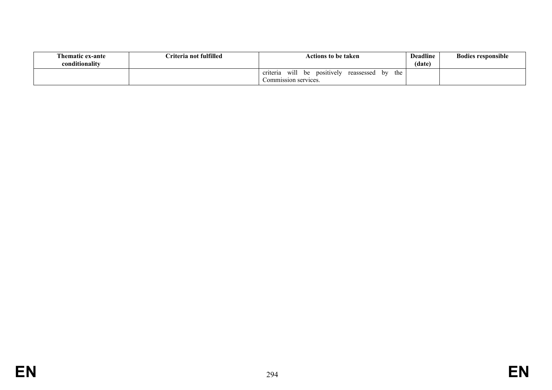| <b>Thematic ex-ante</b><br>conditionalitv | Criteria not fulfilled | <b>Actions to be taken</b>                                                              | <b>Deadline</b><br>(date) | <b>Bodies responsible</b> |
|-------------------------------------------|------------------------|-----------------------------------------------------------------------------------------|---------------------------|---------------------------|
|                                           |                        | will<br>the<br>positively<br>hv<br>criteria<br>reassessed<br>be<br>Commission services. |                           |                           |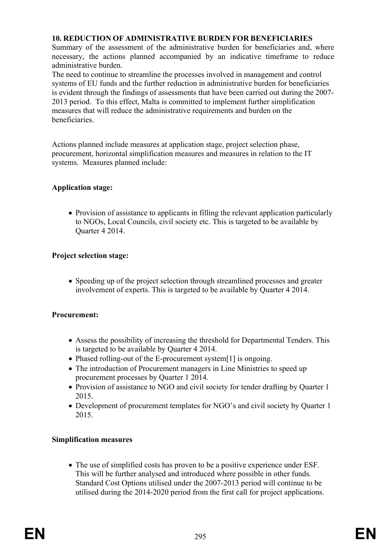## **10. REDUCTION OF ADMINISTRATIVE BURDEN FOR BENEFICIARIES**

Summary of the assessment of the administrative burden for beneficiaries and, where necessary, the actions planned accompanied by an indicative timeframe to reduce administrative burden.

The need to continue to streamline the processes involved in management and control systems of EU funds and the further reduction in administrative burden for beneficiaries is evident through the findings of assessments that have been carried out during the 2007- 2013 period. To this effect, Malta is committed to implement further simplification measures that will reduce the administrative requirements and burden on the beneficiaries.

Actions planned include measures at application stage, project selection phase, procurement, horizontal simplification measures and measures in relation to the IT systems. Measures planned include:

## **Application stage:**

• Provision of assistance to applicants in filling the relevant application particularly to NGOs, Local Councils, civil society etc. This is targeted to be available by Quarter 4 2014.

# **Project selection stage:**

• Speeding up of the project selection through streamlined processes and greater involvement of experts. This is targeted to be available by Quarter 4 2014.

## **Procurement:**

- Assess the possibility of increasing the threshold for Departmental Tenders. This is targeted to be available by Quarter 4 2014.
- Phased rolling-out of the E-procurement system[1] is ongoing.
- The introduction of Procurement managers in Line Ministries to speed up procurement processes by Quarter 1 2014.
- Provision of assistance to NGO and civil society for tender drafting by Quarter 1 2015.
- Development of procurement templates for NGO's and civil society by Quarter 1 2015.

## **Simplification measures**

 The use of simplified costs has proven to be a positive experience under ESF. This will be further analysed and introduced where possible in other funds. Standard Cost Options utilised under the 2007-2013 period will continue to be utilised during the 2014-2020 period from the first call for project applications.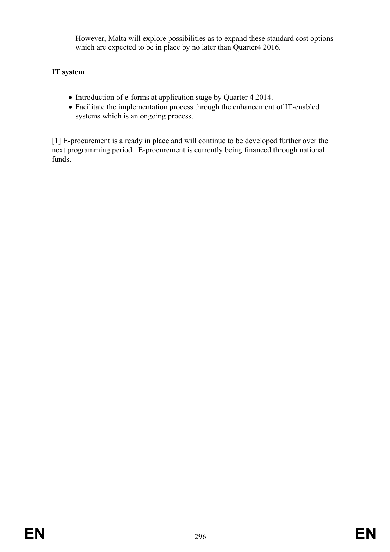However, Malta will explore possibilities as to expand these standard cost options which are expected to be in place by no later than Quarter4 2016.

# **IT system**

- Introduction of e-forms at application stage by Quarter 4 2014.
- Facilitate the implementation process through the enhancement of IT-enabled systems which is an ongoing process.

[1] E-procurement is already in place and will continue to be developed further over the next programming period. E-procurement is currently being financed through national funds.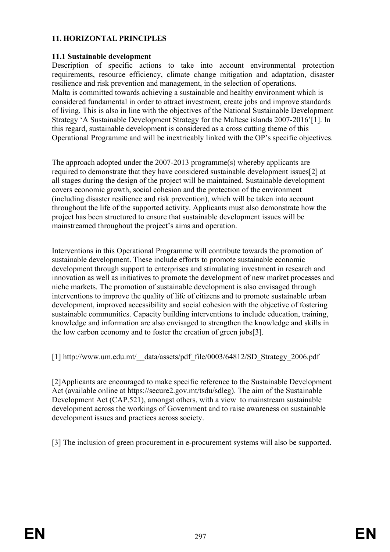## **11. HORIZONTAL PRINCIPLES**

## **11.1 Sustainable development**

Description of specific actions to take into account environmental protection requirements, resource efficiency, climate change mitigation and adaptation, disaster resilience and risk prevention and management, in the selection of operations. Malta is committed towards achieving a sustainable and healthy environment which is considered fundamental in order to attract investment, create jobs and improve standards of living. This is also in line with the objectives of the National Sustainable Development Strategy 'A Sustainable Development Strategy for the Maltese islands 2007-2016'[1]. In this regard, sustainable development is considered as a cross cutting theme of this Operational Programme and will be inextricably linked with the OP's specific objectives.

The approach adopted under the 2007-2013 programme(s) whereby applicants are required to demonstrate that they have considered sustainable development issues[2] at all stages during the design of the project will be maintained. Sustainable development covers economic growth, social cohesion and the protection of the environment (including disaster resilience and risk prevention), which will be taken into account throughout the life of the supported activity. Applicants must also demonstrate how the project has been structured to ensure that sustainable development issues will be mainstreamed throughout the project's aims and operation.

Interventions in this Operational Programme will contribute towards the promotion of sustainable development. These include efforts to promote sustainable economic development through support to enterprises and stimulating investment in research and innovation as well as initiatives to promote the development of new market processes and niche markets. The promotion of sustainable development is also envisaged through interventions to improve the quality of life of citizens and to promote sustainable urban development, improved accessibility and social cohesion with the objective of fostering sustainable communities. Capacity building interventions to include education, training, knowledge and information are also envisaged to strengthen the knowledge and skills in the low carbon economy and to foster the creation of green jobs[3].

[1] http://www.um.edu.mt/\_\_data/assets/pdf\_file/0003/64812/SD\_Strategy\_2006.pdf

[2]Applicants are encouraged to make specific reference to the Sustainable Development Act (available online at https://secure2.gov.mt/tsdu/sdleg). The aim of the Sustainable Development Act (CAP.521), amongst others, with a view to mainstream sustainable development across the workings of Government and to raise awareness on sustainable development issues and practices across society.

[3] The inclusion of green procurement in e-procurement systems will also be supported.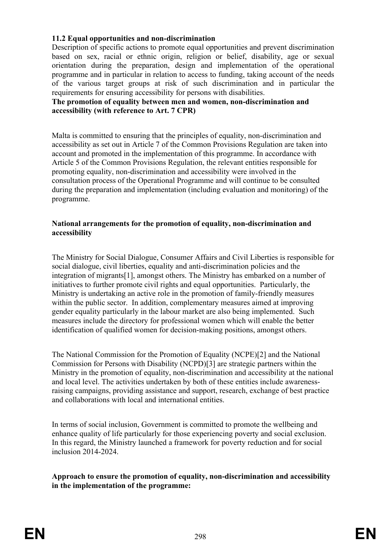## **11.2 Equal opportunities and non-discrimination**

Description of specific actions to promote equal opportunities and prevent discrimination based on sex, racial or ethnic origin, religion or belief, disability, age or sexual orientation during the preparation, design and implementation of the operational programme and in particular in relation to access to funding, taking account of the needs of the various target groups at risk of such discrimination and in particular the requirements for ensuring accessibility for persons with disabilities.

#### **The promotion of equality between men and women, non-discrimination and accessibility (with reference to Art. 7 CPR)**

Malta is committed to ensuring that the principles of equality, non-discrimination and accessibility as set out in Article 7 of the Common Provisions Regulation are taken into account and promoted in the implementation of this programme. In accordance with Article 5 of the Common Provisions Regulation, the relevant entities responsible for promoting equality, non-discrimination and accessibility were involved in the consultation process of the Operational Programme and will continue to be consulted during the preparation and implementation (including evaluation and monitoring) of the programme.

#### **National arrangements for the promotion of equality, non-discrimination and accessibility**

The Ministry for Social Dialogue, Consumer Affairs and Civil Liberties is responsible for social dialogue, civil liberties, equality and anti-discrimination policies and the integration of migrants[1], amongst others. The Ministry has embarked on a number of initiatives to further promote civil rights and equal opportunities. Particularly, the Ministry is undertaking an active role in the promotion of family-friendly measures within the public sector. In addition, complementary measures aimed at improving gender equality particularly in the labour market are also being implemented. Such measures include the directory for professional women which will enable the better identification of qualified women for decision-making positions, amongst others.

The National Commission for the Promotion of Equality (NCPE)[2] and the National Commission for Persons with Disability (NCPD)[3] are strategic partners within the Ministry in the promotion of equality, non-discrimination and accessibility at the national and local level. The activities undertaken by both of these entities include awarenessraising campaigns, providing assistance and support, research, exchange of best practice and collaborations with local and international entities.

In terms of social inclusion, Government is committed to promote the wellbeing and enhance quality of life particularly for those experiencing poverty and social exclusion. In this regard, the Ministry launched a framework for poverty reduction and for social inclusion 2014-2024.

**Approach to ensure the promotion of equality, non-discrimination and accessibility in the implementation of the programme:**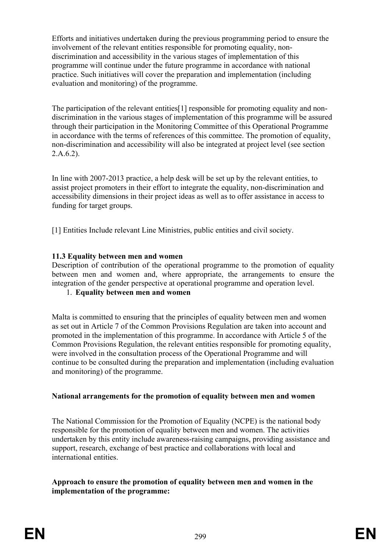Efforts and initiatives undertaken during the previous programming period to ensure the involvement of the relevant entities responsible for promoting equality, nondiscrimination and accessibility in the various stages of implementation of this programme will continue under the future programme in accordance with national practice. Such initiatives will cover the preparation and implementation (including evaluation and monitoring) of the programme.

The participation of the relevant entities[1] responsible for promoting equality and nondiscrimination in the various stages of implementation of this programme will be assured through their participation in the Monitoring Committee of this Operational Programme in accordance with the terms of references of this committee. The promotion of equality, non-discrimination and accessibility will also be integrated at project level (see section 2.A.6.2).

In line with 2007-2013 practice, a help desk will be set up by the relevant entities, to assist project promoters in their effort to integrate the equality, non-discrimination and accessibility dimensions in their project ideas as well as to offer assistance in access to funding for target groups.

[1] Entities Include relevant Line Ministries, public entities and civil society.

## **11.3 Equality between men and women**

Description of contribution of the operational programme to the promotion of equality between men and women and, where appropriate, the arrangements to ensure the integration of the gender perspective at operational programme and operation level.

## 1. **Equality between men and women**

Malta is committed to ensuring that the principles of equality between men and women as set out in Article 7 of the Common Provisions Regulation are taken into account and promoted in the implementation of this programme. In accordance with Article 5 of the Common Provisions Regulation, the relevant entities responsible for promoting equality, were involved in the consultation process of the Operational Programme and will continue to be consulted during the preparation and implementation (including evaluation and monitoring) of the programme.

#### **National arrangements for the promotion of equality between men and women**

The National Commission for the Promotion of Equality (NCPE) is the national body responsible for the promotion of equality between men and women. The activities undertaken by this entity include awareness-raising campaigns, providing assistance and support, research, exchange of best practice and collaborations with local and international entities.

#### **Approach to ensure the promotion of equality between men and women in the implementation of the programme:**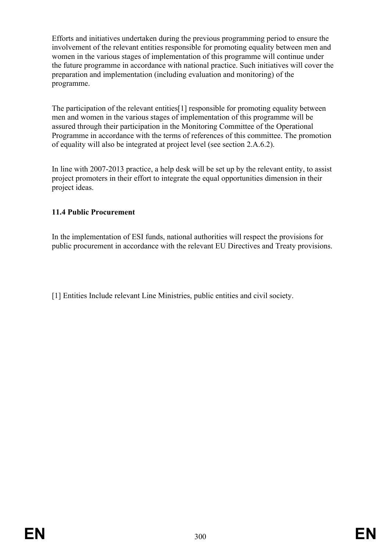Efforts and initiatives undertaken during the previous programming period to ensure the involvement of the relevant entities responsible for promoting equality between men and women in the various stages of implementation of this programme will continue under the future programme in accordance with national practice. Such initiatives will cover the preparation and implementation (including evaluation and monitoring) of the programme.

The participation of the relevant entities[1] responsible for promoting equality between men and women in the various stages of implementation of this programme will be assured through their participation in the Monitoring Committee of the Operational Programme in accordance with the terms of references of this committee. The promotion of equality will also be integrated at project level (see section 2.A.6.2).

In line with 2007-2013 practice, a help desk will be set up by the relevant entity, to assist project promoters in their effort to integrate the equal opportunities dimension in their project ideas.

# **11.4 Public Procurement**

In the implementation of ESI funds, national authorities will respect the provisions for public procurement in accordance with the relevant EU Directives and Treaty provisions.

[1] Entities Include relevant Line Ministries, public entities and civil society.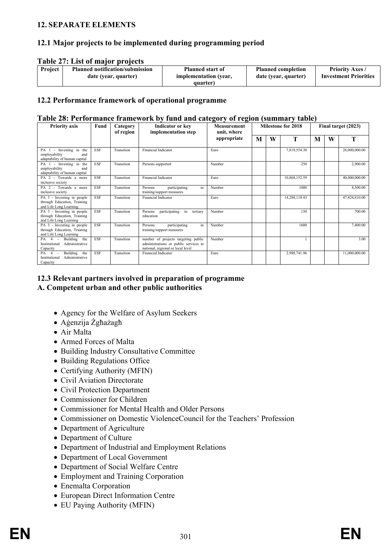#### **12. SEPARATE ELEMENTS**

## **12.1 Major projects to be implemented during programming period**

#### **Table 27: List of major projects**

| Project | <b>Planned notification/submission</b> | <b>Planned start of</b> | <b>Planned completion</b> | <b>Priority Axes</b>         |
|---------|----------------------------------------|-------------------------|---------------------------|------------------------------|
|         | date (year, quarter)                   | implementation (year,   | date (year, quarter)      | <b>Investment Priorities</b> |
|         |                                        | quarter)                |                           |                              |

#### **12.2 Performance framework of operational programme**

#### **Table 28: Performance framework by fund and category of region (summary table)**

| <b>Priority axis</b>                                                                | Fund       | Category<br>of region | <b>Indicator or key</b><br>implementation step                                                                    | <b>Measurement</b><br>unit, where |   |   | <b>Milestone for 2018</b> |   |   | Final target (2023) |
|-------------------------------------------------------------------------------------|------------|-----------------------|-------------------------------------------------------------------------------------------------------------------|-----------------------------------|---|---|---------------------------|---|---|---------------------|
|                                                                                     |            |                       |                                                                                                                   | appropriate                       | M | W | T                         | M | W | T                   |
| PA 1 - Investing in the<br>employability<br>and<br>adaptability of human capital    | <b>ESF</b> | Transition            | <b>Financial Indicator</b>                                                                                        | Euro                              |   |   | 7,819,554.30              |   |   | 26,000,000.00       |
| PA 1 - Investing in the<br>employability<br>and<br>adaptability of human capital    | <b>ESF</b> | Transition            | Persons supported                                                                                                 | Number                            |   |   | 250                       |   |   | 2,900.00            |
| PA 2 - Towards a more<br>inclusive society                                          | <b>ESF</b> | Transition            | Financial Indicator                                                                                               | Euro                              |   |   | 10,868,152.59             |   |   | 40,000,000.00       |
| PA 2 - Towards a more<br>inclusive society                                          | <b>ESF</b> | Transition            | participating<br>in<br>Persons<br>training/support measures                                                       | Number                            |   |   | 1000                      |   |   | 8,500.00            |
| PA 3 - Investing in people<br>through Education, Training<br>and Life Long Learning | <b>ESF</b> | Transition            | Financial Indicator                                                                                               | Euro                              |   |   | 14,288,118.43             |   |   | 47,424,810.00       |
| PA 3 - Investing in people<br>through Education, Training<br>and Life Long Learning | ESF        | Transition            | participating<br>in<br>tertiary<br>Persons<br>education                                                           | Number                            |   |   | 150                       |   |   | 700.00              |
| PA 3 - Investing in people<br>through Education, Training<br>and Life Long Learning | <b>ESF</b> | Transition            | in<br>participating<br>Persons<br>training/support measures                                                       | Number                            |   |   | 1600                      |   |   | 7,400.00            |
| PA 4 - Building the<br>Institutional Administrative<br>Capacity                     | <b>ESF</b> | Transition            | number of projects targeting public<br>administrations or public services at<br>national, regional or local level | Number                            |   |   |                           |   |   | 3.00                |
| Building the<br>PA 4 -<br>Administrative<br>Institutional<br>Capacity               | ESF        | Transition            | <b>Financial Indicator</b>                                                                                        | Euro                              |   |   | 2,988,741.96              |   |   | 11,000,000.00       |

#### **12.3 Relevant partners involved in preparation of programme A. Competent urban and other public authorities**

- Agency for the Welfare of Asylum Seekers
- Aġenzija Żgħażagħ
- Air Malta
- Armed Forces of Malta
- Building Industry Consultative Committee
- Building Regulations Office
- Certifying Authority (MFIN)
- Civil Aviation Directorate
- Civil Protection Department
- Commissioner for Children
- Commissioner for Mental Health and Older Persons
- Commissioner on Domestic ViolenceCouncil for the Teachers' Profession
- Department of Agriculture
- Department of Culture
- Department of Industrial and Employment Relations
- Department of Local Government
- Department of Social Welfare Centre
- Employment and Training Corporation
- Enemalta Corporation
- European Direct Information Centre
- EU Paying Authority (MFIN)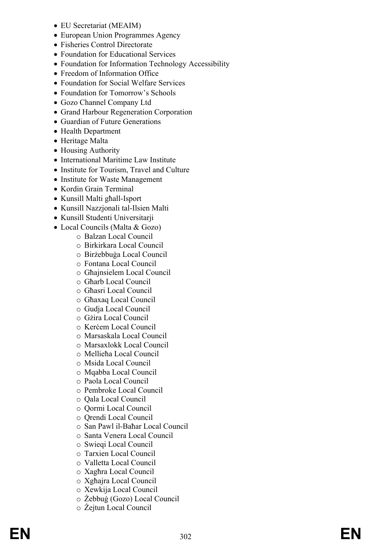- 
- 
- 
- 
- FIC Societies (MEAIN<br>
Fraction (MEAIN CREAT)<br>
Theoretical Direct Descriptions (Meanwell Direct Descriptions Fractions)<br>
Fraction for the formulation Technology Accessibility<br>
Fraction for European and Offices Services<br>
Fr
	-
	-
	-
	-
	-
	-
	-
	-
	-
	-
	-
	-
	-
	-
	-
	- - - -
				-
				-
				-
				-
				-
				-
				-
				-
				-
				-
				-
				-
				-
				-
				-
				-
				-
				-
				-
				-
				-
				-
				-
				-
				-
				-
				-
				-
				-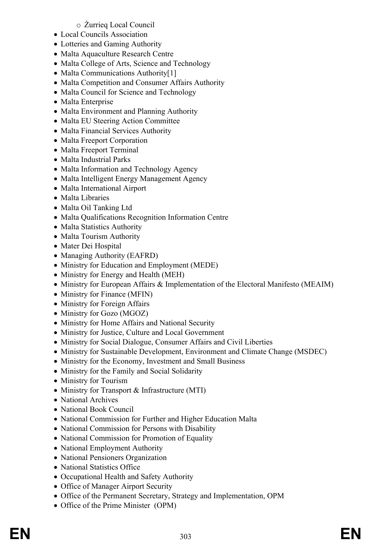## o Żurrieq Local Council

- Local Councils Association
- Lotteries and Gaming Authority
- Malta Aquaculture Research Centre
- Malta College of Arts, Science and Technology
- Malta Communications Authority[1]
- Malta Competition and Consumer Affairs Authority
- Malta Council for Science and Technology
- Malta Enterprise
- Malta Environment and Planning Authority
- Malta EU Steering Action Committee
- Malta Financial Services Authority
- Malta Freeport Corporation
- Malta Freeport Terminal
- Malta Industrial Parks
- Malta Information and Technology Agency
- Malta Intelligent Energy Management Agency
- Malta International Airport
- Malta Libraries
- Malta Oil Tanking Ltd
- Malta Qualifications Recognition Information Centre
- Malta Statistics Authority
- Malta Tourism Authority
- Mater Dei Hospital
- Managing Authority (EAFRD)
- Ministry for Education and Employment (MEDE)
- Ministry for Energy and Health (MEH)
- Ministry for European Affairs & Implementation of the Electoral Manifesto (MEAIM)
- Ministry for Finance (MFIN)
- Ministry for Foreign Affairs
- Ministry for Gozo (MGOZ)
- Ministry for Home Affairs and National Security
- Ministry for Justice, Culture and Local Government
- Ministry for Social Dialogue, Consumer Affairs and Civil Liberties
- Ministry for Sustainable Development, Environment and Climate Change (MSDEC)
- Ministry for the Economy, Investment and Small Business
- Ministry for the Family and Social Solidarity
- Ministry for Tourism
- Ministry for Transport & Infrastructure (MTI)
- National Archives
- National Book Council
- National Commission for Further and Higher Education Malta
- National Commission for Persons with Disability
- National Commission for Promotion of Equality
- National Employment Authority
- National Pensioners Organization
- National Statistics Office
- Occupational Health and Safety Authority
- Office of Manager Airport Security
- Office of the Permanent Secretary, Strategy and Implementation, OPM
- Office of the Prime Minister (OPM)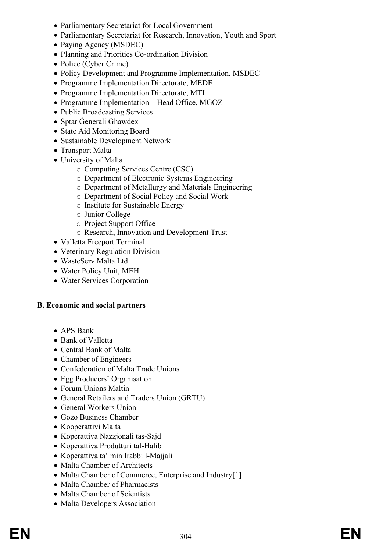- Parliamentary Secretariat for Local Government
- Parliamentary Secretariat for Research, Innovation, Youth and Sport
- Paying Agency (MSDEC)
- Planning and Priorities Co-ordination Division
- Police (Cyber Crime)
- Policy Development and Programme Implementation, MSDEC
- Programme Implementation Directorate, MEDE
- Programme Implementation Directorate, MTI
- Programme Implementation Head Office, MGOZ
- Public Broadcasting Services
- Sptar Ġenerali Għawdex
- State Aid Monitoring Board
- Sustainable Development Network
- Transport Malta
- University of Malta
	- o Computing Services Centre (CSC)
	- o Department of Electronic Systems Engineering
	- o Department of Metallurgy and Materials Engineering
	- o Department of Social Policy and Social Work
	- o Institute for Sustainable Energy
	- o Junior College
	- o Project Support Office
	- o Research, Innovation and Development Trust
- Valletta Freeport Terminal
- Veterinary Regulation Division
- WasteServ Malta Ltd
- Water Policy Unit, MEH
- Water Services Corporation

#### **B. Economic and social partners**

- APS Bank
- Bank of Valletta
- Central Bank of Malta
- Chamber of Engineers
- Confederation of Malta Trade Unions
- Egg Producers' Organisation
- Forum Unions Maltin
- General Retailers and Traders Union (GRTU)
- General Workers Union
- Gozo Business Chamber
- Kooperattivi Malta
- Koperattiva Nazzjonali tas-Sajd
- Koperattiva Produtturi tal-Ħalib
- Koperattiva ta' min Irabbi l-Majjali
- Malta Chamber of Architects
- Malta Chamber of Commerce, Enterprise and Industry[1]
- Malta Chamber of Pharmacists
- Malta Chamber of Scientists
- Malta Developers Association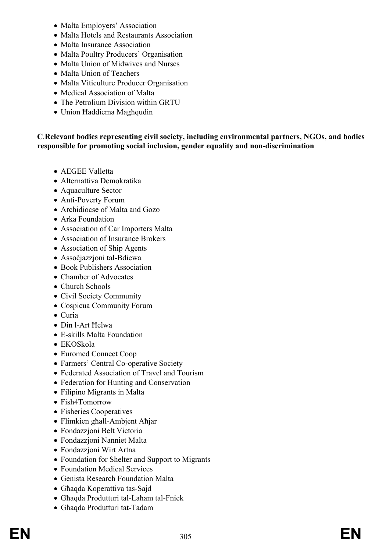- Malta Employers' Association
- Malta Hotels and Restaurants Association
- Malta Insurance Association
- Malta Poultry Producers' Organisation
- Malta Union of Midwives and Nurses
- Malta Union of Teachers
- Malta Viticulture Producer Organisation
- Medical Association of Malta
- The Petrolium Division within GRTU
- Union Ħaddiema Magħqudin

## **C**.**Relevant bodies representing civil society, including environmental partners, NGOs, and bodies responsible for promoting social inclusion, gender equality and non-discrimination**

- AEGEE Valletta
- Alternattiva Demokratika
- Aquaculture Sector
- Anti-Poverty Forum
- Archidiocse of Malta and Gozo
- Arka Foundation
- Association of Car Importers Malta
- Association of Insurance Brokers
- Association of Ship Agents
- Assoċjazzjoni tal-Bdiewa
- Book Publishers Association
- Chamber of Advocates
- Church Schools
- Civil Society Community
- Cospicua Community Forum
- Curia
- Din l-Art Ħelwa
- E-skills Malta Foundation
- EKOSkola
- Euromed Connect Coop
- Farmers' Central Co-operative Society
- Federated Association of Travel and Tourism
- Federation for Hunting and Conservation
- Filipino Migrants in Malta
- Fish4Tomorrow
- Fisheries Cooperatives
- Flimkien għall-Ambjent Aħjar
- Fondazzjoni Belt Victoria
- Fondazzjoni Nanniet Malta
- Fondazzjoni Wirt Artna
- Foundation for Shelter and Support to Migrants
- Foundation Medical Services
- Genista Research Foundation Malta
- Għaqda Koperattiva tas-Sajd
- Għaqda Produtturi tal-Laħam tal-Fniek
- Għaqda Produtturi tat-Tadam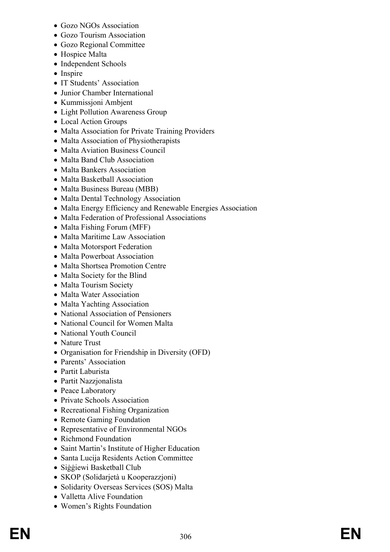- Gozo NGOs Association
- Gozo Tourism Association
- Gozo Regional Committee
- Hospice Malta
- Independent Schools
- Inspire
- IT Students' Association
- Junior Chamber International
- Kummissjoni Ambjent
- Light Pollution Awareness Group
- Local Action Groups
- Malta Association for Private Training Providers
- Malta Association of Physiotherapists
- Malta Aviation Business Council
- Malta Band Club Association
- Malta Bankers Association
- Malta Basketball Association
- Malta Business Bureau (MBB)
- Malta Dental Technology Association
- Malta Energy Efficiency and Renewable Energies Association
- Malta Federation of Professional Associations
- Malta Fishing Forum (MFF)
- Malta Maritime Law Association
- Malta Motorsport Federation
- Malta Powerboat Association
- Malta Shortsea Promotion Centre
- Malta Society for the Blind
- Malta Tourism Society
- Malta Water Association
- Malta Yachting Association
- National Association of Pensioners
- National Council for Women Malta
- National Youth Council
- Nature Trust
- Organisation for Friendship in Diversity (OFD)
- Parents' Association
- Partit Laburista
- Partit Nazzjonalista
- Peace Laboratory
- Private Schools Association
- Recreational Fishing Organization
- Remote Gaming Foundation
- Representative of Environmental NGOs
- Richmond Foundation
- Saint Martin's Institute of Higher Education
- Santa Lucija Residents Action Committee
- Siggiewi Basketball Club
- SKOP (Solidarjetà u Kooperazzjoni)
- Solidarity Overseas Services (SOS) Malta
- Valletta Alive Foundation
- Women's Rights Foundation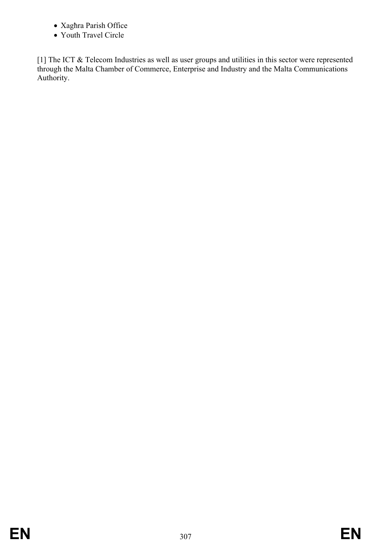- Xagħra Parish Office
- Youth Travel Circle

[1] The ICT & Telecom Industries as well as user groups and utilities in this sector were represented through the Malta Chamber of Commerce, Enterprise and Industry and the Malta Communications Authority.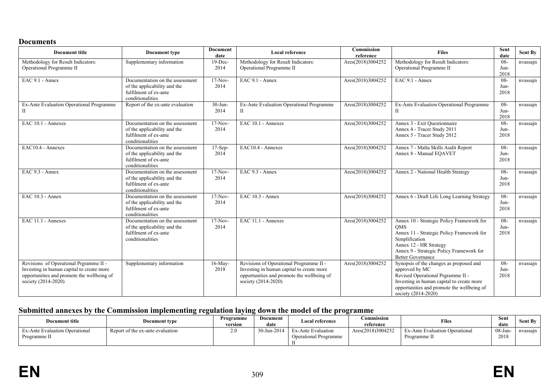#### **Documents**

| <b>Document title</b>                                                                                                                                    | Document type                                                                                                | <b>Document</b><br>date | <b>Local reference</b>                                                                                                                                    | Commission<br>reference | <b>Files</b>                                                                                                                                                                                                             | Sent<br>date           | <b>Sent By</b> |
|----------------------------------------------------------------------------------------------------------------------------------------------------------|--------------------------------------------------------------------------------------------------------------|-------------------------|-----------------------------------------------------------------------------------------------------------------------------------------------------------|-------------------------|--------------------------------------------------------------------------------------------------------------------------------------------------------------------------------------------------------------------------|------------------------|----------------|
| Methodology for Result Indicators:<br>Operational Programme II                                                                                           | Supplementary information                                                                                    | 19-Dec-<br>2014         | Methodology for Result Indicators:<br>Operational Programme II                                                                                            | Ares(2018)3004252       | Methodology for Result Indicators:<br>Operational Programme II                                                                                                                                                           | $08 -$<br>Jun-<br>2018 | nvassajn       |
| $EAC$ 9.1 - Annex                                                                                                                                        | Documentation on the assessment<br>of the applicability and the<br>fulfilment of ex-ante<br>conditionalities | $17-Nov-$<br>2014       | EAC 9.1 - Annex                                                                                                                                           | Ares(2018)3004252       | EAC 9.1 - Annex                                                                                                                                                                                                          | $08 -$<br>Jun-<br>2018 | nvassajn       |
| Ex-Ante Evaluation Operational Programme<br>П                                                                                                            | Report of the ex-ante evaluation                                                                             | 30-Jun-<br>2014         | Ex-Ante Evaluation Operational Programme<br>$\mathbf{I}$                                                                                                  | Ares(2018)3004252       | Ex-Ante Evaluation Operational Programme<br>П                                                                                                                                                                            | $08 -$<br>Jun-<br>2018 | nvassajn       |
| EAC 10.1 - Annexes                                                                                                                                       | Documentation on the assessment<br>of the applicability and the<br>fulfilment of ex-ante<br>conditionalities | $17-Nov-$<br>2014       | EAC 10.1 - Annexes                                                                                                                                        | Ares(2018)3004252       | Annex 3 - Exit Questionnaire<br>Annex 4 - Tracer Study 2011<br>Annex 5 - Tracer Study 2012                                                                                                                               | $08 -$<br>Jun-<br>2018 | nvassajn       |
| EAC10.4 - Annexes                                                                                                                                        | Documentation on the assessment<br>of the applicability and the<br>fulfilment of ex-ante<br>conditionalities | $17-Sep-$<br>2014       | EAC10.4 - Annexes                                                                                                                                         | Ares(2018)3004252       | Annex 7 - Malta Skills Audit Report<br>Annex 8 - Manual EQAVET                                                                                                                                                           | $08 -$<br>Jun-<br>2018 | nvassajn       |
| EAC 9.3 - Annex                                                                                                                                          | Documentation on the assessment<br>of the applicability and the<br>fulfilment of ex-ante<br>conditionalities | $17-Nov-$<br>2014       | EAC 9.3 - Annex                                                                                                                                           | Ares(2018)3004252       | Annex 2 - National Health Strategy                                                                                                                                                                                       | $08 -$<br>Jun-<br>2018 | nvassajn       |
| EAC 10.3 - Annex                                                                                                                                         | Documentation on the assessment<br>of the applicability and the<br>fulfilment of ex-ante<br>conditionalities | $17-Nov-$<br>2014       | <b>EAC 10.3 - Annex</b>                                                                                                                                   | Ares(2018)3004252       | Annex 6 - Draft Life Long Learning Strategy                                                                                                                                                                              | $08 -$<br>Jun-<br>2018 | nvassajn       |
| EAC 11.1 - Annexes                                                                                                                                       | Documentation on the assessment<br>of the applicability and the<br>fulfilment of ex-ante<br>conditionalities | $17-Nov-$<br>2014       | EAC 11.1 - Annexes                                                                                                                                        | Ares(2018)3004252       | Annex 10 - Strategic Policy Framework for<br><b>OMS</b><br>Annex 11 - Strategic Policy Framework for<br>Simplification<br>Annex 12 - HR Strategy<br>Annex 9 - Strategic Policy Framework for<br><b>Better Governance</b> | $08 -$<br>Jun-<br>2018 | nvassajn       |
| Revisions of Operational Prgramme II -<br>Investing in human capital to create more<br>opportunities and promote the wellbeing of<br>society (2014-2020) | Supplementary information                                                                                    | $16$ -May-<br>2018      | Revisions of Operational Programme II -<br>Investing in human capital to create more<br>opportunities and promote the wellbeing of<br>society (2014-2020) | Ares(2018)3004252       | Synopsis of the changes as proposed and<br>approved by MC<br>Revised Operational Prgramme II -<br>Investing in human capital to create more<br>opportunities and promote the wellbeing of<br>society (2014-2020)         | $08 -$<br>Jun-<br>2018 | nvassajn       |

# **Submitted annexes by the Commission implementing regulation laying down the model of the programme**

| Document title                 | Document type                    | Programme<br>version | Document<br>date | Local reference              | .'ommission<br>reference | Files                          | Sent<br>date | <b>Sent By</b> |
|--------------------------------|----------------------------------|----------------------|------------------|------------------------------|--------------------------|--------------------------------|--------------|----------------|
| Ex-Ante Evaluation Operational | Report of the ex-ante evaluation |                      | 30-Jun-2014      | Ex-Ante Evaluation           | Ares(2018)3004252        | Ex-Ante Evaluation Operational | 08-Jun-      | nvassam        |
| Programme II                   |                                  |                      |                  | <b>Operational Programme</b> |                          | Programme L                    | 2018         |                |
|                                |                                  |                      |                  |                              |                          |                                |              |                |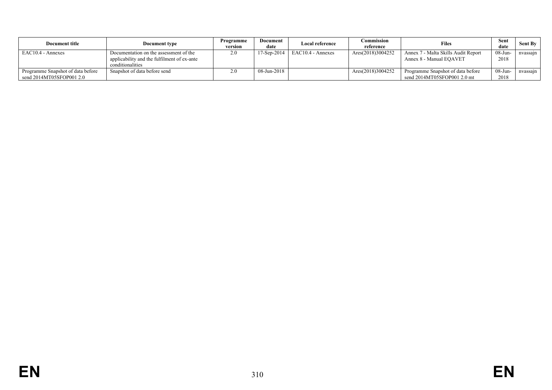| Document title                                                | Document type                                                                                             | Programme<br>version | Document<br>date | <b>Local reference</b> | Commission<br>reference | Files                                                             | Sent<br>date    | <b>Sent By</b> |
|---------------------------------------------------------------|-----------------------------------------------------------------------------------------------------------|----------------------|------------------|------------------------|-------------------------|-------------------------------------------------------------------|-----------------|----------------|
| EAC10.4 - Annexes                                             | Documentation on the assessment of the<br>applicability and the fulfilment of ex-ante<br>conditionalities |                      | $17-Sep-2014$    | EAC10.4 - Annexes      | Ares(2018)3004252       | Annex 7 - Malta Skills Audit Report<br>Annex 8 - Manual EOAVET    | 08-Jun-<br>2018 | nvassajn       |
| Programme Snapshot of data before<br>send 2014MT05SFOP001 2.0 | Snapshot of data before send                                                                              |                      | 08-Jun-2018      |                        | Ares(2018)3004252       | Programme Snapshot of data before<br>send $2014MT05SFOP0012.0$ mt | 08-Jun-<br>2018 | nvassajn       |